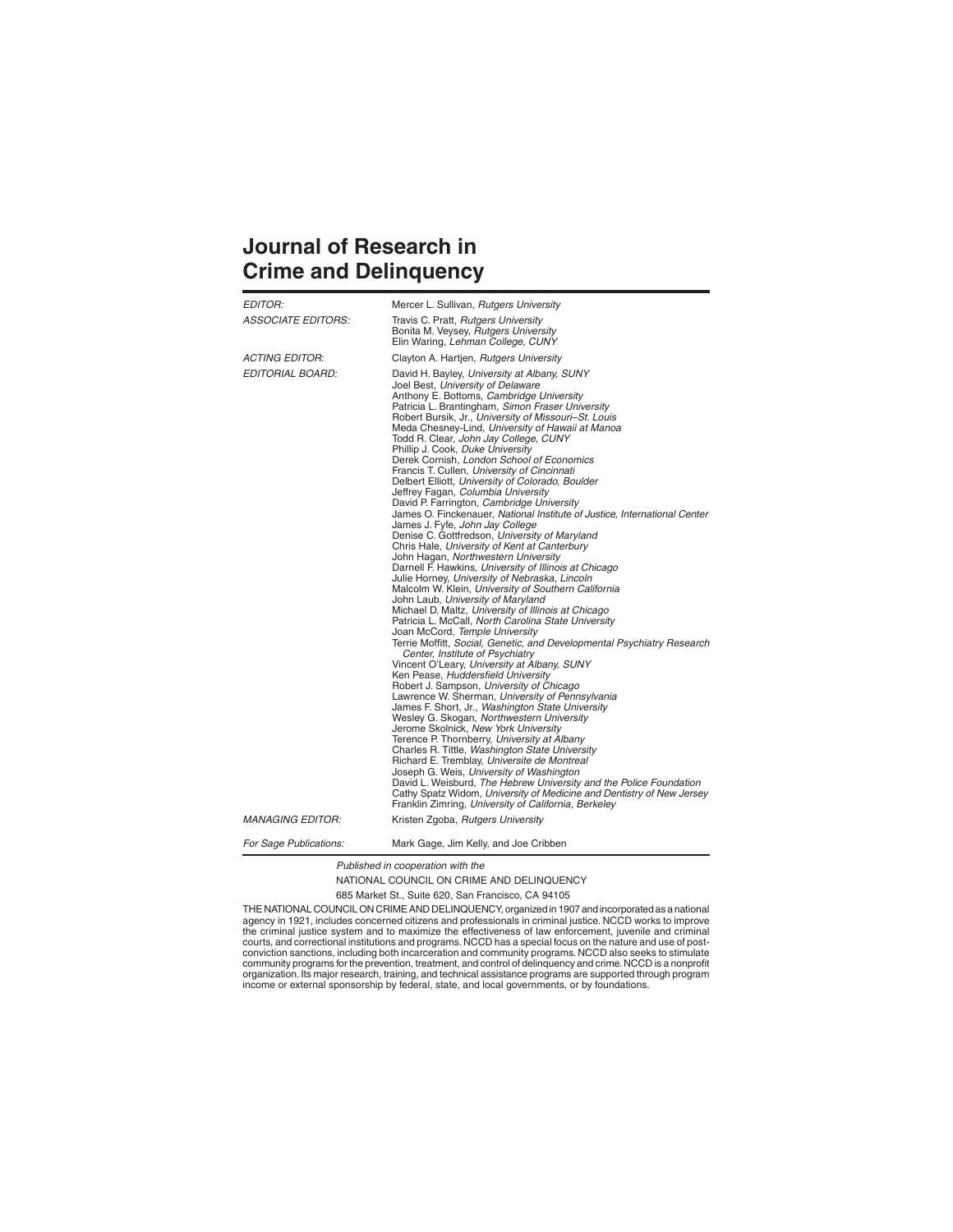# **Journal of Research in Crime and Delinquency**

| <b>EDITOR:</b>            | Mercer L. Sullivan, Rutgers University                                                                                                                                                                                                                                                                                                                                                                                                                                                                                                                                                                                                                                                                                                                                                                                                                                                                                                                                                                                                                                                                                                                                                                                                                                                                                                                                                                                                                                                                                                                                                                                                                                                                                                                                                                                                                                                                                                                                                                          |
|---------------------------|-----------------------------------------------------------------------------------------------------------------------------------------------------------------------------------------------------------------------------------------------------------------------------------------------------------------------------------------------------------------------------------------------------------------------------------------------------------------------------------------------------------------------------------------------------------------------------------------------------------------------------------------------------------------------------------------------------------------------------------------------------------------------------------------------------------------------------------------------------------------------------------------------------------------------------------------------------------------------------------------------------------------------------------------------------------------------------------------------------------------------------------------------------------------------------------------------------------------------------------------------------------------------------------------------------------------------------------------------------------------------------------------------------------------------------------------------------------------------------------------------------------------------------------------------------------------------------------------------------------------------------------------------------------------------------------------------------------------------------------------------------------------------------------------------------------------------------------------------------------------------------------------------------------------------------------------------------------------------------------------------------------------|
| <b>ASSOCIATE EDITORS:</b> | Travis C. Pratt, Rutgers University<br>Bonita M. Veysey, Rutgers University<br>Elin Waring, Lehman College, CUNY                                                                                                                                                                                                                                                                                                                                                                                                                                                                                                                                                                                                                                                                                                                                                                                                                                                                                                                                                                                                                                                                                                                                                                                                                                                                                                                                                                                                                                                                                                                                                                                                                                                                                                                                                                                                                                                                                                |
| <b>ACTING EDITOR:</b>     | Clayton A. Hartjen, Rutgers University                                                                                                                                                                                                                                                                                                                                                                                                                                                                                                                                                                                                                                                                                                                                                                                                                                                                                                                                                                                                                                                                                                                                                                                                                                                                                                                                                                                                                                                                                                                                                                                                                                                                                                                                                                                                                                                                                                                                                                          |
| <b>EDITORIAL BOARD:</b>   | David H. Bayley, University at Albany, SUNY<br>Joel Best, University of Delaware<br>Anthony E. Bottoms, Cambridge University<br>Patricia L. Brantingham, Simon Fraser University<br>Robert Bursik, Jr., University of Missouri-St. Louis<br>Meda Chesney-Lind, University of Hawaii at Manoa<br>Todd R. Clear, John Jay College, CUNY<br>Phillip J. Cook, Duke University<br>Derek Cornish, London School of Economics<br>Francis T. Cullen, University of Cincinnati<br>Delbert Elliott, University of Colorado, Boulder<br>Jeffrey Fagan, Columbia University<br>David P. Farrington, Cambridge University<br>James O. Finckenauer, National Institute of Justice, International Center<br>James J. Fyfe, John Jay College<br>Denise C. Gottfredson, University of Maryland<br>Chris Hale, University of Kent at Canterbury<br>John Hagan, Northwestern University<br>Darnell F. Hawkins, University of Illinois at Chicago<br>Julie Horney, University of Nebraska, Lincoln<br>Malcolm W. Klein, University of Southern California<br>John Laub, University of Maryland<br>Michael D. Maltz, University of Illinois at Chicago<br>Patricia L. McCall, North Carolina State University<br>Joan McCord, Temple University<br>Terrie Moffitt, Social, Genetic, and Developmental Psychiatry Research<br>Center, Institute of Psychiatry<br>Vincent O'Leary, University at Albany, SUNY<br>Ken Pease, Huddersfield University<br>Robert J. Sampson, University of Chicago<br>Lawrence W. Sherman, University of Pennsylvania<br>James F. Short, Jr., Washington State University<br>Wesley G. Skogan, Northwestern University<br>Jerome Skolnick, New York University<br>Terence P. Thornberry, University at Albany<br>Charles R. Tittle, Washington State University<br>Richard E. Tremblay, Universite de Montreal<br>Joseph G. Weis, University of Washington<br>David L. Weisburd, The Hebrew University and the Police Foundation<br>Cathy Spatz Widom, University of Medicine and Dentistry of New Jersey |
|                           | Franklin Zimring, University of California, Berkeley                                                                                                                                                                                                                                                                                                                                                                                                                                                                                                                                                                                                                                                                                                                                                                                                                                                                                                                                                                                                                                                                                                                                                                                                                                                                                                                                                                                                                                                                                                                                                                                                                                                                                                                                                                                                                                                                                                                                                            |
| <b>MANAGING EDITOR:</b>   | Kristen Zgoba, Rutgers University                                                                                                                                                                                                                                                                                                                                                                                                                                                                                                                                                                                                                                                                                                                                                                                                                                                                                                                                                                                                                                                                                                                                                                                                                                                                                                                                                                                                                                                                                                                                                                                                                                                                                                                                                                                                                                                                                                                                                                               |
| For Sage Publications:    | Mark Gage, Jim Kelly, and Joe Cribben                                                                                                                                                                                                                                                                                                                                                                                                                                                                                                                                                                                                                                                                                                                                                                                                                                                                                                                                                                                                                                                                                                                                                                                                                                                                                                                                                                                                                                                                                                                                                                                                                                                                                                                                                                                                                                                                                                                                                                           |

Published in cooperation with the

NATIONAL COUNCIL ON CRIME AND DELINQUENCY 685 Market St., Suite 620, San Francisco, CA 94105

THE NATIONAL COUNCIL ON CRIME AND DELINQUENCY, organized in 1907 and incorporated as a national<br>agency in 1921, includes concerned citizens and professionals in criminal justice. NCCD works to improve<br>the criminal justice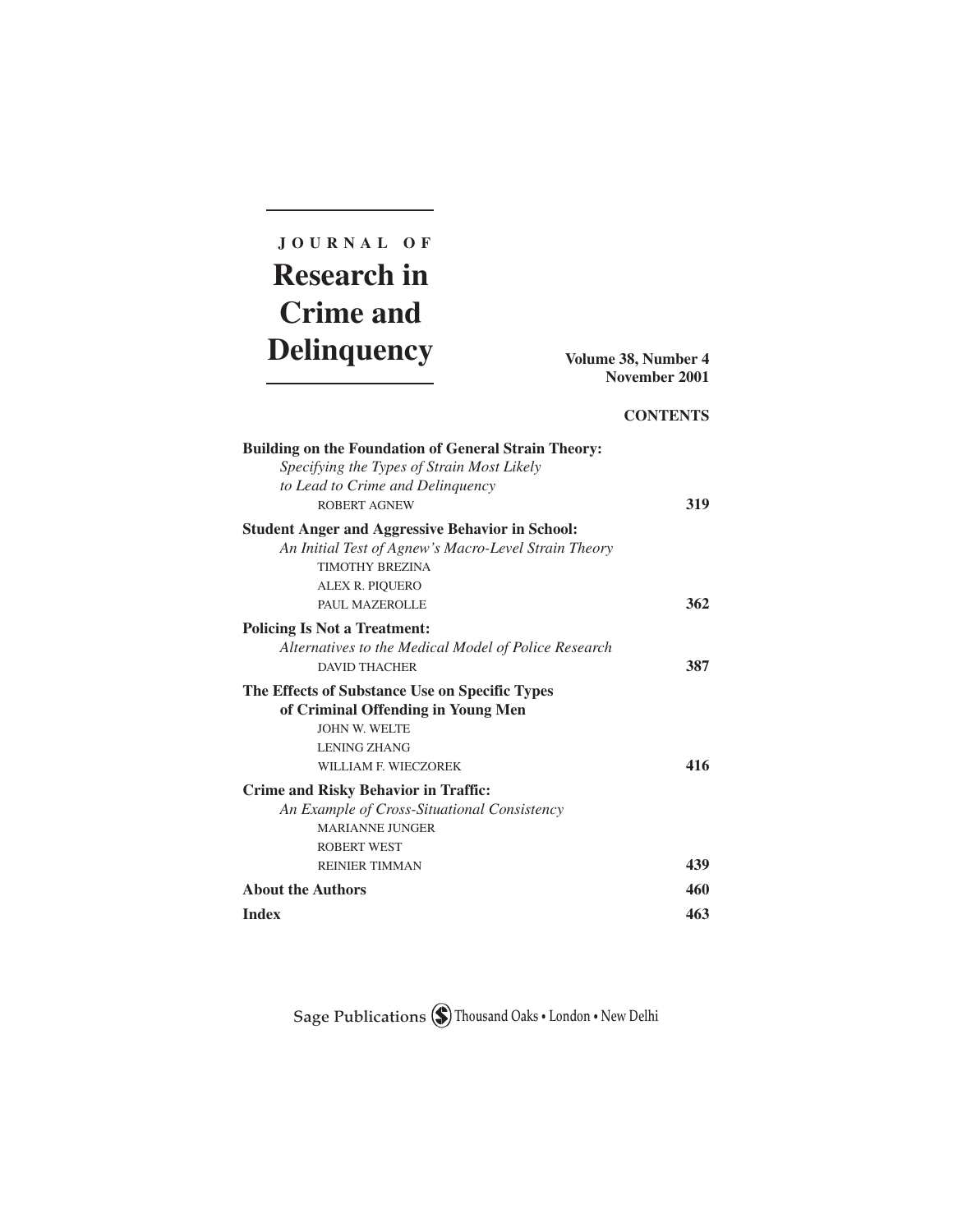# **JOURNAL OF Research in Crime and Delinquency**

**Volume 38, Number 4 November 2001**

**CONTENTS**

| <b>Building on the Foundation of General Strain Theory:</b>                                                                                           |     |
|-------------------------------------------------------------------------------------------------------------------------------------------------------|-----|
| Specifying the Types of Strain Most Likely                                                                                                            |     |
| to Lead to Crime and Delinquency                                                                                                                      |     |
| <b>ROBERT AGNEW</b>                                                                                                                                   | 319 |
| <b>Student Anger and Aggressive Behavior in School:</b><br>An Initial Test of Agnew's Macro-Level Strain Theory<br>TIMOTHY BREZINA<br>ALEX R. PIQUERO |     |
| PAUL MAZEROLLE                                                                                                                                        | 362 |
| <b>Policing Is Not a Treatment:</b><br>Alternatives to the Medical Model of Police Research<br><b>DAVID THACHER</b>                                   | 387 |
| The Effects of Substance Use on Specific Types<br>of Criminal Offending in Young Men<br><b>JOHN W. WELTE</b><br><b>LENING ZHANG</b>                   |     |
| WILLIAM F. WIECZOREK                                                                                                                                  | 416 |
| <b>Crime and Risky Behavior in Traffic:</b><br>An Example of Cross-Situational Consistency<br><b>MARIANNE JUNGER</b><br><b>ROBERT WEST</b>            |     |
| <b>REINIER TIMMAN</b>                                                                                                                                 | 439 |
| <b>About the Authors</b>                                                                                                                              | 460 |
| <b>Index</b>                                                                                                                                          | 463 |

**Sage Publications Thousand Oaks • London • New Delhi**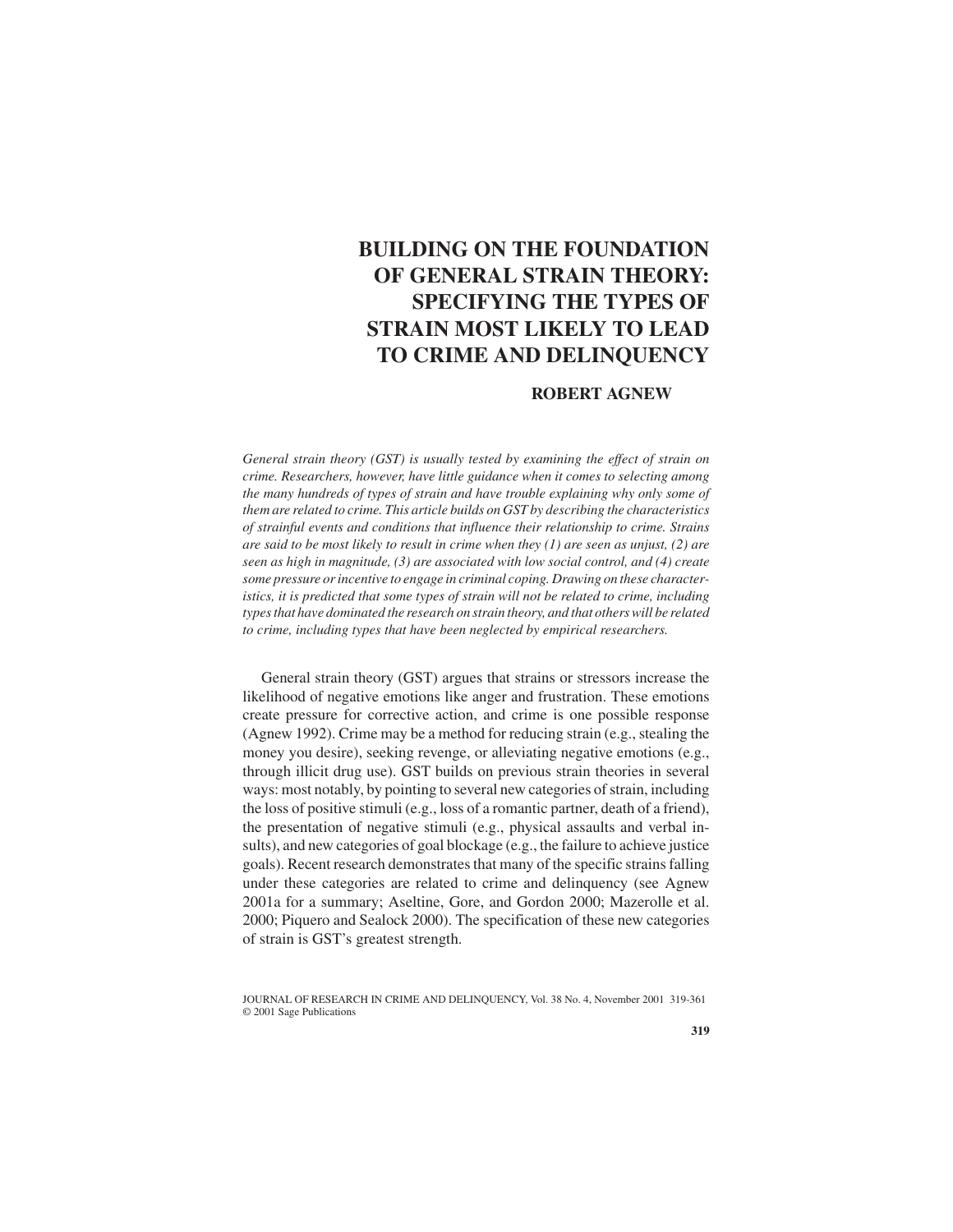# **BUILDING ON THE FOUNDATION OF GENERAL STRAIN THEORY: SPECIFYING THE TYPES OF STRAIN MOST LIKELY TO LEAD TO CRIME AND DELINQUENCY**

# **ROBERT AGNEW**

*General strain theory (GST) is usually tested by examining the effect of strain on crime. Researchers, however, have little guidance when it comes to selecting among the many hundreds of types of strain and have trouble explaining why only some of them are related to crime. This article builds on GST by describing the characteristics of strainful events and conditions that influence their relationship to crime. Strains are said to be most likely to result in crime when they (1) are seen as unjust, (2) are seen as high in magnitude, (3) are associated with low social control, and (4) create some pressure or incentive to engage in criminal coping. Drawing on these characteristics, it is predicted that some types of strain will not be related to crime, including types that have dominated the research on strain theory, and that others will be related to crime, including types that have been neglected by empirical researchers.*

General strain theory (GST) argues that strains or stressors increase the likelihood of negative emotions like anger and frustration. These emotions create pressure for corrective action, and crime is one possible response (Agnew1992). Crime may be a method for reducing strain (e.g., stealing the money you desire), seeking revenge, or alleviating negative emotions (e.g., through illicit drug use). GST builds on previous strain theories in several ways: most notably, by pointing to several new categories of strain, including the loss of positive stimuli (e.g., loss of a romantic partner, death of a friend), the presentation of negative stimuli (e.g., physical assaults and verbal insults), and newcategories of goal blockage (e.g., the failure to achieve justice goals). Recent research demonstrates that many of the specific strains falling under these categories are related to crime and delinquency (see Agnew 2001a for a summary; Aseltine, Gore, and Gordon 2000; Mazerolle et al. 2000; Piquero and Sealock 2000). The specification of these newcategories of strain is GST's greatest strength.

JOURNAL OF RESEARCH IN CRIME AND DELINQUENCY, Vol. 38 No. 4, November 2001 319-361 © 2001 Sage Publications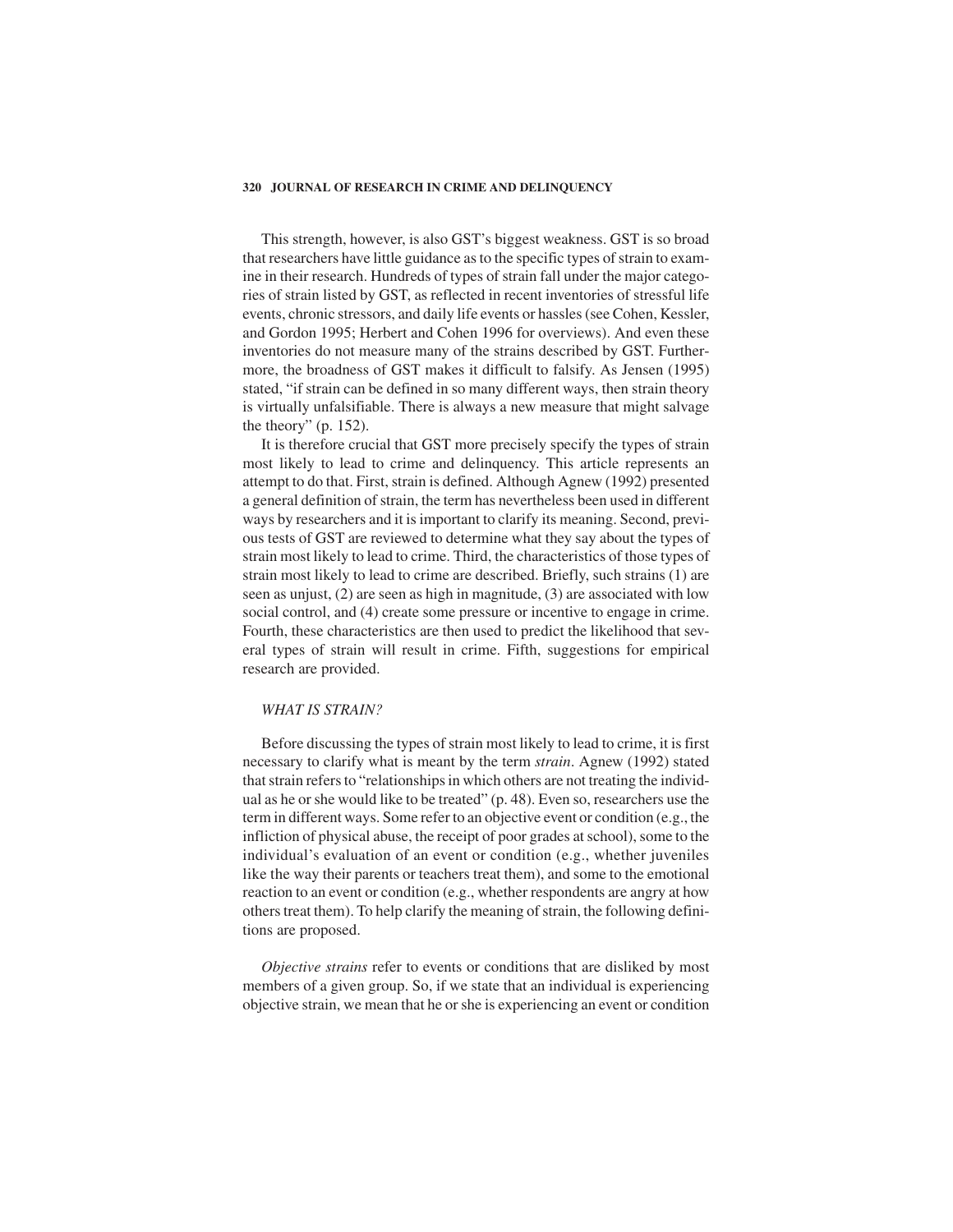This strength, however, is also GST's biggest weakness. GST is so broad that researchers have little guidance as to the specific types of strain to examine in their research. Hundreds of types of strain fall under the major categories of strain listed by GST, as reflected in recent inventories of stressful life events, chronic stressors, and daily life events or hassles (see Cohen, Kessler, and Gordon 1995; Herbert and Cohen 1996 for overviews). And even these inventories do not measure many of the strains described by GST. Furthermore, the broadness of GST makes it difficult to falsify. As Jensen (1995) stated, "if strain can be defined in so many different ways, then strain theory is virtually unfalsifiable. There is always a new measure that might salvage the theory" (p. 152).

It is therefore crucial that GST more precisely specify the types of strain most likely to lead to crime and delinquency. This article represents an attempt to do that. First, strain is defined. Although Agnew(1992) presented a general definition of strain, the term has nevertheless been used in different ways by researchers and it is important to clarify its meaning. Second, previous tests of GST are reviewed to determine what they say about the types of strain most likely to lead to crime. Third, the characteristics of those types of strain most likely to lead to crime are described. Briefly, such strains (1) are seen as unjust, (2) are seen as high in magnitude, (3) are associated with low social control, and (4) create some pressure or incentive to engage in crime. Fourth, these characteristics are then used to predict the likelihood that several types of strain will result in crime. Fifth, suggestions for empirical research are provided.

# *WHAT IS STRAIN?*

Before discussing the types of strain most likely to lead to crime, it is first necessary to clarify what is meant by the term *strain*. Agnew(1992) stated that strain refers to "relationships in which others are not treating the individual as he or she would like to be treated" (p. 48). Even so, researchers use the term in different ways. Some refer to an objective event or condition (e.g., the infliction of physical abuse, the receipt of poor grades at school), some to the individual's evaluation of an event or condition (e.g., whether juveniles like the way their parents or teachers treat them), and some to the emotional reaction to an event or condition (e.g., whether respondents are angry at how others treat them). To help clarify the meaning of strain, the following definitions are proposed.

*Objective strains* refer to events or conditions that are disliked by most members of a given group. So, if we state that an individual is experiencing objective strain, we mean that he or she is experiencing an event or condition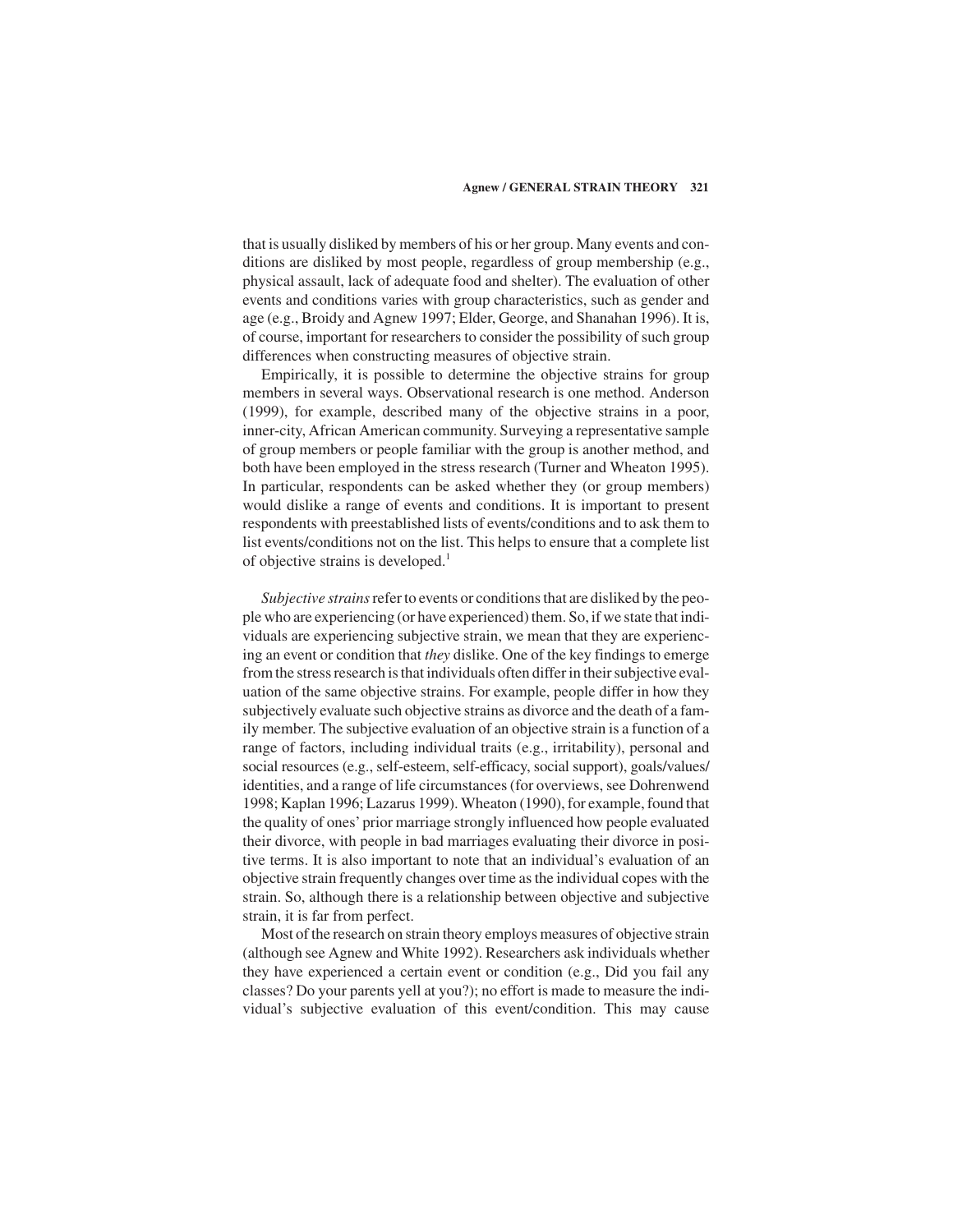that is usually disliked by members of his or her group. Many events and conditions are disliked by most people, regardless of group membership (e.g., physical assault, lack of adequate food and shelter). The evaluation of other events and conditions varies with group characteristics, such as gender and age (e.g., Broidy and Agnew1997; Elder, George, and Shanahan 1996). It is, of course, important for researchers to consider the possibility of such group differences when constructing measures of objective strain.

Empirically, it is possible to determine the objective strains for group members in several ways. Observational research is one method. Anderson (1999), for example, described many of the objective strains in a poor, inner-city, African American community. Surveying a representative sample of group members or people familiar with the group is another method, and both have been employed in the stress research (Turner and Wheaton 1995). In particular, respondents can be asked whether they (or group members) would dislike a range of events and conditions. It is important to present respondents with preestablished lists of events/conditions and to ask them to list events/conditions not on the list. This helps to ensure that a complete list of objective strains is developed.<sup>1</sup>

*Subjective strains*refer to events or conditions that are disliked by the people who are experiencing (or have experienced) them. So, if we state that individuals are experiencing subjective strain, we mean that they are experiencing an event or condition that *they* dislike. One of the key findings to emerge from the stress research is that individuals often differ in their subjective evaluation of the same objective strains. For example, people differ in howthey subjectively evaluate such objective strains as divorce and the death of a family member. The subjective evaluation of an objective strain is a function of a range of factors, including individual traits (e.g., irritability), personal and social resources (e.g., self-esteem, self-efficacy, social support), goals/values/ identities, and a range of life circumstances (for overviews, see Dohrenwend 1998; Kaplan 1996; Lazarus 1999). Wheaton (1990), for example, found that the quality of ones' prior marriage strongly influenced how people evaluated their divorce, with people in bad marriages evaluating their divorce in positive terms. It is also important to note that an individual's evaluation of an objective strain frequently changes over time as the individual copes with the strain. So, although there is a relationship between objective and subjective strain, it is far from perfect.

Most of the research on strain theory employs measures of objective strain (although see Agnewand White 1992). Researchers ask individuals whether they have experienced a certain event or condition (e.g., Did you fail any classes? Do your parents yell at you?); no effort is made to measure the individual's subjective evaluation of this event/condition. This may cause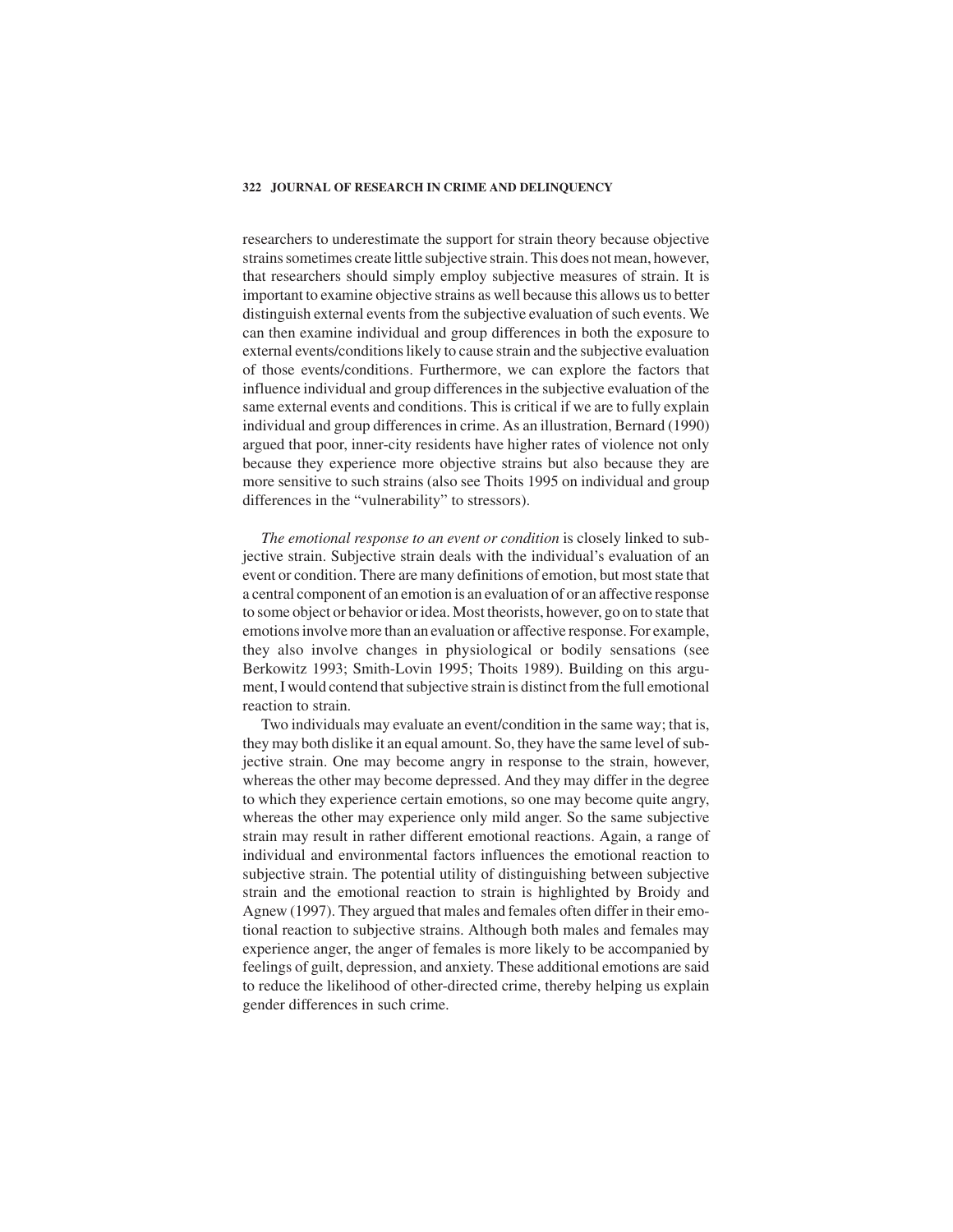researchers to underestimate the support for strain theory because objective strains sometimes create little subjective strain. This does not mean, however, that researchers should simply employ subjective measures of strain. It is important to examine objective strains as well because this allows us to better distinguish external events from the subjective evaluation of such events. We can then examine individual and group differences in both the exposure to external events/conditions likely to cause strain and the subjective evaluation of those events/conditions. Furthermore, we can explore the factors that influence individual and group differences in the subjective evaluation of the same external events and conditions. This is critical if we are to fully explain individual and group differences in crime. As an illustration, Bernard (1990) argued that poor, inner-city residents have higher rates of violence not only because they experience more objective strains but also because they are more sensitive to such strains (also see Thoits 1995 on individual and group differences in the "vulnerability" to stressors).

*The emotional response to an event or condition* is closely linked to subjective strain. Subjective strain deals with the individual's evaluation of an event or condition. There are many definitions of emotion, but most state that a central component of an emotion is an evaluation of or an affective response to some object or behavior or idea. Most theorists, however, go on to state that emotions involve more than an evaluation or affective response. For example, they also involve changes in physiological or bodily sensations (see Berkowitz 1993; Smith-Lovin 1995; Thoits 1989). Building on this argument, I would contend that subjective strain is distinct from the full emotional reaction to strain.

Two individuals may evaluate an event/condition in the same way; that is, they may both dislike it an equal amount. So, they have the same level of subjective strain. One may become angry in response to the strain, however, whereas the other may become depressed. And they may differ in the degree to which they experience certain emotions, so one may become quite angry, whereas the other may experience only mild anger. So the same subjective strain may result in rather different emotional reactions. Again, a range of individual and environmental factors influences the emotional reaction to subjective strain. The potential utility of distinguishing between subjective strain and the emotional reaction to strain is highlighted by Broidy and Agnew(1997). They argued that males and females often differ in their emotional reaction to subjective strains. Although both males and females may experience anger, the anger of females is more likely to be accompanied by feelings of guilt, depression, and anxiety. These additional emotions are said to reduce the likelihood of other-directed crime, thereby helping us explain gender differences in such crime.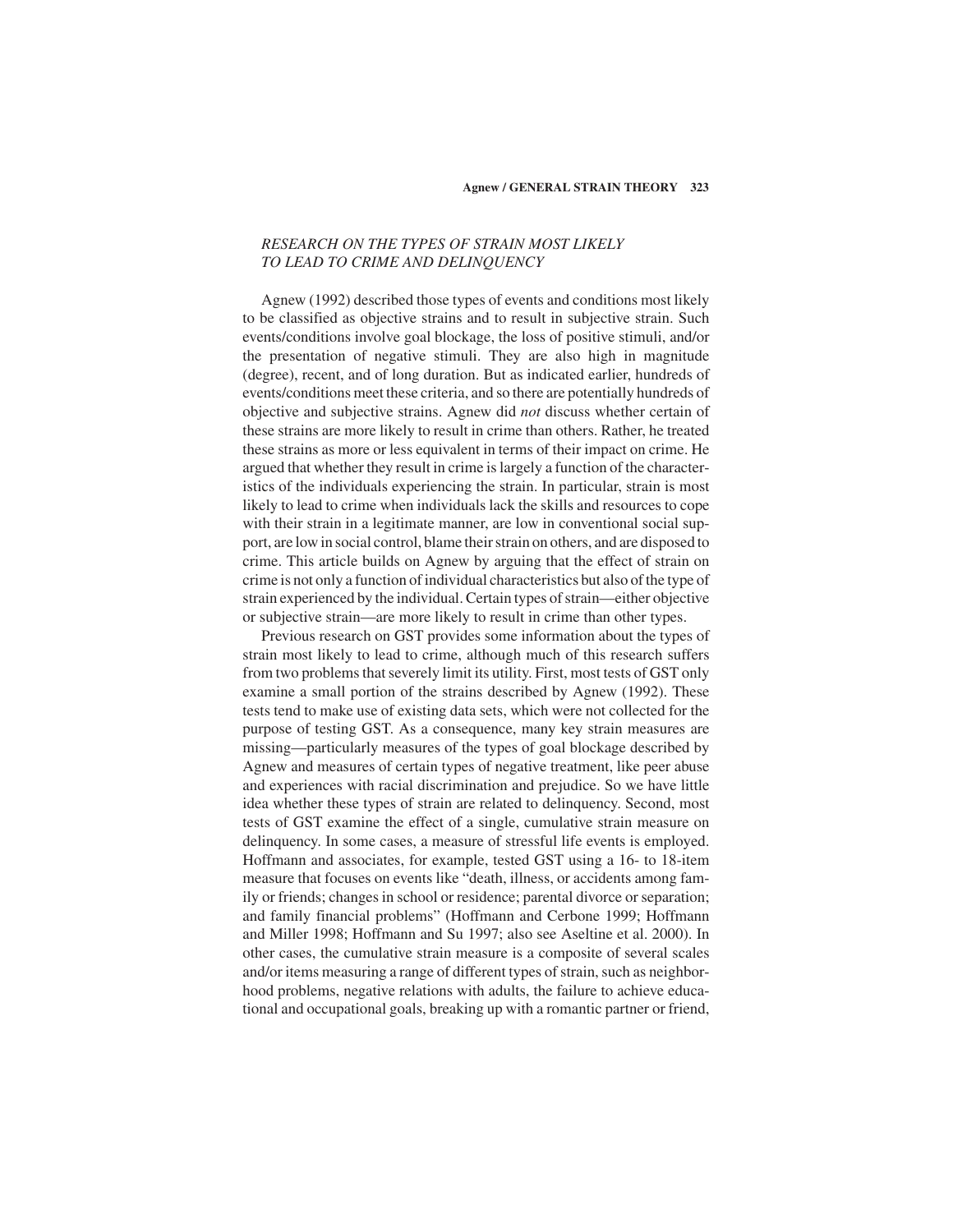# **Agnew / GENERAL STRAIN THEORY 323**

# *RESEARCH ON THE TYPES OF STRAIN MOST LIKELY TO LEAD TO CRIME AND DELINQUENCY*

Agnew(1992) described those types of events and conditions most likely to be classified as objective strains and to result in subjective strain. Such events/conditions involve goal blockage, the loss of positive stimuli, and/or the presentation of negative stimuli. They are also high in magnitude (degree), recent, and of long duration. But as indicated earlier, hundreds of events/conditions meet these criteria, and so there are potentially hundreds of objective and subjective strains. Agnewdid *not* discuss whether certain of these strains are more likely to result in crime than others. Rather, he treated these strains as more or less equivalent in terms of their impact on crime. He argued that whether they result in crime is largely a function of the characteristics of the individuals experiencing the strain. In particular, strain is most likely to lead to crime when individuals lack the skills and resources to cope with their strain in a legitimate manner, are low in conventional social support, are lowin social control, blame their strain on others, and are disposed to crime. This article builds on Agnew by arguing that the effect of strain on crime is not only a function of individual characteristics but also of the type of strain experienced by the individual. Certain types of strain—either objective or subjective strain—are more likely to result in crime than other types.

Previous research on GST provides some information about the types of strain most likely to lead to crime, although much of this research suffers from two problems that severely limit its utility. First, most tests of GST only examine a small portion of the strains described by Agnew (1992). These tests tend to make use of existing data sets, which were not collected for the purpose of testing GST. As a consequence, many key strain measures are missing—particularly measures of the types of goal blockage described by Agnewand measures of certain types of negative treatment, like peer abuse and experiences with racial discrimination and prejudice. So we have little idea whether these types of strain are related to delinquency. Second, most tests of GST examine the effect of a single, cumulative strain measure on delinquency. In some cases, a measure of stressful life events is employed. Hoffmann and associates, for example, tested GST using a 16- to 18-item measure that focuses on events like "death, illness, or accidents among family or friends; changes in school or residence; parental divorce or separation; and family financial problems" (Hoffmann and Cerbone 1999; Hoffmann and Miller 1998; Hoffmann and Su 1997; also see Aseltine et al. 2000). In other cases, the cumulative strain measure is a composite of several scales and/or items measuring a range of different types of strain, such as neighborhood problems, negative relations with adults, the failure to achieve educational and occupational goals, breaking up with a romantic partner or friend,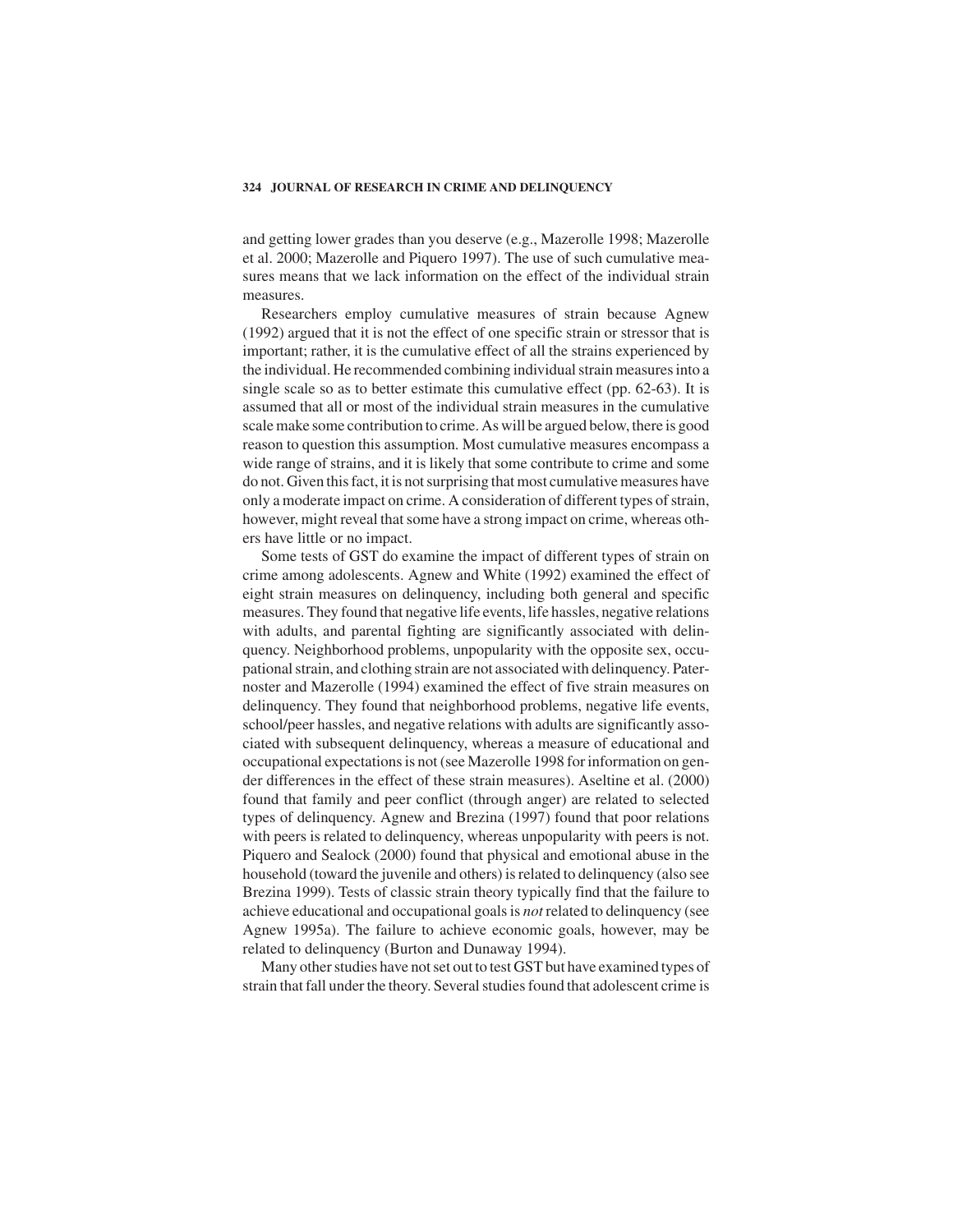and getting lower grades than you deserve (e.g., Mazerolle 1998; Mazerolle et al. 2000; Mazerolle and Piquero 1997). The use of such cumulative measures means that we lack information on the effect of the individual strain measures.

Researchers employ cumulative measures of strain because Agnew (1992) argued that it is not the effect of one specific strain or stressor that is important; rather, it is the cumulative effect of all the strains experienced by the individual. He recommended combining individual strain measures into a single scale so as to better estimate this cumulative effect (pp. 62-63). It is assumed that all or most of the individual strain measures in the cumulative scale make some contribution to crime. As will be argued below, there is good reason to question this assumption. Most cumulative measures encompass a wide range of strains, and it is likely that some contribute to crime and some do not. Given this fact, it is not surprising that most cumulative measures have only a moderate impact on crime. A consideration of different types of strain, however, might reveal that some have a strong impact on crime, whereas others have little or no impact.

Some tests of GST do examine the impact of different types of strain on crime among adolescents. Agnewand White (1992) examined the effect of eight strain measures on delinquency, including both general and specific measures. They found that negative life events, life hassles, negative relations with adults, and parental fighting are significantly associated with delinquency. Neighborhood problems, unpopularity with the opposite sex, occupational strain, and clothing strain are not associated with delinquency. Paternoster and Mazerolle (1994) examined the effect of five strain measures on delinquency. They found that neighborhood problems, negative life events, school/peer hassles, and negative relations with adults are significantly associated with subsequent delinquency, whereas a measure of educational and occupational expectations is not (see Mazerolle 1998 for information on gender differences in the effect of these strain measures). Aseltine et al. (2000) found that family and peer conflict (through anger) are related to selected types of delinquency. Agnewand Brezina (1997) found that poor relations with peers is related to delinquency, whereas unpopularity with peers is not. Piquero and Sealock (2000) found that physical and emotional abuse in the household (toward the juvenile and others) is related to delinquency (also see Brezina 1999). Tests of classic strain theory typically find that the failure to achieve educational and occupational goals is *not* related to delinquency (see Agnew1995a). The failure to achieve economic goals, however, may be related to delinquency (Burton and Dunaway 1994).

Many other studies have not set out to test GST but have examined types of strain that fall under the theory. Several studies found that adolescent crime is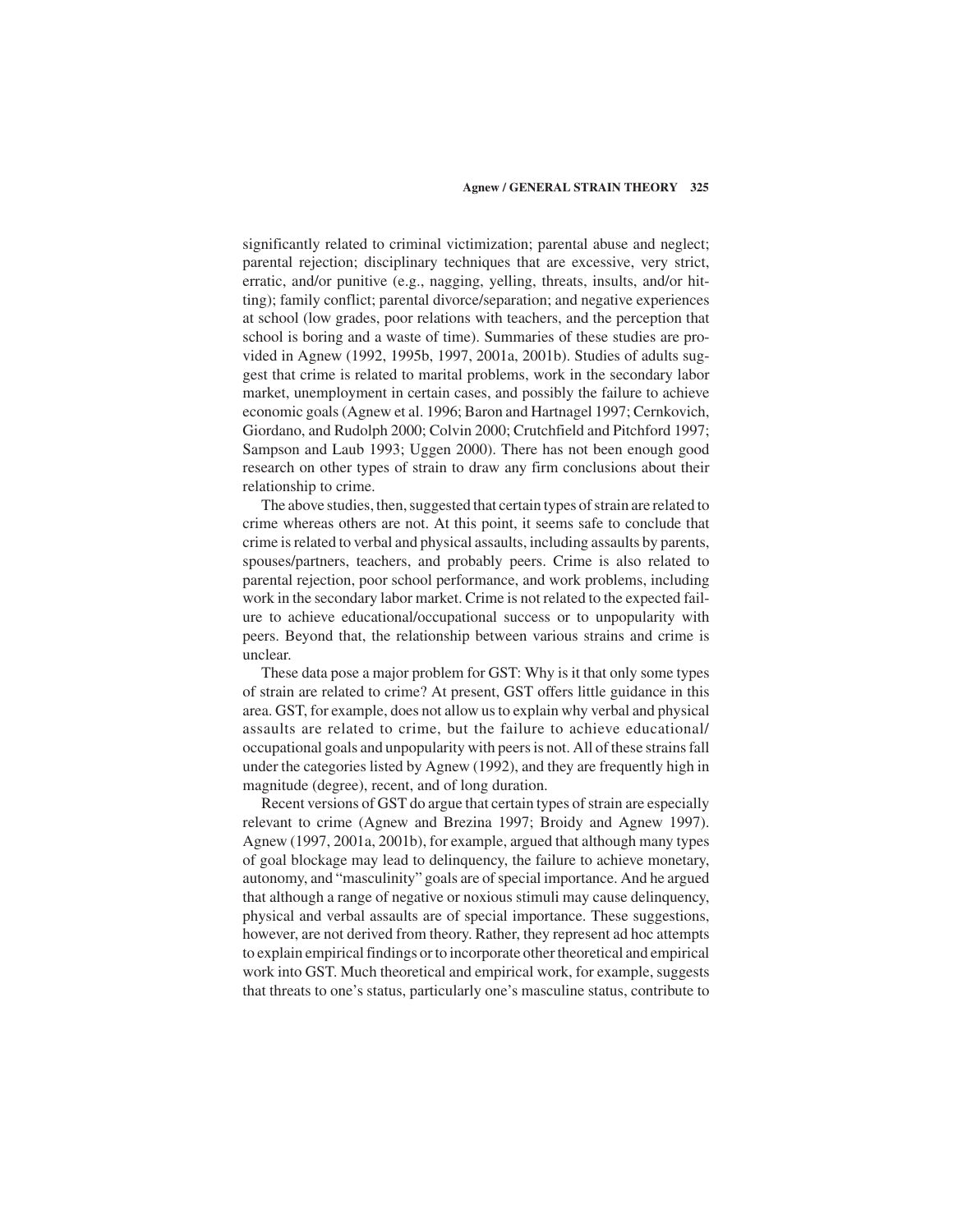significantly related to criminal victimization; parental abuse and neglect; parental rejection; disciplinary techniques that are excessive, very strict, erratic, and/or punitive (e.g., nagging, yelling, threats, insults, and/or hitting); family conflict; parental divorce/separation; and negative experiences at school (lowgrades, poor relations with teachers, and the perception that school is boring and a waste of time). Summaries of these studies are provided in Agnew(1992, 1995b, 1997, 2001a, 2001b). Studies of adults suggest that crime is related to marital problems, work in the secondary labor market, unemployment in certain cases, and possibly the failure to achieve economic goals (Agnewet al. 1996; Baron and Hartnagel 1997; Cernkovich, Giordano, and Rudolph 2000; Colvin 2000; Crutchfield and Pitchford 1997; Sampson and Laub 1993; Uggen 2000). There has not been enough good research on other types of strain to drawany firm conclusions about their relationship to crime.

The above studies, then, suggested that certain types of strain are related to crime whereas others are not. At this point, it seems safe to conclude that crime is related to verbal and physical assaults, including assaults by parents, spouses/partners, teachers, and probably peers. Crime is also related to parental rejection, poor school performance, and work problems, including work in the secondary labor market. Crime is not related to the expected failure to achieve educational/occupational success or to unpopularity with peers. Beyond that, the relationship between various strains and crime is unclear.

These data pose a major problem for GST: Why is it that only some types of strain are related to crime? At present, GST offers little guidance in this area. GST, for example, does not allowus to explain why verbal and physical assaults are related to crime, but the failure to achieve educational/ occupational goals and unpopularity with peers is not. All of these strains fall under the categories listed by Agnew(1992), and they are frequently high in magnitude (degree), recent, and of long duration.

Recent versions of GST do argue that certain types of strain are especially relevant to crime (Agnew and Brezina 1997; Broidy and Agnew 1997). Agnew(1997, 2001a, 2001b), for example, argued that although many types of goal blockage may lead to delinquency, the failure to achieve monetary, autonomy, and "masculinity" goals are of special importance. And he argued that although a range of negative or noxious stimuli may cause delinquency, physical and verbal assaults are of special importance. These suggestions, however, are not derived from theory. Rather, they represent ad hoc attempts to explain empirical findings or to incorporate other theoretical and empirical work into GST. Much theoretical and empirical work, for example, suggests that threats to one's status, particularly one's masculine status, contribute to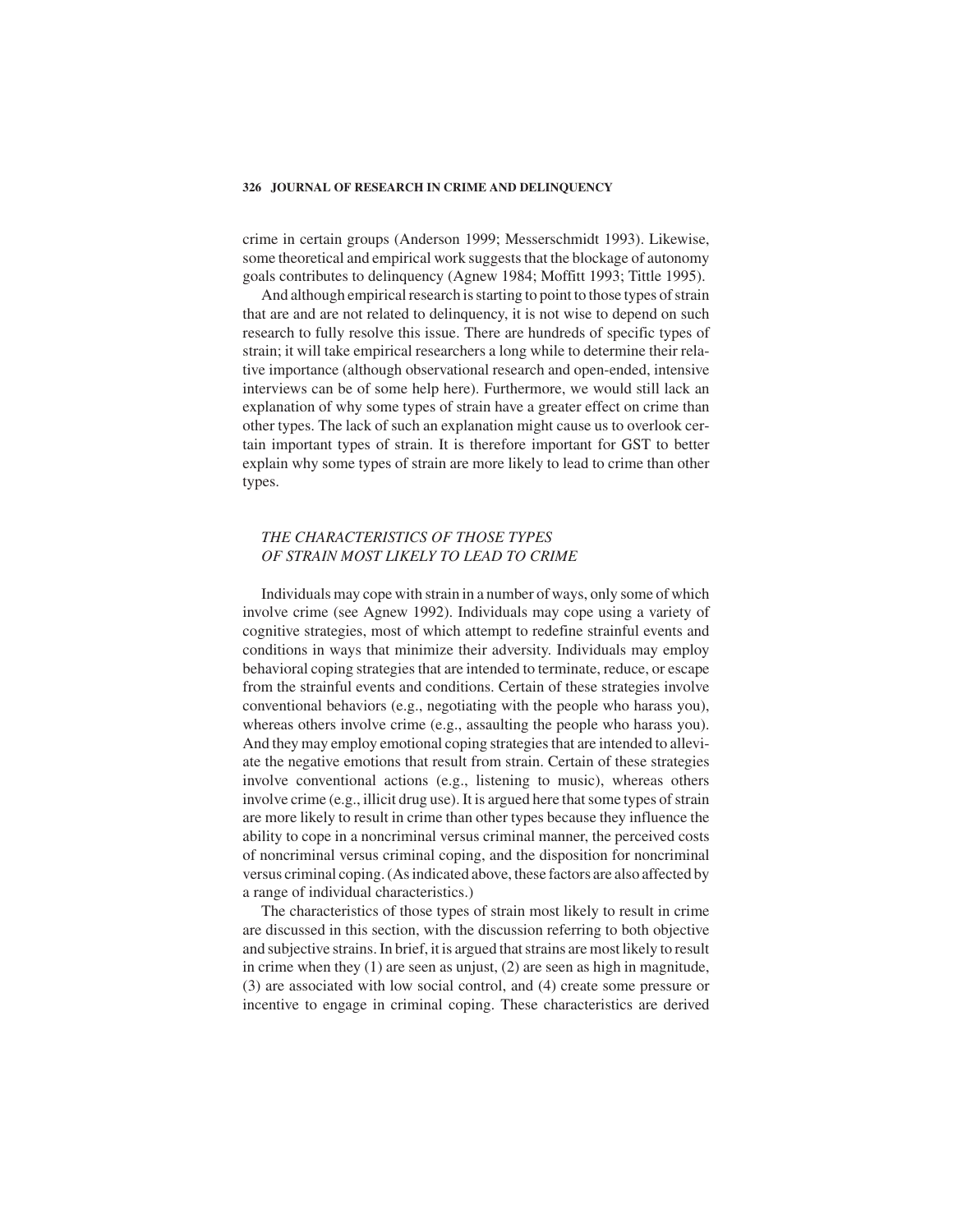crime in certain groups (Anderson 1999; Messerschmidt 1993). Likewise, some theoretical and empirical work suggests that the blockage of autonomy goals contributes to delinquency (Agnew 1984; Moffitt 1993; Tittle 1995).

And although empirical research is starting to point to those types of strain that are and are not related to delinquency, it is not wise to depend on such research to fully resolve this issue. There are hundreds of specific types of strain; it will take empirical researchers a long while to determine their relative importance (although observational research and open-ended, intensive interviews can be of some help here). Furthermore, we would still lack an explanation of why some types of strain have a greater effect on crime than other types. The lack of such an explanation might cause us to overlook certain important types of strain. It is therefore important for GST to better explain why some types of strain are more likely to lead to crime than other types.

# *THE CHARACTERISTICS OF THOSE TYPES OF STRAIN MOST LIKELY TO LEAD TO CRIME*

Individuals may cope with strain in a number of ways, only some of which involve crime (see Agnew 1992). Individuals may cope using a variety of cognitive strategies, most of which attempt to redefine strainful events and conditions in ways that minimize their adversity. Individuals may employ behavioral coping strategies that are intended to terminate, reduce, or escape from the strainful events and conditions. Certain of these strategies involve conventional behaviors (e.g., negotiating with the people who harass you), whereas others involve crime (e.g., assaulting the people who harass you). And they may employ emotional coping strategies that are intended to alleviate the negative emotions that result from strain. Certain of these strategies involve conventional actions (e.g., listening to music), whereas others involve crime (e.g., illicit drug use). It is argued here that some types of strain are more likely to result in crime than other types because they influence the ability to cope in a noncriminal versus criminal manner, the perceived costs of noncriminal versus criminal coping, and the disposition for noncriminal versus criminal coping. (As indicated above, these factors are also affected by a range of individual characteristics.)

The characteristics of those types of strain most likely to result in crime are discussed in this section, with the discussion referring to both objective and subjective strains. In brief, it is argued that strains are most likely to result in crime when they (1) are seen as unjust, (2) are seen as high in magnitude, (3) are associated with low social control, and (4) create some pressure or incentive to engage in criminal coping. These characteristics are derived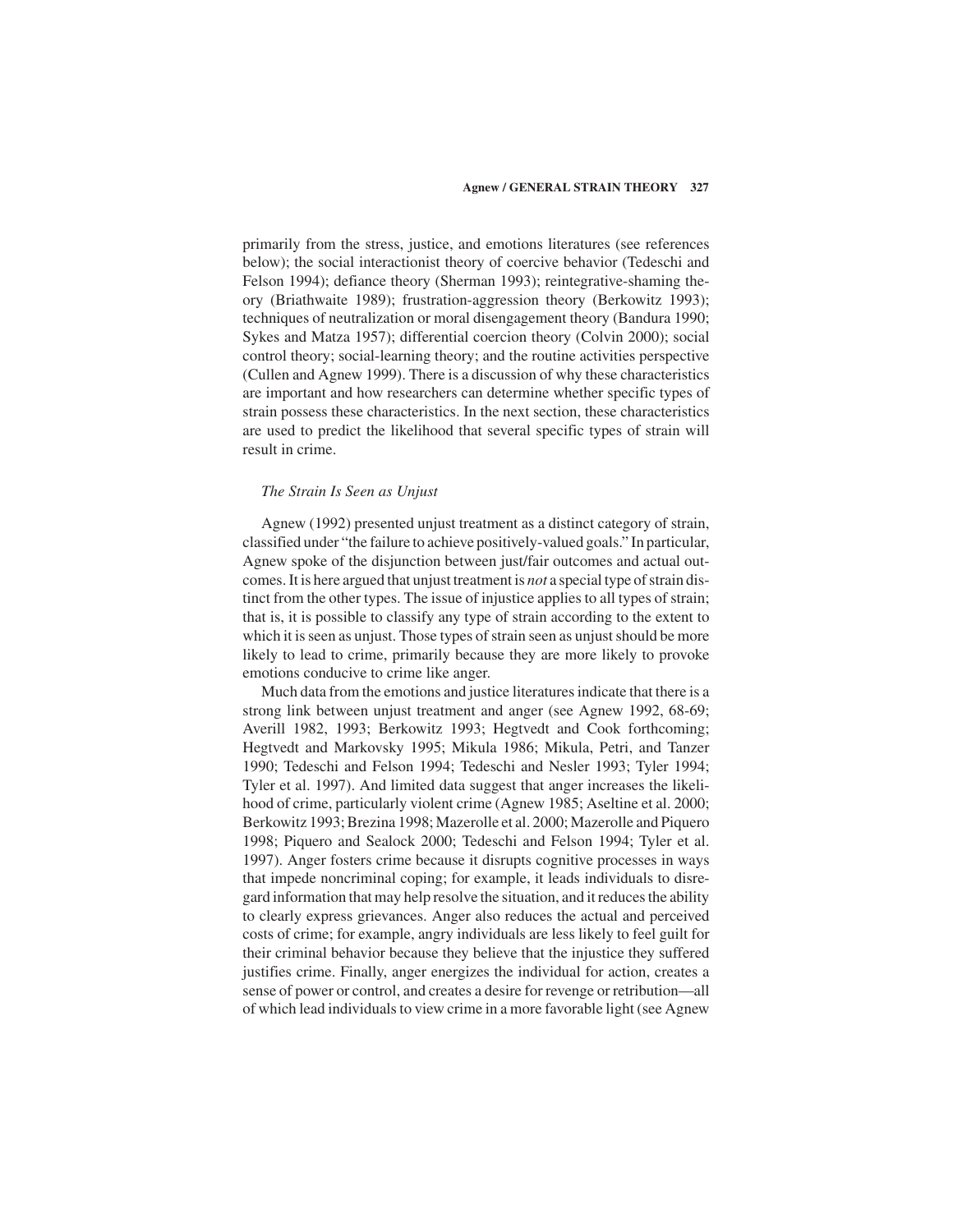primarily from the stress, justice, and emotions literatures (see references below); the social interactionist theory of coercive behavior (Tedeschi and Felson 1994); defiance theory (Sherman 1993); reintegrative-shaming theory (Briathwaite 1989); frustration-aggression theory (Berkowitz 1993); techniques of neutralization or moral disengagement theory (Bandura 1990; Sykes and Matza 1957); differential coercion theory (Colvin 2000); social control theory; social-learning theory; and the routine activities perspective (Cullen and Agnew1999). There is a discussion of why these characteristics are important and how researchers can determine whether specific types of strain possess these characteristics. In the next section, these characteristics are used to predict the likelihood that several specific types of strain will result in crime.

# *The Strain Is Seen as Unjust*

Agnew(1992) presented unjust treatment as a distinct category of strain, classified under "the failure to achieve positively-valued goals." In particular, Agnew spoke of the disjunction between just/fair outcomes and actual outcomes. It is here argued that unjust treatment is *not* a special type of strain distinct from the other types. The issue of injustice applies to all types of strain; that is, it is possible to classify any type of strain according to the extent to which it is seen as unjust. Those types of strain seen as unjust should be more likely to lead to crime, primarily because they are more likely to provoke emotions conducive to crime like anger.

Much data from the emotions and justice literatures indicate that there is a strong link between unjust treatment and anger (see Agnew 1992, 68-69; Averill 1982, 1993; Berkowitz 1993; Hegtvedt and Cook forthcoming; Hegtvedt and Markovsky 1995; Mikula 1986; Mikula, Petri, and Tanzer 1990; Tedeschi and Felson 1994; Tedeschi and Nesler 1993; Tyler 1994; Tyler et al. 1997). And limited data suggest that anger increases the likelihood of crime, particularly violent crime (Agnew 1985; Aseltine et al. 2000; Berkowitz 1993; Brezina 1998; Mazerolle et al. 2000; Mazerolle and Piquero 1998; Piquero and Sealock 2000; Tedeschi and Felson 1994; Tyler et al. 1997). Anger fosters crime because it disrupts cognitive processes in ways that impede noncriminal coping; for example, it leads individuals to disregard information that may help resolve the situation, and it reduces the ability to clearly express grievances. Anger also reduces the actual and perceived costs of crime; for example, angry individuals are less likely to feel guilt for their criminal behavior because they believe that the injustice they suffered justifies crime. Finally, anger energizes the individual for action, creates a sense of power or control, and creates a desire for revenge or retribution—all of which lead individuals to view crime in a more favorable light (see Agnew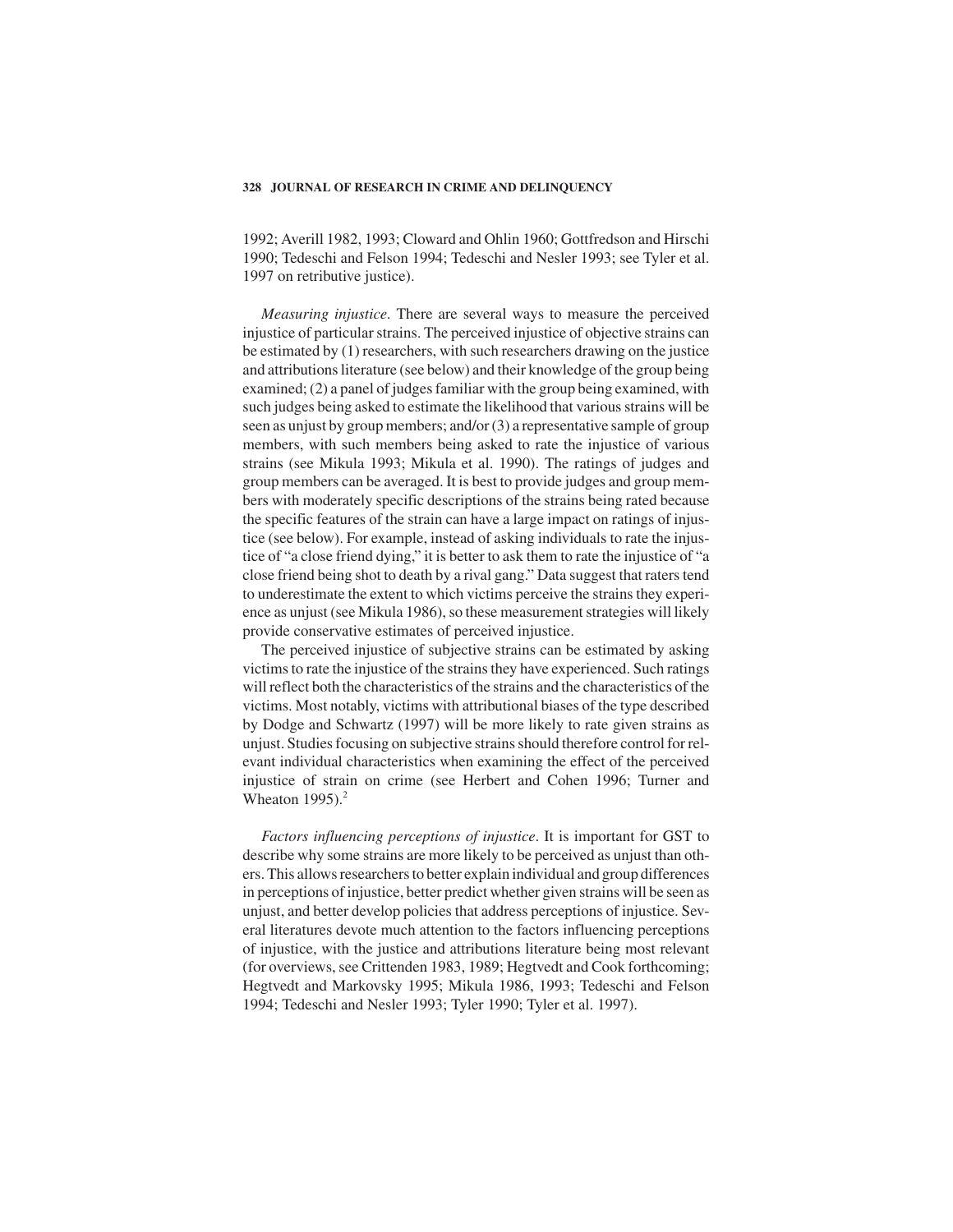1992; Averill 1982, 1993; Cloward and Ohlin 1960; Gottfredson and Hirschi 1990; Tedeschi and Felson 1994; Tedeschi and Nesler 1993; see Tyler et al. 1997 on retributive justice).

*Measuring injustice*. There are several ways to measure the perceived injustice of particular strains. The perceived injustice of objective strains can be estimated by (1) researchers, with such researchers drawing on the justice and attributions literature (see below) and their knowledge of the group being examined; (2) a panel of judges familiar with the group being examined, with such judges being asked to estimate the likelihood that various strains will be seen as unjust by group members; and/or (3) a representative sample of group members, with such members being asked to rate the injustice of various strains (see Mikula 1993; Mikula et al. 1990). The ratings of judges and group members can be averaged. It is best to provide judges and group members with moderately specific descriptions of the strains being rated because the specific features of the strain can have a large impact on ratings of injustice (see below). For example, instead of asking individuals to rate the injustice of "a close friend dying," it is better to ask them to rate the injustice of "a close friend being shot to death by a rival gang." Data suggest that raters tend to underestimate the extent to which victims perceive the strains they experience as unjust (see Mikula 1986), so these measurement strategies will likely provide conservative estimates of perceived injustice.

The perceived injustice of subjective strains can be estimated by asking victims to rate the injustice of the strains they have experienced. Such ratings will reflect both the characteristics of the strains and the characteristics of the victims. Most notably, victims with attributional biases of the type described by Dodge and Schwartz (1997) will be more likely to rate given strains as unjust. Studies focusing on subjective strains should therefore control for relevant individual characteristics when examining the effect of the perceived injustice of strain on crime (see Herbert and Cohen 1996; Turner and Wheaton  $1995$ ).<sup>2</sup>

*Factors influencing perceptions of injustice*. It is important for GST to describe why some strains are more likely to be perceived as unjust than others. This allows researchers to better explain individual and group differences in perceptions of injustice, better predict whether given strains will be seen as unjust, and better develop policies that address perceptions of injustice. Several literatures devote much attention to the factors influencing perceptions of injustice, with the justice and attributions literature being most relevant (for overviews, see Crittenden 1983, 1989; Hegtvedt and Cook forthcoming; Hegtvedt and Markovsky 1995; Mikula 1986, 1993; Tedeschi and Felson 1994; Tedeschi and Nesler 1993; Tyler 1990; Tyler et al. 1997).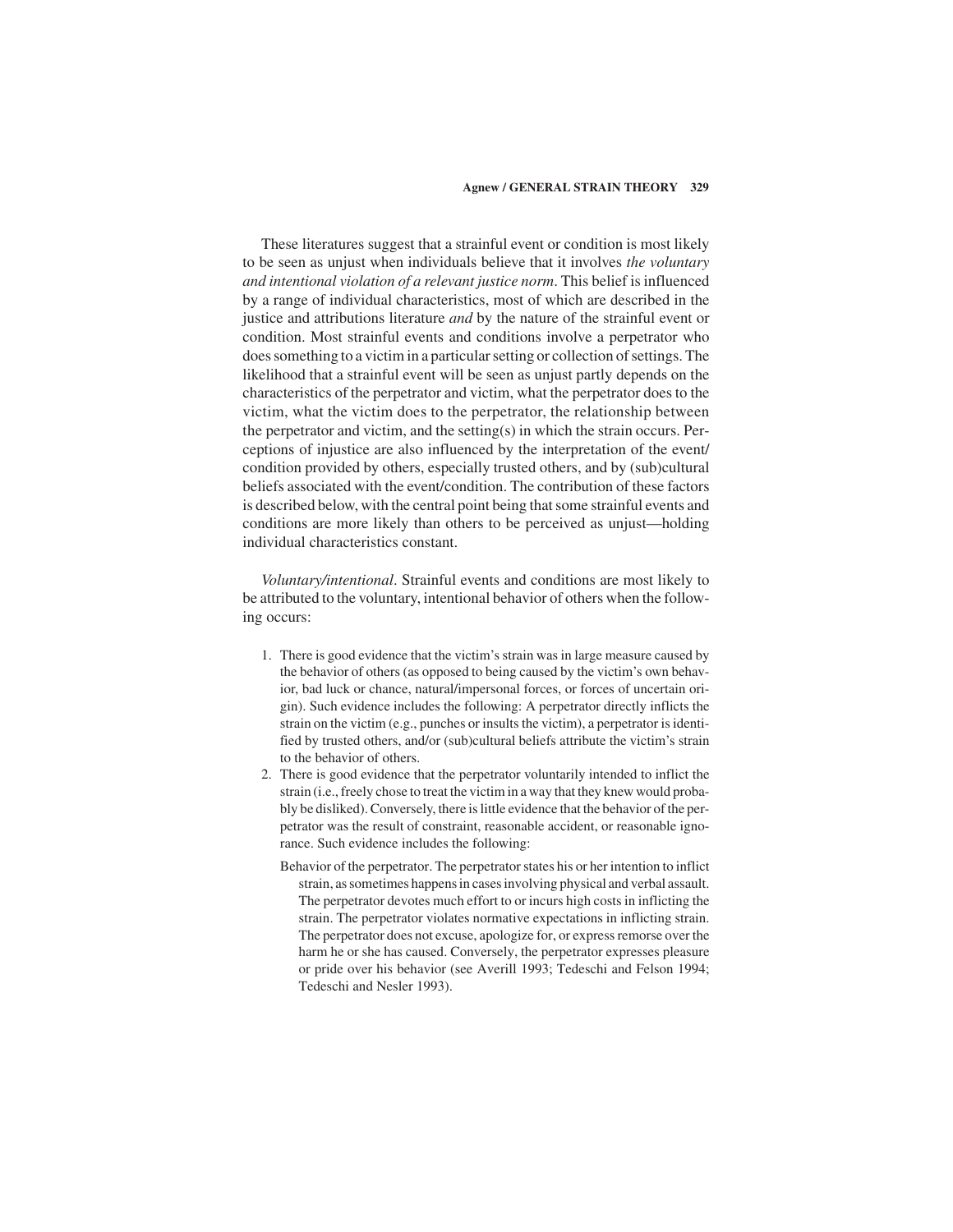# **Agnew / GENERAL STRAIN THEORY 329**

These literatures suggest that a strainful event or condition is most likely to be seen as unjust when individuals believe that it involves *the voluntary and intentional violation of a relevant justice norm*. This belief is influenced by a range of individual characteristics, most of which are described in the justice and attributions literature *and* by the nature of the strainful event or condition. Most strainful events and conditions involve a perpetrator who does something to a victim in a particular setting or collection of settings. The likelihood that a strainful event will be seen as unjust partly depends on the characteristics of the perpetrator and victim, what the perpetrator does to the victim, what the victim does to the perpetrator, the relationship between the perpetrator and victim, and the setting(s) in which the strain occurs. Perceptions of injustice are also influenced by the interpretation of the event/ condition provided by others, especially trusted others, and by (sub)cultural beliefs associated with the event/condition. The contribution of these factors is described below, with the central point being that some strainful events and conditions are more likely than others to be perceived as unjust—holding individual characteristics constant.

*Voluntary/intentional*. Strainful events and conditions are most likely to be attributed to the voluntary, intentional behavior of others when the following occurs:

- 1. There is good evidence that the victim's strain was in large measure caused by the behavior of others (as opposed to being caused by the victim's own behavior, bad luck or chance, natural/impersonal forces, or forces of uncertain origin). Such evidence includes the following: A perpetrator directly inflicts the strain on the victim (e.g., punches or insults the victim), a perpetrator is identified by trusted others, and/or (sub)cultural beliefs attribute the victim's strain to the behavior of others.
- 2. There is good evidence that the perpetrator voluntarily intended to inflict the strain (i.e., freely chose to treat the victim in a way that they knew would probably be disliked). Conversely, there is little evidence that the behavior of the perpetrator was the result of constraint, reasonable accident, or reasonable ignorance. Such evidence includes the following:
	- Behavior of the perpetrator. The perpetrator states his or her intention to inflict strain, as sometimes happens in cases involving physical and verbal assault. The perpetrator devotes much effort to or incurs high costs in inflicting the strain. The perpetrator violates normative expectations in inflicting strain. The perpetrator does not excuse, apologize for, or express remorse over the harm he or she has caused. Conversely, the perpetrator expresses pleasure or pride over his behavior (see Averill 1993; Tedeschi and Felson 1994; Tedeschi and Nesler 1993).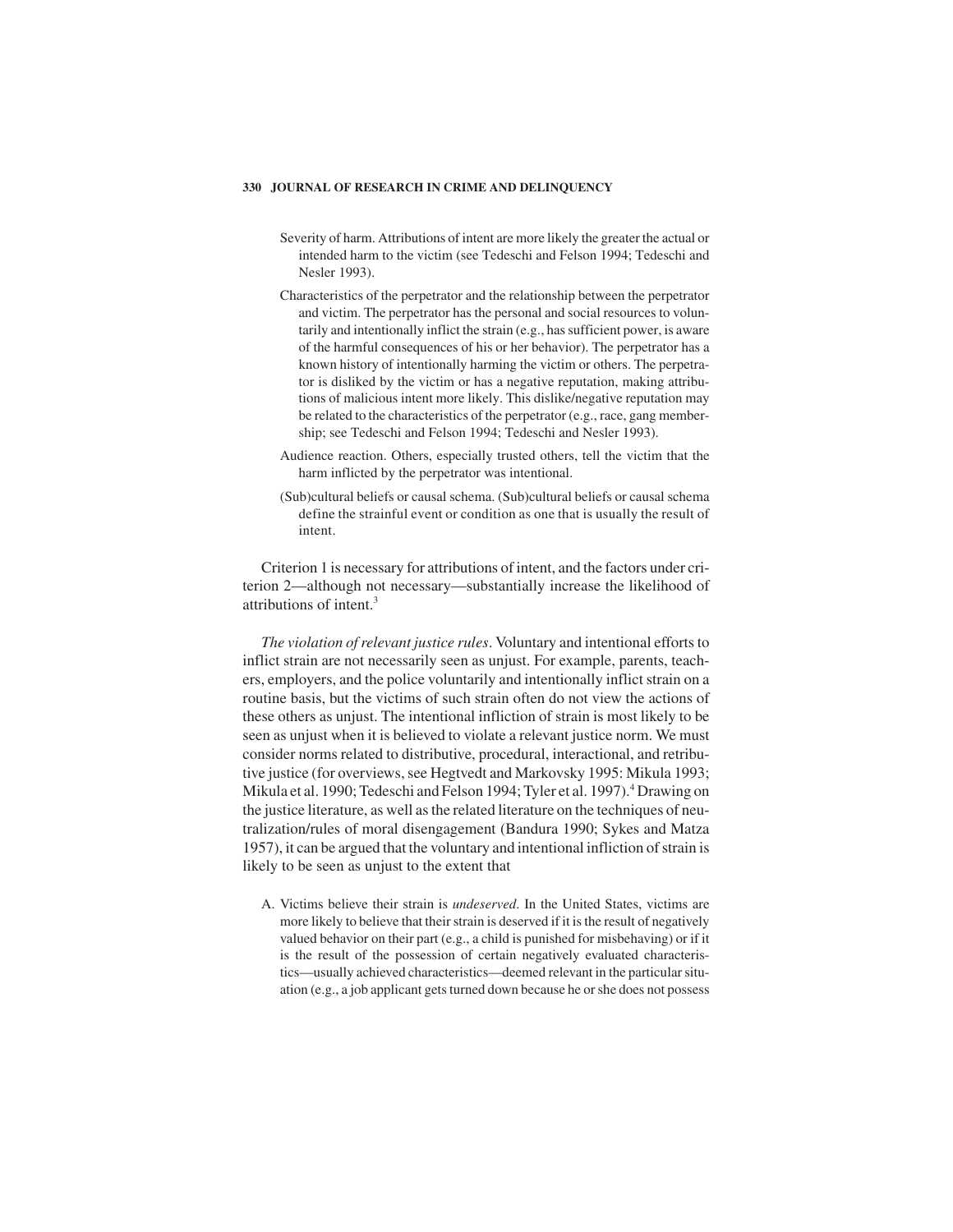- Severity of harm. Attributions of intent are more likely the greater the actual or intended harm to the victim (see Tedeschi and Felson 1994; Tedeschi and Nesler 1993).
- Characteristics of the perpetrator and the relationship between the perpetrator and victim. The perpetrator has the personal and social resources to voluntarily and intentionally inflict the strain (e.g., has sufficient power, is aware of the harmful consequences of his or her behavior). The perpetrator has a known history of intentionally harming the victim or others. The perpetrator is disliked by the victim or has a negative reputation, making attributions of malicious intent more likely. This dislike/negative reputation may be related to the characteristics of the perpetrator (e.g., race, gang membership; see Tedeschi and Felson 1994; Tedeschi and Nesler 1993).
- Audience reaction. Others, especially trusted others, tell the victim that the harm inflicted by the perpetrator was intentional.
- (Sub)cultural beliefs or causal schema. (Sub)cultural beliefs or causal schema define the strainful event or condition as one that is usually the result of intent.

Criterion 1 is necessary for attributions of intent, and the factors under criterion 2—although not necessary—substantially increase the likelihood of attributions of intent.3

*The violation of relevant justice rules*. Voluntary and intentional efforts to inflict strain are not necessarily seen as unjust. For example, parents, teachers, employers, and the police voluntarily and intentionally inflict strain on a routine basis, but the victims of such strain often do not viewthe actions of these others as unjust. The intentional infliction of strain is most likely to be seen as unjust when it is believed to violate a relevant justice norm. We must consider norms related to distributive, procedural, interactional, and retributive justice (for overviews, see Hegtvedt and Markovsky 1995: Mikula 1993; Mikula et al. 1990; Tedeschi and Felson 1994; Tyler et al. 1997).<sup>4</sup> Drawing on the justice literature, as well as the related literature on the techniques of neutralization/rules of moral disengagement (Bandura 1990; Sykes and Matza 1957), it can be argued that the voluntary and intentional infliction of strain is likely to be seen as unjust to the extent that

A. Victims believe their strain is *undeserved*. In the United States, victims are more likely to believe that their strain is deserved if it is the result of negatively valued behavior on their part (e.g., a child is punished for misbehaving) or if it is the result of the possession of certain negatively evaluated characteristics—usually achieved characteristics—deemed relevant in the particular situation (e.g., a job applicant gets turned down because he or she does not possess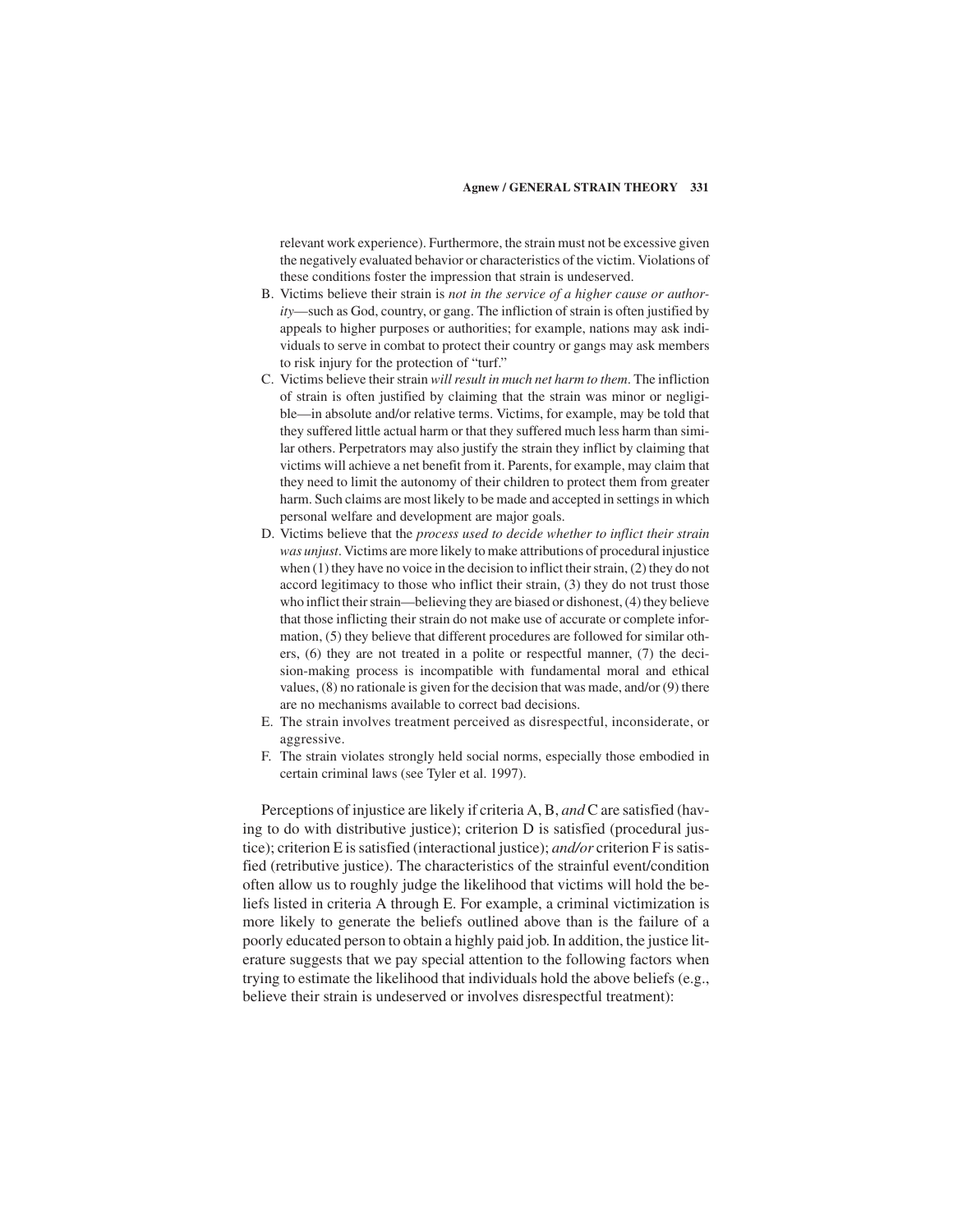relevant work experience). Furthermore, the strain must not be excessive given the negatively evaluated behavior or characteristics of the victim. Violations of these conditions foster the impression that strain is undeserved.

- B. Victims believe their strain is *not in the service of a higher cause or authority*—such as God, country, or gang. The infliction of strain is often justified by appeals to higher purposes or authorities; for example, nations may ask individuals to serve in combat to protect their country or gangs may ask members to risk injury for the protection of "turf."
- C. Victims believe their strain *will result in much net harm to them*. The infliction of strain is often justified by claiming that the strain was minor or negligible—in absolute and/or relative terms. Victims, for example, may be told that they suffered little actual harm or that they suffered much less harm than similar others. Perpetrators may also justify the strain they inflict by claiming that victims will achieve a net benefit from it. Parents, for example, may claim that they need to limit the autonomy of their children to protect them from greater harm. Such claims are most likely to be made and accepted in settings in which personal welfare and development are major goals.
- D. Victims believe that the *process used to decide whether to inflict their strain was unjust*. Victims are more likely to make attributions of procedural injustice when (1) they have no voice in the decision to inflict their strain, (2) they do not accord legitimacy to those who inflict their strain, (3) they do not trust those who inflict their strain—believing they are biased or dishonest, (4) they believe that those inflicting their strain do not make use of accurate or complete information, (5) they believe that different procedures are followed for similar others, (6) they are not treated in a polite or respectful manner, (7) the decision-making process is incompatible with fundamental moral and ethical values, (8) no rationale is given for the decision that was made, and/or (9) there are no mechanisms available to correct bad decisions.
- E. The strain involves treatment perceived as disrespectful, inconsiderate, or aggressive.
- F. The strain violates strongly held social norms, especially those embodied in certain criminal laws (see Tyler et al. 1997).

Perceptions of injustice are likely if criteria A, B, *and* C are satisfied (having to do with distributive justice); criterion D is satisfied (procedural justice); criterion E is satisfied (interactional justice); *and/or* criterion F is satisfied (retributive justice). The characteristics of the strainful event/condition often allowus to roughly judge the likelihood that victims will hold the beliefs listed in criteria A through E. For example, a criminal victimization is more likely to generate the beliefs outlined above than is the failure of a poorly educated person to obtain a highly paid job. In addition, the justice literature suggests that we pay special attention to the following factors when trying to estimate the likelihood that individuals hold the above beliefs (e.g., believe their strain is undeserved or involves disrespectful treatment):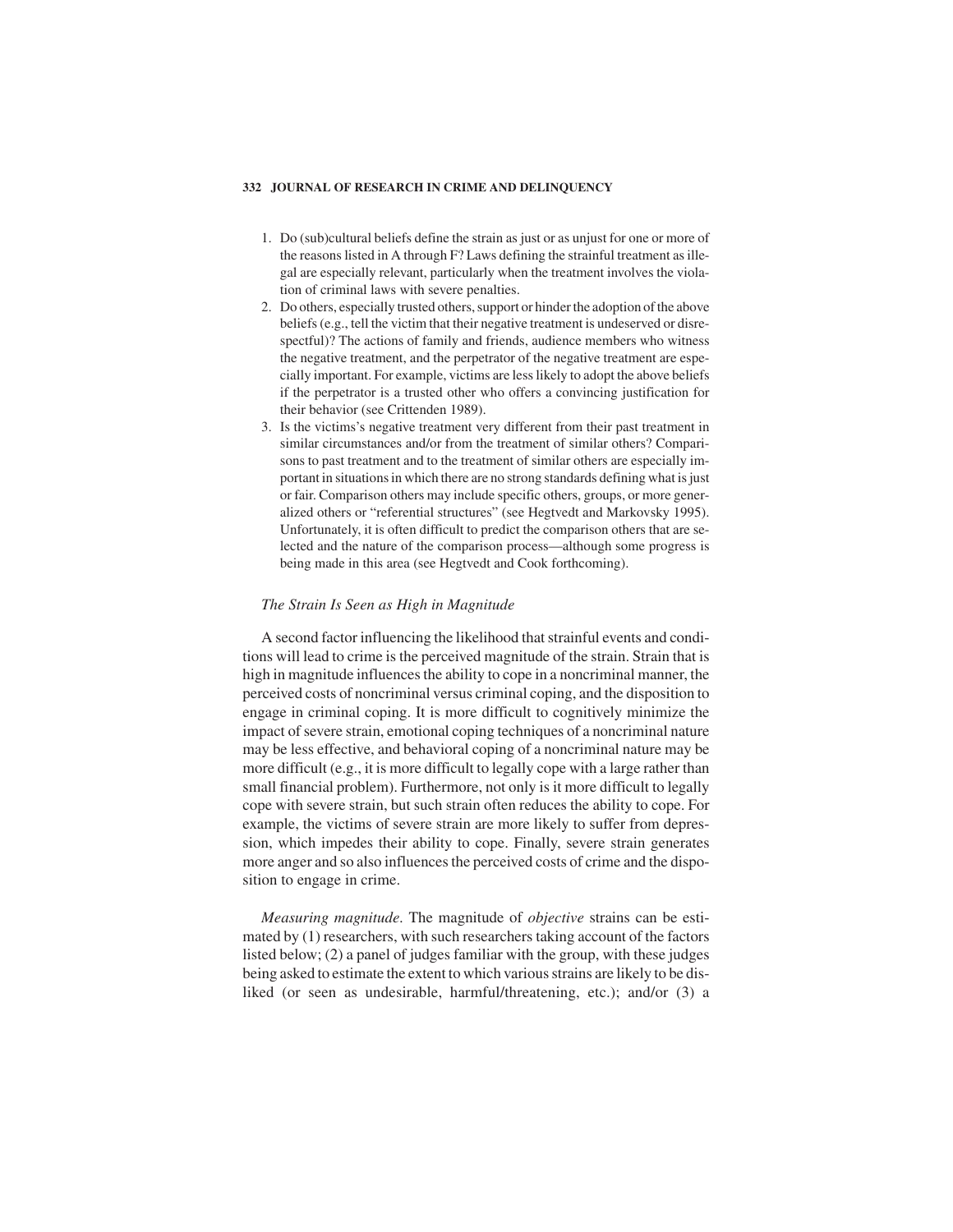- 1. Do (sub)cultural beliefs define the strain as just or as unjust for one or more of the reasons listed in A through F? Laws defining the strainful treatment as illegal are especially relevant, particularly when the treatment involves the violation of criminal laws with severe penalties.
- 2. Do others, especially trusted others, support or hinder the adoption of the above beliefs (e.g., tell the victim that their negative treatment is undeserved or disrespectful)? The actions of family and friends, audience members who witness the negative treatment, and the perpetrator of the negative treatment are especially important. For example, victims are less likely to adopt the above beliefs if the perpetrator is a trusted other who offers a convincing justification for their behavior (see Crittenden 1989).
- 3. Is the victims's negative treatment very different from their past treatment in similar circumstances and/or from the treatment of similar others? Comparisons to past treatment and to the treatment of similar others are especially important in situations in which there are no strong standards defining what is just or fair. Comparison others may include specific others, groups, or more generalized others or "referential structures" (see Hegtvedt and Markovsky 1995). Unfortunately, it is often difficult to predict the comparison others that are selected and the nature of the comparison process—although some progress is being made in this area (see Hegtvedt and Cook forthcoming).

# *The Strain Is Seen as High in Magnitude*

A second factor influencing the likelihood that strainful events and conditions will lead to crime is the perceived magnitude of the strain. Strain that is high in magnitude influences the ability to cope in a noncriminal manner, the perceived costs of noncriminal versus criminal coping, and the disposition to engage in criminal coping. It is more difficult to cognitively minimize the impact of severe strain, emotional coping techniques of a noncriminal nature may be less effective, and behavioral coping of a noncriminal nature may be more difficult (e.g., it is more difficult to legally cope with a large rather than small financial problem). Furthermore, not only is it more difficult to legally cope with severe strain, but such strain often reduces the ability to cope. For example, the victims of severe strain are more likely to suffer from depression, which impedes their ability to cope. Finally, severe strain generates more anger and so also influences the perceived costs of crime and the disposition to engage in crime.

*Measuring magnitude*. The magnitude of *objective* strains can be estimated by (1) researchers, with such researchers taking account of the factors listed below; (2) a panel of judges familiar with the group, with these judges being asked to estimate the extent to which various strains are likely to be disliked (or seen as undesirable, harmful/threatening, etc.); and/or (3) a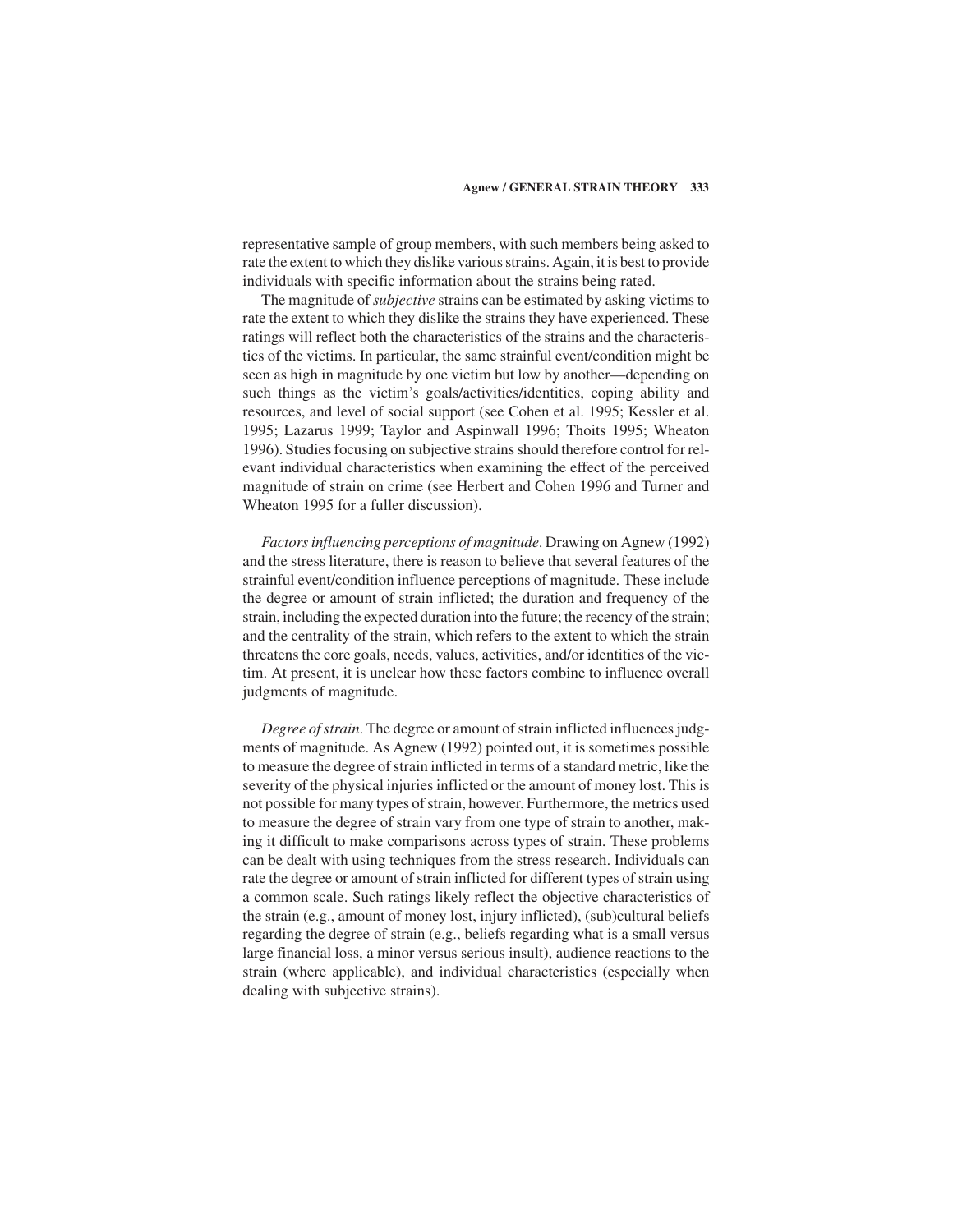representative sample of group members, with such members being asked to rate the extent to which they dislike various strains. Again, it is best to provide individuals with specific information about the strains being rated.

The magnitude of*subjective* strains can be estimated by asking victims to rate the extent to which they dislike the strains they have experienced. These ratings will reflect both the characteristics of the strains and the characteristics of the victims. In particular, the same strainful event/condition might be seen as high in magnitude by one victim but low by another—depending on such things as the victim's goals/activities/identities, coping ability and resources, and level of social support (see Cohen et al. 1995; Kessler et al. 1995; Lazarus 1999; Taylor and Aspinwall 1996; Thoits 1995; Wheaton 1996). Studies focusing on subjective strains should therefore control for relevant individual characteristics when examining the effect of the perceived magnitude of strain on crime (see Herbert and Cohen 1996 and Turner and Wheaton 1995 for a fuller discussion).

*Factors influencing perceptions of magnitude*. Drawing on Agnew (1992) and the stress literature, there is reason to believe that several features of the strainful event/condition influence perceptions of magnitude. These include the degree or amount of strain inflicted; the duration and frequency of the strain, including the expected duration into the future; the recency of the strain; and the centrality of the strain, which refers to the extent to which the strain threatens the core goals, needs, values, activities, and/or identities of the victim. At present, it is unclear howthese factors combine to influence overall judgments of magnitude.

*Degree of strain*. The degree or amount of strain inflicted influences judgments of magnitude. As Agnew(1992) pointed out, it is sometimes possible to measure the degree of strain inflicted in terms of a standard metric, like the severity of the physical injuries inflicted or the amount of money lost. This is not possible for many types of strain, however. Furthermore, the metrics used to measure the degree of strain vary from one type of strain to another, making it difficult to make comparisons across types of strain. These problems can be dealt with using techniques from the stress research. Individuals can rate the degree or amount of strain inflicted for different types of strain using a common scale. Such ratings likely reflect the objective characteristics of the strain (e.g., amount of money lost, injury inflicted), (sub)cultural beliefs regarding the degree of strain (e.g., beliefs regarding what is a small versus large financial loss, a minor versus serious insult), audience reactions to the strain (where applicable), and individual characteristics (especially when dealing with subjective strains).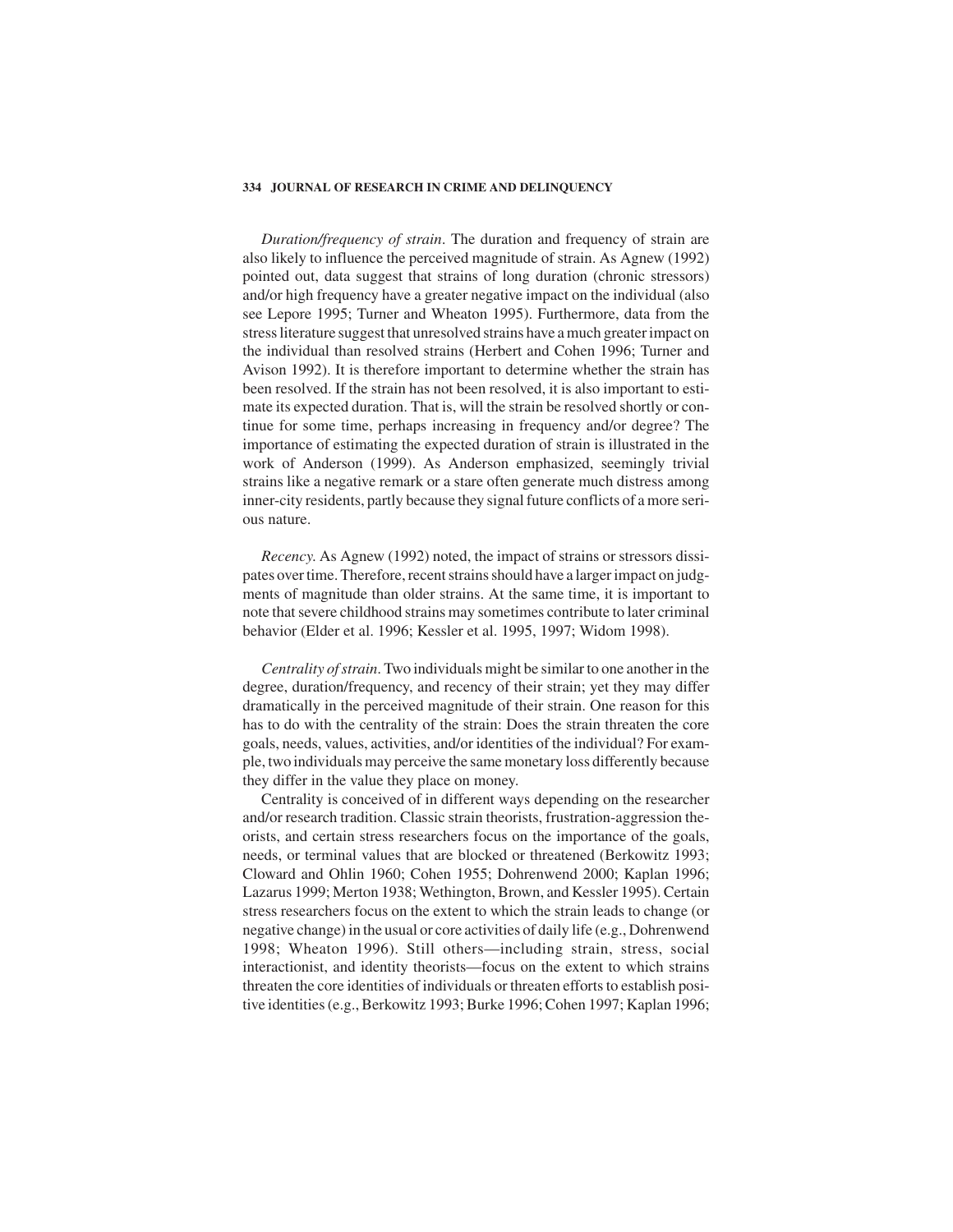*Duration/frequency of strain*. The duration and frequency of strain are also likely to influence the perceived magnitude of strain. As Agnew(1992) pointed out, data suggest that strains of long duration (chronic stressors) and/or high frequency have a greater negative impact on the individual (also see Lepore 1995; Turner and Wheaton 1995). Furthermore, data from the stress literature suggest that unresolved strains have a much greater impact on the individual than resolved strains (Herbert and Cohen 1996; Turner and Avison 1992). It is therefore important to determine whether the strain has been resolved. If the strain has not been resolved, it is also important to estimate its expected duration. That is, will the strain be resolved shortly or continue for some time, perhaps increasing in frequency and/or degree? The importance of estimating the expected duration of strain is illustrated in the work of Anderson (1999). As Anderson emphasized, seemingly trivial strains like a negative remark or a stare often generate much distress among inner-city residents, partly because they signal future conflicts of a more serious nature.

*Recency*. As Agnew (1992) noted, the impact of strains or stressors dissipates over time. Therefore, recent strains should have a larger impact on judgments of magnitude than older strains. At the same time, it is important to note that severe childhood strains may sometimes contribute to later criminal behavior (Elder et al. 1996; Kessler et al. 1995, 1997; Widom 1998).

*Centrality of strain*. Two individuals might be similar to one another in the degree, duration/frequency, and recency of their strain; yet they may differ dramatically in the perceived magnitude of their strain. One reason for this has to do with the centrality of the strain: Does the strain threaten the core goals, needs, values, activities, and/or identities of the individual? For example, two individuals may perceive the same monetary loss differently because they differ in the value they place on money.

Centrality is conceived of in different ways depending on the researcher and/or research tradition. Classic strain theorists, frustration-aggression theorists, and certain stress researchers focus on the importance of the goals, needs, or terminal values that are blocked or threatened (Berkowitz 1993; Cloward and Ohlin 1960; Cohen 1955; Dohrenwend 2000; Kaplan 1996; Lazarus 1999; Merton 1938; Wethington, Brown, and Kessler 1995). Certain stress researchers focus on the extent to which the strain leads to change (or negative change) in the usual or core activities of daily life (e.g., Dohrenwend 1998; Wheaton 1996). Still others—including strain, stress, social interactionist, and identity theorists—focus on the extent to which strains threaten the core identities of individuals or threaten efforts to establish positive identities (e.g., Berkowitz 1993; Burke 1996; Cohen 1997; Kaplan 1996;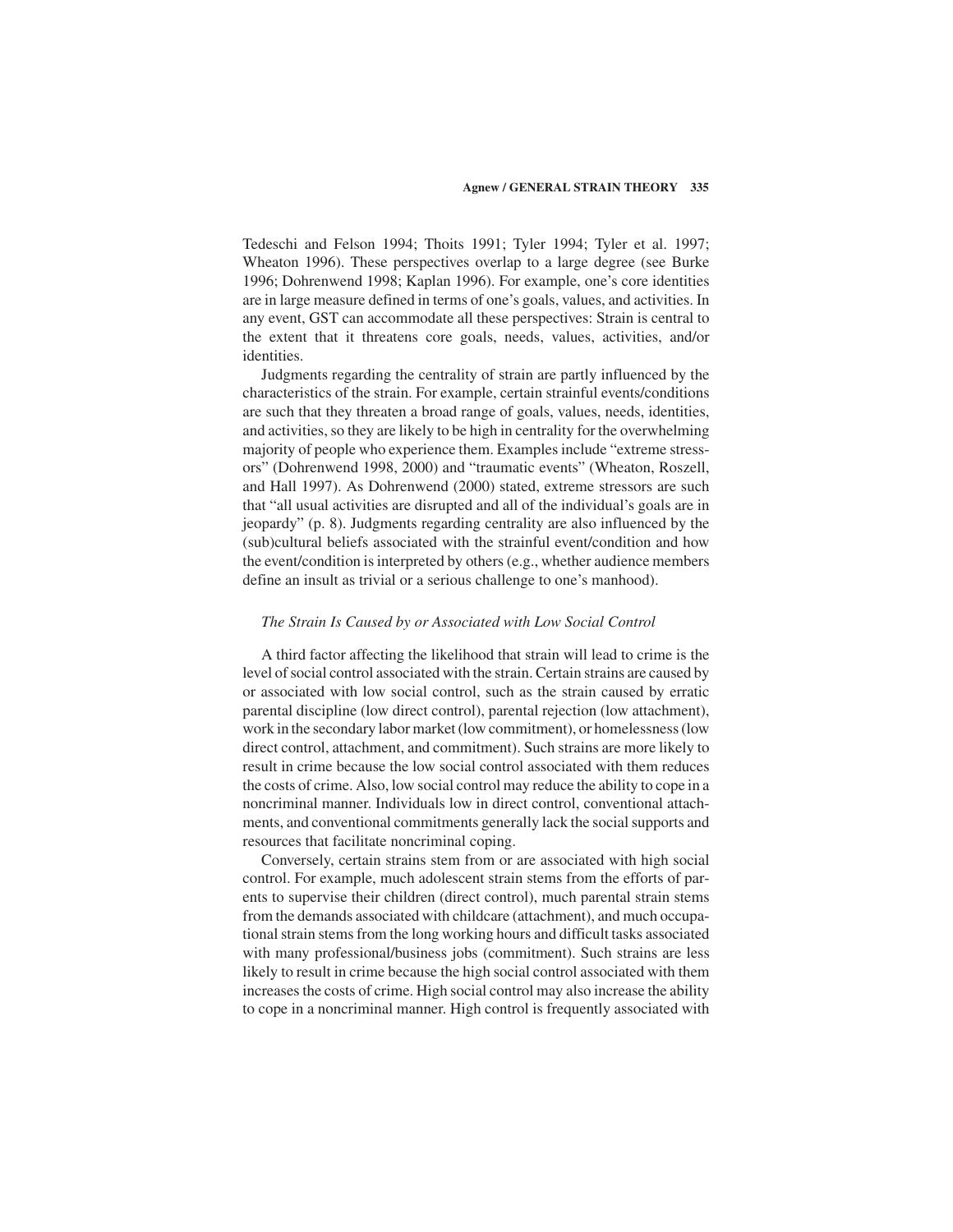Tedeschi and Felson 1994; Thoits 1991; Tyler 1994; Tyler et al. 1997; Wheaton 1996). These perspectives overlap to a large degree (see Burke 1996; Dohrenwend 1998; Kaplan 1996). For example, one's core identities are in large measure defined in terms of one's goals, values, and activities. In any event, GST can accommodate all these perspectives: Strain is central to the extent that it threatens core goals, needs, values, activities, and/or identities.

Judgments regarding the centrality of strain are partly influenced by the characteristics of the strain. For example, certain strainful events/conditions are such that they threaten a broad range of goals, values, needs, identities, and activities, so they are likely to be high in centrality for the overwhelming majority of people who experience them. Examples include "extreme stressors" (Dohrenwend 1998, 2000) and "traumatic events" (Wheaton, Roszell, and Hall 1997). As Dohrenwend (2000) stated, extreme stressors are such that "all usual activities are disrupted and all of the individual's goals are in jeopardy" (p. 8). Judgments regarding centrality are also influenced by the (sub)cultural beliefs associated with the strainful event/condition and how the event/condition is interpreted by others (e.g., whether audience members define an insult as trivial or a serious challenge to one's manhood).

#### *The Strain Is Caused by or Associated with Low Social Control*

A third factor affecting the likelihood that strain will lead to crime is the level of social control associated with the strain. Certain strains are caused by or associated with low social control, such as the strain caused by erratic parental discipline (low direct control), parental rejection (low attachment), work in the secondary labor market (low commitment), or homelessness (low direct control, attachment, and commitment). Such strains are more likely to result in crime because the lowsocial control associated with them reduces the costs of crime. Also, lowsocial control may reduce the ability to cope in a noncriminal manner. Individuals lowin direct control, conventional attachments, and conventional commitments generally lack the social supports and resources that facilitate noncriminal coping.

Conversely, certain strains stem from or are associated with high social control. For example, much adolescent strain stems from the efforts of parents to supervise their children (direct control), much parental strain stems from the demands associated with childcare (attachment), and much occupational strain stems from the long working hours and difficult tasks associated with many professional/business jobs (commitment). Such strains are less likely to result in crime because the high social control associated with them increases the costs of crime. High social control may also increase the ability to cope in a noncriminal manner. High control is frequently associated with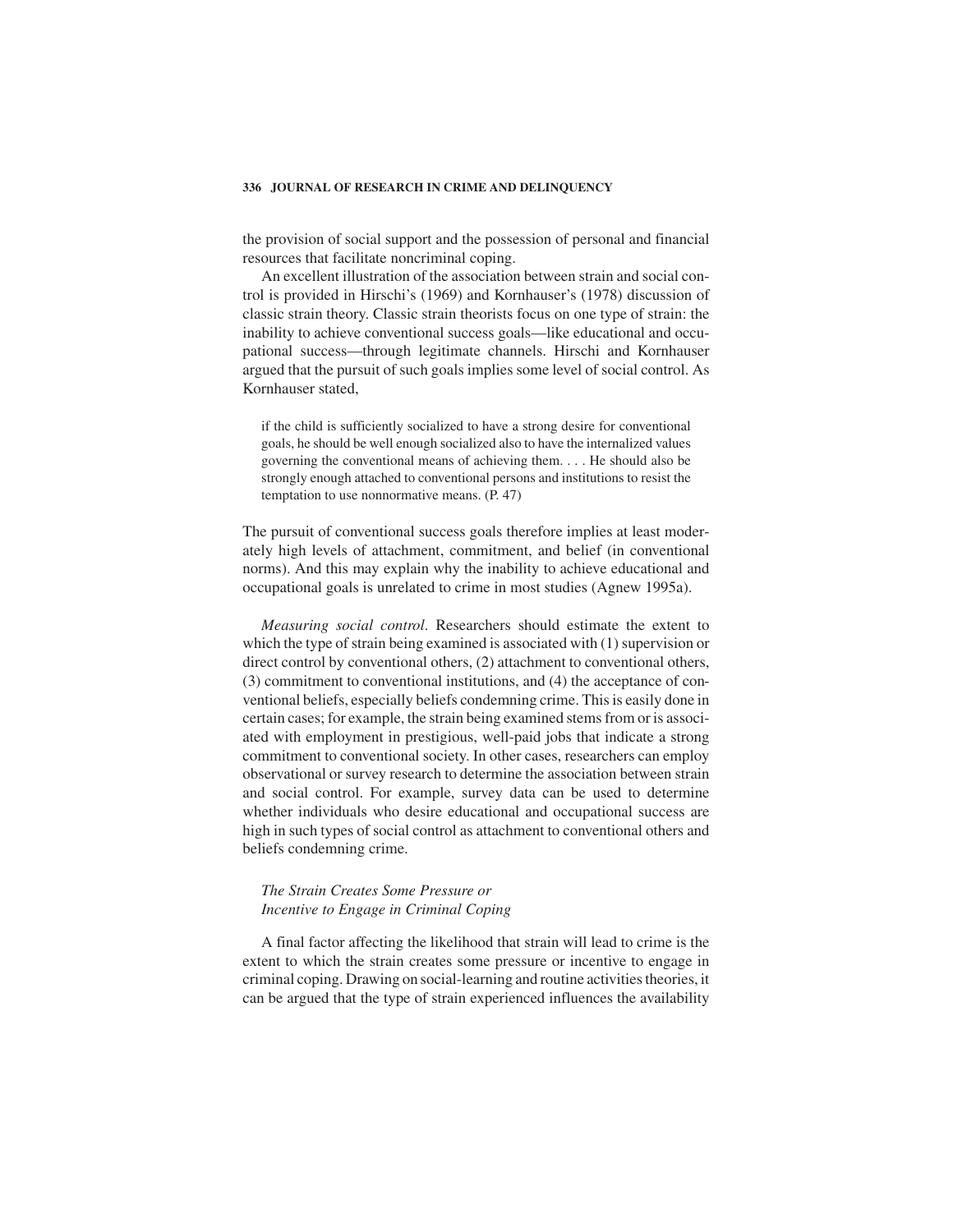the provision of social support and the possession of personal and financial resources that facilitate noncriminal coping.

An excellent illustration of the association between strain and social control is provided in Hirschi's (1969) and Kornhauser's (1978) discussion of classic strain theory. Classic strain theorists focus on one type of strain: the inability to achieve conventional success goals—like educational and occupational success—through legitimate channels. Hirschi and Kornhauser argued that the pursuit of such goals implies some level of social control. As Kornhauser stated,

if the child is sufficiently socialized to have a strong desire for conventional goals, he should be well enough socialized also to have the internalized values governing the conventional means of achieving them. . . . He should also be strongly enough attached to conventional persons and institutions to resist the temptation to use nonnormative means. (P. 47)

The pursuit of conventional success goals therefore implies at least moderately high levels of attachment, commitment, and belief (in conventional norms). And this may explain why the inability to achieve educational and occupational goals is unrelated to crime in most studies (Agnew 1995a).

*Measuring social control*. Researchers should estimate the extent to which the type of strain being examined is associated with (1) supervision or direct control by conventional others, (2) attachment to conventional others, (3) commitment to conventional institutions, and (4) the acceptance of conventional beliefs, especially beliefs condemning crime. This is easily done in certain cases; for example, the strain being examined stems from or is associated with employment in prestigious, well-paid jobs that indicate a strong commitment to conventional society. In other cases, researchers can employ observational or survey research to determine the association between strain and social control. For example, survey data can be used to determine whether individuals who desire educational and occupational success are high in such types of social control as attachment to conventional others and beliefs condemning crime.

# *The Strain Creates Some Pressure or Incentive to Engage in Criminal Coping*

A final factor affecting the likelihood that strain will lead to crime is the extent to which the strain creates some pressure or incentive to engage in criminal coping. Drawing on social-learning and routine activities theories, it can be argued that the type of strain experienced influences the availability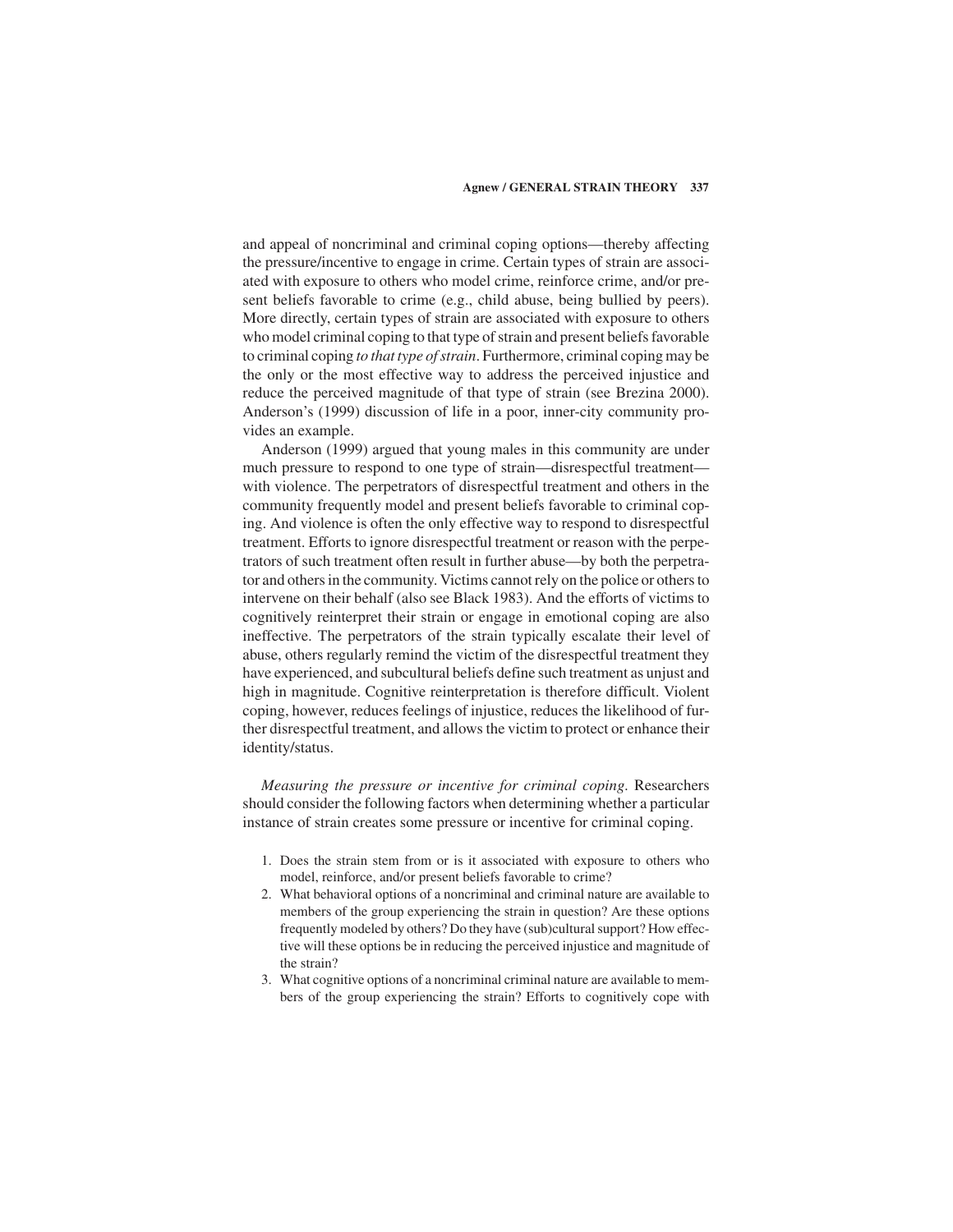and appeal of noncriminal and criminal coping options—thereby affecting the pressure/incentive to engage in crime. Certain types of strain are associated with exposure to others who model crime, reinforce crime, and/or present beliefs favorable to crime (e.g., child abuse, being bullied by peers). More directly, certain types of strain are associated with exposure to others who model criminal coping to that type of strain and present beliefs favorable to criminal coping *to that type of strain*. Furthermore, criminal coping may be the only or the most effective way to address the perceived injustice and reduce the perceived magnitude of that type of strain (see Brezina 2000). Anderson's (1999) discussion of life in a poor, inner-city community provides an example.

Anderson (1999) argued that young males in this community are under much pressure to respond to one type of strain—disrespectful treatment with violence. The perpetrators of disrespectful treatment and others in the community frequently model and present beliefs favorable to criminal coping. And violence is often the only effective way to respond to disrespectful treatment. Efforts to ignore disrespectful treatment or reason with the perpetrators of such treatment often result in further abuse—by both the perpetrator and others in the community. Victims cannot rely on the police or others to intervene on their behalf (also see Black 1983). And the efforts of victims to cognitively reinterpret their strain or engage in emotional coping are also ineffective. The perpetrators of the strain typically escalate their level of abuse, others regularly remind the victim of the disrespectful treatment they have experienced, and subcultural beliefs define such treatment as unjust and high in magnitude. Cognitive reinterpretation is therefore difficult. Violent coping, however, reduces feelings of injustice, reduces the likelihood of further disrespectful treatment, and allows the victim to protect or enhance their identity/status.

*Measuring the pressure or incentive for criminal coping*. Researchers should consider the following factors when determining whether a particular instance of strain creates some pressure or incentive for criminal coping.

- 1. Does the strain stem from or is it associated with exposure to others who model, reinforce, and/or present beliefs favorable to crime?
- 2. What behavioral options of a noncriminal and criminal nature are available to members of the group experiencing the strain in question? Are these options frequently modeled by others? Do they have (sub)cultural support? Howeffective will these options be in reducing the perceived injustice and magnitude of the strain?
- 3. What cognitive options of a noncriminal criminal nature are available to members of the group experiencing the strain? Efforts to cognitively cope with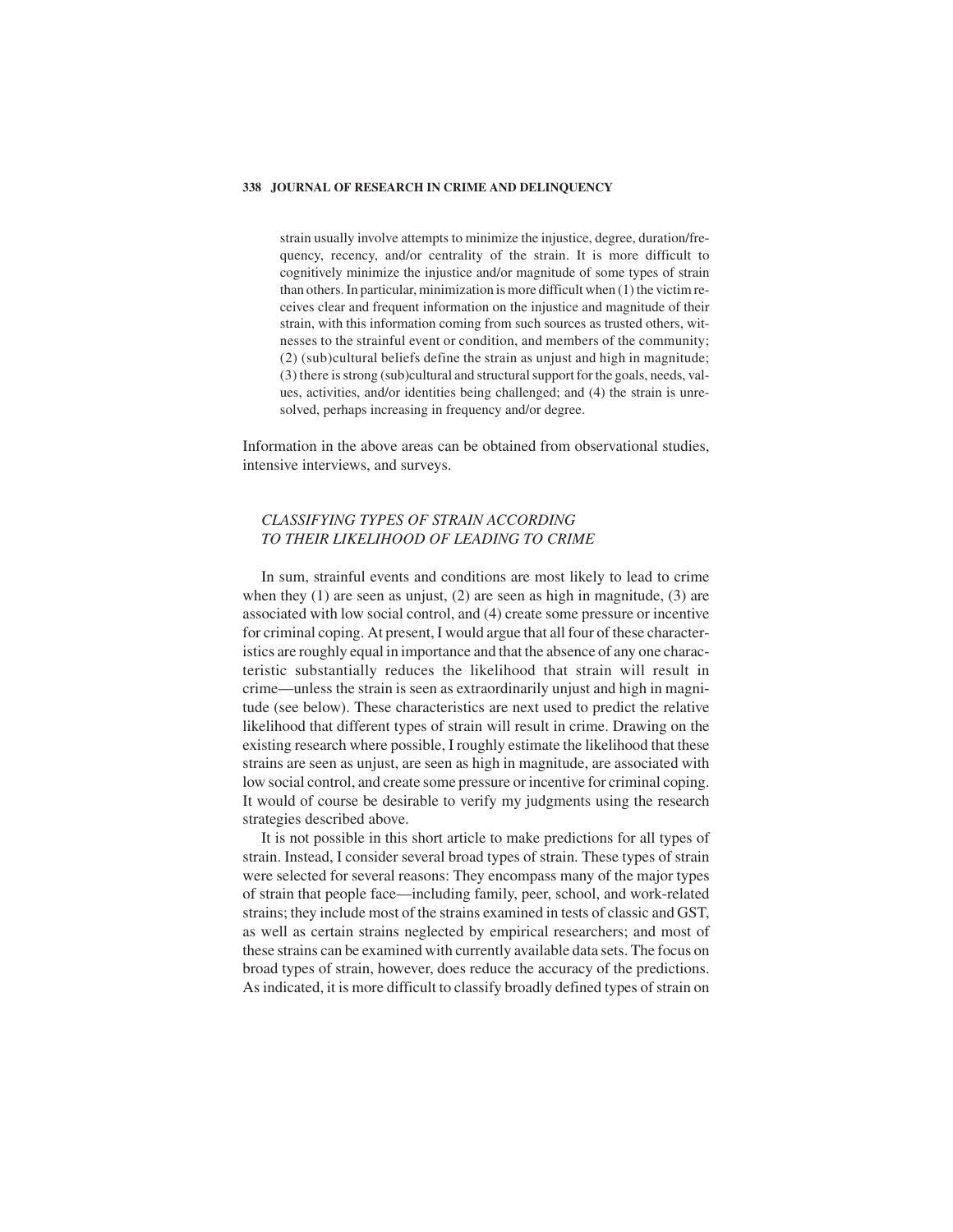strain usually involve attempts to minimize the injustice, degree, duration/frequency, recency, and/or centrality of the strain. It is more difficult to cognitively minimize the injustice and/or magnitude of some types of strain than others. In particular, minimization is more difficult when (1) the victim receives clear and frequent information on the injustice and magnitude of their strain, with this information coming from such sources as trusted others, witnesses to the strainful event or condition, and members of the community; (2) (sub)cultural beliefs define the strain as unjust and high in magnitude; (3) there isstrong (sub)cultural and structural support for the goals, needs, values, activities, and/or identities being challenged; and (4) the strain is unresolved, perhaps increasing in frequency and/or degree.

Information in the above areas can be obtained from observational studies, intensive interviews, and surveys.

# *CLASSIFYING TYPES OF STRAIN ACCORDING TO THEIR LIKELIHOOD OF LEADING TO CRIME*

In sum, strainful events and conditions are most likely to lead to crime when they (1) are seen as unjust, (2) are seen as high in magnitude, (3) are associated with low social control, and (4) create some pressure or incentive for criminal coping. At present, I would argue that all four of these characteristics are roughly equal in importance and that the absence of any one characteristic substantially reduces the likelihood that strain will result in crime—unless the strain is seen as extraordinarily unjust and high in magnitude (see below). These characteristics are next used to predict the relative likelihood that different types of strain will result in crime. Drawing on the existing research where possible, I roughly estimate the likelihood that these strains are seen as unjust, are seen as high in magnitude, are associated with lowsocial control, and create some pressure or incentive for criminal coping. It would of course be desirable to verify my judgments using the research strategies described above.

It is not possible in this short article to make predictions for all types of strain. Instead, I consider several broad types of strain. These types of strain were selected for several reasons: They encompass many of the major types of strain that people face—including family, peer, school, and work-related strains; they include most of the strains examined in tests of classic and GST, as well as certain strains neglected by empirical researchers; and most of these strains can be examined with currently available data sets. The focus on broad types of strain, however, does reduce the accuracy of the predictions. As indicated, it is more difficult to classify broadly defined types of strain on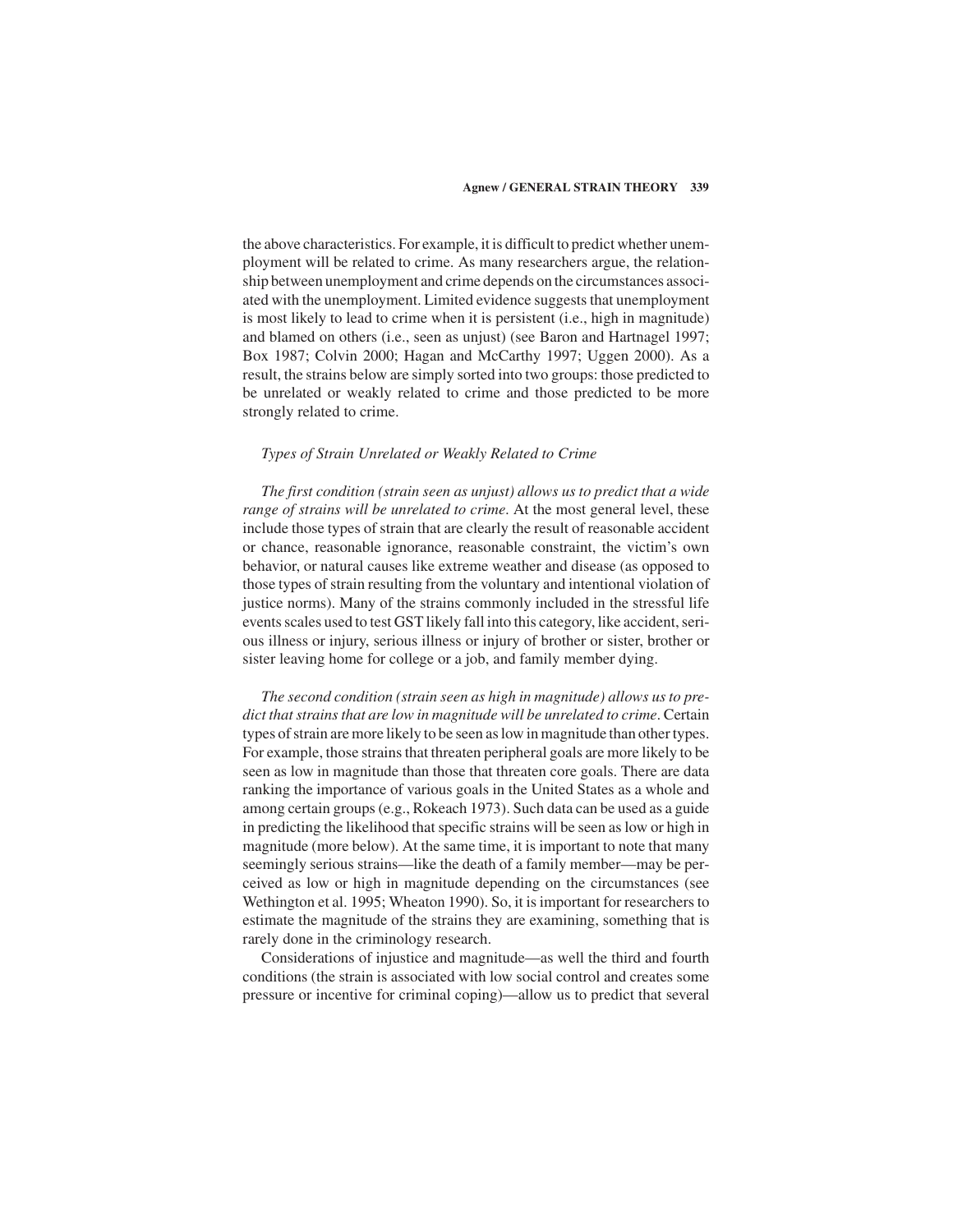the above characteristics. For example, it is difficult to predict whether unemployment will be related to crime. As many researchers argue, the relationship between unemployment and crime depends on the circumstances associated with the unemployment. Limited evidence suggests that unemployment is most likely to lead to crime when it is persistent (i.e., high in magnitude) and blamed on others (i.e., seen as unjust) (see Baron and Hartnagel 1997; Box 1987; Colvin 2000; Hagan and McCarthy 1997; Uggen 2000). As a result, the strains beloware simply sorted into two groups: those predicted to be unrelated or weakly related to crime and those predicted to be more strongly related to crime.

# *Types of Strain Unrelated or Weakly Related to Crime*

*The first condition (strain seen as unjust) allows us to predict that a wide range of strains will be unrelated to crime*. At the most general level, these include those types of strain that are clearly the result of reasonable accident or chance, reasonable ignorance, reasonable constraint, the victim's own behavior, or natural causes like extreme weather and disease (as opposed to those types of strain resulting from the voluntary and intentional violation of justice norms). Many of the strains commonly included in the stressful life events scales used to test GST likely fall into this category, like accident, serious illness or injury, serious illness or injury of brother or sister, brother or sister leaving home for college or a job, and family member dying.

*The second condition (strain seen as high in magnitude) allows us to predict that strains that are low in magnitude will be unrelated to crime*. Certain types of strain are more likely to be seen as lowin magnitude than other types. For example, those strains that threaten peripheral goals are more likely to be seen as lowin magnitude than those that threaten core goals. There are data ranking the importance of various goals in the United States as a whole and among certain groups (e.g., Rokeach 1973). Such data can be used as a guide in predicting the likelihood that specific strains will be seen as low or high in magnitude (more below). At the same time, it is important to note that many seemingly serious strains—like the death of a family member—may be perceived as lowor high in magnitude depending on the circumstances (see Wethington et al. 1995; Wheaton 1990). So, it is important for researchers to estimate the magnitude of the strains they are examining, something that is rarely done in the criminology research.

Considerations of injustice and magnitude—as well the third and fourth conditions (the strain is associated with low social control and creates some pressure or incentive for criminal coping)—allowus to predict that several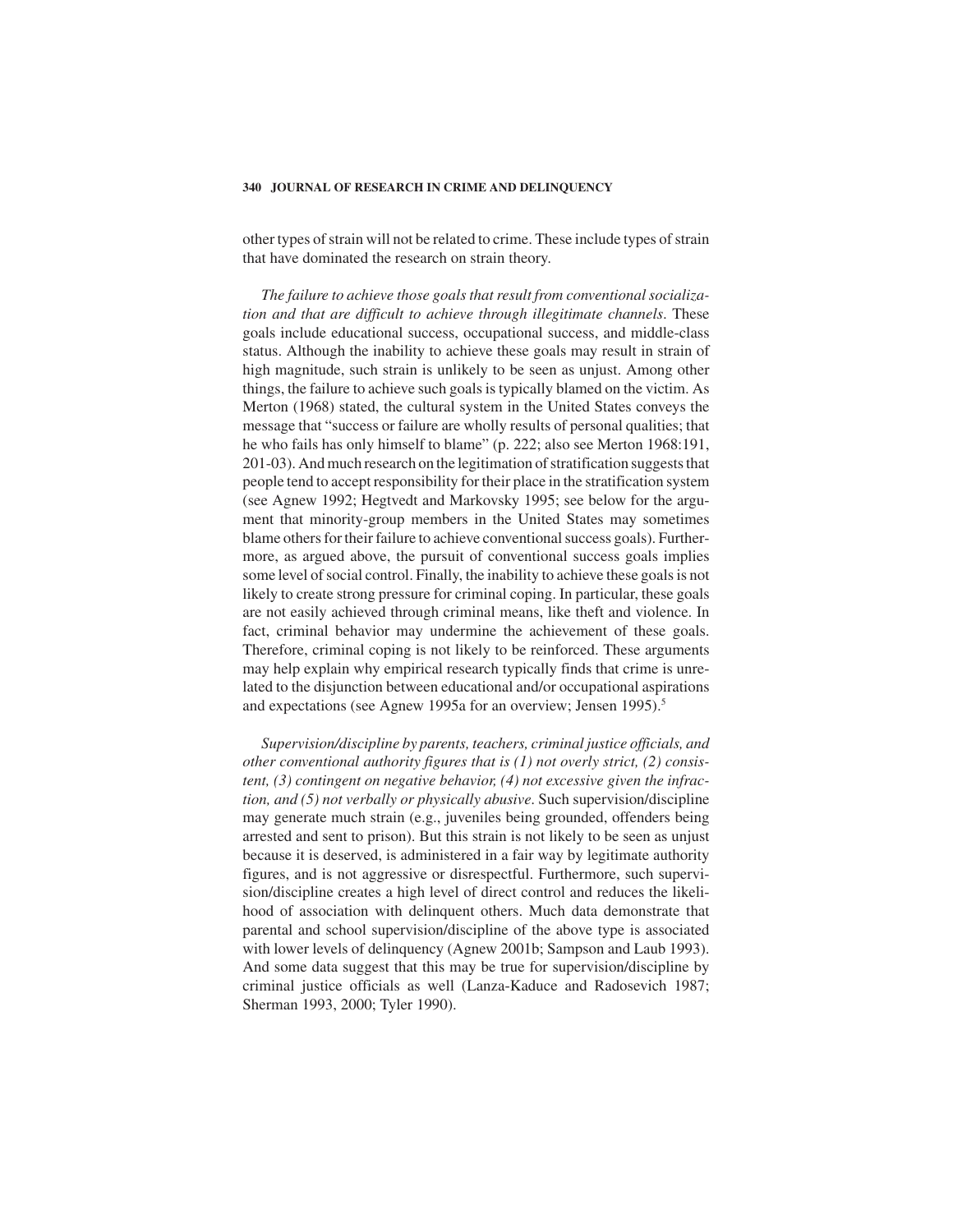other types of strain will not be related to crime. These include types of strain that have dominated the research on strain theory.

*The failure to achieve those goals that result from conventional socialization and that are difficult to achieve through illegitimate channels*. These goals include educational success, occupational success, and middle-class status. Although the inability to achieve these goals may result in strain of high magnitude, such strain is unlikely to be seen as unjust. Among other things, the failure to achieve such goals is typically blamed on the victim. As Merton (1968) stated, the cultural system in the United States conveys the message that "success or failure are wholly results of personal qualities; that he who fails has only himself to blame" (p. 222; also see Merton 1968:191, 201-03). And much research on the legitimation of stratification suggests that people tend to accept responsibility for their place in the stratification system (see Agnew 1992; Hegtvedt and Markovsky 1995; see below for the argument that minority-group members in the United States may sometimes blame others for their failure to achieve conventional success goals). Furthermore, as argued above, the pursuit of conventional success goals implies some level of social control. Finally, the inability to achieve these goals is not likely to create strong pressure for criminal coping. In particular, these goals are not easily achieved through criminal means, like theft and violence. In fact, criminal behavior may undermine the achievement of these goals. Therefore, criminal coping is not likely to be reinforced. These arguments may help explain why empirical research typically finds that crime is unrelated to the disjunction between educational and/or occupational aspirations and expectations (see Agnew 1995a for an overview; Jensen 1995).<sup>5</sup>

*Supervision/discipline by parents, teachers, criminal justice officials, and other conventional authority figures that is (1) not overly strict, (2) consistent, (3) contingent on negative behavior, (4) not excessive given the infraction, and (5) not verbally or physically abusive*. Such supervision/discipline may generate much strain (e.g., juveniles being grounded, offenders being arrested and sent to prison). But this strain is not likely to be seen as unjust because it is deserved, is administered in a fair way by legitimate authority figures, and is not aggressive or disrespectful. Furthermore, such supervision/discipline creates a high level of direct control and reduces the likelihood of association with delinquent others. Much data demonstrate that parental and school supervision/discipline of the above type is associated with lower levels of delinquency (Agnew 2001b; Sampson and Laub 1993). And some data suggest that this may be true for supervision/discipline by criminal justice officials as well (Lanza-Kaduce and Radosevich 1987; Sherman 1993, 2000; Tyler 1990).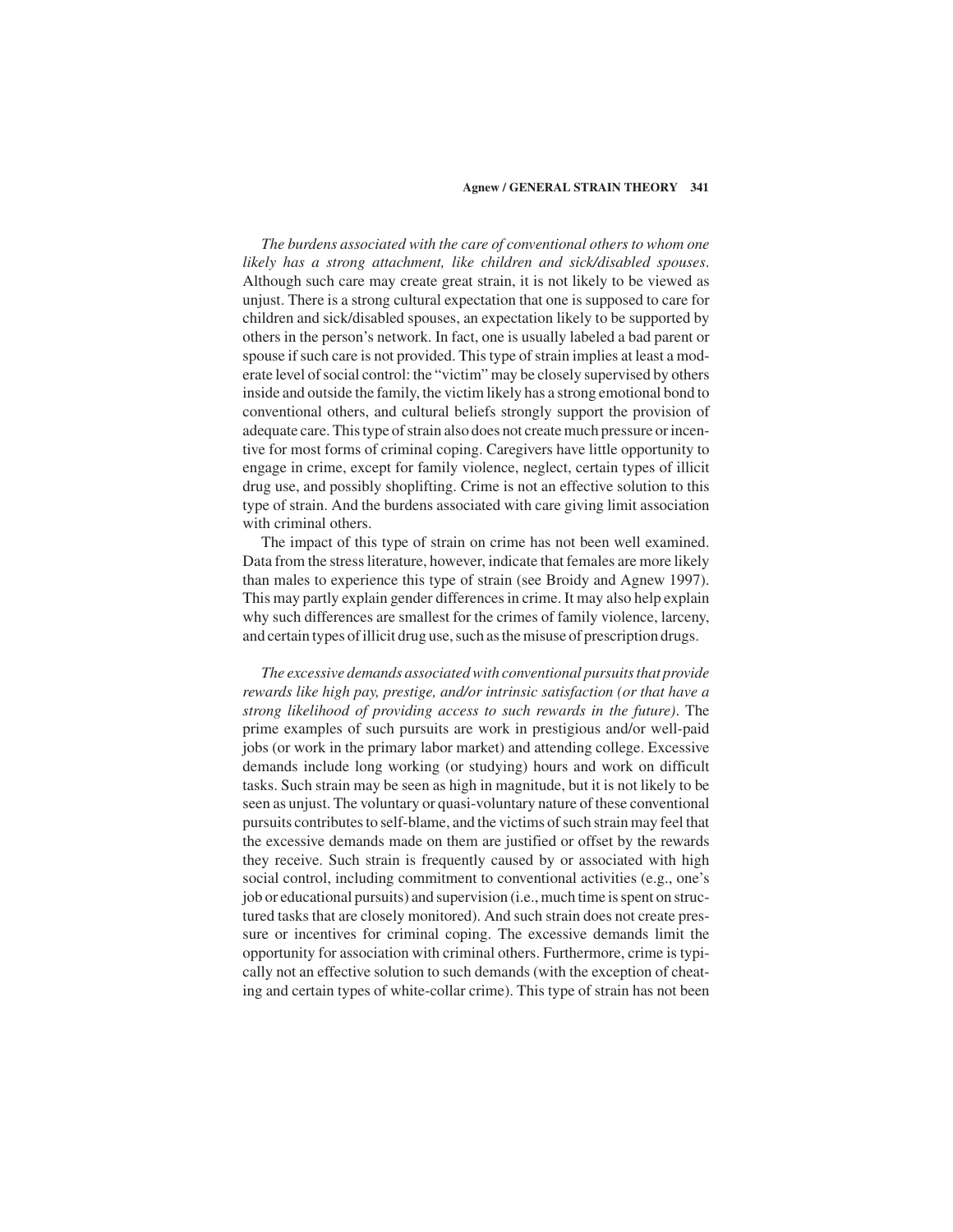# **Agnew / GENERAL STRAIN THEORY 341**

*The burdens associated with the care of conventional others to whom one likely has a strong attachment, like children and sick/disabled spouses*. Although such care may create great strain, it is not likely to be viewed as unjust. There is a strong cultural expectation that one is supposed to care for children and sick/disabled spouses, an expectation likely to be supported by others in the person's network. In fact, one is usually labeled a bad parent or spouse if such care is not provided. This type of strain implies at least a moderate level of social control: the "victim" may be closely supervised by others inside and outside the family, the victim likely has a strong emotional bond to conventional others, and cultural beliefs strongly support the provision of adequate care. This type of strain also does not create much pressure or incentive for most forms of criminal coping. Caregivers have little opportunity to engage in crime, except for family violence, neglect, certain types of illicit drug use, and possibly shoplifting. Crime is not an effective solution to this type of strain. And the burdens associated with care giving limit association with criminal others.

The impact of this type of strain on crime has not been well examined. Data from the stress literature, however, indicate that females are more likely than males to experience this type of strain (see Broidy and Agnew1997). This may partly explain gender differences in crime. It may also help explain why such differences are smallest for the crimes of family violence, larceny, and certain types of illicit drug use, such as the misuse of prescription drugs.

*The excessive demands associated with conventional pursuits that provide rewards like high pay, prestige, and/or intrinsic satisfaction (or that have a strong likelihood of providing access to such rewards in the future)*. The prime examples of such pursuits are work in prestigious and/or well-paid jobs (or work in the primary labor market) and attending college. Excessive demands include long working (or studying) hours and work on difficult tasks. Such strain may be seen as high in magnitude, but it is not likely to be seen as unjust. The voluntary or quasi-voluntary nature of these conventional pursuits contributes to self-blame, and the victims of such strain may feel that the excessive demands made on them are justified or offset by the rewards they receive. Such strain is frequently caused by or associated with high social control, including commitment to conventional activities (e.g., one's job or educational pursuits) and supervision (i.e., much time is spent on structured tasks that are closely monitored). And such strain does not create pressure or incentives for criminal coping. The excessive demands limit the opportunity for association with criminal others. Furthermore, crime is typically not an effective solution to such demands (with the exception of cheating and certain types of white-collar crime). This type of strain has not been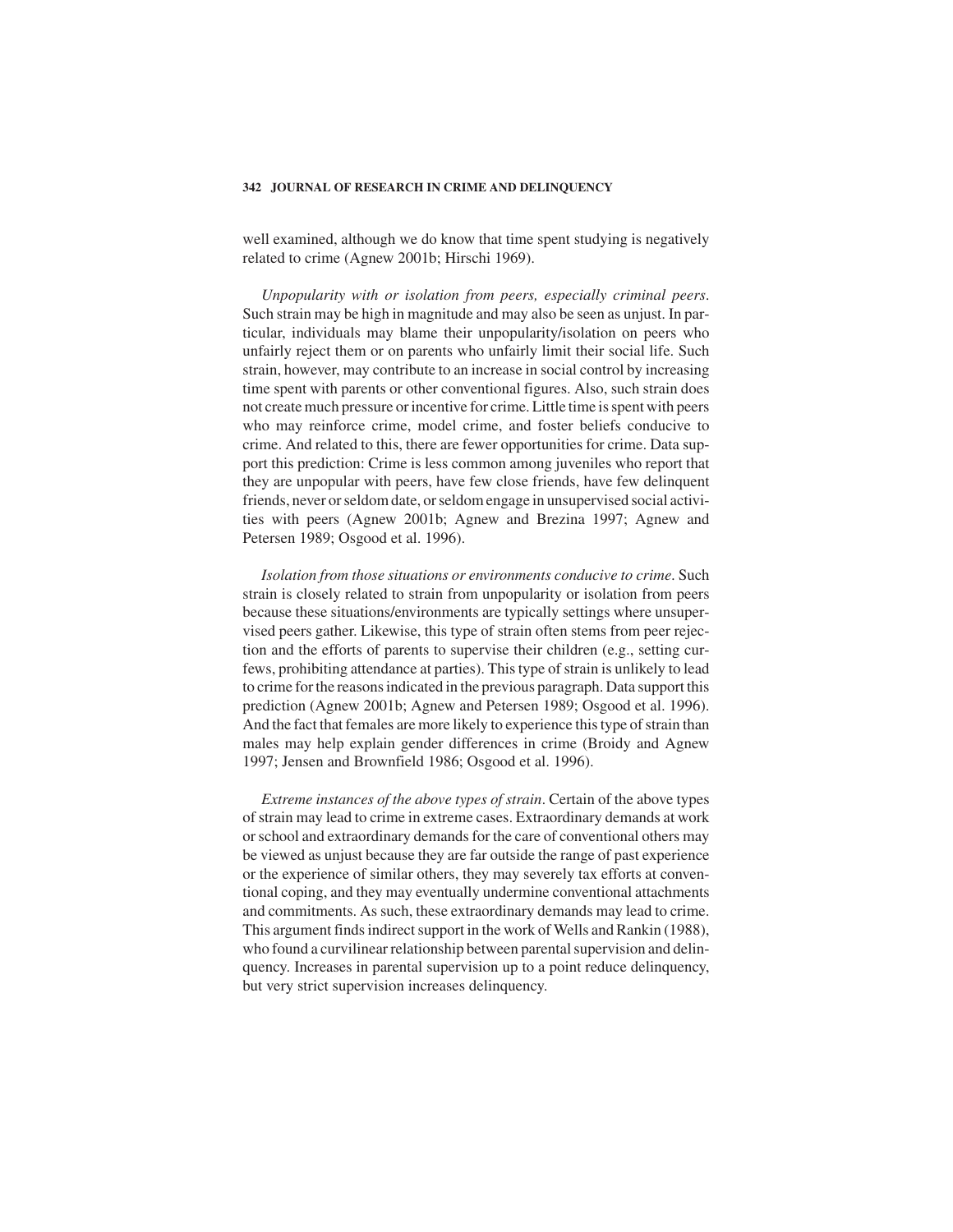well examined, although we do know that time spent studying is negatively related to crime (Agnew 2001b; Hirschi 1969).

*Unpopularity with or isolation from peers, especially criminal peers*. Such strain may be high in magnitude and may also be seen as unjust. In particular, individuals may blame their unpopularity/isolation on peers who unfairly reject them or on parents who unfairly limit their social life. Such strain, however, may contribute to an increase in social control by increasing time spent with parents or other conventional figures. Also, such strain does not create much pressure or incentive for crime. Little time is spent with peers who may reinforce crime, model crime, and foster beliefs conducive to crime. And related to this, there are fewer opportunities for crime. Data support this prediction: Crime is less common among juveniles who report that they are unpopular with peers, have few close friends, have few delinquent friends, never or seldom date, or seldom engage in unsupervised social activities with peers (Agnew 2001b; Agnew and Brezina 1997; Agnew and Petersen 1989; Osgood et al. 1996).

*Isolation from those situations or environments conducive to crime*. Such strain is closely related to strain from unpopularity or isolation from peers because these situations/environments are typically settings where unsupervised peers gather. Likewise, this type of strain often stems from peer rejection and the efforts of parents to supervise their children (e.g., setting curfews, prohibiting attendance at parties). This type of strain is unlikely to lead to crime for the reasons indicated in the previous paragraph. Data support this prediction (Agnew 2001b; Agnew and Petersen 1989; Osgood et al. 1996). And the fact that females are more likely to experience this type of strain than males may help explain gender differences in crime (Broidy and Agnew 1997; Jensen and Brownfield 1986; Osgood et al. 1996).

*Extreme instances of the above types of strain*. Certain of the above types of strain may lead to crime in extreme cases. Extraordinary demands at work or school and extraordinary demands for the care of conventional others may be viewed as unjust because they are far outside the range of past experience or the experience of similar others, they may severely tax efforts at conventional coping, and they may eventually undermine conventional attachments and commitments. As such, these extraordinary demands may lead to crime. This argument finds indirect support in the work of Wells and Rankin (1988), who found a curvilinear relationship between parental supervision and delinquency. Increases in parental supervision up to a point reduce delinquency, but very strict supervision increases delinquency.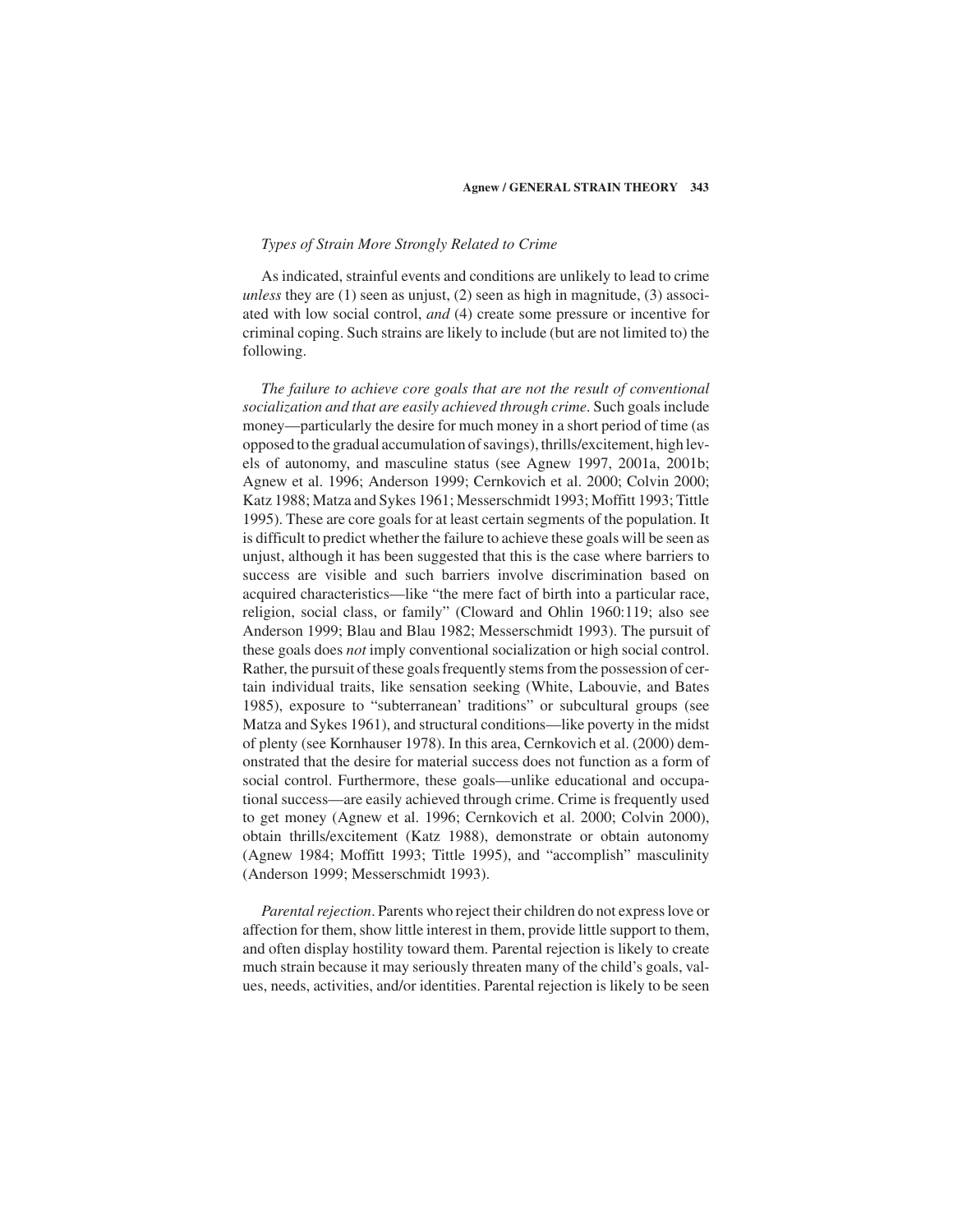# **Agnew / GENERAL STRAIN THEORY 343**

# *Types of Strain More Strongly Related to Crime*

As indicated, strainful events and conditions are unlikely to lead to crime *unless* they are (1) seen as unjust, (2) seen as high in magnitude, (3) associated with low social control, *and* (4) create some pressure or incentive for criminal coping. Such strains are likely to include (but are not limited to) the following.

*The failure to achieve core goals that are not the result of conventional socialization and that are easily achieved through crime*. Such goals include money—particularly the desire for much money in a short period of time (as opposed to the gradual accumulation of savings), thrills/excitement, high levels of autonomy, and masculine status (see Agnew1997, 2001a, 2001b; Agnewet al. 1996; Anderson 1999; Cernkovich et al. 2000; Colvin 2000; Katz 1988; Matza and Sykes 1961; Messerschmidt 1993; Moffitt 1993; Tittle 1995). These are core goals for at least certain segments of the population. It is difficult to predict whether the failure to achieve these goals will be seen as unjust, although it has been suggested that this is the case where barriers to success are visible and such barriers involve discrimination based on acquired characteristics—like "the mere fact of birth into a particular race, religion, social class, or family" (Cloward and Ohlin 1960:119; also see Anderson 1999; Blau and Blau 1982; Messerschmidt 1993). The pursuit of these goals does *not* imply conventional socialization or high social control. Rather, the pursuit of these goals frequently stems from the possession of certain individual traits, like sensation seeking (White, Labouvie, and Bates 1985), exposure to "subterranean' traditions" or subcultural groups (see Matza and Sykes 1961), and structural conditions—like poverty in the midst of plenty (see Kornhauser 1978). In this area, Cernkovich et al. (2000) demonstrated that the desire for material success does not function as a form of social control. Furthermore, these goals—unlike educational and occupational success—are easily achieved through crime. Crime is frequently used to get money (Agnewet al. 1996; Cernkovich et al. 2000; Colvin 2000), obtain thrills/excitement (Katz 1988), demonstrate or obtain autonomy (Agnew 1984; Moffitt 1993; Tittle 1995), and "accomplish" masculinity (Anderson 1999; Messerschmidt 1993).

*Parental rejection*. Parents who reject their children do not express love or affection for them, showlittle interest in them, provide little support to them, and often display hostility toward them. Parental rejection is likely to create much strain because it may seriously threaten many of the child's goals, values, needs, activities, and/or identities. Parental rejection is likely to be seen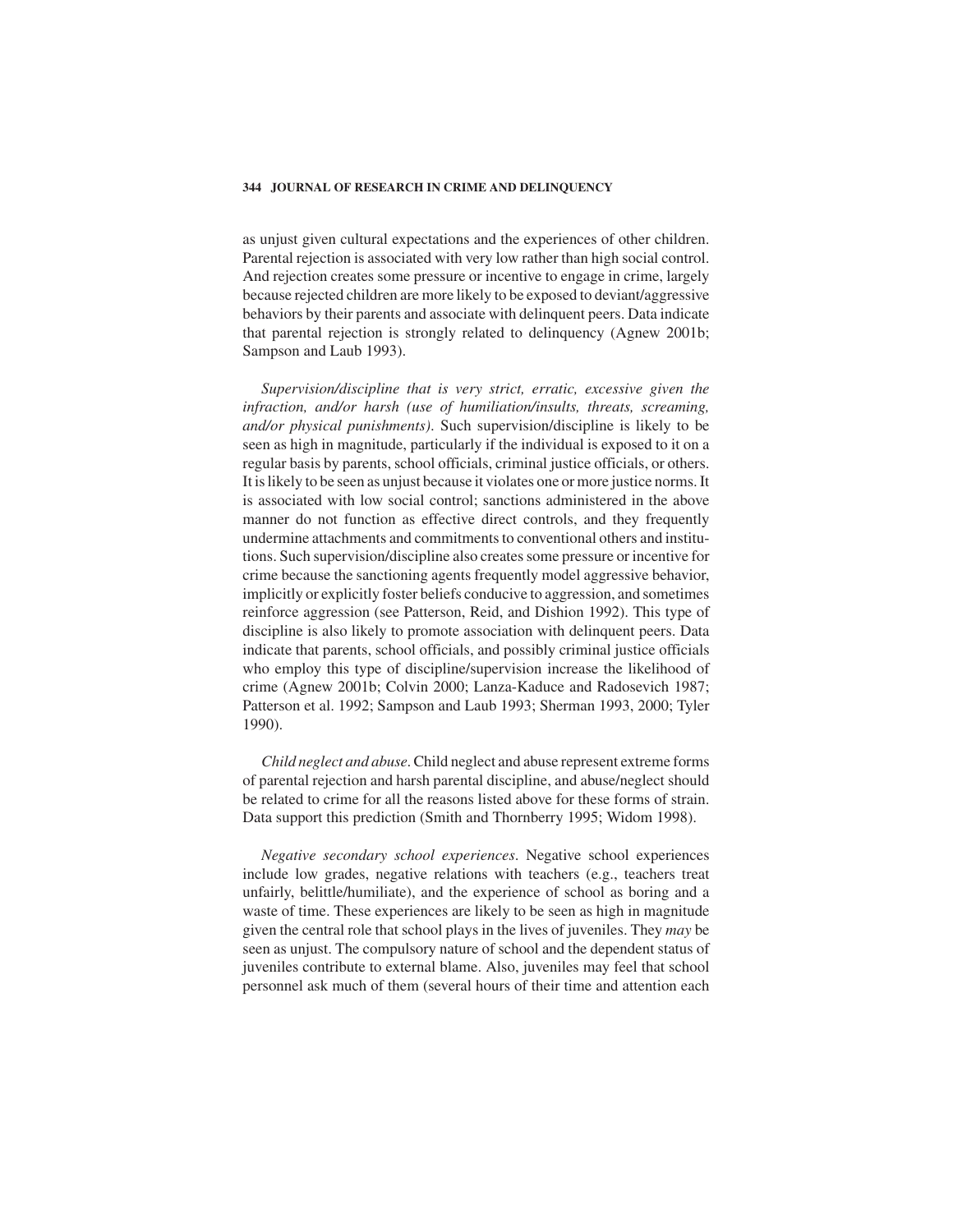as unjust given cultural expectations and the experiences of other children. Parental rejection is associated with very low rather than high social control. And rejection creates some pressure or incentive to engage in crime, largely because rejected children are more likely to be exposed to deviant/aggressive behaviors by their parents and associate with delinquent peers. Data indicate that parental rejection is strongly related to delinquency (Agnew 2001b; Sampson and Laub 1993).

*Supervision/discipline that is very strict, erratic, excessive given the infraction, and/or harsh (use of humiliation/insults, threats, screaming, and/or physical punishments)*. Such supervision/discipline is likely to be seen as high in magnitude, particularly if the individual is exposed to it on a regular basis by parents, school officials, criminal justice officials, or others. It is likely to be seen as unjust because it violates one or more justice norms. It is associated with low social control; sanctions administered in the above manner do not function as effective direct controls, and they frequently undermine attachments and commitments to conventional others and institutions. Such supervision/discipline also creates some pressure or incentive for crime because the sanctioning agents frequently model aggressive behavior, implicitly or explicitly foster beliefs conducive to aggression, and sometimes reinforce aggression (see Patterson, Reid, and Dishion 1992). This type of discipline is also likely to promote association with delinquent peers. Data indicate that parents, school officials, and possibly criminal justice officials who employ this type of discipline/supervision increase the likelihood of crime (Agnew2001b; Colvin 2000; Lanza-Kaduce and Radosevich 1987; Patterson et al. 1992; Sampson and Laub 1993; Sherman 1993, 2000; Tyler 1990).

*Child neglect and abuse*. Child neglect and abuse represent extreme forms of parental rejection and harsh parental discipline, and abuse/neglect should be related to crime for all the reasons listed above for these forms of strain. Data support this prediction (Smith and Thornberry 1995; Widom 1998).

*Negative secondary school experiences*. Negative school experiences include lowgrades, negative relations with teachers (e.g., teachers treat unfairly, belittle/humiliate), and the experience of school as boring and a waste of time. These experiences are likely to be seen as high in magnitude given the central role that school plays in the lives of juveniles. They *may* be seen as unjust. The compulsory nature of school and the dependent status of juveniles contribute to external blame. Also, juveniles may feel that school personnel ask much of them (several hours of their time and attention each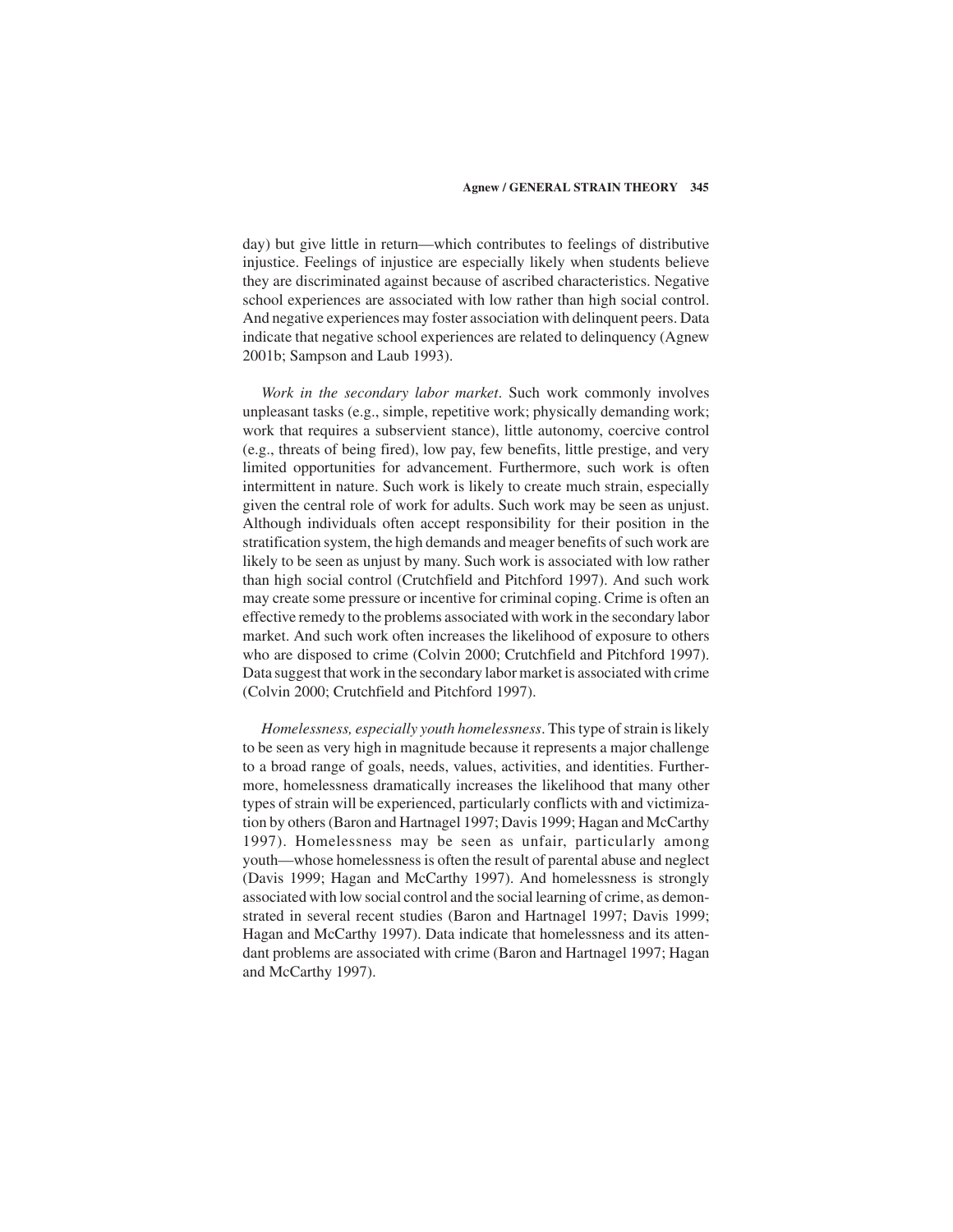# **Agnew / GENERAL STRAIN THEORY 345**

day) but give little in return—which contributes to feelings of distributive injustice. Feelings of injustice are especially likely when students believe they are discriminated against because of ascribed characteristics. Negative school experiences are associated with low rather than high social control. And negative experiences may foster association with delinquent peers. Data indicate that negative school experiences are related to delinquency (Agnew 2001b; Sampson and Laub 1993).

*Work in the secondary labor market*. Such work commonly involves unpleasant tasks (e.g., simple, repetitive work; physically demanding work; work that requires a subservient stance), little autonomy, coercive control (e.g., threats of being fired), low pay, few benefits, little prestige, and very limited opportunities for advancement. Furthermore, such work is often intermittent in nature. Such work is likely to create much strain, especially given the central role of work for adults. Such work may be seen as unjust. Although individuals often accept responsibility for their position in the stratification system, the high demands and meager benefits of such work are likely to be seen as unjust by many. Such work is associated with low rather than high social control (Crutchfield and Pitchford 1997). And such work may create some pressure or incentive for criminal coping. Crime is often an effective remedy to the problems associated with work in the secondary labor market. And such work often increases the likelihood of exposure to others who are disposed to crime (Colvin 2000; Crutchfield and Pitchford 1997). Data suggest that work in the secondary labor market is associated with crime (Colvin 2000; Crutchfield and Pitchford 1997).

*Homelessness, especially youth homelessness*. This type of strain is likely to be seen as very high in magnitude because it represents a major challenge to a broad range of goals, needs, values, activities, and identities. Furthermore, homelessness dramatically increases the likelihood that many other types of strain will be experienced, particularly conflicts with and victimization by others (Baron and Hartnagel 1997; Davis 1999; Hagan and McCarthy 1997). Homelessness may be seen as unfair, particularly among youth—whose homelessness is often the result of parental abuse and neglect (Davis 1999; Hagan and McCarthy 1997). And homelessness is strongly associated with low social control and the social learning of crime, as demonstrated in several recent studies (Baron and Hartnagel 1997; Davis 1999; Hagan and McCarthy 1997). Data indicate that homelessness and its attendant problems are associated with crime (Baron and Hartnagel 1997; Hagan and McCarthy 1997).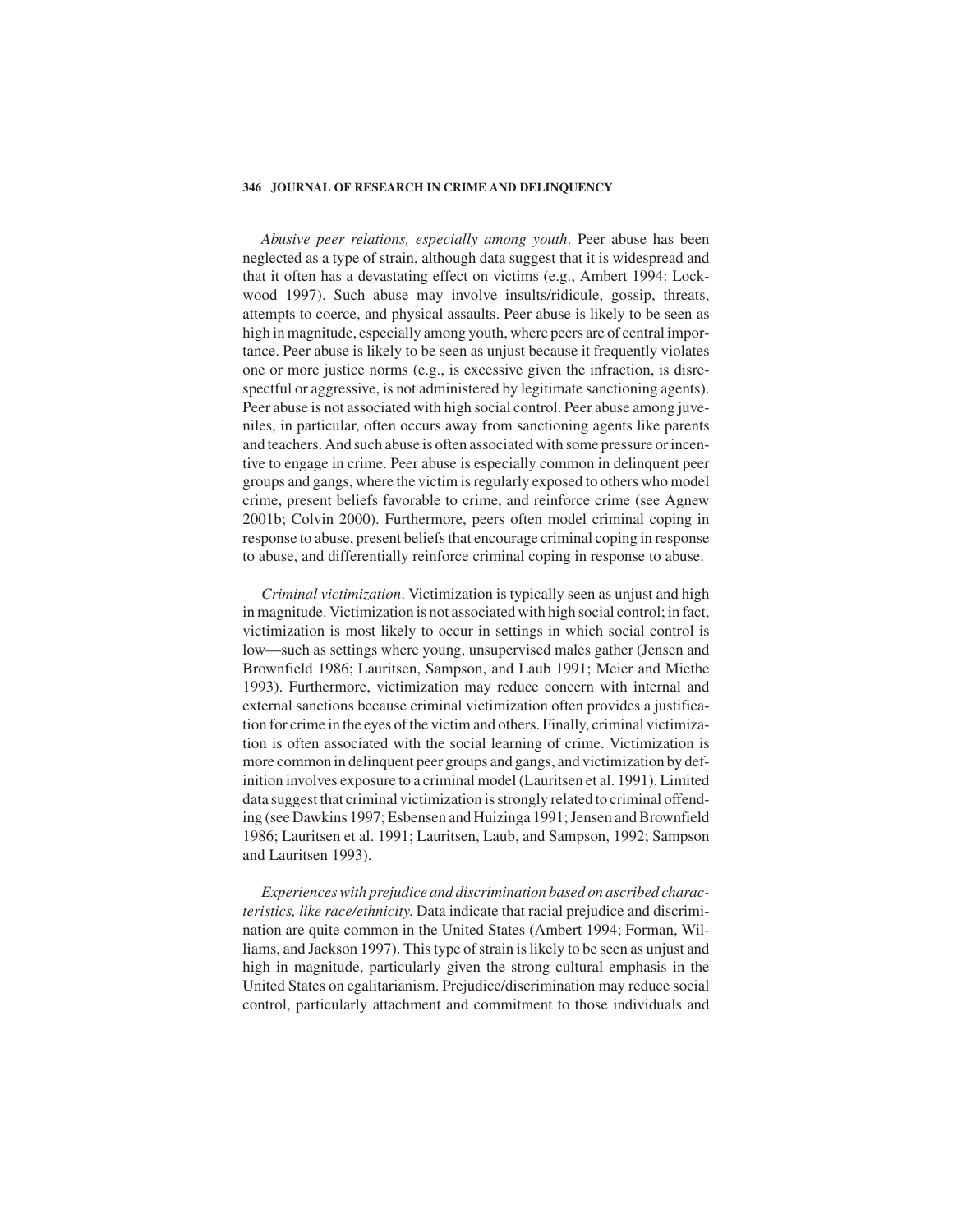*Abusive peer relations, especially among youth*. Peer abuse has been neglected as a type of strain, although data suggest that it is widespread and that it often has a devastating effect on victims (e.g., Ambert 1994: Lockwood 1997). Such abuse may involve insults/ridicule, gossip, threats, attempts to coerce, and physical assaults. Peer abuse is likely to be seen as high in magnitude, especially among youth, where peers are of central importance. Peer abuse is likely to be seen as unjust because it frequently violates one or more justice norms (e.g., is excessive given the infraction, is disrespectful or aggressive, is not administered by legitimate sanctioning agents). Peer abuse is not associated with high social control. Peer abuse among juveniles, in particular, often occurs away from sanctioning agents like parents and teachers. And such abuse is often associated with some pressure or incentive to engage in crime. Peer abuse is especially common in delinquent peer groups and gangs, where the victim is regularly exposed to others who model crime, present beliefs favorable to crime, and reinforce crime (see Agnew 2001b; Colvin 2000). Furthermore, peers often model criminal coping in response to abuse, present beliefs that encourage criminal coping in response to abuse, and differentially reinforce criminal coping in response to abuse.

*Criminal victimization*. Victimization is typically seen as unjust and high in magnitude. Victimization is not associated with high social control; in fact, victimization is most likely to occur in settings in which social control is low—such as settings where young, unsupervised males gather (Jensen and Brownfield 1986; Lauritsen, Sampson, and Laub 1991; Meier and Miethe 1993). Furthermore, victimization may reduce concern with internal and external sanctions because criminal victimization often provides a justification for crime in the eyes of the victim and others. Finally, criminal victimization is often associated with the social learning of crime. Victimization is more common in delinquent peer groups and gangs, and victimization by definition involves exposure to a criminal model (Lauritsen et al. 1991). Limited data suggest that criminal victimization is strongly related to criminal offending (see Dawkins 1997; Esbensen and Huizinga 1991; Jensen and Brownfield 1986; Lauritsen et al. 1991; Lauritsen, Laub, and Sampson, 1992; Sampson and Lauritsen 1993).

*Experiences with prejudice and discrimination based on ascribed characteristics, like race/ethnicity*. Data indicate that racial prejudice and discrimination are quite common in the United States (Ambert 1994; Forman, Williams, and Jackson 1997). This type of strain is likely to be seen as unjust and high in magnitude, particularly given the strong cultural emphasis in the United States on egalitarianism. Prejudice/discrimination may reduce social control, particularly attachment and commitment to those individuals and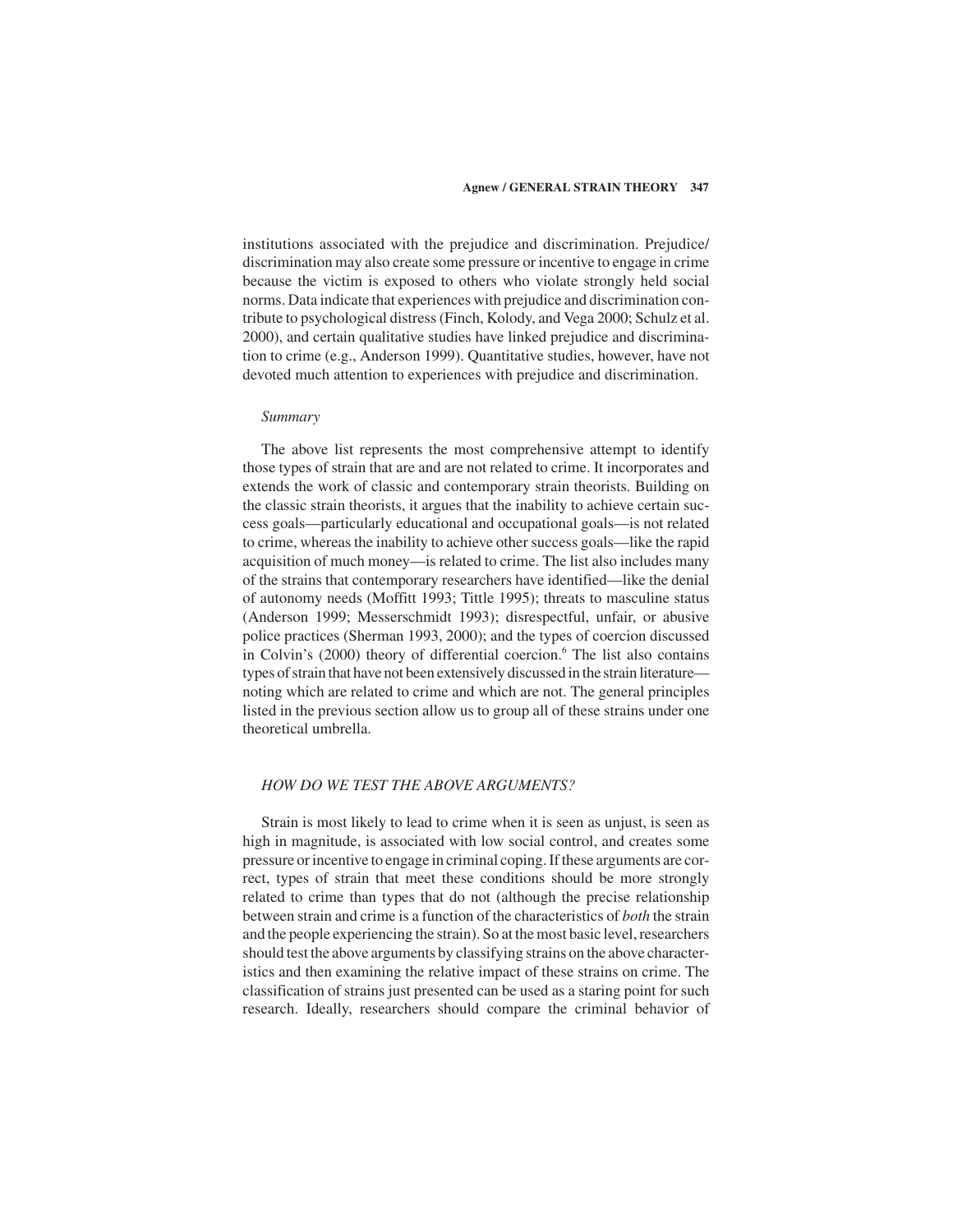# **Agnew / GENERAL STRAIN THEORY 347**

institutions associated with the prejudice and discrimination. Prejudice/ discrimination may also create some pressure or incentive to engage in crime because the victim is exposed to others who violate strongly held social norms. Data indicate that experiences with prejudice and discrimination contribute to psychological distress (Finch, Kolody, and Vega 2000; Schulz et al. 2000), and certain qualitative studies have linked prejudice and discrimination to crime (e.g., Anderson 1999). Quantitative studies, however, have not devoted much attention to experiences with prejudice and discrimination.

### *Summary*

The above list represents the most comprehensive attempt to identify those types of strain that are and are not related to crime. It incorporates and extends the work of classic and contemporary strain theorists. Building on the classic strain theorists, it argues that the inability to achieve certain success goals—particularly educational and occupational goals—is not related to crime, whereas the inability to achieve other success goals—like the rapid acquisition of much money—is related to crime. The list also includes many of the strains that contemporary researchers have identified—like the denial of autonomy needs (Moffitt 1993; Tittle 1995); threats to masculine status (Anderson 1999; Messerschmidt 1993); disrespectful, unfair, or abusive police practices (Sherman 1993, 2000); and the types of coercion discussed in Colvin's  $(2000)$  theory of differential coercion.<sup>6</sup> The list also contains types of strain that have not been extensively discussed in the strain literature noting which are related to crime and which are not. The general principles listed in the previous section allowus to group all of these strains under one theoretical umbrella.

# *HOW DO WE TEST THE ABOVE ARGUMENTS?*

Strain is most likely to lead to crime when it is seen as unjust, is seen as high in magnitude, is associated with low social control, and creates some pressure or incentive to engage in criminal coping. If these arguments are correct, types of strain that meet these conditions should be more strongly related to crime than types that do not (although the precise relationship between strain and crime is a function of the characteristics of *both* the strain and the people experiencing the strain). So at the most basic level, researchers should test the above arguments by classifying strains on the above characteristics and then examining the relative impact of these strains on crime. The classification of strains just presented can be used as a staring point for such research. Ideally, researchers should compare the criminal behavior of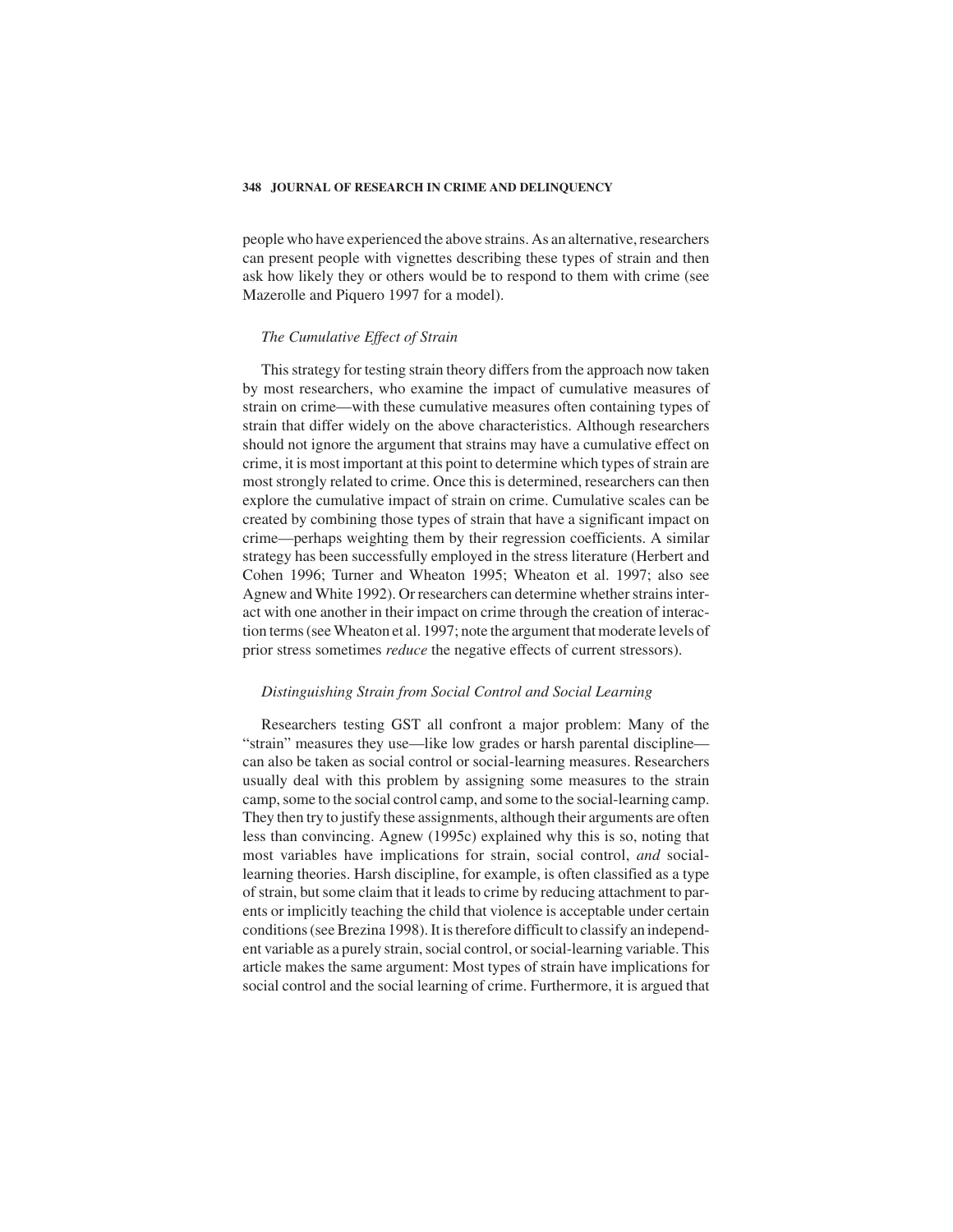people who have experienced the above strains. As an alternative, researchers can present people with vignettes describing these types of strain and then ask how likely they or others would be to respond to them with crime (see Mazerolle and Piquero 1997 for a model).

# *The Cumulative Effect of Strain*

This strategy for testing strain theory differs from the approach nowtaken by most researchers, who examine the impact of cumulative measures of strain on crime—with these cumulative measures often containing types of strain that differ widely on the above characteristics. Although researchers should not ignore the argument that strains may have a cumulative effect on crime, it is most important at this point to determine which types of strain are most strongly related to crime. Once this is determined, researchers can then explore the cumulative impact of strain on crime. Cumulative scales can be created by combining those types of strain that have a significant impact on crime—perhaps weighting them by their regression coefficients. A similar strategy has been successfully employed in the stress literature (Herbert and Cohen 1996; Turner and Wheaton 1995; Wheaton et al. 1997; also see Agnewand White 1992). Or researchers can determine whether strains interact with one another in their impact on crime through the creation of interaction terms (see Wheaton et al. 1997; note the argument that moderate levels of prior stress sometimes *reduce* the negative effects of current stressors).

# *Distinguishing Strain from Social Control and Social Learning*

Researchers testing GST all confront a major problem: Many of the "strain" measures they use—like lowgrades or harsh parental discipline can also be taken as social control or social-learning measures. Researchers usually deal with this problem by assigning some measures to the strain camp, some to the social control camp, and some to the social-learning camp. They then try to justify these assignments, although their arguments are often less than convincing. Agnew(1995c) explained why this is so, noting that most variables have implications for strain, social control, *and* sociallearning theories. Harsh discipline, for example, is often classified as a type of strain, but some claim that it leads to crime by reducing attachment to parents or implicitly teaching the child that violence is acceptable under certain conditions (see Brezina 1998). It is therefore difficult to classify an independent variable as a purely strain, social control, or social-learning variable. This article makes the same argument: Most types of strain have implications for social control and the social learning of crime. Furthermore, it is argued that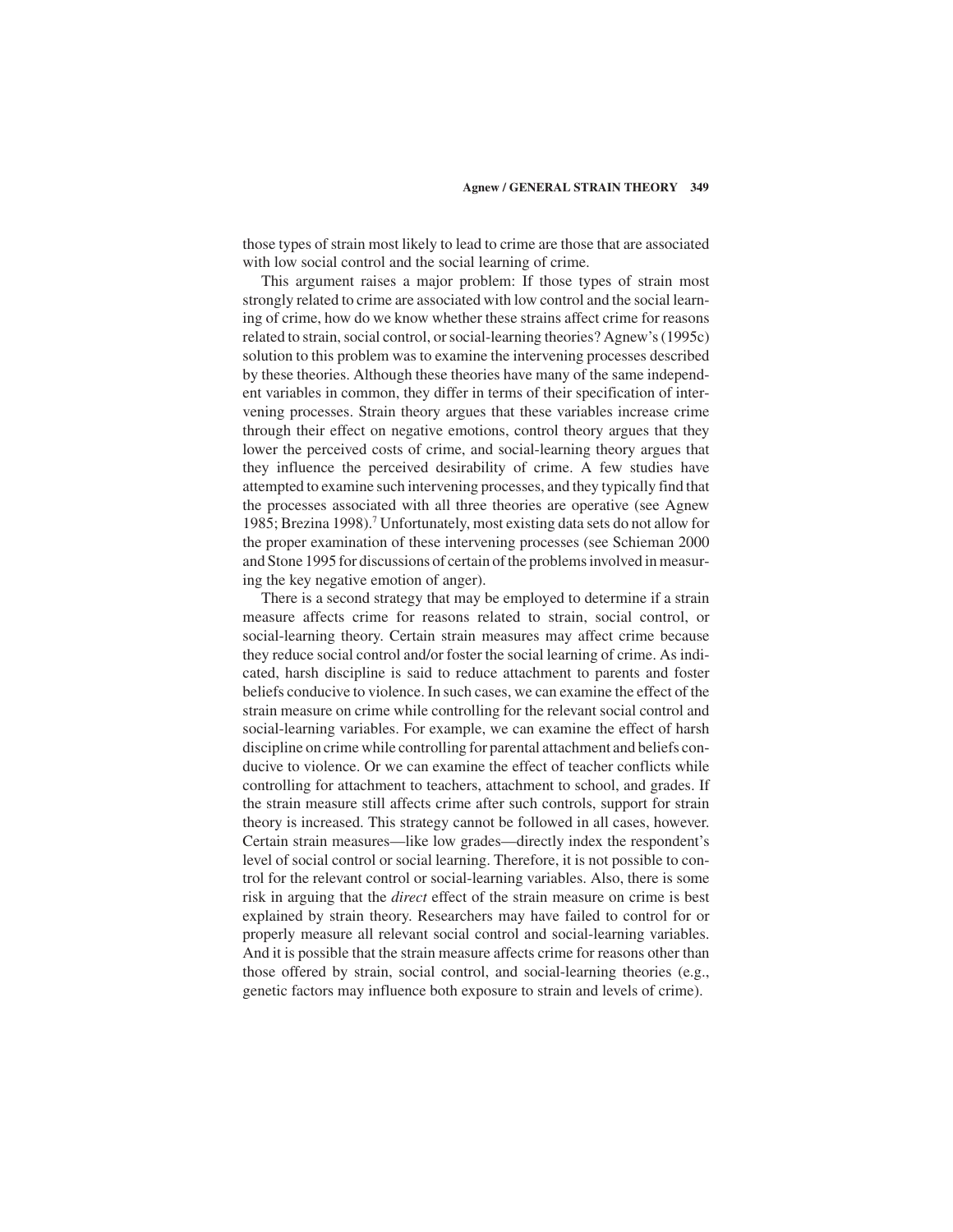those types of strain most likely to lead to crime are those that are associated with low social control and the social learning of crime.

This argument raises a major problem: If those types of strain most strongly related to crime are associated with low control and the social learning of crime, howdo we knowwhether these strains affect crime for reasons related to strain, social control, or social-learning theories? Agnew's (1995c) solution to this problem was to examine the intervening processes described by these theories. Although these theories have many of the same independent variables in common, they differ in terms of their specification of intervening processes. Strain theory argues that these variables increase crime through their effect on negative emotions, control theory argues that they lower the perceived costs of crime, and social-learning theory argues that they influence the perceived desirability of crime. A fewstudies have attempted to examine such intervening processes, and they typically find that the processes associated with all three theories are operative (see Agnew 1985; Brezina 1998).<sup>7</sup> Unfortunately, most existing data sets do not allow for the proper examination of these intervening processes (see Schieman 2000 and Stone 1995 for discussions of certain of the problems involved in measuring the key negative emotion of anger).

There is a second strategy that may be employed to determine if a strain measure affects crime for reasons related to strain, social control, or social-learning theory. Certain strain measures may affect crime because they reduce social control and/or foster the social learning of crime. As indicated, harsh discipline is said to reduce attachment to parents and foster beliefs conducive to violence. In such cases, we can examine the effect of the strain measure on crime while controlling for the relevant social control and social-learning variables. For example, we can examine the effect of harsh discipline on crime while controlling for parental attachment and beliefs conducive to violence. Or we can examine the effect of teacher conflicts while controlling for attachment to teachers, attachment to school, and grades. If the strain measure still affects crime after such controls, support for strain theory is increased. This strategy cannot be followed in all cases, however. Certain strain measures—like lowgrades—directly index the respondent's level of social control or social learning. Therefore, it is not possible to control for the relevant control or social-learning variables. Also, there is some risk in arguing that the *direct* effect of the strain measure on crime is best explained by strain theory. Researchers may have failed to control for or properly measure all relevant social control and social-learning variables. And it is possible that the strain measure affects crime for reasons other than those offered by strain, social control, and social-learning theories (e.g., genetic factors may influence both exposure to strain and levels of crime).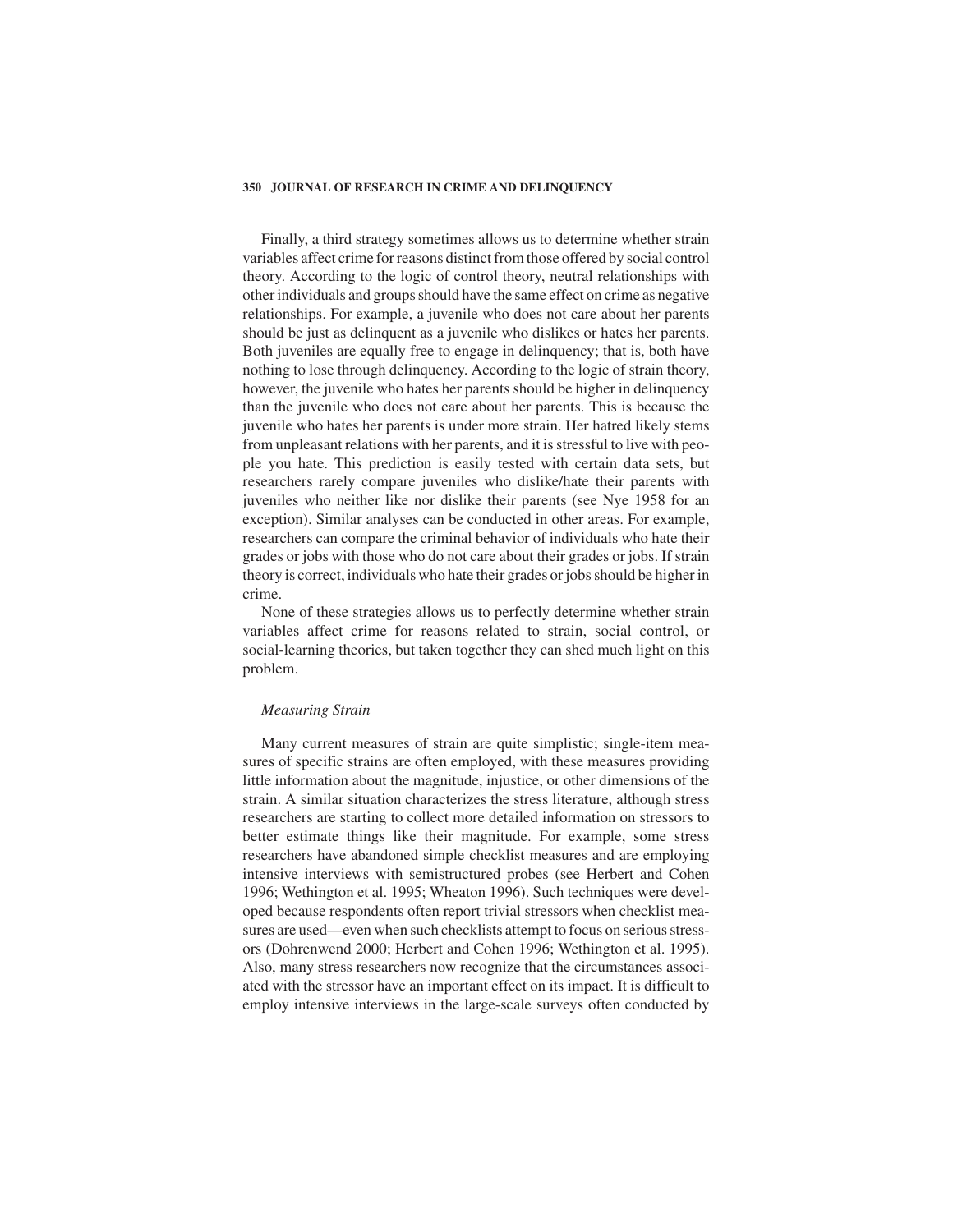Finally, a third strategy sometimes allows us to determine whether strain variables affect crime for reasons distinct from those offered by social control theory. According to the logic of control theory, neutral relationships with other individuals and groups should have the same effect on crime as negative relationships. For example, a juvenile who does not care about her parents should be just as delinquent as a juvenile who dislikes or hates her parents. Both juveniles are equally free to engage in delinquency; that is, both have nothing to lose through delinquency. According to the logic of strain theory, however, the juvenile who hates her parents should be higher in delinquency than the juvenile who does not care about her parents. This is because the juvenile who hates her parents is under more strain. Her hatred likely stems from unpleasant relations with her parents, and it is stressful to live with people you hate. This prediction is easily tested with certain data sets, but researchers rarely compare juveniles who dislike/hate their parents with juveniles who neither like nor dislike their parents (see Nye 1958 for an exception). Similar analyses can be conducted in other areas. For example, researchers can compare the criminal behavior of individuals who hate their grades or jobs with those who do not care about their grades or jobs. If strain theory is correct, individuals who hate their grades or jobs should be higher in crime.

None of these strategies allows us to perfectly determine whether strain variables affect crime for reasons related to strain, social control, or social-learning theories, but taken together they can shed much light on this problem.

# *Measuring Strain*

Many current measures of strain are quite simplistic; single-item measures of specific strains are often employed, with these measures providing little information about the magnitude, injustice, or other dimensions of the strain. A similar situation characterizes the stress literature, although stress researchers are starting to collect more detailed information on stressors to better estimate things like their magnitude. For example, some stress researchers have abandoned simple checklist measures and are employing intensive interviews with semistructured probes (see Herbert and Cohen 1996; Wethington et al. 1995; Wheaton 1996). Such techniques were developed because respondents often report trivial stressors when checklist measures are used—even when such checklists attempt to focus on serious stressors (Dohrenwend 2000; Herbert and Cohen 1996; Wethington et al. 1995). Also, many stress researchers now recognize that the circumstances associated with the stressor have an important effect on its impact. It is difficult to employ intensive interviews in the large-scale surveys often conducted by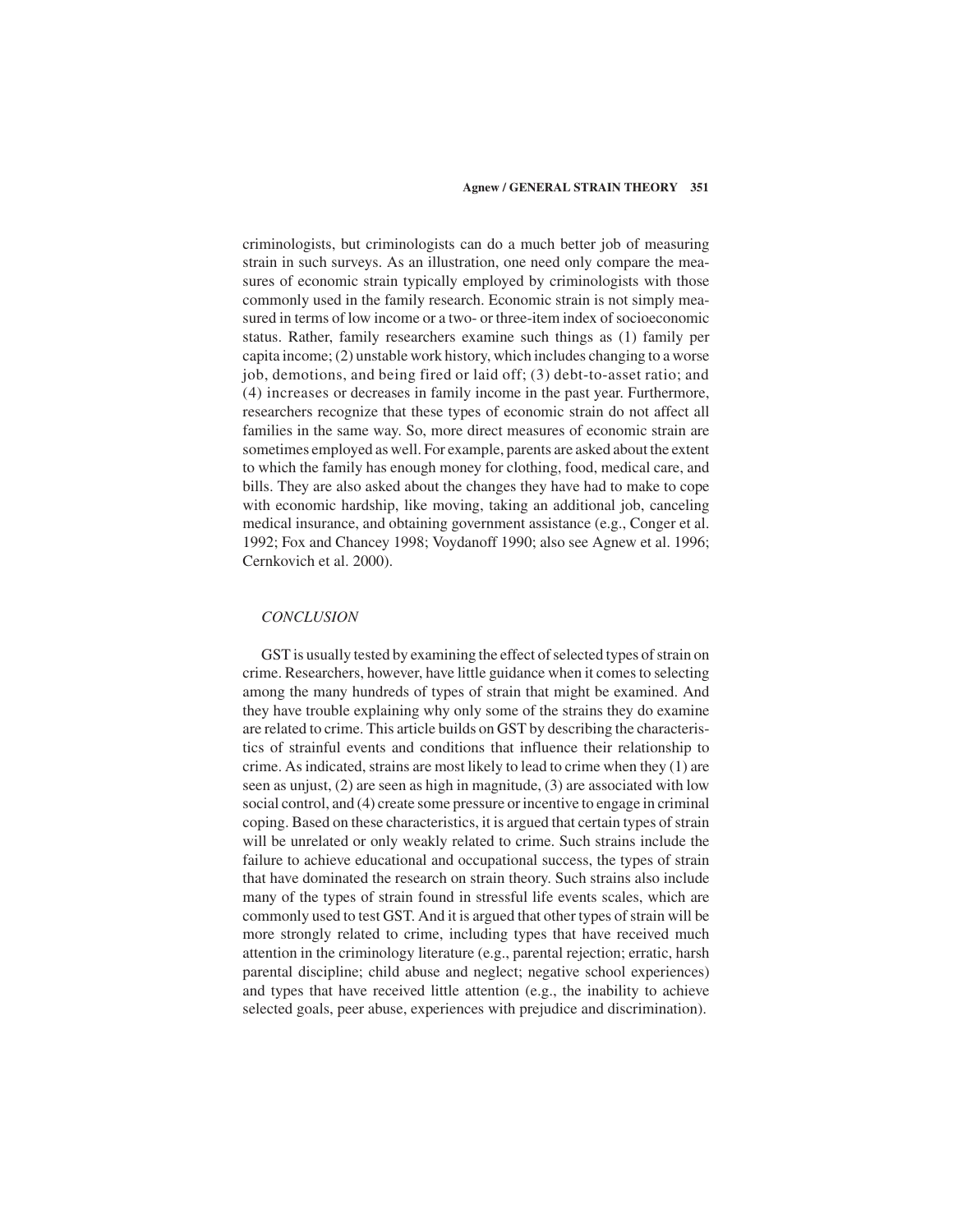# **Agnew / GENERAL STRAIN THEORY 351**

criminologists, but criminologists can do a much better job of measuring strain in such surveys. As an illustration, one need only compare the measures of economic strain typically employed by criminologists with those commonly used in the family research. Economic strain is not simply measured in terms of low income or a two- or three-item index of socioeconomic status. Rather, family researchers examine such things as (1) family per capita income; (2) unstable work history, which includes changing to a worse job, demotions, and being fired or laid off; (3) debt-to-asset ratio; and (4) increases or decreases in family income in the past year. Furthermore, researchers recognize that these types of economic strain do not affect all families in the same way. So, more direct measures of economic strain are sometimes employed as well. For example, parents are asked about the extent to which the family has enough money for clothing, food, medical care, and bills. They are also asked about the changes they have had to make to cope with economic hardship, like moving, taking an additional job, canceling medical insurance, and obtaining government assistance (e.g., Conger et al. 1992; Fox and Chancey 1998; Voydanoff 1990; also see Agnewet al. 1996; Cernkovich et al. 2000).

# *CONCLUSION*

GST is usually tested by examining the effect of selected types of strain on crime. Researchers, however, have little guidance when it comes to selecting among the many hundreds of types of strain that might be examined. And they have trouble explaining why only some of the strains they do examine are related to crime. This article builds on GST by describing the characteristics of strainful events and conditions that influence their relationship to crime. As indicated, strains are most likely to lead to crime when they (1) are seen as unjust, (2) are seen as high in magnitude, (3) are associated with low social control, and (4) create some pressure or incentive to engage in criminal coping. Based on these characteristics, it is argued that certain types of strain will be unrelated or only weakly related to crime. Such strains include the failure to achieve educational and occupational success, the types of strain that have dominated the research on strain theory. Such strains also include many of the types of strain found in stressful life events scales, which are commonly used to test GST. And it is argued that other types of strain will be more strongly related to crime, including types that have received much attention in the criminology literature (e.g., parental rejection; erratic, harsh parental discipline; child abuse and neglect; negative school experiences) and types that have received little attention (e.g., the inability to achieve selected goals, peer abuse, experiences with prejudice and discrimination).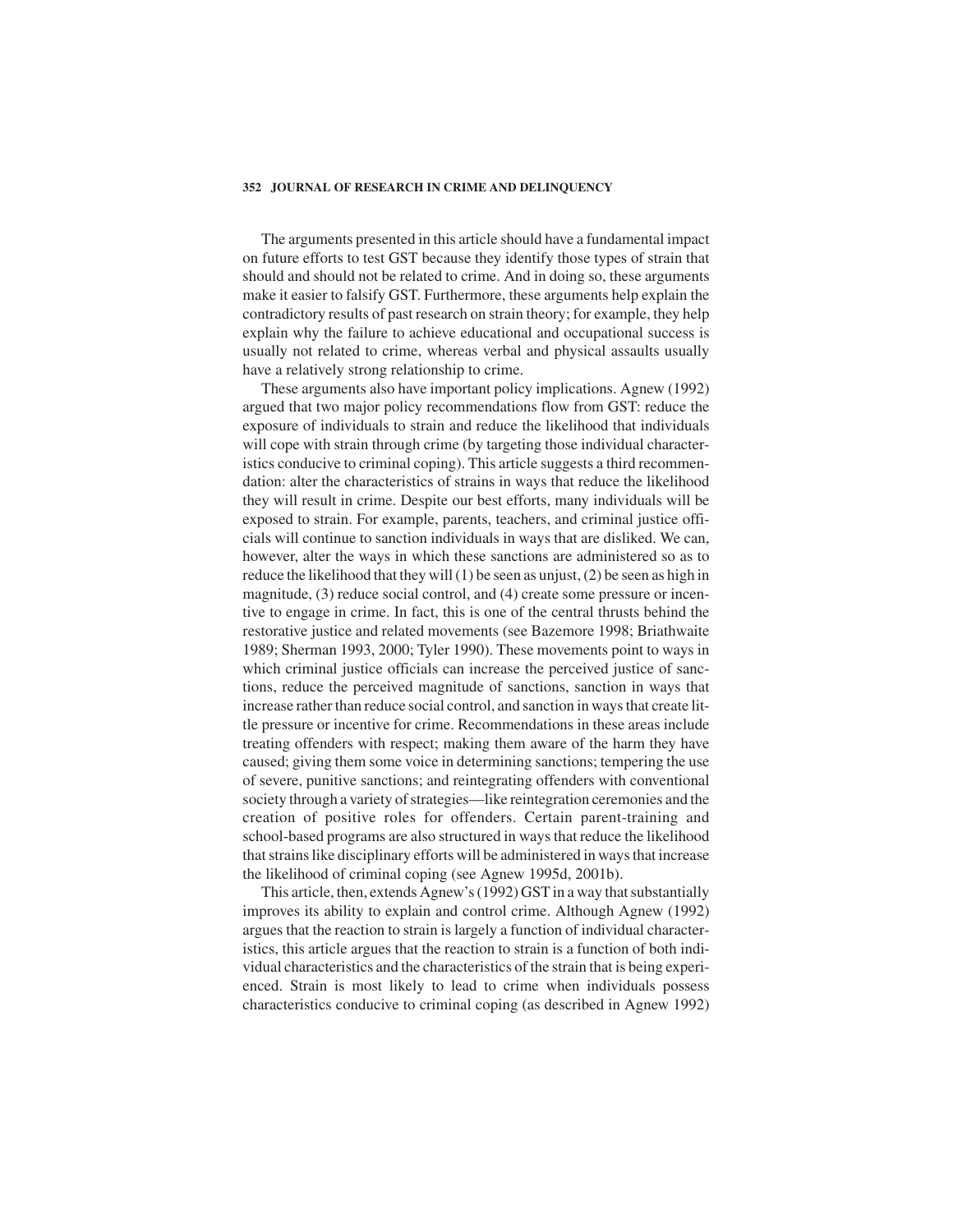The arguments presented in this article should have a fundamental impact on future efforts to test GST because they identify those types of strain that should and should not be related to crime. And in doing so, these arguments make it easier to falsify GST. Furthermore, these arguments help explain the contradictory results of past research on strain theory; for example, they help explain why the failure to achieve educational and occupational success is usually not related to crime, whereas verbal and physical assaults usually have a relatively strong relationship to crime.

These arguments also have important policy implications. Agnew(1992) argued that two major policy recommendations flow from GST: reduce the exposure of individuals to strain and reduce the likelihood that individuals will cope with strain through crime (by targeting those individual characteristics conducive to criminal coping). This article suggests a third recommendation: alter the characteristics of strains in ways that reduce the likelihood they will result in crime. Despite our best efforts, many individuals will be exposed to strain. For example, parents, teachers, and criminal justice officials will continue to sanction individuals in ways that are disliked. We can, however, alter the ways in which these sanctions are administered so as to reduce the likelihood that they will (1) be seen as unjust, (2) be seen as high in magnitude, (3) reduce social control, and (4) create some pressure or incentive to engage in crime. In fact, this is one of the central thrusts behind the restorative justice and related movements (see Bazemore 1998; Briathwaite 1989; Sherman 1993, 2000; Tyler 1990). These movements point to ways in which criminal justice officials can increase the perceived justice of sanctions, reduce the perceived magnitude of sanctions, sanction in ways that increase rather than reduce social control, and sanction in ways that create little pressure or incentive for crime. Recommendations in these areas include treating offenders with respect; making them aware of the harm they have caused; giving them some voice in determining sanctions; tempering the use of severe, punitive sanctions; and reintegrating offenders with conventional society through a variety of strategies—like reintegration ceremonies and the creation of positive roles for offenders. Certain parent-training and school-based programs are also structured in ways that reduce the likelihood that strains like disciplinary efforts will be administered in ways that increase the likelihood of criminal coping (see Agnew 1995d, 2001b).

This article, then, extends Agnew's (1992) GST in a way that substantially improves its ability to explain and control crime. Although Agnew (1992) argues that the reaction to strain is largely a function of individual characteristics, this article argues that the reaction to strain is a function of both individual characteristics and the characteristics of the strain that is being experienced. Strain is most likely to lead to crime when individuals possess characteristics conducive to criminal coping (as described in Agnew1992)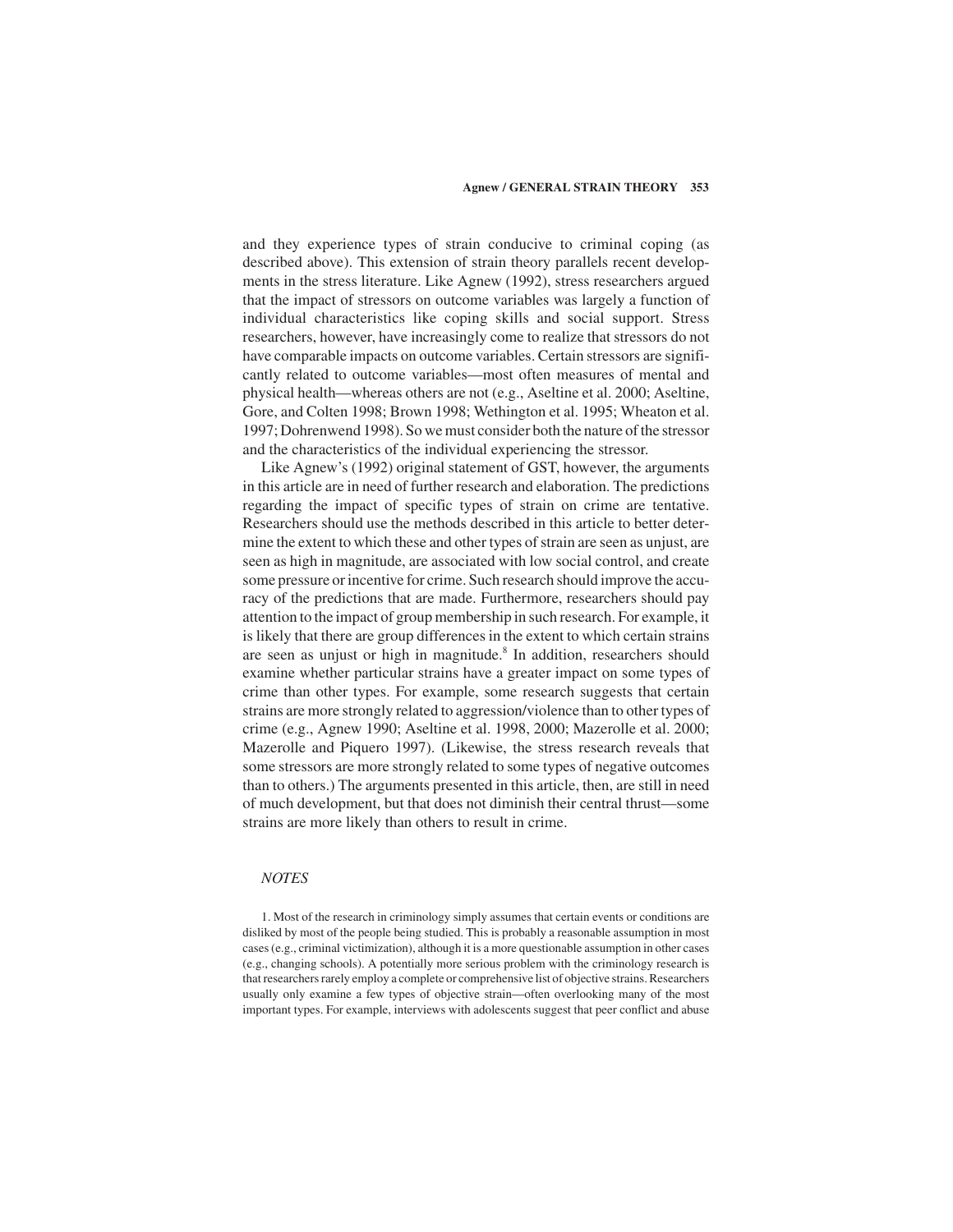and they experience types of strain conducive to criminal coping (as described above). This extension of strain theory parallels recent developments in the stress literature. Like Agnew (1992), stress researchers argued that the impact of stressors on outcome variables was largely a function of individual characteristics like coping skills and social support. Stress researchers, however, have increasingly come to realize that stressors do not have comparable impacts on outcome variables. Certain stressors are significantly related to outcome variables—most often measures of mental and physical health—whereas others are not (e.g., Aseltine et al. 2000; Aseltine, Gore, and Colten 1998; Brown 1998; Wethington et al. 1995; Wheaton et al. 1997; Dohrenwend 1998). So we must consider both the nature of the stressor and the characteristics of the individual experiencing the stressor.

Like Agnew's (1992) original statement of GST, however, the arguments in this article are in need of further research and elaboration. The predictions regarding the impact of specific types of strain on crime are tentative. Researchers should use the methods described in this article to better determine the extent to which these and other types of strain are seen as unjust, are seen as high in magnitude, are associated with low social control, and create some pressure or incentive for crime. Such research should improve the accuracy of the predictions that are made. Furthermore, researchers should pay attention to the impact of group membership in such research. For example, it is likely that there are group differences in the extent to which certain strains are seen as unjust or high in magnitude.<sup>8</sup> In addition, researchers should examine whether particular strains have a greater impact on some types of crime than other types. For example, some research suggests that certain strains are more strongly related to aggression/violence than to other types of crime (e.g., Agnew1990; Aseltine et al. 1998, 2000; Mazerolle et al. 2000; Mazerolle and Piquero 1997). (Likewise, the stress research reveals that some stressors are more strongly related to some types of negative outcomes than to others.) The arguments presented in this article, then, are still in need of much development, but that does not diminish their central thrust—some strains are more likely than others to result in crime.

#### *NOTES*

1. Most of the research in criminology simply assumes that certain events or conditions are disliked by most of the people being studied. This is probably a reasonable assumption in most cases (e.g., criminal victimization), although it is a more questionable assumption in other cases (e.g., changing schools). A potentially more serious problem with the criminology research is that researchers rarely employ a complete or comprehensive list of objective strains. Researchers usually only examine a fewtypes of objective strain—often overlooking many of the most important types. For example, interviews with adolescents suggest that peer conflict and abuse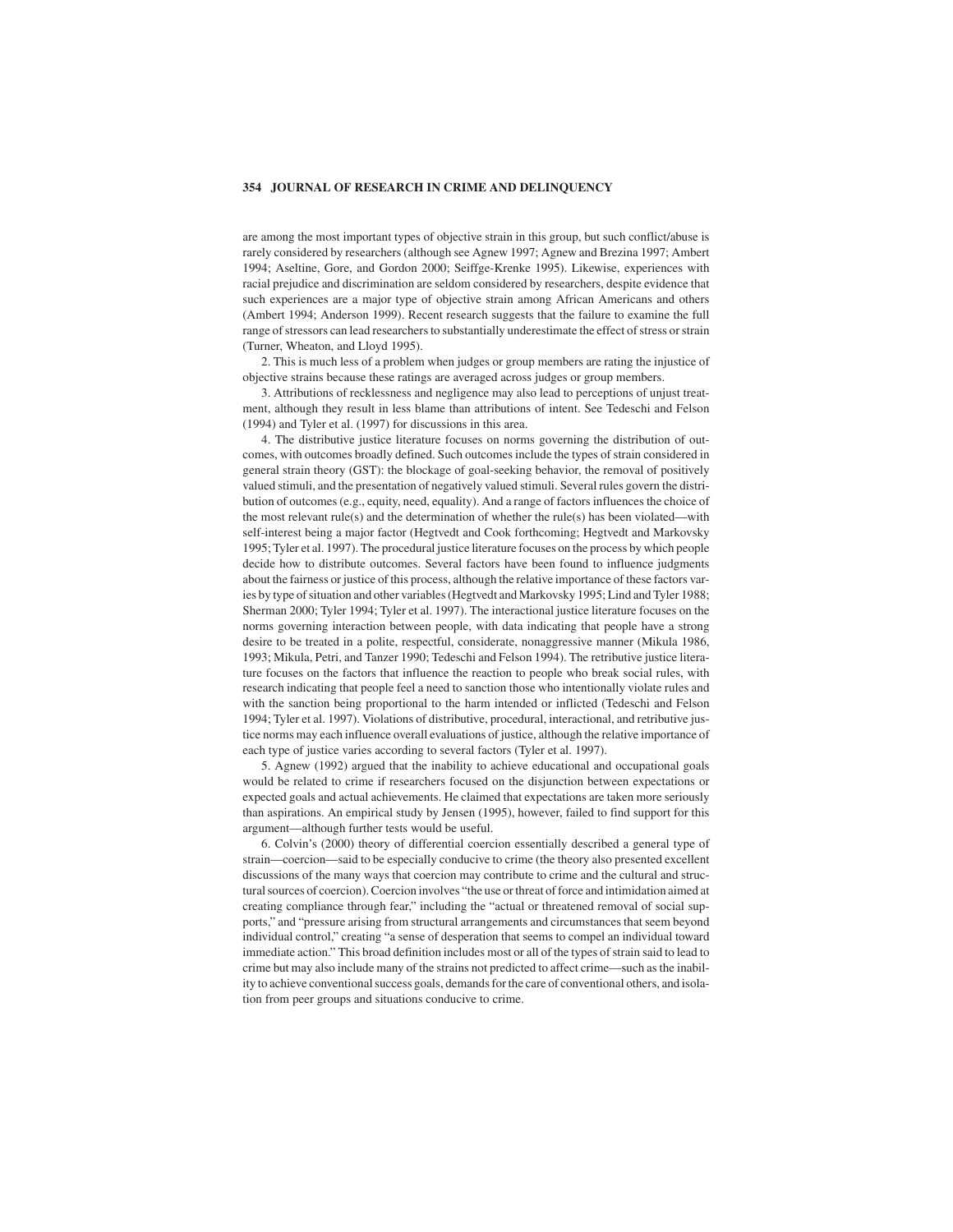are among the most important types of objective strain in this group, but such conflict/abuse is rarely considered by researchers (although see Agnew1997; Agnewand Brezina 1997; Ambert 1994; Aseltine, Gore, and Gordon 2000; Seiffge-Krenke 1995). Likewise, experiences with racial prejudice and discrimination are seldom considered by researchers, despite evidence that such experiences are a major type of objective strain among African Americans and others (Ambert 1994; Anderson 1999). Recent research suggests that the failure to examine the full range of stressors can lead researchers to substantially underestimate the effect of stress or strain (Turner, Wheaton, and Lloyd 1995).

2. This is much less of a problem when judges or group members are rating the injustice of objective strains because these ratings are averaged across judges or group members.

3. Attributions of recklessness and negligence may also lead to perceptions of unjust treatment, although they result in less blame than attributions of intent. See Tedeschi and Felson (1994) and Tyler et al. (1997) for discussions in this area.

4. The distributive justice literature focuses on norms governing the distribution of outcomes, with outcomes broadly defined. Such outcomes include the types of strain considered in general strain theory (GST): the blockage of goal-seeking behavior, the removal of positively valued stimuli, and the presentation of negatively valued stimuli. Several rules govern the distribution of outcomes (e.g., equity, need, equality). And a range of factors influences the choice of the most relevant rule(s) and the determination of whether the rule(s) has been violated—with self-interest being a major factor (Hegtvedt and Cook forthcoming; Hegtvedt and Markovsky 1995; Tyler et al. 1997). The procedural justice literature focuses on the process by which people decide howto distribute outcomes. Several factors have been found to influence judgments about the fairness or justice of this process, although the relative importance of these factors varies by type of situation and other variables (Hegtvedt and Markovsky 1995; Lind and Tyler 1988; Sherman 2000; Tyler 1994; Tyler et al. 1997). The interactional justice literature focuses on the norms governing interaction between people, with data indicating that people have a strong desire to be treated in a polite, respectful, considerate, nonaggressive manner (Mikula 1986, 1993; Mikula, Petri, and Tanzer 1990; Tedeschi and Felson 1994). The retributive justice literature focuses on the factors that influence the reaction to people who break social rules, with research indicating that people feel a need to sanction those who intentionally violate rules and with the sanction being proportional to the harm intended or inflicted (Tedeschi and Felson 1994; Tyler et al. 1997). Violations of distributive, procedural, interactional, and retributive justice norms may each influence overall evaluations of justice, although the relative importance of each type of justice varies according to several factors (Tyler et al. 1997).

5. Agnew(1992) argued that the inability to achieve educational and occupational goals would be related to crime if researchers focused on the disjunction between expectations or expected goals and actual achievements. He claimed that expectations are taken more seriously than aspirations. An empirical study by Jensen (1995), however, failed to find support for this argument—although further tests would be useful.

6. Colvin's (2000) theory of differential coercion essentially described a general type of strain—coercion—said to be especially conducive to crime (the theory also presented excellent discussions of the many ways that coercion may contribute to crime and the cultural and structural sources of coercion). Coercion involves "the use or threat of force and intimidation aimed at creating compliance through fear," including the "actual or threatened removal of social supports," and "pressure arising from structural arrangements and circumstances that seem beyond individual control," creating "a sense of desperation that seems to compel an individual toward immediate action." This broad definition includes most or all of the types of strain said to lead to crime but may also include many of the strains not predicted to affect crime—such as the inability to achieve conventional success goals, demands for the care of conventional others, and isolation from peer groups and situations conducive to crime.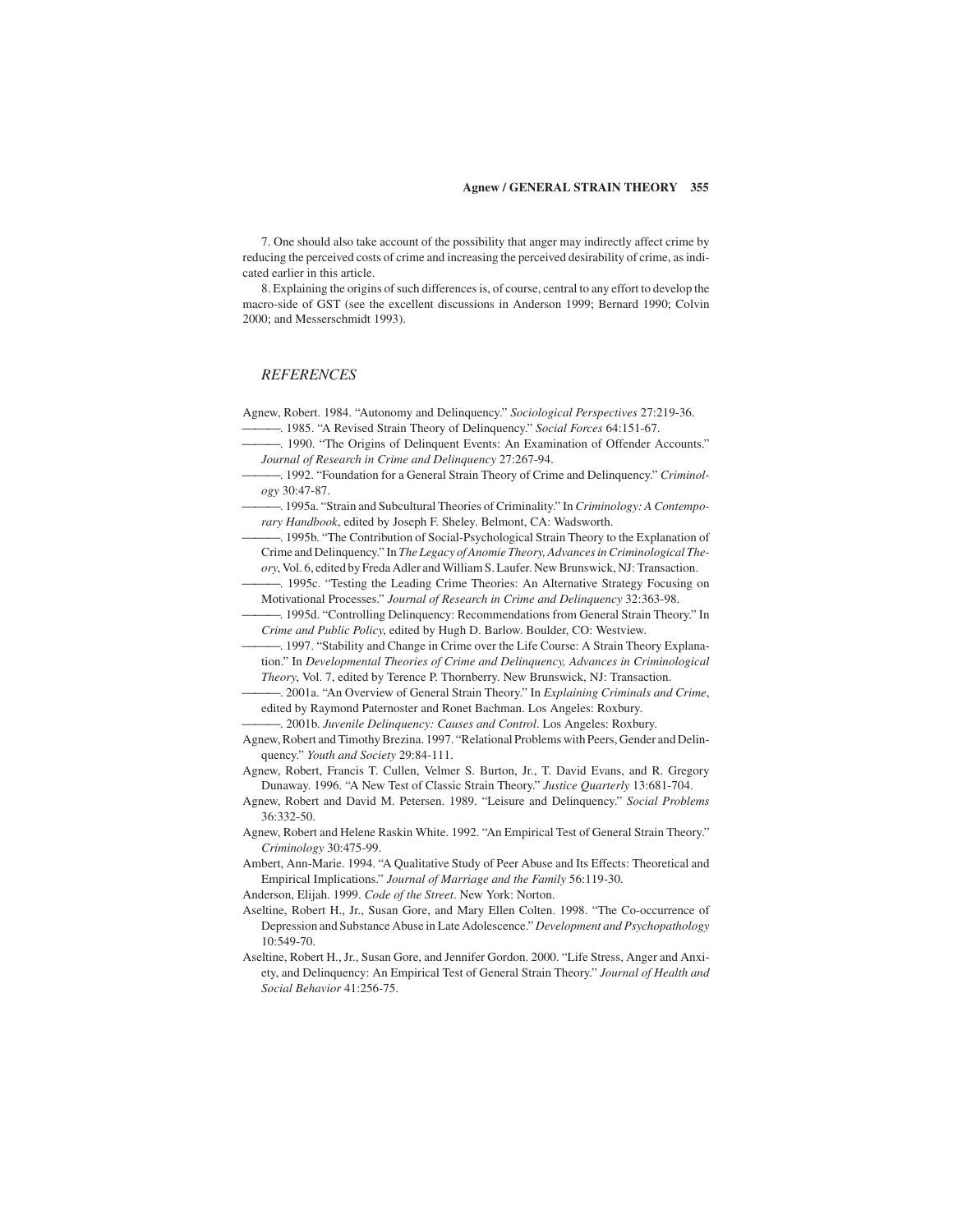#### **Agnew / GENERAL STRAIN THEORY 355**

7. One should also take account of the possibility that anger may indirectly affect crime by reducing the perceived costs of crime and increasing the perceived desirability of crime, as indicated earlier in this article.

8. Explaining the origins of such differences is, of course, central to any effort to develop the macro-side of GST (see the excellent discussions in Anderson 1999; Bernard 1990; Colvin 2000; and Messerschmidt 1993).

## *REFERENCES*

Agnew, Robert. 1984. "Autonomy and Delinquency." *Sociological Perspectives* 27:219-36. . 1985. "A Revised Strain Theory of Delinquency." *Social Forces* 64:151-67.

- . 1990. "The Origins of Delinquent Events: An Examination of Offender Accounts." *Journal of Research in Crime and Delinquency* 27:267-94.
- . 1992. "Foundation for a General Strain Theory of Crime and Delinquency." *Criminology* 30:47-87.
- . 1995a. "Strain and Subcultural Theories of Criminality." In *Criminology: A Contemporary Handbook*, edited by Joseph F. Sheley. Belmont, CA: Wadsworth.
- . 1995b. "The Contribution of Social-Psychological Strain Theory to the Explanation of Crime and Delinquency." In *The Legacy of Anomie Theory, Advances in Criminological The-*
- *ory*, Vol. 6, edited by Freda Adler and William S. Laufer. NewBrunswick, NJ: Transaction. . 1995c. "Testing the Leading Crime Theories: An Alternative Strategy Focusing on
- Motivational Processes." *Journal of Research in Crime and Delinquency* 32:363-98. . 1995d. "Controlling Delinquency: Recommendations from General Strain Theory." In
- *Crime and Public Policy*, edited by Hugh D. Barlow. Boulder, CO: Westview.
- . 1997. "Stability and Change in Crime over the Life Course: A Strain Theory Explanation." In *Developmental Theories of Crime and Delinquency, Advances in Criminological Theory*, Vol. 7, edited by Terence P. Thornberry. New Brunswick, NJ: Transaction.
- . 2001a. "An Overviewof General Strain Theory." In *Explaining Criminals and Crime*, edited by Raymond Paternoster and Ronet Bachman. Los Angeles: Roxbury.
- . 2001b. *Juvenile Delinquency: Causes and Control*. Los Angeles: Roxbury.
- Agnew, Robert and Timothy Brezina. 1997. "Relational Problems with Peers, Gender and Delinquency." *Youth and Society* 29:84-111.
- Agnew, Robert, Francis T. Cullen, Velmer S. Burton, Jr., T. David Evans, and R. Gregory Dunaway. 1996. "A New Test of Classic Strain Theory." *Justice Quarterly* 13:681-704.
- Agnew, Robert and David M. Petersen. 1989. "Leisure and Delinquency." *Social Problems* 36:332-50.
- Agnew, Robert and Helene Raskin White. 1992. "An Empirical Test of General Strain Theory." *Criminology* 30:475-99.
- Ambert, Ann-Marie. 1994. "A Qualitative Study of Peer Abuse and Its Effects: Theoretical and Empirical Implications." *Journal of Marriage and the Family* 56:119-30.

Anderson, Elijah. 1999. *Code of the Street*. New York: Norton.

- Aseltine, Robert H., Jr., Susan Gore, and Mary Ellen Colten. 1998. "The Co-occurrence of Depression and Substance Abuse in Late Adolescence." *Development and Psychopathology* 10:549-70.
- Aseltine, Robert H., Jr., Susan Gore, and Jennifer Gordon. 2000. "Life Stress, Anger and Anxiety, and Delinquency: An Empirical Test of General Strain Theory." *Journal of Health and Social Behavior* 41:256-75.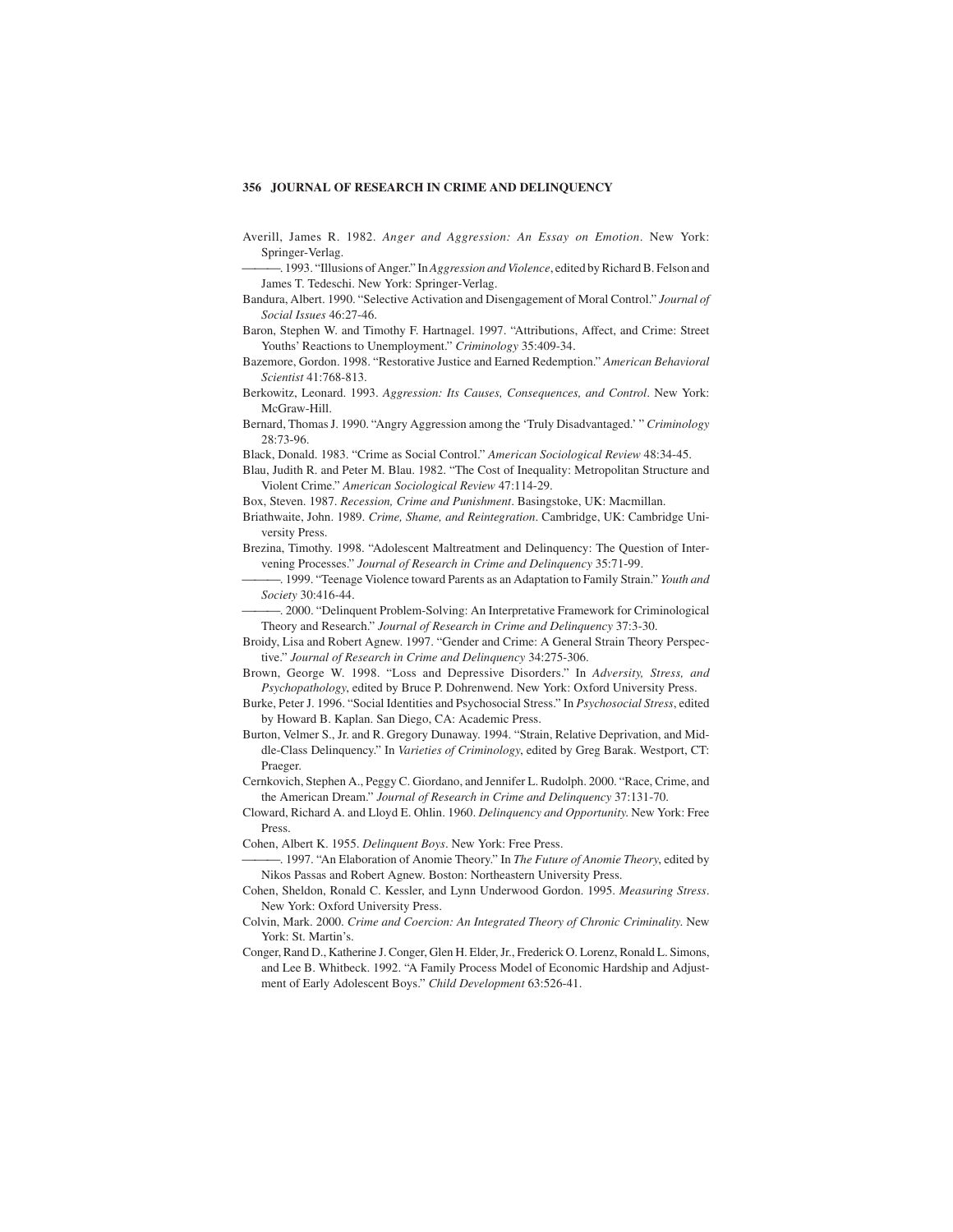Averill, James R. 1982. *Anger and Aggression: An Essay on Emotion*. New York: Springer-Verlag.

. 1993. "Illusions of Anger." In*Aggression and Violence*, edited by Richard B. Felson and James T. Tedeschi. New York: Springer-Verlag.

Bandura, Albert. 1990. "Selective Activation and Disengagement of Moral Control." *Journal of Social Issues* 46:27-46.

Baron, Stephen W. and Timothy F. Hartnagel. 1997. "Attributions, Affect, and Crime: Street Youths' Reactions to Unemployment." *Criminology* 35:409-34.

- Bazemore, Gordon. 1998. "Restorative Justice and Earned Redemption." *American Behavioral Scientist* 41:768-813.
- Berkowitz, Leonard. 1993. *Aggression: Its Causes, Consequences, and Control*. New York: McGraw-Hill.
- Bernard, Thomas J. 1990. "Angry Aggression among the 'Truly Disadvantaged.' " *Criminology* 28:73-96.

Black, Donald. 1983. "Crime as Social Control." *American Sociological Review* 48:34-45.

Blau, Judith R. and Peter M. Blau. 1982. "The Cost of Inequality: Metropolitan Structure and Violent Crime." *American Sociological Review* 47:114-29.

Box, Steven. 1987. *Recession, Crime and Punishment*. Basingstoke, UK: Macmillan.

Briathwaite, John. 1989. *Crime, Shame, and Reintegration*. Cambridge, UK: Cambridge University Press.

Brezina, Timothy. 1998. "Adolescent Maltreatment and Delinquency: The Question of Intervening Processes." *Journal of Research in Crime and Delinquency* 35:71-99.

- . 1999. "Teenage Violence toward Parents as an Adaptation to Family Strain." *Youth and Society* 30:416-44.
- . 2000. "Delinquent Problem-Solving: An Interpretative Framework for Criminological Theory and Research." *Journal of Research in Crime and Delinquency* 37:3-30.

Broidy, Lisa and Robert Agnew. 1997. "Gender and Crime: A General Strain Theory Perspective." *Journal of Research in Crime and Delinquency* 34:275-306.

- Brown, George W. 1998. "Loss and Depressive Disorders." In *Adversity, Stress, and Psychopathology*, edited by Bruce P. Dohrenwend. New York: Oxford University Press.
- Burke, Peter J. 1996. "Social Identities and Psychosocial Stress." In *Psychosocial Stress*, edited by Howard B. Kaplan. San Diego, CA: Academic Press.
- Burton, Velmer S., Jr. and R. Gregory Dunaway. 1994. "Strain, Relative Deprivation, and Middle-Class Delinquency." In *Varieties of Criminology*, edited by Greg Barak. Westport, CT: Praeger.

Cernkovich, Stephen A., Peggy C. Giordano, and Jennifer L. Rudolph. 2000. "Race, Crime, and the American Dream." *Journal of Research in Crime and Delinquency* 37:131-70.

Cloward, Richard A. and Lloyd E. Ohlin. 1960. *Delinquency and Opportunity*. NewYork: Free Press.

Cohen, Albert K. 1955. *Delinquent Boys*. New York: Free Press.

. 1997. "An Elaboration of Anomie Theory." In *The Future of Anomie Theory*, edited by Nikos Passas and Robert Agnew. Boston: Northeastern University Press.

Cohen, Sheldon, Ronald C. Kessler, and Lynn Underwood Gordon. 1995. *Measuring Stress*. New York: Oxford University Press.

Colvin, Mark. 2000. *Crime and Coercion: An Integrated Theory of Chronic Criminality*. New York: St. Martin's.

Conger, Rand D., Katherine J. Conger, Glen H. Elder, Jr., Frederick O. Lorenz, Ronald L. Simons, and Lee B. Whitbeck. 1992. "A Family Process Model of Economic Hardship and Adjustment of Early Adolescent Boys." *Child Development* 63:526-41.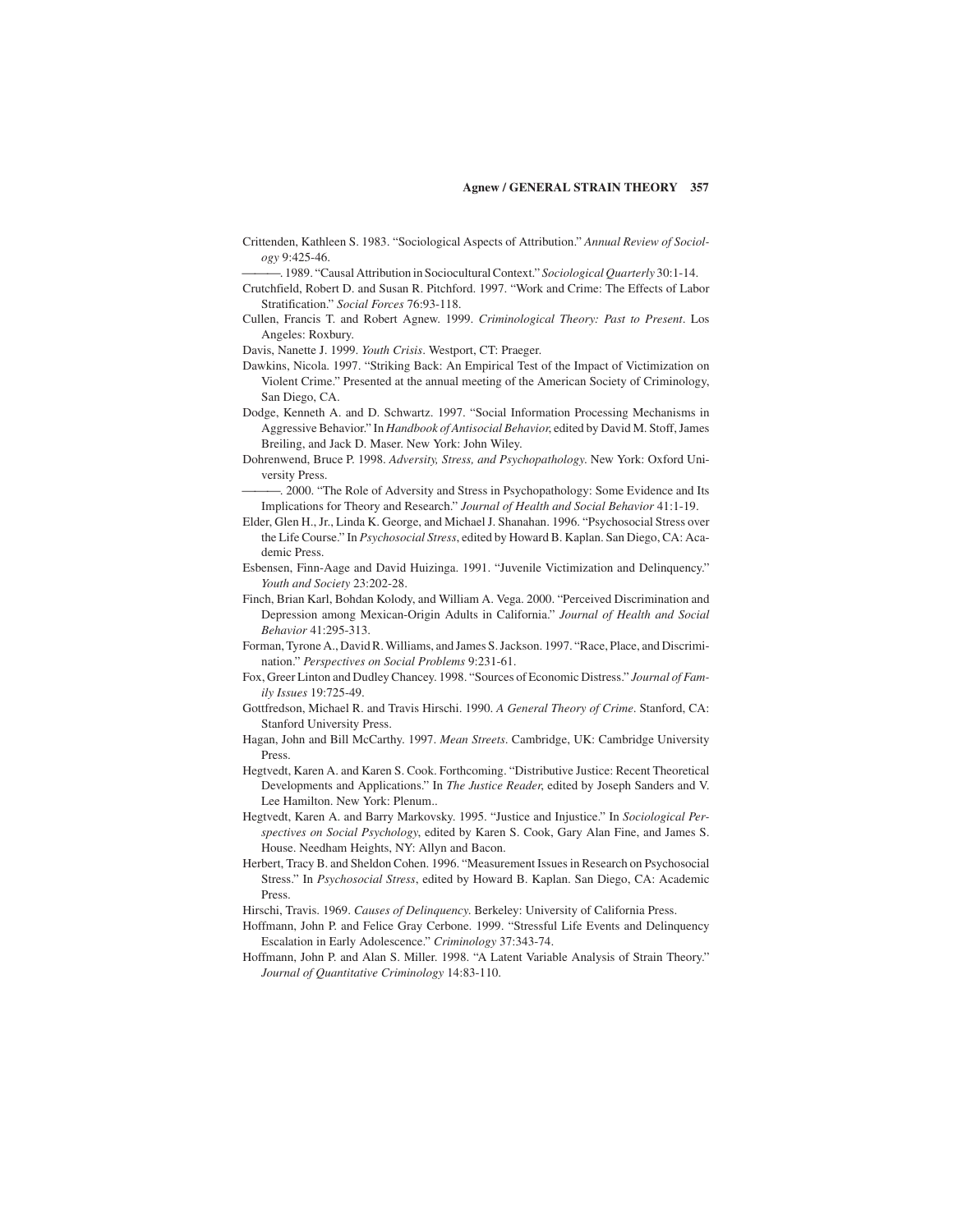Crittenden, Kathleen S. 1983. "Sociological Aspects of Attribution." *Annual Review of Sociology* 9:425-46.

. 1989. "Causal Attribution in Sociocultural Context." *Sociological Quarterly* 30:1-14.

- Crutchfield, Robert D. and Susan R. Pitchford. 1997. "Work and Crime: The Effects of Labor Stratification." *Social Forces* 76:93-118.
- Cullen, Francis T. and Robert Agnew. 1999. *Criminological Theory: Past to Present*. Los Angeles: Roxbury.

Davis, Nanette J. 1999. *Youth Crisis*. Westport, CT: Praeger.

- Dawkins, Nicola. 1997. "Striking Back: An Empirical Test of the Impact of Victimization on Violent Crime." Presented at the annual meeting of the American Society of Criminology, San Diego, CA.
- Dodge, Kenneth A. and D. Schwartz. 1997. "Social Information Processing Mechanisms in Aggressive Behavior." In *Handbook of Antisocial Behavior*, edited by David M. Stoff, James Breiling, and Jack D. Maser. New York: John Wiley.
- Dohrenwend, Bruce P. 1998. *Adversity, Stress, and Psychopathology*. New York: Oxford University Press.
- . 2000. "The Role of Adversity and Stress in Psychopathology: Some Evidence and Its Implications for Theory and Research." *Journal of Health and Social Behavior* 41:1-19.
- Elder, Glen H., Jr., Linda K. George, and Michael J. Shanahan. 1996. "Psychosocial Stress over the Life Course." In *Psychosocial Stress*, edited by Howard B. Kaplan. San Diego, CA: Academic Press.
- Esbensen, Finn-Aage and David Huizinga. 1991. "Juvenile Victimization and Delinquency." *Youth and Society* 23:202-28.
- Finch, Brian Karl, Bohdan Kolody, and William A. Vega. 2000. "Perceived Discrimination and Depression among Mexican-Origin Adults in California." *Journal of Health and Social Behavior* 41:295-313.
- Forman, Tyrone A., David R. Williams, and James S. Jackson. 1997. "Race, Place, and Discrimination." *Perspectives on Social Problems* 9:231-61.
- Fox, Greer Linton and Dudley Chancey. 1998. "Sources of Economic Distress." *Journal of Family Issues* 19:725-49.
- Gottfredson, Michael R. and Travis Hirschi. 1990. *A General Theory of Crime*. Stanford, CA: Stanford University Press.
- Hagan, John and Bill McCarthy. 1997. *Mean Streets*. Cambridge, UK: Cambridge University Press.
- Hegtvedt, Karen A. and Karen S. Cook. Forthcoming. "Distributive Justice: Recent Theoretical Developments and Applications." In *The Justice Reader*, edited by Joseph Sanders and V. Lee Hamilton. New York: Plenum..
- Hegtvedt, Karen A. and Barry Markovsky. 1995. "Justice and Injustice." In *Sociological Perspectives on Social Psychology*, edited by Karen S. Cook, Gary Alan Fine, and James S. House. Needham Heights, NY: Allyn and Bacon.
- Herbert, Tracy B. and Sheldon Cohen. 1996. "Measurement Issues in Research on Psychosocial Stress." In *Psychosocial Stress*, edited by Howard B. Kaplan. San Diego, CA: Academic Press.
- Hirschi, Travis. 1969. *Causes of Delinquency*. Berkeley: University of California Press.
- Hoffmann, John P. and Felice Gray Cerbone. 1999. "Stressful Life Events and Delinquency Escalation in Early Adolescence." *Criminology* 37:343-74.
- Hoffmann, John P. and Alan S. Miller. 1998. "A Latent Variable Analysis of Strain Theory." *Journal of Quantitative Criminology* 14:83-110.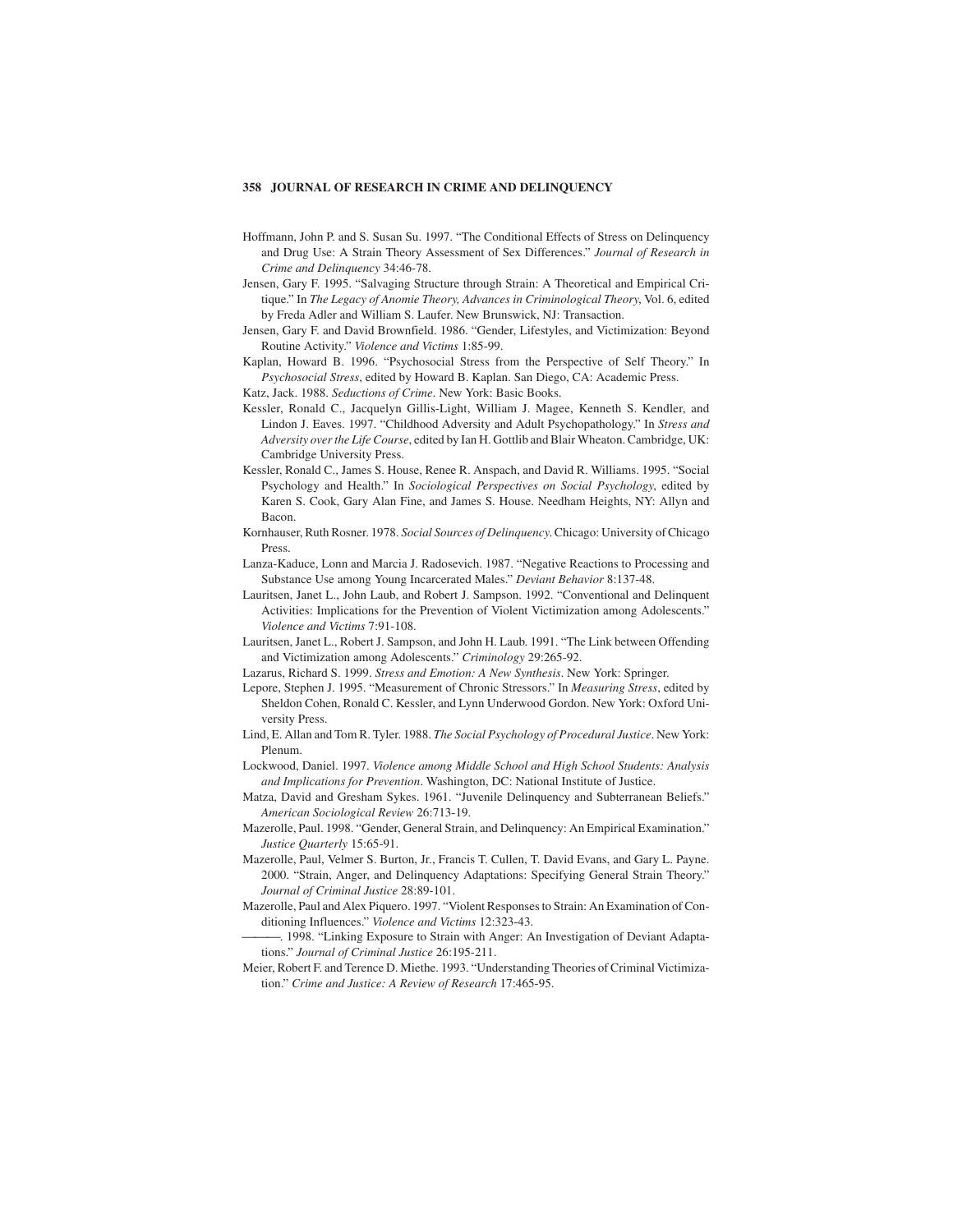- Hoffmann, John P. and S. Susan Su. 1997. "The Conditional Effects of Stress on Delinquency and Drug Use: A Strain Theory Assessment of Sex Differences." *Journal of Research in Crime and Delinquency* 34:46-78.
- Jensen, Gary F. 1995. "Salvaging Structure through Strain: A Theoretical and Empirical Critique." In *The Legacy of Anomie Theory, Advances in Criminological Theory*, Vol. 6, edited by Freda Adler and William S. Laufer. New Brunswick, NJ: Transaction.
- Jensen, Gary F. and David Brownfield. 1986. "Gender, Lifestyles, and Victimization: Beyond Routine Activity." *Violence and Victims* 1:85-99.

Kaplan, Howard B. 1996. "Psychosocial Stress from the Perspective of Self Theory." In *Psychosocial Stress*, edited by Howard B. Kaplan. San Diego, CA: Academic Press.

- Katz, Jack. 1988. *Seductions of Crime*. New York: Basic Books.
- Kessler, Ronald C., Jacquelyn Gillis-Light, William J. Magee, Kenneth S. Kendler, and Lindon J. Eaves. 1997. "Childhood Adversity and Adult Psychopathology." In *Stress and Adversity over the Life Course*, edited by Ian H. Gottlib and Blair Wheaton. Cambridge, UK: Cambridge University Press.
- Kessler, Ronald C., James S. House, Renee R. Anspach, and David R. Williams. 1995. "Social Psychology and Health." In *Sociological Perspectives on Social Psychology*, edited by Karen S. Cook, Gary Alan Fine, and James S. House. Needham Heights, NY: Allyn and Bacon.
- Kornhauser, Ruth Rosner. 1978. *Social Sources of Delinquency*. Chicago: University of Chicago Press.
- Lanza-Kaduce, Lonn and Marcia J. Radosevich. 1987. "Negative Reactions to Processing and Substance Use among Young Incarcerated Males." *Deviant Behavior* 8:137-48.
- Lauritsen, Janet L., John Laub, and Robert J. Sampson. 1992. "Conventional and Delinquent Activities: Implications for the Prevention of Violent Victimization among Adolescents." *Violence and Victims* 7:91-108.
- Lauritsen, Janet L., Robert J. Sampson, and John H. Laub. 1991. "The Link between Offending and Victimization among Adolescents." *Criminology* 29:265-92.
- Lazarus, Richard S. 1999. *Stress and Emotion: A New Synthesis*. New York: Springer.
- Lepore, Stephen J. 1995. "Measurement of Chronic Stressors." In *Measuring Stress*, edited by Sheldon Cohen, Ronald C. Kessler, and Lynn Underwood Gordon. New York: Oxford University Press.
- Lind, E. Allan and Tom R. Tyler. 1988. *The Social Psychology of Procedural Justice*. New York: Plenum.
- Lockwood, Daniel. 1997. *Violence among Middle School and High School Students: Analysis and Implications for Prevention*. Washington, DC: National Institute of Justice.
- Matza, David and Gresham Sykes. 1961. "Juvenile Delinquency and Subterranean Beliefs." *American Sociological Review* 26:713-19.
- Mazerolle, Paul. 1998. "Gender, General Strain, and Delinquency: An Empirical Examination." *Justice Quarterly* 15:65-91.
- Mazerolle, Paul, Velmer S. Burton, Jr., Francis T. Cullen, T. David Evans, and Gary L. Payne. 2000. "Strain, Anger, and Delinquency Adaptations: Specifying General Strain Theory." *Journal of Criminal Justice* 28:89-101.
- Mazerolle, Paul and Alex Piquero. 1997. "Violent Responses to Strain: An Examination of Conditioning Influences." *Violence and Victims* 12:323-43.
- . 1998. "Linking Exposure to Strain with Anger: An Investigation of Deviant Adaptations." *Journal of Criminal Justice* 26:195-211.
- Meier, Robert F. and Terence D. Miethe. 1993. "Understanding Theories of Criminal Victimization." *Crime and Justice: A Review of Research* 17:465-95.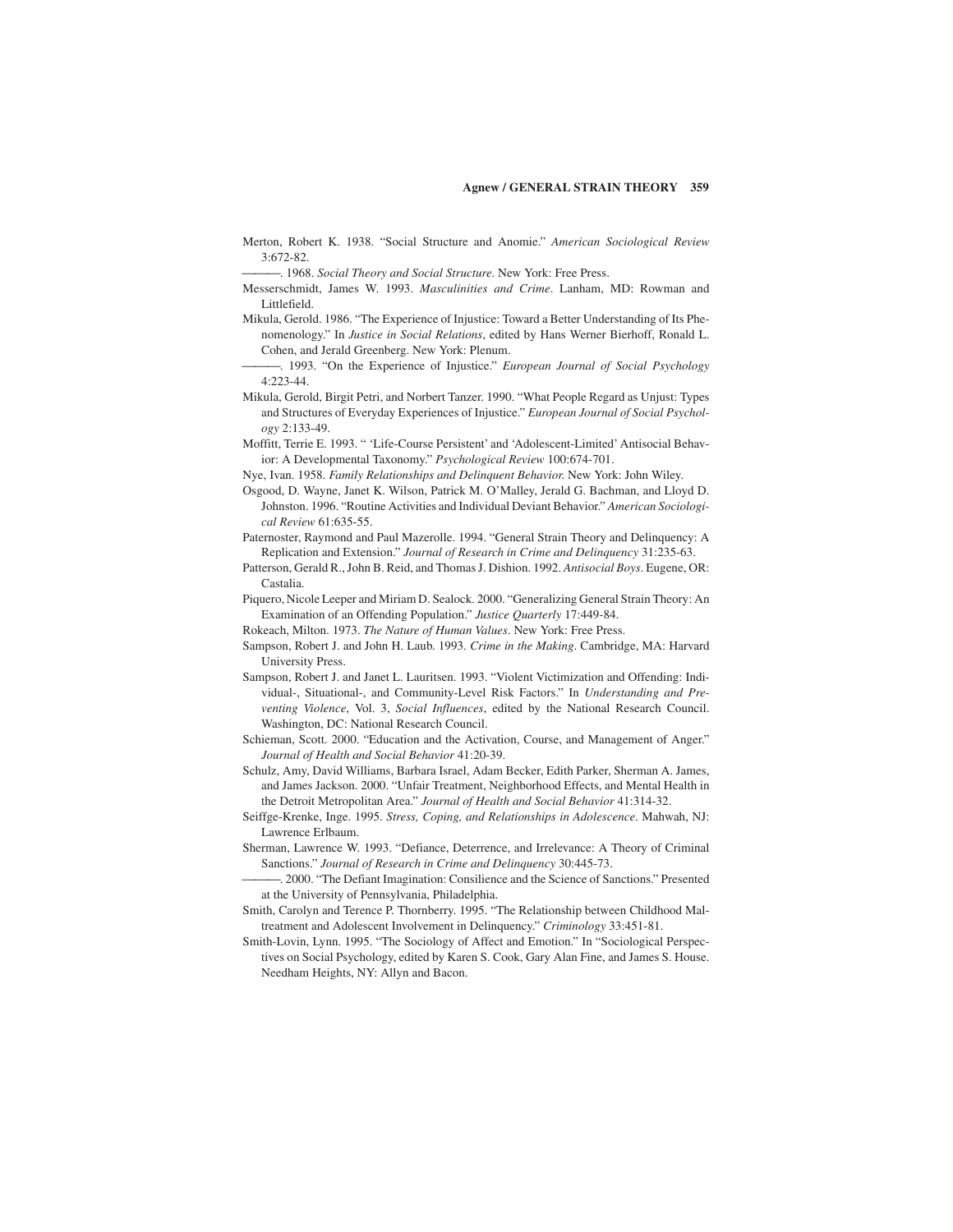Merton, Robert K. 1938. "Social Structure and Anomie." *American Sociological Review* 3:672-82.

. 1968. *Social Theory and Social Structure*. New York: Free Press.

- Messerschmidt, James W. 1993. *Masculinities and Crime*. Lanham, MD: Rowman and Littlefield.
- Mikula, Gerold. 1986. "The Experience of Injustice: Toward a Better Understanding of Its Phenomenology." In *Justice in Social Relations*, edited by Hans Werner Bierhoff, Ronald L. Cohen, and Jerald Greenberg. New York: Plenum.
- . 1993. "On the Experience of Injustice." *European Journal of Social Psychology* 4:223-44.
- Mikula, Gerold, Birgit Petri, and Norbert Tanzer. 1990. "What People Regard as Unjust: Types and Structures of Everyday Experiences of Injustice." *European Journal of Social Psychology* 2:133-49.
- Moffitt, Terrie E. 1993. " 'Life-Course Persistent' and 'Adolescent-Limited' Antisocial Behavior: A Developmental Taxonomy." *Psychological Review* 100:674-701.
- Nye, Ivan. 1958. *Family Relationships and Delinquent Behavior*. New York: John Wiley.
- Osgood, D. Wayne, Janet K. Wilson, Patrick M. O'Malley, Jerald G. Bachman, and Lloyd D. Johnston. 1996. "Routine Activities and Individual Deviant Behavior." *American Sociological Review* 61:635-55.
- Paternoster, Raymond and Paul Mazerolle. 1994. "General Strain Theory and Delinquency: A Replication and Extension." *Journal of Research in Crime and Delinquency* 31:235-63.
- Patterson, Gerald R., John B. Reid, and Thomas J. Dishion. 1992. *Antisocial Boys*. Eugene, OR: Castalia.
- Piquero, Nicole Leeper and Miriam D. Sealock. 2000. "Generalizing General Strain Theory: An Examination of an Offending Population." *Justice Quarterly* 17:449-84.
- Rokeach, Milton. 1973. *The Nature of Human Values*. New York: Free Press.
- Sampson, Robert J. and John H. Laub. 1993. *Crime in the Making*. Cambridge, MA: Harvard University Press.
- Sampson, Robert J. and Janet L. Lauritsen. 1993. "Violent Victimization and Offending: Individual-, Situational-, and Community-Level Risk Factors." In *Understanding and Preventing Violence*, Vol. 3, *Social Influences*, edited by the National Research Council. Washington, DC: National Research Council.
- Schieman, Scott. 2000. "Education and the Activation, Course, and Management of Anger." *Journal of Health and Social Behavior* 41:20-39.
- Schulz, Amy, David Williams, Barbara Israel, Adam Becker, Edith Parker, Sherman A. James, and James Jackson. 2000. "Unfair Treatment, Neighborhood Effects, and Mental Health in the Detroit Metropolitan Area." *Journal of Health and Social Behavior* 41:314-32.
- Seiffge-Krenke, Inge. 1995. *Stress, Coping, and Relationships in Adolescence*. Mahwah, NJ: Lawrence Erlbaum.
- Sherman, Lawrence W. 1993. "Defiance, Deterrence, and Irrelevance: A Theory of Criminal Sanctions." *Journal of Research in Crime and Delinquency* 30:445-73.
- . 2000. "The Defiant Imagination: Consilience and the Science of Sanctions." Presented at the University of Pennsylvania, Philadelphia.
- Smith, Carolyn and Terence P. Thornberry. 1995. "The Relationship between Childhood Maltreatment and Adolescent Involvement in Delinquency." *Criminology* 33:451-81.
- Smith-Lovin, Lynn. 1995. "The Sociology of Affect and Emotion." In "Sociological Perspectives on Social Psychology, edited by Karen S. Cook, Gary Alan Fine, and James S. House. Needham Heights, NY: Allyn and Bacon.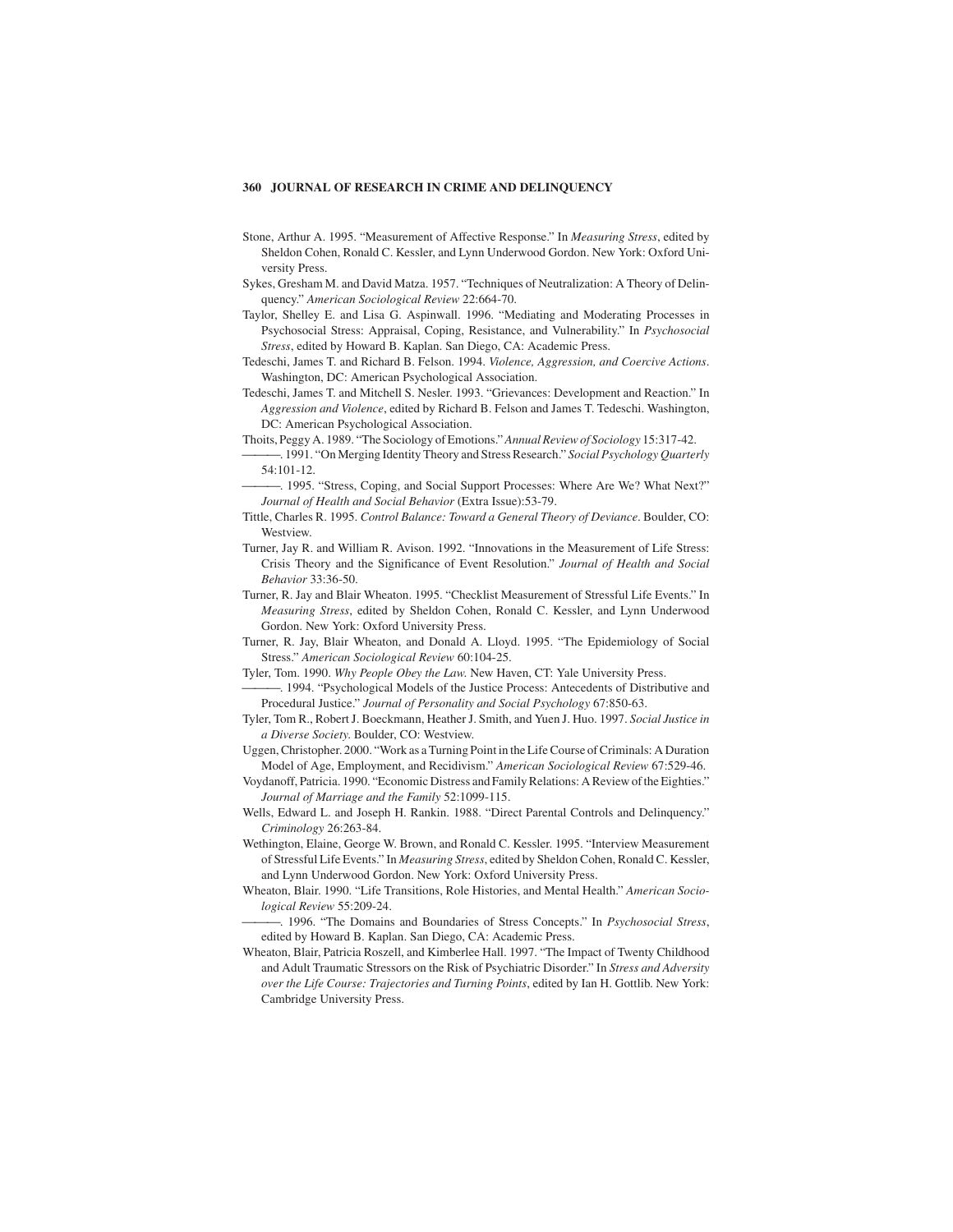- Stone, Arthur A. 1995. "Measurement of Affective Response." In *Measuring Stress*, edited by Sheldon Cohen, Ronald C. Kessler, and Lynn Underwood Gordon. New York: Oxford University Press.
- Sykes, Gresham M. and David Matza. 1957. "Techniques of Neutralization: A Theory of Delinquency." *American Sociological Review* 22:664-70.
- Taylor, Shelley E. and Lisa G. Aspinwall. 1996. "Mediating and Moderating Processes in Psychosocial Stress: Appraisal, Coping, Resistance, and Vulnerability." In *Psychosocial Stress*, edited by Howard B. Kaplan. San Diego, CA: Academic Press.
- Tedeschi, James T. and Richard B. Felson. 1994. *Violence, Aggression, and Coercive Actions*. Washington, DC: American Psychological Association.
- Tedeschi, James T. and Mitchell S. Nesler. 1993. "Grievances: Development and Reaction." In *Aggression and Violence*, edited by Richard B. Felson and James T. Tedeschi. Washington, DC: American Psychological Association.
- Thoits, Peggy A. 1989. "The Sociology of Emotions."*Annual Review of Sociology* 15:317-42.
- . 1991. "On Merging Identity Theory and Stress Research." *Social Psychology Quarterly* 54:101-12.

. 1995. "Stress, Coping, and Social Support Processes: Where Are We? What Next?" *Journal of Health and Social Behavior* (Extra Issue):53-79.

- Tittle, Charles R. 1995. *Control Balance: Toward a General Theory of Deviance*. Boulder, CO: Westview.
- Turner, Jay R. and William R. Avison. 1992. "Innovations in the Measurement of Life Stress: Crisis Theory and the Significance of Event Resolution." *Journal of Health and Social Behavior* 33:36-50.
- Turner, R. Jay and Blair Wheaton. 1995. "Checklist Measurement of Stressful Life Events." In *Measuring Stress*, edited by Sheldon Cohen, Ronald C. Kessler, and Lynn Underwood Gordon. New York: Oxford University Press.
- Turner, R. Jay, Blair Wheaton, and Donald A. Lloyd. 1995. "The Epidemiology of Social Stress." *American Sociological Review* 60:104-25.
- Tyler, Tom. 1990. *Why People Obey the Law*. New Haven, CT: Yale University Press.
- . 1994. "Psychological Models of the Justice Process: Antecedents of Distributive and Procedural Justice." *Journal of Personality and Social Psychology* 67:850-63.
- Tyler, Tom R., Robert J. Boeckmann, Heather J. Smith, and Yuen J. Huo. 1997. *Social Justice in a Diverse Society*. Boulder, CO: Westview.
- Uggen, Christopher. 2000. "Work as a Turning Point in the Life Course of Criminals: A Duration Model of Age, Employment, and Recidivism." *American Sociological Review* 67:529-46.
- Voydanoff, Patricia. 1990. "Economic Distress and Family Relations: A Reviewof the Eighties." *Journal of Marriage and the Family* 52:1099-115.
- Wells, Edward L. and Joseph H. Rankin. 1988. "Direct Parental Controls and Delinquency." *Criminology* 26:263-84.
- Wethington, Elaine, George W. Brown, and Ronald C. Kessler. 1995. "Interview Measurement of Stressful Life Events." In *Measuring Stress*, edited by Sheldon Cohen, Ronald C. Kessler, and Lynn Underwood Gordon. New York: Oxford University Press.
- Wheaton, Blair. 1990. "Life Transitions, Role Histories, and Mental Health." *American Sociological Review* 55:209-24.
- . 1996. "The Domains and Boundaries of Stress Concepts." In *Psychosocial Stress*, edited by Howard B. Kaplan. San Diego, CA: Academic Press.
- Wheaton, Blair, Patricia Roszell, and Kimberlee Hall. 1997. "The Impact of Twenty Childhood and Adult Traumatic Stressors on the Risk of Psychiatric Disorder." In *Stress and Adversity over the Life Course: Trajectories and Turning Points*, edited by Ian H. Gottlib. New York: Cambridge University Press.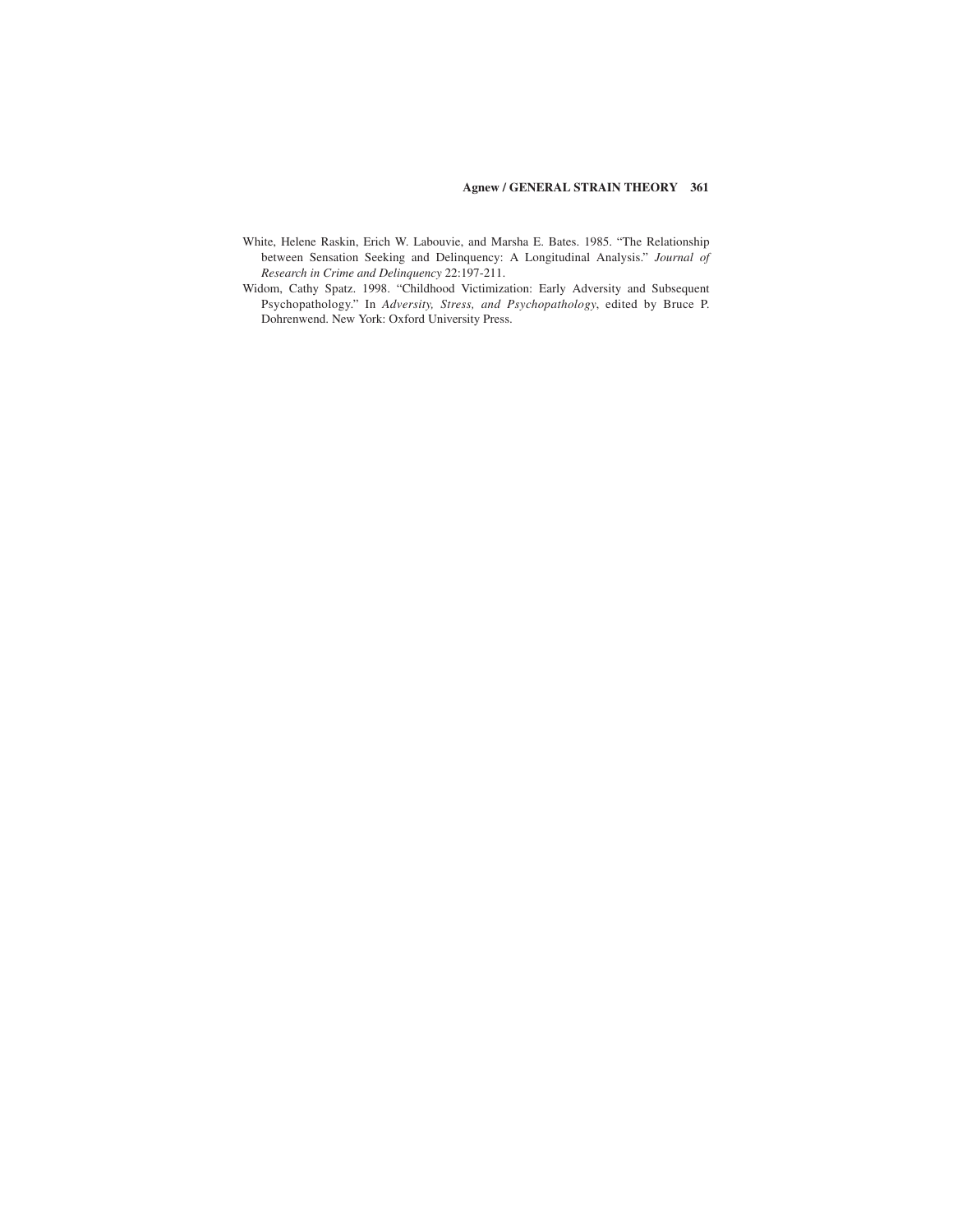## **Agnew / GENERAL STRAIN THEORY 361**

- White, Helene Raskin, Erich W. Labouvie, and Marsha E. Bates. 1985. "The Relationship between Sensation Seeking and Delinquency: A Longitudinal Analysis." *Journal of Research in Crime and Delinquency* 22:197-211.
- Widom, Cathy Spatz. 1998. "Childhood Victimization: Early Adversity and Subsequent Psychopathology." In *Adversity, Stress, and Psychopathology*, edited by Bruce P. Dohrenwend. New York: Oxford University Press.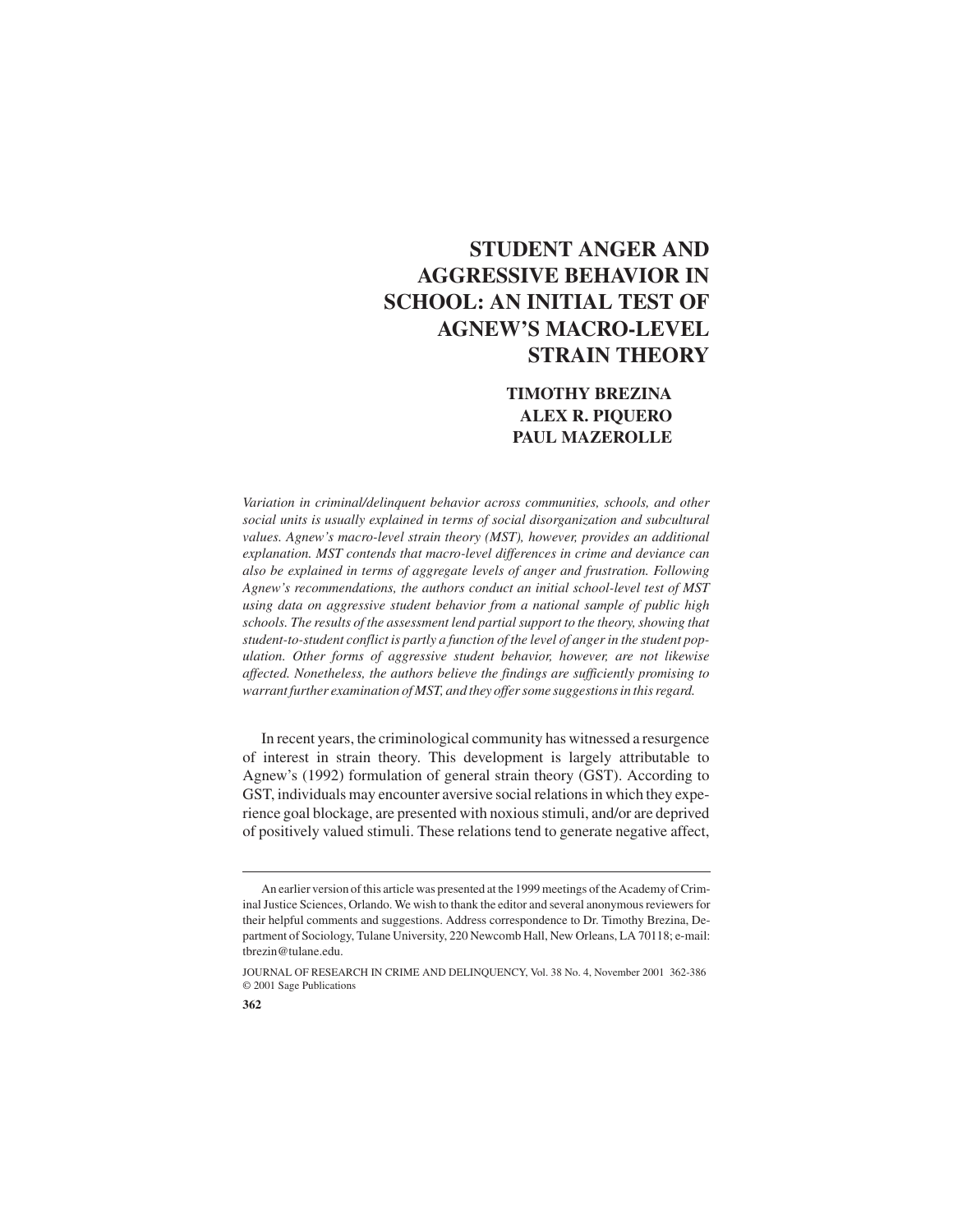## **STUDENT ANGER AND AGGRESSIVE BEHAVIOR IN SCHOOL: AN INITIAL TEST OF AGNEW'S MACRO-LEVEL STRAIN THEORY**

## **TIMOTHY BREZINA ALEX R. PIQUERO PAUL MAZEROLLE**

*Variation in criminal/delinquent behavior across communities, schools, and other social units is usually explained in terms of social disorganization and subcultural values. Agnew's macro-level strain theory (MST), however, provides an additional explanation. MST contends that macro-level differences in crime and deviance can also be explained in terms of aggregate levels of anger and frustration. Following Agnew's recommendations, the authors conduct an initial school-level test of MST using data on aggressive student behavior from a national sample of public high schools. The results of the assessment lend partial support to the theory, showing that student-to-student conflict is partly a function of the level of anger in the student population. Other forms of aggressive student behavior, however, are not likewise affected. Nonetheless, the authors believe the findings are sufficiently promising to warrant further examination of MST, and they offer some suggestions in this regard.*

In recent years, the criminological community has witnessed a resurgence of interest in strain theory. This development is largely attributable to Agnew's (1992) formulation of general strain theory (GST). According to GST, individuals may encounter aversive social relations in which they experience goal blockage, are presented with noxious stimuli, and/or are deprived of positively valued stimuli. These relations tend to generate negative affect,

An earlier version of this article was presented at the 1999 meetings of the Academy of Criminal Justice Sciences, Orlando. We wish to thank the editor and several anonymous reviewers for their helpful comments and suggestions. Address correspondence to Dr. Timothy Brezina, Department of Sociology, Tulane University, 220 Newcomb Hall, New Orleans, LA 70118; e-mail: tbrezin@tulane.edu.

JOURNAL OF RESEARCH IN CRIME AND DELINQUENCY, Vol. 38 No. 4, November 2001 362-386 © 2001 Sage Publications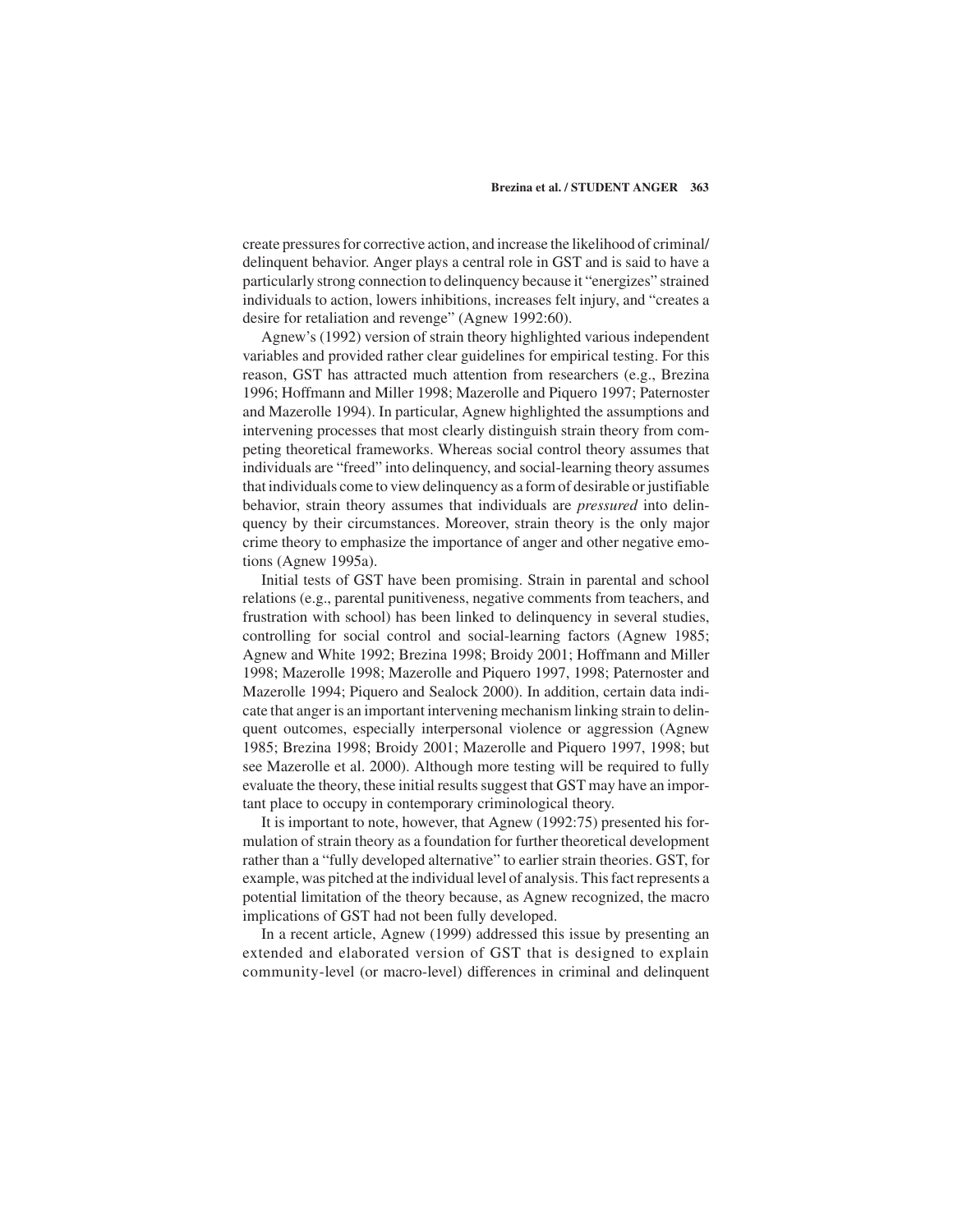create pressures for corrective action, and increase the likelihood of criminal/ delinquent behavior. Anger plays a central role in GST and is said to have a particularly strong connection to delinquency because it "energizes" strained individuals to action, lowers inhibitions, increases felt injury, and "creates a desire for retaliation and revenge" (Agnew 1992:60).

Agnew's (1992) version of strain theory highlighted various independent variables and provided rather clear guidelines for empirical testing. For this reason, GST has attracted much attention from researchers (e.g., Brezina 1996; Hoffmann and Miller 1998; Mazerolle and Piquero 1997; Paternoster and Mazerolle 1994). In particular, Agnewhighlighted the assumptions and intervening processes that most clearly distinguish strain theory from competing theoretical frameworks. Whereas social control theory assumes that individuals are "freed" into delinquency, and social-learning theory assumes that individuals come to viewdelinquency as a form of desirable or justifiable behavior, strain theory assumes that individuals are *pressured* into delinquency by their circumstances. Moreover, strain theory is the only major crime theory to emphasize the importance of anger and other negative emotions (Agnew 1995a).

Initial tests of GST have been promising. Strain in parental and school relations (e.g., parental punitiveness, negative comments from teachers, and frustration with school) has been linked to delinquency in several studies, controlling for social control and social-learning factors (Agnew 1985; Agnewand White 1992; Brezina 1998; Broidy 2001; Hoffmann and Miller 1998; Mazerolle 1998; Mazerolle and Piquero 1997, 1998; Paternoster and Mazerolle 1994; Piquero and Sealock 2000). In addition, certain data indicate that anger is an important intervening mechanism linking strain to delinquent outcomes, especially interpersonal violence or aggression (Agnew 1985; Brezina 1998; Broidy 2001; Mazerolle and Piquero 1997, 1998; but see Mazerolle et al. 2000). Although more testing will be required to fully evaluate the theory, these initial results suggest that GST may have an important place to occupy in contemporary criminological theory.

It is important to note, however, that Agnew (1992:75) presented his formulation of strain theory as a foundation for further theoretical development rather than a "fully developed alternative" to earlier strain theories. GST, for example, was pitched at the individual level of analysis. This fact represents a potential limitation of the theory because, as Agnewrecognized, the macro implications of GST had not been fully developed.

In a recent article, Agnew (1999) addressed this issue by presenting an extended and elaborated version of GST that is designed to explain community-level (or macro-level) differences in criminal and delinquent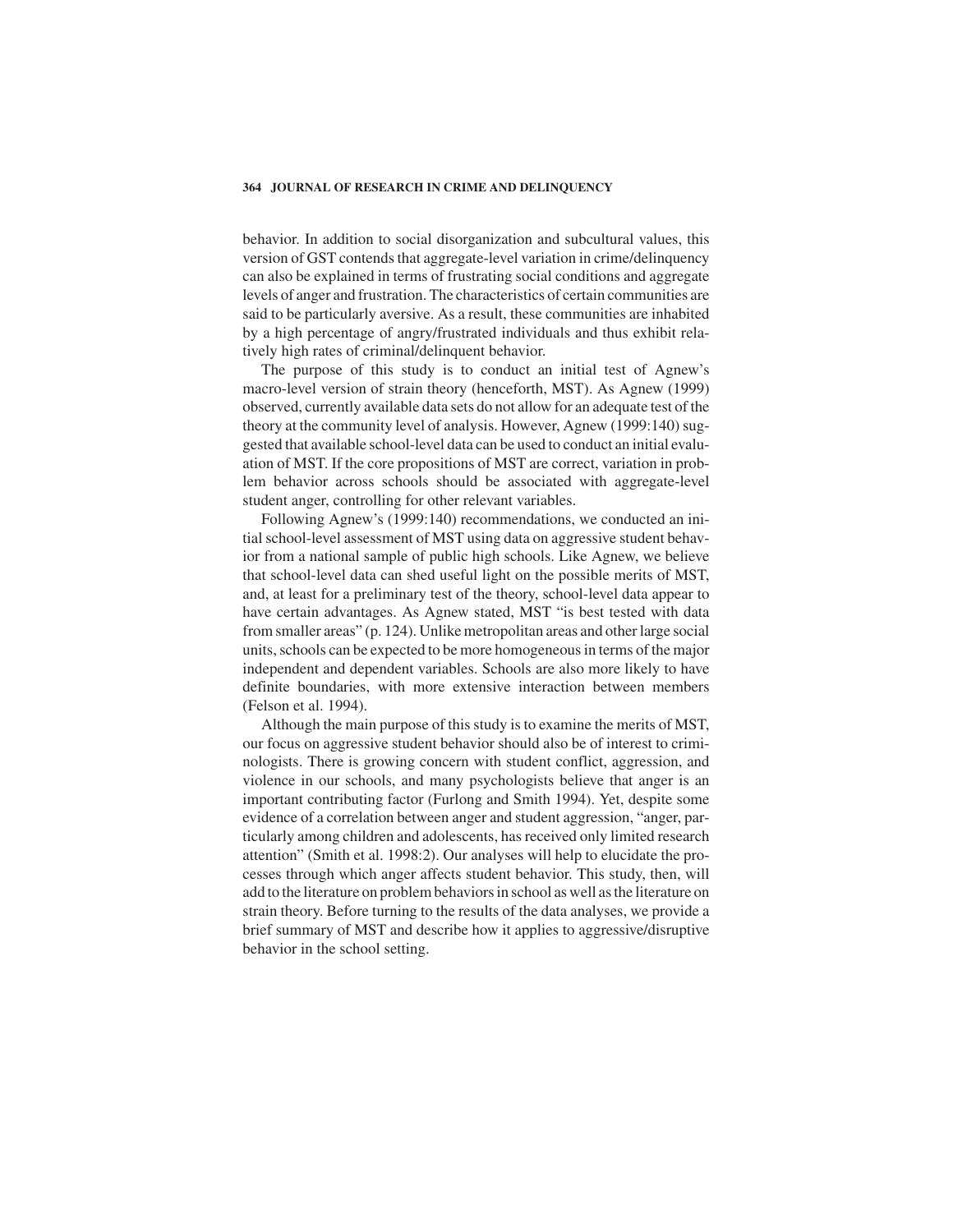behavior. In addition to social disorganization and subcultural values, this version of GST contends that aggregate-level variation in crime/delinquency can also be explained in terms of frustrating social conditions and aggregate levels of anger and frustration. The characteristics of certain communities are said to be particularly aversive. As a result, these communities are inhabited by a high percentage of angry/frustrated individuals and thus exhibit relatively high rates of criminal/delinquent behavior.

The purpose of this study is to conduct an initial test of Agnew's macro-level version of strain theory (henceforth, MST). As Agnew(1999) observed, currently available data sets do not allowfor an adequate test of the theory at the community level of analysis. However, Agnew (1999:140) suggested that available school-level data can be used to conduct an initial evaluation of MST. If the core propositions of MST are correct, variation in problem behavior across schools should be associated with aggregate-level student anger, controlling for other relevant variables.

Following Agnew's (1999:140) recommendations, we conducted an initial school-level assessment of MST using data on aggressive student behavior from a national sample of public high schools. Like Agnew, we believe that school-level data can shed useful light on the possible merits of MST, and, at least for a preliminary test of the theory, school-level data appear to have certain advantages. As Agnew stated, MST "is best tested with data from smaller areas" (p. 124). Unlike metropolitan areas and other large social units, schools can be expected to be more homogeneous in terms of the major independent and dependent variables. Schools are also more likely to have definite boundaries, with more extensive interaction between members (Felson et al. 1994).

Although the main purpose of this study is to examine the merits of MST, our focus on aggressive student behavior should also be of interest to criminologists. There is growing concern with student conflict, aggression, and violence in our schools, and many psychologists believe that anger is an important contributing factor (Furlong and Smith 1994). Yet, despite some evidence of a correlation between anger and student aggression, "anger, particularly among children and adolescents, has received only limited research attention" (Smith et al. 1998:2). Our analyses will help to elucidate the processes through which anger affects student behavior. This study, then, will add to the literature on problem behaviors in school as well as the literature on strain theory. Before turning to the results of the data analyses, we provide a brief summary of MST and describe how it applies to aggressive/disruptive behavior in the school setting.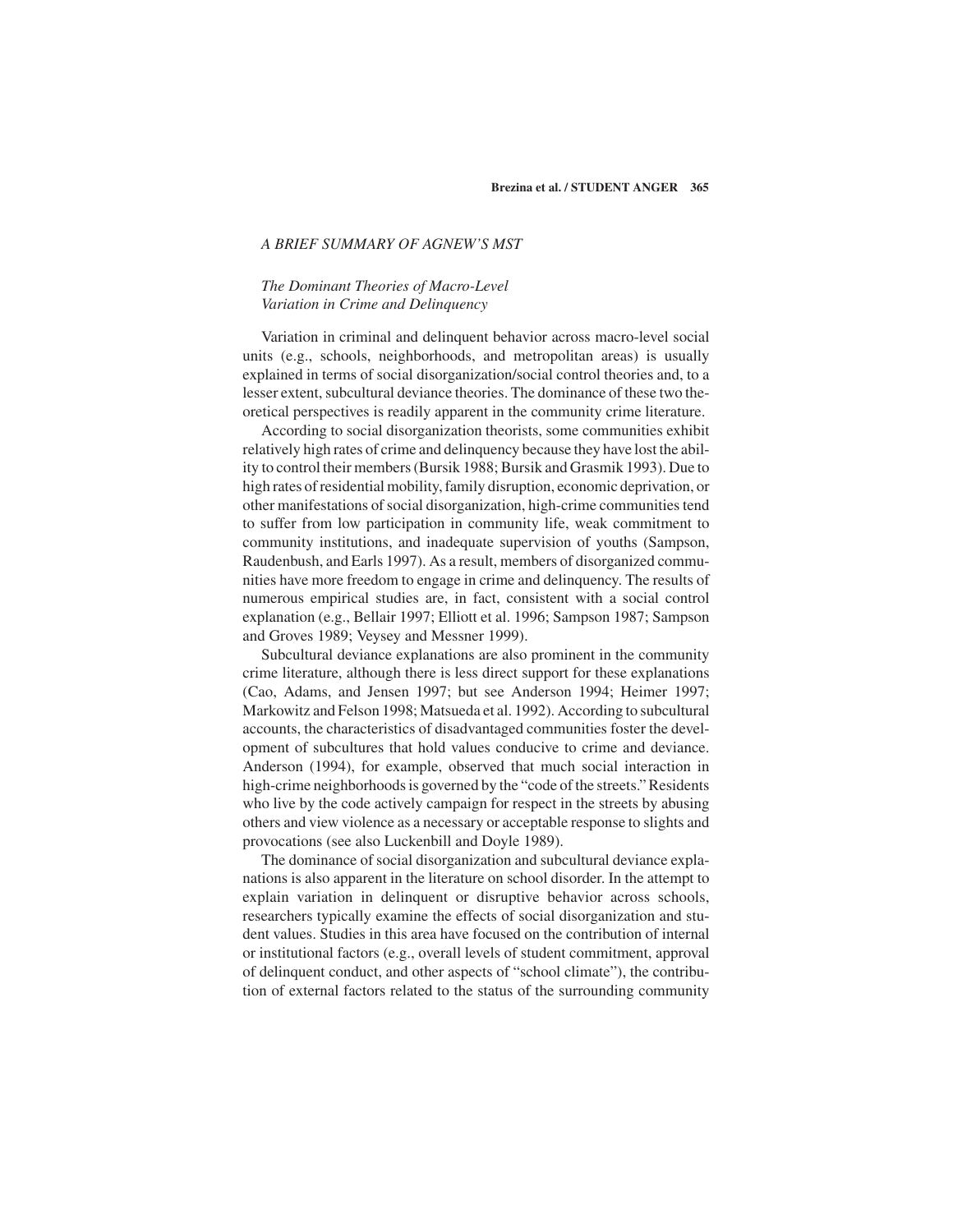## *A BRIEF SUMMARY OF AGNEW'S MST*

## *The Dominant Theories of Macro-Level Variation in Crime and Delinquency*

Variation in criminal and delinquent behavior across macro-level social units (e.g., schools, neighborhoods, and metropolitan areas) is usually explained in terms of social disorganization/social control theories and, to a lesser extent, subcultural deviance theories. The dominance of these two theoretical perspectives is readily apparent in the community crime literature.

According to social disorganization theorists, some communities exhibit relatively high rates of crime and delinquency because they have lost the ability to control their members (Bursik 1988; Bursik and Grasmik 1993). Due to high rates of residential mobility, family disruption, economic deprivation, or other manifestations of social disorganization, high-crime communities tend to suffer from low participation in community life, weak commitment to community institutions, and inadequate supervision of youths (Sampson, Raudenbush, and Earls 1997). As a result, members of disorganized communities have more freedom to engage in crime and delinquency. The results of numerous empirical studies are, in fact, consistent with a social control explanation (e.g., Bellair 1997; Elliott et al. 1996; Sampson 1987; Sampson and Groves 1989; Veysey and Messner 1999).

Subcultural deviance explanations are also prominent in the community crime literature, although there is less direct support for these explanations (Cao, Adams, and Jensen 1997; but see Anderson 1994; Heimer 1997; Markowitz and Felson 1998; Matsueda et al. 1992). According to subcultural accounts, the characteristics of disadvantaged communities foster the development of subcultures that hold values conducive to crime and deviance. Anderson (1994), for example, observed that much social interaction in high-crime neighborhoods is governed by the "code of the streets." Residents who live by the code actively campaign for respect in the streets by abusing others and viewviolence as a necessary or acceptable response to slights and provocations (see also Luckenbill and Doyle 1989).

The dominance of social disorganization and subcultural deviance explanations is also apparent in the literature on school disorder. In the attempt to explain variation in delinquent or disruptive behavior across schools, researchers typically examine the effects of social disorganization and student values. Studies in this area have focused on the contribution of internal or institutional factors (e.g., overall levels of student commitment, approval of delinquent conduct, and other aspects of "school climate"), the contribution of external factors related to the status of the surrounding community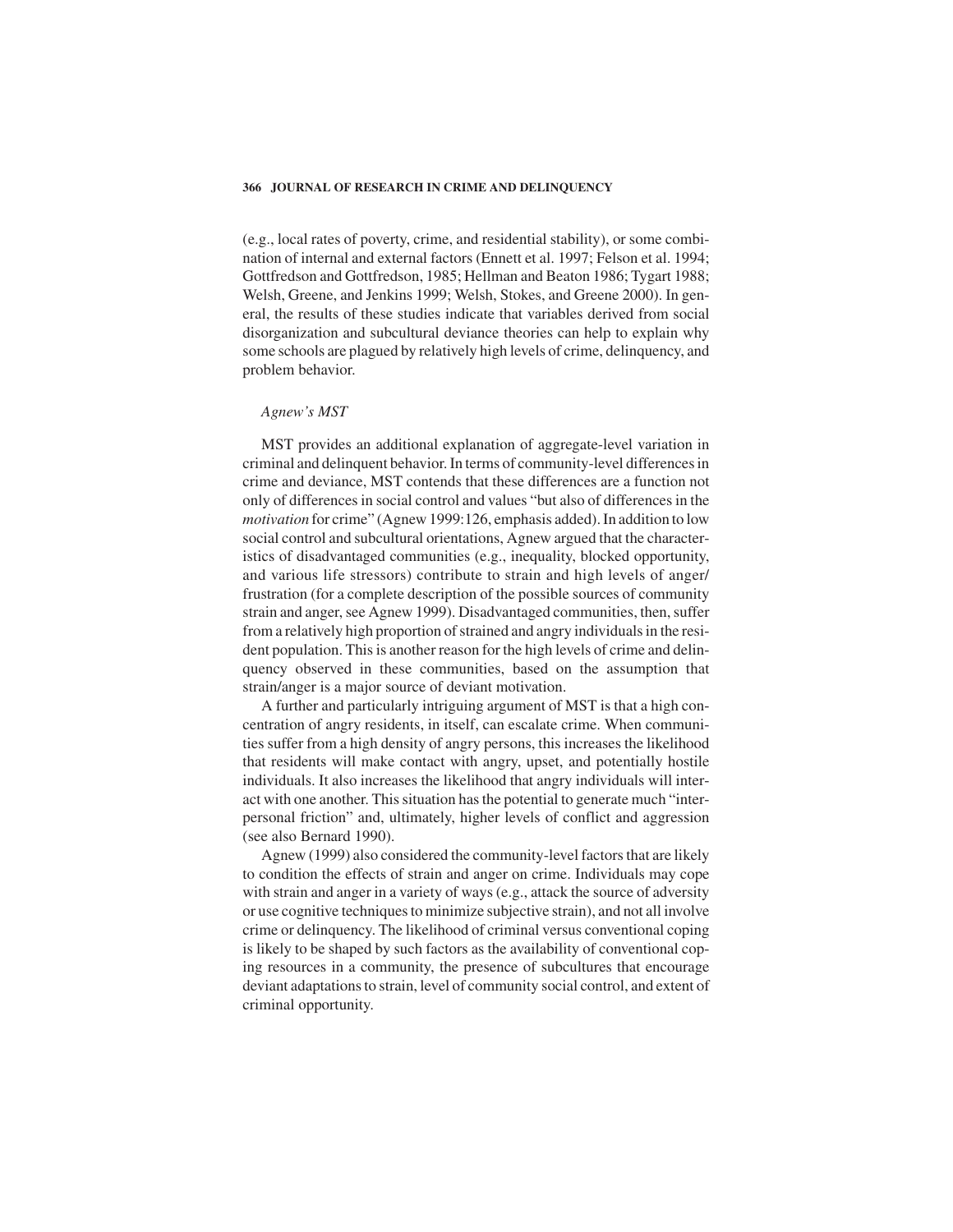(e.g., local rates of poverty, crime, and residential stability), or some combination of internal and external factors (Ennett et al. 1997; Felson et al. 1994; Gottfredson and Gottfredson, 1985; Hellman and Beaton 1986; Tygart 1988; Welsh, Greene, and Jenkins 1999; Welsh, Stokes, and Greene 2000). In general, the results of these studies indicate that variables derived from social disorganization and subcultural deviance theories can help to explain why some schools are plagued by relatively high levels of crime, delinquency, and problem behavior.

#### *Agnew's MST*

MST provides an additional explanation of aggregate-level variation in criminal and delinquent behavior. In terms of community-level differences in crime and deviance, MST contends that these differences are a function not only of differences in social control and values "but also of differences in the *motivation* for crime" (Agnew1999:126, emphasis added). In addition to low social control and subcultural orientations, Agnewargued that the characteristics of disadvantaged communities (e.g., inequality, blocked opportunity, and various life stressors) contribute to strain and high levels of anger/ frustration (for a complete description of the possible sources of community strain and anger, see Agnew1999). Disadvantaged communities, then, suffer from a relatively high proportion of strained and angry individuals in the resident population. This is another reason for the high levels of crime and delinquency observed in these communities, based on the assumption that strain/anger is a major source of deviant motivation.

A further and particularly intriguing argument of MST is that a high concentration of angry residents, in itself, can escalate crime. When communities suffer from a high density of angry persons, this increases the likelihood that residents will make contact with angry, upset, and potentially hostile individuals. It also increases the likelihood that angry individuals will interact with one another. This situation has the potential to generate much "interpersonal friction" and, ultimately, higher levels of conflict and aggression (see also Bernard 1990).

Agnew(1999) also considered the community-level factors that are likely to condition the effects of strain and anger on crime. Individuals may cope with strain and anger in a variety of ways (e.g., attack the source of adversity or use cognitive techniques to minimize subjective strain), and not all involve crime or delinquency. The likelihood of criminal versus conventional coping is likely to be shaped by such factors as the availability of conventional coping resources in a community, the presence of subcultures that encourage deviant adaptations to strain, level of community social control, and extent of criminal opportunity.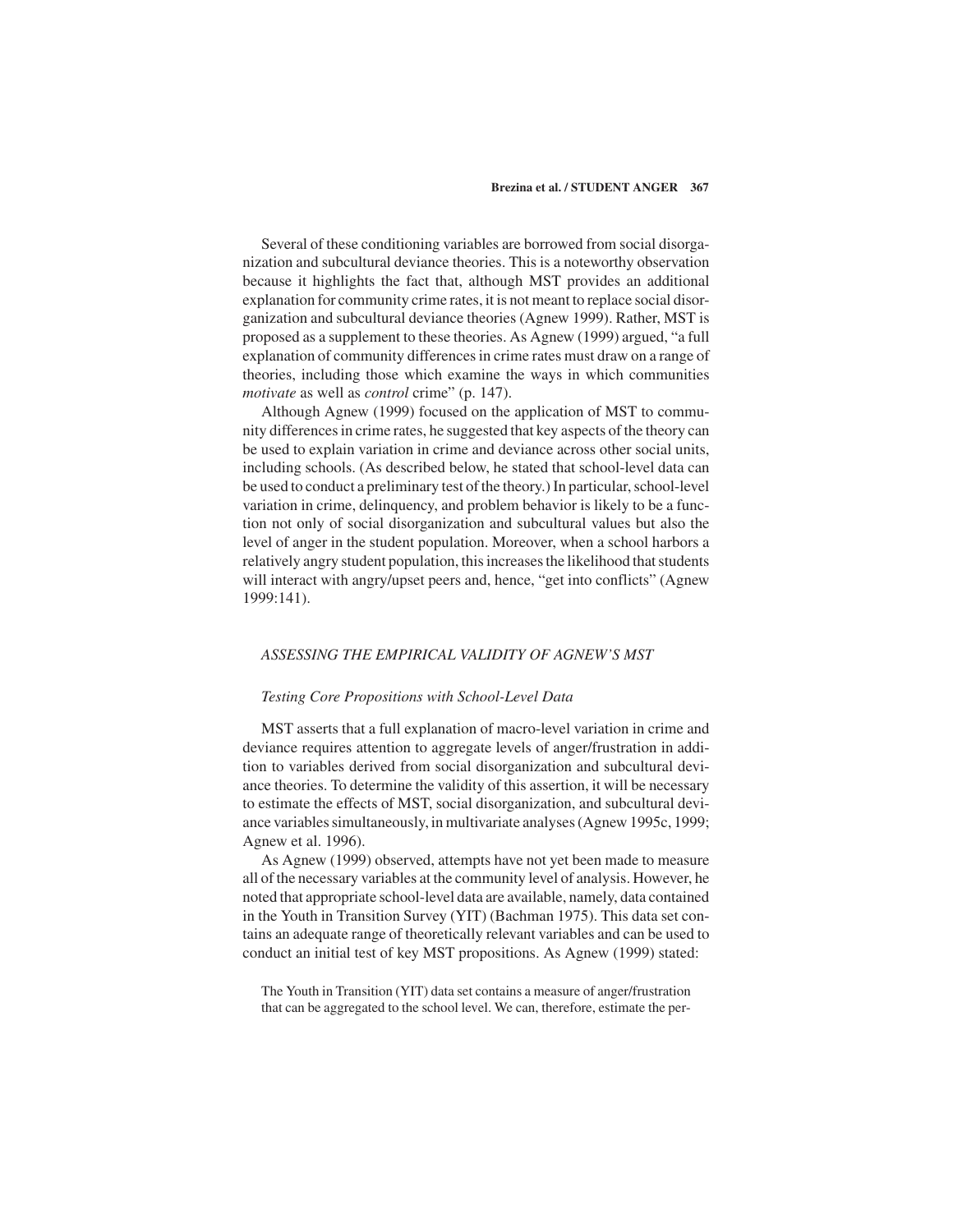Several of these conditioning variables are borrowed from social disorganization and subcultural deviance theories. This is a noteworthy observation because it highlights the fact that, although MST provides an additional explanation for community crime rates, it is not meant to replace social disorganization and subcultural deviance theories (Agnew1999). Rather, MST is proposed as a supplement to these theories. As Agnew(1999) argued, "a full explanation of community differences in crime rates must drawon a range of theories, including those which examine the ways in which communities *motivate* as well as *control* crime" (p. 147).

Although Agnew(1999) focused on the application of MST to community differences in crime rates, he suggested that key aspects of the theory can be used to explain variation in crime and deviance across other social units, including schools. (As described below, he stated that school-level data can be used to conduct a preliminary test of the theory.) In particular, school-level variation in crime, delinquency, and problem behavior is likely to be a function not only of social disorganization and subcultural values but also the level of anger in the student population. Moreover, when a school harbors a relatively angry student population, this increases the likelihood that students will interact with angry/upset peers and, hence, "get into conflicts" (Agnew 1999:141).

## *ASSESSING THE EMPIRICAL VALIDITY OF AGNEW'S MST*

#### *Testing Core Propositions with School-Level Data*

MST asserts that a full explanation of macro-level variation in crime and deviance requires attention to aggregate levels of anger/frustration in addition to variables derived from social disorganization and subcultural deviance theories. To determine the validity of this assertion, it will be necessary to estimate the effects of MST, social disorganization, and subcultural deviance variables simultaneously, in multivariate analyses (Agnew1995c, 1999; Agnew et al. 1996).

As Agnew(1999) observed, attempts have not yet been made to measure all of the necessary variables at the community level of analysis. However, he noted that appropriate school-level data are available, namely, data contained in the Youth in Transition Survey (YIT) (Bachman 1975). This data set contains an adequate range of theoretically relevant variables and can be used to conduct an initial test of key MST propositions. As Agnew (1999) stated:

The Youth in Transition (YIT) data set contains a measure of anger/frustration that can be aggregated to the school level. We can, therefore, estimate the per-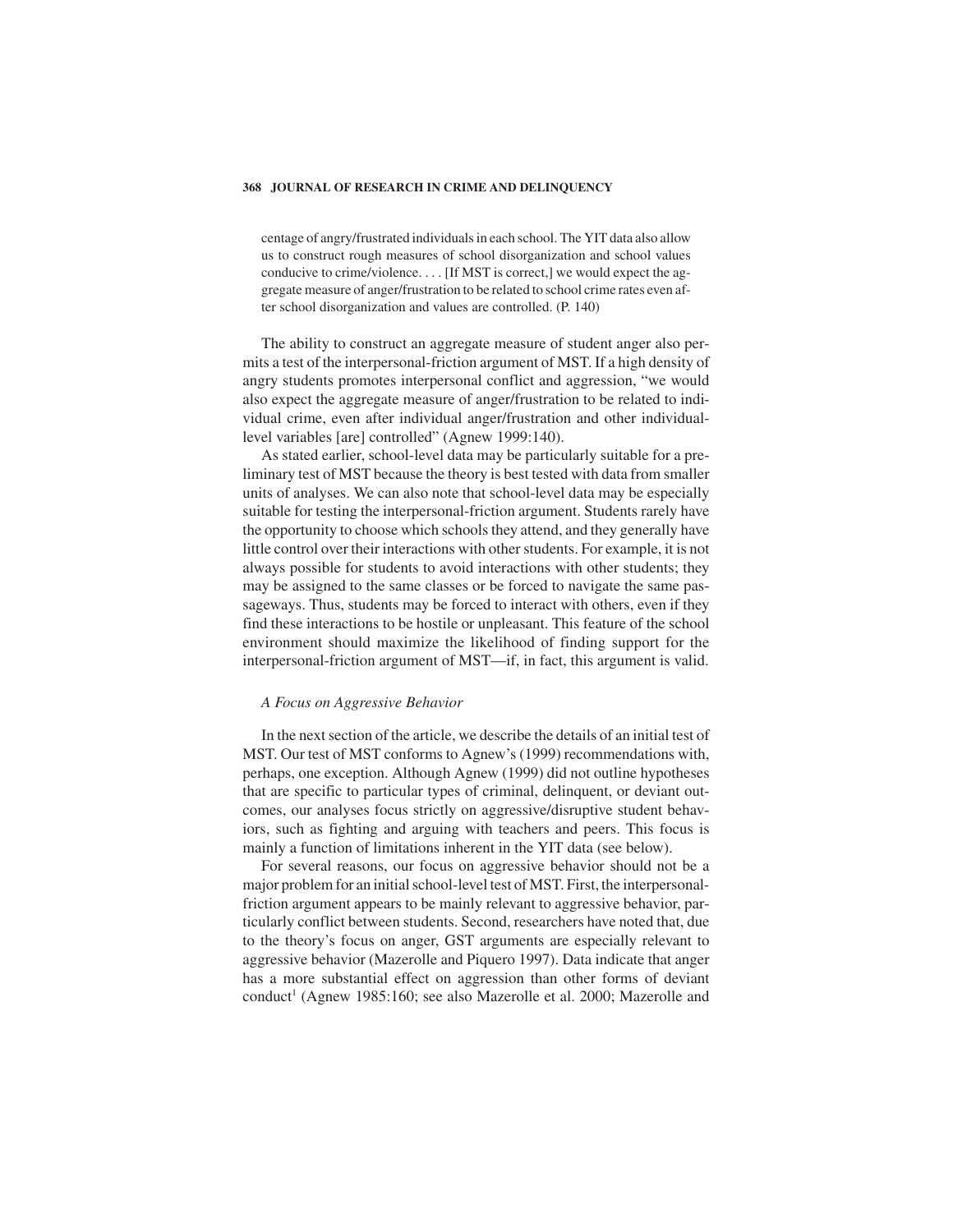centage of angry/frustrated individuals in each school. The YIT data also allow us to construct rough measures of school disorganization and school values conducive to crime/violence. . . . [If MST is correct,] we would expect the aggregate measure of anger/frustration to be related to school crime rates even after school disorganization and values are controlled. (P. 140)

The ability to construct an aggregate measure of student anger also permits a test of the interpersonal-friction argument of MST. If a high density of angry students promotes interpersonal conflict and aggression, "we would also expect the aggregate measure of anger/frustration to be related to individual crime, even after individual anger/frustration and other individuallevel variables [are] controlled" (Agnew 1999:140).

As stated earlier, school-level data may be particularly suitable for a preliminary test of MST because the theory is best tested with data from smaller units of analyses. We can also note that school-level data may be especially suitable for testing the interpersonal-friction argument. Students rarely have the opportunity to choose which schools they attend, and they generally have little control over their interactions with other students. For example, it is not always possible for students to avoid interactions with other students; they may be assigned to the same classes or be forced to navigate the same passageways. Thus, students may be forced to interact with others, even if they find these interactions to be hostile or unpleasant. This feature of the school environment should maximize the likelihood of finding support for the interpersonal-friction argument of MST—if, in fact, this argument is valid.

## *A Focus on Aggressive Behavior*

In the next section of the article, we describe the details of an initial test of MST. Our test of MST conforms to Agnew's (1999) recommendations with, perhaps, one exception. Although Agnew(1999) did not outline hypotheses that are specific to particular types of criminal, delinquent, or deviant outcomes, our analyses focus strictly on aggressive/disruptive student behaviors, such as fighting and arguing with teachers and peers. This focus is mainly a function of limitations inherent in the YIT data (see below).

For several reasons, our focus on aggressive behavior should not be a major problem for an initial school-level test of MST. First, the interpersonalfriction argument appears to be mainly relevant to aggressive behavior, particularly conflict between students. Second, researchers have noted that, due to the theory's focus on anger, GST arguments are especially relevant to aggressive behavior (Mazerolle and Piquero 1997). Data indicate that anger has a more substantial effect on aggression than other forms of deviant conduct<sup>1</sup> (Agnew 1985:160; see also Mazerolle et al. 2000; Mazerolle and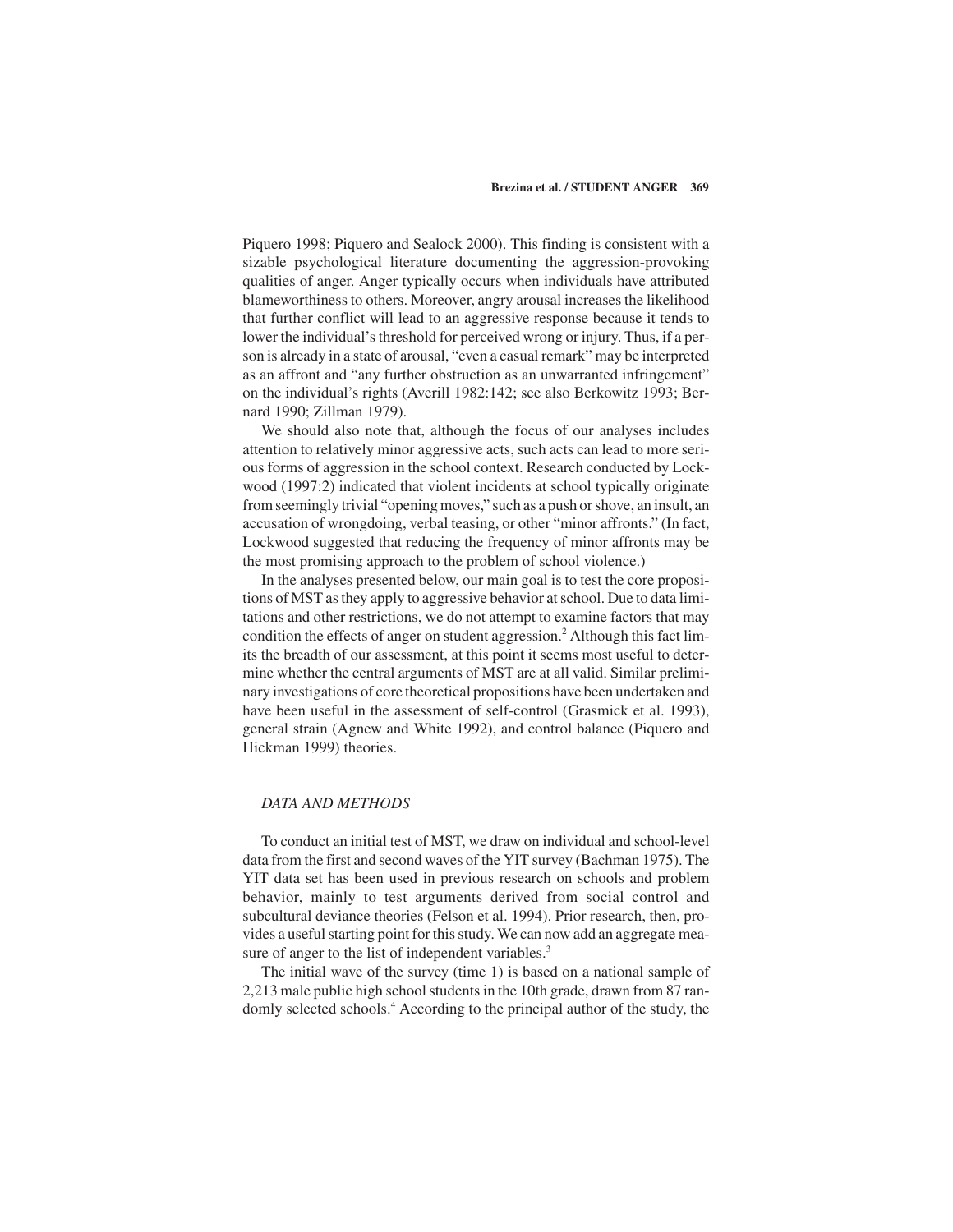Piquero 1998; Piquero and Sealock 2000). This finding is consistent with a sizable psychological literature documenting the aggression-provoking qualities of anger. Anger typically occurs when individuals have attributed blameworthiness to others. Moreover, angry arousal increases the likelihood that further conflict will lead to an aggressive response because it tends to lower the individual's threshold for perceived wrong or injury. Thus, if a person is already in a state of arousal, "even a casual remark" may be interpreted as an affront and "any further obstruction as an unwarranted infringement" on the individual's rights (Averill 1982:142; see also Berkowitz 1993; Bernard 1990; Zillman 1979).

We should also note that, although the focus of our analyses includes attention to relatively minor aggressive acts, such acts can lead to more serious forms of aggression in the school context. Research conducted by Lockwood (1997:2) indicated that violent incidents at school typically originate from seemingly trivial "opening moves," such as a push or shove, an insult, an accusation of wrongdoing, verbal teasing, or other "minor affronts." (In fact, Lockwood suggested that reducing the frequency of minor affronts may be the most promising approach to the problem of school violence.)

In the analyses presented below, our main goal is to test the core propositions of MST as they apply to aggressive behavior at school. Due to data limitations and other restrictions, we do not attempt to examine factors that may condition the effects of anger on student aggression.<sup>2</sup> Although this fact limits the breadth of our assessment, at this point it seems most useful to determine whether the central arguments of MST are at all valid. Similar preliminary investigations of core theoretical propositions have been undertaken and have been useful in the assessment of self-control (Grasmick et al. 1993), general strain (Agnewand White 1992), and control balance (Piquero and Hickman 1999) theories.

#### *DATA AND METHODS*

To conduct an initial test of MST, we draw on individual and school-level data from the first and second waves of the YIT survey (Bachman 1975). The YIT data set has been used in previous research on schools and problem behavior, mainly to test arguments derived from social control and subcultural deviance theories (Felson et al. 1994). Prior research, then, provides a useful starting point for this study. We can nowadd an aggregate measure of anger to the list of independent variables.<sup>3</sup>

The initial wave of the survey (time 1) is based on a national sample of 2,213 male public high school students in the 10th grade, drawn from 87 randomly selected schools.4 According to the principal author of the study, the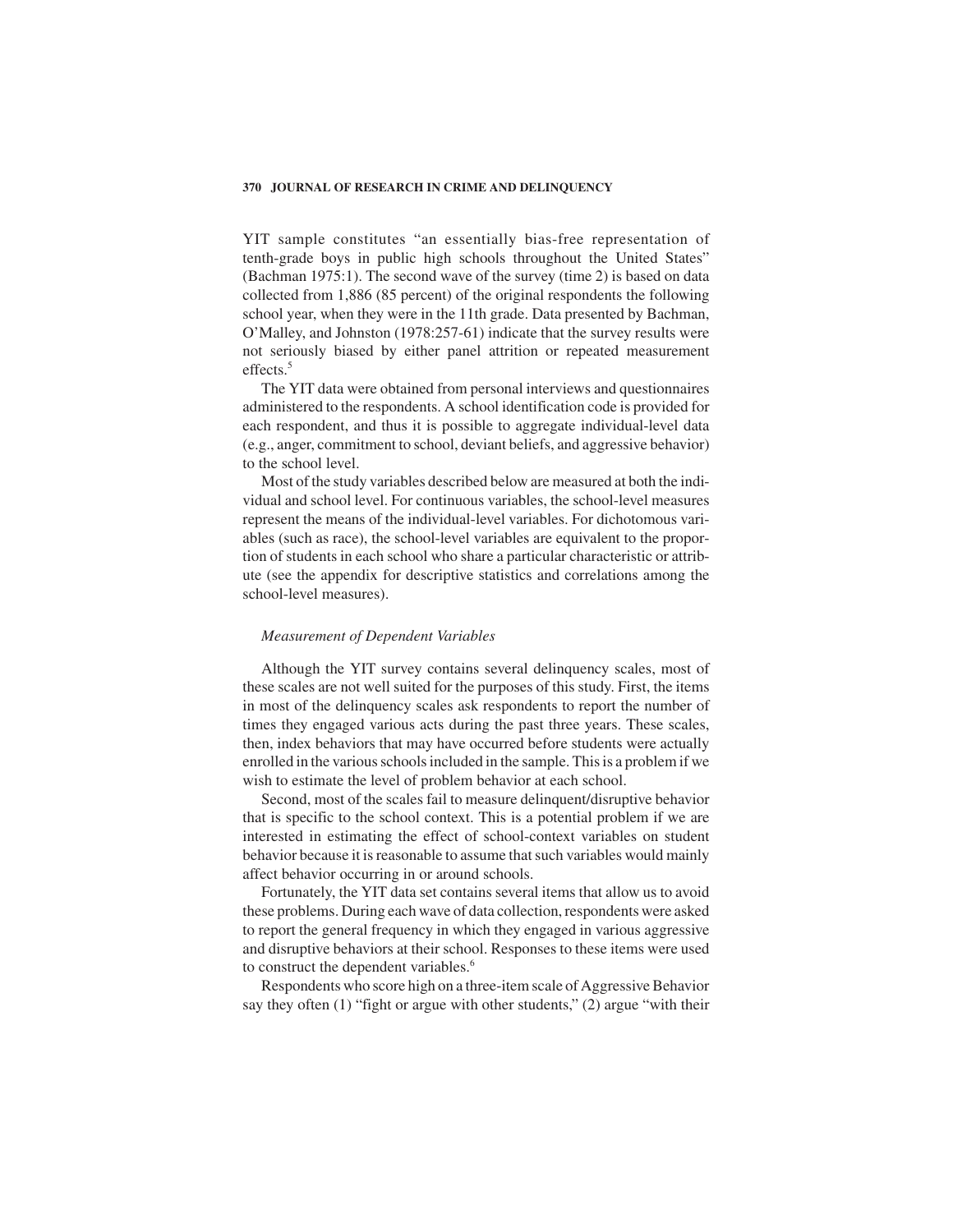YIT sample constitutes "an essentially bias-free representation of tenth-grade boys in public high schools throughout the United States" (Bachman 1975:1). The second wave of the survey (time 2) is based on data collected from 1,886 (85 percent) of the original respondents the following school year, when they were in the 11th grade. Data presented by Bachman, O'Malley, and Johnston (1978:257-61) indicate that the survey results were not seriously biased by either panel attrition or repeated measurement effects.<sup>5</sup>

The YIT data were obtained from personal interviews and questionnaires administered to the respondents. A school identification code is provided for each respondent, and thus it is possible to aggregate individual-level data (e.g., anger, commitment to school, deviant beliefs, and aggressive behavior) to the school level.

Most of the study variables described beloware measured at both the individual and school level. For continuous variables, the school-level measures represent the means of the individual-level variables. For dichotomous variables (such as race), the school-level variables are equivalent to the proportion of students in each school who share a particular characteristic or attribute (see the appendix for descriptive statistics and correlations among the school-level measures).

## *Measurement of Dependent Variables*

Although the YIT survey contains several delinquency scales, most of these scales are not well suited for the purposes of this study. First, the items in most of the delinquency scales ask respondents to report the number of times they engaged various acts during the past three years. These scales, then, index behaviors that may have occurred before students were actually enrolled in the various schools included in the sample. This is a problem if we wish to estimate the level of problem behavior at each school.

Second, most of the scales fail to measure delinquent/disruptive behavior that is specific to the school context. This is a potential problem if we are interested in estimating the effect of school-context variables on student behavior because it is reasonable to assume that such variables would mainly affect behavior occurring in or around schools.

Fortunately, the YIT data set contains several items that allowus to avoid these problems. During each wave of data collection, respondents were asked to report the general frequency in which they engaged in various aggressive and disruptive behaviors at their school. Responses to these items were used to construct the dependent variables.<sup>6</sup>

Respondents who score high on a three-item scale of Aggressive Behavior say they often (1) "fight or argue with other students," (2) argue "with their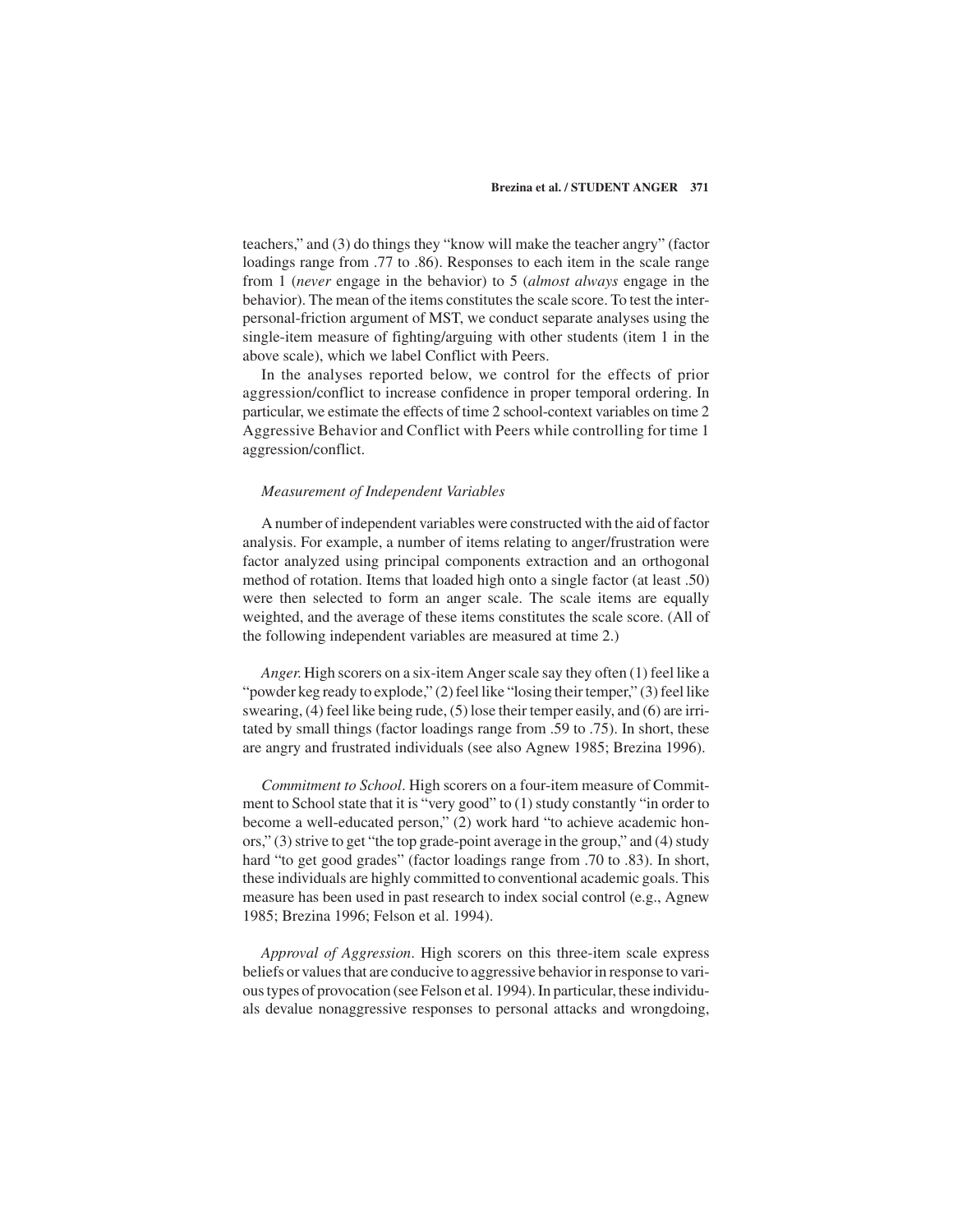teachers," and (3) do things they "knowwill make the teacher angry" (factor loadings range from .77 to .86). Responses to each item in the scale range from 1 (*never* engage in the behavior) to 5 (*almost always* engage in the behavior). The mean of the items constitutes the scale score. To test the interpersonal-friction argument of MST, we conduct separate analyses using the single-item measure of fighting/arguing with other students (item 1 in the above scale), which we label Conflict with Peers.

In the analyses reported below, we control for the effects of prior aggression/conflict to increase confidence in proper temporal ordering. In particular, we estimate the effects of time 2 school-context variables on time 2 Aggressive Behavior and Conflict with Peers while controlling for time 1 aggression/conflict.

## *Measurement of Independent Variables*

A number of independent variables were constructed with the aid of factor analysis. For example, a number of items relating to anger/frustration were factor analyzed using principal components extraction and an orthogonal method of rotation. Items that loaded high onto a single factor (at least .50) were then selected to form an anger scale. The scale items are equally weighted, and the average of these items constitutes the scale score. (All of the following independent variables are measured at time 2.)

*Anger*. High scorers on a six-item Anger scale say they often (1) feel like a "powder keg ready to explode," (2) feel like "losing their temper," (3) feel like swearing, (4) feel like being rude, (5) lose their temper easily, and (6) are irritated by small things (factor loadings range from .59 to .75). In short, these are angry and frustrated individuals (see also Agnew 1985; Brezina 1996).

*Commitment to School*. High scorers on a four-item measure of Commitment to School state that it is "very good" to (1) study constantly "in order to become a well-educated person," (2) work hard "to achieve academic honors," (3) strive to get "the top grade-point average in the group," and (4) study hard "to get good grades" (factor loadings range from .70 to .83). In short, these individuals are highly committed to conventional academic goals. This measure has been used in past research to index social control (e.g., Agnew 1985; Brezina 1996; Felson et al. 1994).

*Approval of Aggression*. High scorers on this three-item scale express beliefs or values that are conducive to aggressive behavior in response to various types of provocation (see Felson et al. 1994). In particular, these individuals devalue nonaggressive responses to personal attacks and wrongdoing,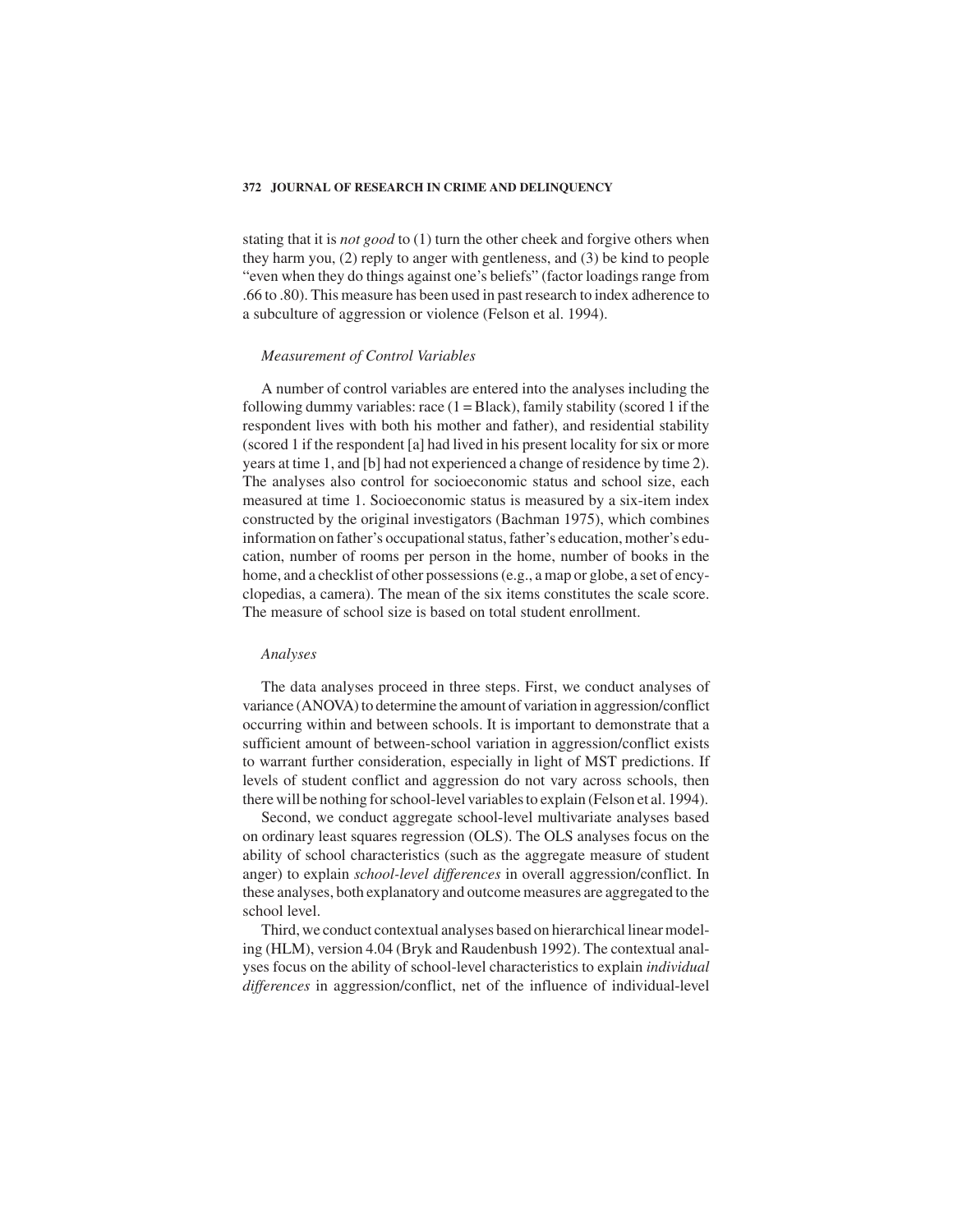stating that it is *not good* to (1) turn the other cheek and forgive others when they harm you, (2) reply to anger with gentleness, and (3) be kind to people "even when they do things against one's beliefs" (factor loadings range from .66 to .80). This measure has been used in past research to index adherence to a subculture of aggression or violence (Felson et al. 1994).

#### *Measurement of Control Variables*

A number of control variables are entered into the analyses including the following dummy variables: race  $(1 = Black)$ , family stability (scored 1 if the respondent lives with both his mother and father), and residential stability (scored 1 if the respondent [a] had lived in his present locality for six or more years at time 1, and [b] had not experienced a change of residence by time 2). The analyses also control for socioeconomic status and school size, each measured at time 1. Socioeconomic status is measured by a six-item index constructed by the original investigators (Bachman 1975), which combines information on father's occupational status, father's education, mother's education, number of rooms per person in the home, number of books in the home, and a checklist of other possessions (e.g., a map or globe, a set of encyclopedias, a camera). The mean of the six items constitutes the scale score. The measure of school size is based on total student enrollment.

#### *Analyses*

The data analyses proceed in three steps. First, we conduct analyses of variance (ANOVA) to determine the amount of variation in aggression/conflict occurring within and between schools. It is important to demonstrate that a sufficient amount of between-school variation in aggression/conflict exists to warrant further consideration, especially in light of MST predictions. If levels of student conflict and aggression do not vary across schools, then there will be nothing for school-level variables to explain (Felson et al. 1994).

Second, we conduct aggregate school-level multivariate analyses based on ordinary least squares regression (OLS). The OLS analyses focus on the ability of school characteristics (such as the aggregate measure of student anger) to explain *school-level differences* in overall aggression/conflict. In these analyses, both explanatory and outcome measures are aggregated to the school level.

Third, we conduct contextual analyses based on hierarchical linear modeling (HLM), version 4.04 (Bryk and Raudenbush 1992). The contextual analyses focus on the ability of school-level characteristics to explain *individual differences* in aggression/conflict, net of the influence of individual-level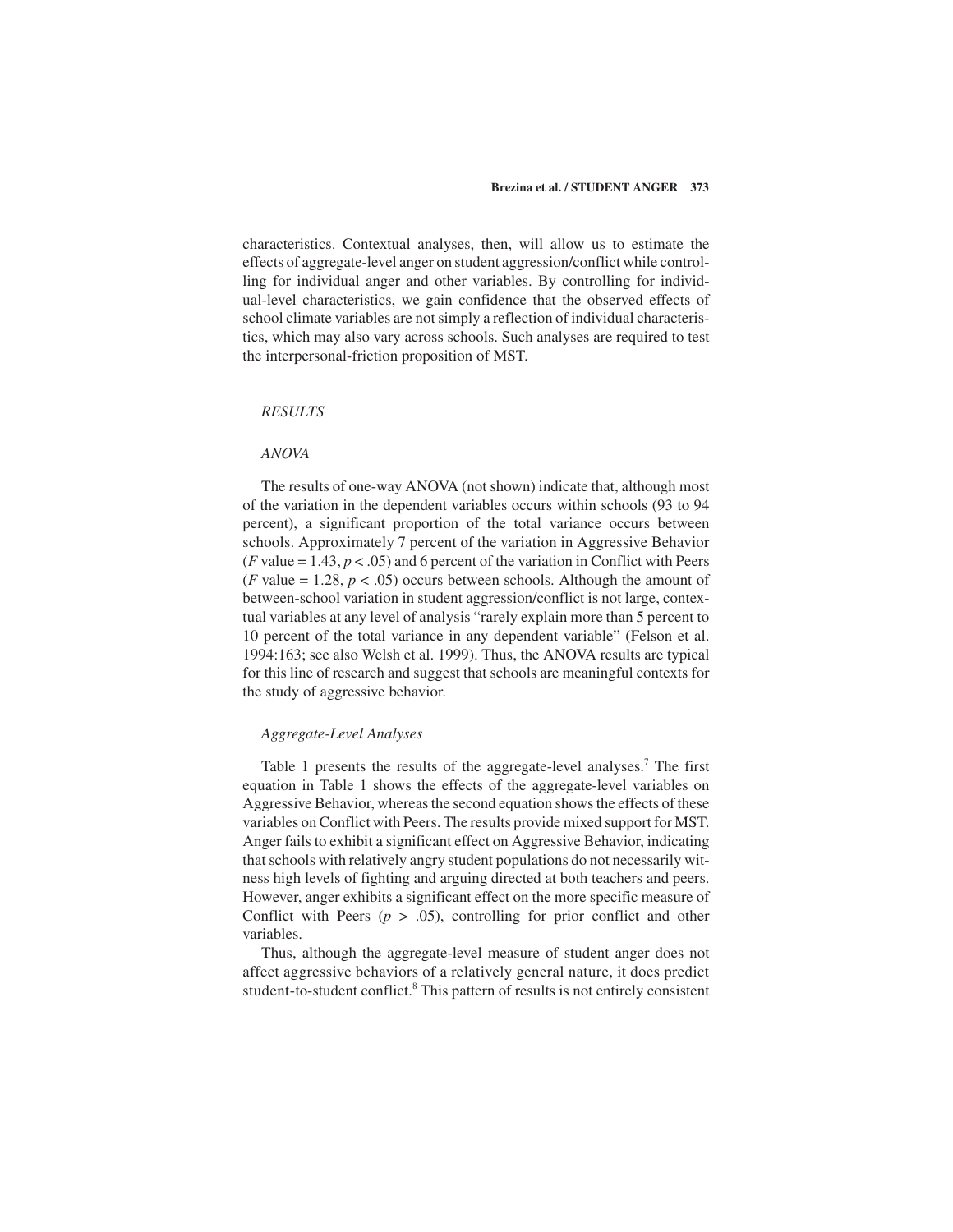characteristics. Contextual analyses, then, will allow us to estimate the effects of aggregate-level anger on student aggression/conflict while controlling for individual anger and other variables. By controlling for individual-level characteristics, we gain confidence that the observed effects of school climate variables are not simply a reflection of individual characteristics, which may also vary across schools. Such analyses are required to test the interpersonal-friction proposition of MST.

#### *RESULTS*

## *ANOVA*

The results of one-way ANOVA (not shown) indicate that, although most of the variation in the dependent variables occurs within schools (93 to 94 percent), a significant proportion of the total variance occurs between schools. Approximately 7 percent of the variation in Aggressive Behavior  $(F$  value = 1.43,  $p < .05$ ) and 6 percent of the variation in Conflict with Peers  $(F \text{ value} = 1.28, p < .05)$  occurs between schools. Although the amount of between-school variation in student aggression/conflict is not large, contextual variables at any level of analysis "rarely explain more than 5 percent to 10 percent of the total variance in any dependent variable" (Felson et al. 1994:163; see also Welsh et al. 1999). Thus, the ANOVA results are typical for this line of research and suggest that schools are meaningful contexts for the study of aggressive behavior.

## *Aggregate-Level Analyses*

Table 1 presents the results of the aggregate-level analyses.<sup>7</sup> The first equation in Table 1 shows the effects of the aggregate-level variables on Aggressive Behavior, whereas the second equation shows the effects of these variables on Conflict with Peers. The results provide mixed support for MST. Anger fails to exhibit a significant effect on Aggressive Behavior, indicating that schools with relatively angry student populations do not necessarily witness high levels of fighting and arguing directed at both teachers and peers. However, anger exhibits a significant effect on the more specific measure of Conflict with Peers ( $p > .05$ ), controlling for prior conflict and other variables.

Thus, although the aggregate-level measure of student anger does not affect aggressive behaviors of a relatively general nature, it does predict student-to-student conflict.<sup>8</sup> This pattern of results is not entirely consistent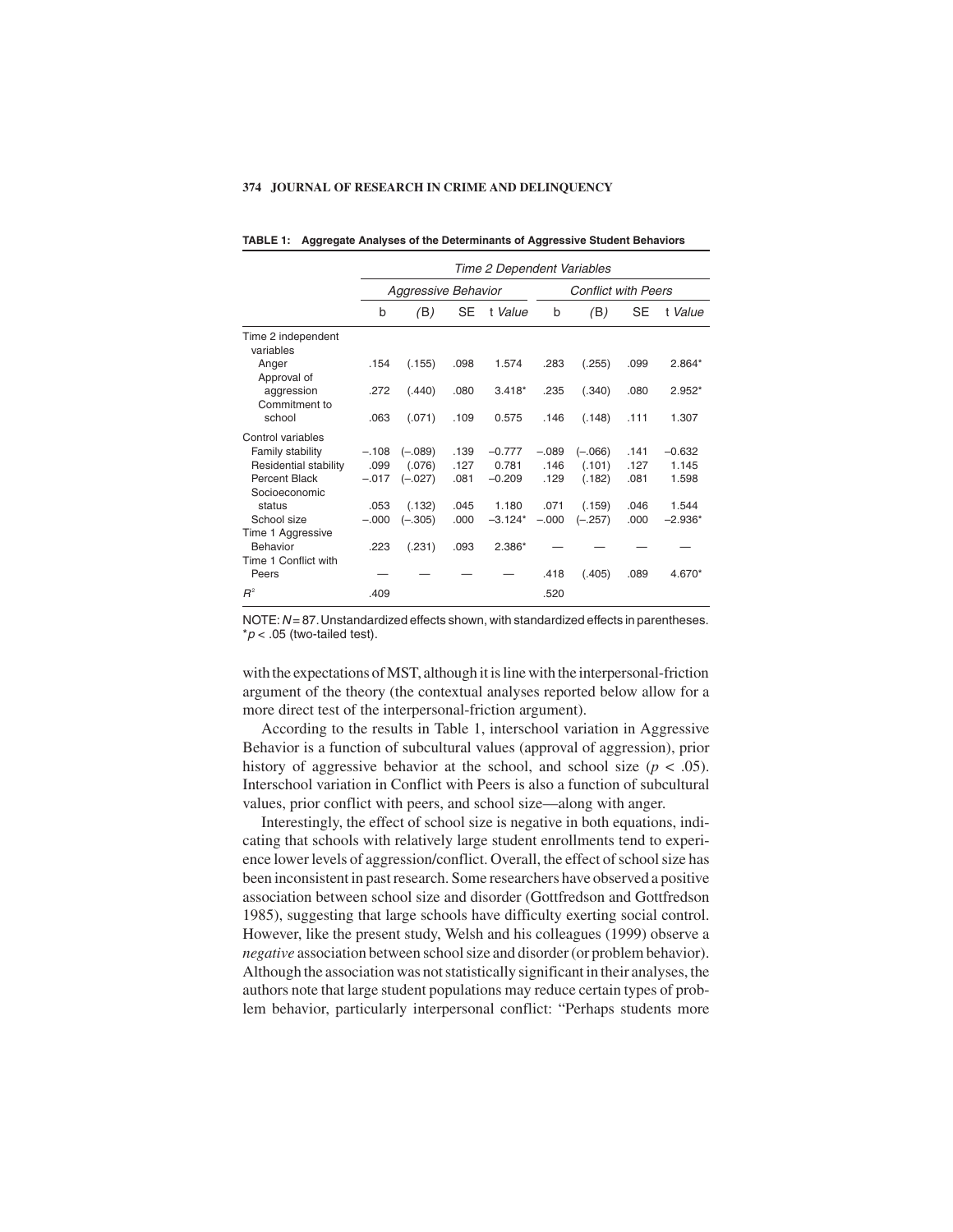|                                 |         | Time 2 Dependent Variables |      |           |         |                            |           |           |  |  |  |
|---------------------------------|---------|----------------------------|------|-----------|---------|----------------------------|-----------|-----------|--|--|--|
|                                 |         | Aggressive Behavior        |      |           |         | <b>Conflict with Peers</b> |           |           |  |  |  |
|                                 | b       | (B)                        | SE   | t Value   | b       | (B)                        | <b>SE</b> | t Value   |  |  |  |
| Time 2 independent<br>variables |         |                            |      |           |         |                            |           |           |  |  |  |
| Anger<br>Approval of            | .154    | (.155)                     | .098 | 1.574     | .283    | (.255)                     | .099      | $2.864*$  |  |  |  |
| aggression<br>Commitment to     | .272    | (.440)                     | .080 | $3.418*$  | .235    | (.340)                     | .080      | $2.952*$  |  |  |  |
| school                          | .063    | (.071)                     | .109 | 0.575     | .146    | (.148)                     | .111      | 1.307     |  |  |  |
| Control variables               |         |                            |      |           |         |                            |           |           |  |  |  |
| Family stability                | $-.108$ | $(-.089)$                  | .139 | $-0.777$  | $-.089$ | $(-.066)$                  | .141      | $-0.632$  |  |  |  |
| Residential stability           | .099    | (.076)                     | .127 | 0.781     | .146    | (.101)                     | .127      | 1.145     |  |  |  |
| Percent Black                   | $-.017$ | $(-.027)$                  | .081 | $-0.209$  | .129    | (.182)                     | .081      | 1.598     |  |  |  |
| Socioeconomic                   |         |                            |      |           |         |                            |           |           |  |  |  |
| status                          | .053    | (.132)                     | .045 | 1.180     | .071    | (.159)                     | .046      | 1.544     |  |  |  |
| School size                     | $-.000$ | $(-.305)$                  | .000 | $-3.124*$ | $-.000$ | $(-.257)$                  | .000      | $-2.936*$ |  |  |  |
| Time 1 Aggressive               |         |                            |      |           |         |                            |           |           |  |  |  |
| Behavior                        | .223    | (.231)                     | .093 | 2.386*    |         |                            |           |           |  |  |  |
| Time 1 Conflict with            |         |                            |      |           |         |                            |           |           |  |  |  |
| Peers                           |         |                            |      |           | .418    | (.405)                     | .089      | 4.670*    |  |  |  |
| $R^2$                           | .409    |                            |      |           | .520    |                            |           |           |  |  |  |

**TABLE 1: Aggregate Analyses of the Determinants of Aggressive Student Behaviors**

NOTE:  $N = 87$ . Unstandardized effects shown, with standardized effects in parentheses.  $*p$  < .05 (two-tailed test).

with the expectations of MST, although it is line with the interpersonal-friction argument of the theory (the contextual analyses reported below allow for a more direct test of the interpersonal-friction argument).

According to the results in Table 1, interschool variation in Aggressive Behavior is a function of subcultural values (approval of aggression), prior history of aggressive behavior at the school, and school size  $(p < .05)$ . Interschool variation in Conflict with Peers is also a function of subcultural values, prior conflict with peers, and school size—along with anger.

Interestingly, the effect of school size is negative in both equations, indicating that schools with relatively large student enrollments tend to experience lower levels of aggression/conflict. Overall, the effect of school size has been inconsistent in past research. Some researchers have observed a positive association between school size and disorder (Gottfredson and Gottfredson 1985), suggesting that large schools have difficulty exerting social control. However, like the present study, Welsh and his colleagues (1999) observe a *negative* association between school size and disorder (or problem behavior). Although the association was not statistically significant in their analyses, the authors note that large student populations may reduce certain types of problem behavior, particularly interpersonal conflict: "Perhaps students more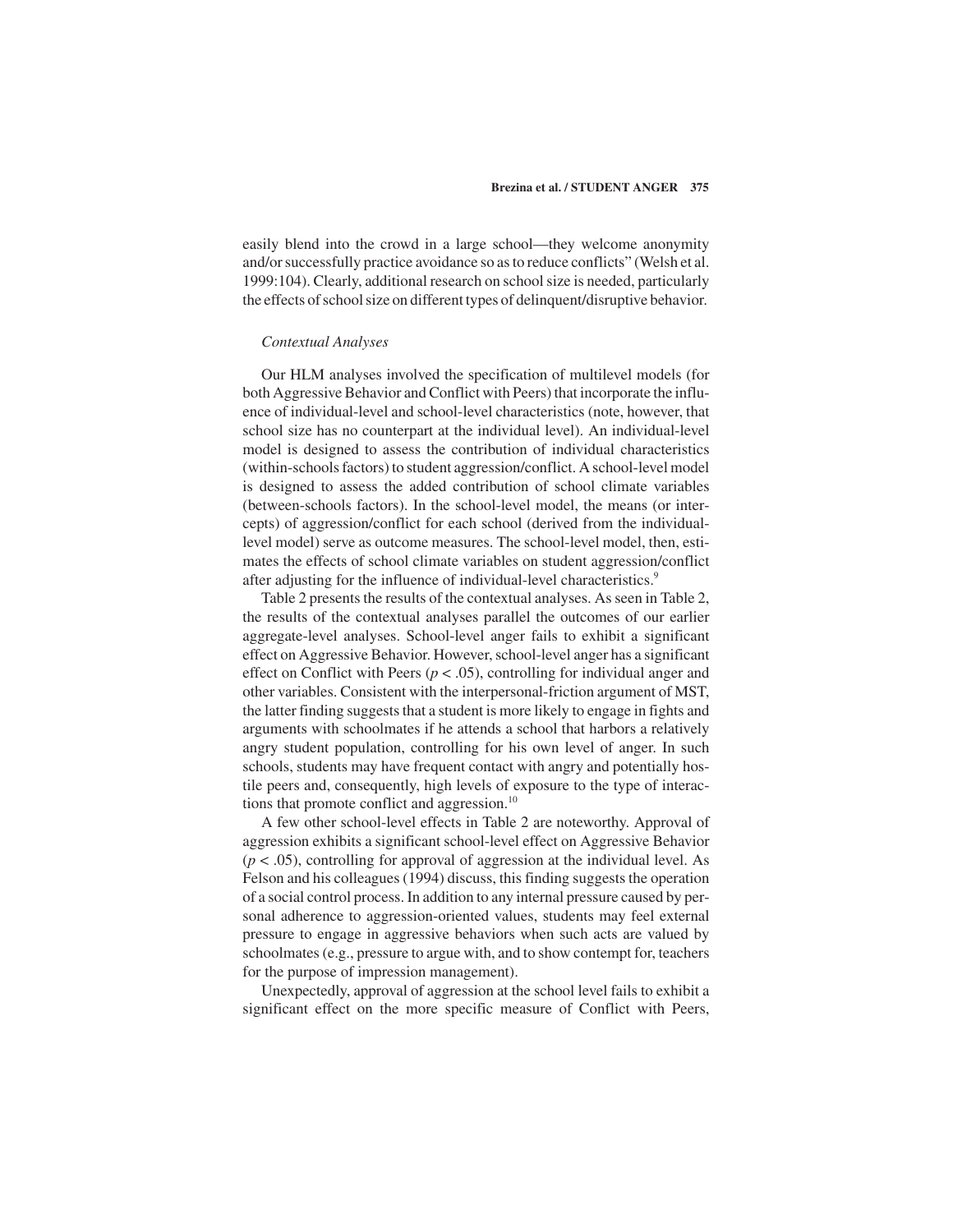easily blend into the crowd in a large school—they welcome anonymity and/or successfully practice avoidance so as to reduce conflicts" (Welsh et al. 1999:104). Clearly, additional research on school size is needed, particularly the effects of school size on different types of delinquent/disruptive behavior.

## *Contextual Analyses*

Our HLM analyses involved the specification of multilevel models (for both Aggressive Behavior and Conflict with Peers) that incorporate the influence of individual-level and school-level characteristics (note, however, that school size has no counterpart at the individual level). An individual-level model is designed to assess the contribution of individual characteristics (within-schools factors) to student aggression/conflict. A school-level model is designed to assess the added contribution of school climate variables (between-schools factors). In the school-level model, the means (or intercepts) of aggression/conflict for each school (derived from the individuallevel model) serve as outcome measures. The school-level model, then, estimates the effects of school climate variables on student aggression/conflict after adjusting for the influence of individual-level characteristics.<sup>9</sup>

Table 2 presents the results of the contextual analyses. As seen in Table 2, the results of the contextual analyses parallel the outcomes of our earlier aggregate-level analyses. School-level anger fails to exhibit a significant effect on Aggressive Behavior. However, school-level anger has a significant effect on Conflict with Peers ( $p < .05$ ), controlling for individual anger and other variables. Consistent with the interpersonal-friction argument of MST, the latter finding suggests that a student is more likely to engage in fights and arguments with schoolmates if he attends a school that harbors a relatively angry student population, controlling for his own level of anger. In such schools, students may have frequent contact with angry and potentially hostile peers and, consequently, high levels of exposure to the type of interactions that promote conflict and aggression.<sup>10</sup>

A fewother school-level effects in Table 2 are noteworthy. Approval of aggression exhibits a significant school-level effect on Aggressive Behavior  $(p < .05)$ , controlling for approval of aggression at the individual level. As Felson and his colleagues (1994) discuss, this finding suggests the operation of a social control process. In addition to any internal pressure caused by personal adherence to aggression-oriented values, students may feel external pressure to engage in aggressive behaviors when such acts are valued by schoolmates (e.g., pressure to argue with, and to show contempt for, teachers for the purpose of impression management).

Unexpectedly, approval of aggression at the school level fails to exhibit a significant effect on the more specific measure of Conflict with Peers,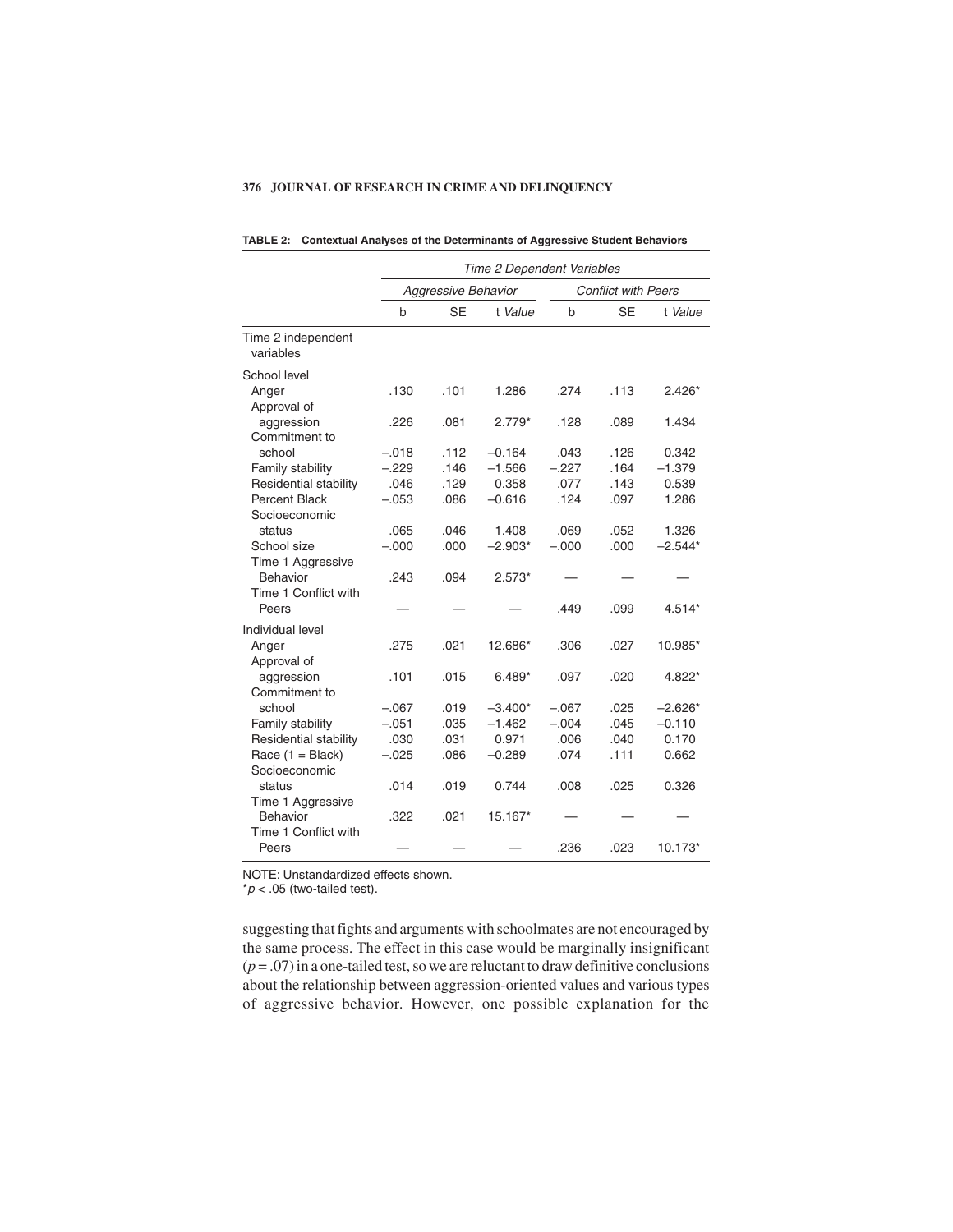|                                 |         | Time 2 Dependent Variables |           |                            |           |           |  |  |  |  |  |
|---------------------------------|---------|----------------------------|-----------|----------------------------|-----------|-----------|--|--|--|--|--|
|                                 |         | Aggressive Behavior        |           | <b>Conflict with Peers</b> |           |           |  |  |  |  |  |
|                                 | b       | <b>SE</b>                  | t Value   | b                          | <b>SE</b> | t Value   |  |  |  |  |  |
| Time 2 independent<br>variables |         |                            |           |                            |           |           |  |  |  |  |  |
| School level                    |         |                            |           |                            |           |           |  |  |  |  |  |
| Anger<br>Approval of            | .130    | .101                       | 1.286     | .274                       | .113      | $2.426*$  |  |  |  |  |  |
| aggression<br>Commitment to     | .226    | .081                       | $2.779*$  | .128                       | .089      | 1.434     |  |  |  |  |  |
| school                          | $-.018$ | .112                       | $-0.164$  | .043                       | .126      | 0.342     |  |  |  |  |  |
| Family stability                | $-.229$ | .146                       | $-1.566$  | $-.227$                    | .164      | $-1.379$  |  |  |  |  |  |
| <b>Residential stability</b>    | .046    | .129                       | 0.358     | .077                       | .143      | 0.539     |  |  |  |  |  |
| <b>Percent Black</b>            | $-.053$ | .086                       | $-0.616$  | .124                       | .097      | 1.286     |  |  |  |  |  |
| Socioeconomic                   |         |                            |           |                            |           |           |  |  |  |  |  |
| status                          | .065    | .046                       | 1.408     | .069                       | .052      | 1.326     |  |  |  |  |  |
| School size                     | $-.000$ | .000                       | $-2.903*$ | $-.000$                    | .000      | $-2.544*$ |  |  |  |  |  |
| Time 1 Aggressive               |         |                            |           |                            |           |           |  |  |  |  |  |
| <b>Behavior</b>                 | .243    | .094                       | $2.573*$  |                            |           |           |  |  |  |  |  |
| Time 1 Conflict with            |         |                            |           |                            |           |           |  |  |  |  |  |
| Peers                           |         |                            |           | .449                       | .099      | $4.514*$  |  |  |  |  |  |
| Individual level                |         |                            |           |                            |           |           |  |  |  |  |  |
| Anger                           | .275    | .021                       | 12.686*   | .306                       | .027      | 10.985*   |  |  |  |  |  |
| Approval of                     |         |                            |           |                            |           |           |  |  |  |  |  |
| aggression                      | .101    | .015                       | $6.489*$  | .097                       | .020      | 4.822*    |  |  |  |  |  |
| Commitment to                   |         |                            |           |                            |           |           |  |  |  |  |  |
| school                          | $-.067$ | .019                       | $-3.400*$ | $-.067$                    | .025      | $-2.626*$ |  |  |  |  |  |
| Family stability                | $-.051$ | .035                       | $-1.462$  | $-.004$                    | .045      | $-0.110$  |  |  |  |  |  |
| Residential stability           | .030    | .031                       | 0.971     | .006                       | .040      | 0.170     |  |  |  |  |  |
| Race $(1 = Black)$              | $-.025$ | .086                       | $-0.289$  | .074                       | .111      | 0.662     |  |  |  |  |  |
| Socioeconomic                   |         |                            |           |                            |           |           |  |  |  |  |  |
| status                          | .014    | .019                       | 0.744     | .008                       | .025      | 0.326     |  |  |  |  |  |
| Time 1 Aggressive               |         |                            |           |                            |           |           |  |  |  |  |  |
| <b>Behavior</b>                 | .322    | .021                       | 15.167*   |                            |           |           |  |  |  |  |  |
| Time 1 Conflict with            |         |                            |           |                            |           |           |  |  |  |  |  |
| Peers                           |         |                            |           | .236                       | .023      | 10.173*   |  |  |  |  |  |

|  |  |  |  | TABLE 2: Contextual Analyses of the Determinants of Aggressive Student Behaviors |
|--|--|--|--|----------------------------------------------------------------------------------|
|--|--|--|--|----------------------------------------------------------------------------------|

NOTE: Unstandardized effects shown.

 $*p$  < .05 (two-tailed test).

suggesting that fights and arguments with schoolmates are not encouraged by the same process. The effect in this case would be marginally insignificant  $(p = .07)$  in a one-tailed test, so we are reluctant to draw definitive conclusions about the relationship between aggression-oriented values and various types of aggressive behavior. However, one possible explanation for the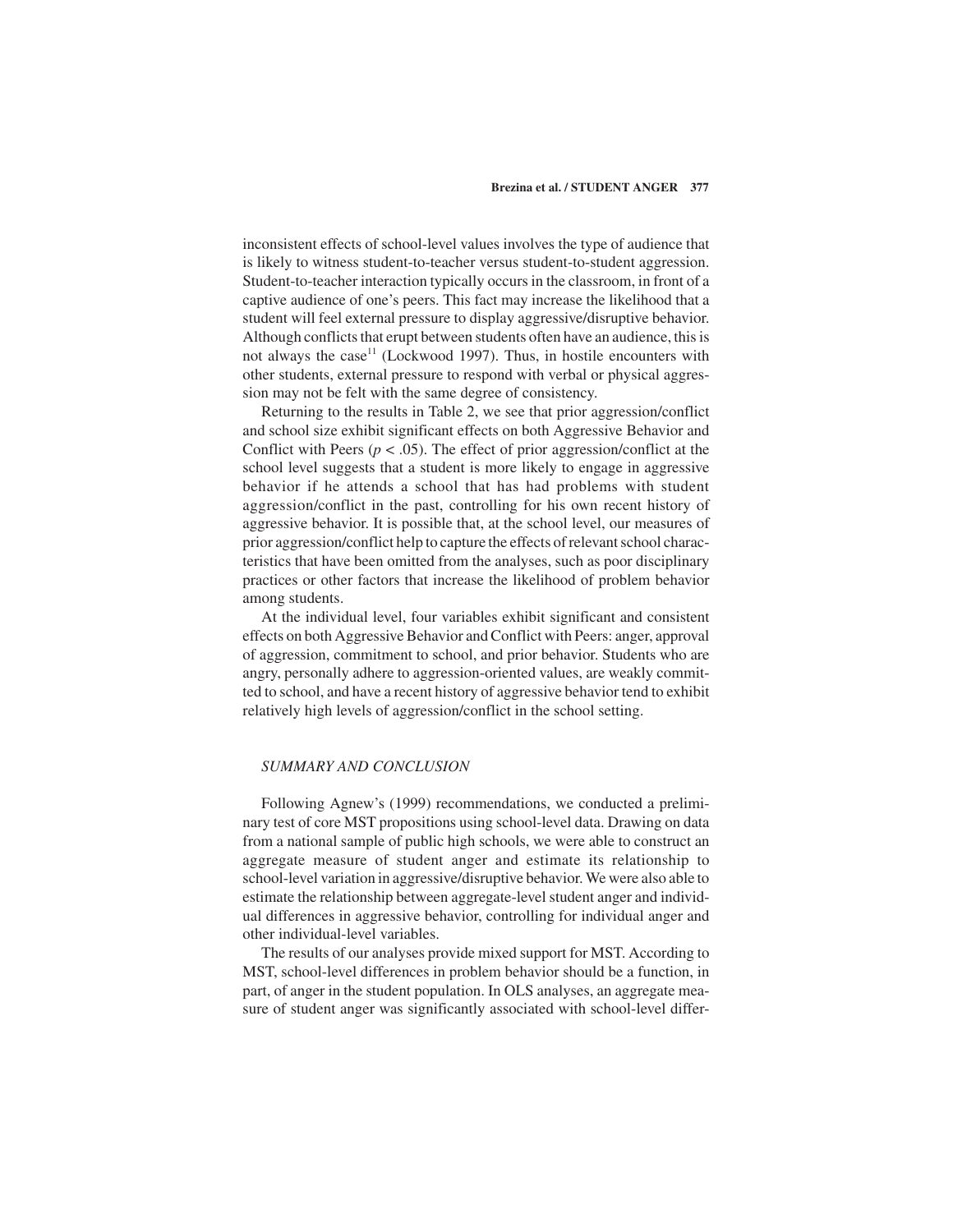inconsistent effects of school-level values involves the type of audience that is likely to witness student-to-teacher versus student-to-student aggression. Student-to-teacher interaction typically occurs in the classroom, in front of a captive audience of one's peers. This fact may increase the likelihood that a student will feel external pressure to display aggressive/disruptive behavior. Although conflicts that erupt between students often have an audience, this is not always the case<sup>11</sup> (Lockwood 1997). Thus, in hostile encounters with other students, external pressure to respond with verbal or physical aggression may not be felt with the same degree of consistency.

Returning to the results in Table 2, we see that prior aggression/conflict and school size exhibit significant effects on both Aggressive Behavior and Conflict with Peers ( $p < .05$ ). The effect of prior aggression/conflict at the school level suggests that a student is more likely to engage in aggressive behavior if he attends a school that has had problems with student aggression/conflict in the past, controlling for his own recent history of aggressive behavior. It is possible that, at the school level, our measures of prior aggression/conflict help to capture the effects of relevant school characteristics that have been omitted from the analyses, such as poor disciplinary practices or other factors that increase the likelihood of problem behavior among students.

At the individual level, four variables exhibit significant and consistent effects on both Aggressive Behavior and Conflict with Peers: anger, approval of aggression, commitment to school, and prior behavior. Students who are angry, personally adhere to aggression-oriented values, are weakly committed to school, and have a recent history of aggressive behavior tend to exhibit relatively high levels of aggression/conflict in the school setting.

## *SUMMARY AND CONCLUSION*

Following Agnew's (1999) recommendations, we conducted a preliminary test of core MST propositions using school-level data. Drawing on data from a national sample of public high schools, we were able to construct an aggregate measure of student anger and estimate its relationship to school-level variation in aggressive/disruptive behavior. We were also able to estimate the relationship between aggregate-level student anger and individual differences in aggressive behavior, controlling for individual anger and other individual-level variables.

The results of our analyses provide mixed support for MST. According to MST, school-level differences in problem behavior should be a function, in part, of anger in the student population. In OLS analyses, an aggregate measure of student anger was significantly associated with school-level differ-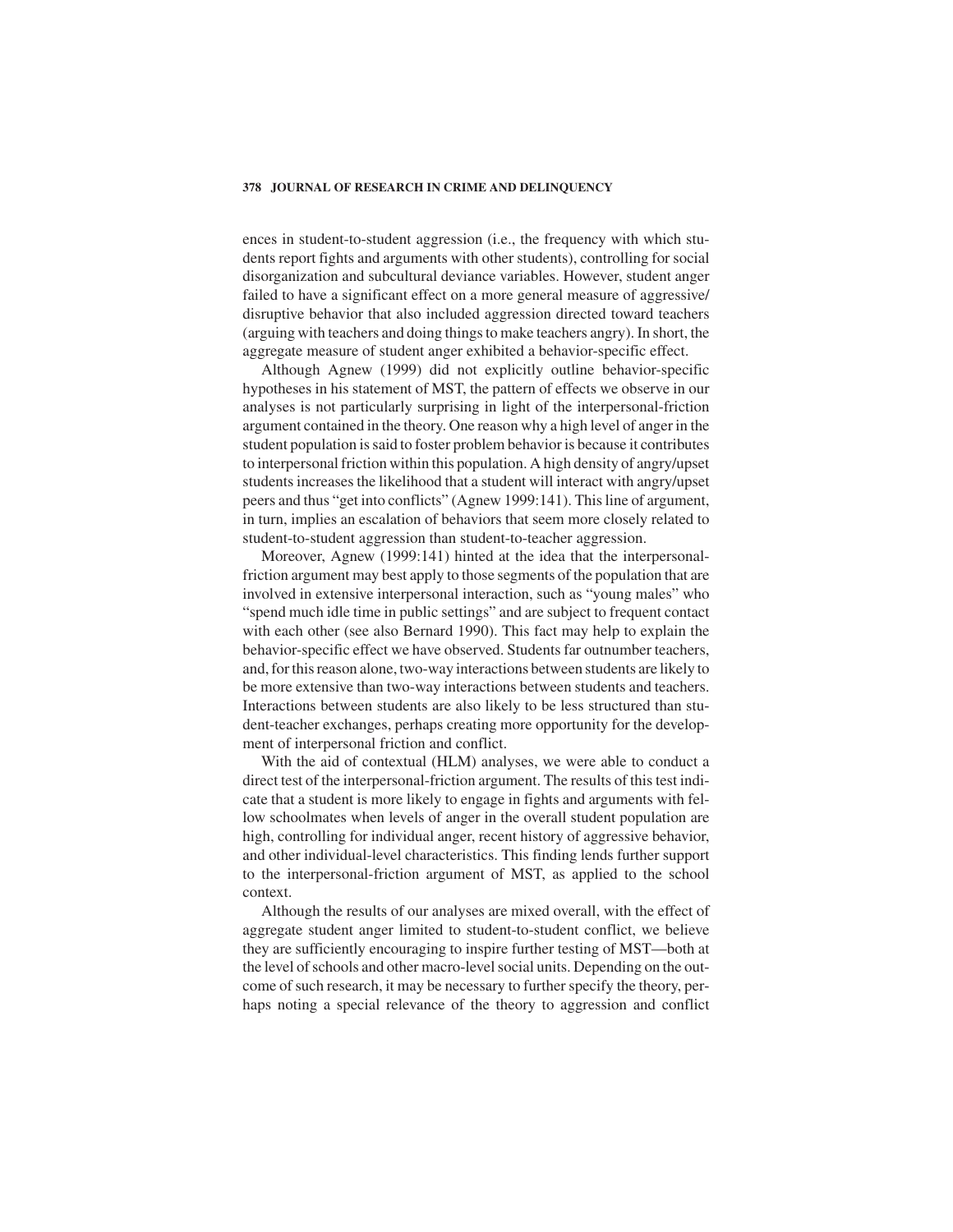ences in student-to-student aggression (i.e., the frequency with which students report fights and arguments with other students), controlling for social disorganization and subcultural deviance variables. However, student anger failed to have a significant effect on a more general measure of aggressive/ disruptive behavior that also included aggression directed toward teachers (arguing with teachers and doing things to make teachers angry). In short, the aggregate measure of student anger exhibited a behavior-specific effect.

Although Agnew (1999) did not explicitly outline behavior-specific hypotheses in his statement of MST, the pattern of effects we observe in our analyses is not particularly surprising in light of the interpersonal-friction argument contained in the theory. One reason why a high level of anger in the student population is said to foster problem behavior is because it contributes to interpersonal friction within this population. A high density of angry/upset students increases the likelihood that a student will interact with angry/upset peers and thus "get into conflicts" (Agnew1999:141). This line of argument, in turn, implies an escalation of behaviors that seem more closely related to student-to-student aggression than student-to-teacher aggression.

Moreover, Agnew (1999:141) hinted at the idea that the interpersonalfriction argument may best apply to those segments of the population that are involved in extensive interpersonal interaction, such as "young males" who "spend much idle time in public settings" and are subject to frequent contact with each other (see also Bernard 1990). This fact may help to explain the behavior-specific effect we have observed. Students far outnumber teachers, and, for this reason alone, two-way interactions between students are likely to be more extensive than two-way interactions between students and teachers. Interactions between students are also likely to be less structured than student-teacher exchanges, perhaps creating more opportunity for the development of interpersonal friction and conflict.

With the aid of contextual (HLM) analyses, we were able to conduct a direct test of the interpersonal-friction argument. The results of this test indicate that a student is more likely to engage in fights and arguments with fellowschoolmates when levels of anger in the overall student population are high, controlling for individual anger, recent history of aggressive behavior, and other individual-level characteristics. This finding lends further support to the interpersonal-friction argument of MST, as applied to the school context.

Although the results of our analyses are mixed overall, with the effect of aggregate student anger limited to student-to-student conflict, we believe they are sufficiently encouraging to inspire further testing of MST—both at the level of schools and other macro-level social units. Depending on the outcome of such research, it may be necessary to further specify the theory, perhaps noting a special relevance of the theory to aggression and conflict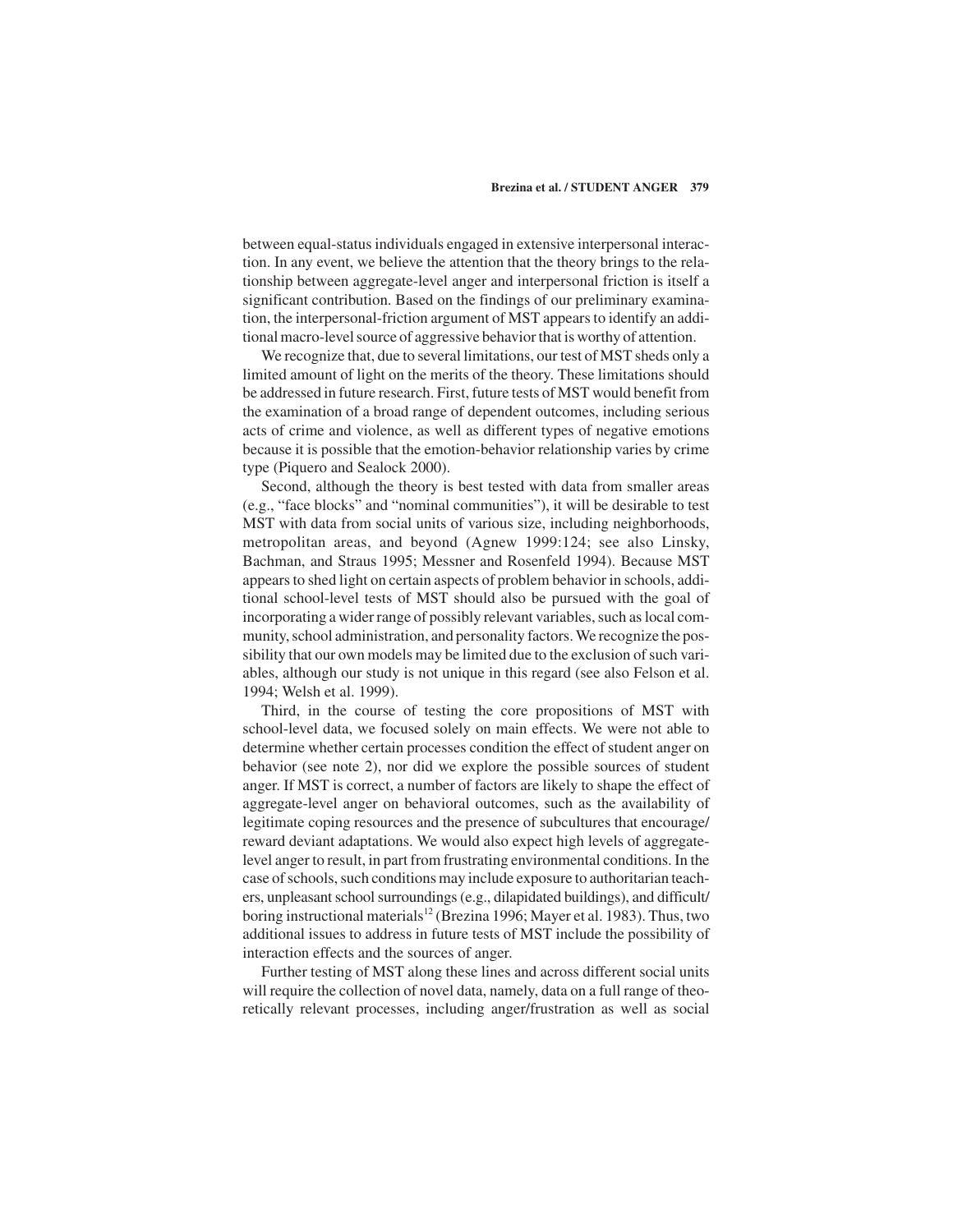between equal-status individuals engaged in extensive interpersonal interaction. In any event, we believe the attention that the theory brings to the relationship between aggregate-level anger and interpersonal friction is itself a significant contribution. Based on the findings of our preliminary examination, the interpersonal-friction argument of MST appears to identify an additional macro-level source of aggressive behavior that is worthy of attention.

We recognize that, due to several limitations, our test of MST sheds only a limited amount of light on the merits of the theory. These limitations should be addressed in future research. First, future tests of MST would benefit from the examination of a broad range of dependent outcomes, including serious acts of crime and violence, as well as different types of negative emotions because it is possible that the emotion-behavior relationship varies by crime type (Piquero and Sealock 2000).

Second, although the theory is best tested with data from smaller areas (e.g., "face blocks" and "nominal communities"), it will be desirable to test MST with data from social units of various size, including neighborhoods, metropolitan areas, and beyond (Agnew1999:124; see also Linsky, Bachman, and Straus 1995; Messner and Rosenfeld 1994). Because MST appears to shed light on certain aspects of problem behavior in schools, additional school-level tests of MST should also be pursued with the goal of incorporating a wider range of possibly relevant variables, such as local community, school administration, and personality factors. We recognize the possibility that our own models may be limited due to the exclusion of such variables, although our study is not unique in this regard (see also Felson et al. 1994; Welsh et al. 1999).

Third, in the course of testing the core propositions of MST with school-level data, we focused solely on main effects. We were not able to determine whether certain processes condition the effect of student anger on behavior (see note 2), nor did we explore the possible sources of student anger. If MST is correct, a number of factors are likely to shape the effect of aggregate-level anger on behavioral outcomes, such as the availability of legitimate coping resources and the presence of subcultures that encourage/ reward deviant adaptations. We would also expect high levels of aggregatelevel anger to result, in part from frustrating environmental conditions. In the case of schools, such conditions may include exposure to authoritarian teachers, unpleasant school surroundings (e.g., dilapidated buildings), and difficult/ boring instructional materials<sup>12</sup> (Brezina 1996; Mayer et al. 1983). Thus, two additional issues to address in future tests of MST include the possibility of interaction effects and the sources of anger.

Further testing of MST along these lines and across different social units will require the collection of novel data, namely, data on a full range of theoretically relevant processes, including anger/frustration as well as social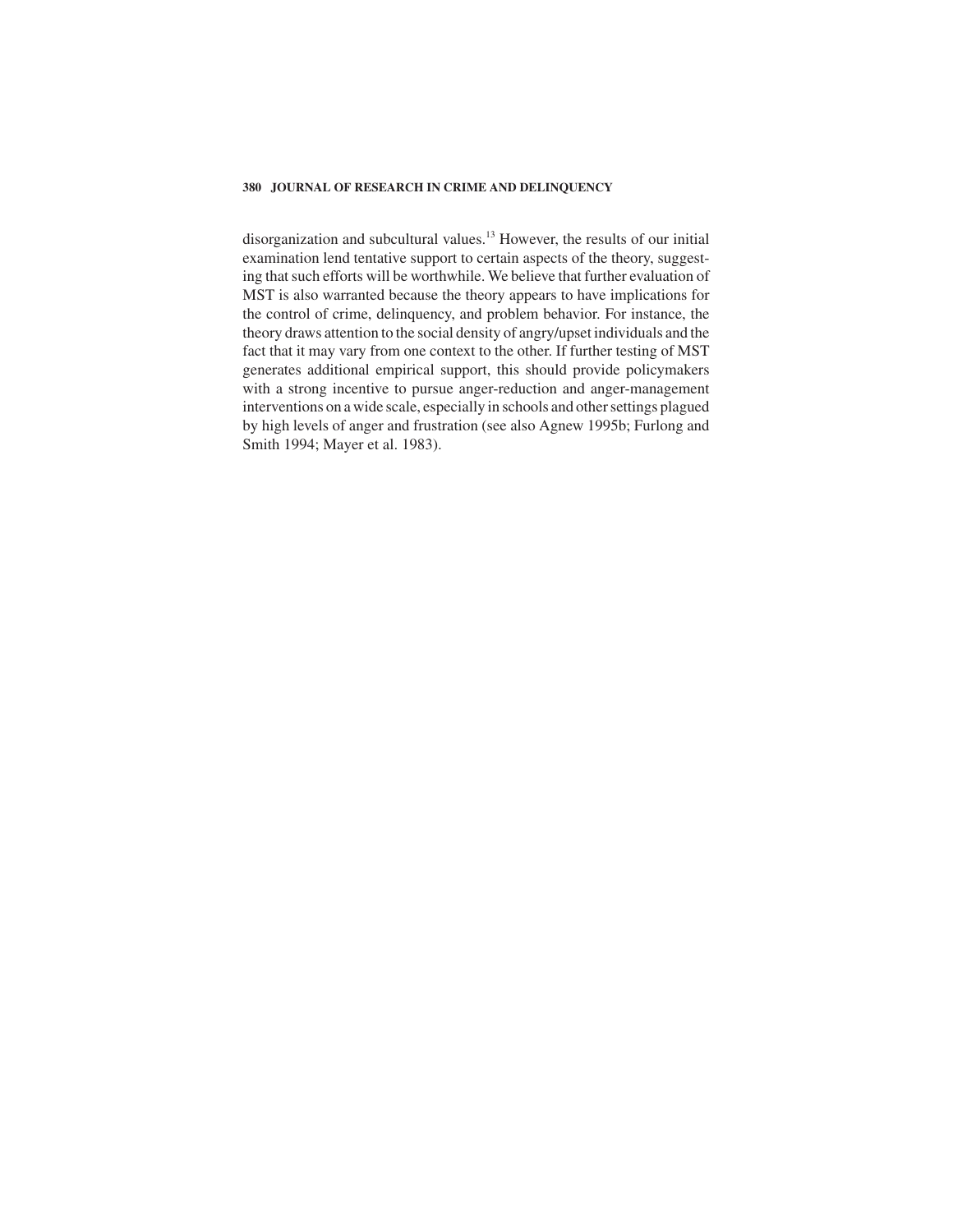disorganization and subcultural values.13 However, the results of our initial examination lend tentative support to certain aspects of the theory, suggesting that such efforts will be worthwhile. We believe that further evaluation of MST is also warranted because the theory appears to have implications for the control of crime, delinquency, and problem behavior. For instance, the theory draws attention to the social density of angry/upset individuals and the fact that it may vary from one context to the other. If further testing of MST generates additional empirical support, this should provide policymakers with a strong incentive to pursue anger-reduction and anger-management interventions on a wide scale, especially in schools and other settings plagued by high levels of anger and frustration (see also Agnew1995b; Furlong and Smith 1994; Mayer et al. 1983).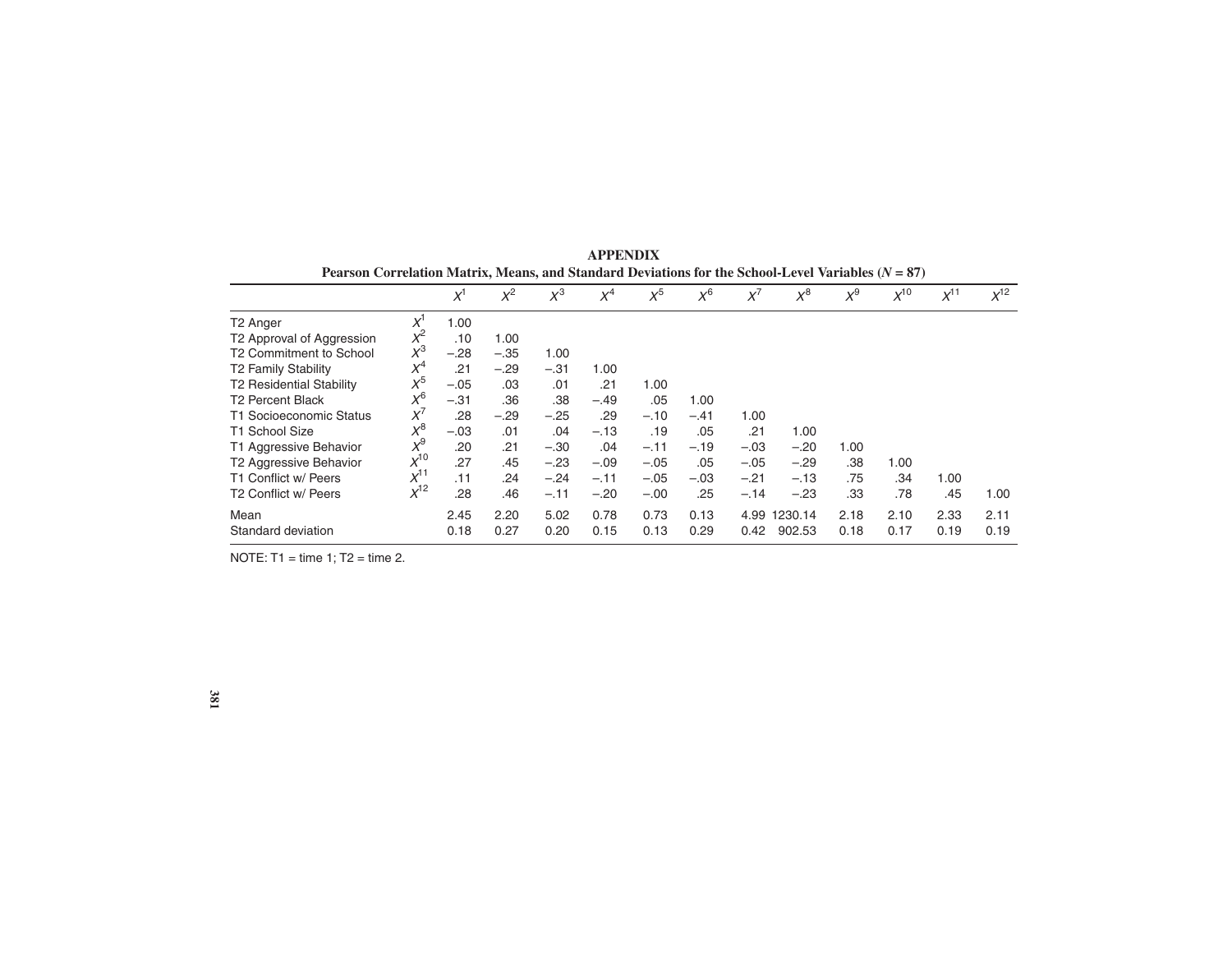|                                  |                   | $X^1$  | $X^2$  | $X^3$  | $X^4$  | $X^5$  | $X^6$  | $X^7$  | $X^8$   | $X^9$ | $X^{10}$ | $X^{11}$ | $X^{12}$ |
|----------------------------------|-------------------|--------|--------|--------|--------|--------|--------|--------|---------|-------|----------|----------|----------|
| T <sub>2</sub> Anger             | $X^1$             | 1.00   |        |        |        |        |        |        |         |       |          |          |          |
| T2 Approval of Aggression        | $x^2$             | .10    | 1.00   |        |        |        |        |        |         |       |          |          |          |
| T2 Commitment to School          | $X^3$             | $-.28$ | $-.35$ | 1.00   |        |        |        |        |         |       |          |          |          |
| <b>T2 Family Stability</b>       | $X^4$             | .21    | $-.29$ | $-.31$ | 1.00   |        |        |        |         |       |          |          |          |
| <b>T2 Residential Stability</b>  | $X^5$             | $-.05$ | .03    | .01    | .21    | 1.00   |        |        |         |       |          |          |          |
| <b>T2 Percent Black</b>          | $X^6$             | $-.31$ | .36    | .38    | $-.49$ | .05    | 1.00   |        |         |       |          |          |          |
| T1 Socioeconomic Status          | $X^7$             | .28    | $-.29$ | $-.25$ | .29    | $-.10$ | $-.41$ | 1.00   |         |       |          |          |          |
| T1 School Size                   | $X^8$             | $-.03$ | .01    | .04    | $-.13$ | .19    | .05    | .21    | 1.00    |       |          |          |          |
| T1 Aggressive Behavior           | $X^9$             | .20    | .21    | $-.30$ | .04    | $-.11$ | $-.19$ | $-.03$ | $-.20$  | 1.00  |          |          |          |
| T2 Aggressive Behavior           | $X^{10}$          | .27    | .45    | $-.23$ | $-.09$ | $-.05$ | .05    | $-.05$ | $-.29$  | .38   | 1.00     |          |          |
| T1 Conflict w/ Peers             | $X$ <sup>11</sup> | .11    | .24    | $-.24$ | $-.11$ | $-.05$ | $-.03$ | $-.21$ | $-.13$  | .75   | .34      | 1.00     |          |
| T <sub>2</sub> Conflict w/ Peers | $X^{12}$          | .28    | .46    | $-.11$ | $-.20$ | $-.00$ | .25    | $-.14$ | $-.23$  | .33   | .78      | .45      | 1.00     |
| Mean                             |                   | 2.45   | 2.20   | 5.02   | 0.78   | 0.73   | 0.13   | 4.99   | 1230.14 | 2.18  | 2.10     | 2.33     | 2.11     |
| Standard deviation               |                   | 0.18   | 0.27   | 0.20   | 0.15   | 0.13   | 0.29   | 0.42   | 902.53  | 0.18  | 0.17     | 0.19     | 0.19     |

**APPENDIX Pearson Correlation Matrix, Means, and Standard Deviations for the School-Level Variables (***N* **= 87)**

NOTE:  $T1 = time 1$ ;  $T2 = time 2$ .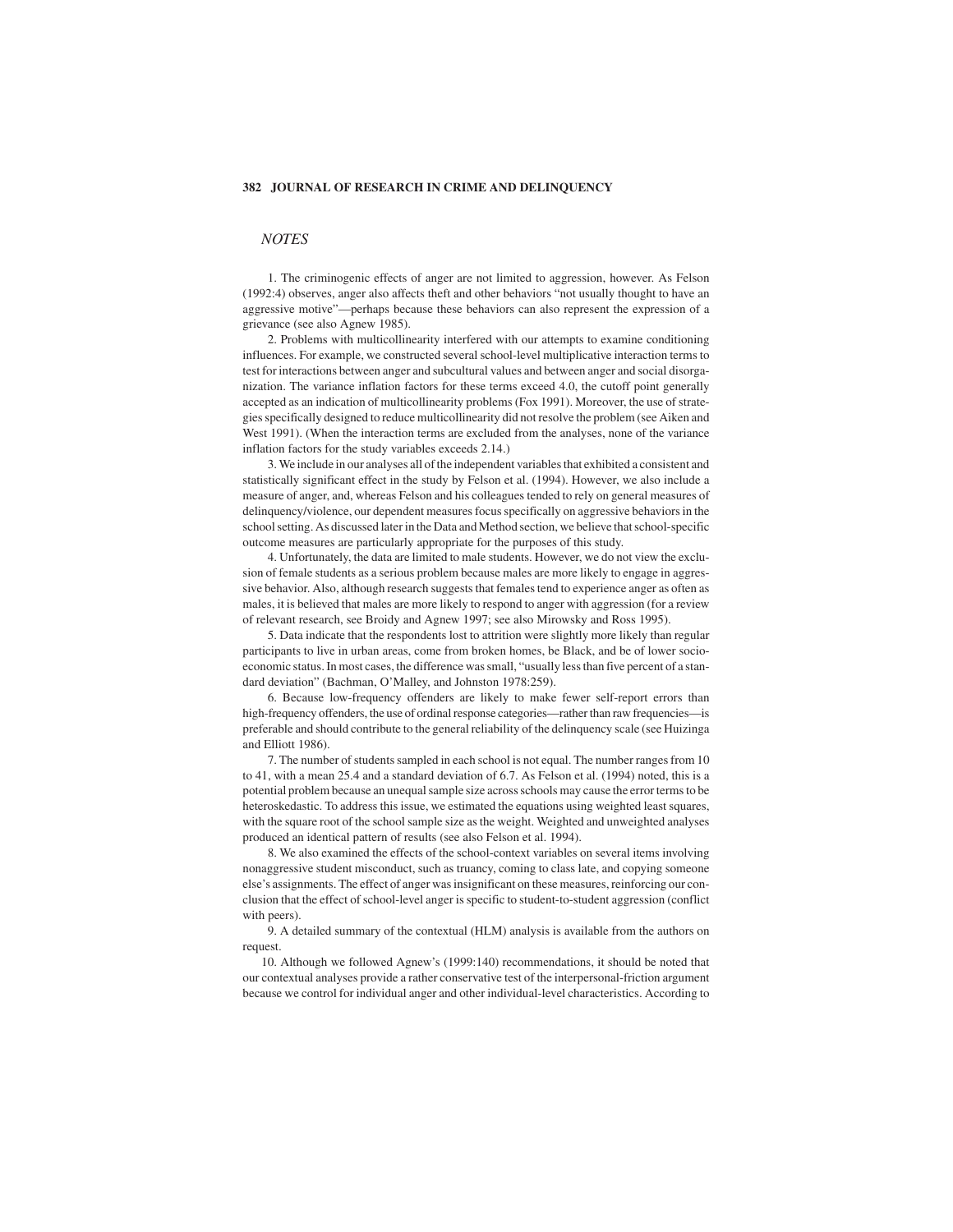## *NOTES*

1. The criminogenic effects of anger are not limited to aggression, however. As Felson (1992:4) observes, anger also affects theft and other behaviors "not usually thought to have an aggressive motive"—perhaps because these behaviors can also represent the expression of a grievance (see also Agnew 1985).

2. Problems with multicollinearity interfered with our attempts to examine conditioning influences. For example, we constructed several school-level multiplicative interaction terms to test for interactions between anger and subcultural values and between anger and social disorganization. The variance inflation factors for these terms exceed 4.0, the cutoff point generally accepted as an indication of multicollinearity problems (Fox 1991). Moreover, the use of strategies specifically designed to reduce multicollinearity did not resolve the problem (see Aiken and West 1991). (When the interaction terms are excluded from the analyses, none of the variance inflation factors for the study variables exceeds 2.14.)

3. We include in our analyses all of the independent variables that exhibited a consistent and statistically significant effect in the study by Felson et al. (1994). However, we also include a measure of anger, and, whereas Felson and his colleagues tended to rely on general measures of delinquency/violence, our dependent measures focus specifically on aggressive behaviors in the school setting. As discussed later in the Data and Method section, we believe that school-specific outcome measures are particularly appropriate for the purposes of this study.

4. Unfortunately, the data are limited to male students. However, we do not view the exclusion of female students as a serious problem because males are more likely to engage in aggressive behavior. Also, although research suggests that females tend to experience anger as often as males, it is believed that males are more likely to respond to anger with aggression (for a review of relevant research, see Broidy and Agnew 1997; see also Mirowsky and Ross 1995).

5. Data indicate that the respondents lost to attrition were slightly more likely than regular participants to live in urban areas, come from broken homes, be Black, and be of lower socioeconomic status. In most cases, the difference was small, "usually less than five percent of a standard deviation" (Bachman, O'Malley, and Johnston 1978:259).

6. Because low-frequency offenders are likely to make fewer self-report errors than high-frequency offenders, the use of ordinal response categories—rather than raw frequencies—is preferable and should contribute to the general reliability of the delinquency scale (see Huizinga and Elliott 1986).

7. The number of students sampled in each school is not equal. The number ranges from 10 to 41, with a mean 25.4 and a standard deviation of 6.7. As Felson et al. (1994) noted, this is a potential problem because an unequal sample size across schools may cause the error terms to be heteroskedastic. To address this issue, we estimated the equations using weighted least squares, with the square root of the school sample size as the weight. Weighted and unweighted analyses produced an identical pattern of results (see also Felson et al. 1994).

8. We also examined the effects of the school-context variables on several items involving nonaggressive student misconduct, such as truancy, coming to class late, and copying someone else's assignments. The effect of anger was insignificant on these measures, reinforcing our conclusion that the effect of school-level anger is specific to student-to-student aggression (conflict with peers).

9. A detailed summary of the contextual (HLM) analysis is available from the authors on request.

10. Although we followed Agnew's (1999:140) recommendations, it should be noted that our contextual analyses provide a rather conservative test of the interpersonal-friction argument because we control for individual anger and other individual-level characteristics. According to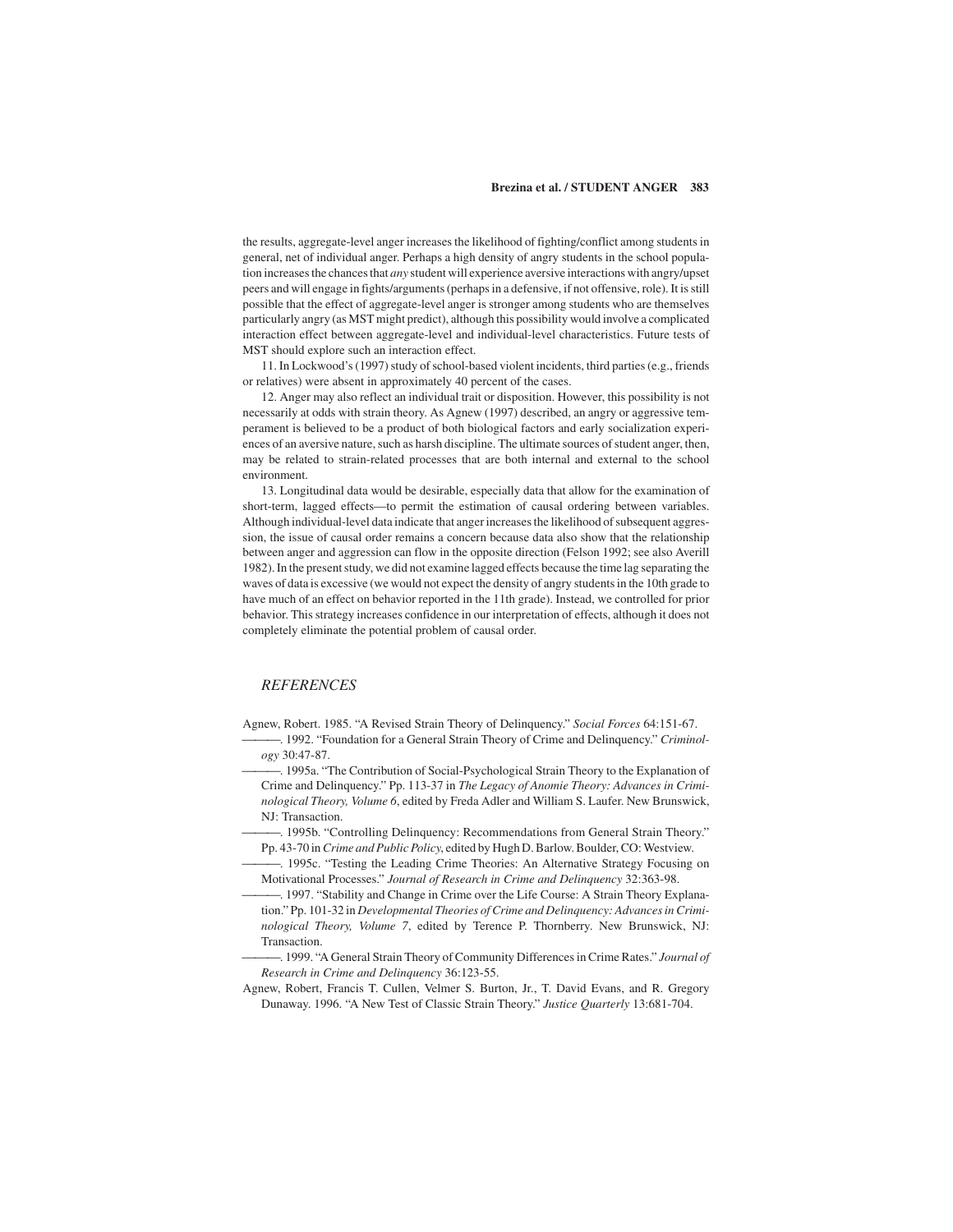#### **Brezina et al. / STUDENT ANGER 383**

the results, aggregate-level anger increases the likelihood of fighting/conflict among students in general, net of individual anger. Perhaps a high density of angry students in the school population increases the chances that *any* student will experience aversive interactions with angry/upset peers and will engage in fights/arguments (perhaps in a defensive, if not offensive, role). It is still possible that the effect of aggregate-level anger is stronger among students who are themselves particularly angry (as MST might predict), although this possibility would involve a complicated interaction effect between aggregate-level and individual-level characteristics. Future tests of MST should explore such an interaction effect.

11. In Lockwood's (1997) study of school-based violent incidents, third parties (e.g., friends or relatives) were absent in approximately 40 percent of the cases.

12. Anger may also reflect an individual trait or disposition. However, this possibility is not necessarily at odds with strain theory. As Agnew (1997) described, an angry or aggressive temperament is believed to be a product of both biological factors and early socialization experiences of an aversive nature, such as harsh discipline. The ultimate sources of student anger, then, may be related to strain-related processes that are both internal and external to the school environment.

13. Longitudinal data would be desirable, especially data that allow for the examination of short-term, lagged effects—to permit the estimation of causal ordering between variables. Although individual-level data indicate that anger increases the likelihood of subsequent aggression, the issue of causal order remains a concern because data also showthat the relationship between anger and aggression can flow in the opposite direction (Felson 1992; see also Averill 1982). In the present study, we did not examine lagged effects because the time lag separating the waves of data is excessive (we would not expect the density of angry students in the 10th grade to have much of an effect on behavior reported in the 11th grade). Instead, we controlled for prior behavior. This strategy increases confidence in our interpretation of effects, although it does not completely eliminate the potential problem of causal order.

## *REFERENCES*

Agnew, Robert. 1985. "A Revised Strain Theory of Delinquency." *Social Forces* 64:151-67. . 1992. "Foundation for a General Strain Theory of Crime and Delinquency." *Criminol-*

*ogy* 30:47-87.

- . 1995a. "The Contribution of Social-Psychological Strain Theory to the Explanation of Crime and Delinquency." Pp. 113-37 in *The Legacy of Anomie Theory: Advances in Criminological Theory, Volume 6, edited by Freda Adler and William S. Laufer. New Brunswick,* NJ: Transaction.
- . 1995b. "Controlling Delinquency: Recommendations from General Strain Theory." Pp. 43-70 in*Crime and Public Policy*, edited by Hugh D. Barlow. Boulder, CO: Westview.
- . 1995c. "Testing the Leading Crime Theories: An Alternative Strategy Focusing on Motivational Processes." *Journal of Research in Crime and Delinquency* 32:363-98.
- . 1997. "Stability and Change in Crime over the Life Course: A Strain Theory Explanation." Pp. 101-32 in *Developmental Theories of Crime and Delinquency: Advances in Criminological Theory, Volume 7, edited by Terence P. Thornberry. New Brunswick, NJ:* Transaction.
- . 1999. "A General Strain Theory of Community Differences in Crime Rates." *Journal of Research in Crime and Delinquency* 36:123-55.
- Agnew, Robert, Francis T. Cullen, Velmer S. Burton, Jr., T. David Evans, and R. Gregory Dunaway. 1996. "A New Test of Classic Strain Theory." *Justice Quarterly* 13:681-704.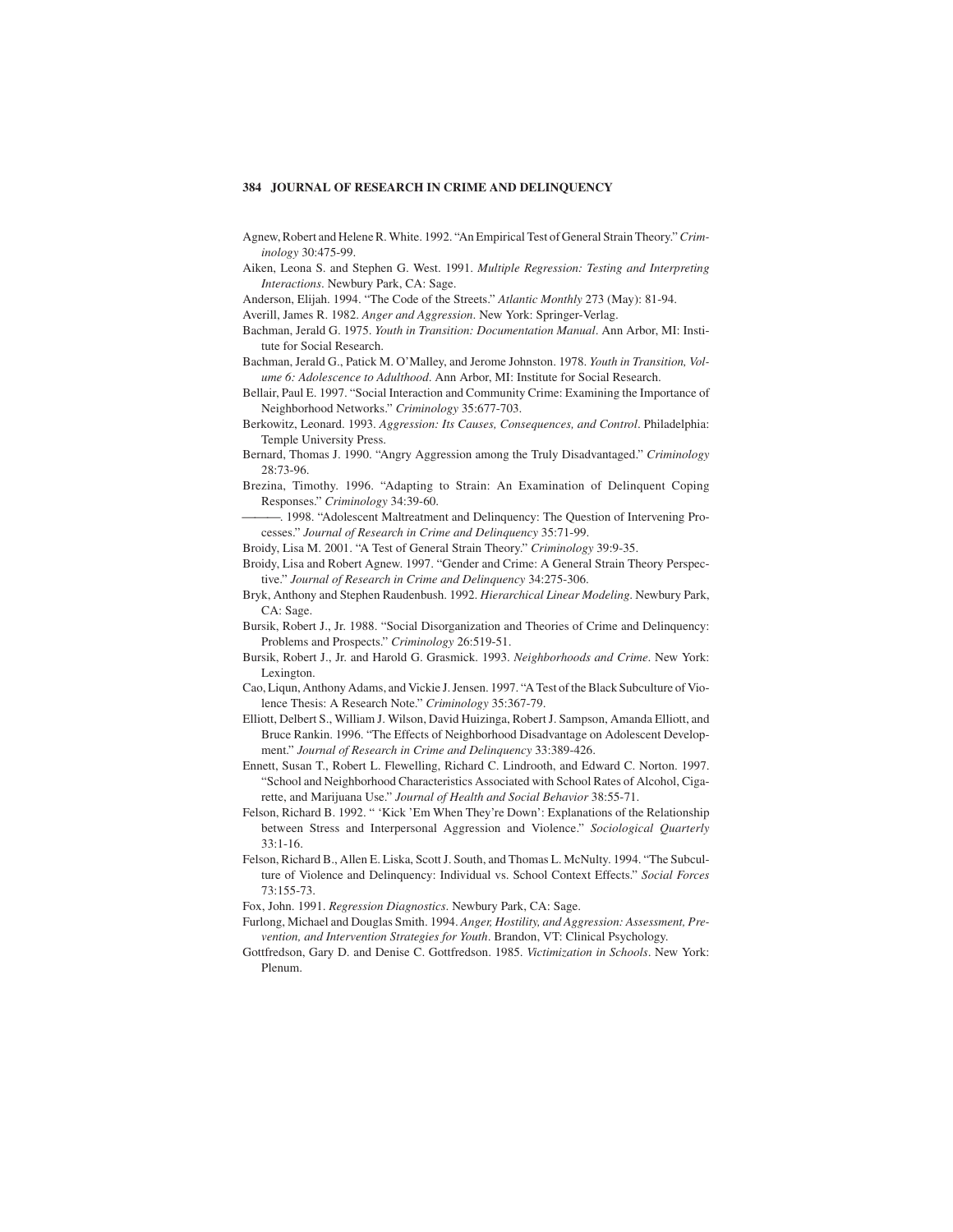- Agnew, Robert and Helene R. White. 1992. "An Empirical Test of General Strain Theory."*Criminology* 30:475-99.
- Aiken, Leona S. and Stephen G. West. 1991. *Multiple Regression: Testing and Interpreting Interactions*. Newbury Park, CA: Sage.
- Anderson, Elijah. 1994. "The Code of the Streets." *Atlantic Monthly* 273 (May): 81-94.

Averill, James R. 1982. *Anger and Aggression*. New York: Springer-Verlag.

- Bachman, Jerald G. 1975. *Youth in Transition: Documentation Manual*. Ann Arbor, MI: Institute for Social Research.
- Bachman, Jerald G., Patick M. O'Malley, and Jerome Johnston. 1978. *Youth in Transition, Volume 6: Adolescence to Adulthood*. Ann Arbor, MI: Institute for Social Research.
- Bellair, Paul E. 1997. "Social Interaction and Community Crime: Examining the Importance of Neighborhood Networks." *Criminology* 35:677-703.
- Berkowitz, Leonard. 1993. *Aggression: Its Causes, Consequences, and Control*. Philadelphia: Temple University Press.
- Bernard, Thomas J. 1990. "Angry Aggression among the Truly Disadvantaged." *Criminology* 28:73-96.
- Brezina, Timothy. 1996. "Adapting to Strain: An Examination of Delinquent Coping Responses." *Criminology* 34:39-60.

. 1998. "Adolescent Maltreatment and Delinquency: The Question of Intervening Processes." *Journal of Research in Crime and Delinquency* 35:71-99.

- Broidy, Lisa M. 2001. "A Test of General Strain Theory." *Criminology* 39:9-35.
- Broidy, Lisa and Robert Agnew. 1997. "Gender and Crime: A General Strain Theory Perspective." *Journal of Research in Crime and Delinquency* 34:275-306.
- Bryk, Anthony and Stephen Raudenbush. 1992. *Hierarchical Linear Modeling*. Newbury Park, CA: Sage.
- Bursik, Robert J., Jr. 1988. "Social Disorganization and Theories of Crime and Delinquency: Problems and Prospects." *Criminology* 26:519-51.
- Bursik, Robert J., Jr. and Harold G. Grasmick. 1993. *Neighborhoods and Crime*. NewYork: Lexington.
- Cao, Liqun, Anthony Adams, and Vickie J. Jensen. 1997. "A Test of the Black Subculture of Violence Thesis: A Research Note." *Criminology* 35:367-79.
- Elliott, Delbert S., William J. Wilson, David Huizinga, Robert J. Sampson, Amanda Elliott, and Bruce Rankin. 1996. "The Effects of Neighborhood Disadvantage on Adolescent Development." *Journal of Research in Crime and Delinquency* 33:389-426.
- Ennett, Susan T., Robert L. Flewelling, Richard C. Lindrooth, and Edward C. Norton. 1997. "School and Neighborhood Characteristics Associated with School Rates of Alcohol, Cigarette, and Marijuana Use." *Journal of Health and Social Behavior* 38:55-71.
- Felson, Richard B. 1992. " 'Kick 'Em When They're Down': Explanations of the Relationship between Stress and Interpersonal Aggression and Violence." *Sociological Quarterly*  $33:1-16$ .
- Felson, Richard B., Allen E. Liska, Scott J. South, and Thomas L. McNulty. 1994. "The Subculture of Violence and Delinquency: Individual vs. School Context Effects." *Social Forces* 73:155-73.

Fox, John. 1991. *Regression Diagnostics*. Newbury Park, CA: Sage.

- Furlong, Michael and Douglas Smith. 1994. *Anger, Hostility, and Aggression: Assessment, Prevention, and Intervention Strategies for Youth*. Brandon, VT: Clinical Psychology.
- Gottfredson, Gary D. and Denise C. Gottfredson. 1985. *Victimization in Schools*. New York: Plenum.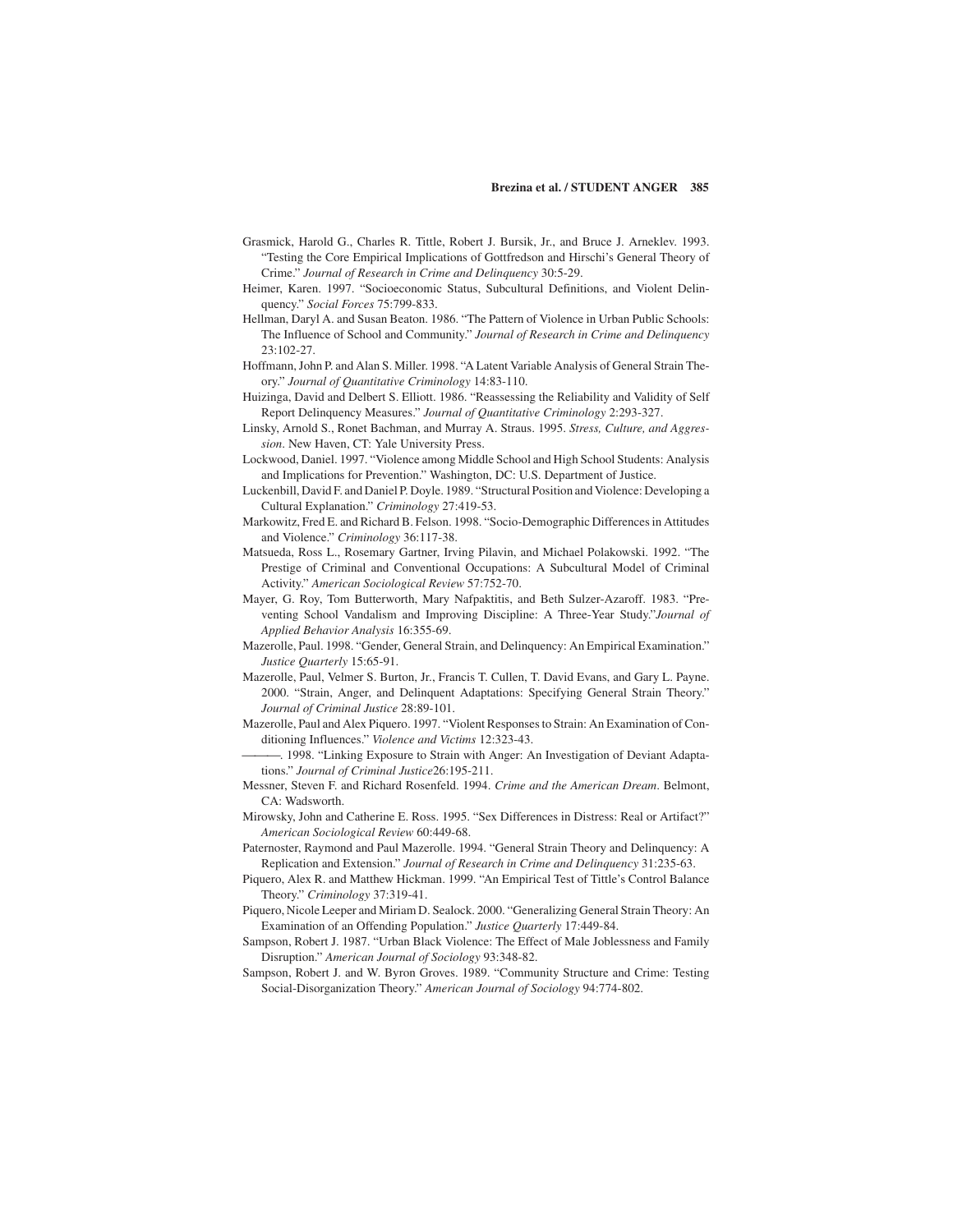- Grasmick, Harold G., Charles R. Tittle, Robert J. Bursik, Jr., and Bruce J. Arneklev. 1993. "Testing the Core Empirical Implications of Gottfredson and Hirschi's General Theory of Crime." *Journal of Research in Crime and Delinquency* 30:5-29.
- Heimer, Karen. 1997. "Socioeconomic Status, Subcultural Definitions, and Violent Delinquency." *Social Forces* 75:799-833.
- Hellman, Daryl A. and Susan Beaton. 1986. "The Pattern of Violence in Urban Public Schools: The Influence of School and Community." *Journal of Research in Crime and Delinquency* 23:102-27.
- Hoffmann, John P. and Alan S. Miller. 1998. "A Latent Variable Analysis of General Strain Theory." *Journal of Quantitative Criminology* 14:83-110.
- Huizinga, David and Delbert S. Elliott. 1986. "Reassessing the Reliability and Validity of Self Report Delinquency Measures." *Journal of Quantitative Criminology* 2:293-327.
- Linsky, Arnold S., Ronet Bachman, and Murray A. Straus. 1995. *Stress, Culture, and Aggression*. New Haven, CT: Yale University Press.
- Lockwood, Daniel. 1997. "Violence among Middle School and High School Students: Analysis and Implications for Prevention." Washington, DC: U.S. Department of Justice.
- Luckenbill, David F. and Daniel P. Doyle. 1989. "Structural Position and Violence: Developing a Cultural Explanation." *Criminology* 27:419-53.
- Markowitz, Fred E. and Richard B. Felson. 1998. "Socio-Demographic Differences in Attitudes and Violence." *Criminology* 36:117-38.
- Matsueda, Ross L., Rosemary Gartner, Irving Pilavin, and Michael Polakowski. 1992. "The Prestige of Criminal and Conventional Occupations: A Subcultural Model of Criminal Activity." *American Sociological Review* 57:752-70.
- Mayer, G. Roy, Tom Butterworth, Mary Nafpaktitis, and Beth Sulzer-Azaroff. 1983. "Preventing School Vandalism and Improving Discipline: A Three-Year Study."*Journal of Applied Behavior Analysis* 16:355-69.
- Mazerolle, Paul. 1998. "Gender, General Strain, and Delinquency: An Empirical Examination." *Justice Quarterly* 15:65-91.
- Mazerolle, Paul, Velmer S. Burton, Jr., Francis T. Cullen, T. David Evans, and Gary L. Payne. 2000. "Strain, Anger, and Delinquent Adaptations: Specifying General Strain Theory." *Journal of Criminal Justice* 28:89-101.
- Mazerolle, Paul and Alex Piquero. 1997. "Violent Responses to Strain: An Examination of Conditioning Influences." *Violence and Victims* 12:323-43.
- . 1998. "Linking Exposure to Strain with Anger: An Investigation of Deviant Adaptations." *Journal of Criminal Justice*26:195-211.
- Messner, Steven F. and Richard Rosenfeld. 1994. *Crime and the American Dream*. Belmont, CA: Wadsworth.
- Mirowsky, John and Catherine E. Ross. 1995. "Sex Differences in Distress: Real or Artifact?" *American Sociological Review* 60:449-68.
- Paternoster, Raymond and Paul Mazerolle. 1994. "General Strain Theory and Delinquency: A Replication and Extension." *Journal of Research in Crime and Delinquency* 31:235-63.
- Piquero, Alex R. and Matthew Hickman. 1999. "An Empirical Test of Tittle's Control Balance Theory." *Criminology* 37:319-41.
- Piquero, Nicole Leeper and Miriam D. Sealock. 2000. "Generalizing General Strain Theory: An Examination of an Offending Population." *Justice Quarterly* 17:449-84.
- Sampson, Robert J. 1987. "Urban Black Violence: The Effect of Male Joblessness and Family Disruption." *American Journal of Sociology* 93:348-82.
- Sampson, Robert J. and W. Byron Groves. 1989. "Community Structure and Crime: Testing Social-Disorganization Theory." *American Journal of Sociology* 94:774-802.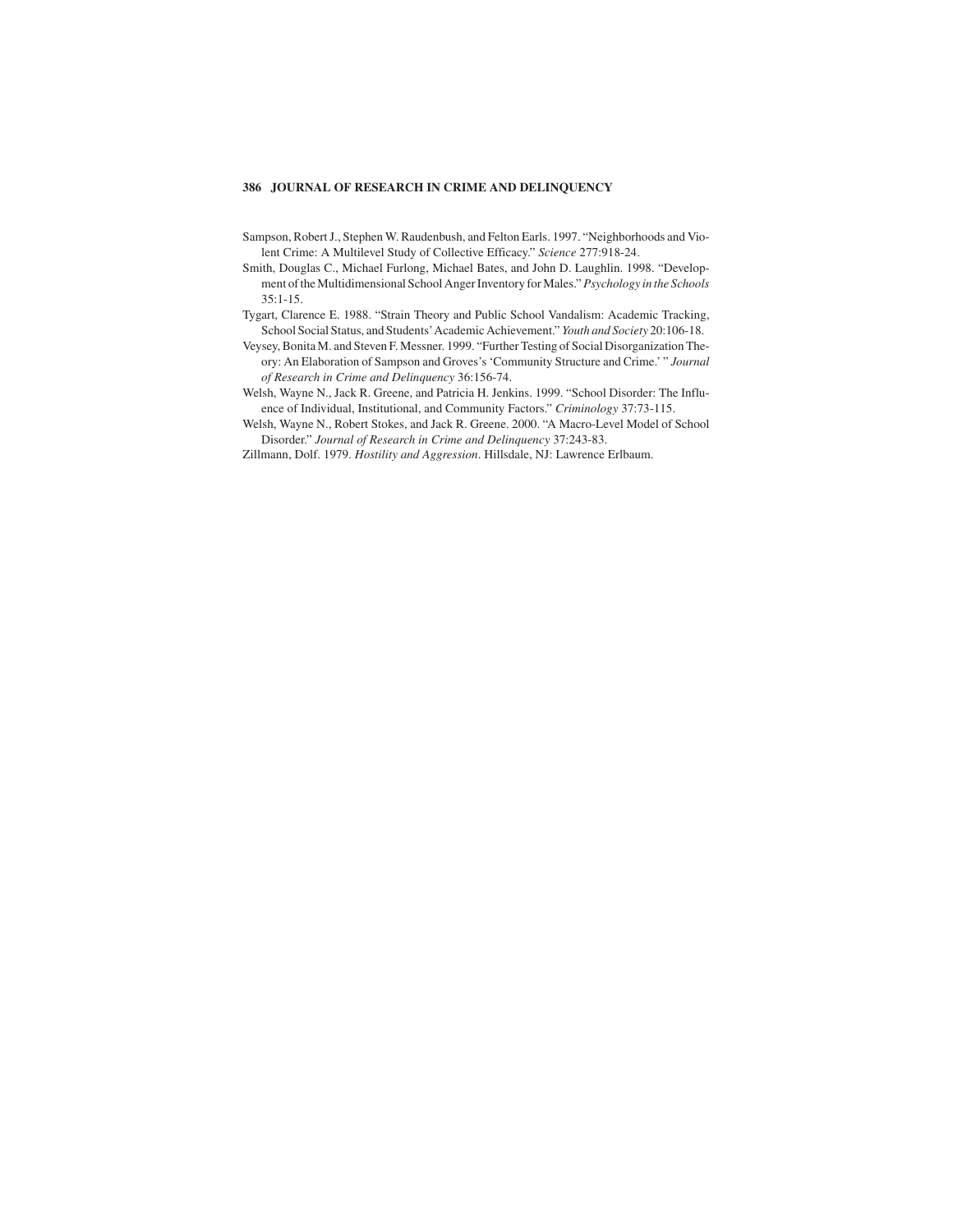- Sampson, Robert J., Stephen W. Raudenbush, and Felton Earls. 1997. "Neighborhoods and Violent Crime: A Multilevel Study of Collective Efficacy." *Science* 277:918-24.
- Smith, Douglas C., Michael Furlong, Michael Bates, and John D. Laughlin. 1998. "Development of the Multidimensional School Anger Inventory for Males."*Psychology in the Schools* 35:1-15.
- Tygart, Clarence E. 1988. "Strain Theory and Public School Vandalism: Academic Tracking, School Social Status, and Students'Academic Achievement." *Youth and Society* 20:106-18.
- Veysey, Bonita M. and Steven F. Messner. 1999. "Further Testing of Social Disorganization Theory: An Elaboration of Sampson and Groves's 'Community Structure and Crime.' " *Journal of Research in Crime and Delinquency* 36:156-74.
- Welsh, Wayne N., Jack R. Greene, and Patricia H. Jenkins. 1999. "School Disorder: The Influence of Individual, Institutional, and Community Factors." *Criminology* 37:73-115.
- Welsh, Wayne N., Robert Stokes, and Jack R. Greene. 2000. "A Macro-Level Model of School Disorder." *Journal of Research in Crime and Delinquency* 37:243-83.
- Zillmann, Dolf. 1979. *Hostility and Aggression*. Hillsdale, NJ: Lawrence Erlbaum.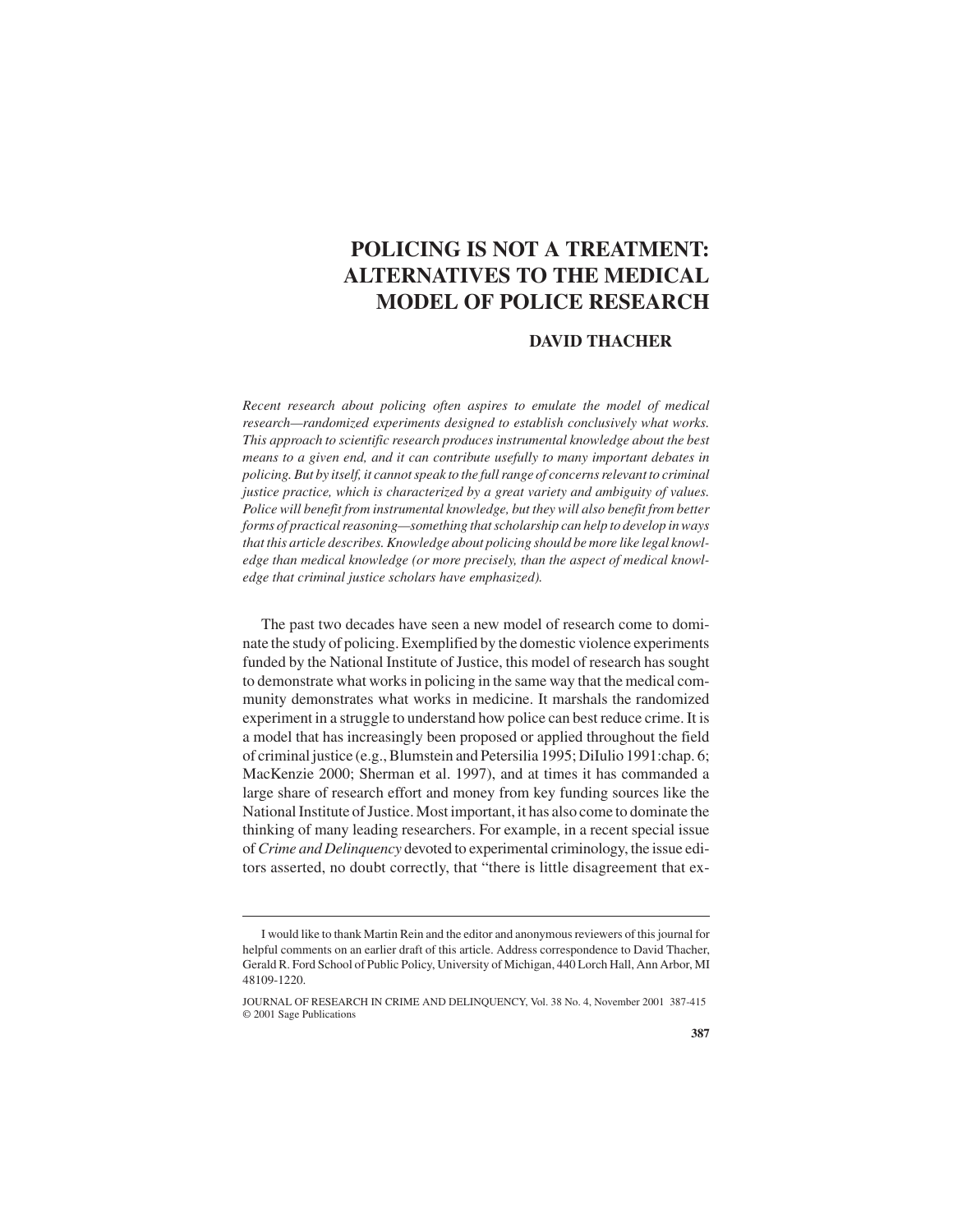# **POLICING IS NOT A TREATMENT: ALTERNATIVES TO THE MEDICAL MODEL OF POLICE RESEARCH**

## **DAVID THACHER**

*Recent research about policing often aspires to emulate the model of medical research—randomized experiments designed to establish conclusively what works. This approach to scientific research produces instrumental knowledge about the best means to a given end, and it can contribute usefully to many important debates in policing. But by itself, it cannot speak to the full range of concerns relevant to criminal justice practice, which is characterized by a great variety and ambiguity of values. Police will benefit from instrumental knowledge, but they will also benefit from better forms of practical reasoning—something that scholarship can help to develop in ways that this article describes. Knowledge about policing should be more like legal knowledge than medical knowledge (or more precisely, than the aspect of medical knowledge that criminal justice scholars have emphasized).*

The past two decades have seen a new model of research come to dominate the study of policing. Exemplified by the domestic violence experiments funded by the National Institute of Justice, this model of research has sought to demonstrate what works in policing in the same way that the medical community demonstrates what works in medicine. It marshals the randomized experiment in a struggle to understand how police can best reduce crime. It is a model that has increasingly been proposed or applied throughout the field of criminal justice (e.g., Blumstein and Petersilia 1995; DiIulio 1991:chap. 6; MacKenzie 2000; Sherman et al. 1997), and at times it has commanded a large share of research effort and money from key funding sources like the National Institute of Justice. Most important, it has also come to dominate the thinking of many leading researchers. For example, in a recent special issue of *Crime and Delinquency* devoted to experimental criminology, the issue editors asserted, no doubt correctly, that "there is little disagreement that ex-

I would like to thank Martin Rein and the editor and anonymous reviewers of this journal for helpful comments on an earlier draft of this article. Address correspondence to David Thacher, Gerald R. Ford School of Public Policy, University of Michigan, 440 Lorch Hall, Ann Arbor, MI 48109-1220.

JOURNAL OF RESEARCH IN CRIME AND DELINQUENCY, Vol. 38 No. 4, November 2001 387-415 © 2001 Sage Publications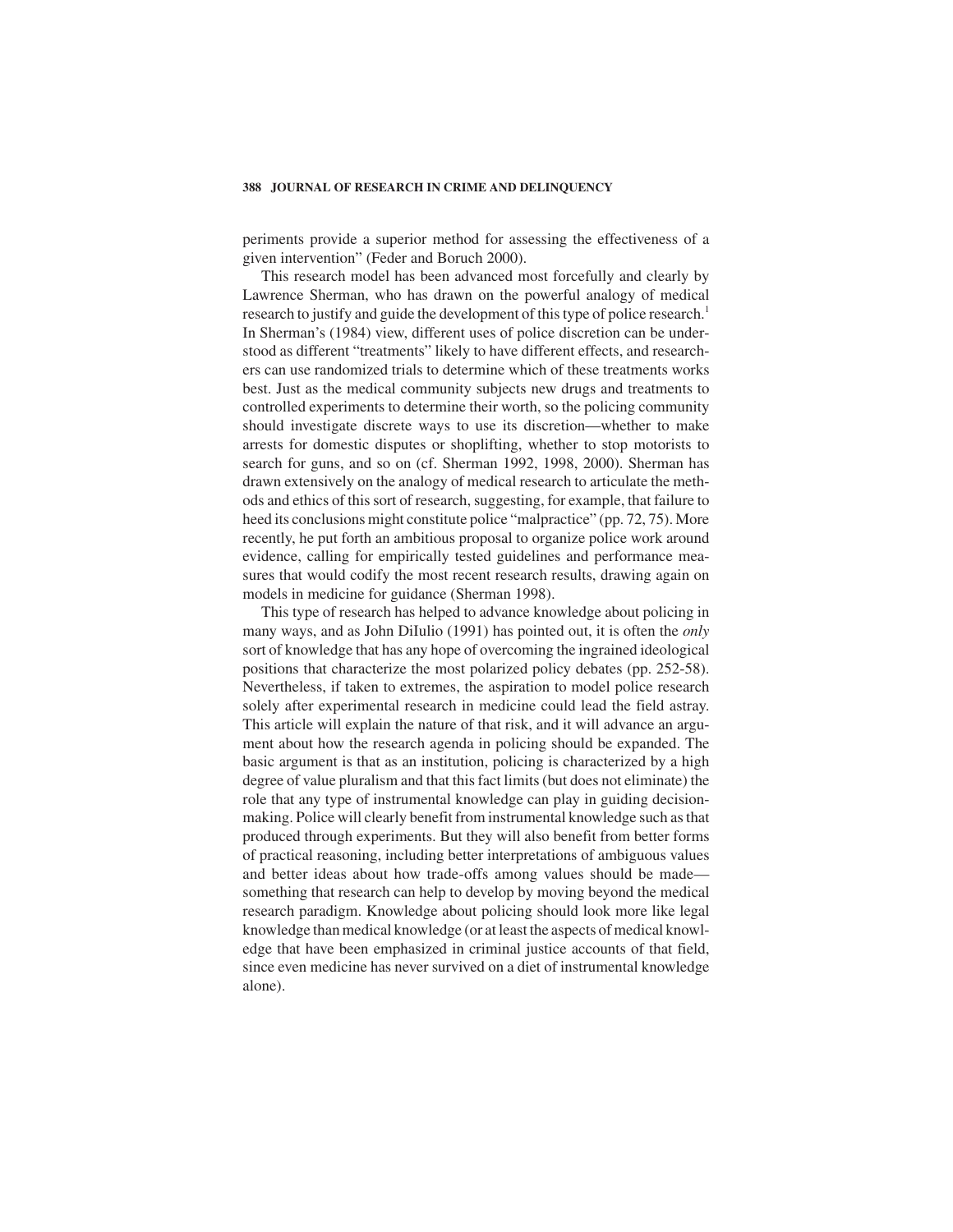periments provide a superior method for assessing the effectiveness of a given intervention" (Feder and Boruch 2000).

This research model has been advanced most forcefully and clearly by Lawrence Sherman, who has drawn on the powerful analogy of medical research to justify and guide the development of this type of police research.<sup>1</sup> In Sherman's (1984) view, different uses of police discretion can be understood as different "treatments" likely to have different effects, and researchers can use randomized trials to determine which of these treatments works best. Just as the medical community subjects newdrugs and treatments to controlled experiments to determine their worth, so the policing community should investigate discrete ways to use its discretion—whether to make arrests for domestic disputes or shoplifting, whether to stop motorists to search for guns, and so on (cf. Sherman 1992, 1998, 2000). Sherman has drawn extensively on the analogy of medical research to articulate the methods and ethics of this sort of research, suggesting, for example, that failure to heed its conclusions might constitute police "malpractice" (pp. 72, 75). More recently, he put forth an ambitious proposal to organize police work around evidence, calling for empirically tested guidelines and performance measures that would codify the most recent research results, drawing again on models in medicine for guidance (Sherman 1998).

This type of research has helped to advance knowledge about policing in many ways, and as John DiIulio (1991) has pointed out, it is often the *only* sort of knowledge that has any hope of overcoming the ingrained ideological positions that characterize the most polarized policy debates (pp. 252-58). Nevertheless, if taken to extremes, the aspiration to model police research solely after experimental research in medicine could lead the field astray. This article will explain the nature of that risk, and it will advance an argument about howthe research agenda in policing should be expanded. The basic argument is that as an institution, policing is characterized by a high degree of value pluralism and that this fact limits (but does not eliminate) the role that any type of instrumental knowledge can play in guiding decisionmaking. Police will clearly benefit from instrumental knowledge such as that produced through experiments. But they will also benefit from better forms of practical reasoning, including better interpretations of ambiguous values and better ideas about how trade-offs among values should be made something that research can help to develop by moving beyond the medical research paradigm. Knowledge about policing should look more like legal knowledge than medical knowledge (or at least the aspects of medical knowledge that have been emphasized in criminal justice accounts of that field, since even medicine has never survived on a diet of instrumental knowledge alone).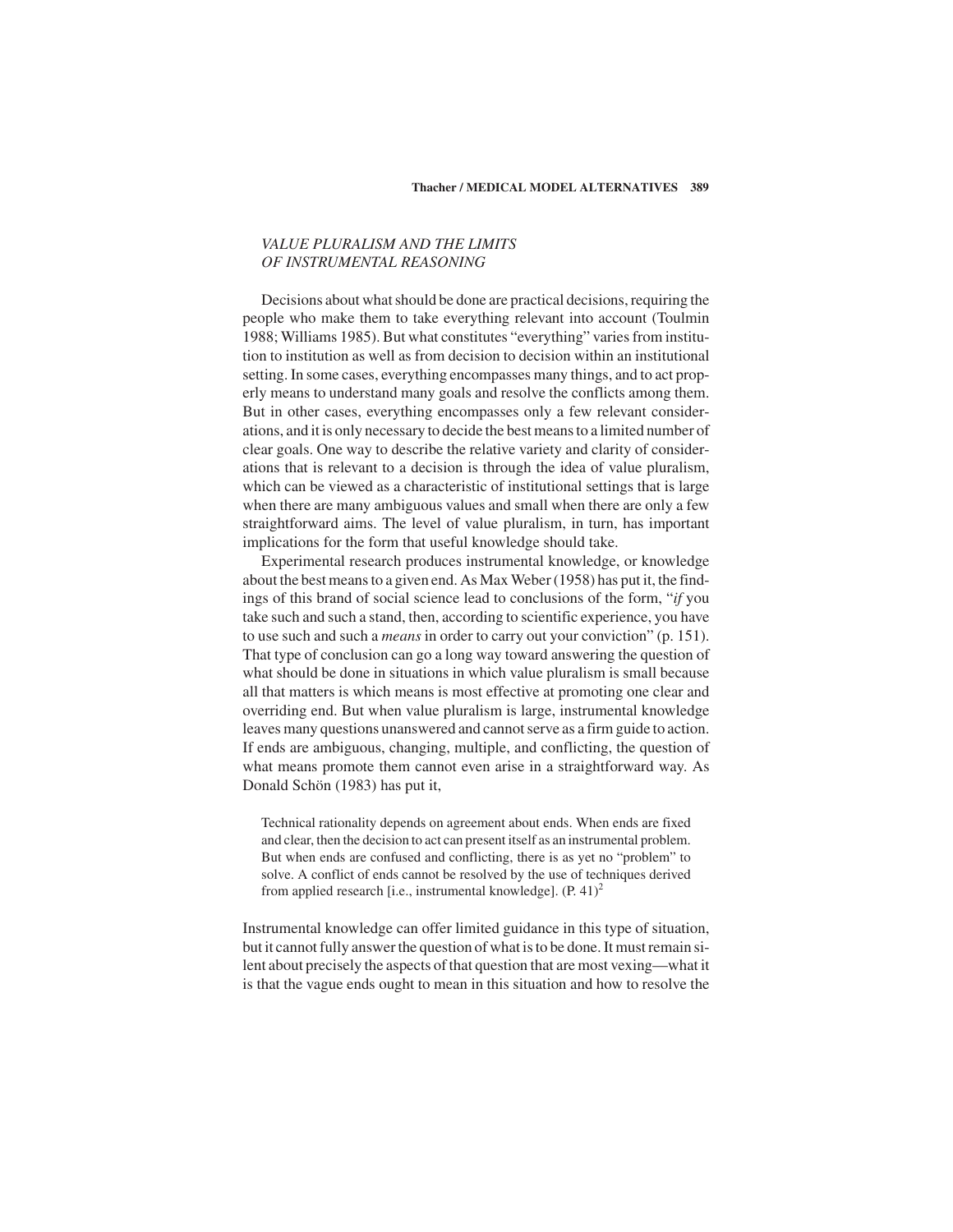## *VALUE PLURALISM AND THE LIMITS OF INSTRUMENTAL REASONING*

Decisions about what should be done are practical decisions, requiring the people who make them to take everything relevant into account (Toulmin 1988; Williams 1985). But what constitutes "everything" varies from institution to institution as well as from decision to decision within an institutional setting. In some cases, everything encompasses many things, and to act properly means to understand many goals and resolve the conflicts among them. But in other cases, everything encompasses only a fewrelevant considerations, and it is only necessary to decide the best means to a limited number of clear goals. One way to describe the relative variety and clarity of considerations that is relevant to a decision is through the idea of value pluralism, which can be viewed as a characteristic of institutional settings that is large when there are many ambiguous values and small when there are only a few straightforward aims. The level of value pluralism, in turn, has important implications for the form that useful knowledge should take.

Experimental research produces instrumental knowledge, or knowledge about the best means to a given end. As Max Weber (1958) has put it, the findings of this brand of social science lead to conclusions of the form, "*if* you take such and such a stand, then, according to scientific experience, you have to use such and such a *means* in order to carry out your conviction" (p. 151). That type of conclusion can go a long way toward answering the question of what should be done in situations in which value pluralism is small because all that matters is which means is most effective at promoting one clear and overriding end. But when value pluralism is large, instrumental knowledge leaves many questions unanswered and cannot serve as a firm guide to action. If ends are ambiguous, changing, multiple, and conflicting, the question of what means promote them cannot even arise in a straightforward way. As Donald Schön (1983) has put it,

Technical rationality depends on agreement about ends. When ends are fixed and clear, then the decision to act can present itself as an instrumental problem. But when ends are confused and conflicting, there is as yet no "problem" to solve. A conflict of ends cannot be resolved by the use of techniques derived from applied research [i.e., instrumental knowledge].  $(P. 41)^2$ 

Instrumental knowledge can offer limited guidance in this type of situation, but it cannot fully answer the question of what is to be done. It must remain silent about precisely the aspects of that question that are most vexing—what it is that the vague ends ought to mean in this situation and howto resolve the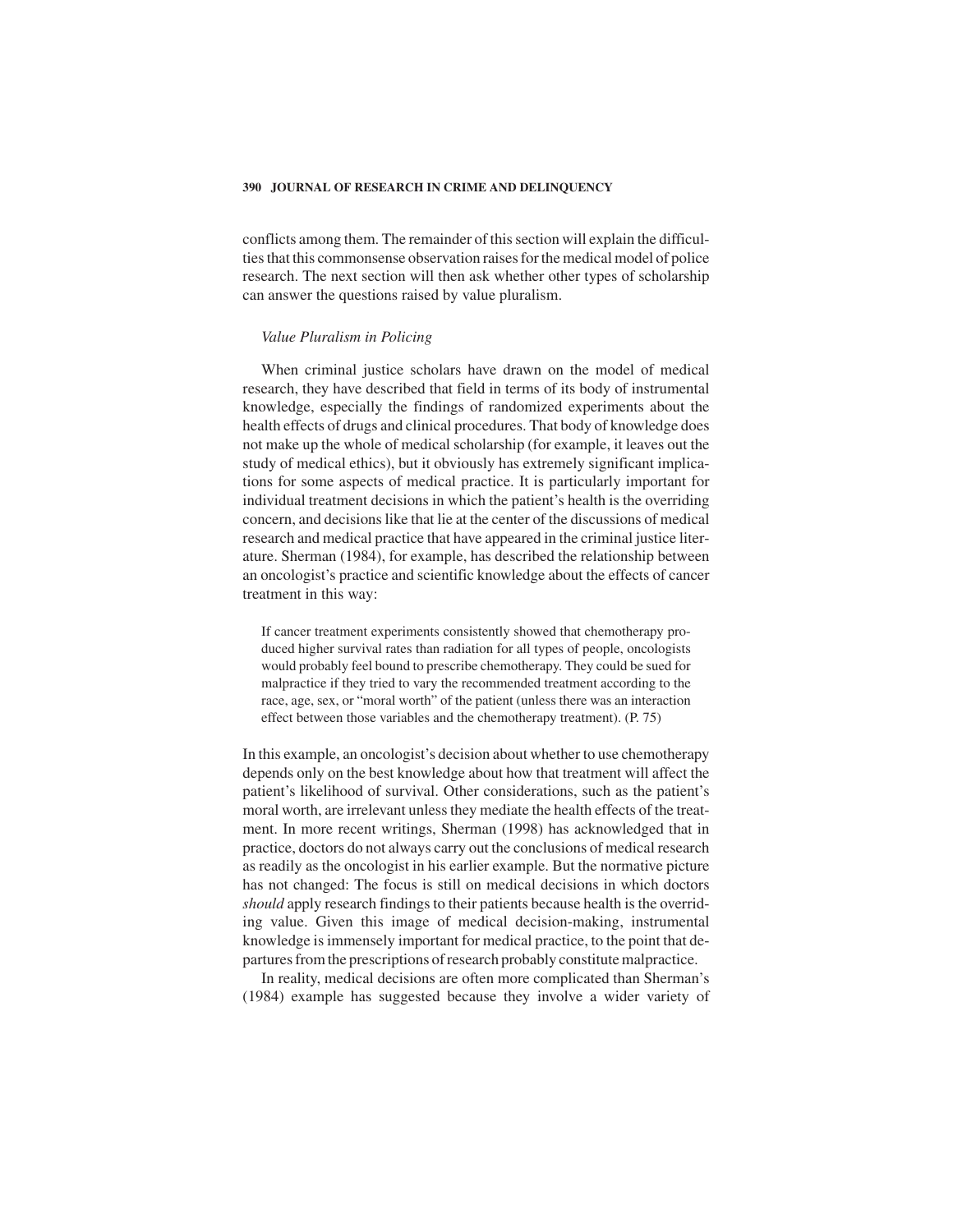conflicts among them. The remainder of this section will explain the difficulties that this commonsense observation raises for the medical model of police research. The next section will then ask whether other types of scholarship can answer the questions raised by value pluralism.

## *Value Pluralism in Policing*

When criminal justice scholars have drawn on the model of medical research, they have described that field in terms of its body of instrumental knowledge, especially the findings of randomized experiments about the health effects of drugs and clinical procedures. That body of knowledge does not make up the whole of medical scholarship (for example, it leaves out the study of medical ethics), but it obviously has extremely significant implications for some aspects of medical practice. It is particularly important for individual treatment decisions in which the patient's health is the overriding concern, and decisions like that lie at the center of the discussions of medical research and medical practice that have appeared in the criminal justice literature. Sherman (1984), for example, has described the relationship between an oncologist's practice and scientific knowledge about the effects of cancer treatment in this way:

If cancer treatment experiments consistently showed that chemotherapy produced higher survival rates than radiation for all types of people, oncologists would probably feel bound to prescribe chemotherapy. They could be sued for malpractice if they tried to vary the recommended treatment according to the race, age, sex, or "moral worth" of the patient (unless there was an interaction effect between those variables and the chemotherapy treatment). (P. 75)

In this example, an oncologist's decision about whether to use chemotherapy depends only on the best knowledge about how that treatment will affect the patient's likelihood of survival. Other considerations, such as the patient's moral worth, are irrelevant unless they mediate the health effects of the treatment. In more recent writings, Sherman (1998) has acknowledged that in practice, doctors do not always carry out the conclusions of medical research as readily as the oncologist in his earlier example. But the normative picture has not changed: The focus is still on medical decisions in which doctors *should* apply research findings to their patients because health is the overriding value. Given this image of medical decision-making, instrumental knowledge is immensely important for medical practice, to the point that departures from the prescriptions of research probably constitute malpractice.

In reality, medical decisions are often more complicated than Sherman's (1984) example has suggested because they involve a wider variety of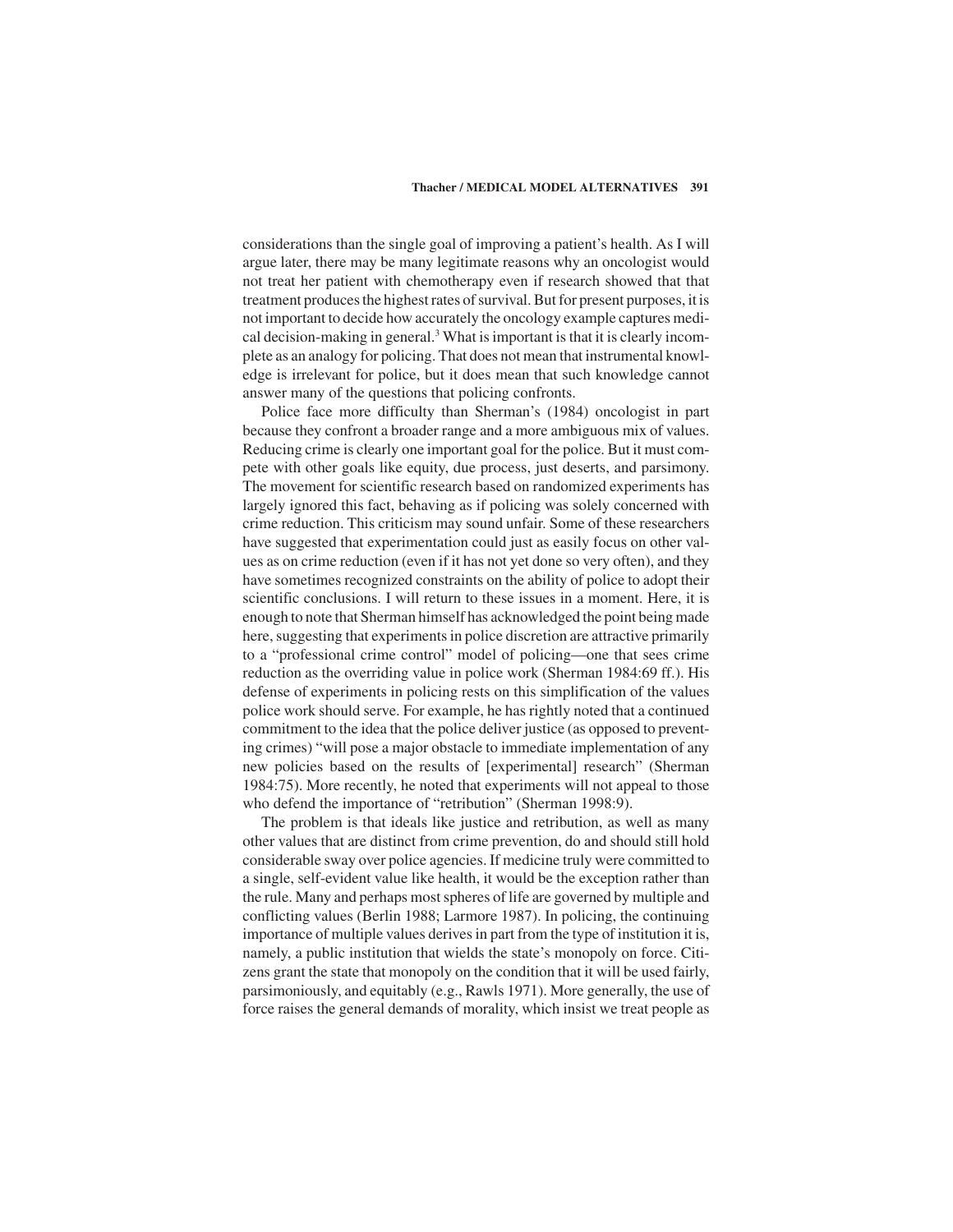considerations than the single goal of improving a patient's health. As I will argue later, there may be many legitimate reasons why an oncologist would not treat her patient with chemotherapy even if research showed that that treatment produces the highest rates of survival. But for present purposes, it is not important to decide howaccurately the oncology example captures medical decision-making in general.<sup>3</sup> What is important is that it is clearly incomplete as an analogy for policing. That does not mean that instrumental knowledge is irrelevant for police, but it does mean that such knowledge cannot answer many of the questions that policing confronts.

Police face more difficulty than Sherman's (1984) oncologist in part because they confront a broader range and a more ambiguous mix of values. Reducing crime is clearly one important goal for the police. But it must compete with other goals like equity, due process, just deserts, and parsimony. The movement for scientific research based on randomized experiments has largely ignored this fact, behaving as if policing was solely concerned with crime reduction. This criticism may sound unfair. Some of these researchers have suggested that experimentation could just as easily focus on other values as on crime reduction (even if it has not yet done so very often), and they have sometimes recognized constraints on the ability of police to adopt their scientific conclusions. I will return to these issues in a moment. Here, it is enough to note that Sherman himself has acknowledged the point being made here, suggesting that experiments in police discretion are attractive primarily to a "professional crime control" model of policing—one that sees crime reduction as the overriding value in police work (Sherman 1984:69 ff.). His defense of experiments in policing rests on this simplification of the values police work should serve. For example, he has rightly noted that a continued commitment to the idea that the police deliver justice (as opposed to preventing crimes) "will pose a major obstacle to immediate implementation of any new policies based on the results of [experimental] research" (Sherman 1984:75). More recently, he noted that experiments will not appeal to those who defend the importance of "retribution" (Sherman 1998:9).

The problem is that ideals like justice and retribution, as well as many other values that are distinct from crime prevention, do and should still hold considerable sway over police agencies. If medicine truly were committed to a single, self-evident value like health, it would be the exception rather than the rule. Many and perhaps most spheres of life are governed by multiple and conflicting values (Berlin 1988; Larmore 1987). In policing, the continuing importance of multiple values derives in part from the type of institution it is, namely, a public institution that wields the state's monopoly on force. Citizens grant the state that monopoly on the condition that it will be used fairly, parsimoniously, and equitably (e.g., Rawls 1971). More generally, the use of force raises the general demands of morality, which insist we treat people as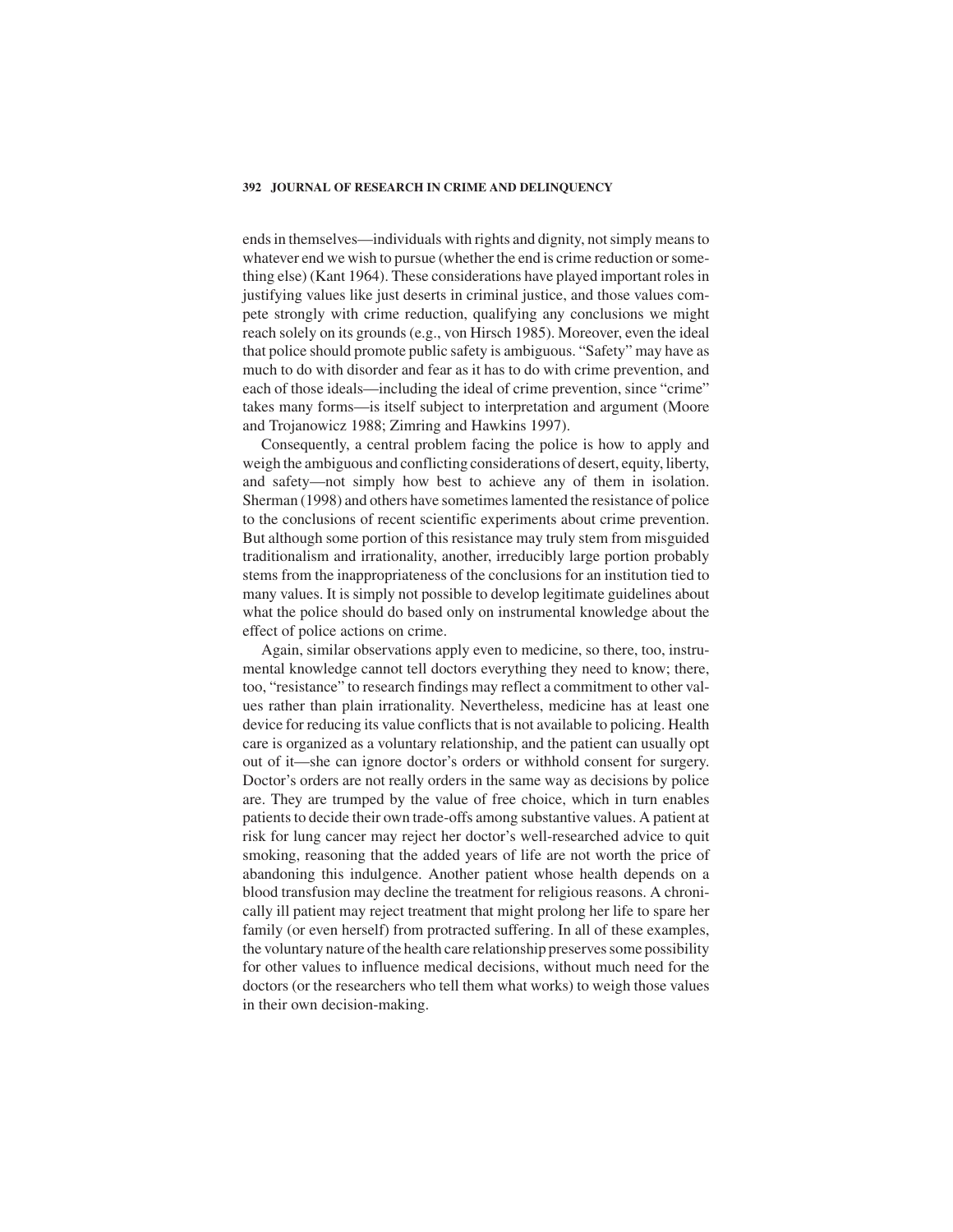ends in themselves—individuals with rights and dignity, not simply means to whatever end we wish to pursue (whether the end is crime reduction or something else) (Kant 1964). These considerations have played important roles in justifying values like just deserts in criminal justice, and those values compete strongly with crime reduction, qualifying any conclusions we might reach solely on its grounds (e.g., von Hirsch 1985). Moreover, even the ideal that police should promote public safety is ambiguous. "Safety" may have as much to do with disorder and fear as it has to do with crime prevention, and each of those ideals—including the ideal of crime prevention, since "crime" takes many forms—is itself subject to interpretation and argument (Moore and Trojanowicz 1988; Zimring and Hawkins 1997).

Consequently, a central problem facing the police is how to apply and weigh the ambiguous and conflicting considerations of desert, equity, liberty, and safety—not simply how best to achieve any of them in isolation. Sherman (1998) and others have sometimes lamented the resistance of police to the conclusions of recent scientific experiments about crime prevention. But although some portion of this resistance may truly stem from misguided traditionalism and irrationality, another, irreducibly large portion probably stems from the inappropriateness of the conclusions for an institution tied to many values. It is simply not possible to develop legitimate guidelines about what the police should do based only on instrumental knowledge about the effect of police actions on crime.

Again, similar observations apply even to medicine, so there, too, instrumental knowledge cannot tell doctors everything they need to know; there, too, "resistance" to research findings may reflect a commitment to other values rather than plain irrationality. Nevertheless, medicine has at least one device for reducing its value conflicts that is not available to policing. Health care is organized as a voluntary relationship, and the patient can usually opt out of it—she can ignore doctor's orders or withhold consent for surgery. Doctor's orders are not really orders in the same way as decisions by police are. They are trumped by the value of free choice, which in turn enables patients to decide their own trade-offs among substantive values. A patient at risk for lung cancer may reject her doctor's well-researched advice to quit smoking, reasoning that the added years of life are not worth the price of abandoning this indulgence. Another patient whose health depends on a blood transfusion may decline the treatment for religious reasons. A chronically ill patient may reject treatment that might prolong her life to spare her family (or even herself) from protracted suffering. In all of these examples, the voluntary nature of the health care relationship preserves some possibility for other values to influence medical decisions, without much need for the doctors (or the researchers who tell them what works) to weigh those values in their own decision-making.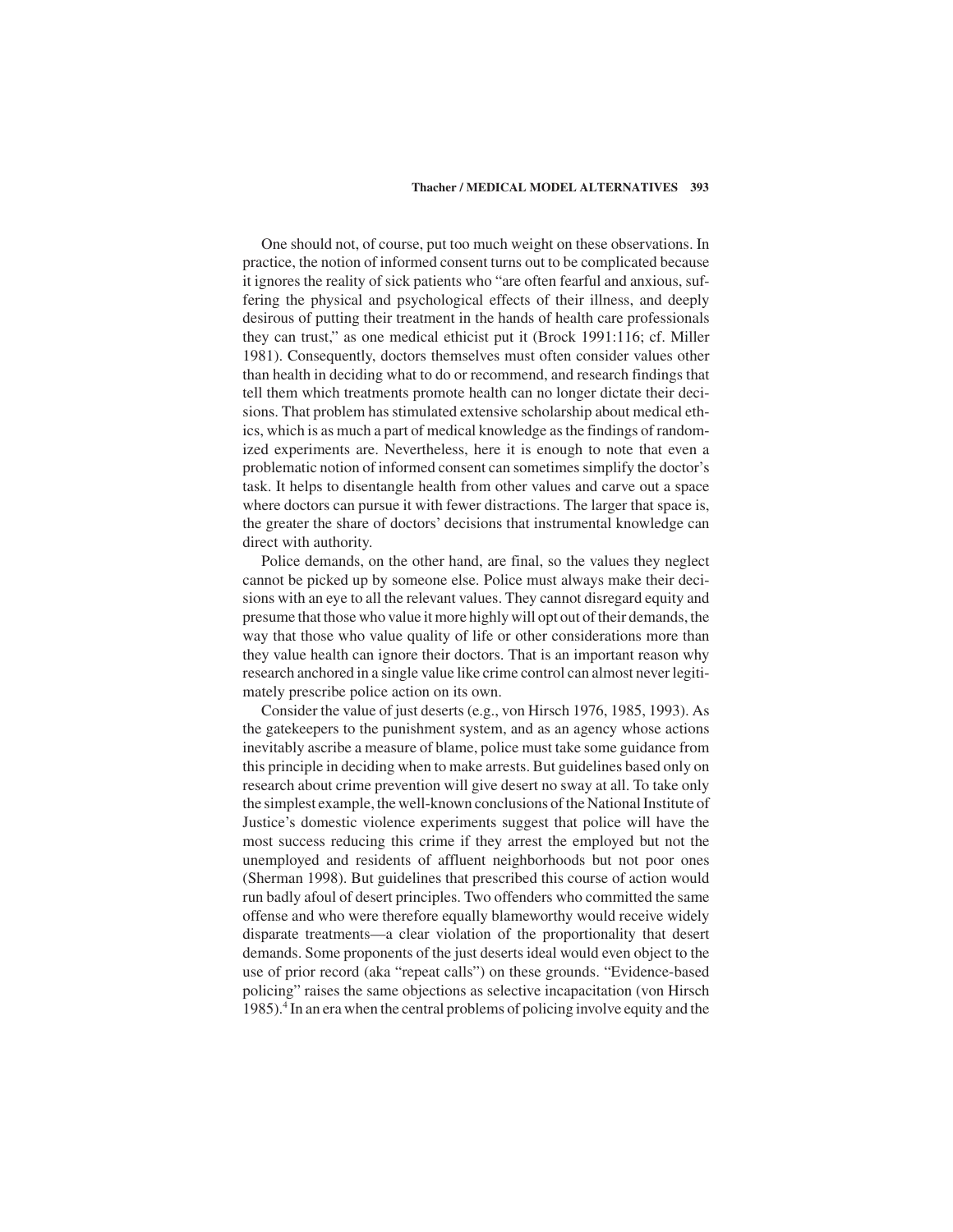One should not, of course, put too much weight on these observations. In practice, the notion of informed consent turns out to be complicated because it ignores the reality of sick patients who "are often fearful and anxious, suffering the physical and psychological effects of their illness, and deeply desirous of putting their treatment in the hands of health care professionals they can trust," as one medical ethicist put it (Brock 1991:116; cf. Miller 1981). Consequently, doctors themselves must often consider values other than health in deciding what to do or recommend, and research findings that tell them which treatments promote health can no longer dictate their decisions. That problem has stimulated extensive scholarship about medical ethics, which is as much a part of medical knowledge as the findings of randomized experiments are. Nevertheless, here it is enough to note that even a problematic notion of informed consent can sometimes simplify the doctor's task. It helps to disentangle health from other values and carve out a space where doctors can pursue it with fewer distractions. The larger that space is, the greater the share of doctors' decisions that instrumental knowledge can direct with authority.

Police demands, on the other hand, are final, so the values they neglect cannot be picked up by someone else. Police must always make their decisions with an eye to all the relevant values. They cannot disregard equity and presume that those who value it more highly will opt out of their demands, the way that those who value quality of life or other considerations more than they value health can ignore their doctors. That is an important reason why research anchored in a single value like crime control can almost never legitimately prescribe police action on its own.

Consider the value of just deserts (e.g., von Hirsch 1976, 1985, 1993). As the gatekeepers to the punishment system, and as an agency whose actions inevitably ascribe a measure of blame, police must take some guidance from this principle in deciding when to make arrests. But guidelines based only on research about crime prevention will give desert no sway at all. To take only the simplest example, the well-known conclusions of the National Institute of Justice's domestic violence experiments suggest that police will have the most success reducing this crime if they arrest the employed but not the unemployed and residents of affluent neighborhoods but not poor ones (Sherman 1998). But guidelines that prescribed this course of action would run badly afoul of desert principles. Two offenders who committed the same offense and who were therefore equally blameworthy would receive widely disparate treatments—a clear violation of the proportionality that desert demands. Some proponents of the just deserts ideal would even object to the use of prior record (aka "repeat calls") on these grounds. "Evidence-based policing" raises the same objections as selective incapacitation (von Hirsch 1985).4 In an era when the central problems of policing involve equity and the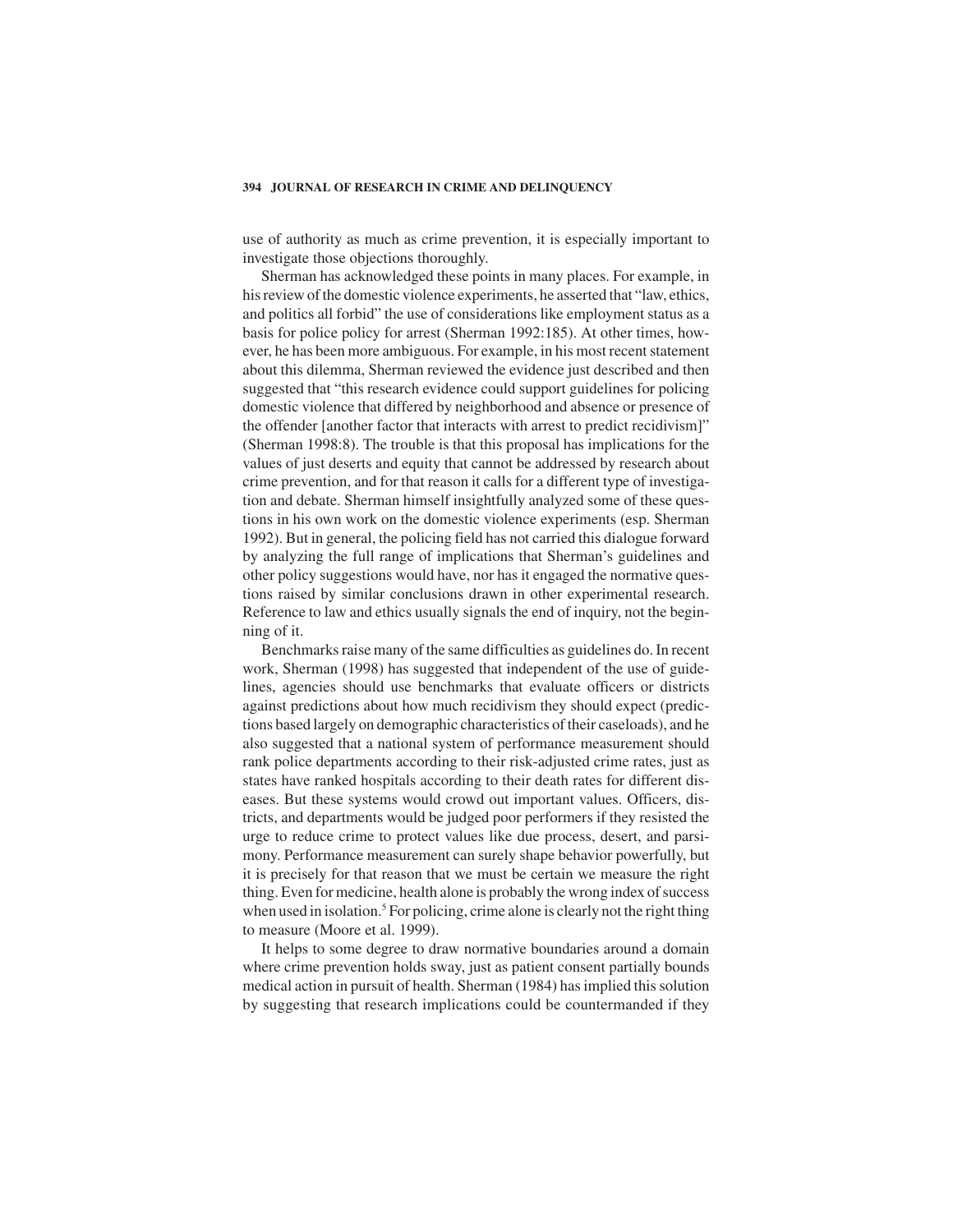use of authority as much as crime prevention, it is especially important to investigate those objections thoroughly.

Sherman has acknowledged these points in many places. For example, in his reviewof the domestic violence experiments, he asserted that "law, ethics, and politics all forbid" the use of considerations like employment status as a basis for police policy for arrest (Sherman 1992:185). At other times, however, he has been more ambiguous. For example, in his most recent statement about this dilemma, Sherman reviewed the evidence just described and then suggested that "this research evidence could support guidelines for policing domestic violence that differed by neighborhood and absence or presence of the offender [another factor that interacts with arrest to predict recidivism]" (Sherman 1998:8). The trouble is that this proposal has implications for the values of just deserts and equity that cannot be addressed by research about crime prevention, and for that reason it calls for a different type of investigation and debate. Sherman himself insightfully analyzed some of these questions in his own work on the domestic violence experiments (esp. Sherman 1992). But in general, the policing field has not carried this dialogue forward by analyzing the full range of implications that Sherman's guidelines and other policy suggestions would have, nor has it engaged the normative questions raised by similar conclusions drawn in other experimental research. Reference to law and ethics usually signals the end of inquiry, not the beginning of it.

Benchmarks raise many of the same difficulties as guidelines do. In recent work, Sherman (1998) has suggested that independent of the use of guidelines, agencies should use benchmarks that evaluate officers or districts against predictions about howmuch recidivism they should expect (predictions based largely on demographic characteristics of their caseloads), and he also suggested that a national system of performance measurement should rank police departments according to their risk-adjusted crime rates, just as states have ranked hospitals according to their death rates for different diseases. But these systems would crowd out important values. Officers, districts, and departments would be judged poor performers if they resisted the urge to reduce crime to protect values like due process, desert, and parsimony. Performance measurement can surely shape behavior powerfully, but it is precisely for that reason that we must be certain we measure the right thing. Even for medicine, health alone is probably the wrong index of success when used in isolation.<sup>5</sup> For policing, crime alone is clearly not the right thing to measure (Moore et al. 1999).

It helps to some degree to draw normative boundaries around a domain where crime prevention holds sway, just as patient consent partially bounds medical action in pursuit of health. Sherman (1984) has implied this solution by suggesting that research implications could be countermanded if they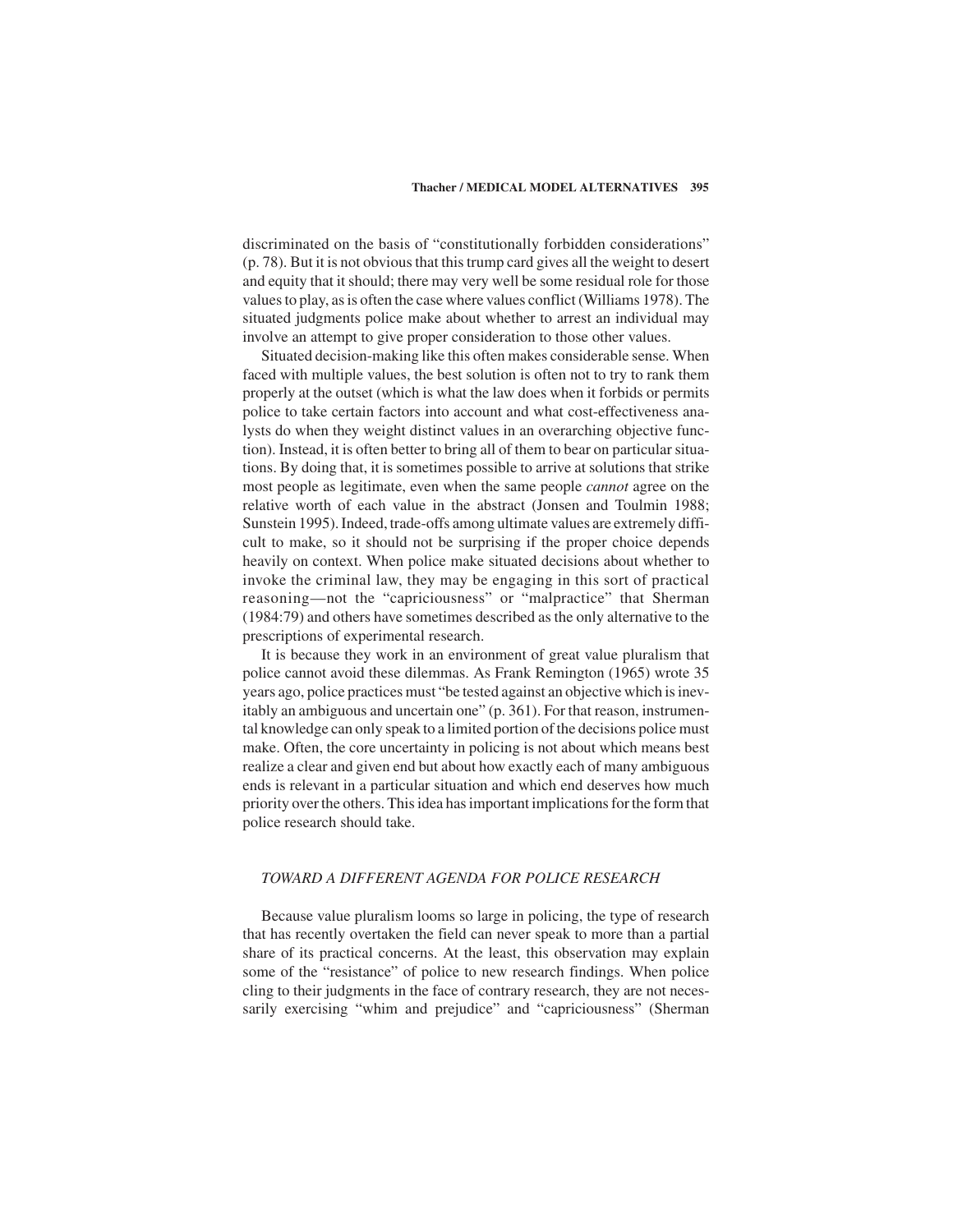discriminated on the basis of "constitutionally forbidden considerations" (p. 78). But it is not obvious that this trump card gives all the weight to desert and equity that it should; there may very well be some residual role for those values to play, as is often the case where values conflict (Williams 1978). The situated judgments police make about whether to arrest an individual may involve an attempt to give proper consideration to those other values.

Situated decision-making like this often makes considerable sense. When faced with multiple values, the best solution is often not to try to rank them properly at the outset (which is what the law does when it forbids or permits police to take certain factors into account and what cost-effectiveness analysts do when they weight distinct values in an overarching objective function). Instead, it is often better to bring all of them to bear on particular situations. By doing that, it is sometimes possible to arrive at solutions that strike most people as legitimate, even when the same people *cannot* agree on the relative worth of each value in the abstract (Jonsen and Toulmin 1988; Sunstein 1995). Indeed, trade-offs among ultimate values are extremely difficult to make, so it should not be surprising if the proper choice depends heavily on context. When police make situated decisions about whether to invoke the criminal law, they may be engaging in this sort of practical reasoning—not the "capriciousness" or "malpractice" that Sherman (1984:79) and others have sometimes described as the only alternative to the prescriptions of experimental research.

It is because they work in an environment of great value pluralism that police cannot avoid these dilemmas. As Frank Remington (1965) wrote 35 years ago, police practices must "be tested against an objective which is inevitably an ambiguous and uncertain one" (p. 361). For that reason, instrumental knowledge can only speak to a limited portion of the decisions police must make. Often, the core uncertainty in policing is not about which means best realize a clear and given end but about howexactly each of many ambiguous ends is relevant in a particular situation and which end deserves how much priority over the others. This idea has important implications for the form that police research should take.

## *TOWARD A DIFFERENT AGENDA FOR POLICE RESEARCH*

Because value pluralism looms so large in policing, the type of research that has recently overtaken the field can never speak to more than a partial share of its practical concerns. At the least, this observation may explain some of the "resistance" of police to new research findings. When police cling to their judgments in the face of contrary research, they are not necessarily exercising "whim and prejudice" and "capriciousness" (Sherman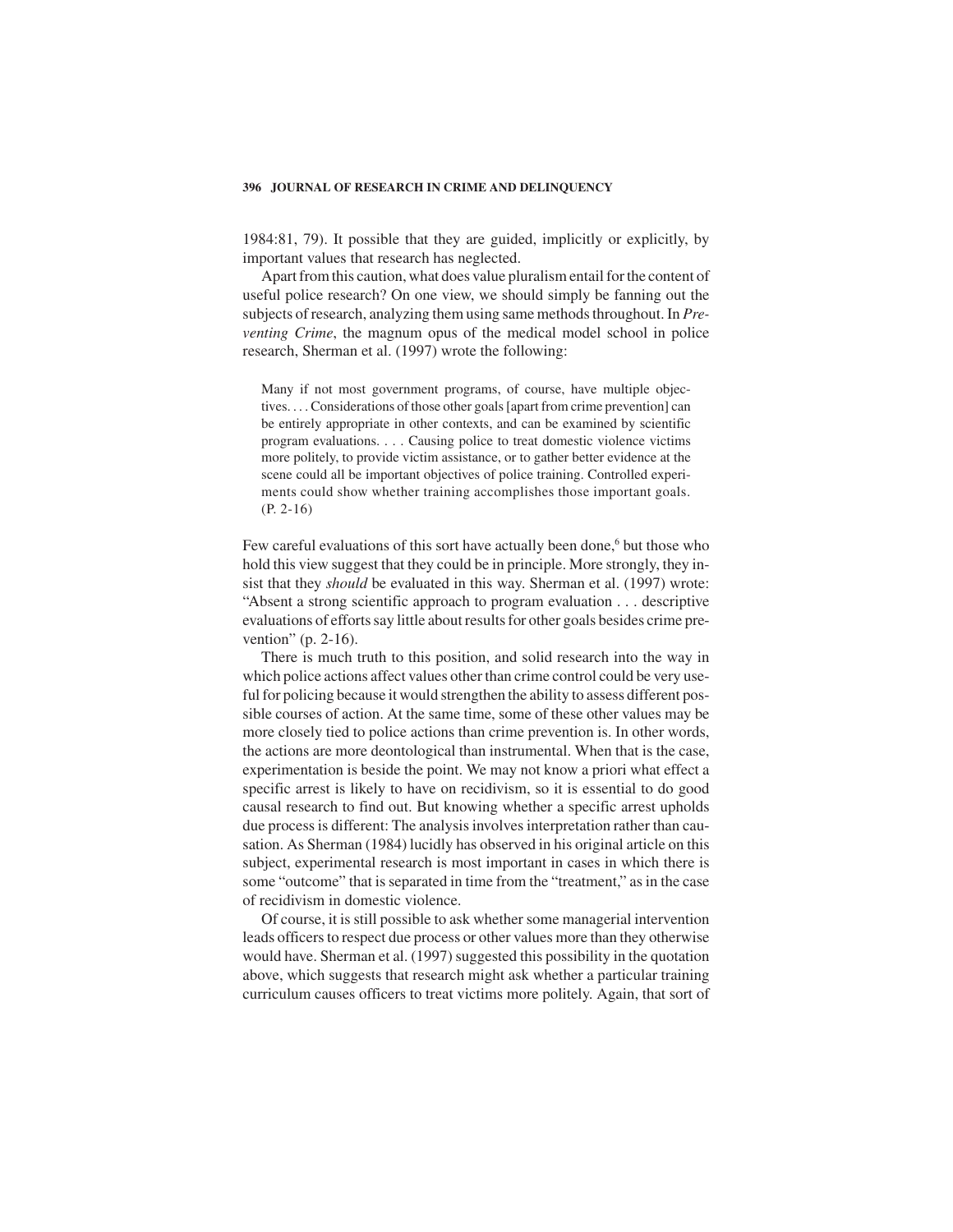1984:81, 79). It possible that they are guided, implicitly or explicitly, by important values that research has neglected.

Apart from this caution, what does value pluralism entail for the content of useful police research? On one view, we should simply be fanning out the subjects of research, analyzing them using same methods throughout. In *Preventing Crime*, the magnum opus of the medical model school in police research, Sherman et al. (1997) wrote the following:

Many if not most government programs, of course, have multiple objectives. . . . Considerations of those other goals [apart from crime prevention] can be entirely appropriate in other contexts, and can be examined by scientific program evaluations. . . . Causing police to treat domestic violence victims more politely, to provide victim assistance, or to gather better evidence at the scene could all be important objectives of police training. Controlled experiments could showwhether training accomplishes those important goals. (P. 2-16)

Few careful evaluations of this sort have actually been done,<sup>6</sup> but those who hold this view suggest that they could be in principle. More strongly, they insist that they *should* be evaluated in this way. Sherman et al. (1997) wrote: "Absent a strong scientific approach to program evaluation . . . descriptive evaluations of efforts say little about results for other goals besides crime prevention" (p. 2-16).

There is much truth to this position, and solid research into the way in which police actions affect values other than crime control could be very useful for policing because it would strengthen the ability to assess different possible courses of action. At the same time, some of these other values may be more closely tied to police actions than crime prevention is. In other words, the actions are more deontological than instrumental. When that is the case, experimentation is beside the point. We may not knowa priori what effect a specific arrest is likely to have on recidivism, so it is essential to do good causal research to find out. But knowing whether a specific arrest upholds due process is different: The analysis involves interpretation rather than causation. As Sherman (1984) lucidly has observed in his original article on this subject, experimental research is most important in cases in which there is some "outcome" that is separated in time from the "treatment," as in the case of recidivism in domestic violence.

Of course, it is still possible to ask whether some managerial intervention leads officers to respect due process or other values more than they otherwise would have. Sherman et al. (1997) suggested this possibility in the quotation above, which suggests that research might ask whether a particular training curriculum causes officers to treat victims more politely. Again, that sort of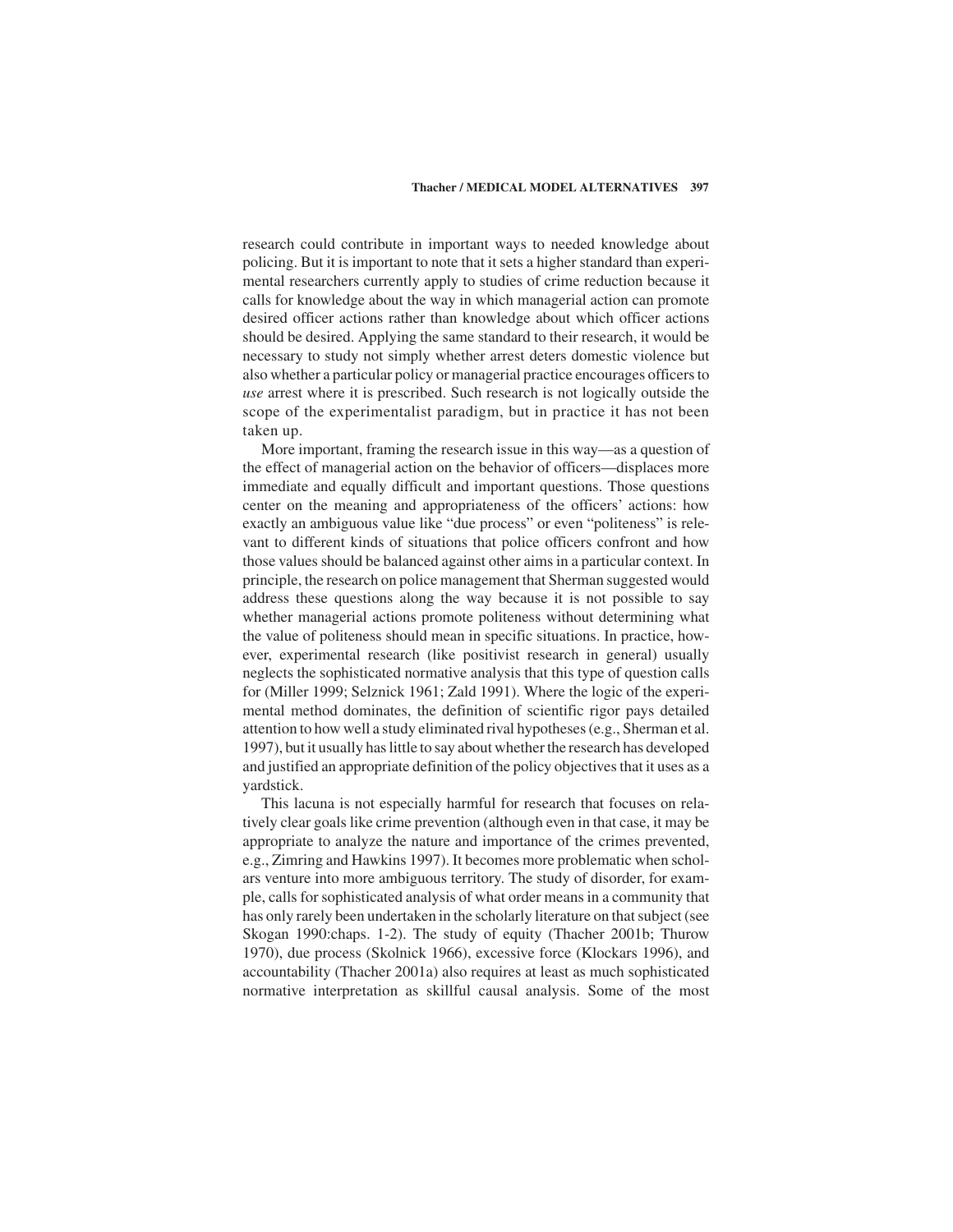research could contribute in important ways to needed knowledge about policing. But it is important to note that it sets a higher standard than experimental researchers currently apply to studies of crime reduction because it calls for knowledge about the way in which managerial action can promote desired officer actions rather than knowledge about which officer actions should be desired. Applying the same standard to their research, it would be necessary to study not simply whether arrest deters domestic violence but also whether a particular policy or managerial practice encourages officers to *use* arrest where it is prescribed. Such research is not logically outside the scope of the experimentalist paradigm, but in practice it has not been taken up.

More important, framing the research issue in this way—as a question of the effect of managerial action on the behavior of officers—displaces more immediate and equally difficult and important questions. Those questions center on the meaning and appropriateness of the officers' actions: how exactly an ambiguous value like "due process" or even "politeness" is relevant to different kinds of situations that police officers confront and how those values should be balanced against other aims in a particular context. In principle, the research on police management that Sherman suggested would address these questions along the way because it is not possible to say whether managerial actions promote politeness without determining what the value of politeness should mean in specific situations. In practice, however, experimental research (like positivist research in general) usually neglects the sophisticated normative analysis that this type of question calls for (Miller 1999; Selznick 1961; Zald 1991). Where the logic of the experimental method dominates, the definition of scientific rigor pays detailed attention to howwell a study eliminated rival hypotheses (e.g., Sherman et al. 1997), but it usually has little to say about whether the research has developed and justified an appropriate definition of the policy objectives that it uses as a yardstick.

This lacuna is not especially harmful for research that focuses on relatively clear goals like crime prevention (although even in that case, it may be appropriate to analyze the nature and importance of the crimes prevented, e.g., Zimring and Hawkins 1997). It becomes more problematic when scholars venture into more ambiguous territory. The study of disorder, for example, calls for sophisticated analysis of what order means in a community that has only rarely been undertaken in the scholarly literature on that subject (see Skogan 1990:chaps. 1-2). The study of equity (Thacher 2001b; Thurow 1970), due process (Skolnick 1966), excessive force (Klockars 1996), and accountability (Thacher 2001a) also requires at least as much sophisticated normative interpretation as skillful causal analysis. Some of the most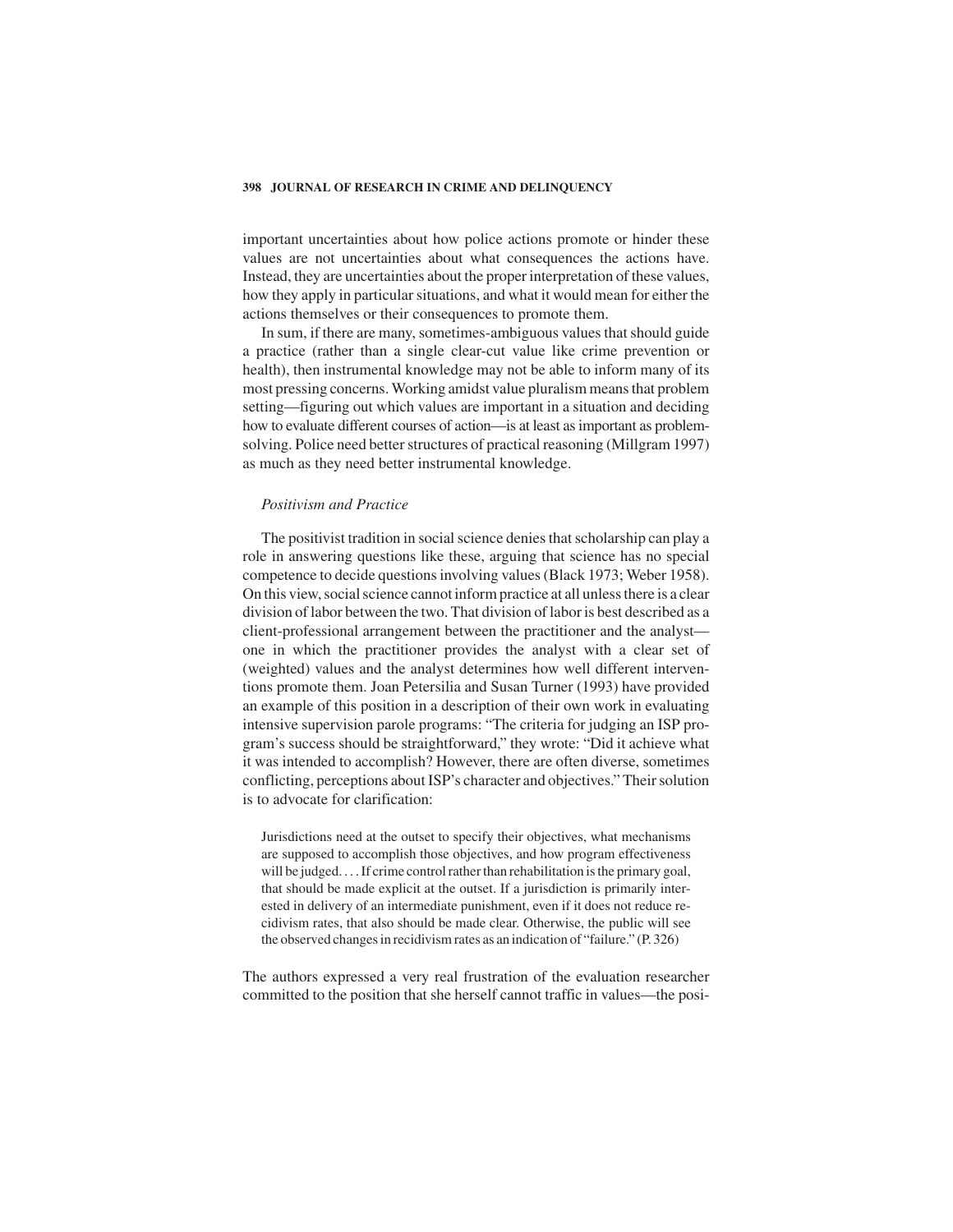important uncertainties about how police actions promote or hinder these values are not uncertainties about what consequences the actions have. Instead, they are uncertainties about the proper interpretation of these values, howthey apply in particular situations, and what it would mean for either the actions themselves or their consequences to promote them.

In sum, if there are many, sometimes-ambiguous values that should guide a practice (rather than a single clear-cut value like crime prevention or health), then instrumental knowledge may not be able to inform many of its most pressing concerns. Working amidst value pluralism means that problem setting—figuring out which values are important in a situation and deciding how to evaluate different courses of action—is at least as important as problemsolving. Police need better structures of practical reasoning (Millgram 1997) as much as they need better instrumental knowledge.

## *Positivism and Practice*

The positivist tradition in social science denies that scholarship can play a role in answering questions like these, arguing that science has no special competence to decide questions involving values (Black 1973; Weber 1958). On this view, social science cannot inform practice at all unless there is a clear division of labor between the two. That division of labor is best described as a client-professional arrangement between the practitioner and the analyst one in which the practitioner provides the analyst with a clear set of (weighted) values and the analyst determines how well different interventions promote them. Joan Petersilia and Susan Turner (1993) have provided an example of this position in a description of their own work in evaluating intensive supervision parole programs: "The criteria for judging an ISP program's success should be straightforward," they wrote: "Did it achieve what it was intended to accomplish? However, there are often diverse, sometimes conflicting, perceptions about ISP's character and objectives." Their solution is to advocate for clarification:

Jurisdictions need at the outset to specify their objectives, what mechanisms are supposed to accomplish those objectives, and how program effectiveness will be judged. . . . If crime control rather than rehabilitation is the primary goal, that should be made explicit at the outset. If a jurisdiction is primarily interested in delivery of an intermediate punishment, even if it does not reduce recidivism rates, that also should be made clear. Otherwise, the public will see the observed changes in recidivism rates as an indication of "failure." (P. 326)

The authors expressed a very real frustration of the evaluation researcher committed to the position that she herself cannot traffic in values—the posi-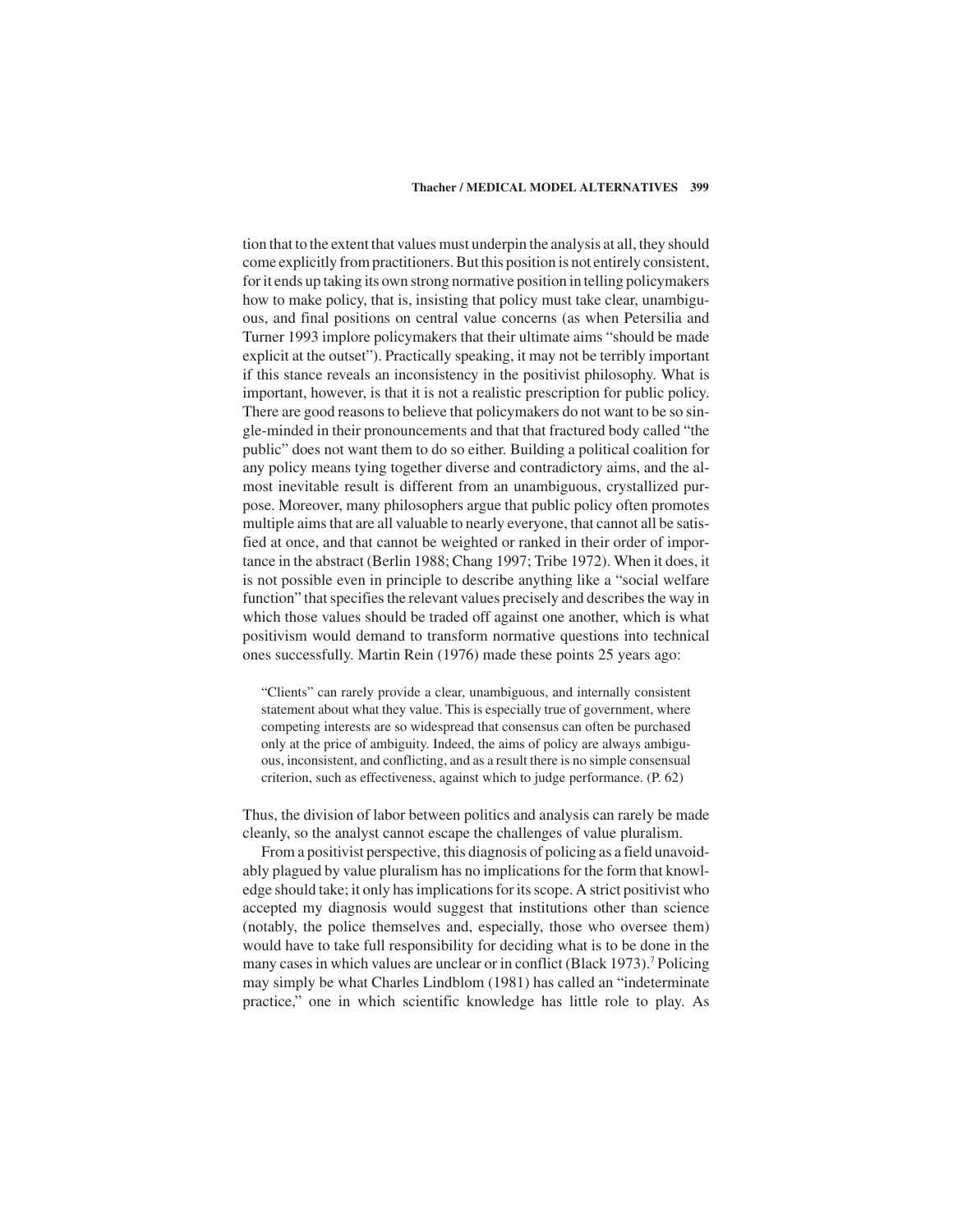tion that to the extent that values must underpin the analysis at all, they should come explicitly from practitioners. But this position is not entirely consistent, for it ends up taking its own strong normative position in telling policymakers howto make policy, that is, insisting that policy must take clear, unambiguous, and final positions on central value concerns (as when Petersilia and Turner 1993 implore policymakers that their ultimate aims "should be made explicit at the outset"). Practically speaking, it may not be terribly important if this stance reveals an inconsistency in the positivist philosophy. What is important, however, is that it is not a realistic prescription for public policy. There are good reasons to believe that policymakers do not want to be so single-minded in their pronouncements and that that fractured body called "the public" does not want them to do so either. Building a political coalition for any policy means tying together diverse and contradictory aims, and the almost inevitable result is different from an unambiguous, crystallized purpose. Moreover, many philosophers argue that public policy often promotes multiple aims that are all valuable to nearly everyone, that cannot all be satisfied at once, and that cannot be weighted or ranked in their order of importance in the abstract (Berlin 1988; Chang 1997; Tribe 1972). When it does, it is not possible even in principle to describe anything like a "social welfare function" that specifies the relevant values precisely and describes the way in which those values should be traded off against one another, which is what positivism would demand to transform normative questions into technical ones successfully. Martin Rein (1976) made these points 25 years ago:

"Clients" can rarely provide a clear, unambiguous, and internally consistent statement about what they value. This is especially true of government, where competing interests are so widespread that consensus can often be purchased only at the price of ambiguity. Indeed, the aims of policy are always ambiguous, inconsistent, and conflicting, and as a result there is no simple consensual criterion, such as effectiveness, against which to judge performance. (P. 62)

Thus, the division of labor between politics and analysis can rarely be made cleanly, so the analyst cannot escape the challenges of value pluralism.

From a positivist perspective, this diagnosis of policing as a field unavoidably plagued by value pluralism has no implications for the form that knowledge should take; it only has implications for its scope. A strict positivist who accepted my diagnosis would suggest that institutions other than science (notably, the police themselves and, especially, those who oversee them) would have to take full responsibility for deciding what is to be done in the many cases in which values are unclear or in conflict (Black 1973).<sup>7</sup> Policing may simply be what Charles Lindblom (1981) has called an "indeterminate practice," one in which scientific knowledge has little role to play. As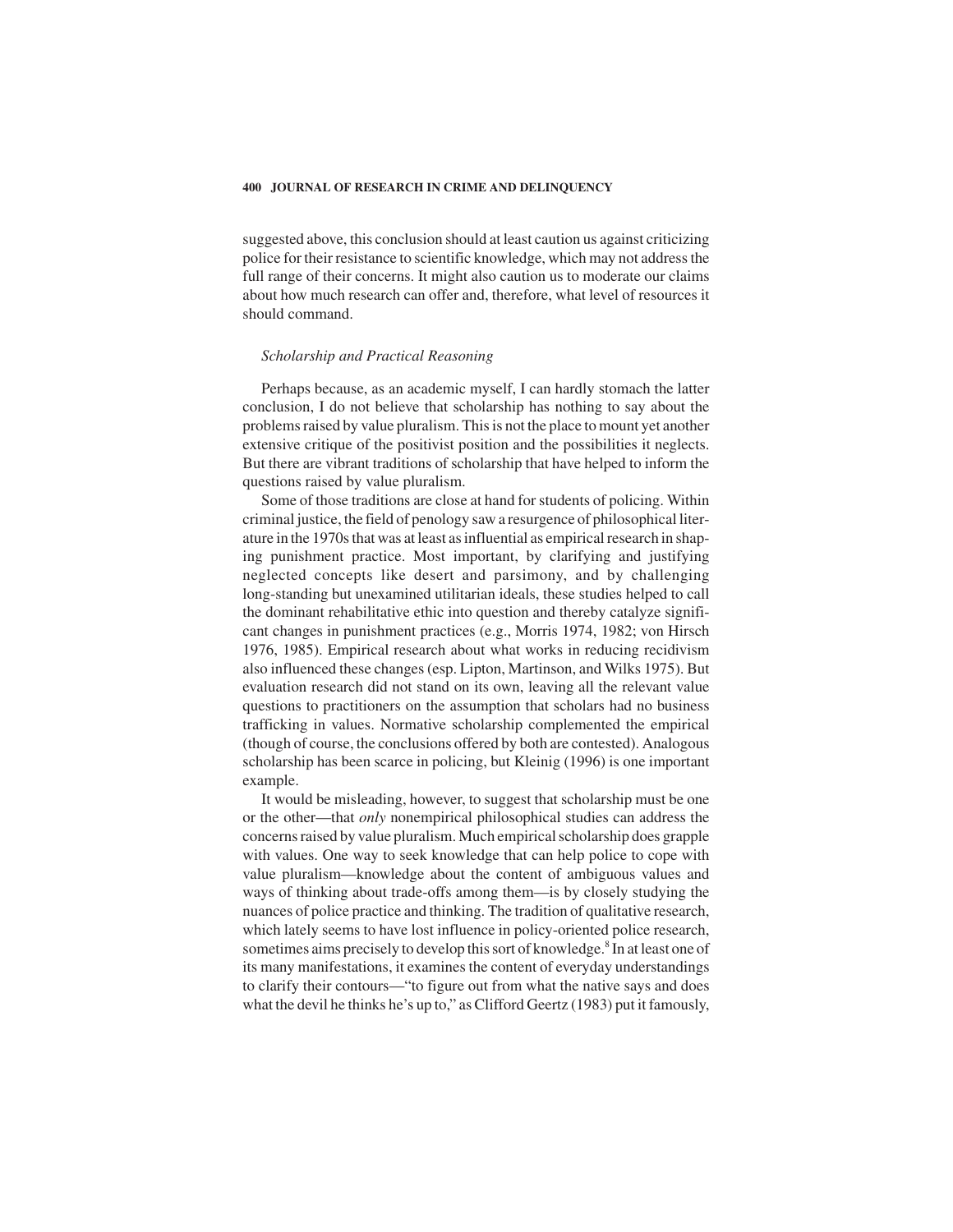suggested above, this conclusion should at least caution us against criticizing police for their resistance to scientific knowledge, which may not address the full range of their concerns. It might also caution us to moderate our claims about howmuch research can offer and, therefore, what level of resources it should command.

## *Scholarship and Practical Reasoning*

Perhaps because, as an academic myself, I can hardly stomach the latter conclusion, I do not believe that scholarship has nothing to say about the problems raised by value pluralism. This is not the place to mount yet another extensive critique of the positivist position and the possibilities it neglects. But there are vibrant traditions of scholarship that have helped to inform the questions raised by value pluralism.

Some of those traditions are close at hand for students of policing. Within criminal justice, the field of penology sawa resurgence of philosophical literature in the 1970s that was at least as influential as empirical research in shaping punishment practice. Most important, by clarifying and justifying neglected concepts like desert and parsimony, and by challenging long-standing but unexamined utilitarian ideals, these studies helped to call the dominant rehabilitative ethic into question and thereby catalyze significant changes in punishment practices (e.g., Morris 1974, 1982; von Hirsch 1976, 1985). Empirical research about what works in reducing recidivism also influenced these changes (esp. Lipton, Martinson, and Wilks 1975). But evaluation research did not stand on its own, leaving all the relevant value questions to practitioners on the assumption that scholars had no business trafficking in values. Normative scholarship complemented the empirical (though of course, the conclusions offered by both are contested). Analogous scholarship has been scarce in policing, but Kleinig (1996) is one important example.

It would be misleading, however, to suggest that scholarship must be one or the other—that *only* nonempirical philosophical studies can address the concerns raised by value pluralism. Much empirical scholarship does grapple with values. One way to seek knowledge that can help police to cope with value pluralism—knowledge about the content of ambiguous values and ways of thinking about trade-offs among them—is by closely studying the nuances of police practice and thinking. The tradition of qualitative research, which lately seems to have lost influence in policy-oriented police research, sometimes aims precisely to develop this sort of knowledge.<sup>8</sup> In at least one of its many manifestations, it examines the content of everyday understandings to clarify their contours—"to figure out from what the native says and does what the devil he thinks he's up to," as Clifford Geertz (1983) put it famously,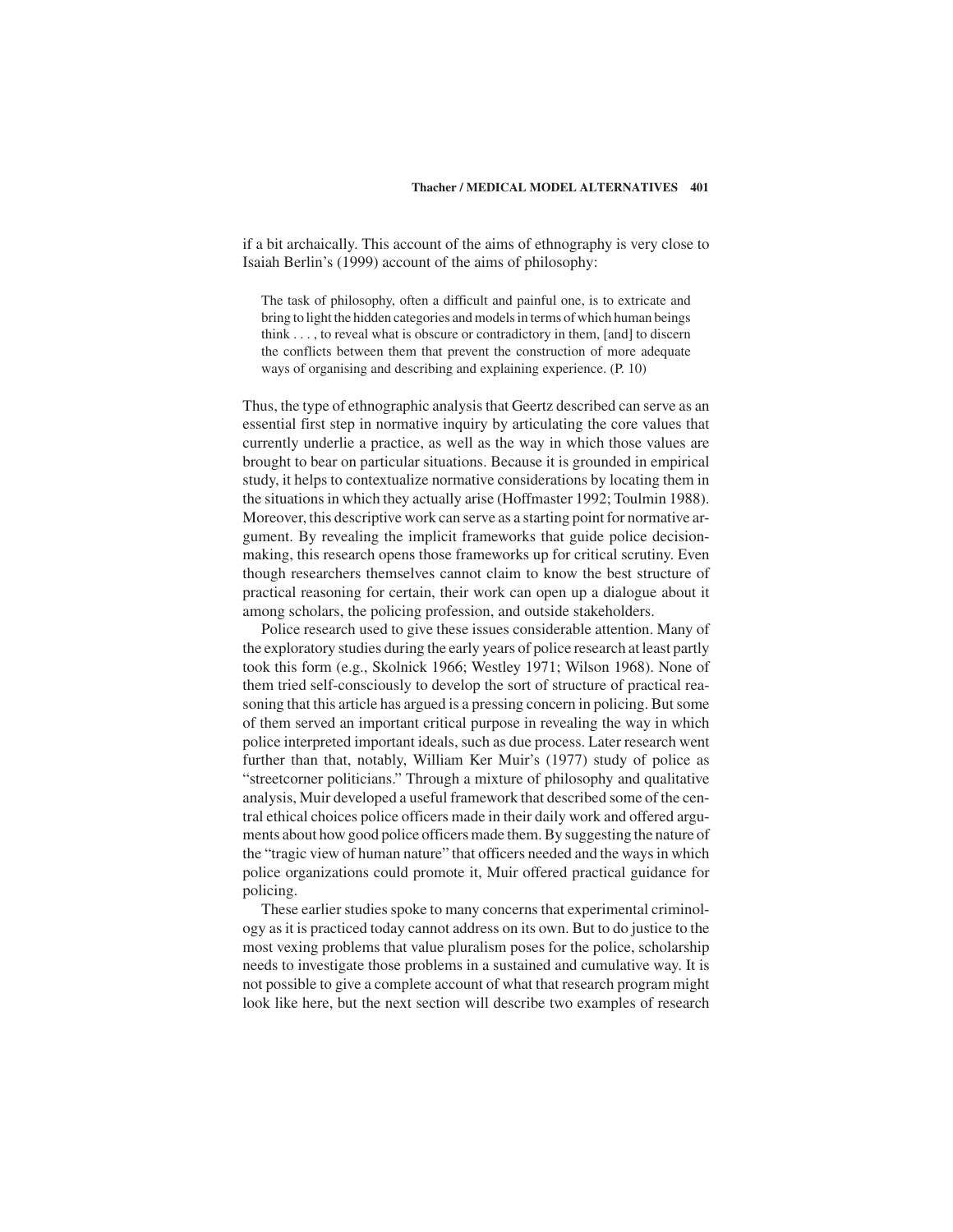if a bit archaically. This account of the aims of ethnography is very close to Isaiah Berlin's (1999) account of the aims of philosophy:

The task of philosophy, often a difficult and painful one, is to extricate and bring to light the hidden categories and models in terms of which human beings think . . . , to reveal what is obscure or contradictory in them, [and] to discern the conflicts between them that prevent the construction of more adequate ways of organising and describing and explaining experience. (P. 10)

Thus, the type of ethnographic analysis that Geertz described can serve as an essential first step in normative inquiry by articulating the core values that currently underlie a practice, as well as the way in which those values are brought to bear on particular situations. Because it is grounded in empirical study, it helps to contextualize normative considerations by locating them in the situations in which they actually arise (Hoffmaster 1992; Toulmin 1988). Moreover, this descriptive work can serve as a starting point for normative argument. By revealing the implicit frameworks that guide police decisionmaking, this research opens those frameworks up for critical scrutiny. Even though researchers themselves cannot claim to knowthe best structure of practical reasoning for certain, their work can open up a dialogue about it among scholars, the policing profession, and outside stakeholders.

Police research used to give these issues considerable attention. Many of the exploratory studies during the early years of police research at least partly took this form (e.g., Skolnick 1966; Westley 1971; Wilson 1968). None of them tried self-consciously to develop the sort of structure of practical reasoning that this article has argued is a pressing concern in policing. But some of them served an important critical purpose in revealing the way in which police interpreted important ideals, such as due process. Later research went further than that, notably, William Ker Muir's (1977) study of police as "streetcorner politicians." Through a mixture of philosophy and qualitative analysis, Muir developed a useful framework that described some of the central ethical choices police officers made in their daily work and offered arguments about howgood police officers made them. By suggesting the nature of the "tragic viewof human nature" that officers needed and the ways in which police organizations could promote it, Muir offered practical guidance for policing.

These earlier studies spoke to many concerns that experimental criminology as it is practiced today cannot address on its own. But to do justice to the most vexing problems that value pluralism poses for the police, scholarship needs to investigate those problems in a sustained and cumulative way. It is not possible to give a complete account of what that research program might look like here, but the next section will describe two examples of research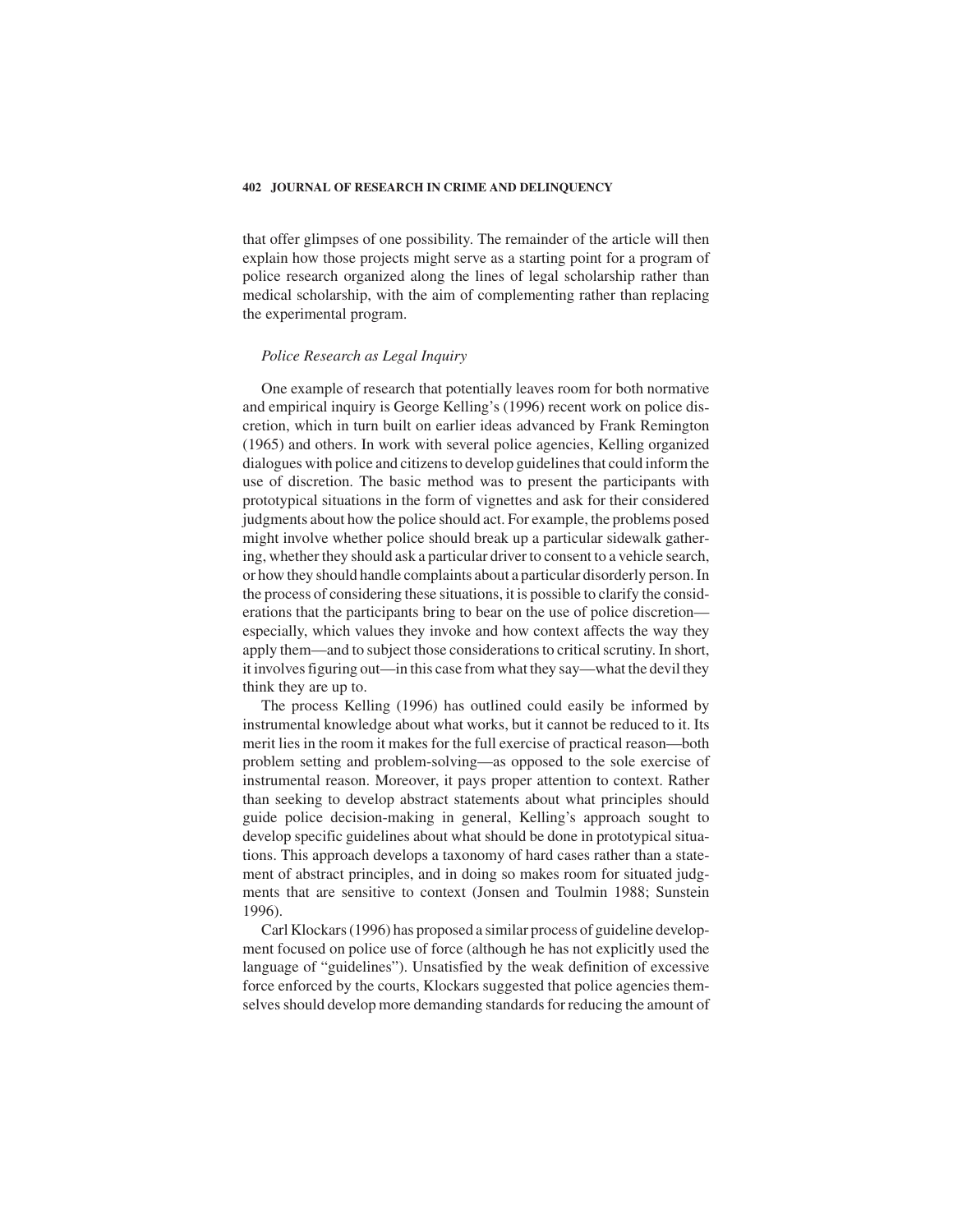that offer glimpses of one possibility. The remainder of the article will then explain howthose projects might serve as a starting point for a program of police research organized along the lines of legal scholarship rather than medical scholarship, with the aim of complementing rather than replacing the experimental program.

## *Police Research as Legal Inquiry*

One example of research that potentially leaves room for both normative and empirical inquiry is George Kelling's (1996) recent work on police discretion, which in turn built on earlier ideas advanced by Frank Remington (1965) and others. In work with several police agencies, Kelling organized dialogues with police and citizens to develop guidelines that could inform the use of discretion. The basic method was to present the participants with prototypical situations in the form of vignettes and ask for their considered judgments about howthe police should act. For example, the problems posed might involve whether police should break up a particular sidewalk gathering, whether they should ask a particular driver to consent to a vehicle search, or howthey should handle complaints about a particular disorderly person. In the process of considering these situations, it is possible to clarify the considerations that the participants bring to bear on the use of police discretion especially, which values they invoke and how context affects the way they apply them—and to subject those considerations to critical scrutiny. In short, it involves figuring out—in this case from what they say—what the devil they think they are up to.

The process Kelling (1996) has outlined could easily be informed by instrumental knowledge about what works, but it cannot be reduced to it. Its merit lies in the room it makes for the full exercise of practical reason—both problem setting and problem-solving—as opposed to the sole exercise of instrumental reason. Moreover, it pays proper attention to context. Rather than seeking to develop abstract statements about what principles should guide police decision-making in general, Kelling's approach sought to develop specific guidelines about what should be done in prototypical situations. This approach develops a taxonomy of hard cases rather than a statement of abstract principles, and in doing so makes room for situated judgments that are sensitive to context (Jonsen and Toulmin 1988; Sunstein 1996).

Carl Klockars (1996) has proposed a similar process of guideline development focused on police use of force (although he has not explicitly used the language of "guidelines"). Unsatisfied by the weak definition of excessive force enforced by the courts, Klockars suggested that police agencies themselves should develop more demanding standards for reducing the amount of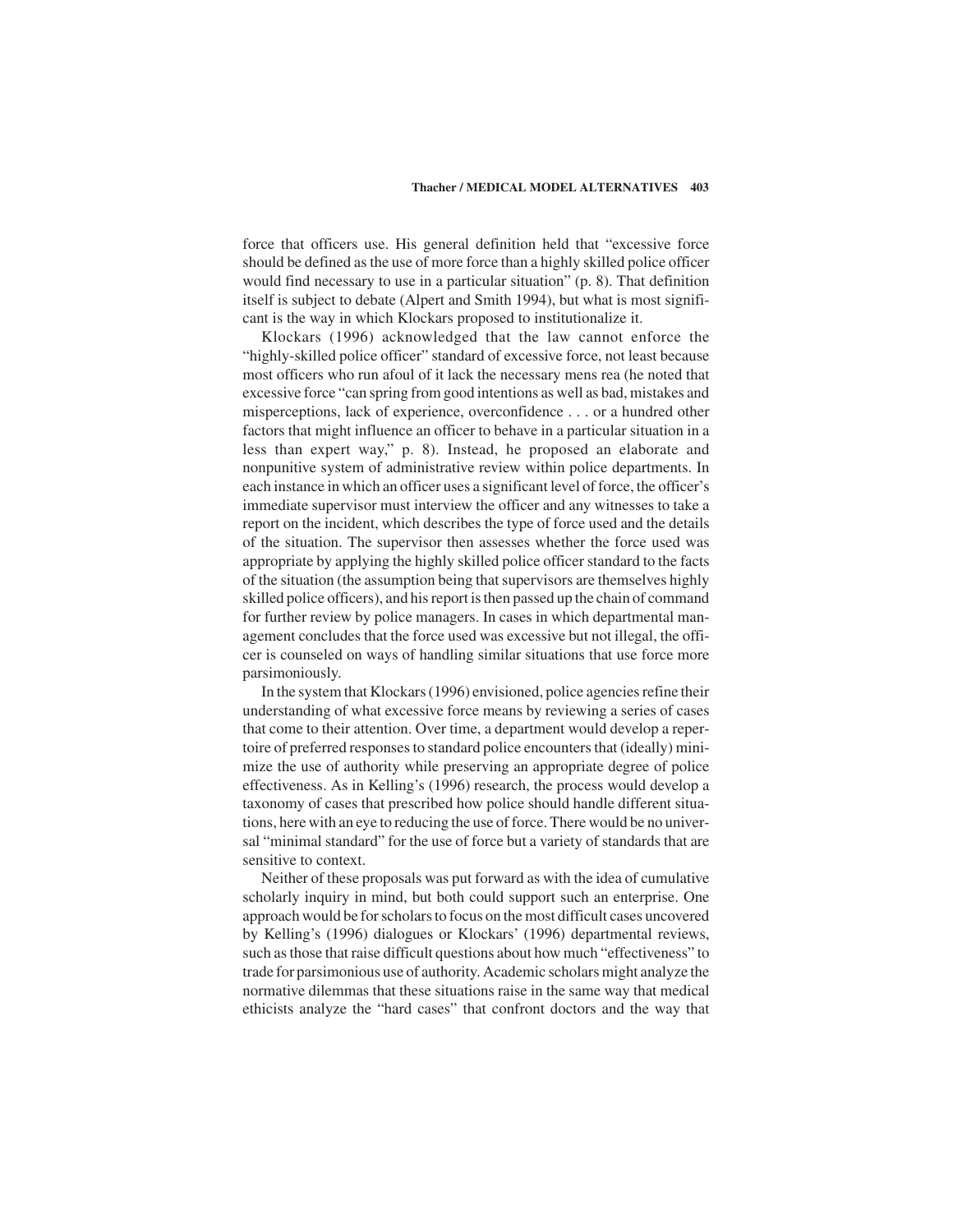force that officers use. His general definition held that "excessive force should be defined as the use of more force than a highly skilled police officer would find necessary to use in a particular situation" (p. 8). That definition itself is subject to debate (Alpert and Smith 1994), but what is most significant is the way in which Klockars proposed to institutionalize it.

Klockars (1996) acknowledged that the law cannot enforce the "highly-skilled police officer" standard of excessive force, not least because most officers who run afoul of it lack the necessary mens rea (he noted that excessive force "can spring from good intentions as well as bad, mistakes and misperceptions, lack of experience, overconfidence . . . or a hundred other factors that might influence an officer to behave in a particular situation in a less than expert way," p. 8). Instead, he proposed an elaborate and nonpunitive system of administrative review within police departments. In each instance in which an officer uses a significant level of force, the officer's immediate supervisor must interview the officer and any witnesses to take a report on the incident, which describes the type of force used and the details of the situation. The supervisor then assesses whether the force used was appropriate by applying the highly skilled police officer standard to the facts of the situation (the assumption being that supervisors are themselves highly skilled police officers), and his report is then passed up the chain of command for further review by police managers. In cases in which departmental management concludes that the force used was excessive but not illegal, the officer is counseled on ways of handling similar situations that use force more parsimoniously.

In the system that Klockars (1996) envisioned, police agencies refine their understanding of what excessive force means by reviewing a series of cases that come to their attention. Over time, a department would develop a repertoire of preferred responses to standard police encounters that (ideally) minimize the use of authority while preserving an appropriate degree of police effectiveness. As in Kelling's (1996) research, the process would develop a taxonomy of cases that prescribed how police should handle different situations, here with an eye to reducing the use of force. There would be no universal "minimal standard" for the use of force but a variety of standards that are sensitive to context.

Neither of these proposals was put forward as with the idea of cumulative scholarly inquiry in mind, but both could support such an enterprise. One approach would be for scholars to focus on the most difficult cases uncovered by Kelling's (1996) dialogues or Klockars' (1996) departmental reviews, such as those that raise difficult questions about howmuch "effectiveness" to trade for parsimonious use of authority. Academic scholars might analyze the normative dilemmas that these situations raise in the same way that medical ethicists analyze the "hard cases" that confront doctors and the way that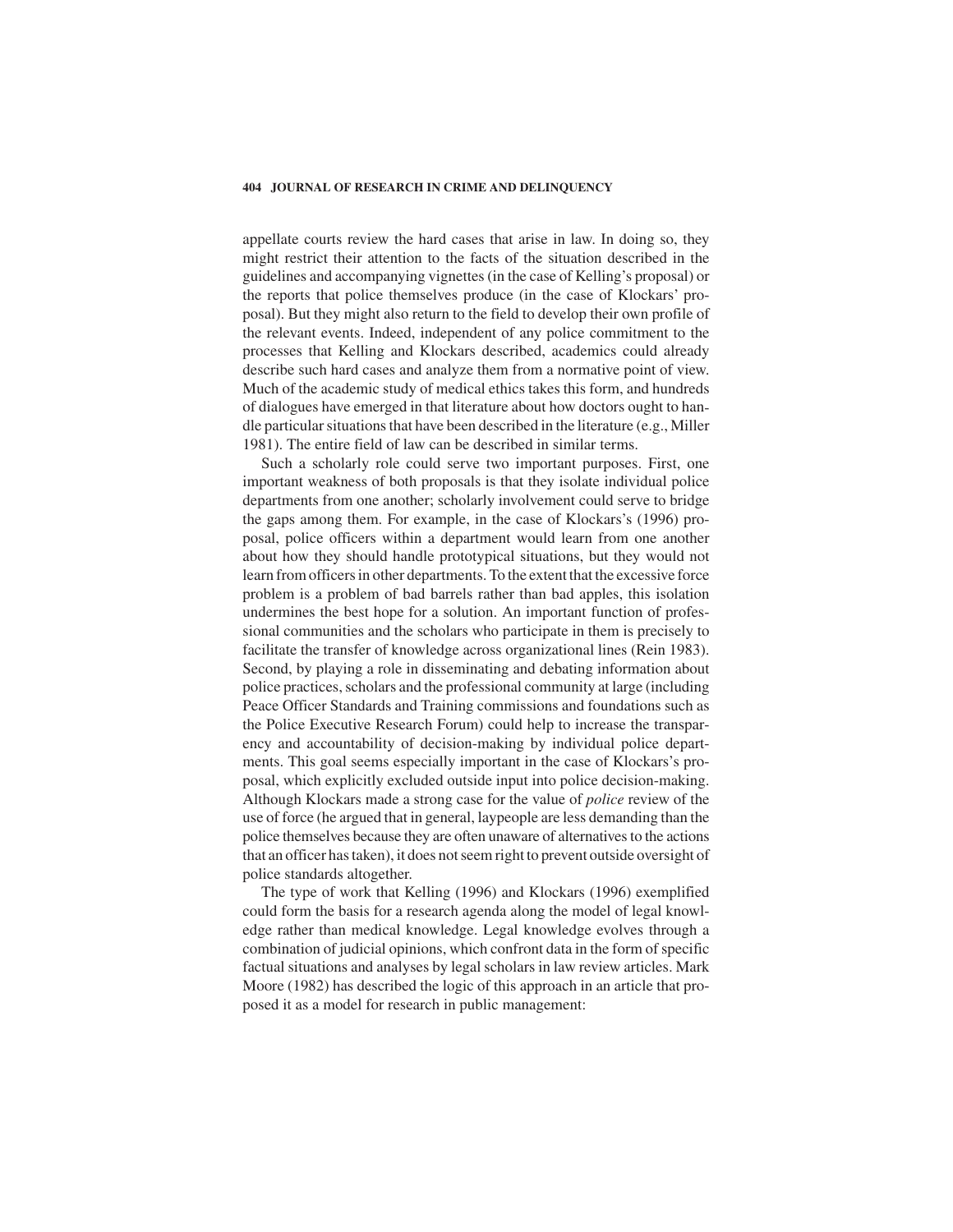appellate courts review the hard cases that arise in law. In doing so, they might restrict their attention to the facts of the situation described in the guidelines and accompanying vignettes (in the case of Kelling's proposal) or the reports that police themselves produce (in the case of Klockars' proposal). But they might also return to the field to develop their own profile of the relevant events. Indeed, independent of any police commitment to the processes that Kelling and Klockars described, academics could already describe such hard cases and analyze them from a normative point of view. Much of the academic study of medical ethics takes this form, and hundreds of dialogues have emerged in that literature about howdoctors ought to handle particular situations that have been described in the literature (e.g., Miller 1981). The entire field of law can be described in similar terms.

Such a scholarly role could serve two important purposes. First, one important weakness of both proposals is that they isolate individual police departments from one another; scholarly involvement could serve to bridge the gaps among them. For example, in the case of Klockars's (1996) proposal, police officers within a department would learn from one another about howthey should handle prototypical situations, but they would not learn from officers in other departments. To the extent that the excessive force problem is a problem of bad barrels rather than bad apples, this isolation undermines the best hope for a solution. An important function of professional communities and the scholars who participate in them is precisely to facilitate the transfer of knowledge across organizational lines (Rein 1983). Second, by playing a role in disseminating and debating information about police practices, scholars and the professional community at large (including Peace Officer Standards and Training commissions and foundations such as the Police Executive Research Forum) could help to increase the transparency and accountability of decision-making by individual police departments. This goal seems especially important in the case of Klockars's proposal, which explicitly excluded outside input into police decision-making. Although Klockars made a strong case for the value of *police* reviewof the use of force (he argued that in general, laypeople are less demanding than the police themselves because they are often unaware of alternatives to the actions that an officer has taken), it does not seem right to prevent outside oversight of police standards altogether.

The type of work that Kelling (1996) and Klockars (1996) exemplified could form the basis for a research agenda along the model of legal knowledge rather than medical knowledge. Legal knowledge evolves through a combination of judicial opinions, which confront data in the form of specific factual situations and analyses by legal scholars in lawreviewarticles. Mark Moore (1982) has described the logic of this approach in an article that proposed it as a model for research in public management: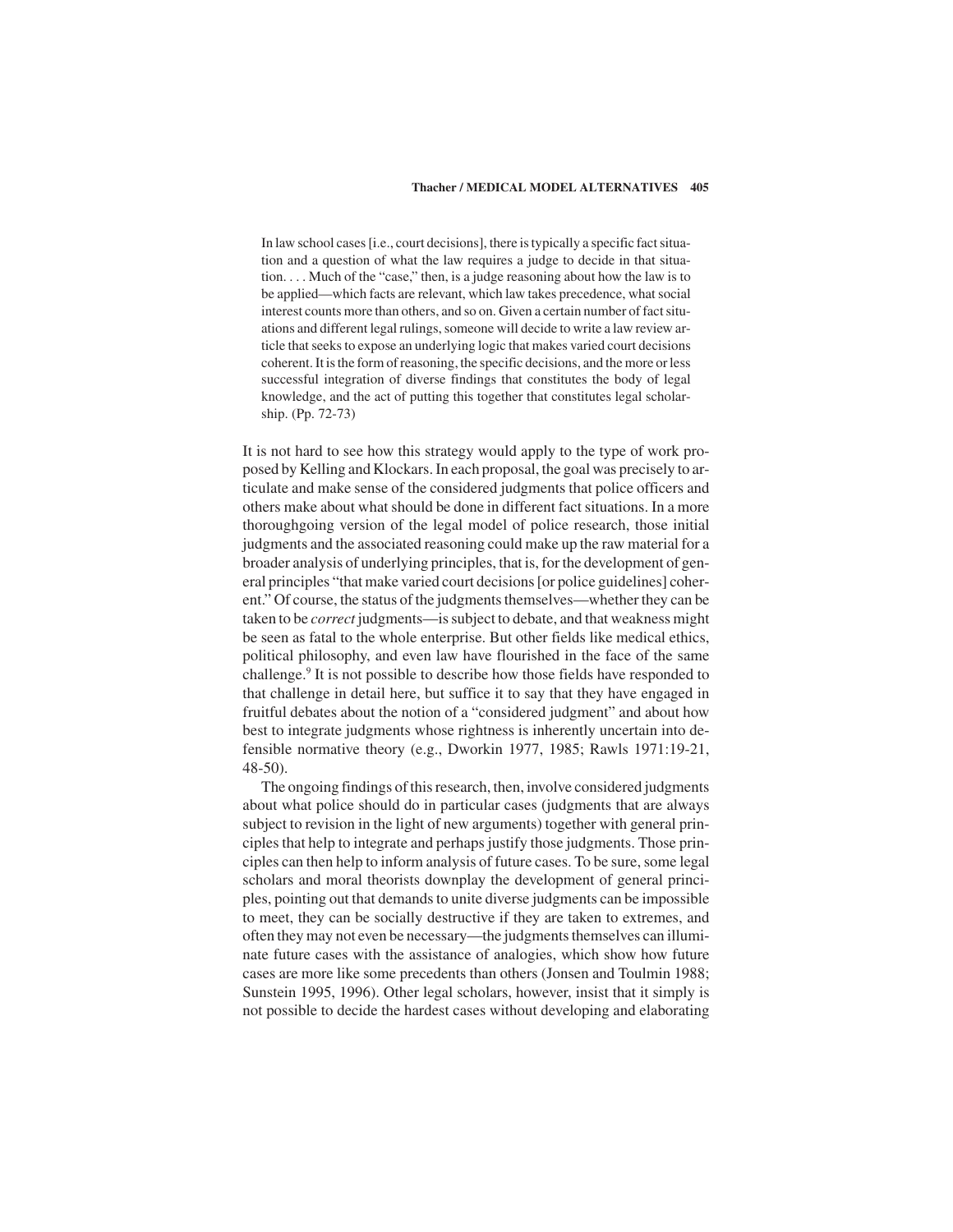In lawschool cases [i.e., court decisions], there is typically a specific fact situation and a question of what the law requires a judge to decide in that situation. . . . Much of the "case," then, is a judge reasoning about howthe lawis to be applied—which facts are relevant, which law takes precedence, what social interest counts more than others, and so on. Given a certain number of fact situations and different legal rulings, someone will decide to write a law review article that seeks to expose an underlying logic that makes varied court decisions coherent. It is the form of reasoning, the specific decisions, and the more or less successful integration of diverse findings that constitutes the body of legal knowledge, and the act of putting this together that constitutes legal scholarship. (Pp. 72-73)

It is not hard to see how this strategy would apply to the type of work proposed by Kelling and Klockars. In each proposal, the goal was precisely to articulate and make sense of the considered judgments that police officers and others make about what should be done in different fact situations. In a more thoroughgoing version of the legal model of police research, those initial judgments and the associated reasoning could make up the rawmaterial for a broader analysis of underlying principles, that is, for the development of general principles "that make varied court decisions [or police guidelines] coherent." Of course, the status of the judgments themselves—whether they can be taken to be *correct* judgments—is subject to debate, and that weakness might be seen as fatal to the whole enterprise. But other fields like medical ethics, political philosophy, and even lawhave flourished in the face of the same challenge.<sup>9</sup> It is not possible to describe how those fields have responded to that challenge in detail here, but suffice it to say that they have engaged in fruitful debates about the notion of a "considered judgment" and about how best to integrate judgments whose rightness is inherently uncertain into defensible normative theory (e.g., Dworkin 1977, 1985; Rawls 1971:19-21, 48-50).

The ongoing findings of this research, then, involve considered judgments about what police should do in particular cases (judgments that are always subject to revision in the light of newarguments) together with general principles that help to integrate and perhaps justify those judgments. Those principles can then help to inform analysis of future cases. To be sure, some legal scholars and moral theorists downplay the development of general principles, pointing out that demands to unite diverse judgments can be impossible to meet, they can be socially destructive if they are taken to extremes, and often they may not even be necessary—the judgments themselves can illuminate future cases with the assistance of analogies, which show how future cases are more like some precedents than others (Jonsen and Toulmin 1988; Sunstein 1995, 1996). Other legal scholars, however, insist that it simply is not possible to decide the hardest cases without developing and elaborating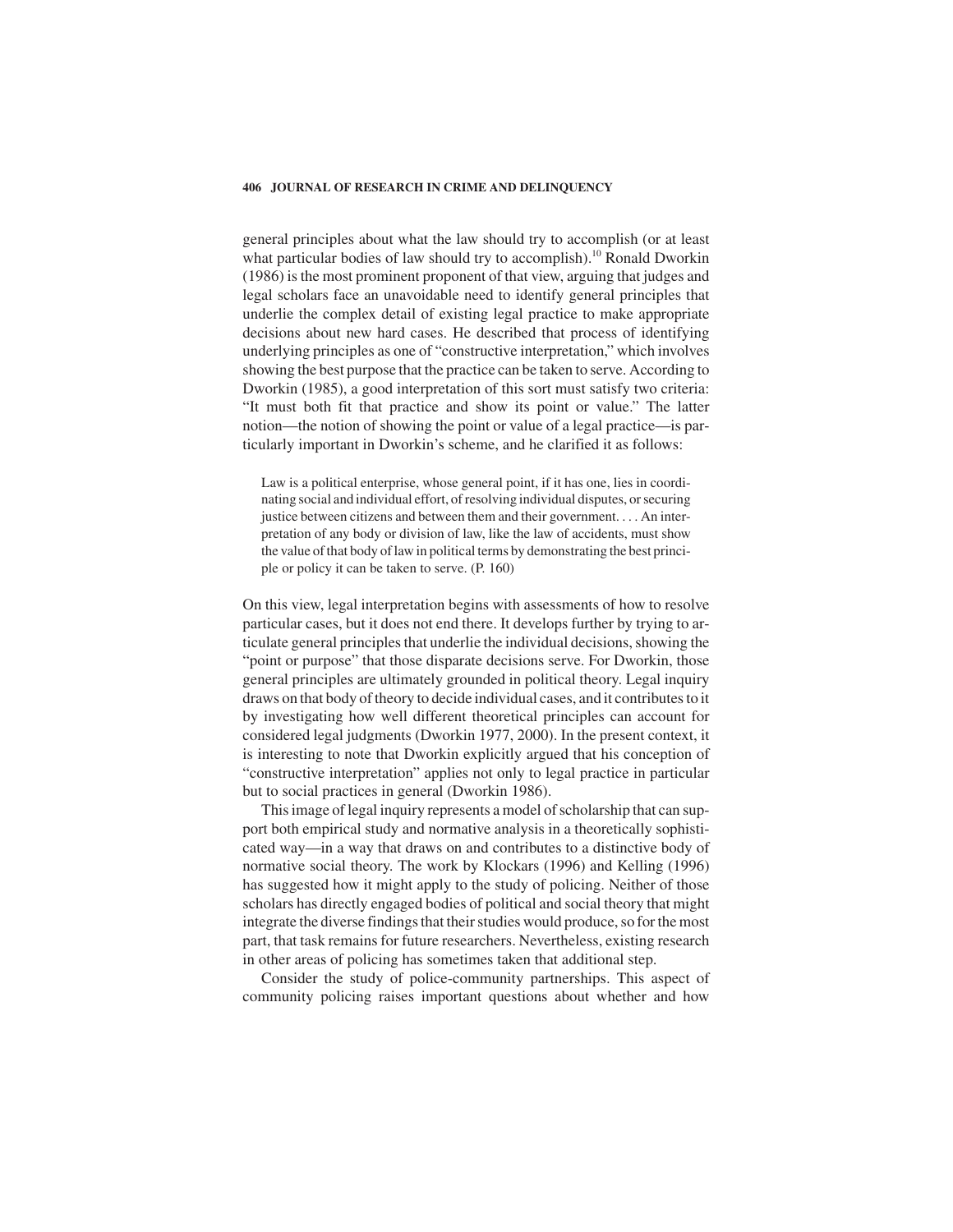general principles about what the law should try to accomplish (or at least what particular bodies of law should try to accomplish).<sup>10</sup> Ronald Dworkin (1986) is the most prominent proponent of that view, arguing that judges and legal scholars face an unavoidable need to identify general principles that underlie the complex detail of existing legal practice to make appropriate decisions about newhard cases. He described that process of identifying underlying principles as one of "constructive interpretation," which involves showing the best purpose that the practice can be taken to serve. According to Dworkin (1985), a good interpretation of this sort must satisfy two criteria: "It must both fit that practice and showits point or value." The latter notion—the notion of showing the point or value of a legal practice—is particularly important in Dworkin's scheme, and he clarified it as follows:

Law is a political enterprise, whose general point, if it has one, lies in coordinating social and individual effort, of resolving individual disputes, or securing justice between citizens and between them and their government. . . . An interpretation of any body or division of law, like the law of accidents, must show the value of that body of lawin political terms by demonstrating the best principle or policy it can be taken to serve. (P. 160)

On this view, legal interpretation begins with assessments of how to resolve particular cases, but it does not end there. It develops further by trying to articulate general principles that underlie the individual decisions, showing the "point or purpose" that those disparate decisions serve. For Dworkin, those general principles are ultimately grounded in political theory. Legal inquiry draws on that body of theory to decide individual cases, and it contributes to it by investigating howwell different theoretical principles can account for considered legal judgments (Dworkin 1977, 2000). In the present context, it is interesting to note that Dworkin explicitly argued that his conception of "constructive interpretation" applies not only to legal practice in particular but to social practices in general (Dworkin 1986).

This image of legal inquiry represents a model of scholarship that can support both empirical study and normative analysis in a theoretically sophisticated way—in a way that draws on and contributes to a distinctive body of normative social theory. The work by Klockars (1996) and Kelling (1996) has suggested how it might apply to the study of policing. Neither of those scholars has directly engaged bodies of political and social theory that might integrate the diverse findings that their studies would produce, so for the most part, that task remains for future researchers. Nevertheless, existing research in other areas of policing has sometimes taken that additional step.

Consider the study of police-community partnerships. This aspect of community policing raises important questions about whether and how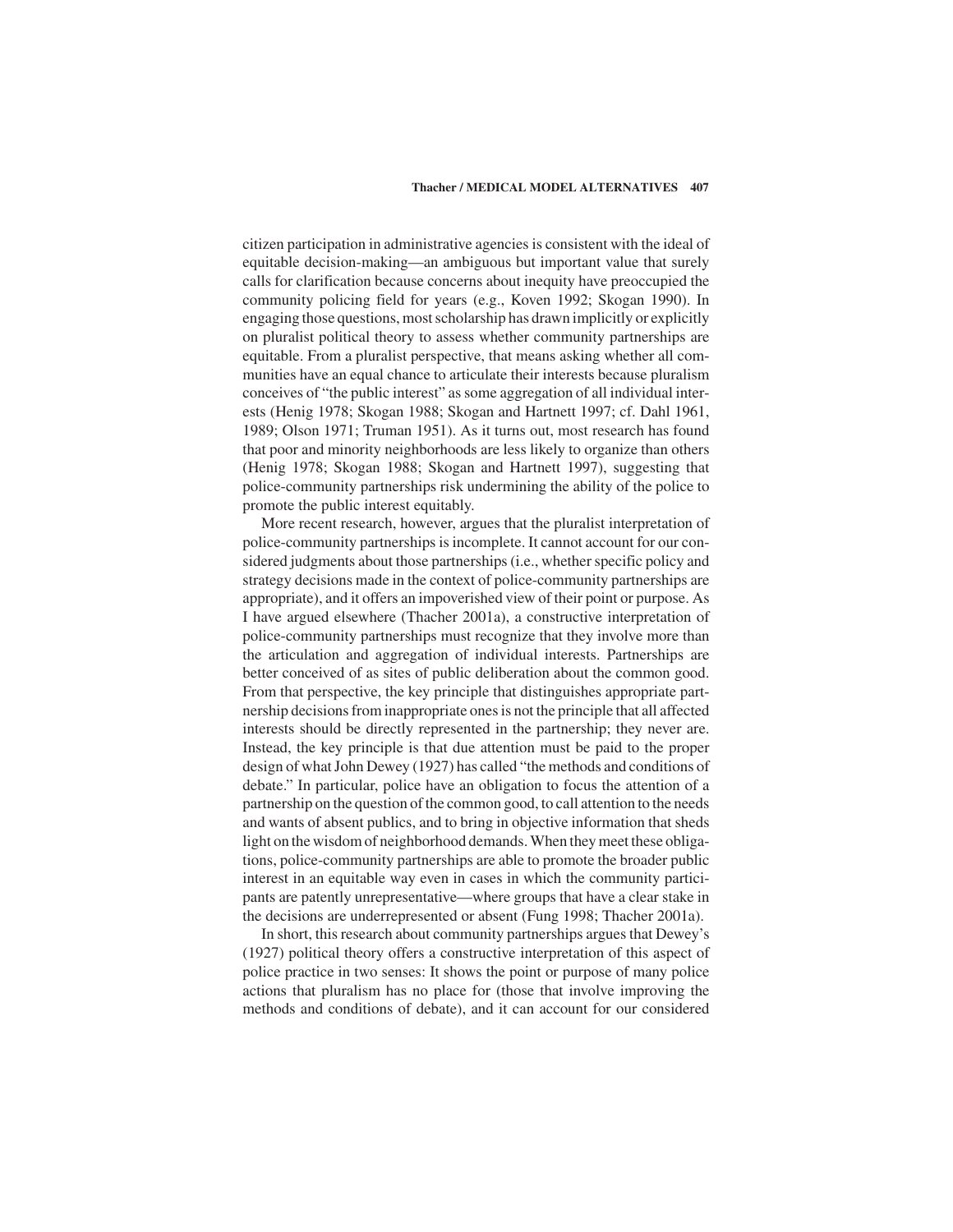citizen participation in administrative agencies is consistent with the ideal of equitable decision-making—an ambiguous but important value that surely calls for clarification because concerns about inequity have preoccupied the community policing field for years (e.g., Koven 1992; Skogan 1990). In engaging those questions, most scholarship has drawn implicitly or explicitly on pluralist political theory to assess whether community partnerships are equitable. From a pluralist perspective, that means asking whether all communities have an equal chance to articulate their interests because pluralism conceives of "the public interest" as some aggregation of all individual interests (Henig 1978; Skogan 1988; Skogan and Hartnett 1997; cf. Dahl 1961, 1989; Olson 1971; Truman 1951). As it turns out, most research has found that poor and minority neighborhoods are less likely to organize than others (Henig 1978; Skogan 1988; Skogan and Hartnett 1997), suggesting that police-community partnerships risk undermining the ability of the police to promote the public interest equitably.

More recent research, however, argues that the pluralist interpretation of police-community partnerships is incomplete. It cannot account for our considered judgments about those partnerships (i.e., whether specific policy and strategy decisions made in the context of police-community partnerships are appropriate), and it offers an impoverished viewof their point or purpose. As I have argued elsewhere (Thacher 2001a), a constructive interpretation of police-community partnerships must recognize that they involve more than the articulation and aggregation of individual interests. Partnerships are better conceived of as sites of public deliberation about the common good. From that perspective, the key principle that distinguishes appropriate partnership decisions from inappropriate ones is not the principle that all affected interests should be directly represented in the partnership; they never are. Instead, the key principle is that due attention must be paid to the proper design of what John Dewey (1927) has called "the methods and conditions of debate." In particular, police have an obligation to focus the attention of a partnership on the question of the common good, to call attention to the needs and wants of absent publics, and to bring in objective information that sheds light on the wisdom of neighborhood demands. When they meet these obligations, police-community partnerships are able to promote the broader public interest in an equitable way even in cases in which the community participants are patently unrepresentative—where groups that have a clear stake in the decisions are underrepresented or absent (Fung 1998; Thacher 2001a).

In short, this research about community partnerships argues that Dewey's (1927) political theory offers a constructive interpretation of this aspect of police practice in two senses: It shows the point or purpose of many police actions that pluralism has no place for (those that involve improving the methods and conditions of debate), and it can account for our considered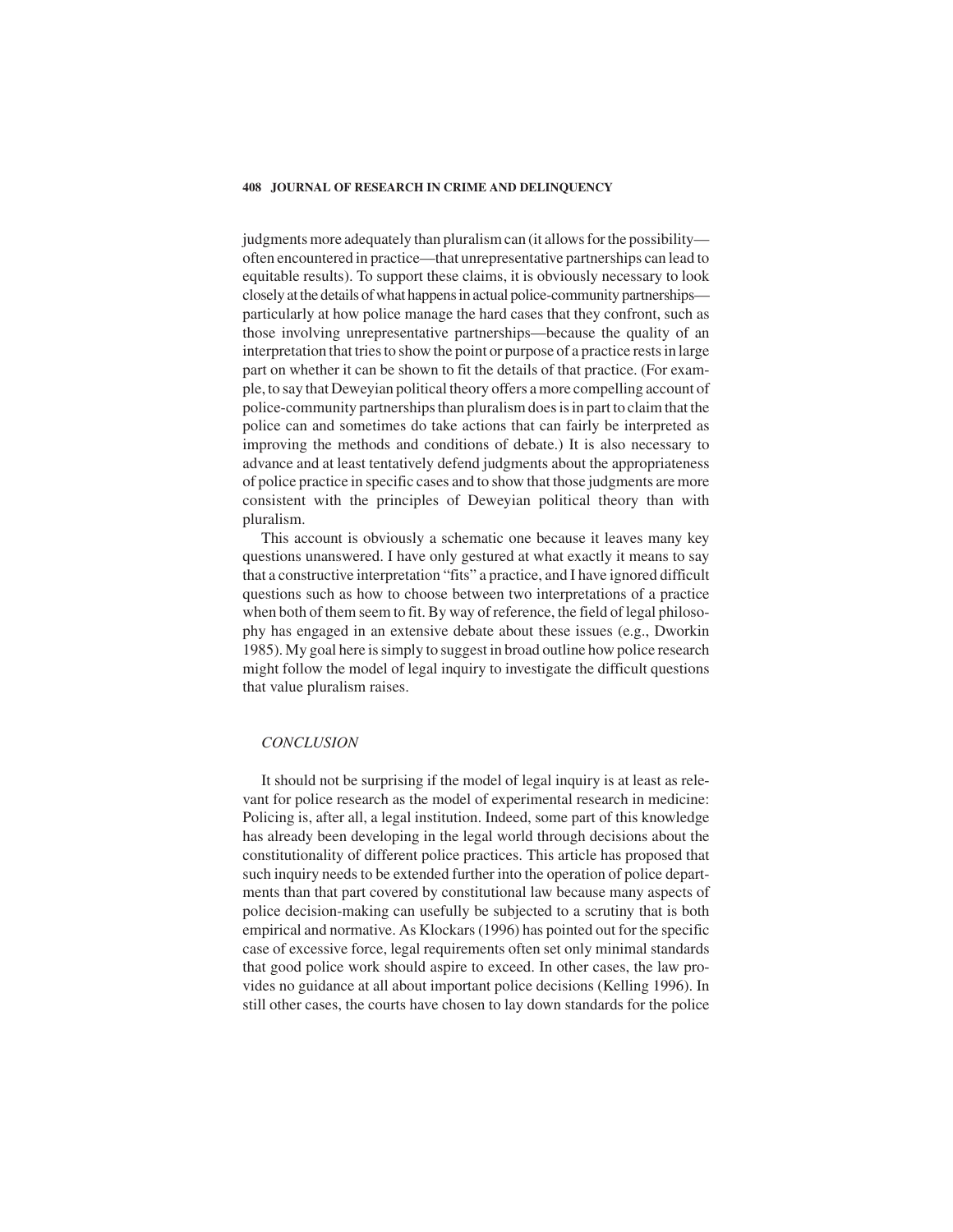judgments more adequately than pluralism can (it allows for the possibility often encountered in practice—that unrepresentative partnerships can lead to equitable results). To support these claims, it is obviously necessary to look closely at the details of what happens in actual police-community partnerships particularly at howpolice manage the hard cases that they confront, such as those involving unrepresentative partnerships—because the quality of an interpretation that tries to showthe point or purpose of a practice rests in large part on whether it can be shown to fit the details of that practice. (For example, to say that Deweyian political theory offers a more compelling account of police-community partnerships than pluralism does is in part to claim that the police can and sometimes do take actions that can fairly be interpreted as improving the methods and conditions of debate.) It is also necessary to advance and at least tentatively defend judgments about the appropriateness of police practice in specific cases and to showthat those judgments are more consistent with the principles of Deweyian political theory than with pluralism.

This account is obviously a schematic one because it leaves many key questions unanswered. I have only gestured at what exactly it means to say that a constructive interpretation "fits" a practice, and I have ignored difficult questions such as howto choose between two interpretations of a practice when both of them seem to fit. By way of reference, the field of legal philosophy has engaged in an extensive debate about these issues (e.g., Dworkin 1985). My goal here is simply to suggest in broad outline howpolice research might followthe model of legal inquiry to investigate the difficult questions that value pluralism raises.

## *CONCLUSION*

It should not be surprising if the model of legal inquiry is at least as relevant for police research as the model of experimental research in medicine: Policing is, after all, a legal institution. Indeed, some part of this knowledge has already been developing in the legal world through decisions about the constitutionality of different police practices. This article has proposed that such inquiry needs to be extended further into the operation of police departments than that part covered by constitutional lawbecause many aspects of police decision-making can usefully be subjected to a scrutiny that is both empirical and normative. As Klockars (1996) has pointed out for the specific case of excessive force, legal requirements often set only minimal standards that good police work should aspire to exceed. In other cases, the law provides no guidance at all about important police decisions (Kelling 1996). In still other cases, the courts have chosen to lay down standards for the police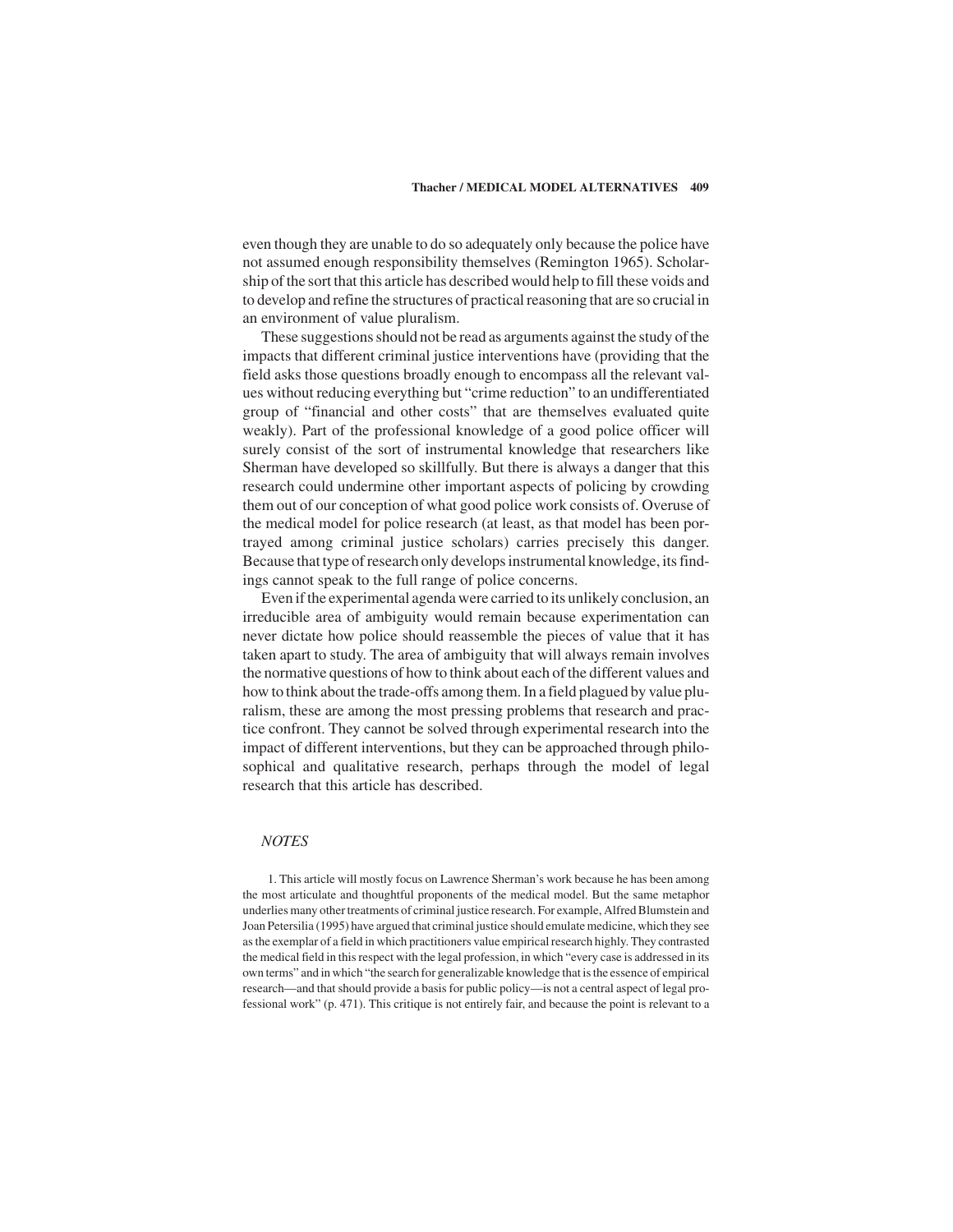even though they are unable to do so adequately only because the police have not assumed enough responsibility themselves (Remington 1965). Scholarship of the sort that this article has described would help to fill these voids and to develop and refine the structures of practical reasoning that are so crucial in an environment of value pluralism.

These suggestions should not be read as arguments against the study of the impacts that different criminal justice interventions have (providing that the field asks those questions broadly enough to encompass all the relevant values without reducing everything but "crime reduction" to an undifferentiated group of "financial and other costs" that are themselves evaluated quite weakly). Part of the professional knowledge of a good police officer will surely consist of the sort of instrumental knowledge that researchers like Sherman have developed so skillfully. But there is always a danger that this research could undermine other important aspects of policing by crowding them out of our conception of what good police work consists of. Overuse of the medical model for police research (at least, as that model has been portrayed among criminal justice scholars) carries precisely this danger. Because that type of research only develops instrumental knowledge, its findings cannot speak to the full range of police concerns.

Even if the experimental agenda were carried to its unlikely conclusion, an irreducible area of ambiguity would remain because experimentation can never dictate how police should reassemble the pieces of value that it has taken apart to study. The area of ambiguity that will always remain involves the normative questions of howto think about each of the different values and howto think about the trade-offs among them. In a field plagued by value pluralism, these are among the most pressing problems that research and practice confront. They cannot be solved through experimental research into the impact of different interventions, but they can be approached through philosophical and qualitative research, perhaps through the model of legal research that this article has described.

## *NOTES*

1. This article will mostly focus on Lawrence Sherman's work because he has been among the most articulate and thoughtful proponents of the medical model. But the same metaphor underlies many other treatments of criminal justice research. For example, Alfred Blumstein and Joan Petersilia (1995) have argued that criminal justice should emulate medicine, which they see as the exemplar of a field in which practitioners value empirical research highly. They contrasted the medical field in this respect with the legal profession, in which "every case is addressed in its own terms" and in which "the search for generalizable knowledge that is the essence of empirical research—and that should provide a basis for public policy—is not a central aspect of legal professional work" (p. 471). This critique is not entirely fair, and because the point is relevant to a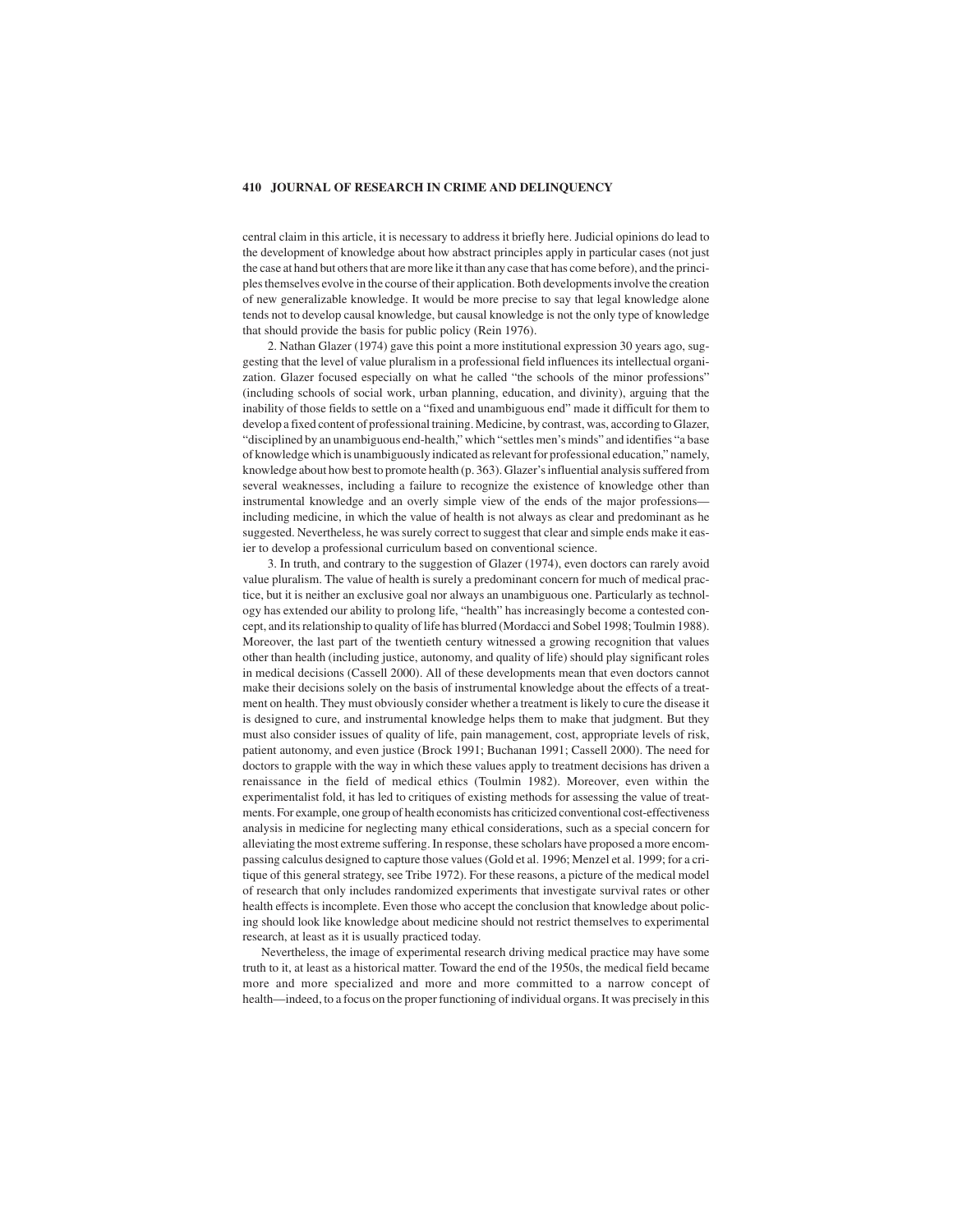central claim in this article, it is necessary to address it briefly here. Judicial opinions do lead to the development of knowledge about how abstract principles apply in particular cases (not just the case at hand but others that are more like it than any case that has come before), and the principles themselves evolve in the course of their application. Both developments involve the creation of new generalizable knowledge. It would be more precise to say that legal knowledge alone tends not to develop causal knowledge, but causal knowledge is not the only type of knowledge that should provide the basis for public policy (Rein 1976).

2. Nathan Glazer (1974) gave this point a more institutional expression 30 years ago, suggesting that the level of value pluralism in a professional field influences its intellectual organization. Glazer focused especially on what he called "the schools of the minor professions" (including schools of social work, urban planning, education, and divinity), arguing that the inability of those fields to settle on a "fixed and unambiguous end" made it difficult for them to develop a fixed content of professional training. Medicine, by contrast, was, according to Glazer, "disciplined by an unambiguous end-health," which "settles men's minds" and identifies "a base of knowledge which is unambiguously indicated as relevant for professional education," namely, knowledge about how best to promote health (p. 363). Glazer's influential analysis suffered from several weaknesses, including a failure to recognize the existence of knowledge other than instrumental knowledge and an overly simple view of the ends of the major professions including medicine, in which the value of health is not always as clear and predominant as he suggested. Nevertheless, he was surely correct to suggest that clear and simple ends make it easier to develop a professional curriculum based on conventional science.

3. In truth, and contrary to the suggestion of Glazer (1974), even doctors can rarely avoid value pluralism. The value of health is surely a predominant concern for much of medical practice, but it is neither an exclusive goal nor always an unambiguous one. Particularly as technology has extended our ability to prolong life, "health" has increasingly become a contested concept, and its relationship to quality of life has blurred (Mordacci and Sobel 1998; Toulmin 1988). Moreover, the last part of the twentieth century witnessed a growing recognition that values other than health (including justice, autonomy, and quality of life) should play significant roles in medical decisions (Cassell 2000). All of these developments mean that even doctors cannot make their decisions solely on the basis of instrumental knowledge about the effects of a treatment on health. They must obviously consider whether a treatment is likely to cure the disease it is designed to cure, and instrumental knowledge helps them to make that judgment. But they must also consider issues of quality of life, pain management, cost, appropriate levels of risk, patient autonomy, and even justice (Brock 1991; Buchanan 1991; Cassell 2000). The need for doctors to grapple with the way in which these values apply to treatment decisions has driven a renaissance in the field of medical ethics (Toulmin 1982). Moreover, even within the experimentalist fold, it has led to critiques of existing methods for assessing the value of treatments. For example, one group of health economists has criticized conventional cost-effectiveness analysis in medicine for neglecting many ethical considerations, such as a special concern for alleviating the most extreme suffering. In response, these scholars have proposed a more encompassing calculus designed to capture those values (Gold et al. 1996; Menzel et al. 1999; for a critique of this general strategy, see Tribe 1972). For these reasons, a picture of the medical model of research that only includes randomized experiments that investigate survival rates or other health effects is incomplete. Even those who accept the conclusion that knowledge about policing should look like knowledge about medicine should not restrict themselves to experimental research, at least as it is usually practiced today.

Nevertheless, the image of experimental research driving medical practice may have some truth to it, at least as a historical matter. Toward the end of the 1950s, the medical field became more and more specialized and more and more committed to a narrowconcept of health—indeed, to a focus on the proper functioning of individual organs. It was precisely in this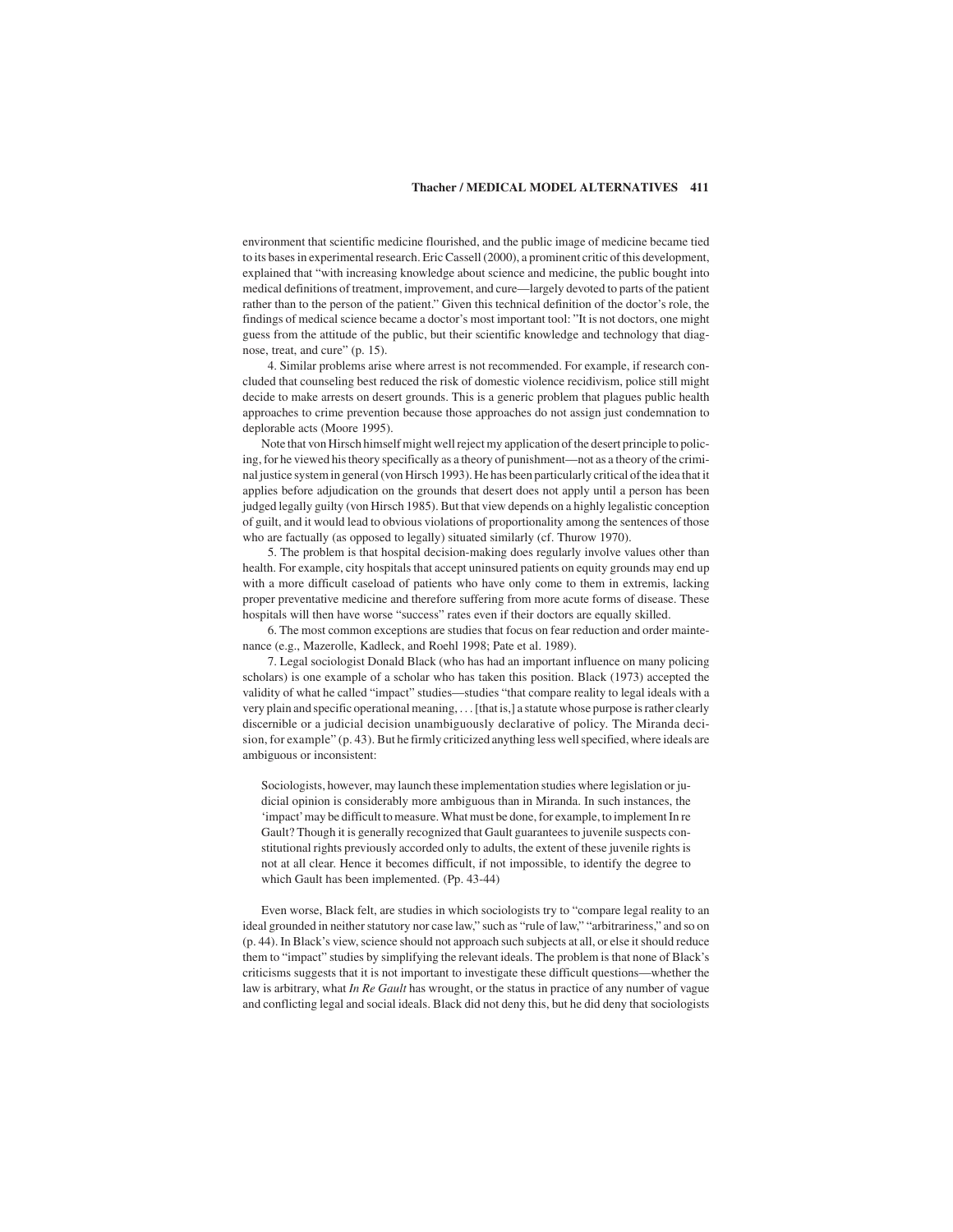environment that scientific medicine flourished, and the public image of medicine became tied to its bases in experimental research. Eric Cassell (2000), a prominent critic of this development, explained that "with increasing knowledge about science and medicine, the public bought into medical definitions of treatment, improvement, and cure—largely devoted to parts of the patient rather than to the person of the patient." Given this technical definition of the doctor's role, the findings of medical science became a doctor's most important tool: "It is not doctors, one might guess from the attitude of the public, but their scientific knowledge and technology that diagnose, treat, and cure" (p. 15).

4. Similar problems arise where arrest is not recommended. For example, if research concluded that counseling best reduced the risk of domestic violence recidivism, police still might decide to make arrests on desert grounds. This is a generic problem that plagues public health approaches to crime prevention because those approaches do not assign just condemnation to deplorable acts (Moore 1995).

Note that von Hirsch himself might well reject my application of the desert principle to policing, for he viewed his theory specifically as a theory of punishment—not as a theory of the criminal justice system in general (von Hirsch 1993). He has been particularly critical of the idea that it applies before adjudication on the grounds that desert does not apply until a person has been judged legally guilty (von Hirsch 1985). But that view depends on a highly legalistic conception of guilt, and it would lead to obvious violations of proportionality among the sentences of those who are factually (as opposed to legally) situated similarly (cf. Thurow 1970).

5. The problem is that hospital decision-making does regularly involve values other than health. For example, city hospitals that accept uninsured patients on equity grounds may end up with a more difficult caseload of patients who have only come to them in extremis, lacking proper preventative medicine and therefore suffering from more acute forms of disease. These hospitals will then have worse "success" rates even if their doctors are equally skilled.

6. The most common exceptions are studies that focus on fear reduction and order maintenance (e.g., Mazerolle, Kadleck, and Roehl 1998; Pate et al. 1989).

7. Legal sociologist Donald Black (who has had an important influence on many policing scholars) is one example of a scholar who has taken this position. Black (1973) accepted the validity of what he called "impact" studies—studies "that compare reality to legal ideals with a very plain and specific operational meaning, . . . [that is,] a statute whose purpose is rather clearly discernible or a judicial decision unambiguously declarative of policy. The Miranda decision, for example" (p. 43). But he firmly criticized anything less well specified, where ideals are ambiguous or inconsistent:

Sociologists, however, may launch these implementation studies where legislation or judicial opinion is considerably more ambiguous than in Miranda. In such instances, the 'impact'may be difficult to measure. What must be done, for example, to implement In re Gault? Though it is generally recognized that Gault guarantees to juvenile suspects constitutional rights previously accorded only to adults, the extent of these juvenile rights is not at all clear. Hence it becomes difficult, if not impossible, to identify the degree to which Gault has been implemented. (Pp. 43-44)

Even worse, Black felt, are studies in which sociologists try to "compare legal reality to an ideal grounded in neither statutory nor case law," such as "rule of law," "arbitrariness," and so on (p. 44). In Black's view, science should not approach such subjects at all, or else it should reduce them to "impact" studies by simplifying the relevant ideals. The problem is that none of Black's criticisms suggests that it is not important to investigate these difficult questions—whether the lawis arbitrary, what *In Re Gault* has wrought, or the status in practice of any number of vague and conflicting legal and social ideals. Black did not deny this, but he did deny that sociologists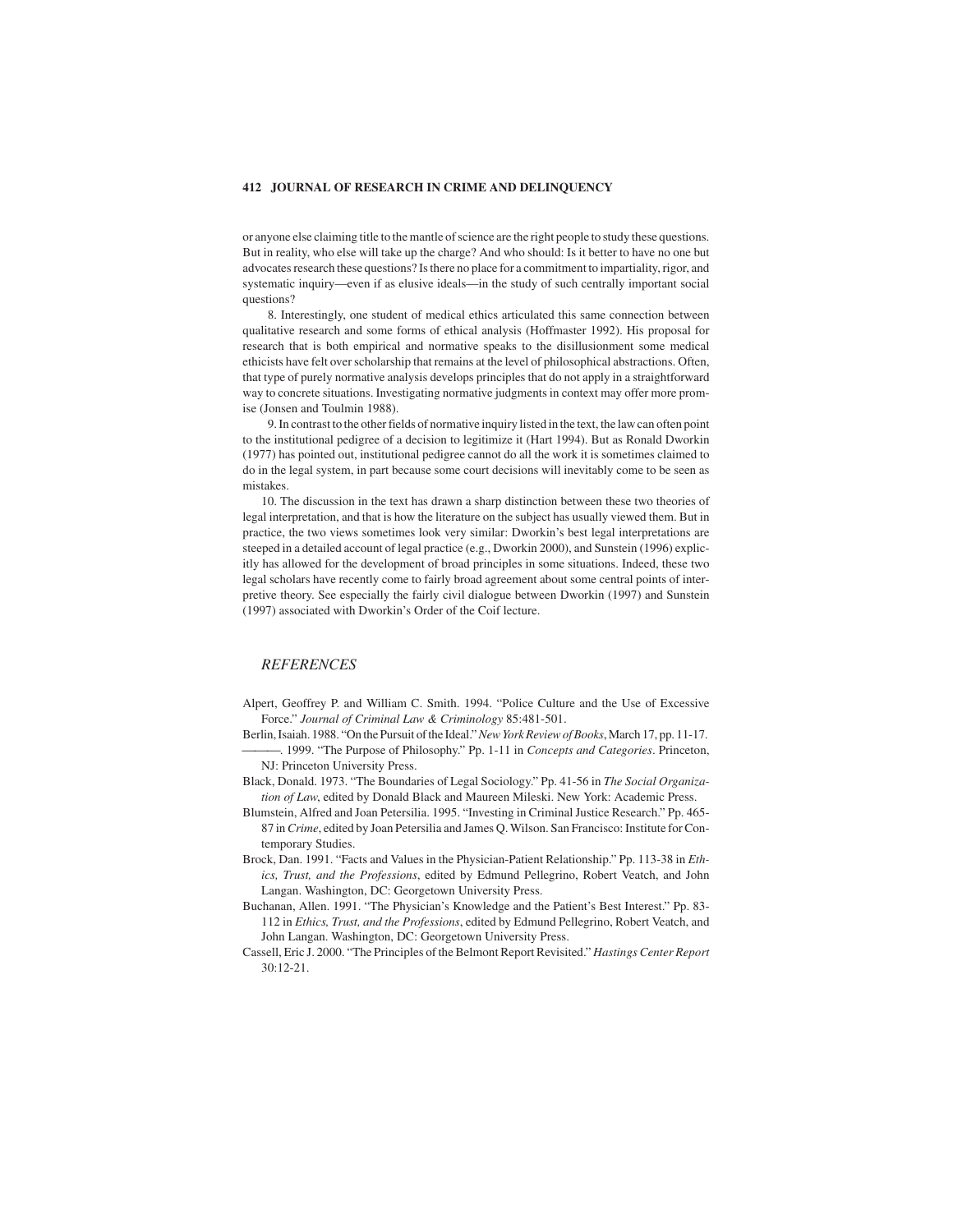or anyone else claiming title to the mantle of science are the right people to study these questions. But in reality, who else will take up the charge? And who should: Is it better to have no one but advocates research these questions? Is there no place for a commitment to impartiality, rigor, and systematic inquiry—even if as elusive ideals—in the study of such centrally important social questions?

8. Interestingly, one student of medical ethics articulated this same connection between qualitative research and some forms of ethical analysis (Hoffmaster 1992). His proposal for research that is both empirical and normative speaks to the disillusionment some medical ethicists have felt over scholarship that remains at the level of philosophical abstractions. Often, that type of purely normative analysis develops principles that do not apply in a straightforward way to concrete situations. Investigating normative judgments in context may offer more promise (Jonsen and Toulmin 1988).

9. In contrast to the other fields of normative inquiry listed in the text, the lawcan often point to the institutional pedigree of a decision to legitimize it (Hart 1994). But as Ronald Dworkin (1977) has pointed out, institutional pedigree cannot do all the work it is sometimes claimed to do in the legal system, in part because some court decisions will inevitably come to be seen as mistakes.

10. The discussion in the text has drawn a sharp distinction between these two theories of legal interpretation, and that is howthe literature on the subject has usually viewed them. But in practice, the two views sometimes look very similar: Dworkin's best legal interpretations are steeped in a detailed account of legal practice (e.g., Dworkin 2000), and Sunstein (1996) explicitly has allowed for the development of broad principles in some situations. Indeed, these two legal scholars have recently come to fairly broad agreement about some central points of interpretive theory. See especially the fairly civil dialogue between Dworkin (1997) and Sunstein (1997) associated with Dworkin's Order of the Coif lecture.

## *REFERENCES*

- Alpert, Geoffrey P. and William C. Smith. 1994. "Police Culture and the Use of Excessive Force." *Journal of Criminal Law & Criminology* 85:481-501.
- Berlin, Isaiah. 1988. "On the Pursuit of the Ideal."*New York Review of Books*, March 17, pp. 11-17.
- . 1999. "The Purpose of Philosophy." Pp. 1-11 in *Concepts and Categories*. Princeton, NJ: Princeton University Press.
- Black, Donald. 1973. "The Boundaries of Legal Sociology." Pp. 41-56 in *The Social Organization of Law*, edited by Donald Black and Maureen Mileski. New York: Academic Press.
- Blumstein, Alfred and Joan Petersilia. 1995. "Investing in Criminal Justice Research." Pp. 465- 87 in*Crime*, edited by Joan Petersilia and James Q. Wilson. San Francisco: Institute for Contemporary Studies.
- Brock, Dan. 1991. "Facts and Values in the Physician-Patient Relationship." Pp. 113-38 in *Ethics, Trust, and the Professions*, edited by Edmund Pellegrino, Robert Veatch, and John Langan. Washington, DC: Georgetown University Press.
- Buchanan, Allen. 1991. "The Physician's Knowledge and the Patient's Best Interest." Pp. 83- 112 in *Ethics, Trust, and the Professions*, edited by Edmund Pellegrino, Robert Veatch, and John Langan. Washington, DC: Georgetown University Press.
- Cassell, Eric J. 2000. "The Principles of the Belmont Report Revisited." *Hastings Center Report* 30:12-21.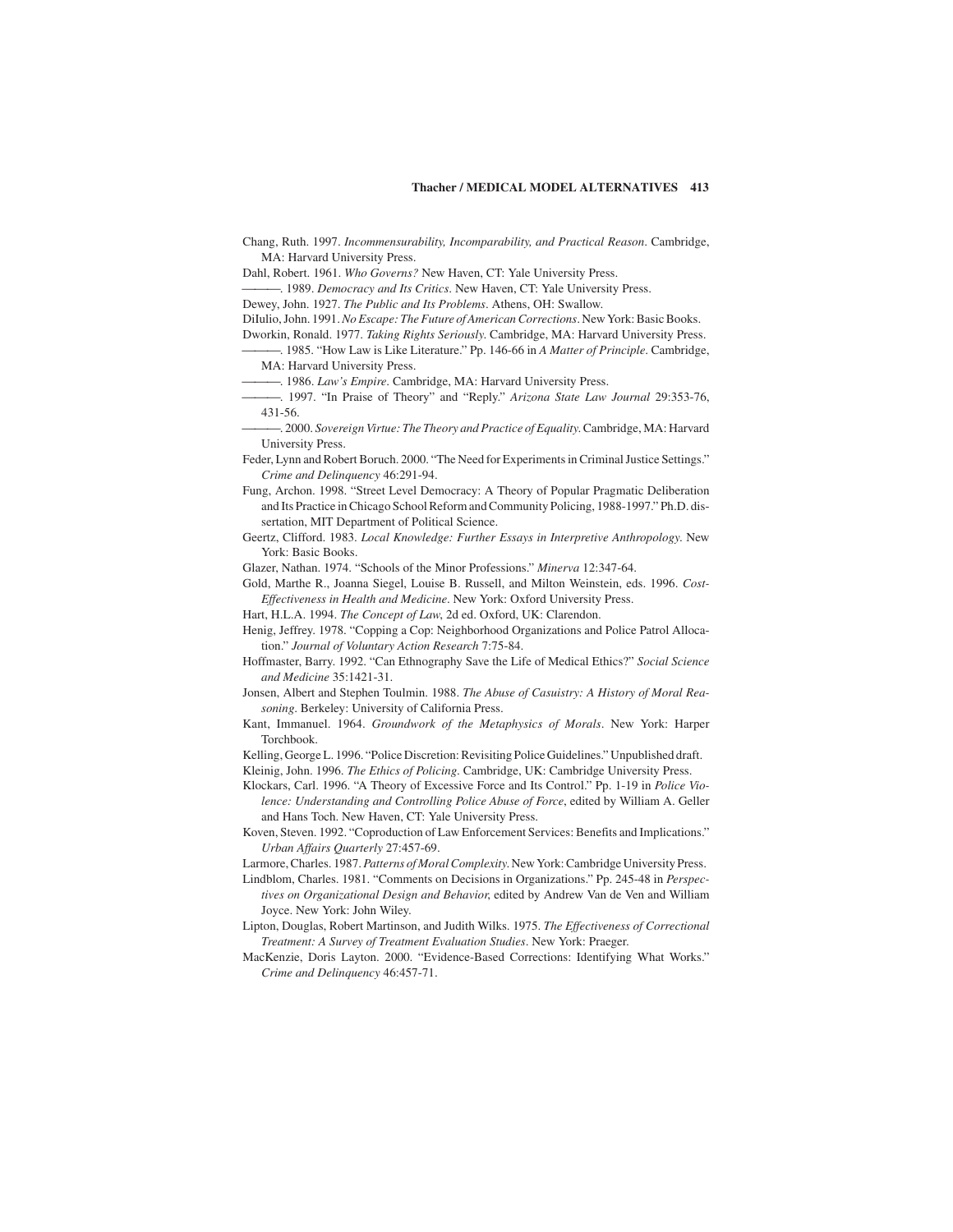. 1989. *Democracy and Its Critics*. New Haven, CT: Yale University Press.

Dewey, John. 1927. *The Public and Its Problems*. Athens, OH: Swallow.

DiIulio, John. 1991. No Escape: The Future of American Corrections. New York: Basic Books.

Dworkin, Ronald. 1977. *Taking Rights Seriously*. Cambridge, MA: Harvard University Press. . 1985. "HowLawis Like Literature." Pp. 146-66 in *A Matter of Principle*. Cambridge,

MA: Harvard University Press.

. 1986. *Law's Empire*. Cambridge, MA: Harvard University Press.

. 1997. "In Praise of Theory" and "Reply." *Arizona State Law Journal* 29:353-76, 431-56.

. 2000. *Sovereign Virtue: The Theory and Practice of Equality*. Cambridge, MA: Harvard University Press.

Feder, Lynn and Robert Boruch. 2000. "The Need for Experiments in Criminal Justice Settings." *Crime and Delinquency* 46:291-94.

Fung, Archon. 1998. "Street Level Democracy: A Theory of Popular Pragmatic Deliberation and Its Practice in Chicago School Reform and Community Policing, 1988-1997." Ph.D. dissertation, MIT Department of Political Science.

Geertz, Clifford. 1983. *Local Knowledge: Further Essays in Interpretive Anthropology*. New York: Basic Books.

Glazer, Nathan. 1974. "Schools of the Minor Professions." *Minerva* 12:347-64.

Gold, Marthe R., Joanna Siegel, Louise B. Russell, and Milton Weinstein, eds. 1996. *Cost-Effectiveness in Health and Medicine*. New York: Oxford University Press.

Hart, H.L.A. 1994. *The Concept of Law*, 2d ed. Oxford, UK: Clarendon.

- Henig, Jeffrey. 1978. "Copping a Cop: Neighborhood Organizations and Police Patrol Allocation." *Journal of Voluntary Action Research* 7:75-84.
- Hoffmaster, Barry. 1992. "Can Ethnography Save the Life of Medical Ethics?" *Social Science and Medicine* 35:1421-31.
- Jonsen, Albert and Stephen Toulmin. 1988. *The Abuse of Casuistry: A History of Moral Reasoning*. Berkeley: University of California Press.
- Kant, Immanuel. 1964. *Groundwork of the Metaphysics of Morals*. New York: Harper Torchbook.

Kelling, George L. 1996. "Police Discretion: Revisiting Police Guidelines." Unpublished draft.

- Kleinig, John. 1996. *The Ethics of Policing*. Cambridge, UK: Cambridge University Press.
- Klockars, Carl. 1996. "A Theory of Excessive Force and Its Control." Pp. 1-19 in *Police Violence: Understanding and Controlling Police Abuse of Force*, edited by William A. Geller and Hans Toch. New Haven, CT: Yale University Press.

Koven, Steven. 1992. "Coproduction of LawEnforcement Services: Benefits and Implications." *Urban Affairs Quarterly* 27:457-69.

Larmore, Charles. 1987. Patterns of Moral Complexity. New York: Cambridge University Press.

Lindblom, Charles. 1981. "Comments on Decisions in Organizations." Pp. 245-48 in *Perspec*tives on Organizational Design and Behavior, edited by Andrew Van de Ven and William Joyce. New York: John Wiley.

- Lipton, Douglas, Robert Martinson, and Judith Wilks. 1975. *The Effectiveness of Correctional Treatment: A Survey of Treatment Evaluation Studies*. New York: Praeger.
- MacKenzie, Doris Layton. 2000. "Evidence-Based Corrections: Identifying What Works." *Crime and Delinquency* 46:457-71.

Chang, Ruth. 1997. *Incommensurability, Incomparability, and Practical Reason*. Cambridge, MA: Harvard University Press.

Dahl, Robert. 1961. *Who Governs?* New Haven, CT: Yale University Press.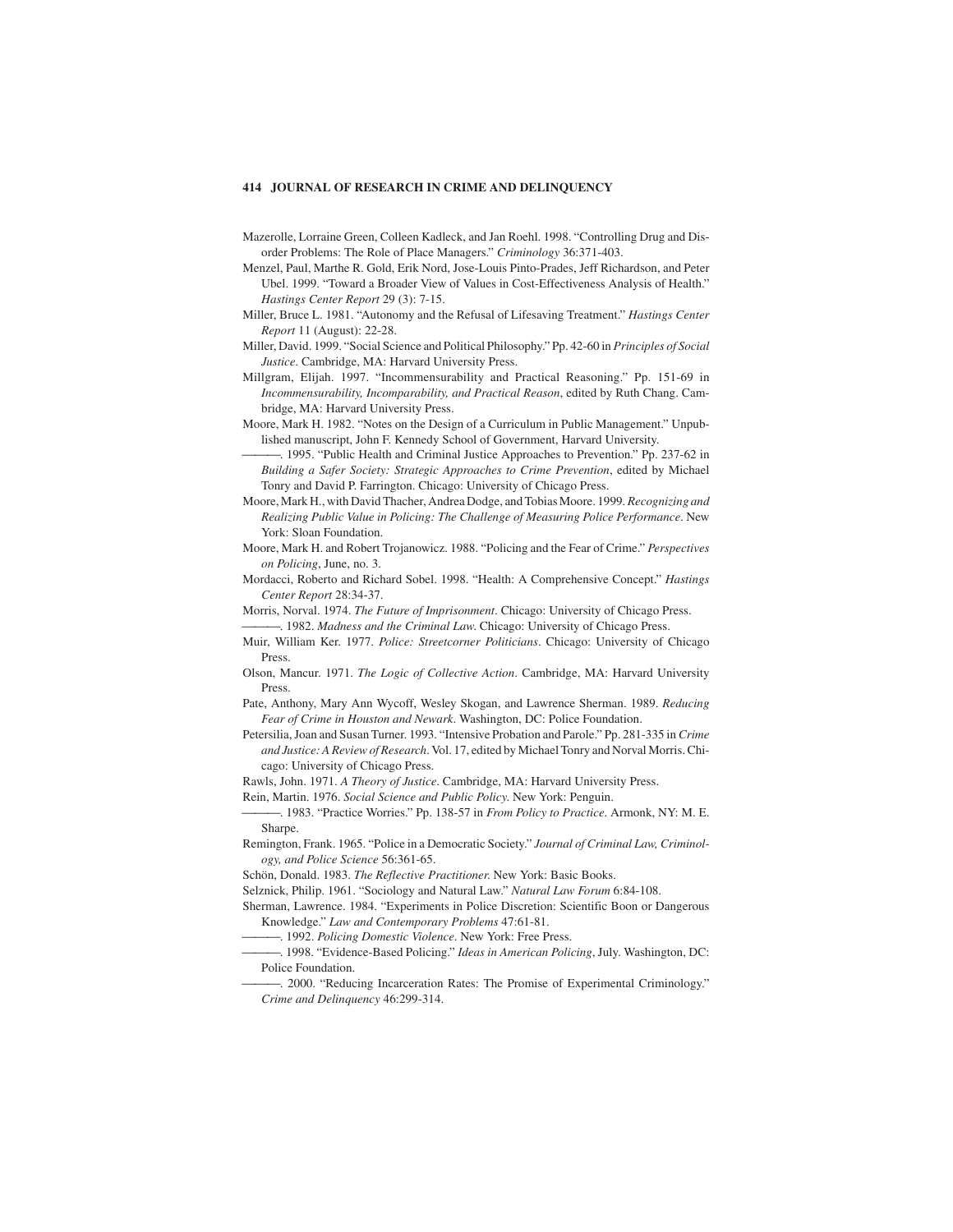- Mazerolle, Lorraine Green, Colleen Kadleck, and Jan Roehl. 1998. "Controlling Drug and Disorder Problems: The Role of Place Managers." *Criminology* 36:371-403.
- Menzel, Paul, Marthe R. Gold, Erik Nord, Jose-Louis Pinto-Prades, Jeff Richardson, and Peter Ubel. 1999. "Toward a Broader View of Values in Cost-Effectiveness Analysis of Health." *Hastings Center Report* 29 (3): 7-15.
- Miller, Bruce L. 1981. "Autonomy and the Refusal of Lifesaving Treatment." *Hastings Center Report* 11 (August): 22-28.
- Miller, David. 1999. "Social Science and Political Philosophy." Pp. 42-60 in *Principles of Social Justice*. Cambridge, MA: Harvard University Press.
- Millgram, Elijah. 1997. "Incommensurability and Practical Reasoning." Pp. 151-69 in *Incommensurability, Incomparability, and Practical Reason*, edited by Ruth Chang. Cambridge, MA: Harvard University Press.
- Moore, Mark H. 1982. "Notes on the Design of a Curriculum in Public Management." Unpublished manuscript, John F. Kennedy School of Government, Harvard University.
	- . 1995. "Public Health and Criminal Justice Approaches to Prevention." Pp. 237-62 in *Building a Safer Society: Strategic Approaches to Crime Prevention*, edited by Michael Tonry and David P. Farrington. Chicago: University of Chicago Press.
- Moore, Mark H., with David Thacher, Andrea Dodge, and Tobias Moore. 1999.*Recognizing and Realizing Public Value in Policing: The Challenge of Measuring Police Performance*. New York: Sloan Foundation.
- Moore, Mark H. and Robert Trojanowicz. 1988. "Policing and the Fear of Crime." *Perspectives on Policing*, June, no. 3.
- Mordacci, Roberto and Richard Sobel. 1998. "Health: A Comprehensive Concept." *Hastings Center Report* 28:34-37.
- Morris, Norval. 1974. *The Future of Imprisonment*. Chicago: University of Chicago Press.
- . 1982. *Madness and the Criminal Law*. Chicago: University of Chicago Press.
- Muir, William Ker. 1977. *Police: Streetcorner Politicians*. Chicago: University of Chicago Press.
- Olson, Mancur. 1971. *The Logic of Collective Action*. Cambridge, MA: Harvard University Press.
- Pate, Anthony, Mary Ann Wycoff, Wesley Skogan, and Lawrence Sherman. 1989. *Reducing Fear of Crime in Houston and Newark*. Washington, DC: Police Foundation.
- Petersilia, Joan and Susan Turner. 1993. "Intensive Probation and Parole." Pp. 281-335 in *Crime and Justice: A Review of Research*. Vol. 17, edited by Michael Tonry and Norval Morris. Chicago: University of Chicago Press.
- Rawls, John. 1971. *A Theory of Justice*. Cambridge, MA: Harvard University Press.
- Rein, Martin. 1976. *Social Science and Public Policy*. New York: Penguin.
- . 1983. "Practice Worries." Pp. 138-57 in *From Policy to Practice*. Armonk, NY: M. E. Sharpe.
- Remington, Frank. 1965. "Police in a Democratic Society." *Journal of Criminal Law, Criminology, and Police Science* 56:361-65.
- Schön, Donald. 1983. *The Reflective Practitioner*. New York: Basic Books.
- Selznick, Philip. 1961. "Sociology and Natural Law." *Natural Law Forum* 6:84-108.
- Sherman, Lawrence. 1984. "Experiments in Police Discretion: Scientific Boon or Dangerous Knowledge." *Law and Contemporary Problems* 47:61-81.
	- . 1992. *Policing Domestic Violence*. New York: Free Press.
- . 1998. "Evidence-Based Policing." *Ideas in American Policing*, July. Washington, DC: Police Foundation.
- . 2000. "Reducing Incarceration Rates: The Promise of Experimental Criminology." *Crime and Delinquency* 46:299-314.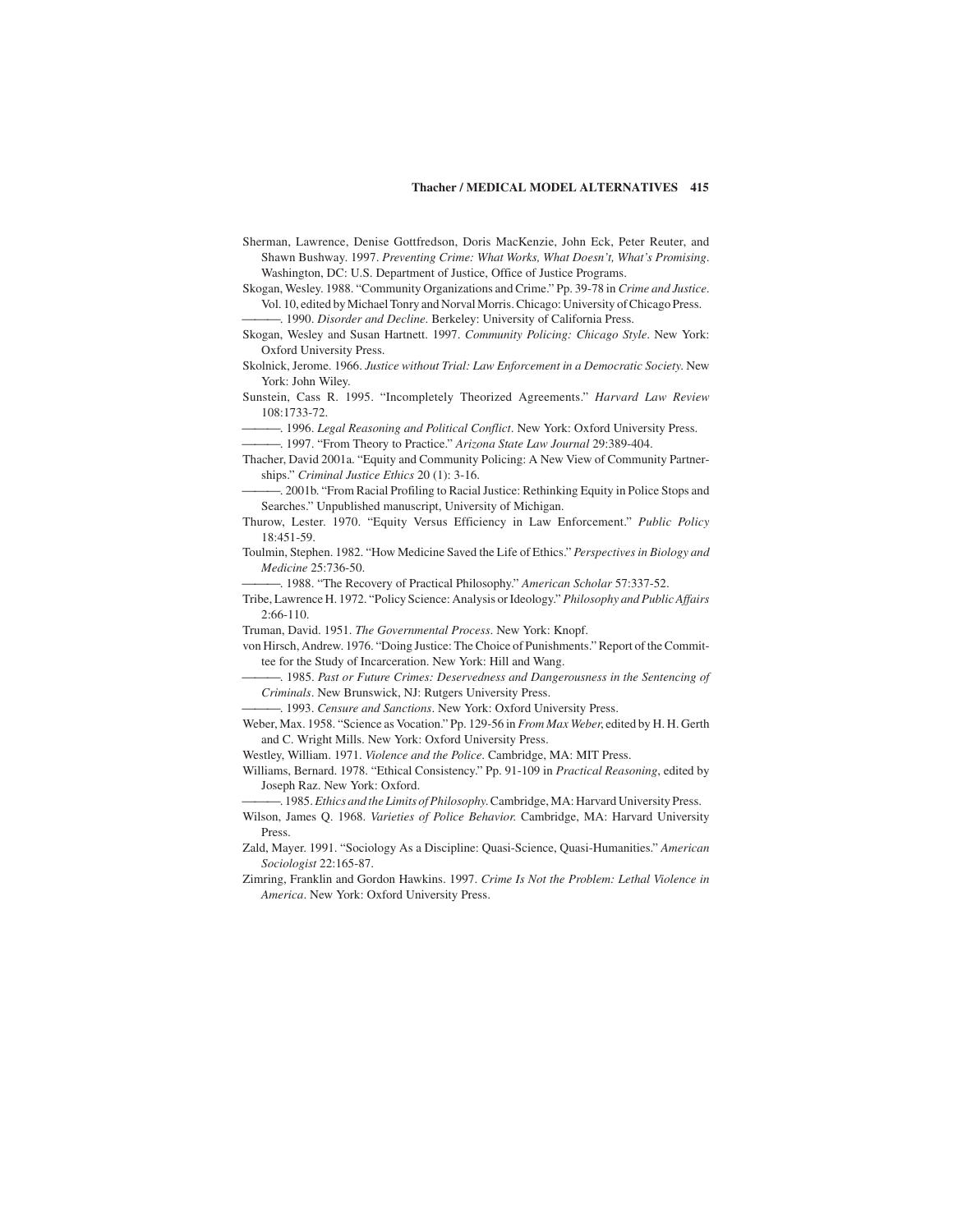- Sherman, Lawrence, Denise Gottfredson, Doris MacKenzie, John Eck, Peter Reuter, and Shawn Bushway. 1997. *Preventing Crime: What Works, What Doesn't, What's Promising*. Washington, DC: U.S. Department of Justice, Office of Justice Programs.
- Skogan, Wesley. 1988. "Community Organizations and Crime." Pp. 39-78 in *Crime and Justice*. Vol. 10, edited by Michael Tonry and Norval Morris. Chicago: University of Chicago Press. . 1990. *Disorder and Decline*. Berkeley: University of California Press.
- Skogan, Wesley and Susan Hartnett. 1997. Community Policing: Chicago Style. New York: Oxford University Press.
- Skolnick, Jerome. 1966. *Justice without Trial: Law Enforcement in a Democratic Society*. New York: John Wiley.
- Sunstein, Cass R. 1995. "Incompletely Theorized Agreements." *Harvard Law Review* 108:1733-72.

. 1996. *Legal Reasoning and Political Conflict*. New York: Oxford University Press. . 1997. "From Theory to Practice." *Arizona State Law Journal* 29:389-404.

- Thacher, David 2001a. "Equity and Community Policing: A NewViewof Community Partnerships." *Criminal Justice Ethics* 20 (1): 3-16.
- . 2001b. "From Racial Profiling to Racial Justice: Rethinking Equity in Police Stops and Searches." Unpublished manuscript, University of Michigan.
- Thurow, Lester. 1970. "Equity Versus Efficiency in Law Enforcement." *Public Policy* 18:451-59.
- Toulmin, Stephen. 1982. "How Medicine Saved the Life of Ethics." *Perspectives in Biology and Medicine* 25:736-50.
- . 1988. "The Recovery of Practical Philosophy." *American Scholar* 57:337-52.
- Tribe, Lawrence H. 1972. "Policy Science: Analysis or Ideology." *Philosophy and Public Affairs* 2:66-110.
- Truman, David. 1951. *The Governmental Process*. New York: Knopf.
- von Hirsch, Andrew. 1976. "Doing Justice: The Choice of Punishments." Report of the Committee for the Study of Incarceration. New York: Hill and Wang.
- . 1985. *Past or Future Crimes: Deservedness and Dangerousness in the Sentencing of Criminals*. New Brunswick, NJ: Rutgers University Press.
	- . 1993. *Censure and Sanctions*. New York: Oxford University Press.
- Weber, Max. 1958. "Science as Vocation." Pp. 129-56 in *From Max Weber*, edited by H. H. Gerth and C. Wright Mills. New York: Oxford University Press.
- Westley, William. 1971. *Violence and the Police*. Cambridge, MA: MIT Press.
- Williams, Bernard. 1978. "Ethical Consistency." Pp. 91-109 in *Practical Reasoning*, edited by Joseph Raz. New York: Oxford.
- . 1985.*Ethics and the Limits of Philosophy*. Cambridge, MA: Harvard University Press.
- Wilson, James Q. 1968. *Varieties of Police Behavior*. Cambridge, MA: Harvard University Press.
- Zald, Mayer. 1991. "Sociology As a Discipline: Quasi-Science, Quasi-Humanities." *American Sociologist* 22:165-87.
- Zimring, Franklin and Gordon Hawkins. 1997. *Crime Is Not the Problem: Lethal Violence in America*. New York: Oxford University Press.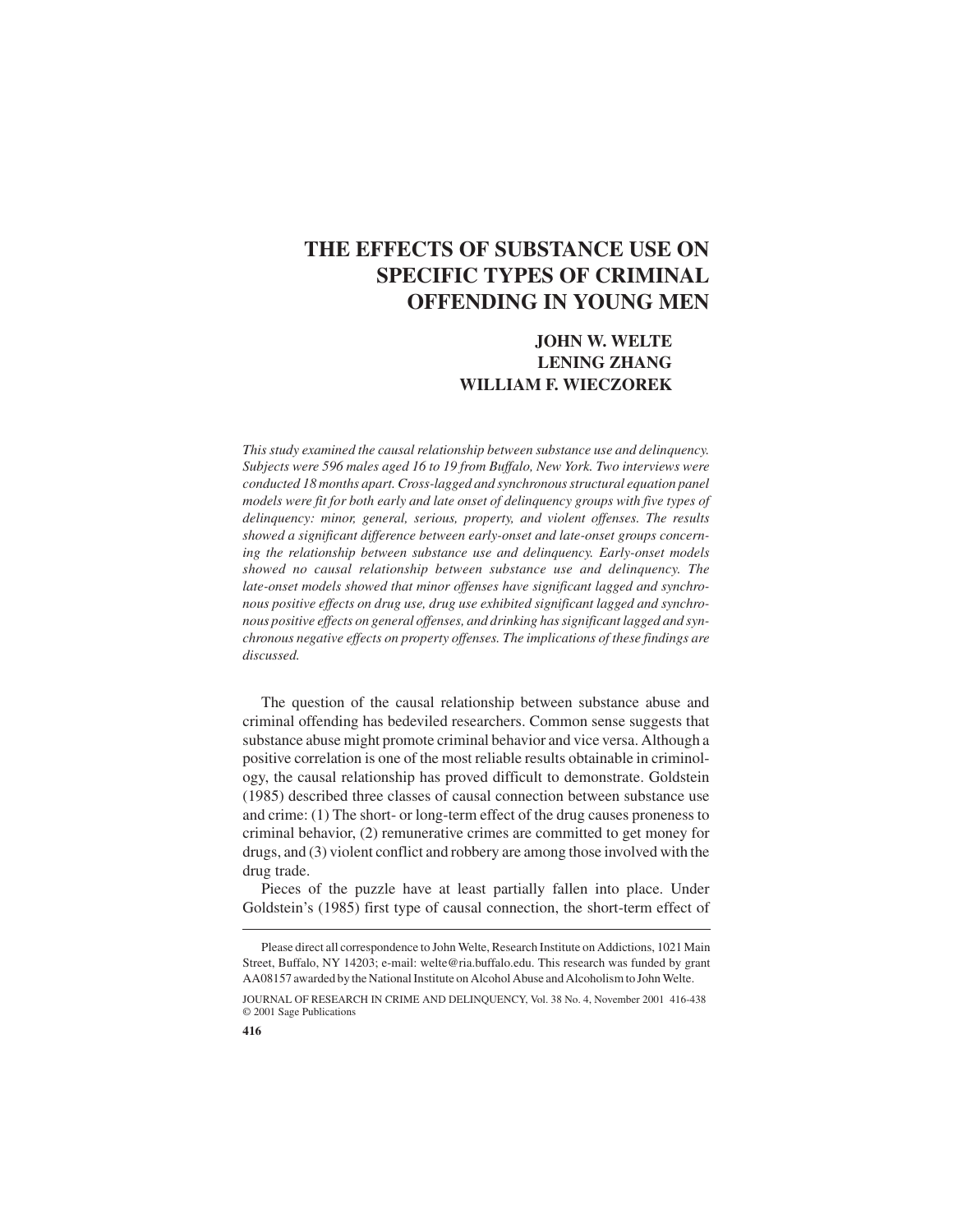# **THE EFFECTS OF SUBSTANCE USE ON SPECIFIC TYPES OF CRIMINAL OFFENDING IN YOUNG MEN**

## **JOHN W. WELTE LENING ZHANG WILLIAM F. WIECZOREK**

*This study examined the causal relationship between substance use and delinquency. Subjects were 596 males aged 16 to 19 from Buffalo, New York. Two interviews were conducted 18 months apart. Cross-lagged and synchronous structural equation panel models were fit for both early and late onset of delinquency groups with five types of delinquency: minor, general, serious, property, and violent offenses. The results showed a significant difference between early-onset and late-onset groups concerning the relationship between substance use and delinquency. Early-onset models showed no causal relationship between substance use and delinquency. The late-onset models showed that minor offenses have significant lagged and synchronous positive effects on drug use, drug use exhibited significant lagged and synchronous positive effects on general offenses, and drinking has significant lagged and synchronous negative effects on property offenses. The implications of these findings are discussed.*

The question of the causal relationship between substance abuse and criminal offending has bedeviled researchers. Common sense suggests that substance abuse might promote criminal behavior and vice versa. Although a positive correlation is one of the most reliable results obtainable in criminology, the causal relationship has proved difficult to demonstrate. Goldstein (1985) described three classes of causal connection between substance use and crime: (1) The short- or long-term effect of the drug causes proneness to criminal behavior, (2) remunerative crimes are committed to get money for drugs, and (3) violent conflict and robbery are among those involved with the drug trade.

Pieces of the puzzle have at least partially fallen into place. Under Goldstein's (1985) first type of causal connection, the short-term effect of

Please direct all correspondence to John Welte, Research Institute on Addictions, 1021 Main Street, Buffalo, NY 14203; e-mail: welte@ria.buffalo.edu. This research was funded by grant AA08157 awarded by the National Institute on Alcohol Abuse and Alcoholism to John Welte.

JOURNAL OF RESEARCH IN CRIME AND DELINQUENCY, Vol. 38 No. 4, November 2001 416-438 © 2001 Sage Publications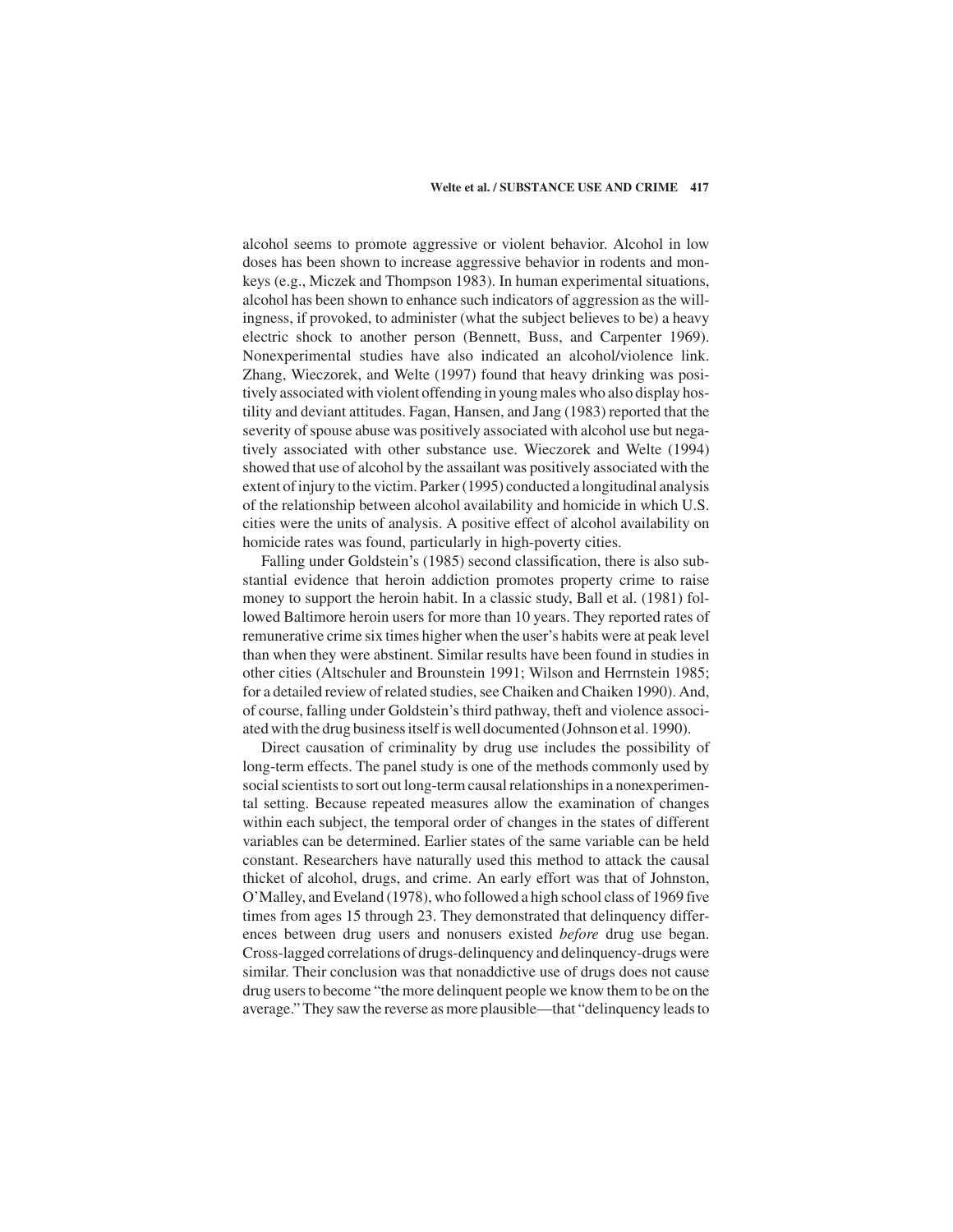alcohol seems to promote aggressive or violent behavior. Alcohol in low doses has been shown to increase aggressive behavior in rodents and monkeys (e.g., Miczek and Thompson 1983). In human experimental situations, alcohol has been shown to enhance such indicators of aggression as the willingness, if provoked, to administer (what the subject believes to be) a heavy electric shock to another person (Bennett, Buss, and Carpenter 1969). Nonexperimental studies have also indicated an alcohol/violence link. Zhang, Wieczorek, and Welte (1997) found that heavy drinking was positively associated with violent offending in young males who also display hostility and deviant attitudes. Fagan, Hansen, and Jang (1983) reported that the severity of spouse abuse was positively associated with alcohol use but negatively associated with other substance use. Wieczorek and Welte (1994) showed that use of alcohol by the assailant was positively associated with the extent of injury to the victim. Parker (1995) conducted a longitudinal analysis of the relationship between alcohol availability and homicide in which U.S. cities were the units of analysis. A positive effect of alcohol availability on homicide rates was found, particularly in high-poverty cities.

Falling under Goldstein's (1985) second classification, there is also substantial evidence that heroin addiction promotes property crime to raise money to support the heroin habit. In a classic study, Ball et al. (1981) followed Baltimore heroin users for more than 10 years. They reported rates of remunerative crime six times higher when the user's habits were at peak level than when they were abstinent. Similar results have been found in studies in other cities (Altschuler and Brounstein 1991; Wilson and Herrnstein 1985; for a detailed reviewof related studies, see Chaiken and Chaiken 1990). And, of course, falling under Goldstein's third pathway, theft and violence associated with the drug business itself is well documented (Johnson et al. 1990).

Direct causation of criminality by drug use includes the possibility of long-term effects. The panel study is one of the methods commonly used by social scientists to sort out long-term causal relationships in a nonexperimental setting. Because repeated measures allow the examination of changes within each subject, the temporal order of changes in the states of different variables can be determined. Earlier states of the same variable can be held constant. Researchers have naturally used this method to attack the causal thicket of alcohol, drugs, and crime. An early effort was that of Johnston, O'Malley, and Eveland (1978), who followed a high school class of 1969 five times from ages 15 through 23. They demonstrated that delinquency differences between drug users and nonusers existed *before* drug use began. Cross-lagged correlations of drugs-delinquency and delinquency-drugs were similar. Their conclusion was that nonaddictive use of drugs does not cause drug users to become "the more delinquent people we know them to be on the average." They sawthe reverse as more plausible—that "delinquency leads to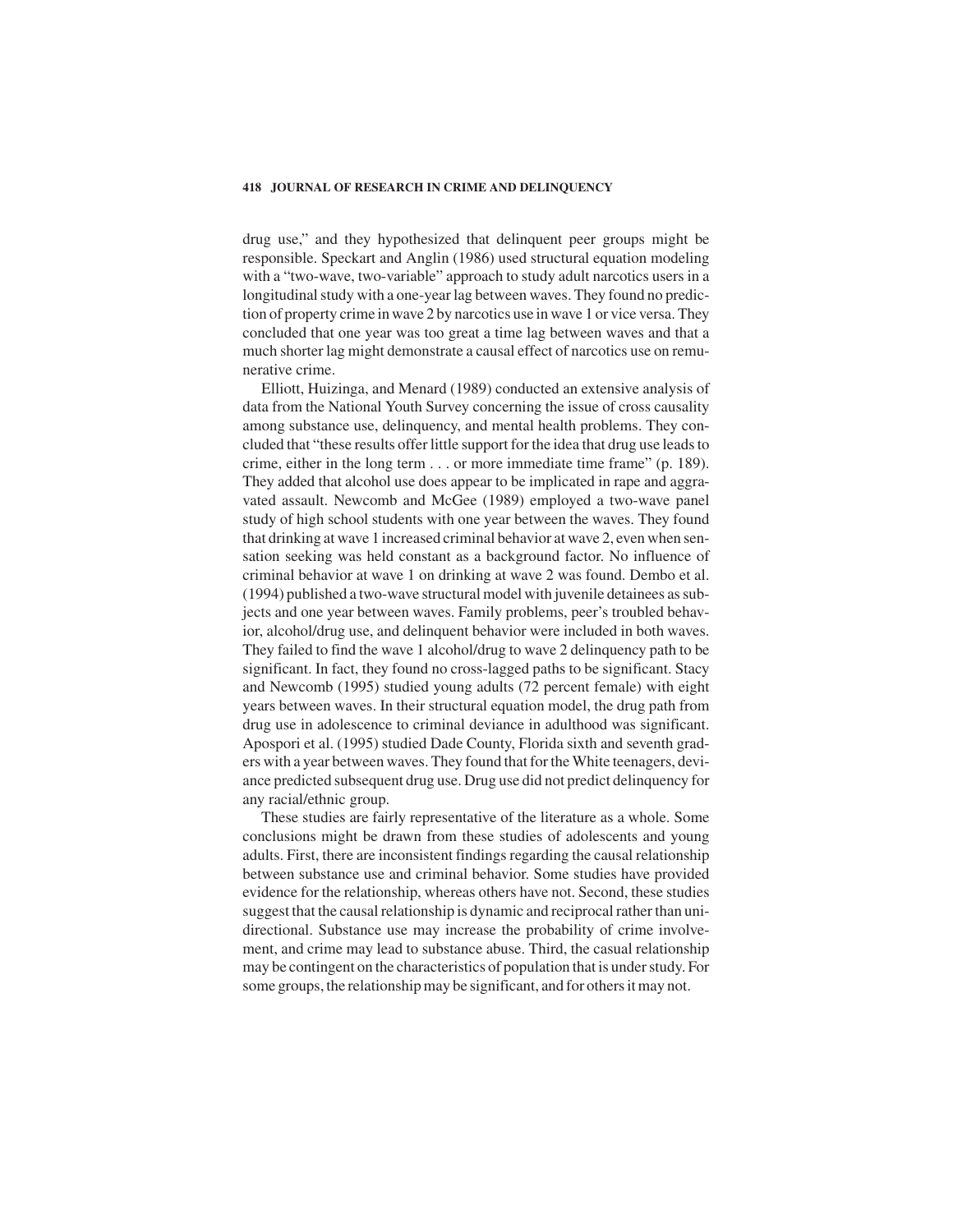drug use," and they hypothesized that delinquent peer groups might be responsible. Speckart and Anglin (1986) used structural equation modeling with a "two-wave, two-variable" approach to study adult narcotics users in a longitudinal study with a one-year lag between waves. They found no prediction of property crime in wave 2 by narcotics use in wave 1 or vice versa. They concluded that one year was too great a time lag between waves and that a much shorter lag might demonstrate a causal effect of narcotics use on remunerative crime.

Elliott, Huizinga, and Menard (1989) conducted an extensive analysis of data from the National Youth Survey concerning the issue of cross causality among substance use, delinquency, and mental health problems. They concluded that "these results offer little support for the idea that drug use leads to crime, either in the long term . . . or more immediate time frame" (p. 189). They added that alcohol use does appear to be implicated in rape and aggravated assault. Newcomb and McGee (1989) employed a two-wave panel study of high school students with one year between the waves. They found that drinking at wave 1 increased criminal behavior at wave 2, even when sensation seeking was held constant as a background factor. No influence of criminal behavior at wave 1 on drinking at wave 2 was found. Dembo et al. (1994) published a two-wave structural model with juvenile detainees as subjects and one year between waves. Family problems, peer's troubled behavior, alcohol/drug use, and delinquent behavior were included in both waves. They failed to find the wave 1 alcohol/drug to wave 2 delinquency path to be significant. In fact, they found no cross-lagged paths to be significant. Stacy and Newcomb (1995) studied young adults (72 percent female) with eight years between waves. In their structural equation model, the drug path from drug use in adolescence to criminal deviance in adulthood was significant. Apospori et al. (1995) studied Dade County, Florida sixth and seventh graders with a year between waves. They found that for the White teenagers, deviance predicted subsequent drug use. Drug use did not predict delinquency for any racial/ethnic group.

These studies are fairly representative of the literature as a whole. Some conclusions might be drawn from these studies of adolescents and young adults. First, there are inconsistent findings regarding the causal relationship between substance use and criminal behavior. Some studies have provided evidence for the relationship, whereas others have not. Second, these studies suggest that the causal relationship is dynamic and reciprocal rather than unidirectional. Substance use may increase the probability of crime involvement, and crime may lead to substance abuse. Third, the casual relationship may be contingent on the characteristics of population that is under study. For some groups, the relationship may be significant, and for others it may not.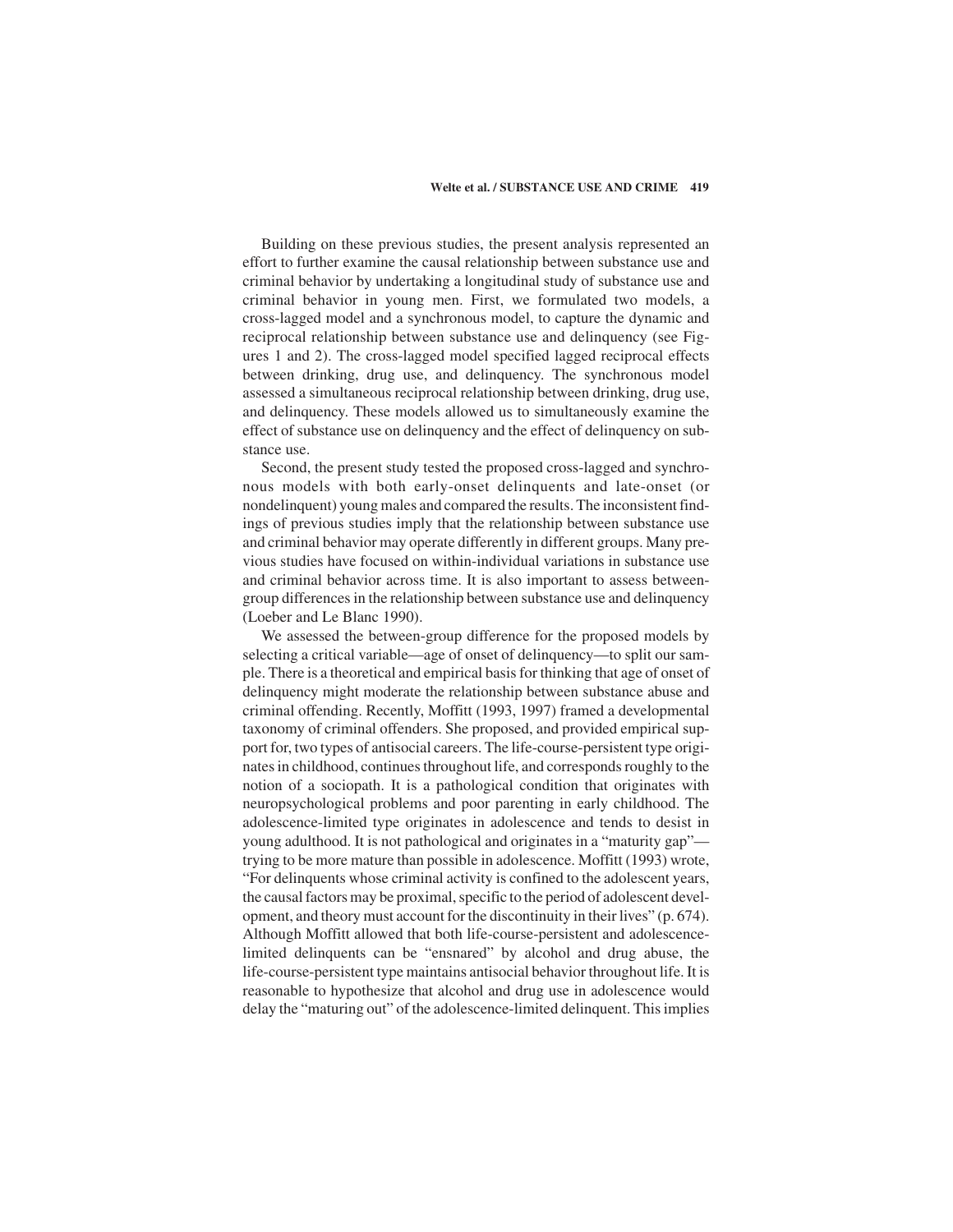## **Welte et al. / SUBSTANCE USE AND CRIME 419**

Building on these previous studies, the present analysis represented an effort to further examine the causal relationship between substance use and criminal behavior by undertaking a longitudinal study of substance use and criminal behavior in young men. First, we formulated two models, a cross-lagged model and a synchronous model, to capture the dynamic and reciprocal relationship between substance use and delinquency (see Figures 1 and 2). The cross-lagged model specified lagged reciprocal effects between drinking, drug use, and delinquency. The synchronous model assessed a simultaneous reciprocal relationship between drinking, drug use, and delinquency. These models allowed us to simultaneously examine the effect of substance use on delinquency and the effect of delinquency on substance use.

Second, the present study tested the proposed cross-lagged and synchronous models with both early-onset delinquents and late-onset (or nondelinquent) young males and compared the results. The inconsistent findings of previous studies imply that the relationship between substance use and criminal behavior may operate differently in different groups. Many previous studies have focused on within-individual variations in substance use and criminal behavior across time. It is also important to assess betweengroup differences in the relationship between substance use and delinquency (Loeber and Le Blanc 1990).

We assessed the between-group difference for the proposed models by selecting a critical variable—age of onset of delinquency—to split our sample. There is a theoretical and empirical basis for thinking that age of onset of delinquency might moderate the relationship between substance abuse and criminal offending. Recently, Moffitt (1993, 1997) framed a developmental taxonomy of criminal offenders. She proposed, and provided empirical support for, two types of antisocial careers. The life-course-persistent type originates in childhood, continues throughout life, and corresponds roughly to the notion of a sociopath. It is a pathological condition that originates with neuropsychological problems and poor parenting in early childhood. The adolescence-limited type originates in adolescence and tends to desist in young adulthood. It is not pathological and originates in a "maturity gap" trying to be more mature than possible in adolescence. Moffitt (1993) wrote, "For delinquents whose criminal activity is confined to the adolescent years, the causal factors may be proximal, specific to the period of adolescent development, and theory must account for the discontinuity in their lives" (p. 674). Although Moffitt allowed that both life-course-persistent and adolescencelimited delinquents can be "ensnared" by alcohol and drug abuse, the life-course-persistent type maintains antisocial behavior throughout life. It is reasonable to hypothesize that alcohol and drug use in adolescence would delay the "maturing out" of the adolescence-limited delinquent. This implies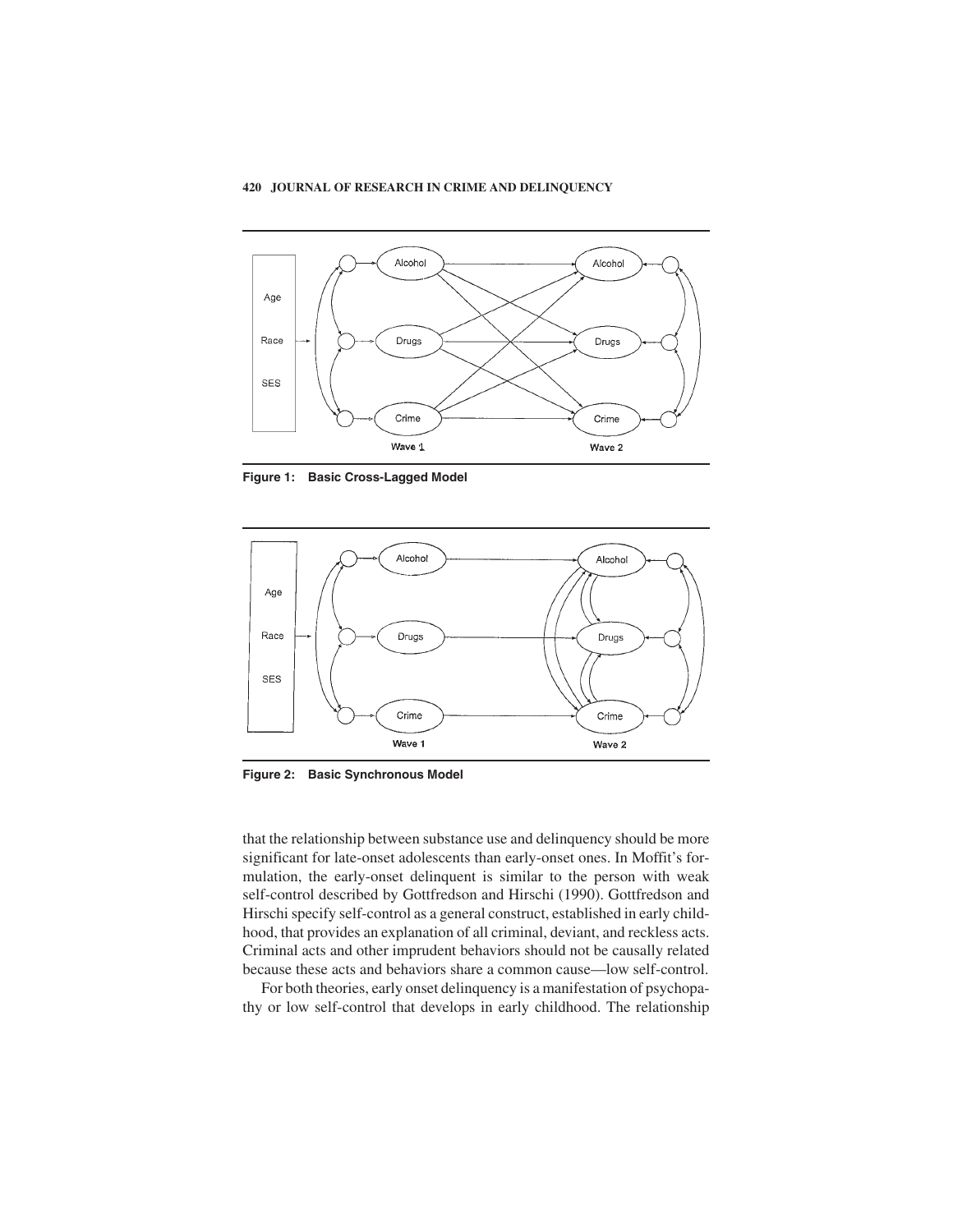

**Figure 1: Basic Cross-Lagged Model**



**Figure 2: Basic Synchronous Model**

that the relationship between substance use and delinquency should be more significant for late-onset adolescents than early-onset ones. In Moffit's formulation, the early-onset delinquent is similar to the person with weak self-control described by Gottfredson and Hirschi (1990). Gottfredson and Hirschi specify self-control as a general construct, established in early childhood, that provides an explanation of all criminal, deviant, and reckless acts. Criminal acts and other imprudent behaviors should not be causally related because these acts and behaviors share a common cause—low self-control.

For both theories, early onset delinquency is a manifestation of psychopathy or lowself-control that develops in early childhood. The relationship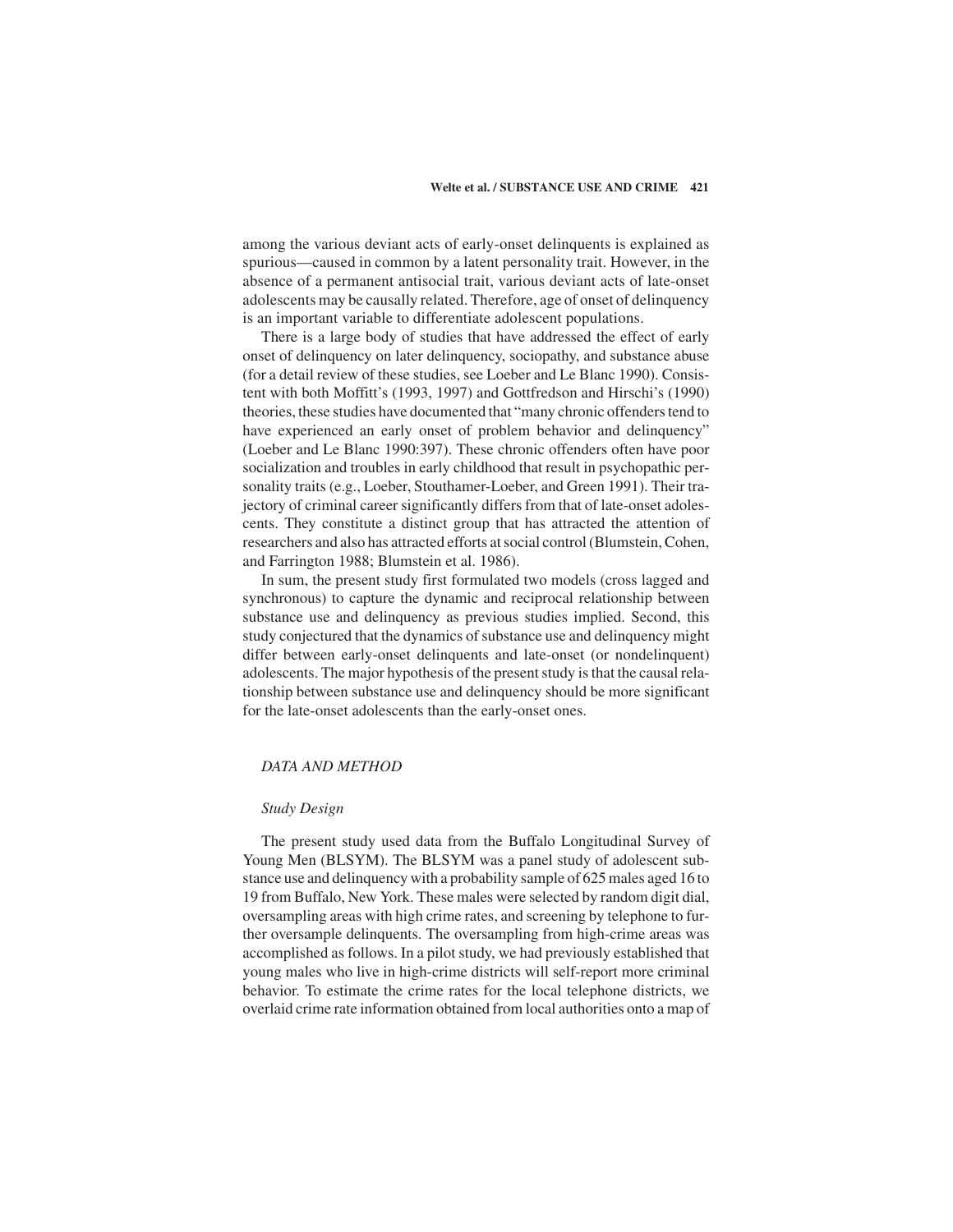among the various deviant acts of early-onset delinquents is explained as spurious—caused in common by a latent personality trait. However, in the absence of a permanent antisocial trait, various deviant acts of late-onset adolescents may be causally related. Therefore, age of onset of delinquency is an important variable to differentiate adolescent populations.

There is a large body of studies that have addressed the effect of early onset of delinquency on later delinquency, sociopathy, and substance abuse (for a detail reviewof these studies, see Loeber and Le Blanc 1990). Consistent with both Moffitt's (1993, 1997) and Gottfredson and Hirschi's (1990) theories, these studies have documented that "many chronic offenders tend to have experienced an early onset of problem behavior and delinquency" (Loeber and Le Blanc 1990:397). These chronic offenders often have poor socialization and troubles in early childhood that result in psychopathic personality traits (e.g., Loeber, Stouthamer-Loeber, and Green 1991). Their trajectory of criminal career significantly differs from that of late-onset adolescents. They constitute a distinct group that has attracted the attention of researchers and also has attracted efforts at social control (Blumstein, Cohen, and Farrington 1988; Blumstein et al. 1986).

In sum, the present study first formulated two models (cross lagged and synchronous) to capture the dynamic and reciprocal relationship between substance use and delinquency as previous studies implied. Second, this study conjectured that the dynamics of substance use and delinquency might differ between early-onset delinquents and late-onset (or nondelinquent) adolescents. The major hypothesis of the present study is that the causal relationship between substance use and delinquency should be more significant for the late-onset adolescents than the early-onset ones.

## *DATA AND METHOD*

#### *Study Design*

The present study used data from the Buffalo Longitudinal Survey of Young Men (BLSYM). The BLSYM was a panel study of adolescent substance use and delinquency with a probability sample of 625 males aged 16 to 19 from Buffalo, NewYork. These males were selected by random digit dial, oversampling areas with high crime rates, and screening by telephone to further oversample delinquents. The oversampling from high-crime areas was accomplished as follows. In a pilot study, we had previously established that young males who live in high-crime districts will self-report more criminal behavior. To estimate the crime rates for the local telephone districts, we overlaid crime rate information obtained from local authorities onto a map of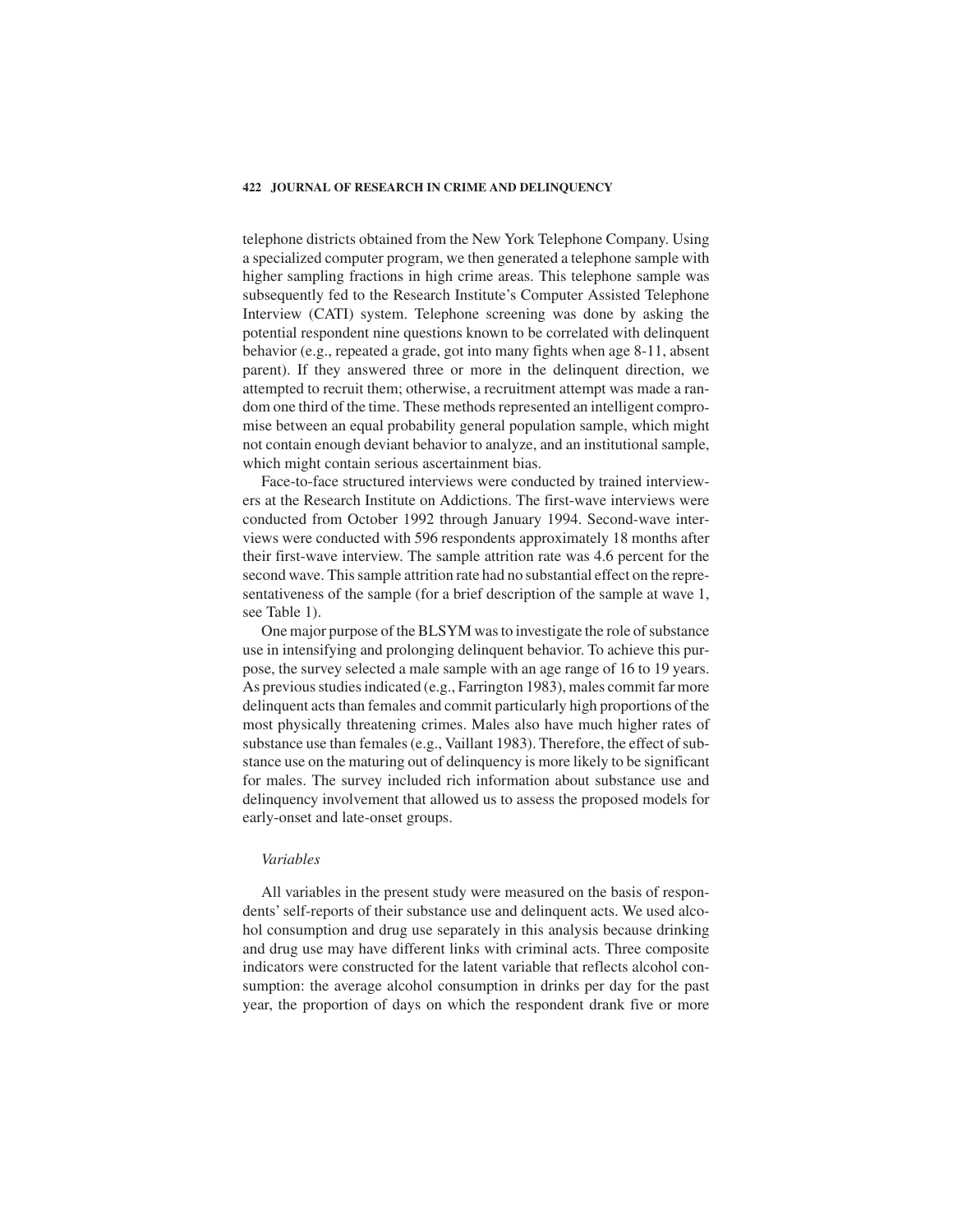telephone districts obtained from the NewYork Telephone Company. Using a specialized computer program, we then generated a telephone sample with higher sampling fractions in high crime areas. This telephone sample was subsequently fed to the Research Institute's Computer Assisted Telephone Interview(CATI) system. Telephone screening was done by asking the potential respondent nine questions known to be correlated with delinquent behavior (e.g., repeated a grade, got into many fights when age 8-11, absent parent). If they answered three or more in the delinquent direction, we attempted to recruit them; otherwise, a recruitment attempt was made a random one third of the time. These methods represented an intelligent compromise between an equal probability general population sample, which might not contain enough deviant behavior to analyze, and an institutional sample, which might contain serious ascertainment bias.

Face-to-face structured interviews were conducted by trained interviewers at the Research Institute on Addictions. The first-wave interviews were conducted from October 1992 through January 1994. Second-wave interviews were conducted with 596 respondents approximately 18 months after their first-wave interview. The sample attrition rate was 4.6 percent for the second wave. This sample attrition rate had no substantial effect on the representativeness of the sample (for a brief description of the sample at wave 1, see Table 1).

One major purpose of the BLSYM was to investigate the role of substance use in intensifying and prolonging delinquent behavior. To achieve this purpose, the survey selected a male sample with an age range of 16 to 19 years. As previous studies indicated (e.g., Farrington 1983), males commit far more delinquent acts than females and commit particularly high proportions of the most physically threatening crimes. Males also have much higher rates of substance use than females (e.g., Vaillant 1983). Therefore, the effect of substance use on the maturing out of delinquency is more likely to be significant for males. The survey included rich information about substance use and delinquency involvement that allowed us to assess the proposed models for early-onset and late-onset groups.

## *Variables*

All variables in the present study were measured on the basis of respondents' self-reports of their substance use and delinquent acts. We used alcohol consumption and drug use separately in this analysis because drinking and drug use may have different links with criminal acts. Three composite indicators were constructed for the latent variable that reflects alcohol consumption: the average alcohol consumption in drinks per day for the past year, the proportion of days on which the respondent drank five or more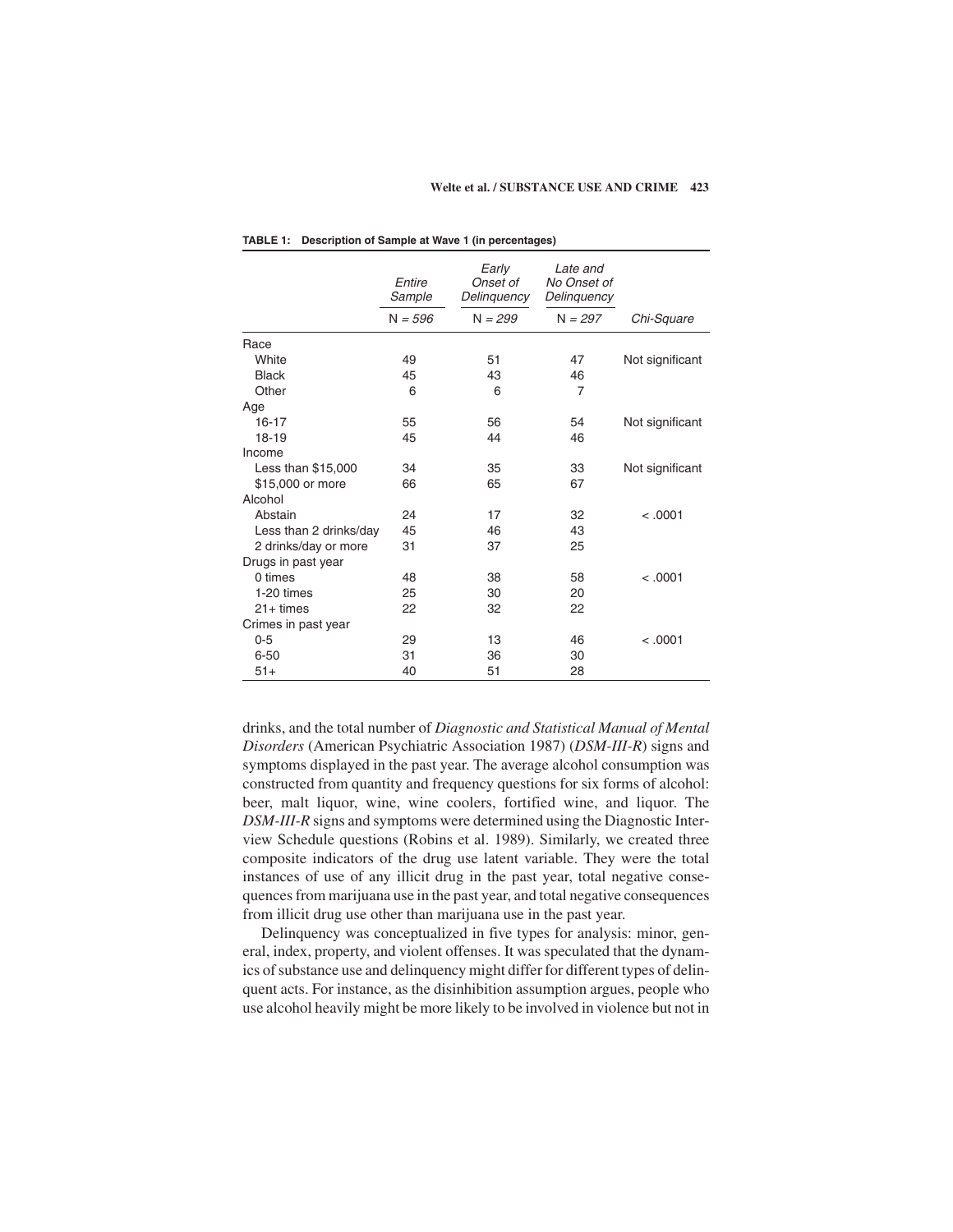|                        | Entire<br>Sample | Early<br>Onset of<br>Delinquency | Late and<br>No Onset of<br>Delinquency |                 |
|------------------------|------------------|----------------------------------|----------------------------------------|-----------------|
|                        | $N = 596$        | $N = 299$                        | $N = 297$                              | Chi-Square      |
| Race                   |                  |                                  |                                        |                 |
| White                  | 49               | 51                               | 47                                     | Not significant |
| <b>Black</b>           | 45               | 43                               | 46                                     |                 |
| Other                  | 6                | 6                                | $\overline{7}$                         |                 |
| Age                    |                  |                                  |                                        |                 |
| $16 - 17$              | 55               | 56                               | 54                                     | Not significant |
| $18 - 19$              | 45               | 44                               | 46                                     |                 |
| Income                 |                  |                                  |                                        |                 |
| Less than $$15,000$    | 34               | 35                               | 33                                     | Not significant |
| \$15,000 or more       | 66               | 65                               | 67                                     |                 |
| Alcohol                |                  |                                  |                                        |                 |
| Abstain                | 24               | 17                               | 32                                     | < .0001         |
| Less than 2 drinks/day | 45               | 46                               | 43                                     |                 |
| 2 drinks/day or more   | 31               | 37                               | 25                                     |                 |
| Drugs in past year     |                  |                                  |                                        |                 |
| 0 times                | 48               | 38                               | 58                                     | < .0001         |
| 1-20 times             | 25               | 30                               | 20                                     |                 |
| $21 + times$           | 22               | 32                               | 22                                     |                 |
| Crimes in past year    |                  |                                  |                                        |                 |
| $0 - 5$                | 29               | 13                               | 46                                     | < .0001         |
| $6 - 50$               | 31               | 36                               | 30                                     |                 |
| $51+$                  | 40               | 51                               | 28                                     |                 |

**TABLE 1: Description of Sample at Wave 1 (in percentages)**

drinks, and the total number of *Diagnostic and Statistical Manual of Mental Disorders* (American Psychiatric Association 1987) (*DSM-III-R*) signs and symptoms displayed in the past year. The average alcohol consumption was constructed from quantity and frequency questions for six forms of alcohol: beer, malt liquor, wine, wine coolers, fortified wine, and liquor. The *DSM-III-R* signs and symptoms were determined using the Diagnostic Interview Schedule questions (Robins et al. 1989). Similarly, we created three composite indicators of the drug use latent variable. They were the total instances of use of any illicit drug in the past year, total negative consequences from marijuana use in the past year, and total negative consequences from illicit drug use other than marijuana use in the past year.

Delinquency was conceptualized in five types for analysis: minor, general, index, property, and violent offenses. It was speculated that the dynamics of substance use and delinquency might differ for different types of delinquent acts. For instance, as the disinhibition assumption argues, people who use alcohol heavily might be more likely to be involved in violence but not in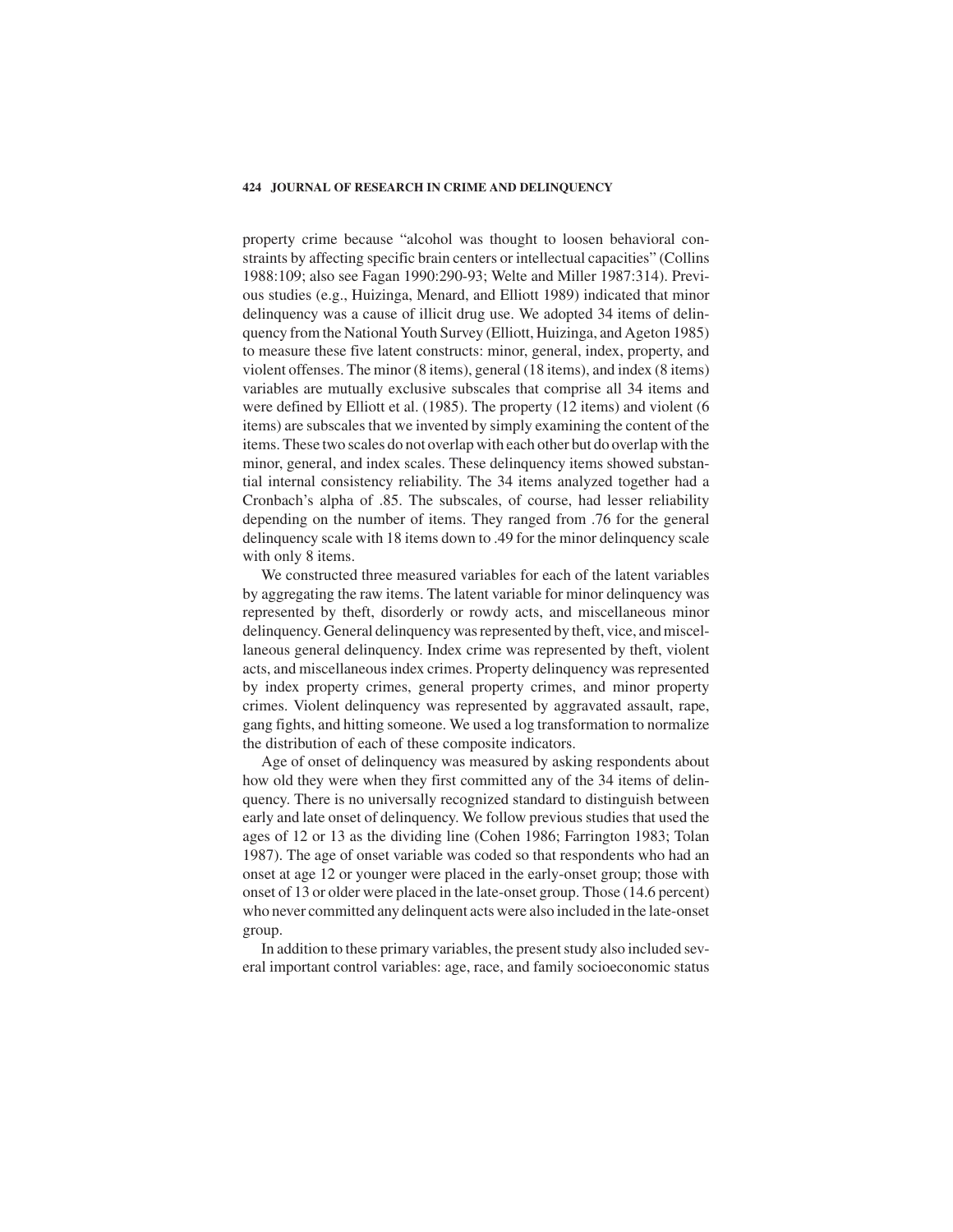property crime because "alcohol was thought to loosen behavioral constraints by affecting specific brain centers or intellectual capacities" (Collins 1988:109; also see Fagan 1990:290-93; Welte and Miller 1987:314). Previous studies (e.g., Huizinga, Menard, and Elliott 1989) indicated that minor delinquency was a cause of illicit drug use. We adopted 34 items of delinquency from the National Youth Survey (Elliott, Huizinga, and Ageton 1985) to measure these five latent constructs: minor, general, index, property, and violent offenses. The minor (8 items), general (18 items), and index (8 items) variables are mutually exclusive subscales that comprise all 34 items and were defined by Elliott et al. (1985). The property (12 items) and violent (6 items) are subscales that we invented by simply examining the content of the items. These two scales do not overlap with each other but do overlap with the minor, general, and index scales. These delinquency items showed substantial internal consistency reliability. The 34 items analyzed together had a Cronbach's alpha of .85. The subscales, of course, had lesser reliability depending on the number of items. They ranged from .76 for the general delinquency scale with 18 items down to .49 for the minor delinquency scale with only 8 items.

We constructed three measured variables for each of the latent variables by aggregating the rawitems. The latent variable for minor delinquency was represented by theft, disorderly or rowdy acts, and miscellaneous minor delinquency. General delinquency was represented by theft, vice, and miscellaneous general delinquency. Index crime was represented by theft, violent acts, and miscellaneous index crimes. Property delinquency was represented by index property crimes, general property crimes, and minor property crimes. Violent delinquency was represented by aggravated assault, rape, gang fights, and hitting someone. We used a log transformation to normalize the distribution of each of these composite indicators.

Age of onset of delinquency was measured by asking respondents about how old they were when they first committed any of the 34 items of delinquency. There is no universally recognized standard to distinguish between early and late onset of delinquency. We follow previous studies that used the ages of 12 or 13 as the dividing line (Cohen 1986; Farrington 1983; Tolan 1987). The age of onset variable was coded so that respondents who had an onset at age 12 or younger were placed in the early-onset group; those with onset of 13 or older were placed in the late-onset group. Those (14.6 percent) who never committed any delinquent acts were also included in the late-onset group.

In addition to these primary variables, the present study also included several important control variables: age, race, and family socioeconomic status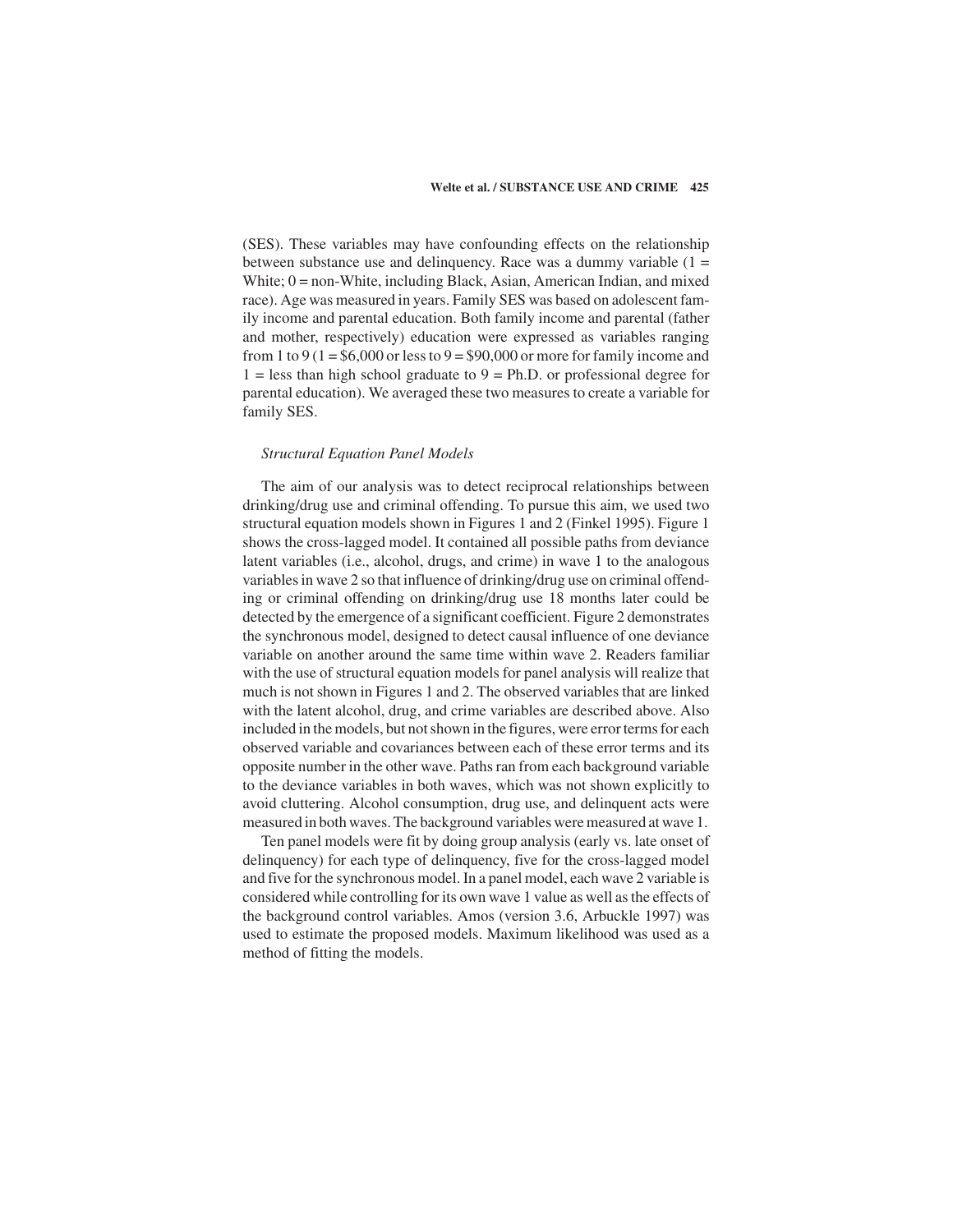(SES). These variables may have confounding effects on the relationship between substance use and delinquency. Race was a dummy variable  $(1 =$ White; 0 = non-White, including Black, Asian, American Indian, and mixed race). Age was measured in years. Family SES was based on adolescent family income and parental education. Both family income and parental (father and mother, respectively) education were expressed as variables ranging from 1 to 9 ( $1 = $6,000$  or less to  $9 = $90,000$  or more for family income and  $1 =$  less than high school graduate to  $9 =$  Ph.D. or professional degree for parental education). We averaged these two measures to create a variable for family SES.

### *Structural Equation Panel Models*

The aim of our analysis was to detect reciprocal relationships between drinking/drug use and criminal offending. To pursue this aim, we used two structural equation models shown in Figures 1 and 2 (Finkel 1995). Figure 1 shows the cross-lagged model. It contained all possible paths from deviance latent variables (i.e., alcohol, drugs, and crime) in wave 1 to the analogous variables in wave 2 so that influence of drinking/drug use on criminal offending or criminal offending on drinking/drug use 18 months later could be detected by the emergence of a significant coefficient. Figure 2 demonstrates the synchronous model, designed to detect causal influence of one deviance variable on another around the same time within wave 2. Readers familiar with the use of structural equation models for panel analysis will realize that much is not shown in Figures 1 and 2. The observed variables that are linked with the latent alcohol, drug, and crime variables are described above. Also included in the models, but not shown in the figures, were error terms for each observed variable and covariances between each of these error terms and its opposite number in the other wave. Paths ran from each background variable to the deviance variables in both waves, which was not shown explicitly to avoid cluttering. Alcohol consumption, drug use, and delinquent acts were measured in both waves. The background variables were measured at wave 1.

Ten panel models were fit by doing group analysis (early vs. late onset of delinquency) for each type of delinquency, five for the cross-lagged model and five for the synchronous model. In a panel model, each wave 2 variable is considered while controlling for its own wave 1 value as well as the effects of the background control variables. Amos (version 3.6, Arbuckle 1997) was used to estimate the proposed models. Maximum likelihood was used as a method of fitting the models.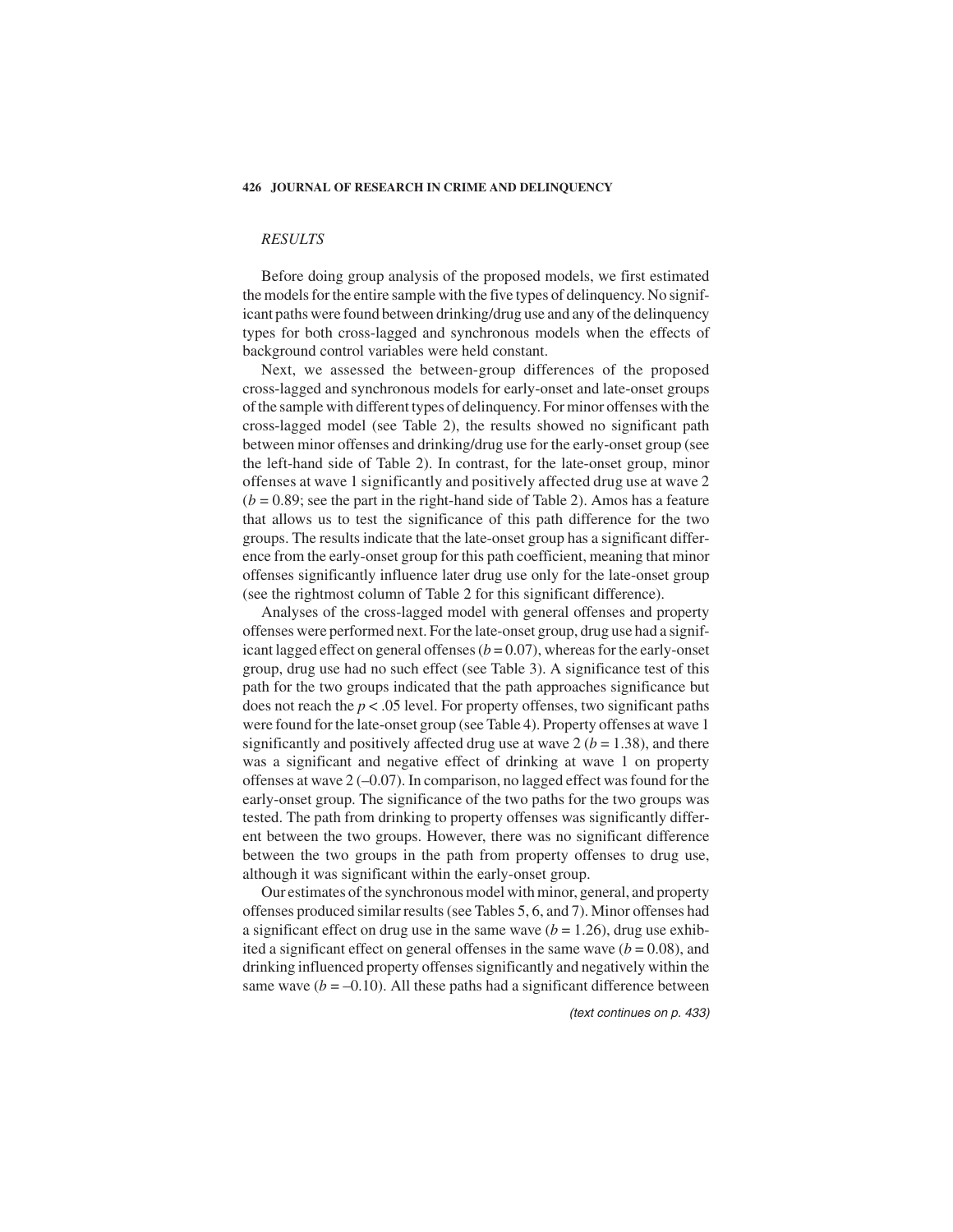### *RESULTS*

Before doing group analysis of the proposed models, we first estimated the models for the entire sample with the five types of delinquency. No significant paths were found between drinking/drug use and any of the delinquency types for both cross-lagged and synchronous models when the effects of background control variables were held constant.

Next, we assessed the between-group differences of the proposed cross-lagged and synchronous models for early-onset and late-onset groups of the sample with different types of delinquency. For minor offenses with the cross-lagged model (see Table 2), the results showed no significant path between minor offenses and drinking/drug use for the early-onset group (see the left-hand side of Table 2). In contrast, for the late-onset group, minor offenses at wave 1 significantly and positively affected drug use at wave 2  $(b = 0.89)$ ; see the part in the right-hand side of Table 2). Amos has a feature that allows us to test the significance of this path difference for the two groups. The results indicate that the late-onset group has a significant difference from the early-onset group for this path coefficient, meaning that minor offenses significantly influence later drug use only for the late-onset group (see the rightmost column of Table 2 for this significant difference).

Analyses of the cross-lagged model with general offenses and property offenses were performed next. For the late-onset group, drug use had a significant lagged effect on general offenses  $(b = 0.07)$ , whereas for the early-onset group, drug use had no such effect (see Table 3). A significance test of this path for the two groups indicated that the path approaches significance but does not reach the *p* < .05 level. For property offenses, two significant paths were found for the late-onset group (see Table 4). Property offenses at wave 1 significantly and positively affected drug use at wave  $2 (b = 1.38)$ , and there was a significant and negative effect of drinking at wave 1 on property offenses at wave  $2(-0.07)$ . In comparison, no lagged effect was found for the early-onset group. The significance of the two paths for the two groups was tested. The path from drinking to property offenses was significantly different between the two groups. However, there was no significant difference between the two groups in the path from property offenses to drug use, although it was significant within the early-onset group.

Our estimates of the synchronous model with minor, general, and property offenses produced similar results (see Tables 5, 6, and 7). Minor offenses had a significant effect on drug use in the same wave  $(b = 1.26)$ , drug use exhibited a significant effect on general offenses in the same wave  $(b = 0.08)$ , and drinking influenced property offenses significantly and negatively within the same wave  $(b = -0.10)$ . All these paths had a significant difference between

(text continues on p. 433)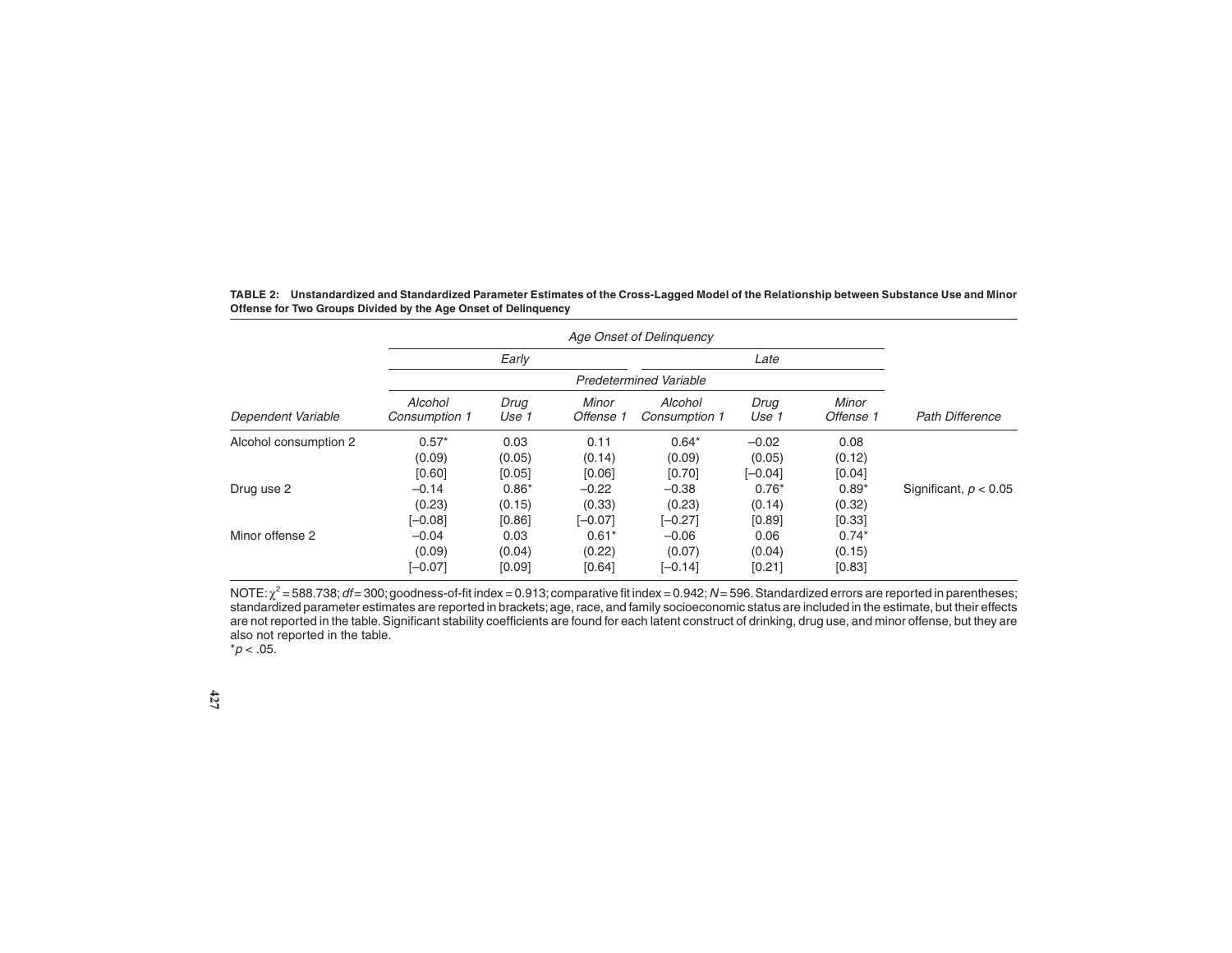|                       |                                | Early                       |                                |                                | Late                           |                             |                         |  |
|-----------------------|--------------------------------|-----------------------------|--------------------------------|--------------------------------|--------------------------------|-----------------------------|-------------------------|--|
|                       |                                |                             |                                | <b>Predetermined Variable</b>  |                                |                             |                         |  |
| Dependent Variable    | Alcohol<br>Consumption 1       | Drug<br>Use 1               | Minor<br>Offense 1             | Alcohol<br>Consumption 1       | Drug<br>Use 1                  | Minor<br>Offense 1          | <b>Path Difference</b>  |  |
| Alcohol consumption 2 | $0.57*$<br>(0.09)<br>[0.60]    | 0.03<br>(0.05)<br>[0.05]    | 0.11<br>(0.14)<br>[0.06]       | $0.64*$<br>(0.09)<br>[0.70]    | $-0.02$<br>(0.05)<br>$[-0.04]$ | 0.08<br>(0.12)<br>[0.04]    |                         |  |
| Drug use 2            | $-0.14$<br>(0.23)<br>$[-0.08]$ | $0.86*$<br>(0.15)<br>[0.86] | $-0.22$<br>(0.33)<br>$[-0.07]$ | $-0.38$<br>(0.23)<br>$[-0.27]$ | $0.76*$<br>(0.14)<br>[0.89]    | $0.89*$<br>(0.32)<br>[0.33] | Significant, $p < 0.05$ |  |
| Minor offense 2       | $-0.04$<br>(0.09)<br>$[-0.07]$ | 0.03<br>(0.04)<br>[0.09]    | $0.61*$<br>(0.22)<br>[0.64]    | $-0.06$<br>(0.07)<br>$[-0.14]$ | 0.06<br>(0.04)<br>[0.21]       | $0.74*$<br>(0.15)<br>[0.83] |                         |  |

TABLE 2: Unstandardized and Standardized Parameter Estimates of the Cross-Lagged Model of the Relationship between Substance Use and Minor **Offense for Two Groups Divided by the Age Onset of Delinquency**

 $\mathsf{NOTE}:\chi^2\!=\!588.738;$  df  $=300;$  goodness-of-fit index = 0.913; comparative fit index = 0.942;  $\mathcal{N}\!=\!596.$  Standardized errors are reported in parentheses; standardized parameter estimates are reported in brackets;age, race, and family socioeconomic status are included in the estimate, but their effects are not reported in the table.Significant stability coefficients are found for each latent construct of drinking, drug use, and minor offense, but they are also not reported in the table.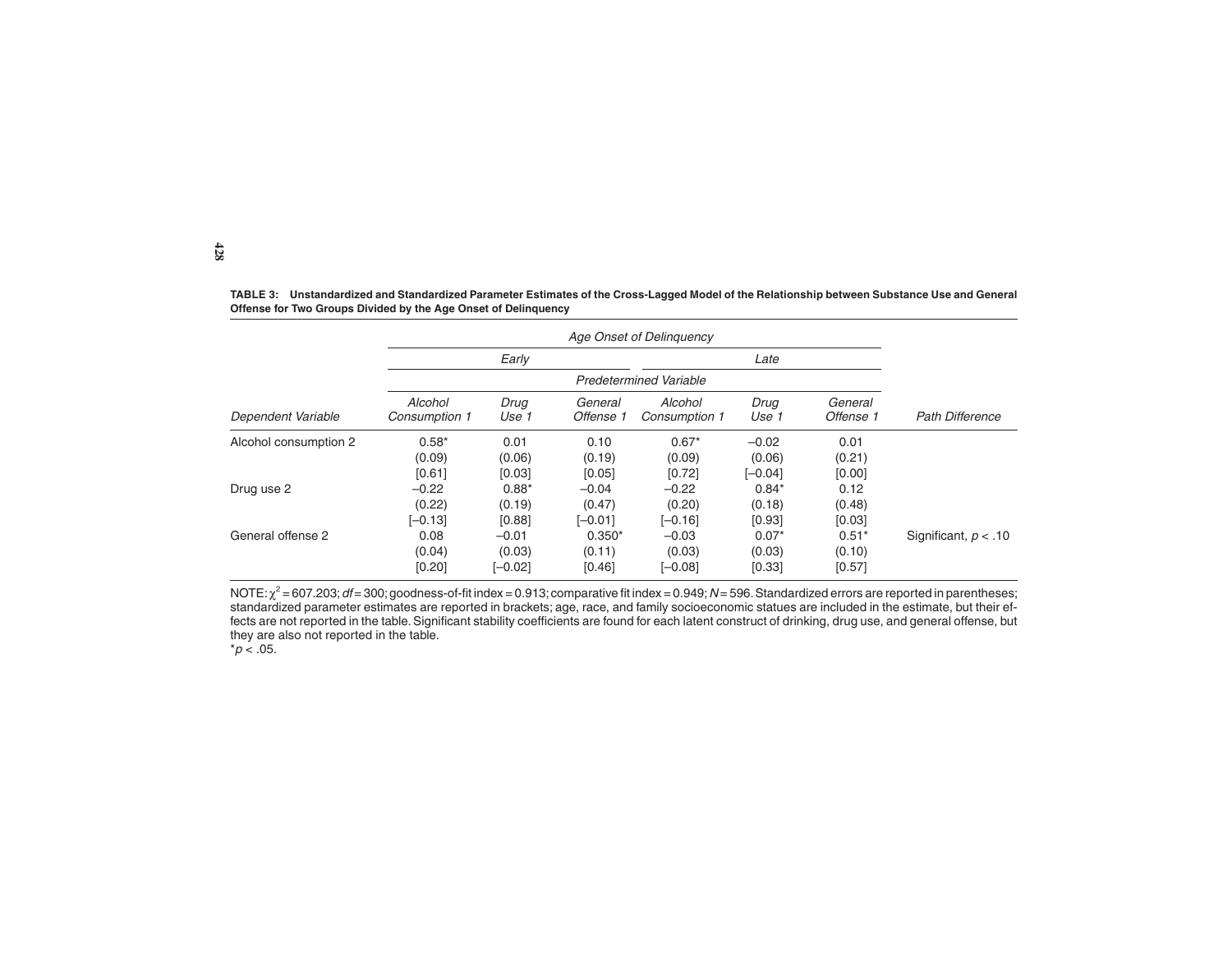|                       |                                |                                       |                                | Age Onset of Delinguency       |                                |                             |                        |
|-----------------------|--------------------------------|---------------------------------------|--------------------------------|--------------------------------|--------------------------------|-----------------------------|------------------------|
|                       |                                | Early                                 |                                |                                | Late                           |                             |                        |
|                       |                                |                                       |                                | Predetermined Variable         |                                |                             |                        |
| Dependent Variable    | Alcohol<br>Consumption 1       | Drug<br>General<br>Use 1<br>Offense 1 |                                | Alcohol<br>Consumption 1       | Drug<br>Use 1                  | General<br>Offense 1        | <b>Path Difference</b> |
| Alcohol consumption 2 | $0.58*$<br>(0.09)<br>[0.61]    | 0.01<br>(0.06)<br>[0.03]              | 0.10<br>(0.19)<br>[0.05]       | $0.67*$<br>(0.09)<br>[0.72]    | $-0.02$<br>(0.06)<br>$[-0.04]$ | 0.01<br>(0.21)<br>[0.00]    |                        |
| Drug use 2            | $-0.22$<br>(0.22)<br>$[-0.13]$ | $0.88*$<br>(0.19)<br>[0.88]           | $-0.04$<br>(0.47)<br>$[-0.01]$ | $-0.22$<br>(0.20)<br>$[-0.16]$ | $0.84*$<br>(0.18)<br>[0.93]    | 0.12<br>(0.48)<br>[0.03]    |                        |
| General offense 2     | 0.08<br>(0.04)<br>[0.20]       | $-0.01$<br>(0.03)<br>$[-0.02]$        | $0.350*$<br>(0.11)<br>[0.46]   | $-0.03$<br>(0.03)<br>$[-0.08]$ | $0.07*$<br>(0.03)<br>[0.33]    | $0.51*$<br>(0.10)<br>[0.57] | Significant, $p < .10$ |

TABLE 3: Unstandardized and Standardized Parameter Estimates of the Cross-Lagged Model of the Relationship between Substance Use and General **Offense for Two Groups Divided by the Age Onset of Delinquency**

 $\mathsf{NOTE}:\chi^2\!=\!607.203;$  df  $=300;$  goodness-of-fit index = 0.913; comparative fit index = 0.949;  $N\!=\!596.$  Standardized errors are reported in parentheses; standardized parameter estimates are reported in brackets; age, race, and family socioeconomic statues are included in the estimate, but their effects are not reported in the table. Significant stability coefficients are found for each latent construct of drinking, drug use, and general offense, but they are also not reported in the table.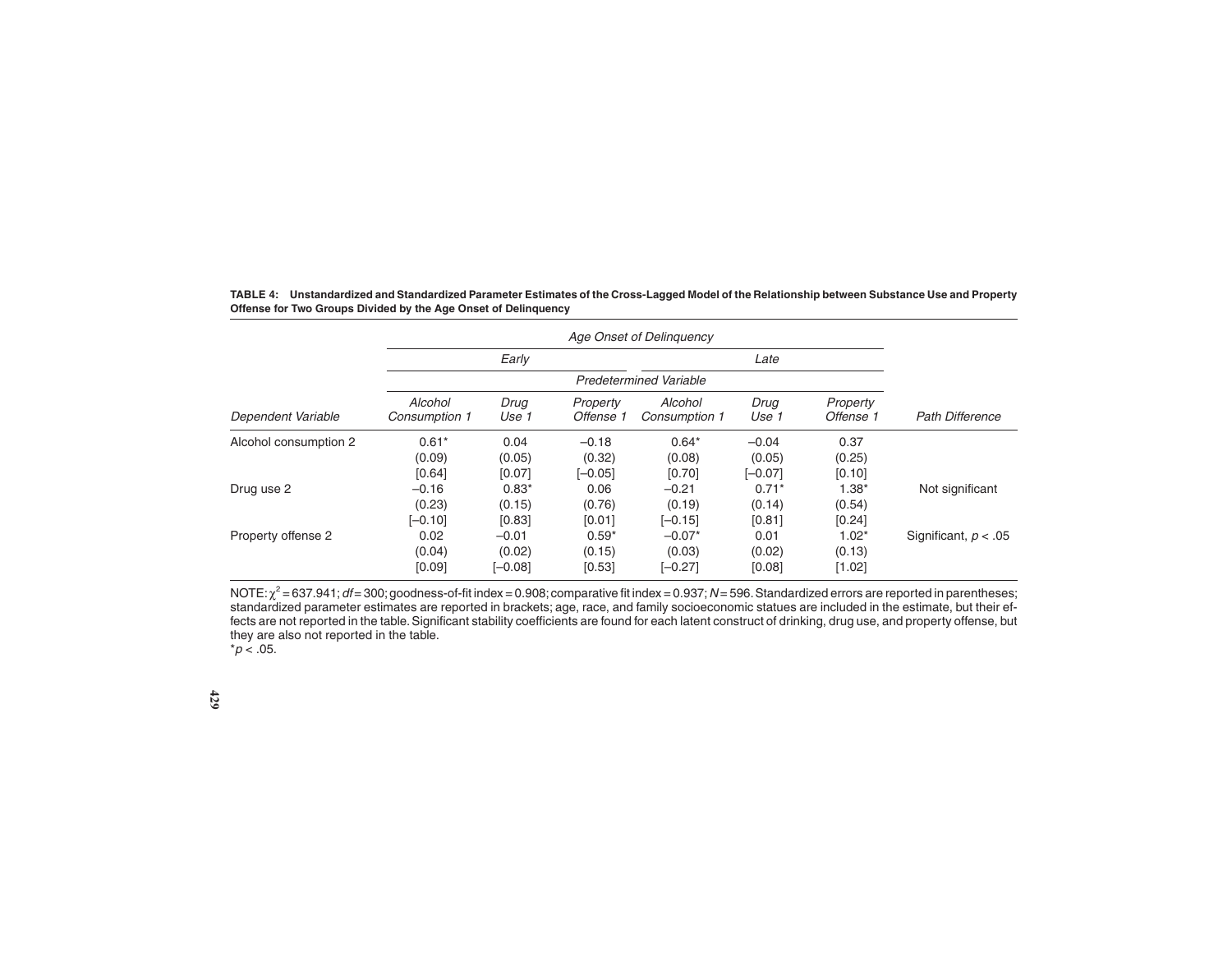|                       |                                | Early                          |                                |                                 | Late                           |                             |                        |  |
|-----------------------|--------------------------------|--------------------------------|--------------------------------|---------------------------------|--------------------------------|-----------------------------|------------------------|--|
|                       |                                |                                |                                | <b>Predetermined Variable</b>   |                                |                             |                        |  |
| Dependent Variable    | Alcohol<br>Consumption 1       | Drug<br>Use 1                  | Property<br>Offense 1          | Alcohol<br>Consumption 1        | Drug<br>Use 1                  | Property<br>Offense 1       | <b>Path Difference</b> |  |
| Alcohol consumption 2 | $0.61*$<br>(0.09)<br>[0.64]    | 0.04<br>(0.05)<br>[0.07]       | $-0.18$<br>(0.32)<br>$[-0.05]$ | $0.64*$<br>(0.08)<br>[0.70]     | $-0.04$<br>(0.05)<br>$[-0.07]$ | 0.37<br>(0.25)<br>[0.10]    |                        |  |
| Drug use 2            | $-0.16$<br>(0.23)<br>$[-0.10]$ | $0.83*$<br>(0.15)<br>[0.83]    | 0.06<br>(0.76)<br>[0.01]       | $-0.21$<br>(0.19)<br>$[-0.15]$  | $0.71*$<br>(0.14)<br>[0.81]    | $1.38*$<br>(0.54)<br>[0.24] | Not significant        |  |
| Property offense 2    | 0.02<br>(0.04)<br>[0.09]       | $-0.01$<br>(0.02)<br>$[-0.08]$ | $0.59*$<br>(0.15)<br>[0.53]    | $-0.07*$<br>(0.03)<br>$[-0.27]$ | 0.01<br>(0.02)<br>[0.08]       | $1.02*$<br>(0.13)<br>[1.02] | Significant, $p < .05$ |  |

TABLE 4: Unstandardized and Standardized Parameter Estimates of the Cross-Lagged Model of the Relationship between Substance Use and Property **Offense for Two Groups Divided by the Age Onset of Delinquency**

 $\mathsf{NOTE}:\chi^2\!=\!637.941;$   $df\!=\!300;$  goodness-of-fit index = 0.908; comparative fit index = 0.937;  $\mathcal{N}\!=\!596.$  Standardized errors are reported in parentheses; standardized parameter estimates are reported in brackets; age, race, and family socioeconomic statues are included in the estimate, but their effects are not reported in the table. Significant stability coefficients are found for each latent construct of drinking, drug use, and property offense, but they are also not reported in the table.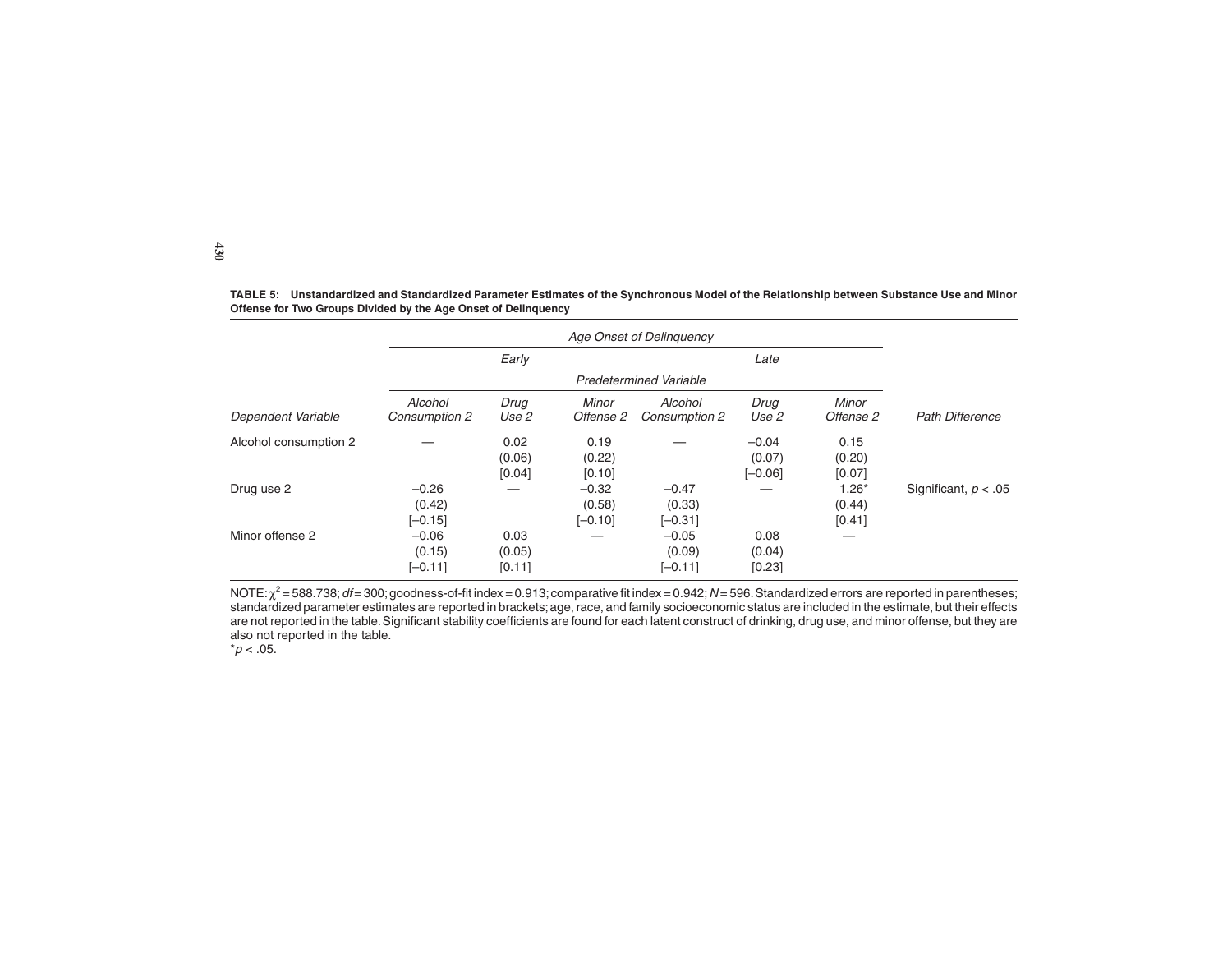|                       | Early                          |                          |                                |                                | Late                           |                             |                        |  |
|-----------------------|--------------------------------|--------------------------|--------------------------------|--------------------------------|--------------------------------|-----------------------------|------------------------|--|
|                       |                                |                          |                                | <b>Predetermined Variable</b>  |                                |                             |                        |  |
| Dependent Variable    | Alcohol<br>Consumption 2       | Drug<br>Use 2            | Minor<br>Offense 2             | Alcohol<br>Consumption 2       | Drug<br>Use 2                  | Minor<br>Offense 2          | <b>Path Difference</b> |  |
| Alcohol consumption 2 |                                | 0.02<br>(0.06)<br>[0.04] | 0.19<br>(0.22)<br>[0.10]       |                                | $-0.04$<br>(0.07)<br>$[-0.06]$ | 0.15<br>(0.20)<br>[0.07]    |                        |  |
| Drug use 2            | $-0.26$<br>(0.42)<br>$[-0.15]$ |                          | $-0.32$<br>(0.58)<br>$[-0.10]$ | $-0.47$<br>(0.33)<br>$[-0.31]$ |                                | $1.26*$<br>(0.44)<br>[0.41] | Significant, $p < .05$ |  |
| Minor offense 2       | $-0.06$<br>(0.15)<br>$[-0.11]$ | 0.03<br>(0.05)<br>[0.11] |                                | $-0.05$<br>(0.09)<br>$[-0.11]$ | 0.08<br>(0.04)<br>[0.23]       |                             |                        |  |

TABLE 5: Unstandardized and Standardized Parameter Estimates of the Synchronous Model of the Relationship between Substance Use and Minor **Offense for Two Groups Divided by the Age Onset of Delinquency**

 $\mathsf{NOTE}:\chi^2\!=\!588.738;$  df  $=300;$  goodness-of-fit index = 0.913; comparative fit index = 0.942;  $\mathcal{N}\!=\!596.$  Standardized errors are reported in parentheses; standardized parameter estimates are reported in brackets;age, race, and family socioeconomic status are included in the estimate, but their effects are not reported in the table.Significant stability coefficients are found for each latent construct of drinking, drug use, and minor offense, but they are also not reported in the table.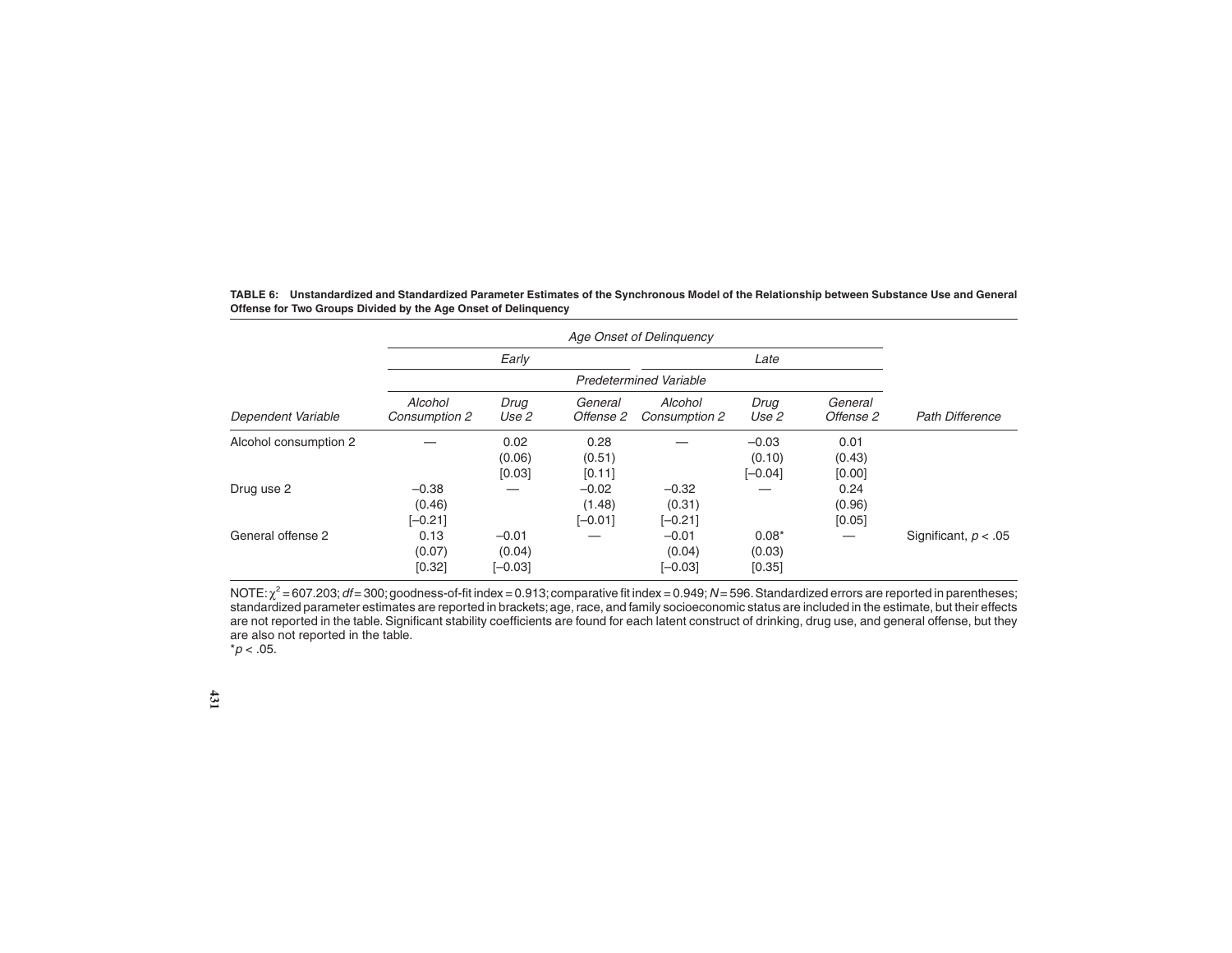|                       |                                |                                |                                | <b>Age Onset of Delinguency</b> |                                |                          |                        |
|-----------------------|--------------------------------|--------------------------------|--------------------------------|---------------------------------|--------------------------------|--------------------------|------------------------|
|                       |                                | Early                          |                                |                                 | Late                           |                          |                        |
|                       |                                |                                |                                | <b>Predetermined Variable</b>   |                                |                          |                        |
| Dependent Variable    | Alcohol<br>Consumption 2       | Drug<br>Use 2                  | General<br>Offense 2           | Alcohol<br>Consumption 2        | Drug<br>Use 2                  | General<br>Offense 2     | <b>Path Difference</b> |
| Alcohol consumption 2 |                                | 0.02<br>(0.06)<br>[0.03]       | 0.28<br>(0.51)<br>[0.11]       |                                 | $-0.03$<br>(0.10)<br>$[-0.04]$ | 0.01<br>(0.43)<br>[0.00] |                        |
| Drug use 2            | $-0.38$<br>(0.46)<br>$[-0.21]$ |                                | $-0.02$<br>(1.48)<br>$[-0.01]$ | $-0.32$<br>(0.31)<br>$[-0.21]$  |                                | 0.24<br>(0.96)<br>[0.05] |                        |
| General offense 2     | 0.13<br>(0.07)<br>[0.32]       | $-0.01$<br>(0.04)<br>$[-0.03]$ |                                | $-0.01$<br>(0.04)<br>$[-0.03]$  | $0.08*$<br>(0.03)<br>[0.35]    |                          | Significant, $p < .05$ |

TABLE 6: Unstandardized and Standardized Parameter Estimates of the Synchronous Model of the Relationship between Substance Use and General **Offense for Two Groups Divided by the Age Onset of Delinquency**

 $\mathsf{NOTE}:\chi^2\!=\!607.203;$  df  $=300;$  goodness-of-fit index = 0.913; comparative fit index = 0.949;  $N\!=\!596.$  Standardized errors are reported in parentheses; standardized parameter estimates are reported in brackets;age, race, and family socioeconomic status are included in the estimate, but their effects are not reported in the table. Significant stability coefficients are found for each latent construct of drinking, drug use, and general offense, but they are also not reported in the table.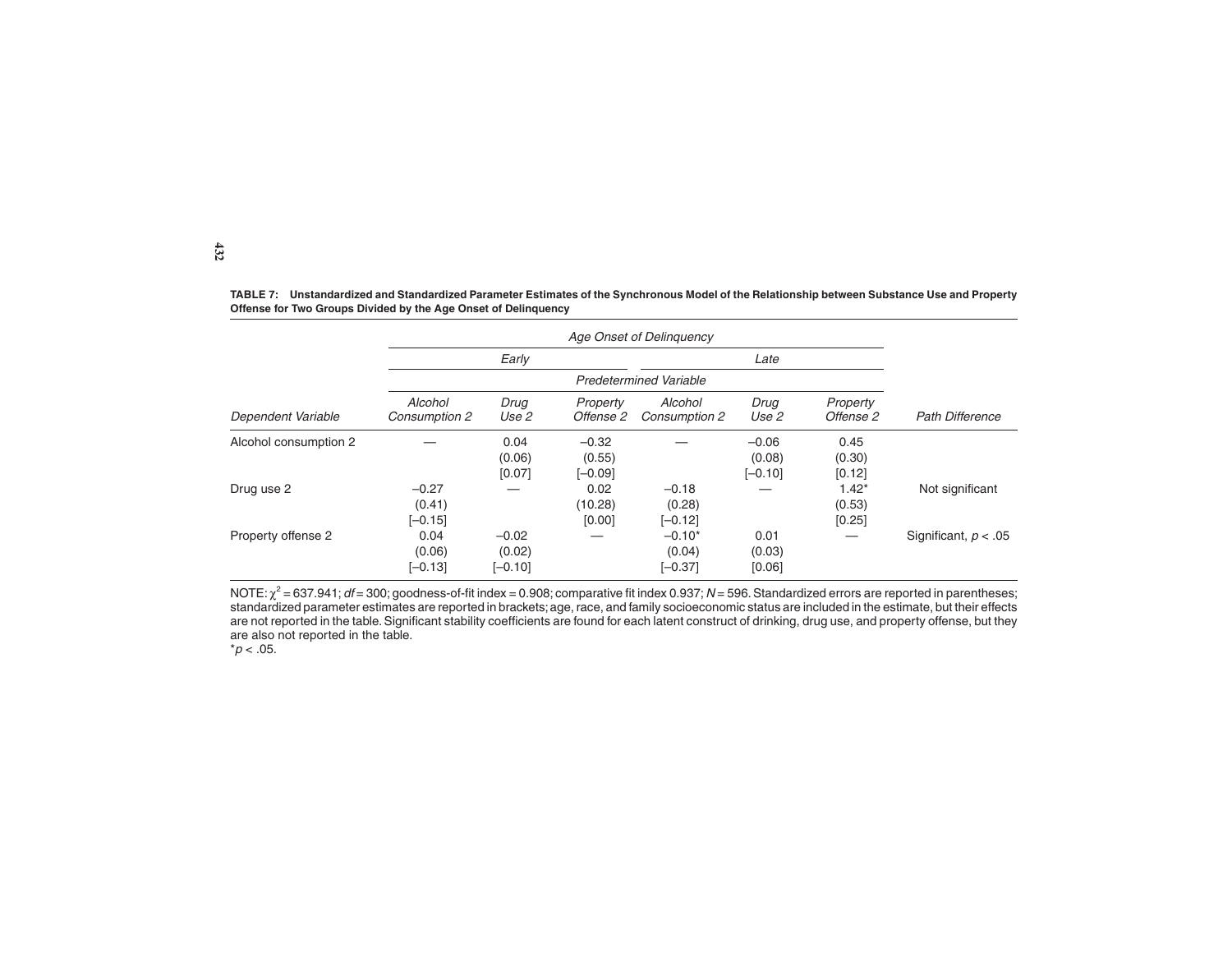|                       |                                |                              |                                | <b>Age Onset of Delinguency</b> |                                |                             |                        |  |
|-----------------------|--------------------------------|------------------------------|--------------------------------|---------------------------------|--------------------------------|-----------------------------|------------------------|--|
|                       |                                | Early                        |                                |                                 | Late                           |                             |                        |  |
|                       |                                |                              |                                | <b>Predetermined Variable</b>   |                                |                             |                        |  |
| Dependent Variable    | Alcohol<br>Consumption 2       | Drug<br>Use 2                | Property<br>Offense 2          | Alcohol<br>Consumption 2        | Drug<br>Use 2                  | Property<br>Offense 2       | <b>Path Difference</b> |  |
| Alcohol consumption 2 |                                | 0.04<br>(0.06)<br>[0.07]     | $-0.32$<br>(0.55)<br>$[-0.09]$ |                                 | $-0.06$<br>(0.08)<br>$[-0.10]$ | 0.45<br>(0.30)<br>[0.12]    |                        |  |
| Drug use 2            | $-0.27$<br>(0.41)<br>$[-0.15]$ |                              | 0.02<br>(10.28)<br>[0.00]      | $-0.18$<br>(0.28)<br>$[-0.12]$  |                                | $1.42*$<br>(0.53)<br>[0.25] | Not significant        |  |
| Property offense 2    | 0.04<br>(0.06)<br>$[-0.13]$    | $-0.02$<br>(0.02)<br>[-0.10] |                                | $-0.10*$<br>(0.04)<br>$[-0.37]$ | 0.01<br>(0.03)<br>[0.06]       |                             | Significant, $p < .05$ |  |

TABLE 7: Unstandardized and Standardized Parameter Estimates of the Synchronous Model of the Relationship between Substance Use and Property **Offense for Two Groups Divided by the Age Onset of Delinquency**

 $\mathsf{NOTE}:\chi^2\!=\!637.941;$   $\mathit{df}\!=\!300;$  goodness-of-fit index = 0.908; comparative fit index 0.937;  $\mathcal{N}\!=\!596.$  Standardized errors are reported in parentheses; standardized parameter estimates are reported in brackets;age, race, and family socioeconomic status are included in the estimate, but their effects are not reported in the table. Significant stability coefficients are found for each latent construct of drinking, drug use, and property offense, but they are also not reported in the table.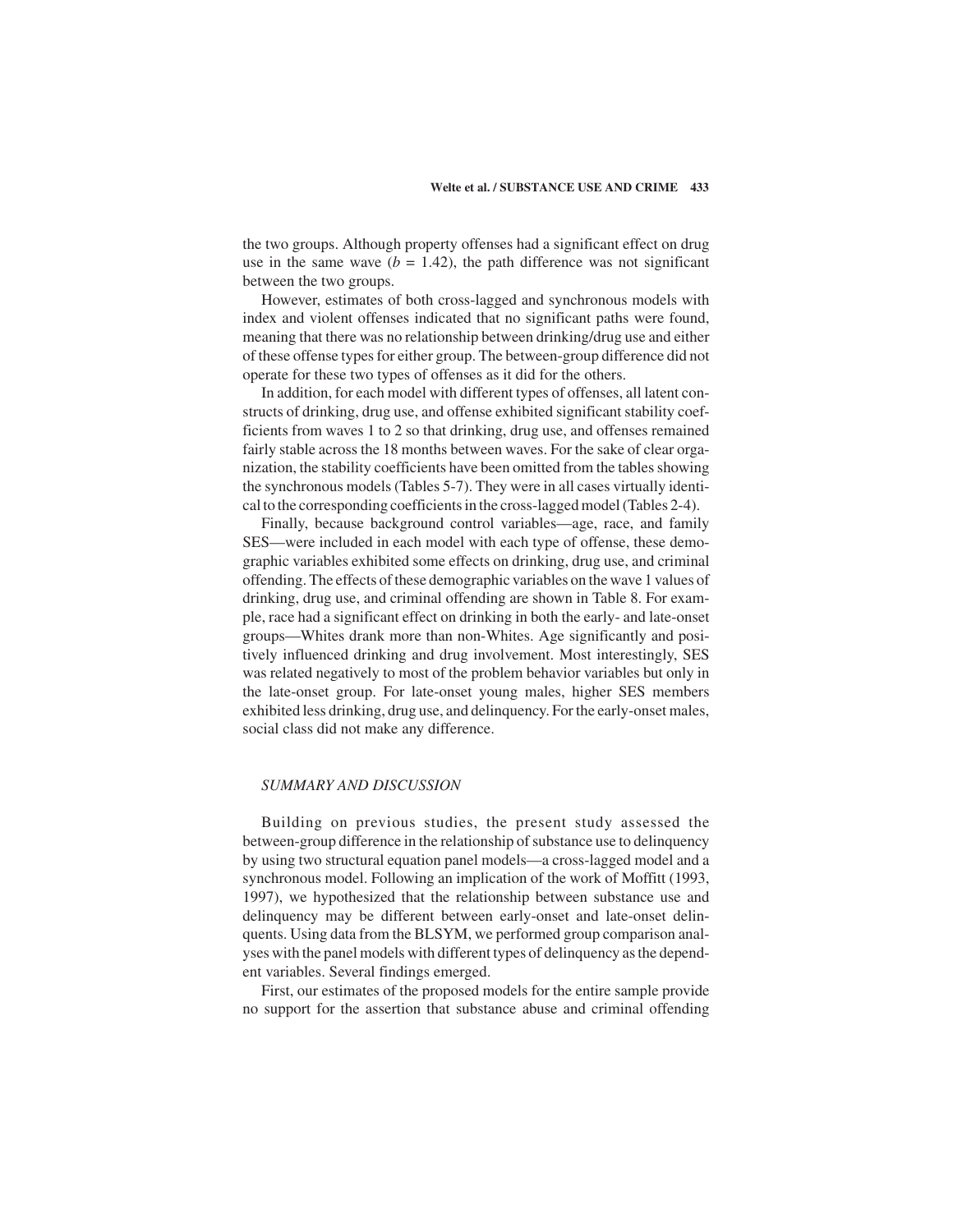the two groups. Although property offenses had a significant effect on drug use in the same wave  $(b = 1.42)$ , the path difference was not significant between the two groups.

However, estimates of both cross-lagged and synchronous models with index and violent offenses indicated that no significant paths were found, meaning that there was no relationship between drinking/drug use and either of these offense types for either group. The between-group difference did not operate for these two types of offenses as it did for the others.

In addition, for each model with different types of offenses, all latent constructs of drinking, drug use, and offense exhibited significant stability coefficients from waves 1 to 2 so that drinking, drug use, and offenses remained fairly stable across the 18 months between waves. For the sake of clear organization, the stability coefficients have been omitted from the tables showing the synchronous models (Tables 5-7). They were in all cases virtually identical to the corresponding coefficients in the cross-lagged model (Tables 2-4).

Finally, because background control variables—age, race, and family SES—were included in each model with each type of offense, these demographic variables exhibited some effects on drinking, drug use, and criminal offending. The effects of these demographic variables on the wave 1 values of drinking, drug use, and criminal offending are shown in Table 8. For example, race had a significant effect on drinking in both the early- and late-onset groups—Whites drank more than non-Whites. Age significantly and positively influenced drinking and drug involvement. Most interestingly, SES was related negatively to most of the problem behavior variables but only in the late-onset group. For late-onset young males, higher SES members exhibited less drinking, drug use, and delinquency. For the early-onset males, social class did not make any difference.

### *SUMMARY AND DISCUSSION*

Building on previous studies, the present study assessed the between-group difference in the relationship of substance use to delinquency by using two structural equation panel models—a cross-lagged model and a synchronous model. Following an implication of the work of Moffitt (1993, 1997), we hypothesized that the relationship between substance use and delinquency may be different between early-onset and late-onset delinquents. Using data from the BLSYM, we performed group comparison analyses with the panel models with different types of delinquency as the dependent variables. Several findings emerged.

First, our estimates of the proposed models for the entire sample provide no support for the assertion that substance abuse and criminal offending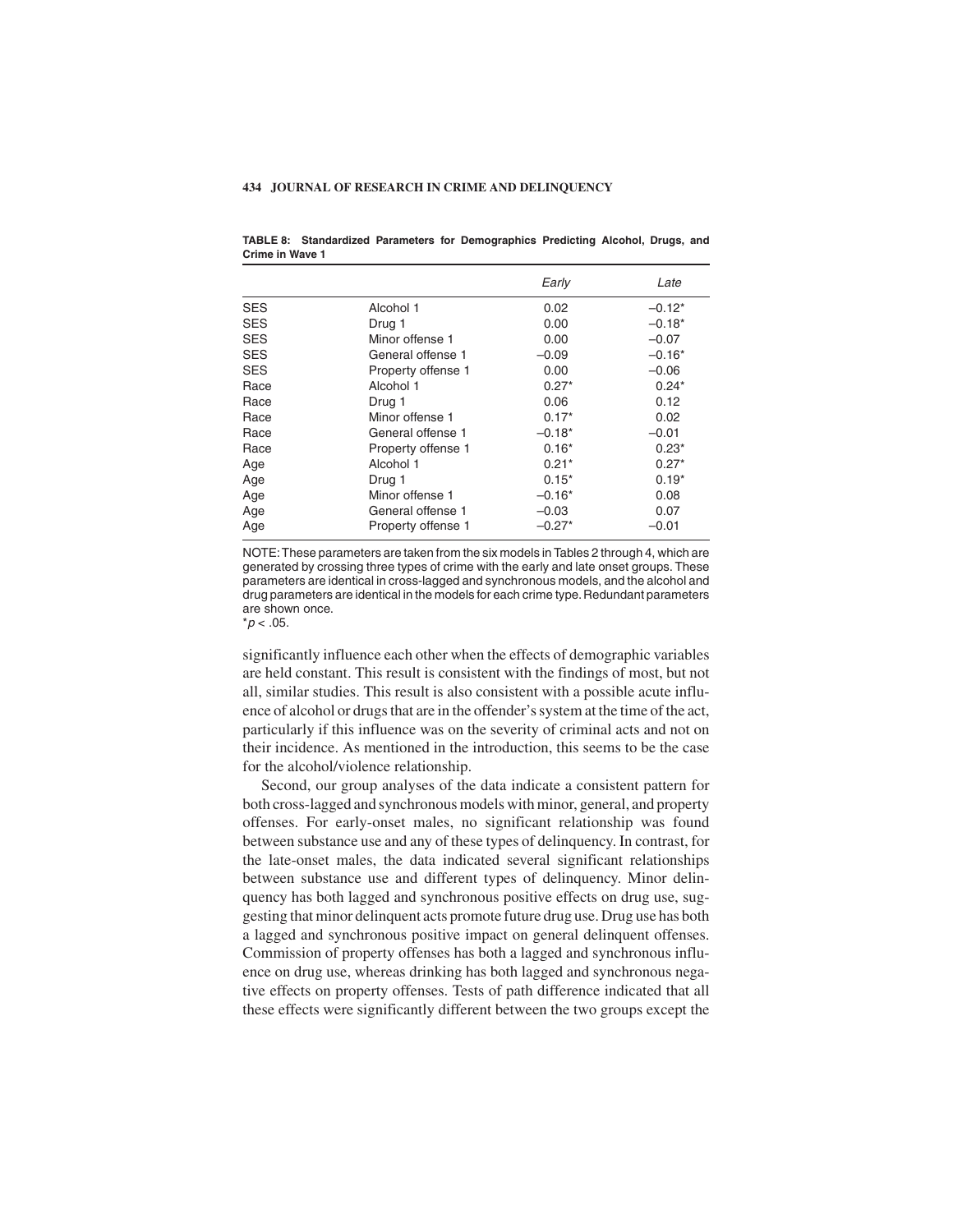**TABLE 8: Standardized Parameters for Demographics Predicting Alcohol, Drugs, and Crime in Wave 1**

|            |                    | Early    | Late     |
|------------|--------------------|----------|----------|
| <b>SES</b> | Alcohol 1          | 0.02     | $-0.12*$ |
| <b>SES</b> | Drug 1             | 0.00     | $-0.18*$ |
| <b>SES</b> | Minor offense 1    | 0.00     | $-0.07$  |
| <b>SES</b> | General offense 1  | $-0.09$  | $-0.16*$ |
| <b>SES</b> | Property offense 1 | 0.00     | $-0.06$  |
| Race       | Alcohol 1          | $0.27*$  | $0.24*$  |
| Race       | Drug 1             | 0.06     | 0.12     |
| Race       | Minor offense 1    | $0.17*$  | 0.02     |
| Race       | General offense 1  | $-0.18*$ | $-0.01$  |
| Race       | Property offense 1 | $0.16*$  | $0.23*$  |
| Age        | Alcohol 1          | $0.21*$  | $0.27*$  |
| Age        | Drug 1             | $0.15*$  | $0.19*$  |
| Age        | Minor offense 1    | $-0.16*$ | 0.08     |
| Age        | General offense 1  | $-0.03$  | 0.07     |
| Age        | Property offense 1 | $-0.27*$ | $-0.01$  |

NOTE:These parameters are taken from the six models in Tables 2 through 4, which are generated by crossing three types of crime with the early and late onset groups. These parameters are identical in cross-lagged and synchronous models, and the alcohol and drug parameters are identical in the models for each crime type. Redundant parameters are shown once.

 $*p < .05$ .

significantly influence each other when the effects of demographic variables are held constant. This result is consistent with the findings of most, but not all, similar studies. This result is also consistent with a possible acute influence of alcohol or drugs that are in the offender's system at the time of the act, particularly if this influence was on the severity of criminal acts and not on their incidence. As mentioned in the introduction, this seems to be the case for the alcohol/violence relationship.

Second, our group analyses of the data indicate a consistent pattern for both cross-lagged and synchronous models with minor, general, and property offenses. For early-onset males, no significant relationship was found between substance use and any of these types of delinquency. In contrast, for the late-onset males, the data indicated several significant relationships between substance use and different types of delinquency. Minor delinquency has both lagged and synchronous positive effects on drug use, suggesting that minor delinquent acts promote future drug use. Drug use has both a lagged and synchronous positive impact on general delinquent offenses. Commission of property offenses has both a lagged and synchronous influence on drug use, whereas drinking has both lagged and synchronous negative effects on property offenses. Tests of path difference indicated that all these effects were significantly different between the two groups except the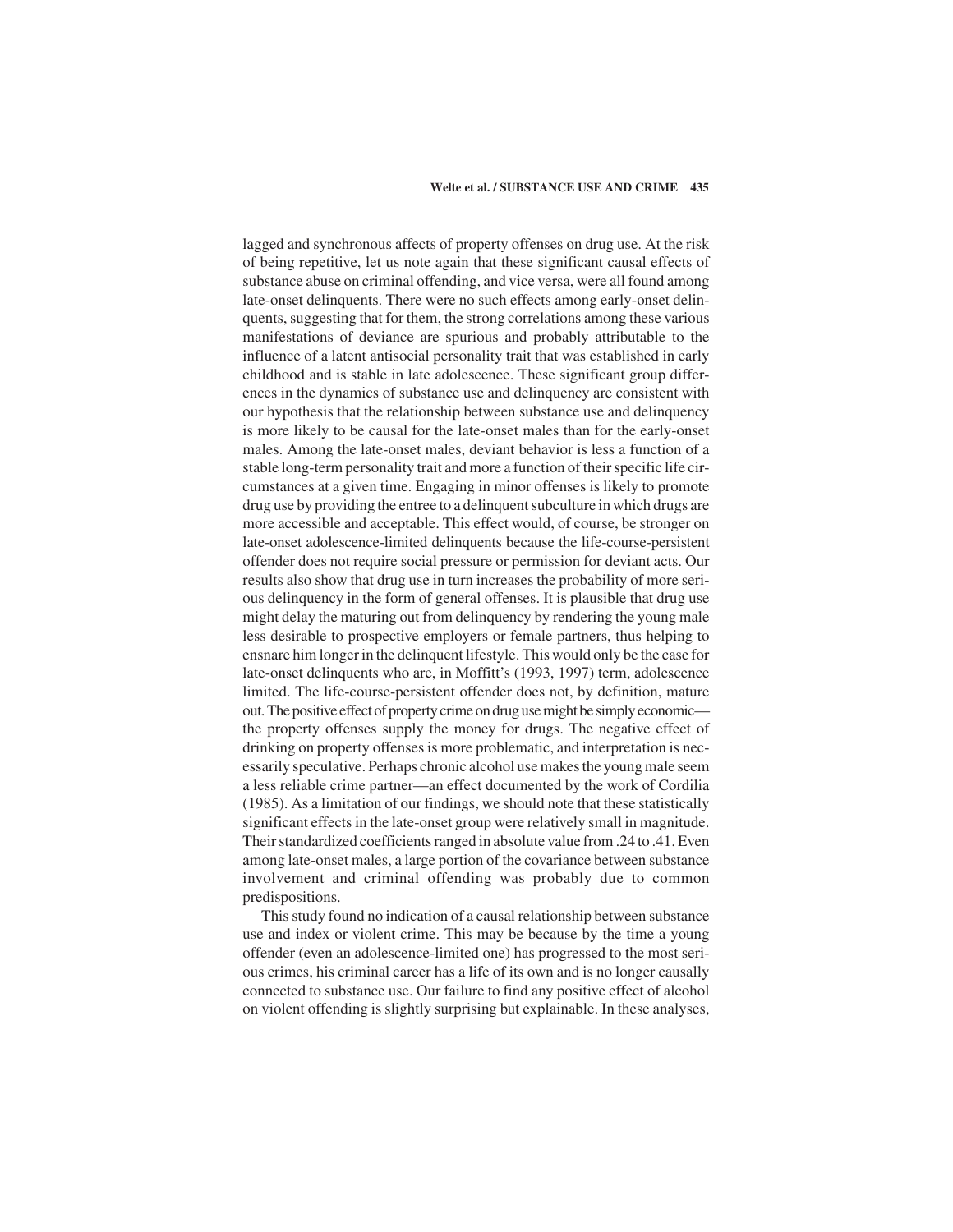### **Welte et al. / SUBSTANCE USE AND CRIME 435**

lagged and synchronous affects of property offenses on drug use. At the risk of being repetitive, let us note again that these significant causal effects of substance abuse on criminal offending, and vice versa, were all found among late-onset delinquents. There were no such effects among early-onset delinquents, suggesting that for them, the strong correlations among these various manifestations of deviance are spurious and probably attributable to the influence of a latent antisocial personality trait that was established in early childhood and is stable in late adolescence. These significant group differences in the dynamics of substance use and delinquency are consistent with our hypothesis that the relationship between substance use and delinquency is more likely to be causal for the late-onset males than for the early-onset males. Among the late-onset males, deviant behavior is less a function of a stable long-term personality trait and more a function of their specific life circumstances at a given time. Engaging in minor offenses is likely to promote drug use by providing the entree to a delinquent subculture in which drugs are more accessible and acceptable. This effect would, of course, be stronger on late-onset adolescence-limited delinquents because the life-course-persistent offender does not require social pressure or permission for deviant acts. Our results also showthat drug use in turn increases the probability of more serious delinquency in the form of general offenses. It is plausible that drug use might delay the maturing out from delinquency by rendering the young male less desirable to prospective employers or female partners, thus helping to ensnare him longer in the delinquent lifestyle. This would only be the case for late-onset delinquents who are, in Moffitt's (1993, 1997) term, adolescence limited. The life-course-persistent offender does not, by definition, mature out. The positive effect of property crime on druguse might be simply economic the property offenses supply the money for drugs. The negative effect of drinking on property offenses is more problematic, and interpretation is necessarily speculative. Perhaps chronic alcohol use makes the young male seem a less reliable crime partner—an effect documented by the work of Cordilia (1985). As a limitation of our findings, we should note that these statistically significant effects in the late-onset group were relatively small in magnitude. Their standardized coefficients ranged in absolute value from .24 to .41. Even among late-onset males, a large portion of the covariance between substance involvement and criminal offending was probably due to common predispositions.

This study found no indication of a causal relationship between substance use and index or violent crime. This may be because by the time a young offender (even an adolescence-limited one) has progressed to the most serious crimes, his criminal career has a life of its own and is no longer causally connected to substance use. Our failure to find any positive effect of alcohol on violent offending is slightly surprising but explainable. In these analyses,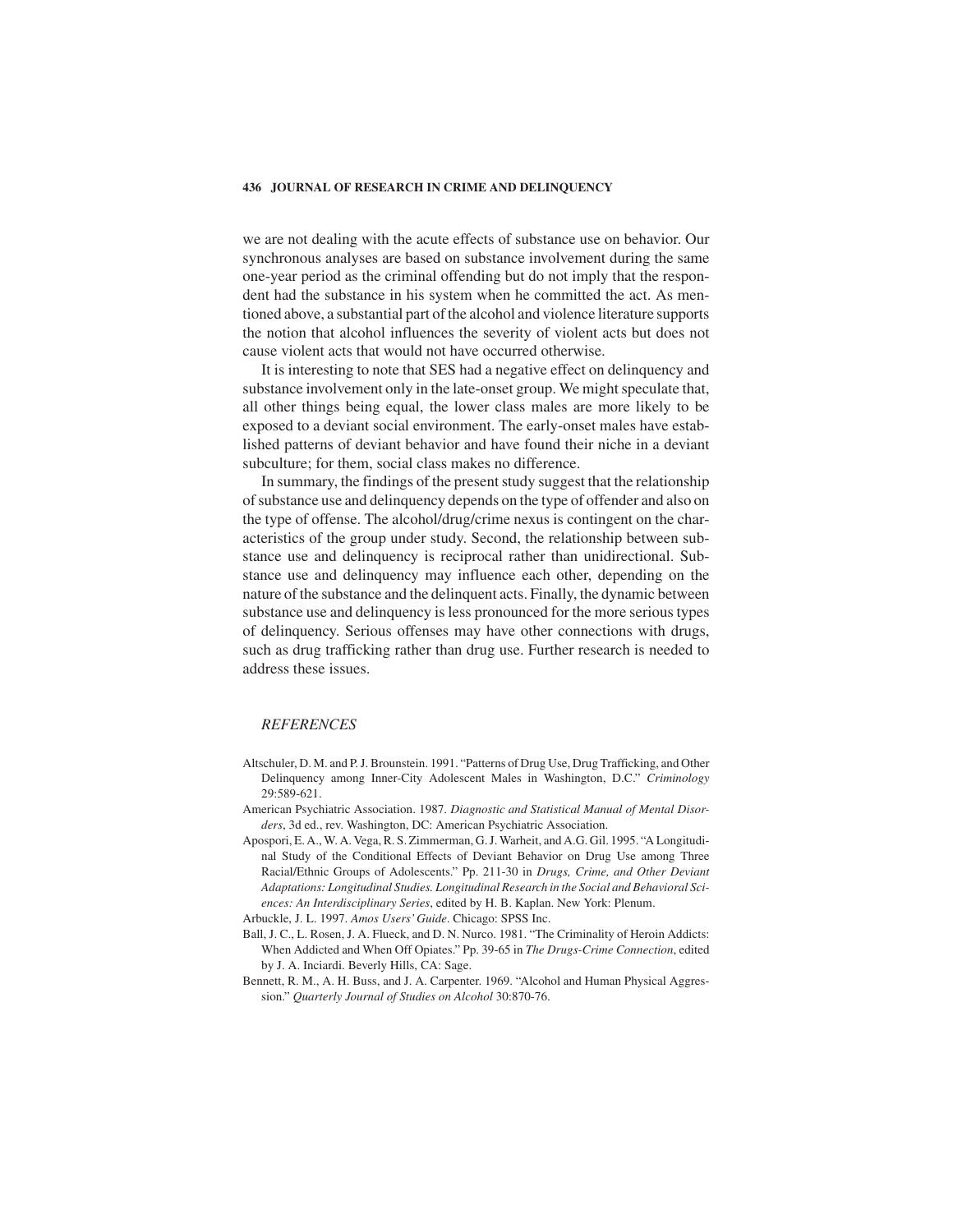we are not dealing with the acute effects of substance use on behavior. Our synchronous analyses are based on substance involvement during the same one-year period as the criminal offending but do not imply that the respondent had the substance in his system when he committed the act. As mentioned above, a substantial part of the alcohol and violence literature supports the notion that alcohol influences the severity of violent acts but does not cause violent acts that would not have occurred otherwise.

It is interesting to note that SES had a negative effect on delinquency and substance involvement only in the late-onset group. We might speculate that, all other things being equal, the lower class males are more likely to be exposed to a deviant social environment. The early-onset males have established patterns of deviant behavior and have found their niche in a deviant subculture; for them, social class makes no difference.

In summary, the findings of the present study suggest that the relationship of substance use and delinquency depends on the type of offender and also on the type of offense. The alcohol/drug/crime nexus is contingent on the characteristics of the group under study. Second, the relationship between substance use and delinquency is reciprocal rather than unidirectional. Substance use and delinquency may influence each other, depending on the nature of the substance and the delinquent acts. Finally, the dynamic between substance use and delinquency is less pronounced for the more serious types of delinquency. Serious offenses may have other connections with drugs, such as drug trafficking rather than drug use. Further research is needed to address these issues.

### *REFERENCES*

- Altschuler, D. M. and P. J. Brounstein. 1991. "Patterns of Drug Use, Drug Trafficking, and Other Delinquency among Inner-City Adolescent Males in Washington, D.C." *Criminology* 29:589-621.
- American Psychiatric Association. 1987. *Diagnostic and Statistical Manual of Mental Disorders*, 3d ed., rev. Washington, DC: American Psychiatric Association.
- Apospori, E. A., W. A. Vega, R. S. Zimmerman, G. J. Warheit, and A.G. Gil. 1995. "A Longitudinal Study of the Conditional Effects of Deviant Behavior on Drug Use among Three Racial/Ethnic Groups of Adolescents." Pp. 211-30 in *Drugs, Crime, and Other Deviant Adaptations: Longitudinal Studies. Longitudinal Research in the Social and Behavioral Sciences: An Interdisciplinary Series*, edited by H. B. Kaplan. New York: Plenum.
- Arbuckle, J. L. 1997. *Amos Users' Guide*. Chicago: SPSS Inc.
- Ball, J. C., L. Rosen, J. A. Flueck, and D. N. Nurco. 1981. "The Criminality of Heroin Addicts: When Addicted and When Off Opiates." Pp. 39-65 in *The Drugs-Crime Connection*, edited by J. A. Inciardi. Beverly Hills, CA: Sage.
- Bennett, R. M., A. H. Buss, and J. A. Carpenter. 1969. "Alcohol and Human Physical Aggression." *Quarterly Journal of Studies on Alcohol* 30:870-76.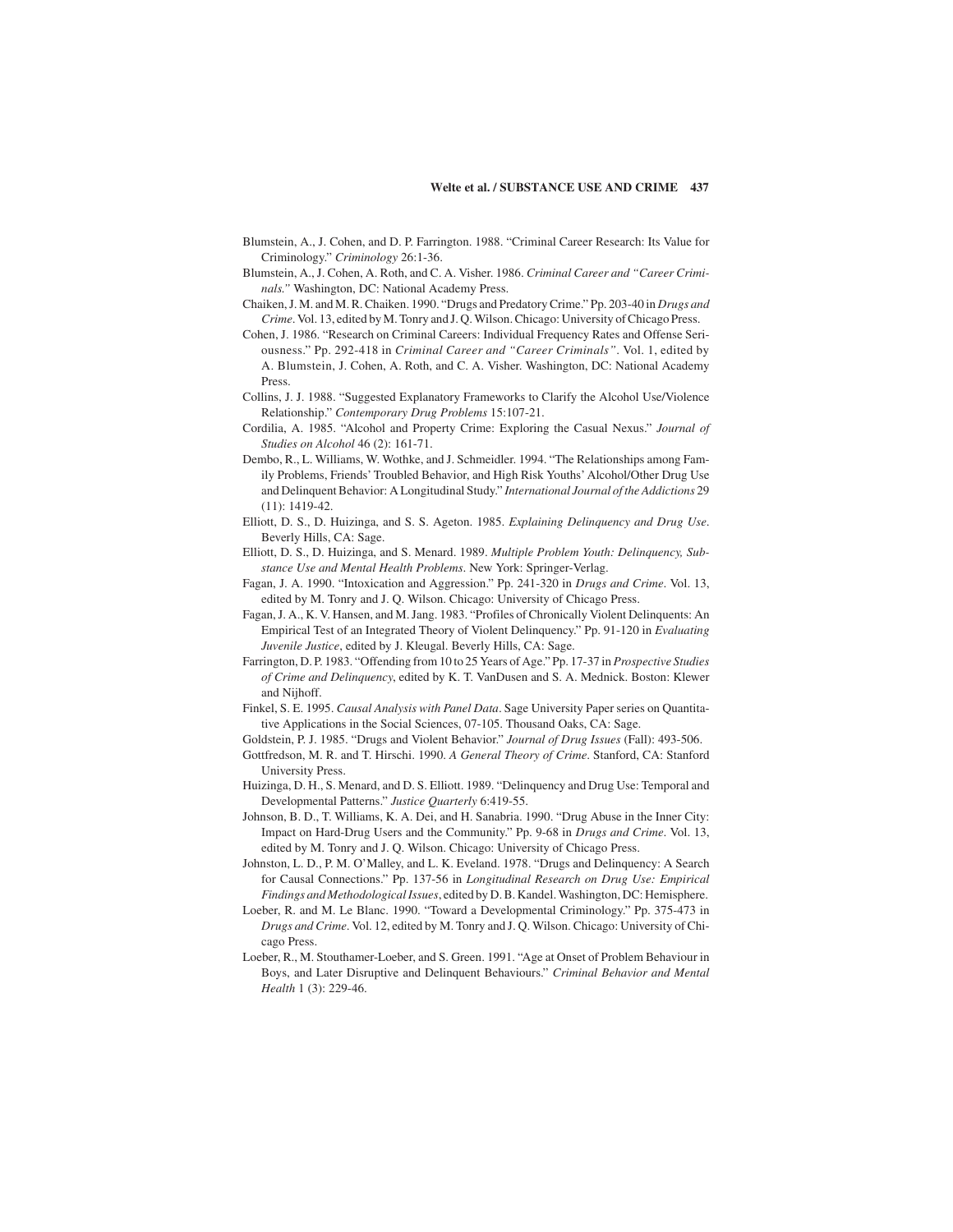- Blumstein, A., J. Cohen, and D. P. Farrington. 1988. "Criminal Career Research: Its Value for Criminology." *Criminology* 26:1-36.
- Blumstein, A., J. Cohen, A. Roth, and C. A. Visher. 1986. *Criminal Career and "Career Criminals."* Washington, DC: National Academy Press.
- Chaiken, J. M. and M. R. Chaiken. 1990. "Drugs and Predatory Crime." Pp. 203-40 in *Drugs and Crime*. Vol. 13, edited by M. Tonry and J. Q. Wilson. Chicago: University of Chicago Press.
- Cohen, J. 1986. "Research on Criminal Careers: Individual Frequency Rates and Offense Seriousness." Pp. 292-418 in *Criminal Career and "Career Criminals"*. Vol. 1, edited by A. Blumstein, J. Cohen, A. Roth, and C. A. Visher. Washington, DC: National Academy Press.
- Collins, J. J. 1988. "Suggested Explanatory Frameworks to Clarify the Alcohol Use/Violence Relationship." *Contemporary Drug Problems* 15:107-21.
- Cordilia, A. 1985. "Alcohol and Property Crime: Exploring the Casual Nexus." *Journal of Studies on Alcohol* 46 (2): 161-71.
- Dembo, R., L. Williams, W. Wothke, and J. Schmeidler. 1994. "The Relationships among Family Problems, Friends' Troubled Behavior, and High Risk Youths' Alcohol/Other Drug Use and Delinquent Behavior: A Longitudinal Study." *International Journal of the Addictions* 29 (11): 1419-42.
- Elliott, D. S., D. Huizinga, and S. S. Ageton. 1985. *Explaining Delinquency and Drug Use*. Beverly Hills, CA: Sage.
- Elliott, D. S., D. Huizinga, and S. Menard. 1989. *Multiple Problem Youth: Delinquency, Substance Use and Mental Health Problems*. New York: Springer-Verlag.
- Fagan, J. A. 1990. "Intoxication and Aggression." Pp. 241-320 in *Drugs and Crime*. Vol. 13, edited by M. Tonry and J. Q. Wilson. Chicago: University of Chicago Press.
- Fagan, J. A., K. V. Hansen, and M. Jang. 1983. "Profiles of Chronically Violent Delinquents: An Empirical Test of an Integrated Theory of Violent Delinquency." Pp. 91-120 in *Evaluating Juvenile Justice*, edited by J. Kleugal. Beverly Hills, CA: Sage.
- Farrington, D. P. 1983. "Offending from 10 to 25 Years of Age." Pp. 17-37 in *Prospective Studies of Crime and Delinquency*, edited by K. T. VanDusen and S. A. Mednick. Boston: Klewer and Nijhoff.
- Finkel, S. E. 1995. *Causal Analysis with Panel Data*. Sage University Paper series on Quantitative Applications in the Social Sciences, 07-105. Thousand Oaks, CA: Sage.
- Goldstein, P. J. 1985. "Drugs and Violent Behavior." *Journal of Drug Issues* (Fall): 493-506.
- Gottfredson, M. R. and T. Hirschi. 1990. *A General Theory of Crime*. Stanford, CA: Stanford University Press.
- Huizinga, D. H., S. Menard, and D. S. Elliott. 1989. "Delinquency and Drug Use: Temporal and Developmental Patterns." *Justice Quarterly* 6:419-55.
- Johnson, B. D., T. Williams, K. A. Dei, and H. Sanabria. 1990. "Drug Abuse in the Inner City: Impact on Hard-Drug Users and the Community." Pp. 9-68 in *Drugs and Crime*. Vol. 13, edited by M. Tonry and J. Q. Wilson. Chicago: University of Chicago Press.
- Johnston, L. D., P. M. O'Malley, and L. K. Eveland. 1978. "Drugs and Delinquency: A Search for Causal Connections." Pp. 137-56 in *Longitudinal Research on Drug Use: Empirical Findings and Methodological Issues*, edited by D. B. Kandel. Washington, DC: Hemisphere.
- Loeber, R. and M. Le Blanc. 1990. "Toward a Developmental Criminology." Pp. 375-473 in *Drugs and Crime*. Vol. 12, edited by M. Tonry and J. Q. Wilson. Chicago: University of Chicago Press.
- Loeber, R., M. Stouthamer-Loeber, and S. Green. 1991. "Age at Onset of Problem Behaviour in Boys, and Later Disruptive and Delinquent Behaviours." *Criminal Behavior and Mental Health* 1 (3): 229-46.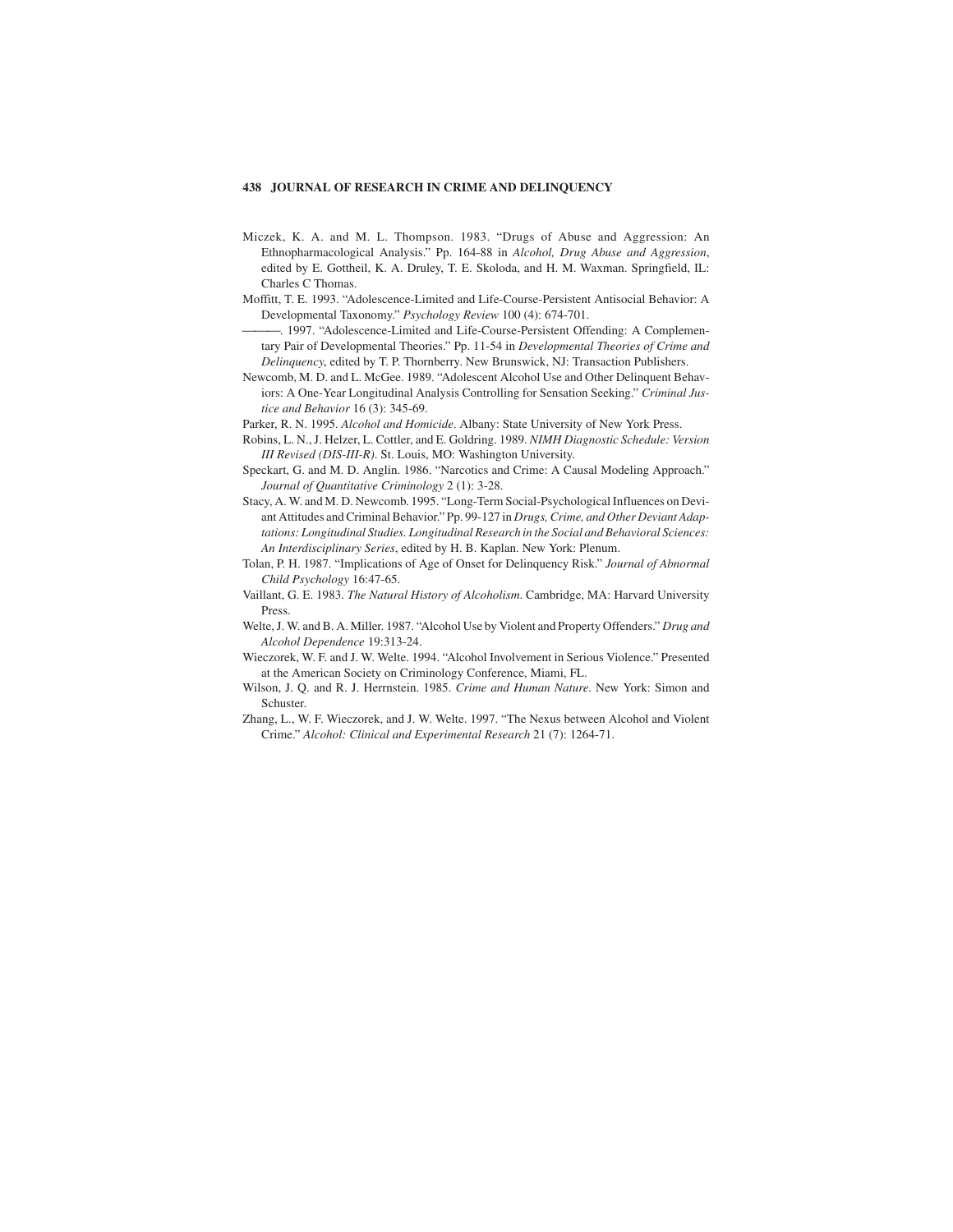- Miczek, K. A. and M. L. Thompson. 1983. "Drugs of Abuse and Aggression: An Ethnopharmacological Analysis." Pp. 164-88 in *Alcohol, Drug Abuse and Aggression*, edited by E. Gottheil, K. A. Druley, T. E. Skoloda, and H. M. Waxman. Springfield, IL: Charles C Thomas.
- Moffitt, T. E. 1993. "Adolescence-Limited and Life-Course-Persistent Antisocial Behavior: A Developmental Taxonomy." *Psychology Review* 100 (4): 674-701.
- . 1997. "Adolescence-Limited and Life-Course-Persistent Offending: A Complementary Pair of Developmental Theories." Pp. 11-54 in *Developmental Theories of Crime and Delinquency*, edited by T. P. Thornberry. New Brunswick, NJ: Transaction Publishers.
- Newcomb, M. D. and L. McGee. 1989. "Adolescent Alcohol Use and Other Delinquent Behaviors: A One-Year Longitudinal Analysis Controlling for Sensation Seeking." *Criminal Justice and Behavior* 16 (3): 345-69.
- Parker, R. N. 1995. *Alcohol and Homicide*. Albany: State University of New York Press.
- Robins, L. N., J. Helzer, L. Cottler, and E. Goldring. 1989. *NIMH Diagnostic Schedule: Version III Revised (DIS-III-R)*. St. Louis, MO: Washington University.
- Speckart, G. and M. D. Anglin. 1986. "Narcotics and Crime: A Causal Modeling Approach." *Journal of Quantitative Criminology* 2 (1): 3-28.
- Stacy, A. W. and M. D. Newcomb. 1995. "Long-Term Social-Psychological Influences on Deviant Attitudes and Criminal Behavior." Pp. 99-127 in *Drugs, Crime, and Other Deviant Adaptations: Longitudinal Studies. Longitudinal Research in the Social and Behavioral Sciences: An Interdisciplinary Series*, edited by H. B. Kaplan. New York: Plenum.
- Tolan, P. H. 1987. "Implications of Age of Onset for Delinquency Risk." *Journal of Abnormal Child Psychology* 16:47-65.
- Vaillant, G. E. 1983. *The Natural History of Alcoholism*. Cambridge, MA: Harvard University Press.
- Welte, J. W. and B. A. Miller. 1987. "Alcohol Use by Violent and Property Offenders." *Drug and Alcohol Dependence* 19:313-24.
- Wieczorek, W. F. and J. W. Welte. 1994. "Alcohol Involvement in Serious Violence." Presented at the American Society on Criminology Conference, Miami, FL.
- Wilson, J. Q. and R. J. Herrnstein. 1985. *Crime and Human Nature*. New York: Simon and Schuster.
- Zhang, L., W. F. Wieczorek, and J. W. Welte. 1997. "The Nexus between Alcohol and Violent Crime." *Alcohol: Clinical and Experimental Research* 21 (7): 1264-71.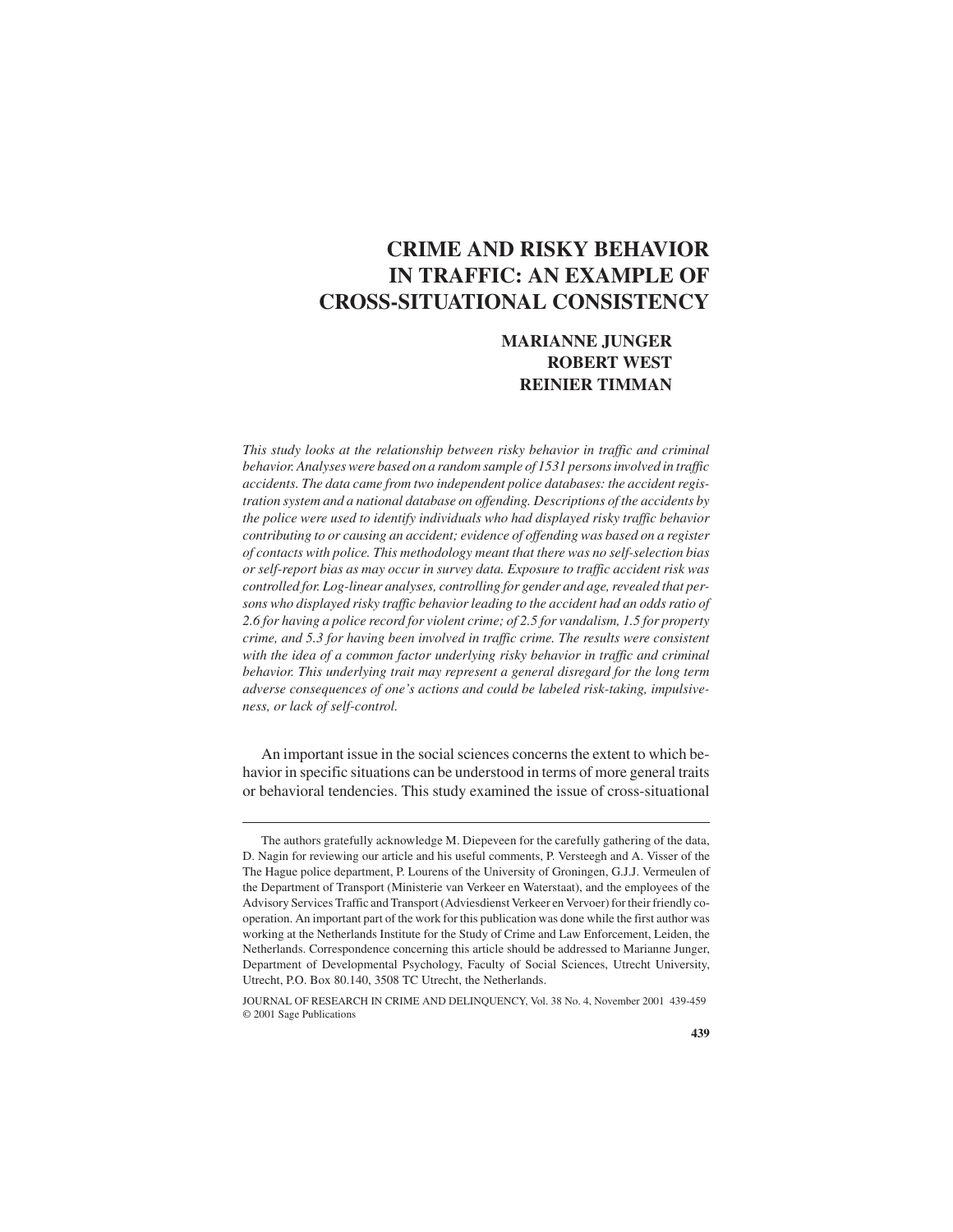# **CRIME AND RISKY BEHAVIOR IN TRAFFIC: AN EXAMPLE OF CROSS-SITUATIONAL CONSISTENCY**

## **MARIANNE JUNGER ROBERT WEST REINIER TIMMAN**

*This study looks at the relationship between risky behavior in traffic and criminal behavior. Analyses were based on a random sample of 1531 persons involved in traffic accidents. The data came from two independent police databases: the accident registration system and a national database on offending. Descriptions of the accidents by the police were used to identify individuals who had displayed risky traffic behavior contributing to or causing an accident; evidence of offending was based on a register of contacts with police. This methodology meant that there was no self-selection bias or self-report bias as may occur in survey data. Exposure to traffic accident risk was controlled for. Log-linear analyses, controlling for gender and age, revealed that persons who displayed risky traffic behavior leading to the accident had an odds ratio of 2.6 for having a police record for violent crime; of 2.5 for vandalism, 1.5 for property crime, and 5.3 for having been involved in traffic crime. The results were consistent with the idea of a common factor underlying risky behavior in traffic and criminal behavior. This underlying trait may represent a general disregard for the long term adverse consequences of one's actions and could be labeled risk-taking, impulsiveness, or lack of self-control.*

An important issue in the social sciences concerns the extent to which behavior in specific situations can be understood in terms of more general traits or behavioral tendencies. This study examined the issue of cross-situational

The authors gratefully acknowledge M. Diepeveen for the carefully gathering of the data, D. Nagin for reviewing our article and his useful comments, P. Versteegh and A. Visser of the The Hague police department, P. Lourens of the University of Groningen, G.J.J. Vermeulen of the Department of Transport (Ministerie van Verkeer en Waterstaat), and the employees of the Advisory Services Traffic and Transport (Adviesdienst Verkeer en Vervoer) for their friendly cooperation. An important part of the work for this publication was done while the first author was working at the Netherlands Institute for the Study of Crime and Law Enforcement, Leiden, the Netherlands. Correspondence concerning this article should be addressed to Marianne Junger, Department of Developmental Psychology, Faculty of Social Sciences, Utrecht University, Utrecht, P.O. Box 80.140, 3508 TC Utrecht, the Netherlands.

JOURNAL OF RESEARCH IN CRIME AND DELINQUENCY, Vol. 38 No. 4, November 2001 439-459 © 2001 Sage Publications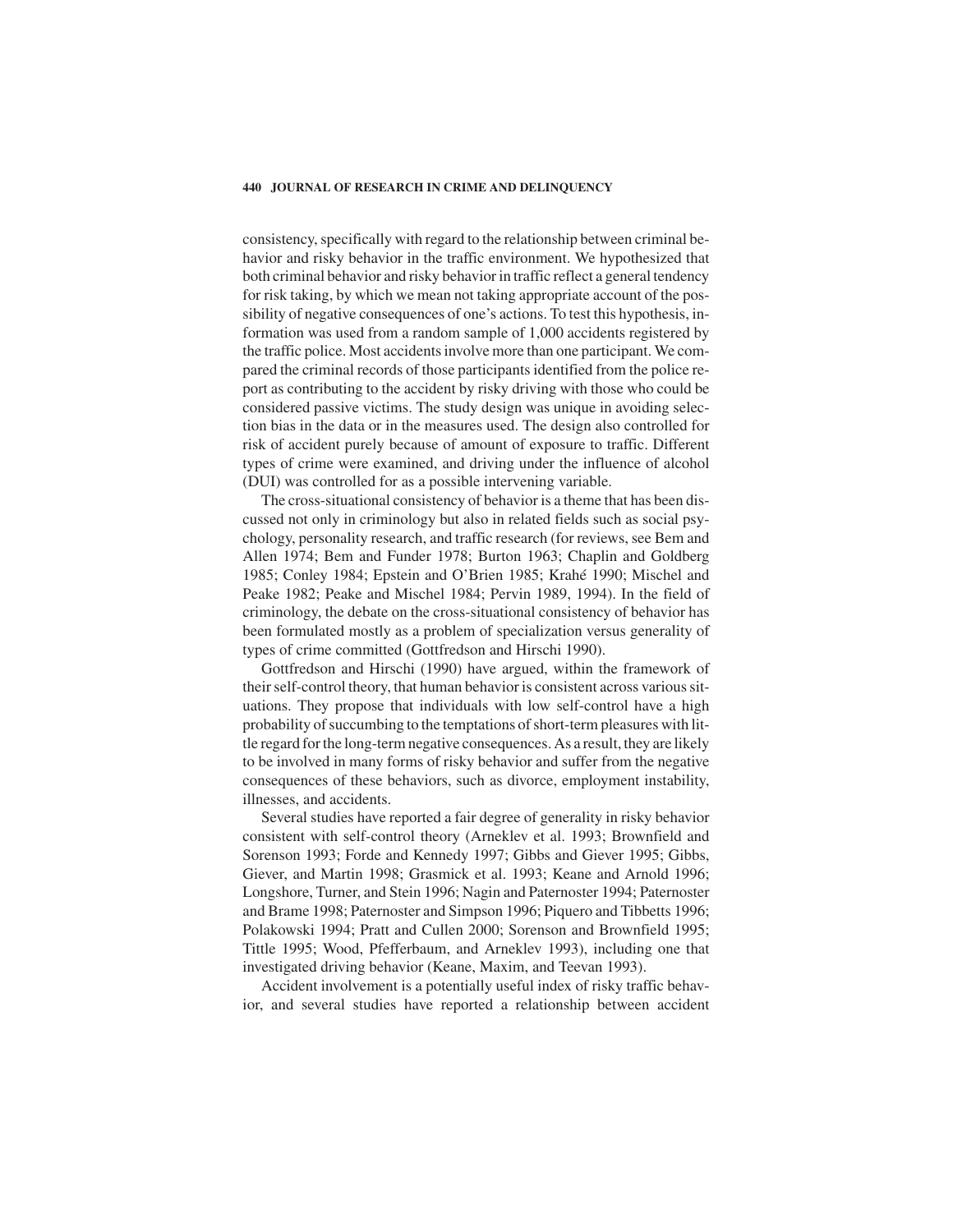consistency, specifically with regard to the relationship between criminal behavior and risky behavior in the traffic environment. We hypothesized that both criminal behavior and risky behavior in traffic reflect a general tendency for risk taking, by which we mean not taking appropriate account of the possibility of negative consequences of one's actions. To test this hypothesis, information was used from a random sample of 1,000 accidents registered by the traffic police. Most accidents involve more than one participant. We compared the criminal records of those participants identified from the police report as contributing to the accident by risky driving with those who could be considered passive victims. The study design was unique in avoiding selection bias in the data or in the measures used. The design also controlled for risk of accident purely because of amount of exposure to traffic. Different types of crime were examined, and driving under the influence of alcohol (DUI) was controlled for as a possible intervening variable.

The cross-situational consistency of behavior is a theme that has been discussed not only in criminology but also in related fields such as social psychology, personality research, and traffic research (for reviews, see Bem and Allen 1974; Bem and Funder 1978; Burton 1963; Chaplin and Goldberg 1985; Conley 1984; Epstein and O'Brien 1985; Krahé 1990; Mischel and Peake 1982; Peake and Mischel 1984; Pervin 1989, 1994). In the field of criminology, the debate on the cross-situational consistency of behavior has been formulated mostly as a problem of specialization versus generality of types of crime committed (Gottfredson and Hirschi 1990).

Gottfredson and Hirschi (1990) have argued, within the framework of their self-control theory, that human behavior is consistent across various situations. They propose that individuals with low self-control have a high probability of succumbing to the temptations of short-term pleasures with little regard for the long-term negative consequences. As a result, they are likely to be involved in many forms of risky behavior and suffer from the negative consequences of these behaviors, such as divorce, employment instability, illnesses, and accidents.

Several studies have reported a fair degree of generality in risky behavior consistent with self-control theory (Arneklev et al. 1993; Brownfield and Sorenson 1993; Forde and Kennedy 1997; Gibbs and Giever 1995; Gibbs, Giever, and Martin 1998; Grasmick et al. 1993; Keane and Arnold 1996; Longshore, Turner, and Stein 1996; Nagin and Paternoster 1994; Paternoster and Brame 1998; Paternoster and Simpson 1996; Piquero and Tibbetts 1996; Polakowski 1994; Pratt and Cullen 2000; Sorenson and Brownfield 1995; Tittle 1995; Wood, Pfefferbaum, and Arneklev 1993), including one that investigated driving behavior (Keane, Maxim, and Teevan 1993).

Accident involvement is a potentially useful index of risky traffic behavior, and several studies have reported a relationship between accident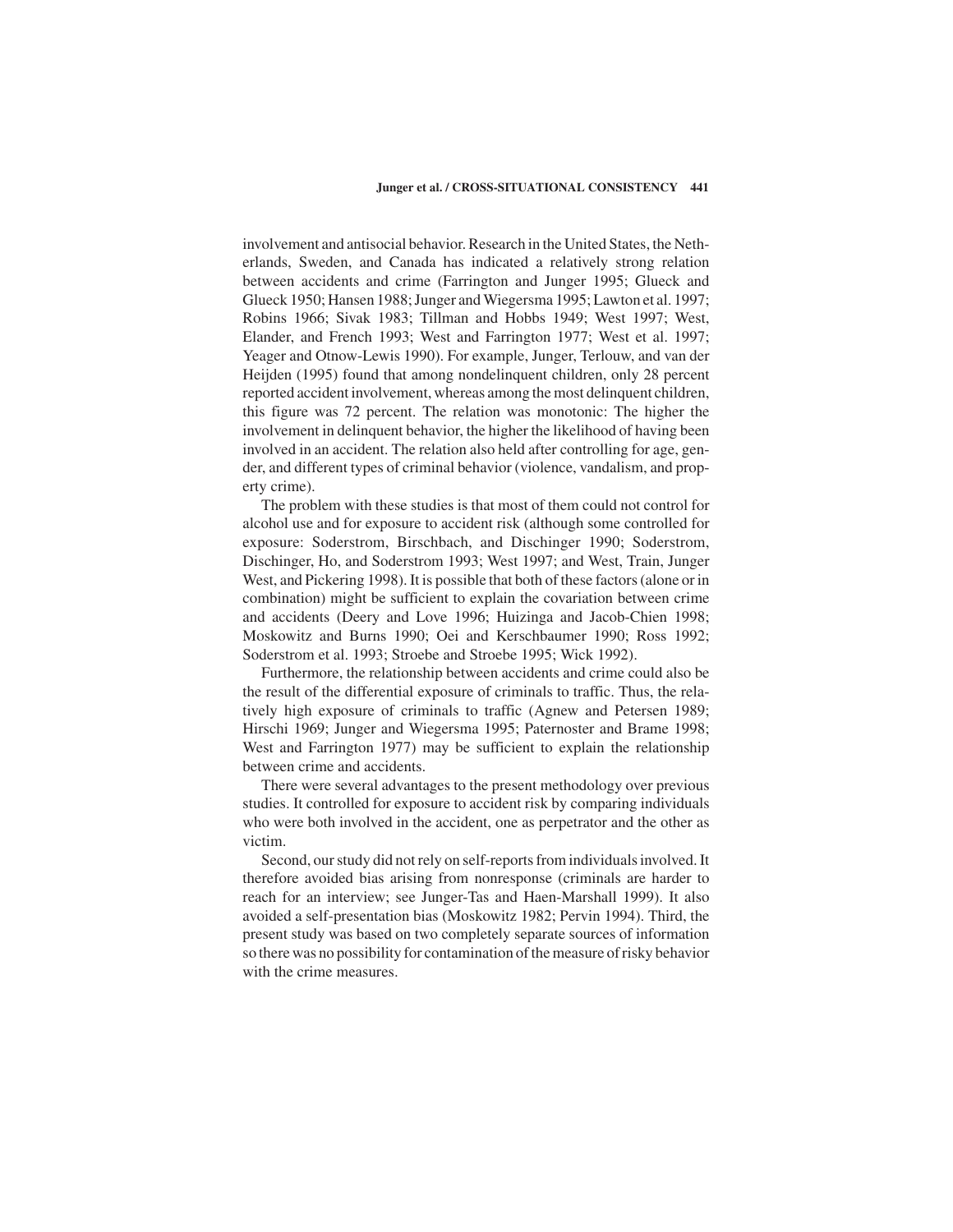### **Junger et al. / CROSS-SITUATIONAL CONSISTENCY 441**

involvement and antisocial behavior. Research in the United States, the Netherlands, Sweden, and Canada has indicated a relatively strong relation between accidents and crime (Farrington and Junger 1995; Glueck and Glueck 1950; Hansen 1988; Junger and Wiegersma 1995; Lawton et al. 1997; Robins 1966; Sivak 1983; Tillman and Hobbs 1949; West 1997; West, Elander, and French 1993; West and Farrington 1977; West et al. 1997; Yeager and Otnow-Lewis 1990). For example, Junger, Terlouw, and van der Heijden (1995) found that among nondelinquent children, only 28 percent reported accident involvement, whereas among the most delinquent children, this figure was 72 percent. The relation was monotonic: The higher the involvement in delinquent behavior, the higher the likelihood of having been involved in an accident. The relation also held after controlling for age, gender, and different types of criminal behavior (violence, vandalism, and property crime).

The problem with these studies is that most of them could not control for alcohol use and for exposure to accident risk (although some controlled for exposure: Soderstrom, Birschbach, and Dischinger 1990; Soderstrom, Dischinger, Ho, and Soderstrom 1993; West 1997; and West, Train, Junger West, and Pickering 1998). It is possible that both of these factors (alone or in combination) might be sufficient to explain the covariation between crime and accidents (Deery and Love 1996; Huizinga and Jacob-Chien 1998; Moskowitz and Burns 1990; Oei and Kerschbaumer 1990; Ross 1992; Soderstrom et al. 1993; Stroebe and Stroebe 1995; Wick 1992).

Furthermore, the relationship between accidents and crime could also be the result of the differential exposure of criminals to traffic. Thus, the relatively high exposure of criminals to traffic (Agnew and Petersen 1989; Hirschi 1969; Junger and Wiegersma 1995; Paternoster and Brame 1998; West and Farrington 1977) may be sufficient to explain the relationship between crime and accidents.

There were several advantages to the present methodology over previous studies. It controlled for exposure to accident risk by comparing individuals who were both involved in the accident, one as perpetrator and the other as victim.

Second, our study did not rely on self-reports from individuals involved. It therefore avoided bias arising from nonresponse (criminals are harder to reach for an interview; see Junger-Tas and Haen-Marshall 1999). It also avoided a self-presentation bias (Moskowitz 1982; Pervin 1994). Third, the present study was based on two completely separate sources of information so there was no possibility for contamination of the measure of risky behavior with the crime measures.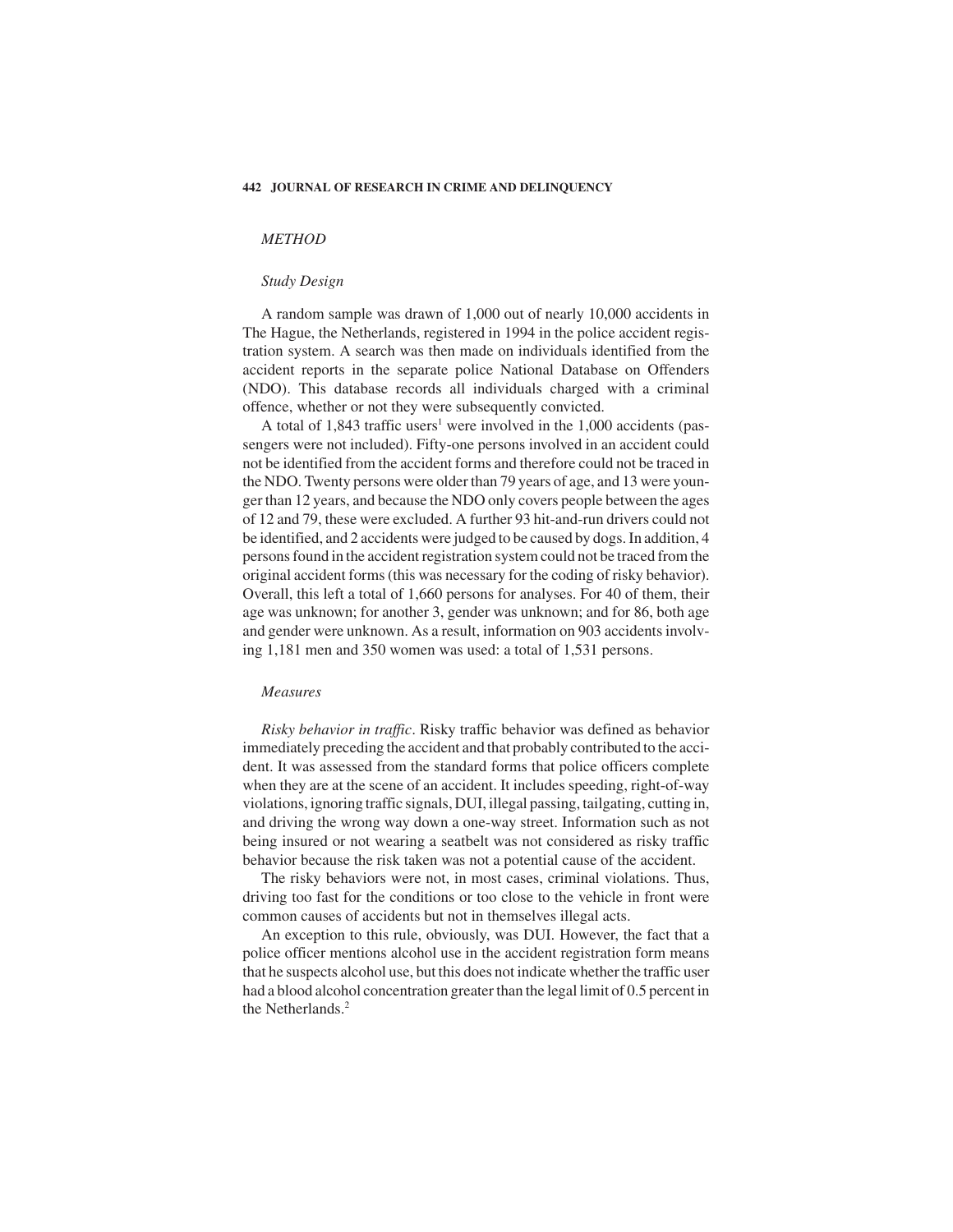### *METHOD*

### *Study Design*

A random sample was drawn of 1,000 out of nearly 10,000 accidents in The Hague, the Netherlands, registered in 1994 in the police accident registration system. A search was then made on individuals identified from the accident reports in the separate police National Database on Offenders (NDO). This database records all individuals charged with a criminal offence, whether or not they were subsequently convicted.

A total of 1,843 traffic users<sup>1</sup> were involved in the 1,000 accidents (passengers were not included). Fifty-one persons involved in an accident could not be identified from the accident forms and therefore could not be traced in the NDO. Twenty persons were older than 79 years of age, and 13 were younger than 12 years, and because the NDO only covers people between the ages of 12 and 79, these were excluded. A further 93 hit-and-run drivers could not be identified, and 2 accidents were judged to be caused by dogs. In addition, 4 persons found in the accident registration system could not be traced from the original accident forms (this was necessary for the coding of risky behavior). Overall, this left a total of 1,660 persons for analyses. For 40 of them, their age was unknown; for another 3, gender was unknown; and for 86, both age and gender were unknown. As a result, information on 903 accidents involving 1,181 men and 350 women was used: a total of 1,531 persons.

### *Measures*

*Risky behavior in traffic*. Risky traffic behavior was defined as behavior immediately preceding the accident and that probably contributed to the accident. It was assessed from the standard forms that police officers complete when they are at the scene of an accident. It includes speeding, right-of-way violations, ignoring traffic signals, DUI, illegal passing, tailgating, cutting in, and driving the wrong way down a one-way street. Information such as not being insured or not wearing a seatbelt was not considered as risky traffic behavior because the risk taken was not a potential cause of the accident.

The risky behaviors were not, in most cases, criminal violations. Thus, driving too fast for the conditions or too close to the vehicle in front were common causes of accidents but not in themselves illegal acts.

An exception to this rule, obviously, was DUI. However, the fact that a police officer mentions alcohol use in the accident registration form means that he suspects alcohol use, but this does not indicate whether the traffic user had a blood alcohol concentration greater than the legal limit of 0.5 percent in the Netherlands.<sup>2</sup>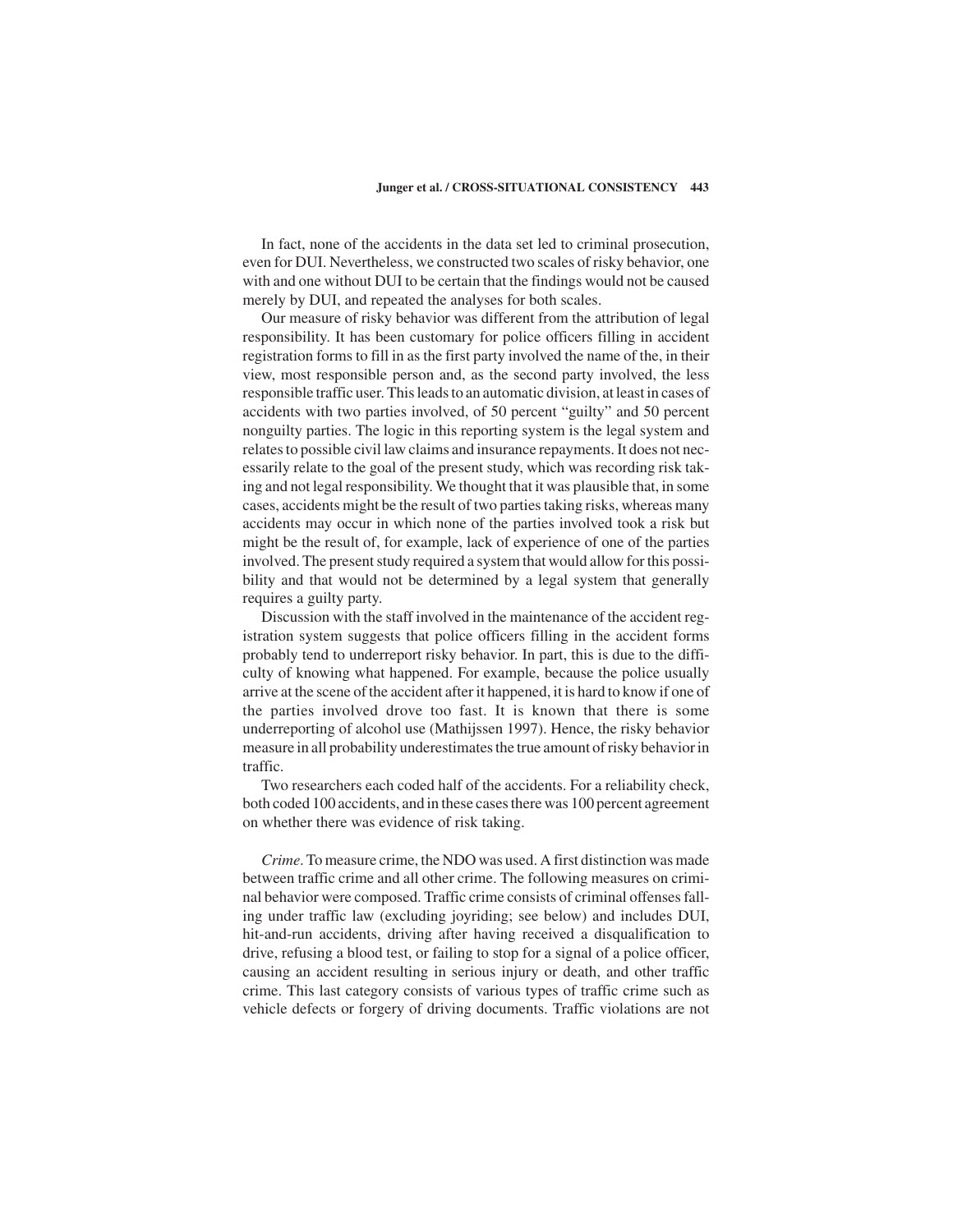### **Junger et al. / CROSS-SITUATIONAL CONSISTENCY 443**

In fact, none of the accidents in the data set led to criminal prosecution, even for DUI. Nevertheless, we constructed two scales of risky behavior, one with and one without DUI to be certain that the findings would not be caused merely by DUI, and repeated the analyses for both scales.

Our measure of risky behavior was different from the attribution of legal responsibility. It has been customary for police officers filling in accident registration forms to fill in as the first party involved the name of the, in their view, most responsible person and, as the second party involved, the less responsible traffic user. This leads to an automatic division, at least in cases of accidents with two parties involved, of 50 percent "guilty" and 50 percent nonguilty parties. The logic in this reporting system is the legal system and relates to possible civil lawclaims and insurance repayments. It does not necessarily relate to the goal of the present study, which was recording risk taking and not legal responsibility. We thought that it was plausible that, in some cases, accidents might be the result of two parties taking risks, whereas many accidents may occur in which none of the parties involved took a risk but might be the result of, for example, lack of experience of one of the parties involved. The present study required a system that would allow for this possibility and that would not be determined by a legal system that generally requires a guilty party.

Discussion with the staff involved in the maintenance of the accident registration system suggests that police officers filling in the accident forms probably tend to underreport risky behavior. In part, this is due to the difficulty of knowing what happened. For example, because the police usually arrive at the scene of the accident after it happened, it is hard to knowif one of the parties involved drove too fast. It is known that there is some underreporting of alcohol use (Mathijssen 1997). Hence, the risky behavior measure in all probability underestimates the true amount of risky behavior in traffic.

Two researchers each coded half of the accidents. For a reliability check, both coded 100 accidents, and in these cases there was 100 percent agreement on whether there was evidence of risk taking.

*Crime*. To measure crime, the NDO was used. A first distinction was made between traffic crime and all other crime. The following measures on criminal behavior were composed. Traffic crime consists of criminal offenses falling under traffic law(excluding joyriding; see below) and includes DUI, hit-and-run accidents, driving after having received a disqualification to drive, refusing a blood test, or failing to stop for a signal of a police officer, causing an accident resulting in serious injury or death, and other traffic crime. This last category consists of various types of traffic crime such as vehicle defects or forgery of driving documents. Traffic violations are not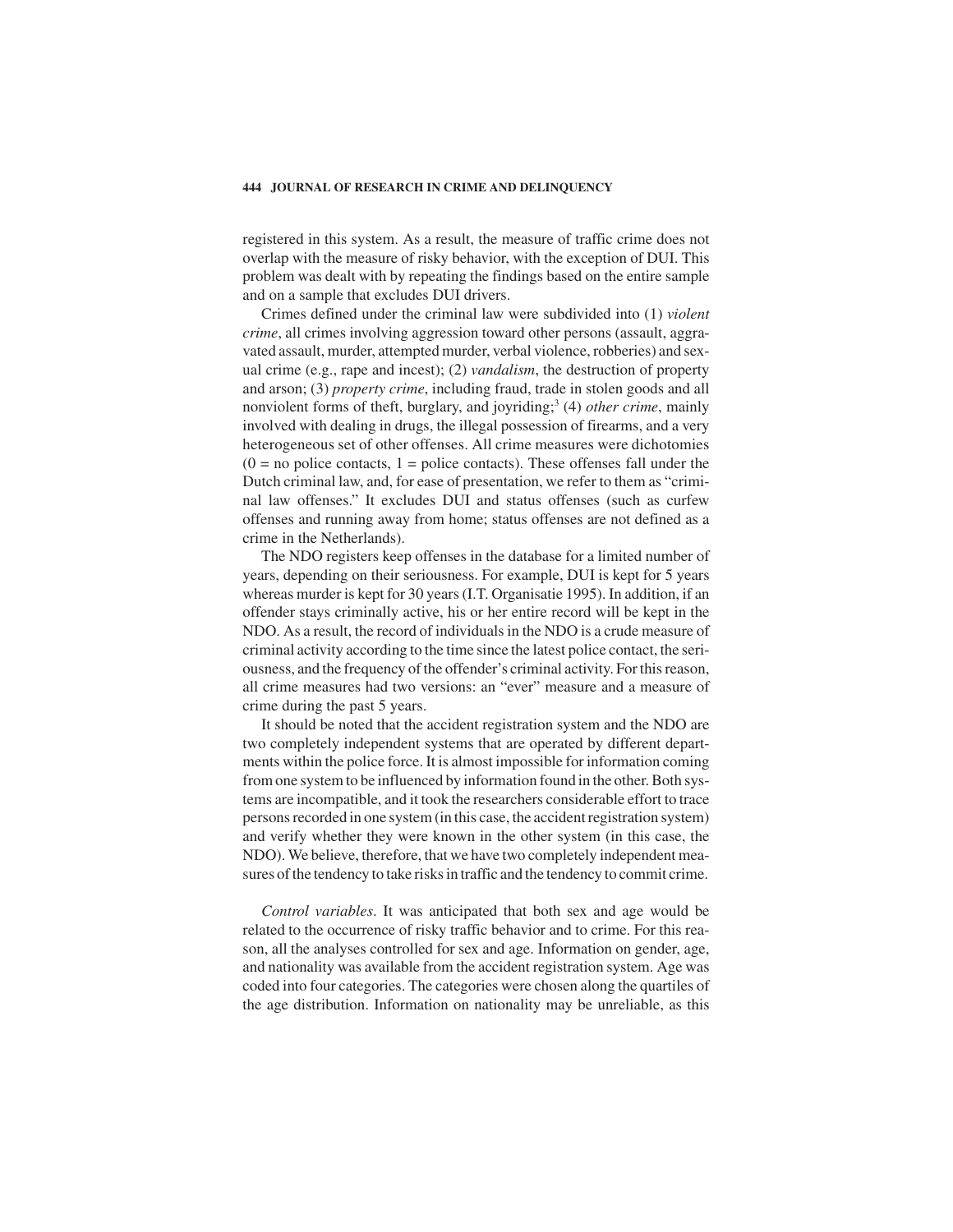registered in this system. As a result, the measure of traffic crime does not overlap with the measure of risky behavior, with the exception of DUI. This problem was dealt with by repeating the findings based on the entire sample and on a sample that excludes DUI drivers.

Crimes defined under the criminal lawwere subdivided into (1) *violent crime*, all crimes involving aggression toward other persons (assault, aggravated assault, murder, attempted murder, verbal violence, robberies) and sexual crime (e.g., rape and incest); (2) *vandalism*, the destruction of property and arson; (3) *property crime*, including fraud, trade in stolen goods and all nonviolent forms of theft, burglary, and joyriding;<sup>3</sup> (4) *other crime*, mainly involved with dealing in drugs, the illegal possession of firearms, and a very heterogeneous set of other offenses. All crime measures were dichotomies  $(0 = no$  police contacts,  $1 = 1$  police contacts). These offenses fall under the Dutch criminal law, and, for ease of presentation, we refer to them as "criminal lawoffenses." It excludes DUI and status offenses (such as curfew offenses and running away from home; status offenses are not defined as a crime in the Netherlands).

The NDO registers keep offenses in the database for a limited number of years, depending on their seriousness. For example, DUI is kept for 5 years whereas murder is kept for 30 years (I.T. Organisatie 1995). In addition, if an offender stays criminally active, his or her entire record will be kept in the NDO. As a result, the record of individuals in the NDO is a crude measure of criminal activity according to the time since the latest police contact, the seriousness, and the frequency of the offender's criminal activity. For this reason, all crime measures had two versions: an "ever" measure and a measure of crime during the past 5 years.

It should be noted that the accident registration system and the NDO are two completely independent systems that are operated by different departments within the police force. It is almost impossible for information coming from one system to be influenced by information found in the other. Both systems are incompatible, and it took the researchers considerable effort to trace persons recorded in one system (in this case, the accident registration system) and verify whether they were known in the other system (in this case, the NDO). We believe, therefore, that we have two completely independent measures of the tendency to take risks in traffic and the tendency to commit crime.

*Control variables*. It was anticipated that both sex and age would be related to the occurrence of risky traffic behavior and to crime. For this reason, all the analyses controlled for sex and age. Information on gender, age, and nationality was available from the accident registration system. Age was coded into four categories. The categories were chosen along the quartiles of the age distribution. Information on nationality may be unreliable, as this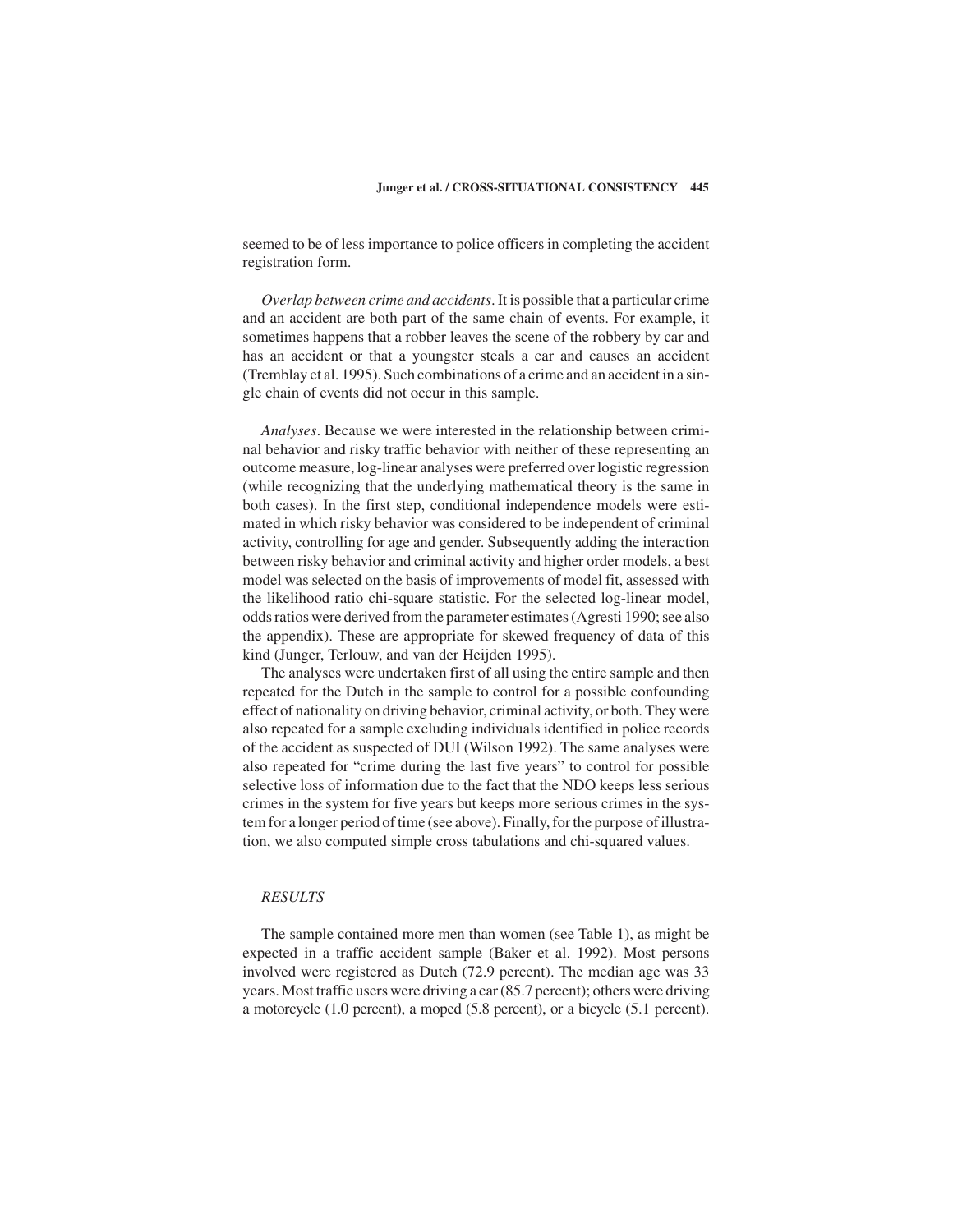seemed to be of less importance to police officers in completing the accident registration form.

*Overlap between crime and accidents*. It is possible that a particular crime and an accident are both part of the same chain of events. For example, it sometimes happens that a robber leaves the scene of the robbery by car and has an accident or that a youngster steals a car and causes an accident (Tremblay et al. 1995). Such combinations of a crime and an accident in a single chain of events did not occur in this sample.

*Analyses*. Because we were interested in the relationship between criminal behavior and risky traffic behavior with neither of these representing an outcome measure, log-linear analyses were preferred over logistic regression (while recognizing that the underlying mathematical theory is the same in both cases). In the first step, conditional independence models were estimated in which risky behavior was considered to be independent of criminal activity, controlling for age and gender. Subsequently adding the interaction between risky behavior and criminal activity and higher order models, a best model was selected on the basis of improvements of model fit, assessed with the likelihood ratio chi-square statistic. For the selected log-linear model, odds ratios were derived from the parameter estimates (Agresti 1990; see also the appendix). These are appropriate for skewed frequency of data of this kind (Junger, Terlouw, and van der Heijden 1995).

The analyses were undertaken first of all using the entire sample and then repeated for the Dutch in the sample to control for a possible confounding effect of nationality on driving behavior, criminal activity, or both. They were also repeated for a sample excluding individuals identified in police records of the accident as suspected of DUI (Wilson 1992). The same analyses were also repeated for "crime during the last five years" to control for possible selective loss of information due to the fact that the NDO keeps less serious crimes in the system for five years but keeps more serious crimes in the system for a longer period of time (see above). Finally, for the purpose of illustration, we also computed simple cross tabulations and chi-squared values.

### *RESULTS*

The sample contained more men than women (see Table 1), as might be expected in a traffic accident sample (Baker et al. 1992). Most persons involved were registered as Dutch (72.9 percent). The median age was 33 years. Most traffic users were driving a car (85.7 percent); others were driving a motorcycle (1.0 percent), a moped (5.8 percent), or a bicycle (5.1 percent).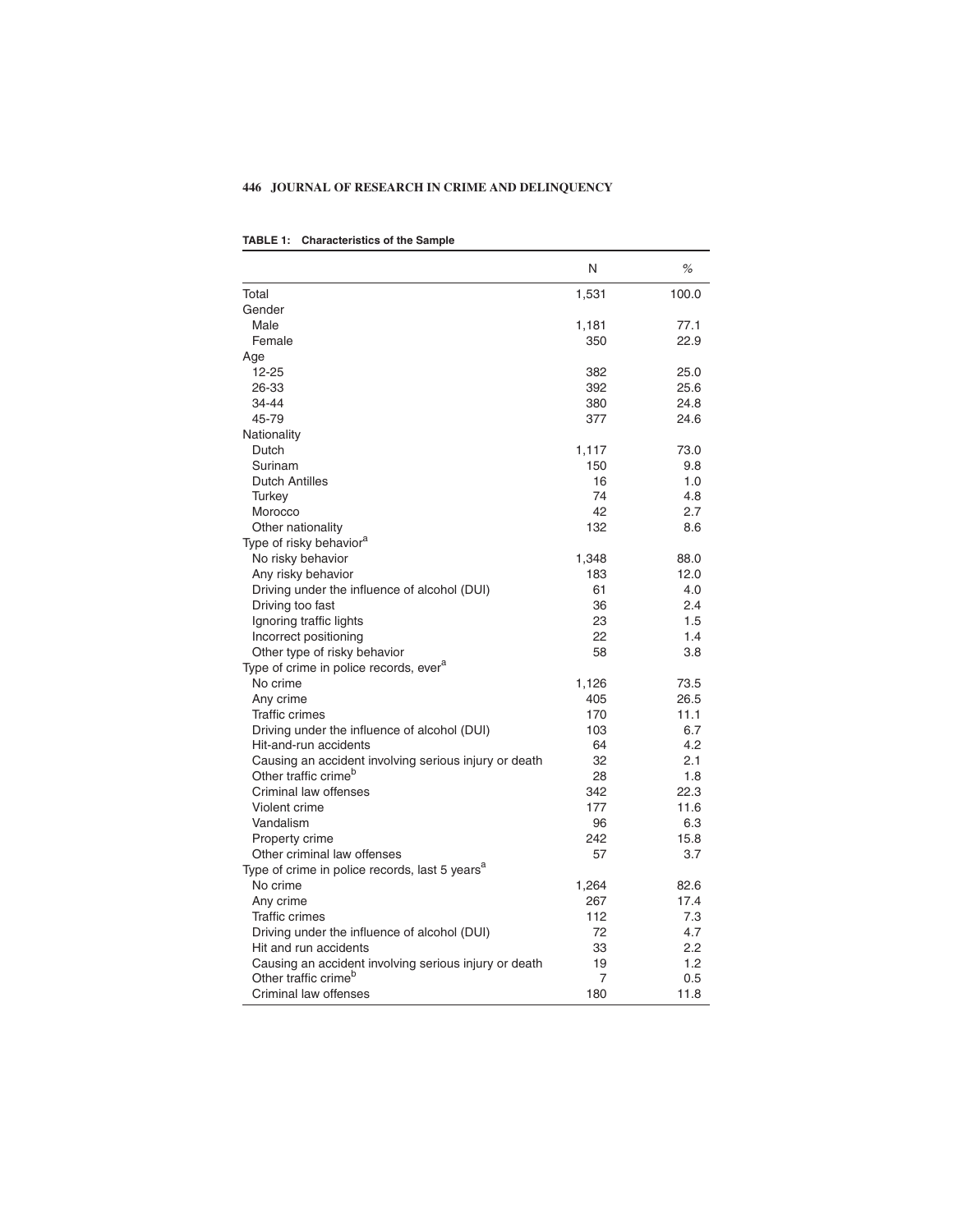|                                                            | N              | %     |
|------------------------------------------------------------|----------------|-------|
| Total                                                      | 1,531          | 100.0 |
| Gender                                                     |                |       |
| Male                                                       | 1,181          | 77.1  |
| Female                                                     | 350            | 22.9  |
| Age                                                        |                |       |
| $12 - 25$                                                  | 382            | 25.0  |
| 26-33                                                      | 392            | 25.6  |
| 34-44                                                      | 380            | 24.8  |
| 45-79                                                      | 377            | 24.6  |
| Nationality                                                |                |       |
| Dutch                                                      | 1,117          | 73.0  |
| Surinam                                                    | 150            | 9.8   |
| <b>Dutch Antilles</b>                                      | 16             | 1.0   |
| Turkey                                                     | 74             | 4.8   |
| Morocco                                                    | 42             | 2.7   |
| Other nationality                                          | 132            | 8.6   |
| Type of risky behavior <sup>a</sup>                        |                |       |
| No risky behavior                                          | 1,348          | 88.0  |
| Any risky behavior                                         | 183            | 12.0  |
| Driving under the influence of alcohol (DUI)               | 61             | 4.0   |
| Driving too fast                                           | 36             | 2.4   |
| Ignoring traffic lights                                    | 23             | 1.5   |
| Incorrect positioning                                      | 22             | 1.4   |
| Other type of risky behavior                               | 58             | 3.8   |
| Type of crime in police records, ever <sup>a</sup>         |                |       |
| No crime                                                   | 1,126          | 73.5  |
| Any crime                                                  | 405            | 26.5  |
| <b>Traffic crimes</b>                                      | 170            | 11.1  |
| Driving under the influence of alcohol (DUI)               | 103            | 6.7   |
| Hit-and-run accidents                                      | 64             | 4.2   |
| Causing an accident involving serious injury or death      | 32             | 2.1   |
| Other traffic crime <sup>b</sup>                           | 28             | 1.8   |
| Criminal law offenses                                      | 342            | 22.3  |
| Violent crime                                              | 177            | 11.6  |
| Vandalism                                                  | 96             | 6.3   |
| Property crime                                             | 242            | 15.8  |
| Other criminal law offenses                                | 57             | 3.7   |
| Type of crime in police records, last 5 years <sup>a</sup> |                |       |
| No crime                                                   | 1,264          | 82.6  |
| Any crime                                                  | 267            | 17.4  |
| <b>Traffic crimes</b>                                      | 112            | 7.3   |
| Driving under the influence of alcohol (DUI)               | 72             | 4.7   |
| Hit and run accidents                                      | 33             | 2.2   |
| Causing an accident involving serious injury or death      | 19             | 1.2   |
| Other traffic crime <sup>b</sup>                           | $\overline{7}$ | 0.5   |
| Criminal law offenses                                      | 180            | 11.8  |
|                                                            |                |       |

### **TABLE 1: Characteristics of the Sample**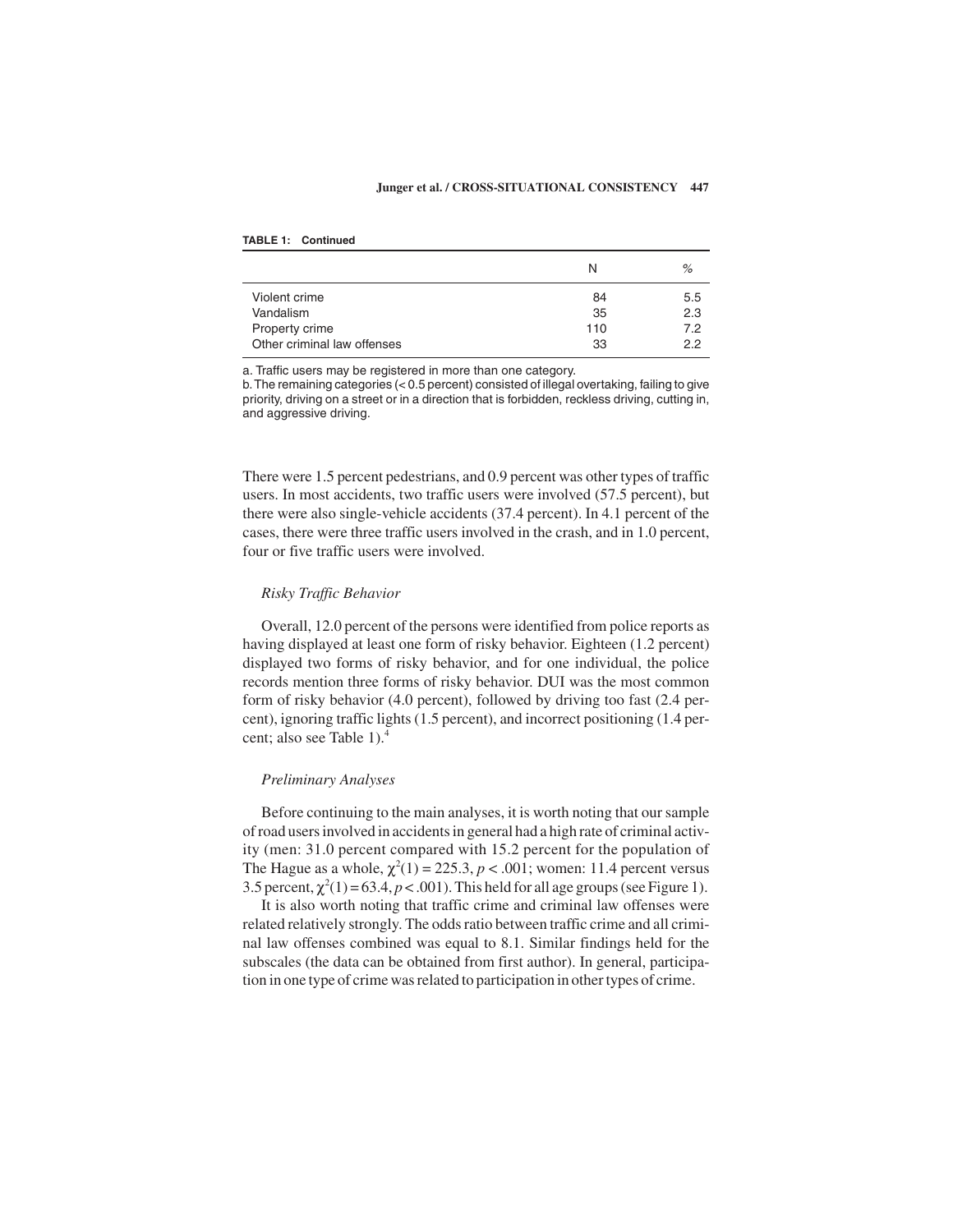#### **Junger et al. / CROSS-SITUATIONAL CONSISTENCY 447**

|                             | Ν   | %   |
|-----------------------------|-----|-----|
| Violent crime               | 84  | 5.5 |
| Vandalism                   | -35 | 2.3 |
| Property crime              | 110 | 7.2 |
| Other criminal law offenses | 33  | 22  |

#### **TABLE 1: Continued**

a. Traffic users may be registered in more than one category.

b.The remaining categories (< 0.5 percent) consisted of illegal overtaking, failing to give priority, driving on a street or in a direction that is forbidden, reckless driving, cutting in, and aggressive driving.

There were 1.5 percent pedestrians, and 0.9 percent was other types of traffic users. In most accidents, two traffic users were involved (57.5 percent), but there were also single-vehicle accidents (37.4 percent). In 4.1 percent of the cases, there were three traffic users involved in the crash, and in 1.0 percent, four or five traffic users were involved.

### *Risky Traffic Behavior*

Overall, 12.0 percent of the persons were identified from police reports as having displayed at least one form of risky behavior. Eighteen (1.2 percent) displayed two forms of risky behavior, and for one individual, the police records mention three forms of risky behavior. DUI was the most common form of risky behavior (4.0 percent), followed by driving too fast (2.4 percent), ignoring traffic lights (1.5 percent), and incorrect positioning (1.4 percent; also see Table 1).4

### *Preliminary Analyses*

Before continuing to the main analyses, it is worth noting that our sample of road users involved in accidents in general had a high rate of criminal activity (men: 31.0 percent compared with 15.2 percent for the population of The Hague as a whole,  $\chi^2(1) = 225.3$ ,  $p < .001$ ; women: 11.4 percent versus 3.5 percent,  $\chi^2(1) = 63.4, p < .001$ ). This held for all age groups (see Figure 1).

It is also worth noting that traffic crime and criminal law offenses were related relatively strongly. The odds ratio between traffic crime and all criminal lawoffenses combined was equal to 8.1. Similar findings held for the subscales (the data can be obtained from first author). In general, participation in one type of crime was related to participation in other types of crime.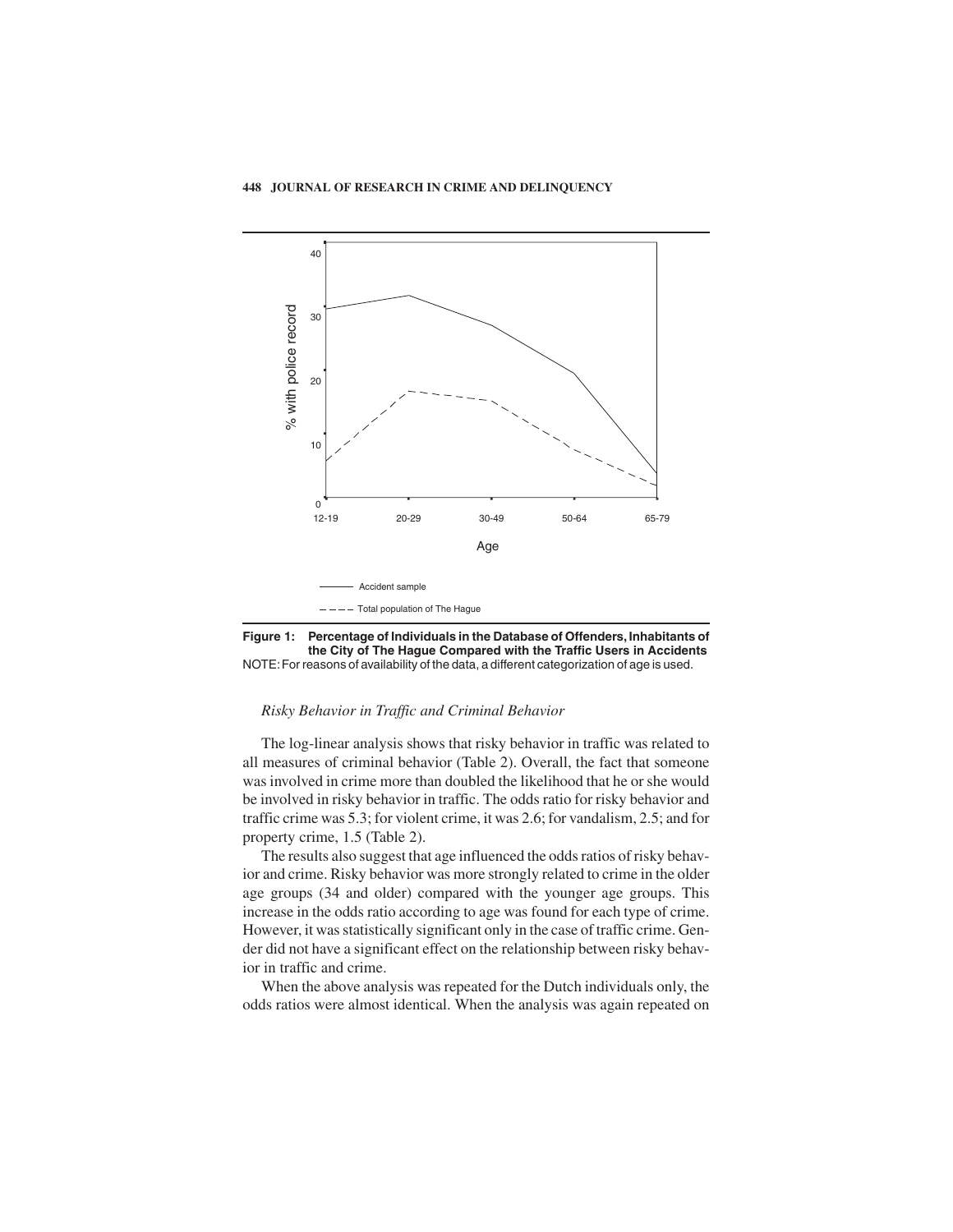



### *Risky Behavior in Traffic and Criminal Behavior*

The log-linear analysis shows that risky behavior in traffic was related to all measures of criminal behavior (Table 2). Overall, the fact that someone was involved in crime more than doubled the likelihood that he or she would be involved in risky behavior in traffic. The odds ratio for risky behavior and traffic crime was 5.3; for violent crime, it was 2.6; for vandalism, 2.5; and for property crime, 1.5 (Table 2).

The results also suggest that age influenced the odds ratios of risky behavior and crime. Risky behavior was more strongly related to crime in the older age groups (34 and older) compared with the younger age groups. This increase in the odds ratio according to age was found for each type of crime. However, it was statistically significant only in the case of traffic crime. Gender did not have a significant effect on the relationship between risky behavior in traffic and crime.

When the above analysis was repeated for the Dutch individuals only, the odds ratios were almost identical. When the analysis was again repeated on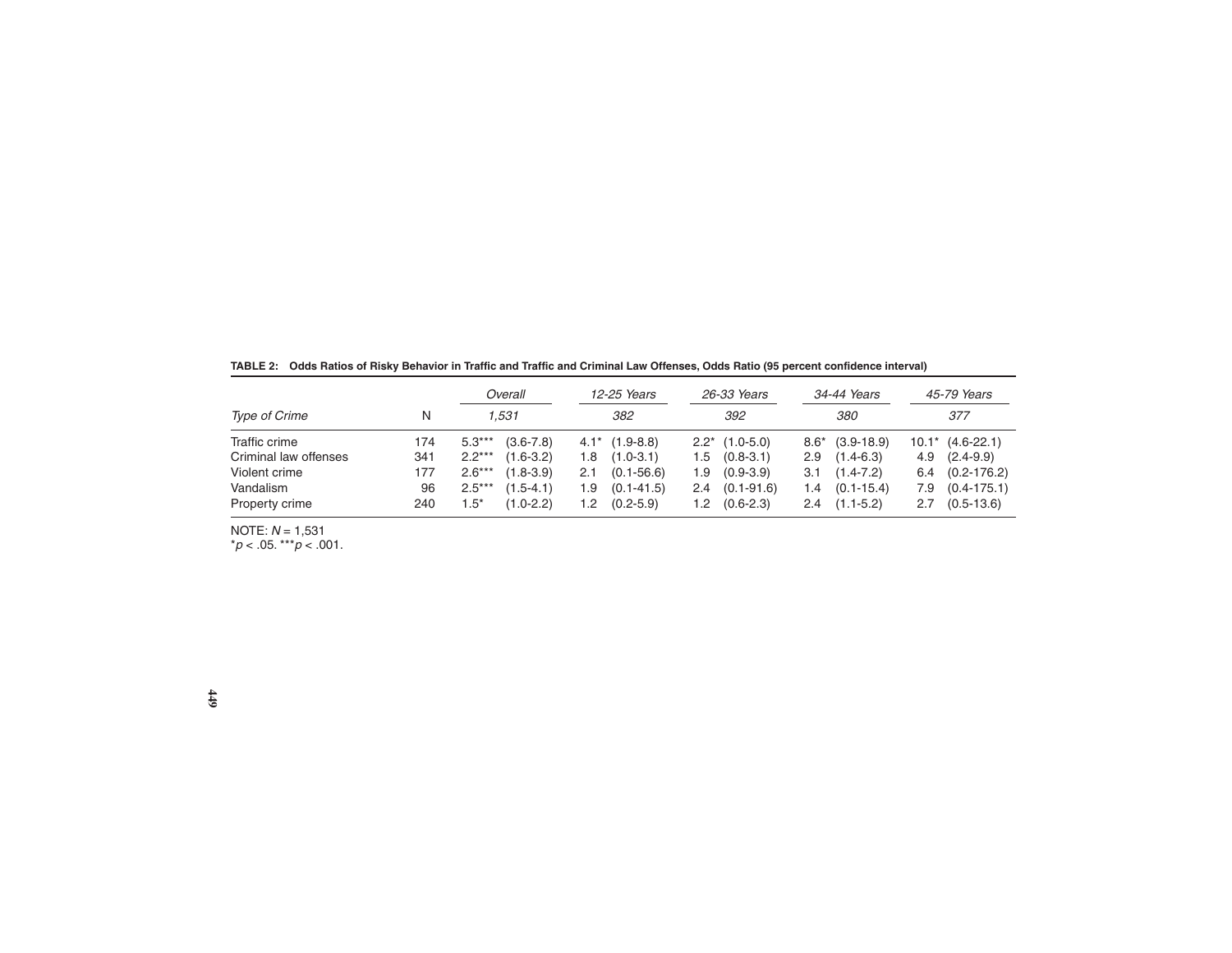**TABLE 2: Odds Ratios of Risky Behavior in Traffic and Traffic and Criminal Law Offenses, Odds Ratio (95 percent confidence interval)**

|                       |     | Overall                   | 12-25 Years           | 26-33 Years           | 34-44 Years                     | 45-79 Years            |
|-----------------------|-----|---------------------------|-----------------------|-----------------------|---------------------------------|------------------------|
| <b>Type of Crime</b>  | N   | 1.531                     | 382                   | 392                   | <i>380</i>                      | 377                    |
| Traffic crime         | 174 | $5.3***$<br>$(3.6 - 7.8)$ | $4.1*$ $(1.9-8.8)$    | $2.2^*$ (1.0-5.0)     | $8.6*$ $(3.9-18.9)$             | $10.1*$ $(4.6-22.1)$   |
| Criminal law offenses | 341 | $2.2***$<br>$(1.6 - 3.2)$ | $(1.0 - 3.1)$<br>1.8  | $(0.8 - 3.1)$<br>1.5  | $(1.4 - 6.3)$<br>$2.9^{\circ}$  | $4.9$ $(2.4-9.9)$      |
| Violent crime         | 177 | $2.6***$<br>$(1.8 - 3.9)$ | $(0.1 - 56.6)$<br>2.1 | $(0.9 - 3.9)$<br>1.9  | $3.1$ $(1.4-7.2)$               | $(0.2 - 176.2)$<br>6.4 |
| Vandalism             | 96  | $2.5***$<br>$(1.5 - 4.1)$ | $(0.1 - 41.5)$<br>1.9 | $(0.1 - 91.6)$<br>2.4 | $(0.1 - 15.4)$<br>$1.4^{\circ}$ | $(0.4 - 175.1)$<br>7.9 |
| Property crime        | 240 | 1.5*<br>$(1.0 - 2.2)$     | $(0.2 - 5.9)$<br>1.2  | $(0.6 - 2.3)$<br>1.2  | $(1.1 - 5.2)$<br>2.4            | $(0.5-13.6)$<br>2.7    |

NOTE: N = 1,531

 $^{\star}$ *p* < .05.  $^{\star\star\star}$ *p* < .001.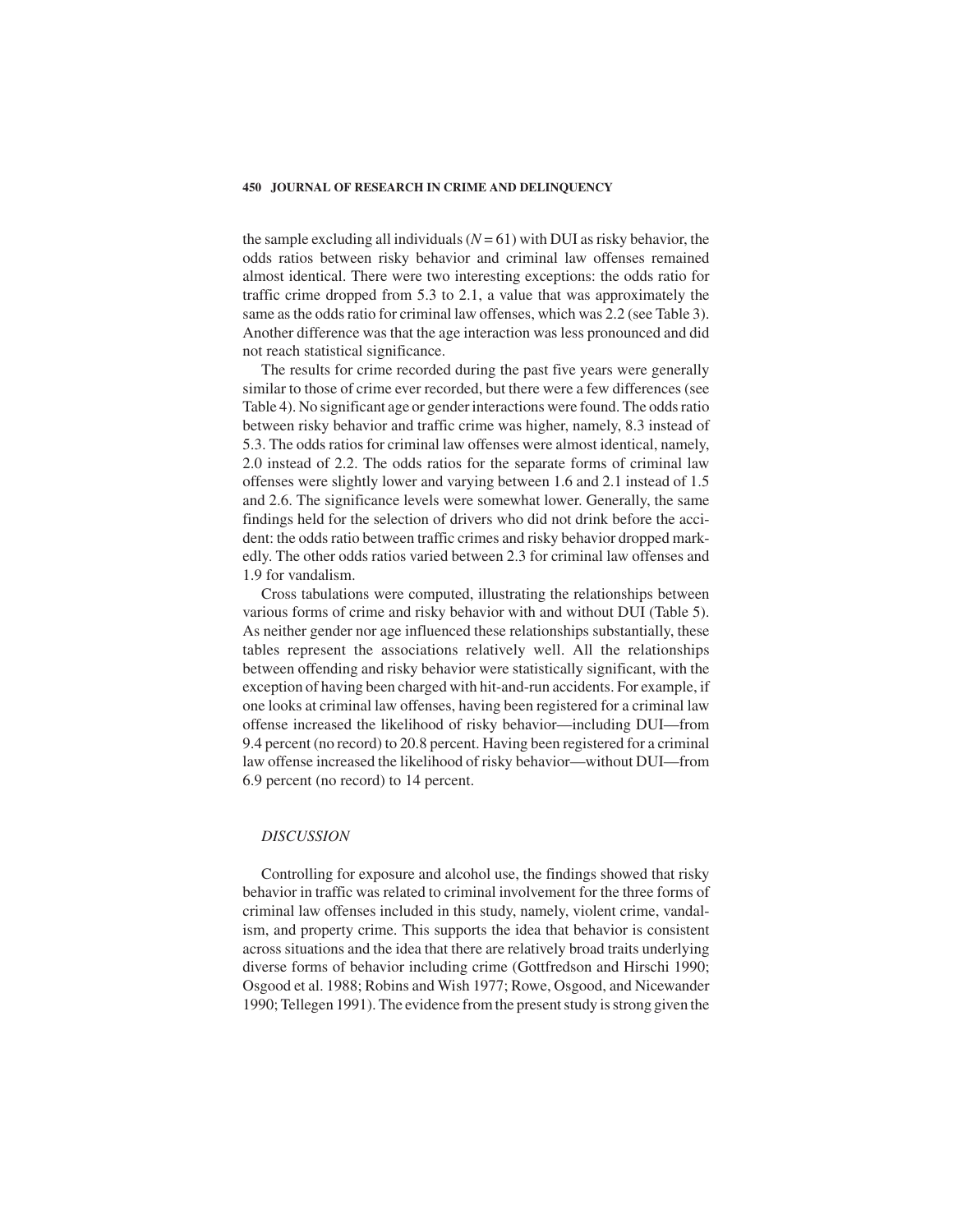the sample excluding all individuals  $(N = 61)$  with DUI as risky behavior, the odds ratios between risky behavior and criminal law offenses remained almost identical. There were two interesting exceptions: the odds ratio for traffic crime dropped from 5.3 to 2.1, a value that was approximately the same as the odds ratio for criminal lawoffenses, which was 2.2 (see Table 3). Another difference was that the age interaction was less pronounced and did not reach statistical significance.

The results for crime recorded during the past five years were generally similar to those of crime ever recorded, but there were a few differences (see Table 4). No significant age or gender interactions were found. The odds ratio between risky behavior and traffic crime was higher, namely, 8.3 instead of 5.3. The odds ratios for criminal lawoffenses were almost identical, namely, 2.0 instead of 2.2. The odds ratios for the separate forms of criminal law offenses were slightly lower and varying between 1.6 and 2.1 instead of 1.5 and 2.6. The significance levels were somewhat lower. Generally, the same findings held for the selection of drivers who did not drink before the accident: the odds ratio between traffic crimes and risky behavior dropped markedly. The other odds ratios varied between 2.3 for criminal law offenses and 1.9 for vandalism.

Cross tabulations were computed, illustrating the relationships between various forms of crime and risky behavior with and without DUI (Table 5). As neither gender nor age influenced these relationships substantially, these tables represent the associations relatively well. All the relationships between offending and risky behavior were statistically significant, with the exception of having been charged with hit-and-run accidents. For example, if one looks at criminal lawoffenses, having been registered for a criminal law offense increased the likelihood of risky behavior—including DUI—from 9.4 percent (no record) to 20.8 percent. Having been registered for a criminal lawoffense increased the likelihood of risky behavior—without DUI—from 6.9 percent (no record) to 14 percent.

### *DISCUSSION*

Controlling for exposure and alcohol use, the findings showed that risky behavior in traffic was related to criminal involvement for the three forms of criminal lawoffenses included in this study, namely, violent crime, vandalism, and property crime. This supports the idea that behavior is consistent across situations and the idea that there are relatively broad traits underlying diverse forms of behavior including crime (Gottfredson and Hirschi 1990; Osgood et al. 1988; Robins and Wish 1977; Rowe, Osgood, and Nicewander 1990; Tellegen 1991). The evidence from the present study is strong given the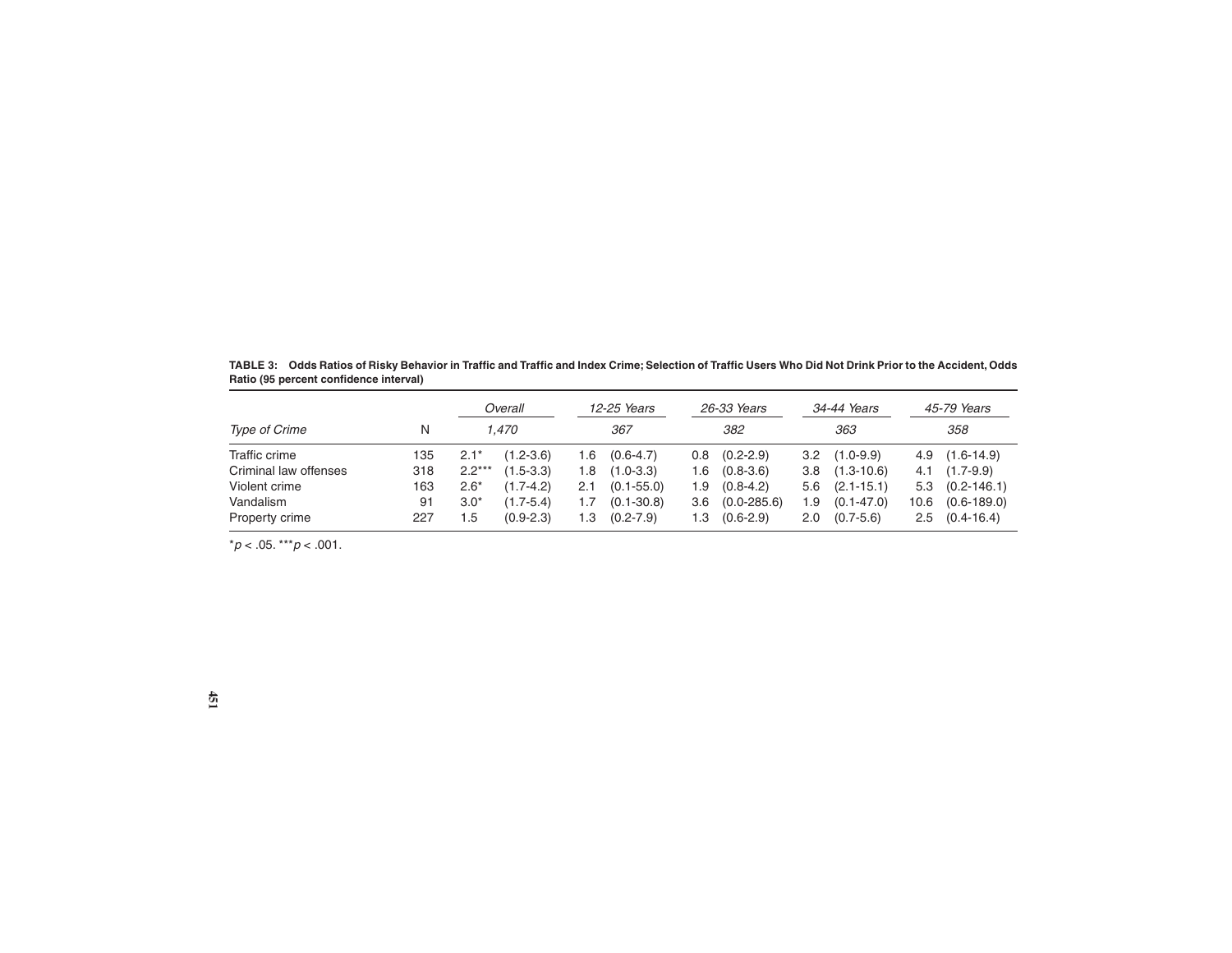Overall 12-25 Years 26-33 Years 34-44 Years 45-79 Years Type of Crime **N** 1,470 367 382 363 358 Traffic crime 135 2.1\* (1.2-3.6) 1.6 (0.6-4.7) 0.8 (0.2-2.9) 3.2 (1.0-9.9) 4.9 (1.6-14.9) Criminal law offenses 318 2.2\*\*\* (1.5-3.3) 1.8 (1.0-3.3) 1.6 (0.8-3.6) 3.8 (1.3-10.6) 4.1 (1.7-9.9) Violent crime 163 2.6\* (1.7-4.2) 2.1 (0.1-55.0) 1.9 (0.8-4.2) 5.6 (2.1-15.1) 5.3 (0.2-146.1) Vandalism 91 3.0\* (1.7-5.4) 1.7 (0.1-30.8) 3.6 (0.0-285.6) 1.9 (0.1-47.0) 10.6 (0.6-189.0)<br>Property crime 227 1.5 (0.9-2.3) 1.3 (0.2-7.9) 1.3 (0.6-2.9) 2.0 (0.7-5.6) 2.5 (0.4-16.4) Property crime 227 1.5 (0.9-2.3) 1.3 (0.2-7.9) 1.3 (0.6-2.9) 2.0 (0.7-5.6) 2.5 (0.4-16.4)

TABLE 3: Odds Ratios of Risky Behavior in Traffic and Traffic and Index Crime; Selection of Traffic Users Who Did Not Drink Prior to the Accident, Odds **Ratio (95 percent confidence interval)**

 $*p < .05$ . \*\*\* $p < .001$ .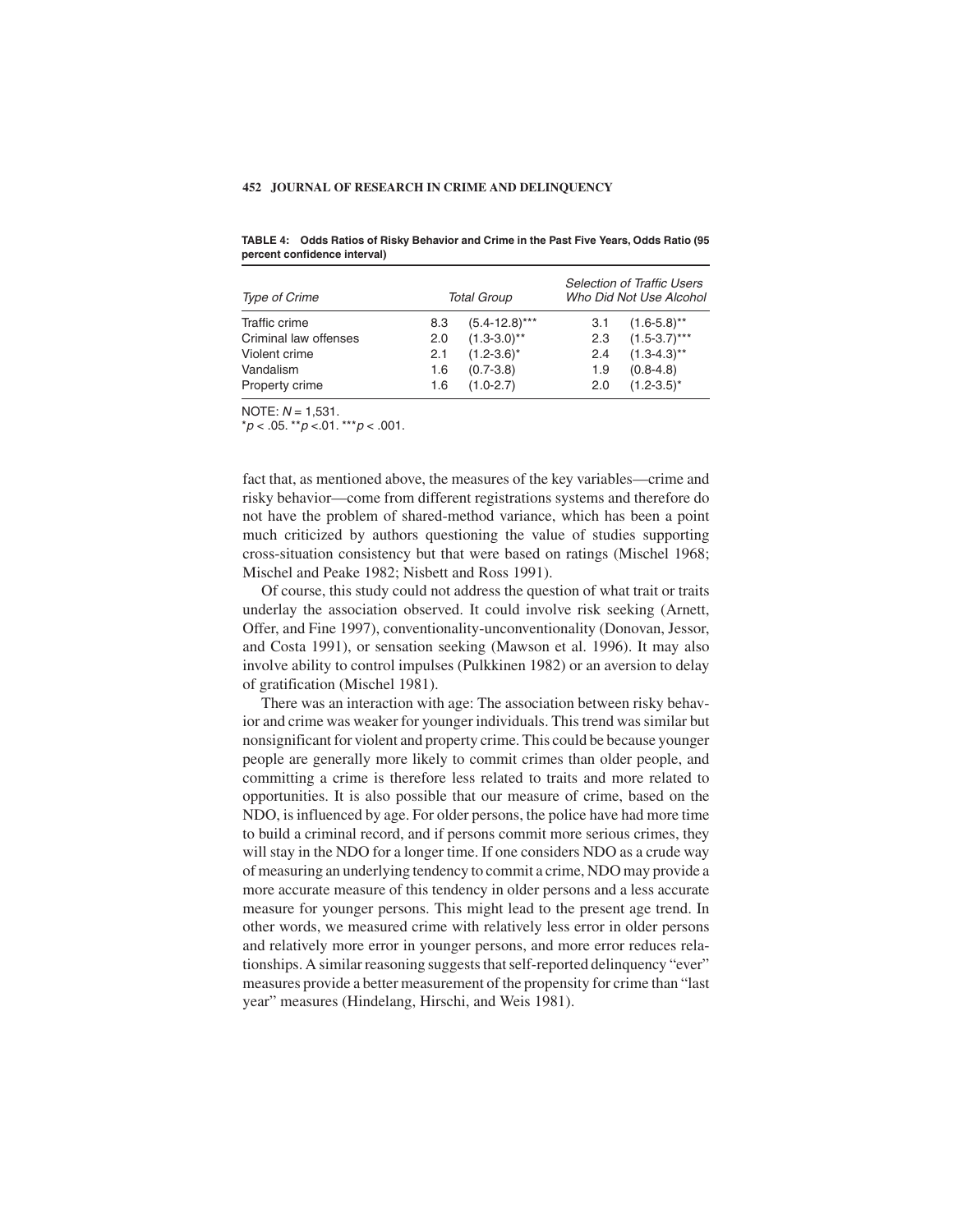**TABLE 4: Odds Ratios of Risky Behavior and Crime in the Past Five Years, Odds Ratio (95 percent confidence interval)**

| <b>Type of Crime</b>  |     | <b>Total Group</b> | <b>Selection of Traffic Users</b><br>Who Did Not Use Alcohol |                  |  |  |
|-----------------------|-----|--------------------|--------------------------------------------------------------|------------------|--|--|
| Traffic crime         | 8.3 | $(5.4 - 12.8)$ *** | 3.1                                                          | $(1.6 - 5.8)$ ** |  |  |
| Criminal law offenses | 2.0 | $(1.3 - 3.0)$ **   | 2.3                                                          | $(1.5-3.7)$ ***  |  |  |
| Violent crime         | 2.1 | $(1.2 - 3.6)^*$    | 2.4                                                          | $(1.3-4.3)$ **   |  |  |
| Vandalism             | 1.6 | $(0.7 - 3.8)$      | 1.9                                                          | $(0.8 - 4.8)$    |  |  |
| Property crime        | 1.6 | $(1.0 - 2.7)$      | 2.0                                                          | $(1.2 - 3.5)^*$  |  |  |

 $NOTE: N = 1.531.$ 

 $*p < .05.$   $*p < .01.$   $**p < .001.$ 

fact that, as mentioned above, the measures of the key variables—crime and risky behavior—come from different registrations systems and therefore do not have the problem of shared-method variance, which has been a point much criticized by authors questioning the value of studies supporting cross-situation consistency but that were based on ratings (Mischel 1968; Mischel and Peake 1982; Nisbett and Ross 1991).

Of course, this study could not address the question of what trait or traits underlay the association observed. It could involve risk seeking (Arnett, Offer, and Fine 1997), conventionality-unconventionality (Donovan, Jessor, and Costa 1991), or sensation seeking (Mawson et al. 1996). It may also involve ability to control impulses (Pulkkinen 1982) or an aversion to delay of gratification (Mischel 1981).

There was an interaction with age: The association between risky behavior and crime was weaker for younger individuals. This trend was similar but nonsignificant for violent and property crime. This could be because younger people are generally more likely to commit crimes than older people, and committing a crime is therefore less related to traits and more related to opportunities. It is also possible that our measure of crime, based on the NDO, is influenced by age. For older persons, the police have had more time to build a criminal record, and if persons commit more serious crimes, they will stay in the NDO for a longer time. If one considers NDO as a crude way of measuring an underlying tendency to commit a crime, NDO may provide a more accurate measure of this tendency in older persons and a less accurate measure for younger persons. This might lead to the present age trend. In other words, we measured crime with relatively less error in older persons and relatively more error in younger persons, and more error reduces relationships. A similar reasoning suggests that self-reported delinquency "ever" measures provide a better measurement of the propensity for crime than "last year" measures (Hindelang, Hirschi, and Weis 1981).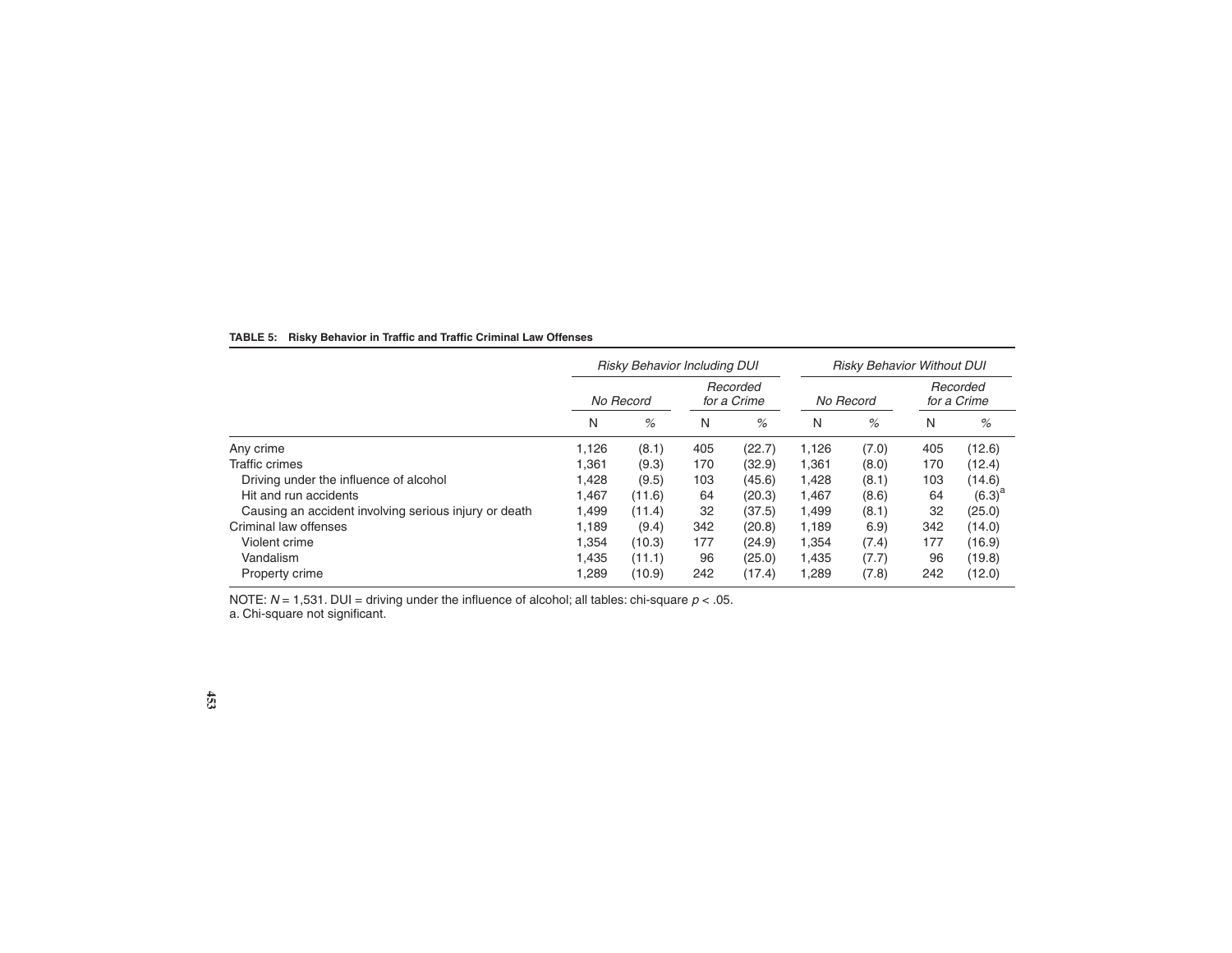|                                                       | <b>Risky Behavior Including DUI</b> |        |                         |        | <b>Risky Behavior Without DUI</b> |       |                         |           |
|-------------------------------------------------------|-------------------------------------|--------|-------------------------|--------|-----------------------------------|-------|-------------------------|-----------|
|                                                       | No Record                           |        | Recorded<br>for a Crime |        | No Record                         |       | Recorded<br>for a Crime |           |
|                                                       | N                                   | %      | N                       | %      | N                                 | %     | N                       | %         |
| Any crime                                             | 1.126                               | (8.1)  | 405                     | (22.7) | 1,126                             | (7.0) | 405                     | (12.6)    |
| Traffic crimes                                        | 1.361                               | (9.3)  | 170                     | (32.9) | 1,361                             | (8.0) | 170                     | (12.4)    |
| Driving under the influence of alcohol                | 1,428                               | (9.5)  | 103                     | (45.6) | 1,428                             | (8.1) | 103                     | (14.6)    |
| Hit and run accidents                                 | 1.467                               | (11.6) | 64                      | (20.3) | 1,467                             | (8.6) | 64                      | $(6.3)^d$ |
| Causing an accident involving serious injury or death | 1,499                               | (11.4) | 32                      | (37.5) | 1,499                             | (8.1) | 32                      | (25.0)    |
| Criminal law offenses                                 | 1.189                               | (9.4)  | 342                     | (20.8) | 1.189                             | 6.9)  | 342                     | (14.0)    |
| Violent crime                                         | 1.354                               | (10.3) | 177                     | (24.9) | 1,354                             | (7.4) | 177                     | (16.9)    |
| Vandalism                                             | 1.435                               | (11.1) | 96                      | (25.0) | 1,435                             | (7.7) | 96                      | (19.8)    |
| Property crime                                        | 1,289                               | (10.9) | 242                     | (17.4) | 1,289                             | (7.8) | 242                     | (12.0)    |

#### **TABLE 5: Risky Behavior in Traffic and Traffic Criminal Law Offenses**

NOTE: N = 1,531. DUI = driving under the influence of alcohol; all tables: chi-square  $\rho$  < .05. a. Chi-square not significant.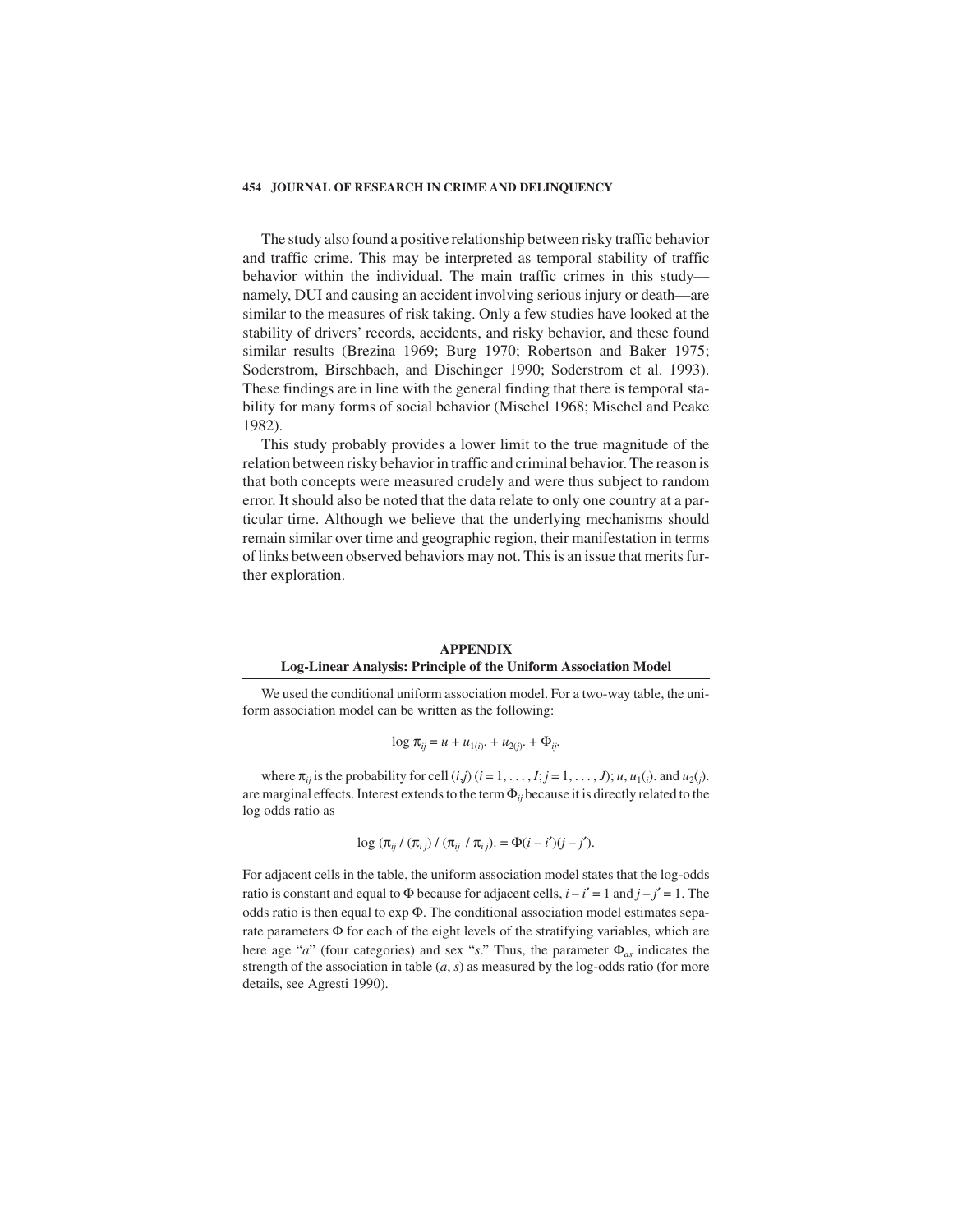The study also found a positive relationship between risky traffic behavior and traffic crime. This may be interpreted as temporal stability of traffic behavior within the individual. The main traffic crimes in this study namely, DUI and causing an accident involving serious injury or death—are similar to the measures of risk taking. Only a fewstudies have looked at the stability of drivers' records, accidents, and risky behavior, and these found similar results (Brezina 1969; Burg 1970; Robertson and Baker 1975; Soderstrom, Birschbach, and Dischinger 1990; Soderstrom et al. 1993). These findings are in line with the general finding that there is temporal stability for many forms of social behavior (Mischel 1968; Mischel and Peake 1982).

This study probably provides a lower limit to the true magnitude of the relation between risky behavior in traffic and criminal behavior. The reason is that both concepts were measured crudely and were thus subject to random error. It should also be noted that the data relate to only one country at a particular time. Although we believe that the underlying mechanisms should remain similar over time and geographic region, their manifestation in terms of links between observed behaviors may not. This is an issue that merits further exploration.

### **APPENDIX Log-Linear Analysis: Principle of the Uniform Association Model**

We used the conditional uniform association model. For a two-way table, the uniform association model can be written as the following:

$$
\log \pi_{ij} = u + u_{1(i)} + u_{2(j)} + \Phi_{ij},
$$

where  $\pi_{ii}$  is the probability for cell  $(i,j)$   $(i = 1, \ldots, I; j = 1, \ldots, J; u, u_1(i)$ . and  $u_2(j)$ . are marginal effects. Interest extends to the term Φ*ij* because it is directly related to the log odds ratio as

$$
\log (\pi_{ij} / (\pi_{ij}) / (\pi_{ij} / \pi_{ij}). = \Phi(i - i') (j - j').
$$

For adjacent cells in the table, the uniform association model states that the log-odds ratio is constant and equal to  $\Phi$  because for adjacent cells,  $i - i' = 1$  and  $j - j' = 1$ . The odds ratio is then equal to exp Φ. The conditional association model estimates separate parameters Φ for each of the eight levels of the stratifying variables, which are here age "*a*" (four categories) and sex "*s*." Thus, the parameter Φ*as* indicates the strength of the association in table (*a*, *s*) as measured by the log-odds ratio (for more details, see Agresti 1990).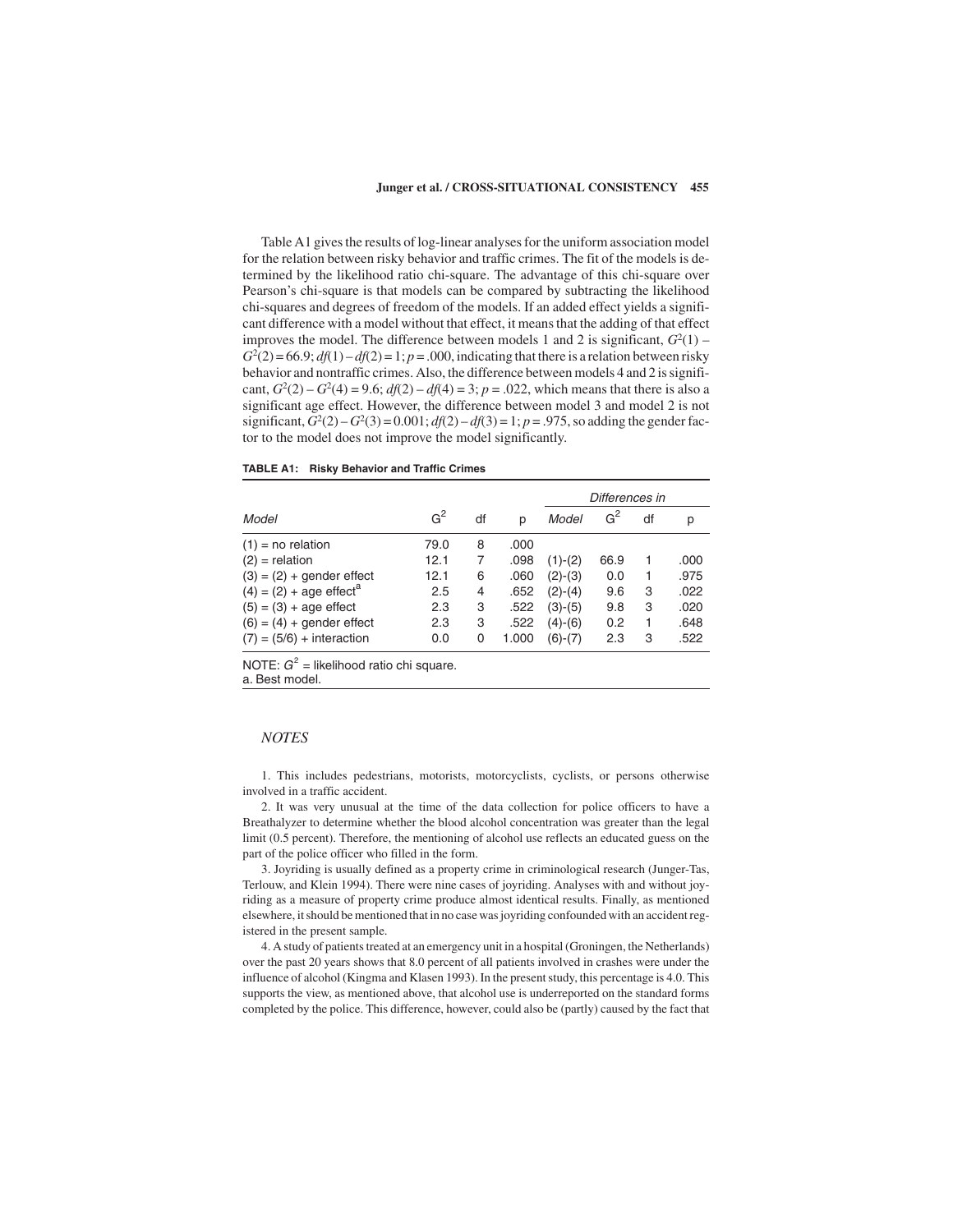### **Junger et al. / CROSS-SITUATIONAL CONSISTENCY 455**

Table A1 gives the results of log-linear analyses for the uniform association model for the relation between risky behavior and traffic crimes. The fit of the models is determined by the likelihood ratio chi-square. The advantage of this chi-square over Pearson's chi-square is that models can be compared by subtracting the likelihood chi-squares and degrees of freedom of the models. If an added effect yields a significant difference with a model without that effect, it means that the adding of that effect improves the model. The difference between models 1 and 2 is significant,  $G<sup>2</sup>(1)$  –  $G<sup>2</sup>(2) = 66.9$ ;  $df(1) - df(2) = 1$ ;  $p = .000$ , indicating that there is a relation between risky behavior and nontraffic crimes. Also, the difference between models 4 and 2 is significant,  $G^2(2) - G^2(4) = 9.6$ ;  $df(2) - df(4) = 3$ ;  $p = .022$ , which means that there is also a significant age effect. However, the difference between model 3 and model 2 is not significant,  $G^2(2) - G^2(3) = 0.001$ ;  $d\mathfrak{f}(2) - d\mathfrak{f}(3) = 1$ ;  $p = .975$ , so adding the gender factor to the model does not improve the model significantly.

| <b>TABLE A1: Risky Behavior and Traffic Crimes</b> |  |  |  |  |  |
|----------------------------------------------------|--|--|--|--|--|
|----------------------------------------------------|--|--|--|--|--|

|                                       |                |    |       | Differences in |       |    |      |
|---------------------------------------|----------------|----|-------|----------------|-------|----|------|
| Model                                 | G <sup>2</sup> | df | D     | Model          | $G^2$ | df | р    |
| $(1)$ = no relation                   | 79.0           | 8  | .000  |                |       |    |      |
| $(2)$ = relation                      | 12.1           | 7  | .098  | $(1)-(2)$      | 66.9  |    | .000 |
| $(3) = (2) +$ gender effect           | 12.1           | 6  | .060  | $(2)-(3)$      | 0.0   |    | .975 |
| $(4) = (2) + age$ effect <sup>a</sup> | 2.5            | 4  | .652  | $(2)-(4)$      | 9.6   | 3  | .022 |
| $(5) = (3) + age$ effect              | 2.3            | 3  | .522  | $(3)-(5)$      | 9.8   | 3  | .020 |
| $(6) = (4) +$ gender effect           | 2.3            | 3  | .522  | $(4)-(6)$      | 0.2   |    | .648 |
| $(7) = (5/6) +$ interaction           | 0.0            | 0  | 1.000 | (6)-(7)        | 2.3   | 3  | .522 |

NOTE:  $G^2$  = likelihood ratio chi square.

a. Best model.

### *NOTES*

1. This includes pedestrians, motorists, motorcyclists, cyclists, or persons otherwise involved in a traffic accident.

2. It was very unusual at the time of the data collection for police officers to have a Breathalyzer to determine whether the blood alcohol concentration was greater than the legal limit (0.5 percent). Therefore, the mentioning of alcohol use reflects an educated guess on the part of the police officer who filled in the form.

3. Joyriding is usually defined as a property crime in criminological research (Junger-Tas, Terlouw, and Klein 1994). There were nine cases of joyriding. Analyses with and without joyriding as a measure of property crime produce almost identical results. Finally, as mentioned elsewhere, it should be mentioned that in no case was joyriding confounded with an accident registered in the present sample.

4. A study of patients treated at an emergency unit in a hospital (Groningen, the Netherlands) over the past 20 years shows that 8.0 percent of all patients involved in crashes were under the influence of alcohol (Kingma and Klasen 1993). In the present study, this percentage is 4.0. This supports the view, as mentioned above, that alcohol use is underreported on the standard forms completed by the police. This difference, however, could also be (partly) caused by the fact that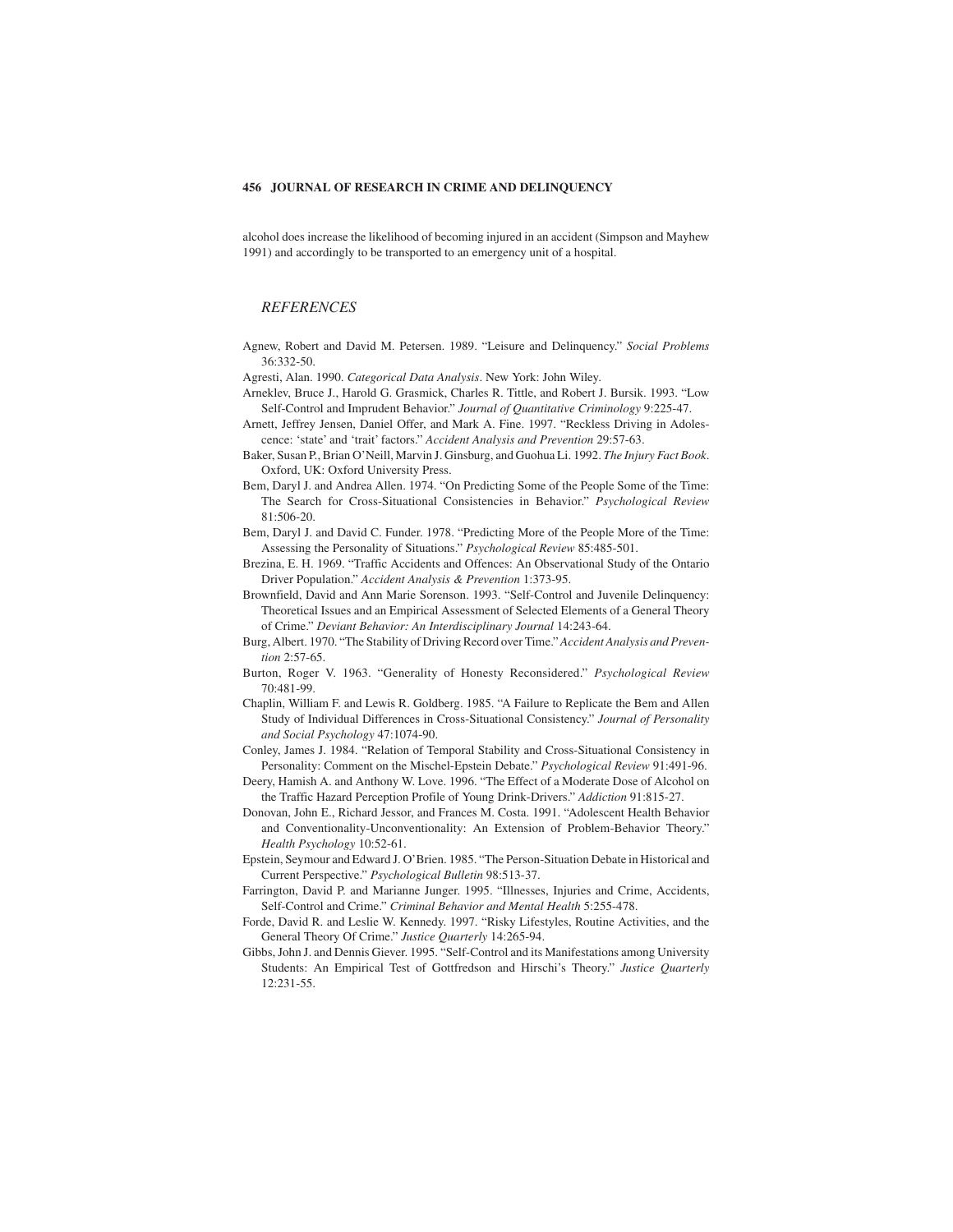alcohol does increase the likelihood of becoming injured in an accident (Simpson and Mayhew 1991) and accordingly to be transported to an emergency unit of a hospital.

### *REFERENCES*

- Agnew, Robert and David M. Petersen. 1989. "Leisure and Delinquency." *Social Problems* 36:332-50.
- Agresti, Alan. 1990. *Categorical Data Analysis*. New York: John Wiley.
- Arneklev, Bruce J., Harold G. Grasmick, Charles R. Tittle, and Robert J. Bursik. 1993. "Low Self-Control and Imprudent Behavior." *Journal of Quantitative Criminology* 9:225-47.
- Arnett, Jeffrey Jensen, Daniel Offer, and Mark A. Fine. 1997. "Reckless Driving in Adolescence: 'state' and 'trait' factors." *Accident Analysis and Prevention* 29:57-63.
- Baker, Susan P., Brian O'Neill, Marvin J. Ginsburg, and Guohua Li. 1992. *The Injury Fact Book*. Oxford, UK: Oxford University Press.
- Bem, Daryl J. and Andrea Allen. 1974. "On Predicting Some of the People Some of the Time: The Search for Cross-Situational Consistencies in Behavior." *Psychological Review* 81:506-20.
- Bem, Daryl J. and David C. Funder. 1978. "Predicting More of the People More of the Time: Assessing the Personality of Situations." *Psychological Review* 85:485-501.
- Brezina, E. H. 1969. "Traffic Accidents and Offences: An Observational Study of the Ontario Driver Population." *Accident Analysis & Prevention* 1:373-95.
- Brownfield, David and Ann Marie Sorenson. 1993. "Self-Control and Juvenile Delinquency: Theoretical Issues and an Empirical Assessment of Selected Elements of a General Theory of Crime." *Deviant Behavior: An Interdisciplinary Journal* 14:243-64.
- Burg, Albert. 1970. "The Stability of Driving Record over Time." *Accident Analysis and Prevention* 2:57-65.
- Burton, Roger V. 1963. "Generality of Honesty Reconsidered." *Psychological Review* 70:481-99.
- Chaplin, William F. and Lewis R. Goldberg. 1985. "A Failure to Replicate the Bem and Allen Study of Individual Differences in Cross-Situational Consistency." *Journal of Personality and Social Psychology* 47:1074-90.
- Conley, James J. 1984. "Relation of Temporal Stability and Cross-Situational Consistency in Personality: Comment on the Mischel-Epstein Debate." *Psychological Review* 91:491-96.
- Deery, Hamish A. and Anthony W. Love. 1996. "The Effect of a Moderate Dose of Alcohol on the Traffic Hazard Perception Profile of Young Drink-Drivers." *Addiction* 91:815-27.
- Donovan, John E., Richard Jessor, and Frances M. Costa. 1991. "Adolescent Health Behavior and Conventionality-Unconventionality: An Extension of Problem-Behavior Theory." *Health Psychology* 10:52-61.
- Epstein, Seymour and Edward J. O'Brien. 1985. "The Person-Situation Debate in Historical and Current Perspective." *Psychological Bulletin* 98:513-37.
- Farrington, David P. and Marianne Junger. 1995. "Illnesses, Injuries and Crime, Accidents, Self-Control and Crime." *Criminal Behavior and Mental Health* 5:255-478.
- Forde, David R. and Leslie W. Kennedy. 1997. "Risky Lifestyles, Routine Activities, and the General Theory Of Crime." *Justice Quarterly* 14:265-94.
- Gibbs, John J. and Dennis Giever. 1995. "Self-Control and its Manifestations among University Students: An Empirical Test of Gottfredson and Hirschi's Theory." *Justice Quarterly* 12:231-55.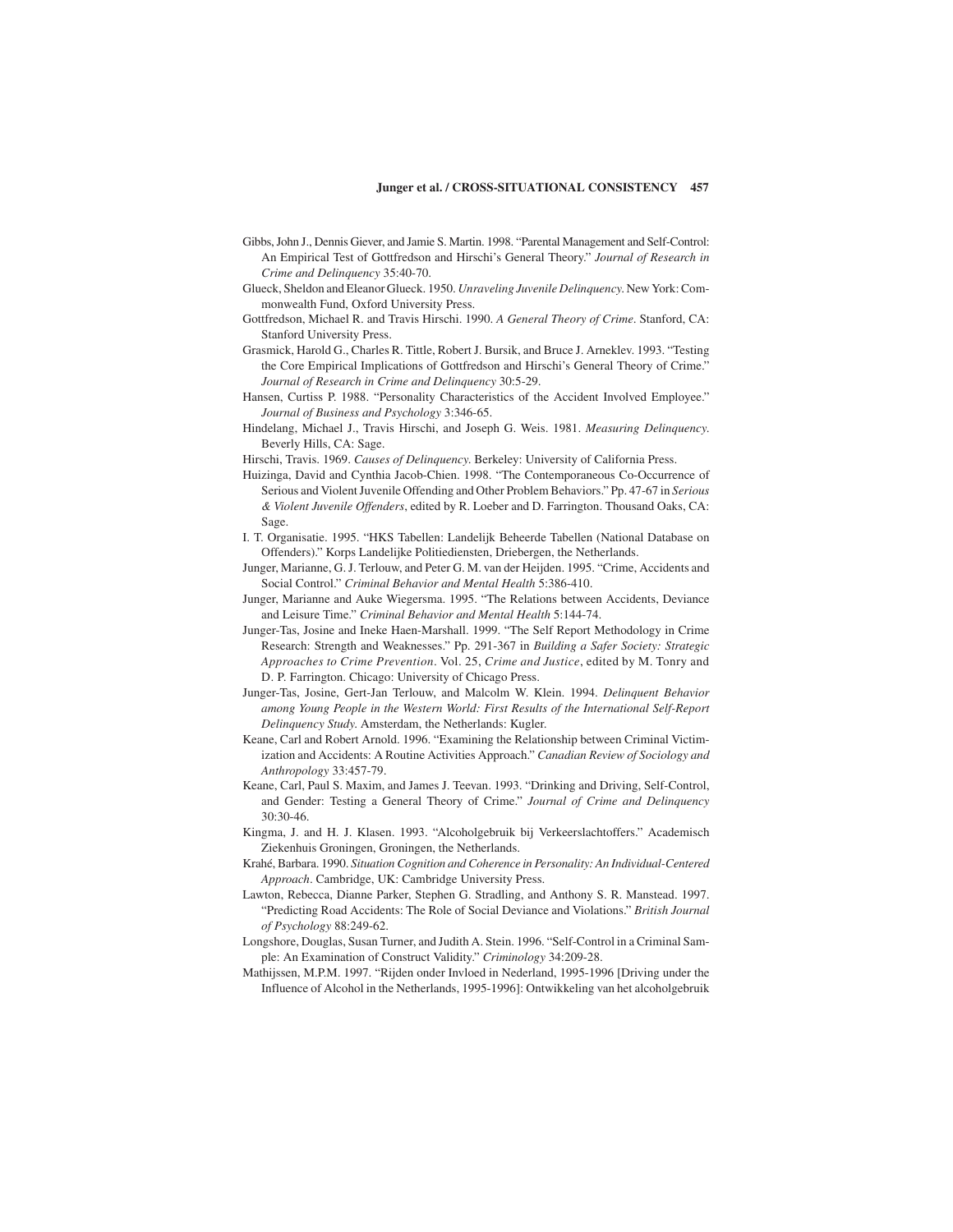- Gibbs, John J., Dennis Giever, and Jamie S. Martin. 1998. "Parental Management and Self-Control: An Empirical Test of Gottfredson and Hirschi's General Theory." *Journal of Research in Crime and Delinquency* 35:40-70.
- Glueck, Sheldon and Eleanor Glueck. 1950. *Unraveling Juvenile Delinquency*. NewYork: Commonwealth Fund, Oxford University Press.
- Gottfredson, Michael R. and Travis Hirschi. 1990. *A General Theory of Crime*. Stanford, CA: Stanford University Press.
- Grasmick, Harold G., Charles R. Tittle, Robert J. Bursik, and Bruce J. Arneklev. 1993. "Testing the Core Empirical Implications of Gottfredson and Hirschi's General Theory of Crime." *Journal of Research in Crime and Delinquency* 30:5-29.
- Hansen, Curtiss P. 1988. "Personality Characteristics of the Accident Involved Employee." *Journal of Business and Psychology* 3:346-65.
- Hindelang, Michael J., Travis Hirschi, and Joseph G. Weis. 1981. *Measuring Delinquency*. Beverly Hills, CA: Sage.
- Hirschi, Travis. 1969. *Causes of Delinquency*. Berkeley: University of California Press.
- Huizinga, David and Cynthia Jacob-Chien. 1998. "The Contemporaneous Co-Occurrence of Serious and Violent Juvenile Offending and Other Problem Behaviors." Pp. 47-67 in *Serious & Violent Juvenile Offenders*, edited by R. Loeber and D. Farrington. Thousand Oaks, CA: Sage.
- I. T. Organisatie. 1995. "HKS Tabellen: Landelijk Beheerde Tabellen (National Database on Offenders)." Korps Landelijke Politiediensten, Driebergen, the Netherlands.
- Junger, Marianne, G. J. Terlouw, and Peter G. M. van der Heijden. 1995. "Crime, Accidents and Social Control." *Criminal Behavior and Mental Health* 5:386-410.
- Junger, Marianne and Auke Wiegersma. 1995. "The Relations between Accidents, Deviance and Leisure Time." *Criminal Behavior and Mental Health* 5:144-74.
- Junger-Tas, Josine and Ineke Haen-Marshall. 1999. "The Self Report Methodology in Crime Research: Strength and Weaknesses." Pp. 291-367 in *Building a Safer Society: Strategic Approaches to Crime Prevention*. Vol. 25, *Crime and Justice*, edited by M. Tonry and D. P. Farrington. Chicago: University of Chicago Press.
- Junger-Tas, Josine, Gert-Jan Terlouw, and Malcolm W. Klein. 1994. *Delinquent Behavior among Young People in the Western World: First Results of the International Self-Report Delinquency Study*. Amsterdam, the Netherlands: Kugler.
- Keane, Carl and Robert Arnold. 1996. "Examining the Relationship between Criminal Victimization and Accidents: A Routine Activities Approach." *Canadian Review of Sociology and Anthropology* 33:457-79.
- Keane, Carl, Paul S. Maxim, and James J. Teevan. 1993. "Drinking and Driving, Self-Control, and Gender: Testing a General Theory of Crime." *Journal of Crime and Delinquency* 30:30-46.
- Kingma, J. and H. J. Klasen. 1993. "Alcoholgebruik bij Verkeerslachtoffers." Academisch Ziekenhuis Groningen, Groningen, the Netherlands.
- Krahé, Barbara. 1990. *Situation Cognition and Coherence in Personality: An Individual-Centered Approach*. Cambridge, UK: Cambridge University Press.
- Lawton, Rebecca, Dianne Parker, Stephen G. Stradling, and Anthony S. R. Manstead. 1997. "Predicting Road Accidents: The Role of Social Deviance and Violations." *British Journal of Psychology* 88:249-62.
- Longshore, Douglas, Susan Turner, and Judith A. Stein. 1996. "Self-Control in a Criminal Sample: An Examination of Construct Validity." *Criminology* 34:209-28.
- Mathijssen, M.P.M. 1997. "Rijden onder Invloed in Nederland, 1995-1996 [Driving under the Influence of Alcohol in the Netherlands, 1995-1996]: Ontwikkeling van het alcoholgebruik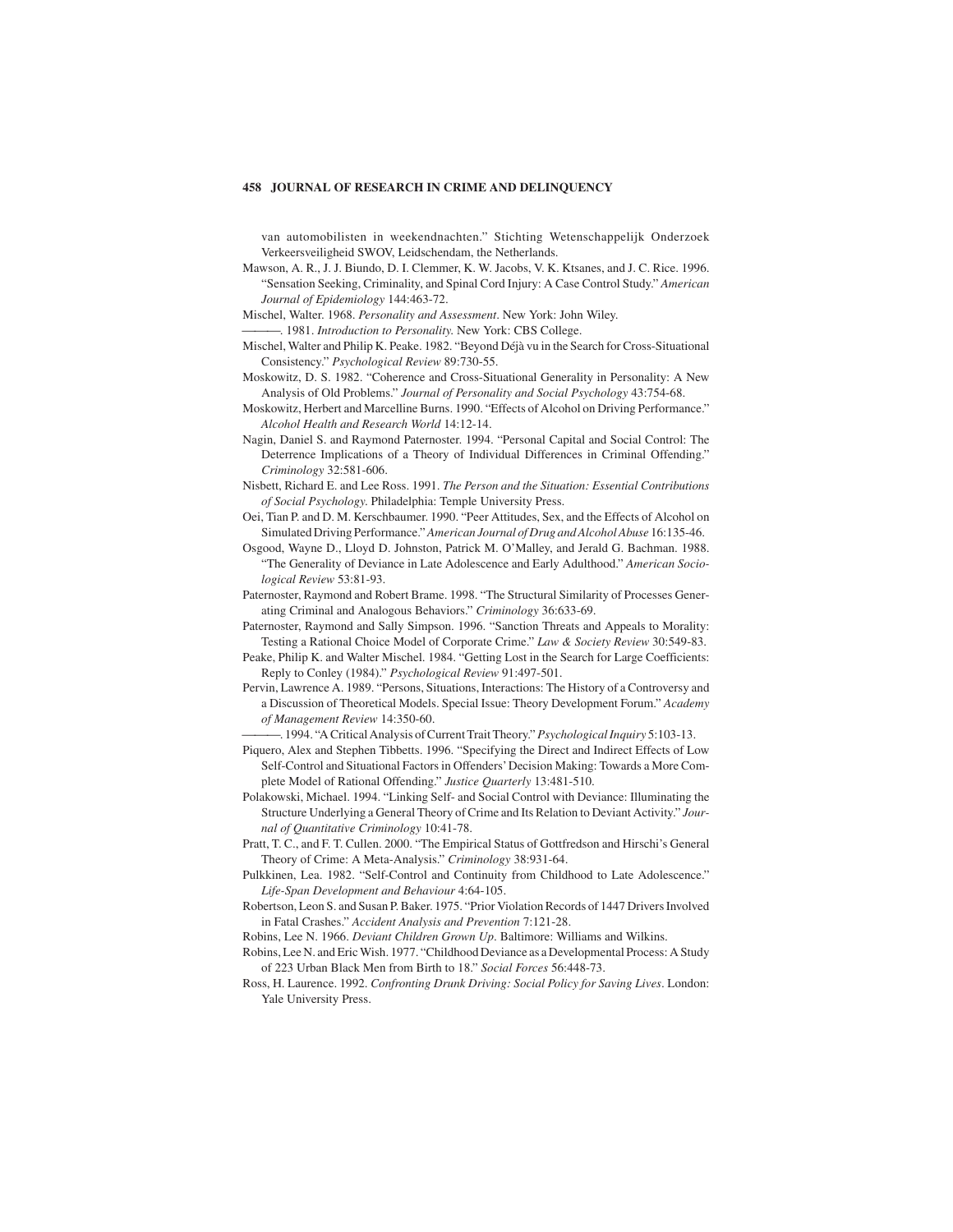van automobilisten in weekendnachten." Stichting Wetenschappelijk Onderzoek Verkeersveiligheid SWOV, Leidschendam, the Netherlands.

- Mawson, A. R., J. J. Biundo, D. I. Clemmer, K. W. Jacobs, V. K. Ktsanes, and J. C. Rice. 1996. "Sensation Seeking, Criminality, and Spinal Cord Injury: A Case Control Study." *American Journal of Epidemiology* 144:463-72.
- Mischel, Walter. 1968. *Personality and Assessment*. New York: John Wiley.

. 1981. *Introduction to Personality*. New York: CBS College.

- Mischel, Walter and Philip K. Peake. 1982. "Beyond Déjà vu in the Search for Cross-Situational Consistency." *Psychological Review* 89:730-55.
- Moskowitz, D. S. 1982. "Coherence and Cross-Situational Generality in Personality: A New Analysis of Old Problems." *Journal of Personality and Social Psychology* 43:754-68.
- Moskowitz, Herbert and Marcelline Burns. 1990. "Effects of Alcohol on Driving Performance." *Alcohol Health and Research World* 14:12-14.
- Nagin, Daniel S. and Raymond Paternoster. 1994. "Personal Capital and Social Control: The Deterrence Implications of a Theory of Individual Differences in Criminal Offending." *Criminology* 32:581-606.
- Nisbett, Richard E. and Lee Ross. 1991. *The Person and the Situation: Essential Contributions of Social Psychology*. Philadelphia: Temple University Press.
- Oei, Tian P. and D. M. Kerschbaumer. 1990. "Peer Attitudes, Sex, and the Effects of Alcohol on Simulated Driving Performance."*American Journal of Drug and Alcohol Abuse* 16:135-46.
- Osgood, Wayne D., Lloyd D. Johnston, Patrick M. O'Malley, and Jerald G. Bachman. 1988. "The Generality of Deviance in Late Adolescence and Early Adulthood." *American Sociological Review* 53:81-93.
- Paternoster, Raymond and Robert Brame. 1998. "The Structural Similarity of Processes Generating Criminal and Analogous Behaviors." *Criminology* 36:633-69.
- Paternoster, Raymond and Sally Simpson. 1996. "Sanction Threats and Appeals to Morality: Testing a Rational Choice Model of Corporate Crime." *Law & Society Review* 30:549-83.
- Peake, Philip K. and Walter Mischel. 1984. "Getting Lost in the Search for Large Coefficients: Reply to Conley (1984)." *Psychological Review* 91:497-501.
- Pervin, Lawrence A. 1989. "Persons, Situations, Interactions: The History of a Controversy and a Discussion of Theoretical Models. Special Issue: Theory Development Forum." *Academy of Management Review* 14:350-60.
	- . 1994. "A Critical Analysis of Current Trait Theory."*Psychological Inquiry* 5:103-13.
- Piquero, Alex and Stephen Tibbetts. 1996. "Specifying the Direct and Indirect Effects of Low Self-Control and Situational Factors in Offenders'Decision Making: Towards a More Complete Model of Rational Offending." *Justice Quarterly* 13:481-510.
- Polakowski, Michael. 1994. "Linking Self- and Social Control with Deviance: Illuminating the Structure Underlying a General Theory of Crime and Its Relation to Deviant Activity." *Journal of Quantitative Criminology* 10:41-78.
- Pratt, T. C., and F. T. Cullen. 2000. "The Empirical Status of Gottfredson and Hirschi's General Theory of Crime: A Meta-Analysis." *Criminology* 38:931-64.
- Pulkkinen, Lea. 1982. "Self-Control and Continuity from Childhood to Late Adolescence." *Life-Span Development and Behaviour* 4:64-105.
- Robertson, Leon S. and Susan P. Baker. 1975. "Prior Violation Records of 1447 Drivers Involved in Fatal Crashes." *Accident Analysis and Prevention* 7:121-28.
- Robins, Lee N. 1966. *Deviant Children Grown Up*. Baltimore: Williams and Wilkins.
- Robins, Lee N. and Eric Wish. 1977. "Childhood Deviance as a Developmental Process: A Study of 223 Urban Black Men from Birth to 18." *Social Forces* 56:448-73.
- Ross, H. Laurence. 1992. *Confronting Drunk Driving: Social Policy for Saving Lives*. London: Yale University Press.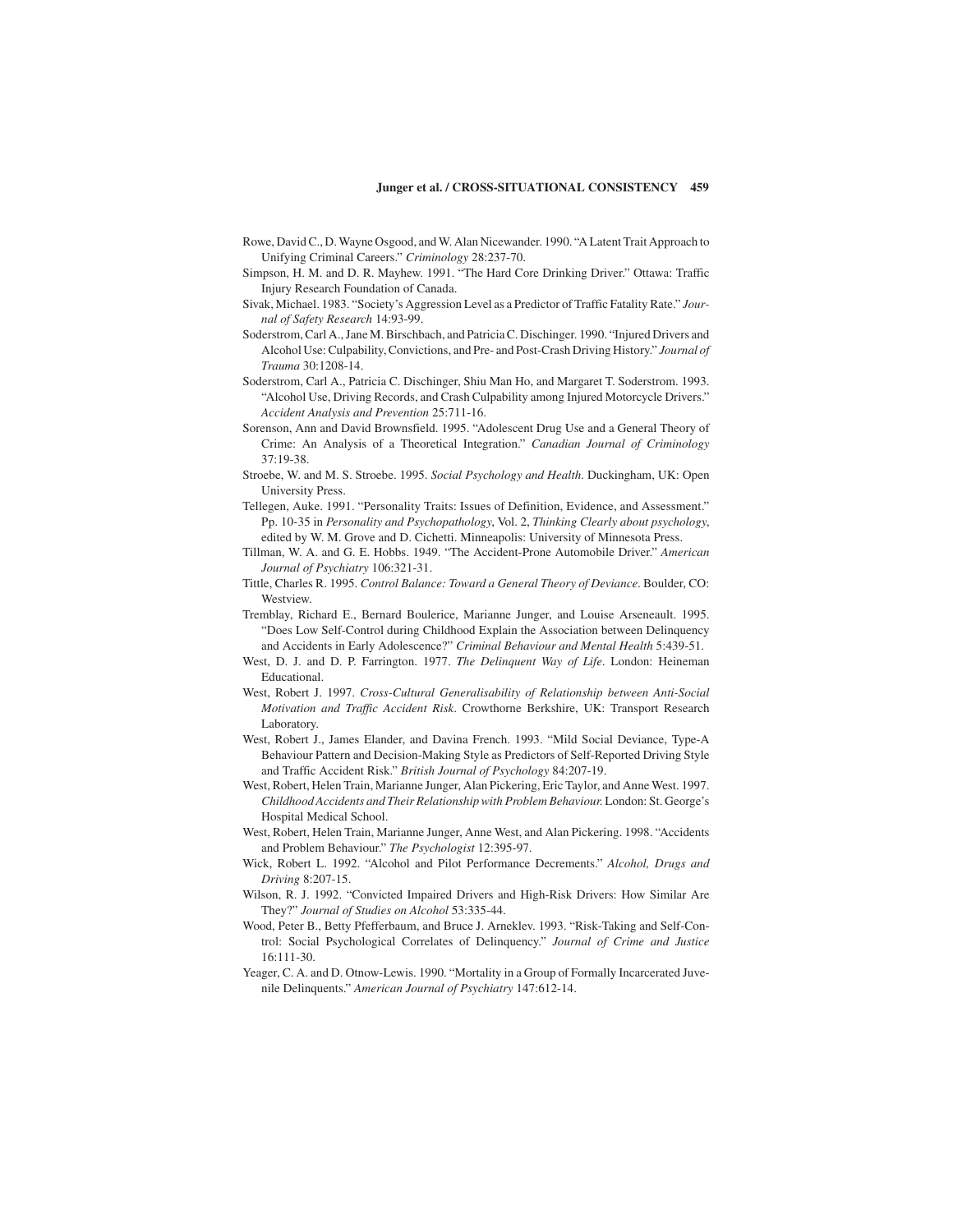- Rowe, David C., D. Wayne Osgood, and W. Alan Nicewander. 1990. "A Latent Trait Approach to Unifying Criminal Careers." *Criminology* 28:237-70.
- Simpson, H. M. and D. R. Mayhew. 1991. "The Hard Core Drinking Driver." Ottawa: Traffic Injury Research Foundation of Canada.
- Sivak, Michael. 1983. "Society's Aggression Level as a Predictor of Traffic Fatality Rate." *Journal of Safety Research* 14:93-99.
- Soderstrom, Carl A., Jane M. Birschbach, and Patricia C. Dischinger. 1990. "Injured Drivers and Alcohol Use: Culpability, Convictions, and Pre- and Post-Crash Driving History." *Journal of Trauma* 30:1208-14.
- Soderstrom, Carl A., Patricia C. Dischinger, Shiu Man Ho, and Margaret T. Soderstrom. 1993. "Alcohol Use, Driving Records, and Crash Culpability among Injured Motorcycle Drivers." *Accident Analysis and Prevention* 25:711-16.
- Sorenson, Ann and David Brownsfield. 1995. "Adolescent Drug Use and a General Theory of Crime: An Analysis of a Theoretical Integration." *Canadian Journal of Criminology* 37:19-38.
- Stroebe, W. and M. S. Stroebe. 1995. *Social Psychology and Health*. Duckingham, UK: Open University Press.
- Tellegen, Auke. 1991. "Personality Traits: Issues of Definition, Evidence, and Assessment." Pp. 10-35 in *Personality and Psychopathology*, Vol. 2, *Thinking Clearly about psychology*, edited by W. M. Grove and D. Cichetti. Minneapolis: University of Minnesota Press.
- Tillman, W. A. and G. E. Hobbs. 1949. "The Accident-Prone Automobile Driver." *American Journal of Psychiatry* 106:321-31.
- Tittle, Charles R. 1995. *Control Balance: Toward a General Theory of Deviance*. Boulder, CO: Westview.
- Tremblay, Richard E., Bernard Boulerice, Marianne Junger, and Louise Arseneault. 1995. "Does Low Self-Control during Childhood Explain the Association between Delinquency and Accidents in Early Adolescence?" *Criminal Behaviour and Mental Health* 5:439-51.
- West, D. J. and D. P. Farrington. 1977. *The Delinquent Way of Life*. London: Heineman Educational.
- West, Robert J. 1997. *Cross-Cultural Generalisability of Relationship between Anti-Social Motivation and Traffic Accident Risk*. Crowthorne Berkshire, UK: Transport Research Laboratory.
- West, Robert J., James Elander, and Davina French. 1993. "Mild Social Deviance, Type-A Behaviour Pattern and Decision-Making Style as Predictors of Self-Reported Driving Style and Traffic Accident Risk." *British Journal of Psychology* 84:207-19.
- West, Robert, Helen Train, Marianne Junger, Alan Pickering, Eric Taylor, and Anne West. 1997. *Childhood Accidents and Their Relationship with Problem Behaviour*. London: St. George's Hospital Medical School.
- West, Robert, Helen Train, Marianne Junger, Anne West, and Alan Pickering. 1998. "Accidents and Problem Behaviour." *The Psychologist* 12:395-97.
- Wick, Robert L. 1992. "Alcohol and Pilot Performance Decrements." *Alcohol, Drugs and Driving* 8:207-15.
- Wilson, R. J. 1992. "Convicted Impaired Drivers and High-Risk Drivers: How Similar Are They?" *Journal of Studies on Alcohol* 53:335-44.
- Wood, Peter B., Betty Pfefferbaum, and Bruce J. Arneklev. 1993. "Risk-Taking and Self-Control: Social Psychological Correlates of Delinquency." *Journal of Crime and Justice* 16:111-30.
- Yeager, C. A. and D. Otnow-Lewis. 1990. "Mortality in a Group of Formally Incarcerated Juvenile Delinquents." *American Journal of Psychiatry* 147:612-14.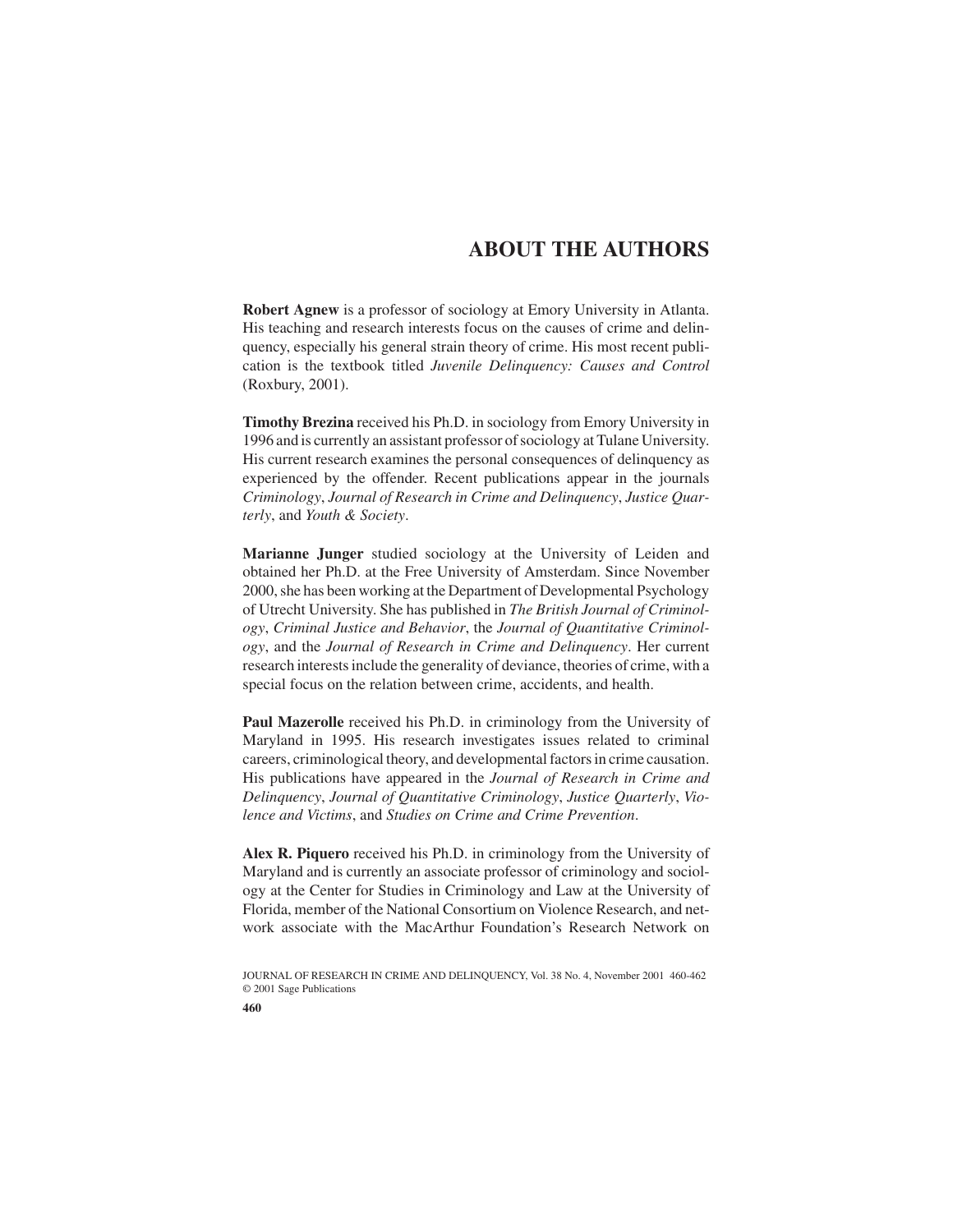# **ABOUT THE AUTHORS**

**Robert Agnew** is a professor of sociology at Emory University in Atlanta. His teaching and research interests focus on the causes of crime and delinquency, especially his general strain theory of crime. His most recent publication is the textbook titled *Juvenile Delinquency: Causes and Control* (Roxbury, 2001).

**Timothy Brezina** received his Ph.D. in sociology from Emory University in 1996 and is currently an assistant professor of sociology at Tulane University. His current research examines the personal consequences of delinquency as experienced by the offender. Recent publications appear in the journals *Criminology*, *Journal of Research in Crime and Delinquency*, *Justice Quarterly*, and *Youth & Society*.

**Marianne Junger** studied sociology at the University of Leiden and obtained her Ph.D. at the Free University of Amsterdam. Since November 2000, she has been working at the Department of Developmental Psychology of Utrecht University. She has published in *The British Journal of Criminology*, *Criminal Justice and Behavior*, the *Journal of Quantitative Criminology*, and the *Journal of Research in Crime and Delinquency*. Her current research interests include the generality of deviance, theories of crime, with a special focus on the relation between crime, accidents, and health.

**Paul Mazerolle** received his Ph.D. in criminology from the University of Maryland in 1995. His research investigates issues related to criminal careers, criminological theory, and developmental factors in crime causation. His publications have appeared in the *Journal of Research in Crime and Delinquency*, *Journal of Quantitative Criminology*, *Justice Quarterly*, *Violence and Victims*, and *Studies on Crime and Crime Prevention*.

**Alex R. Piquero** received his Ph.D. in criminology from the University of Maryland and is currently an associate professor of criminology and sociology at the Center for Studies in Criminology and Lawat the University of Florida, member of the National Consortium on Violence Research, and network associate with the MacArthur Foundation's Research Network on

JOURNAL OF RESEARCH IN CRIME AND DELINQUENCY, Vol. 38 No. 4, November 2001 460-462 © 2001 Sage Publications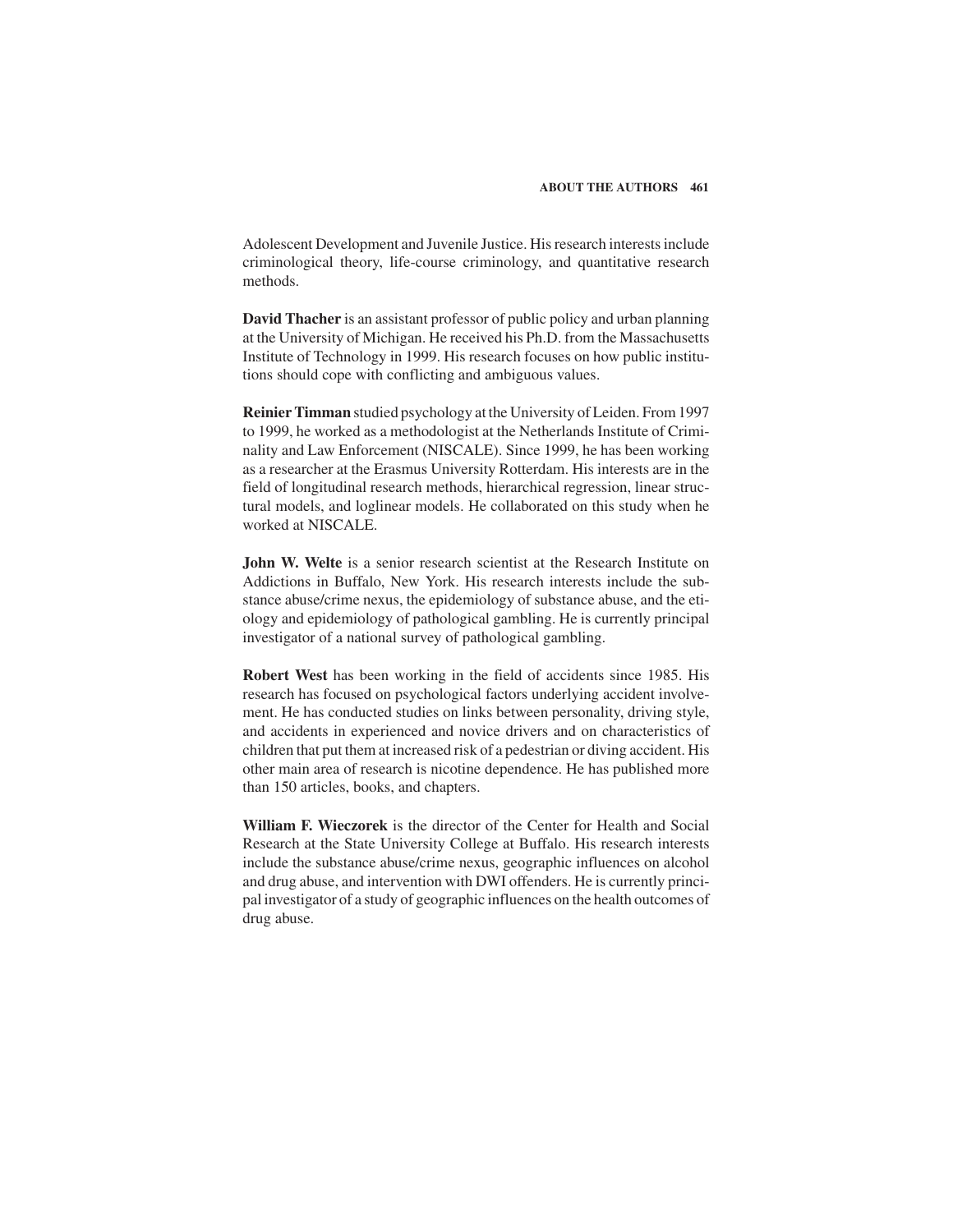Adolescent Development and Juvenile Justice. His research interests include criminological theory, life-course criminology, and quantitative research methods.

**David Thacher** is an assistant professor of public policy and urban planning at the University of Michigan. He received his Ph.D. from the Massachusetts Institute of Technology in 1999. His research focuses on how public institutions should cope with conflicting and ambiguous values.

**Reinier Timman** studied psychology at the University of Leiden. From 1997 to 1999, he worked as a methodologist at the Netherlands Institute of Criminality and LawEnforcement (NISCALE). Since 1999, he has been working as a researcher at the Erasmus University Rotterdam. His interests are in the field of longitudinal research methods, hierarchical regression, linear structural models, and loglinear models. He collaborated on this study when he worked at NISCALE.

**John W. Welte** is a senior research scientist at the Research Institute on Addictions in Buffalo, New York. His research interests include the substance abuse/crime nexus, the epidemiology of substance abuse, and the etiology and epidemiology of pathological gambling. He is currently principal investigator of a national survey of pathological gambling.

**Robert West** has been working in the field of accidents since 1985. His research has focused on psychological factors underlying accident involvement. He has conducted studies on links between personality, driving style, and accidents in experienced and novice drivers and on characteristics of children that put them at increased risk of a pedestrian or diving accident. His other main area of research is nicotine dependence. He has published more than 150 articles, books, and chapters.

**William F. Wieczorek** is the director of the Center for Health and Social Research at the State University College at Buffalo. His research interests include the substance abuse/crime nexus, geographic influences on alcohol and drug abuse, and intervention with DWI offenders. He is currently principal investigator of a study of geographic influences on the health outcomes of drug abuse.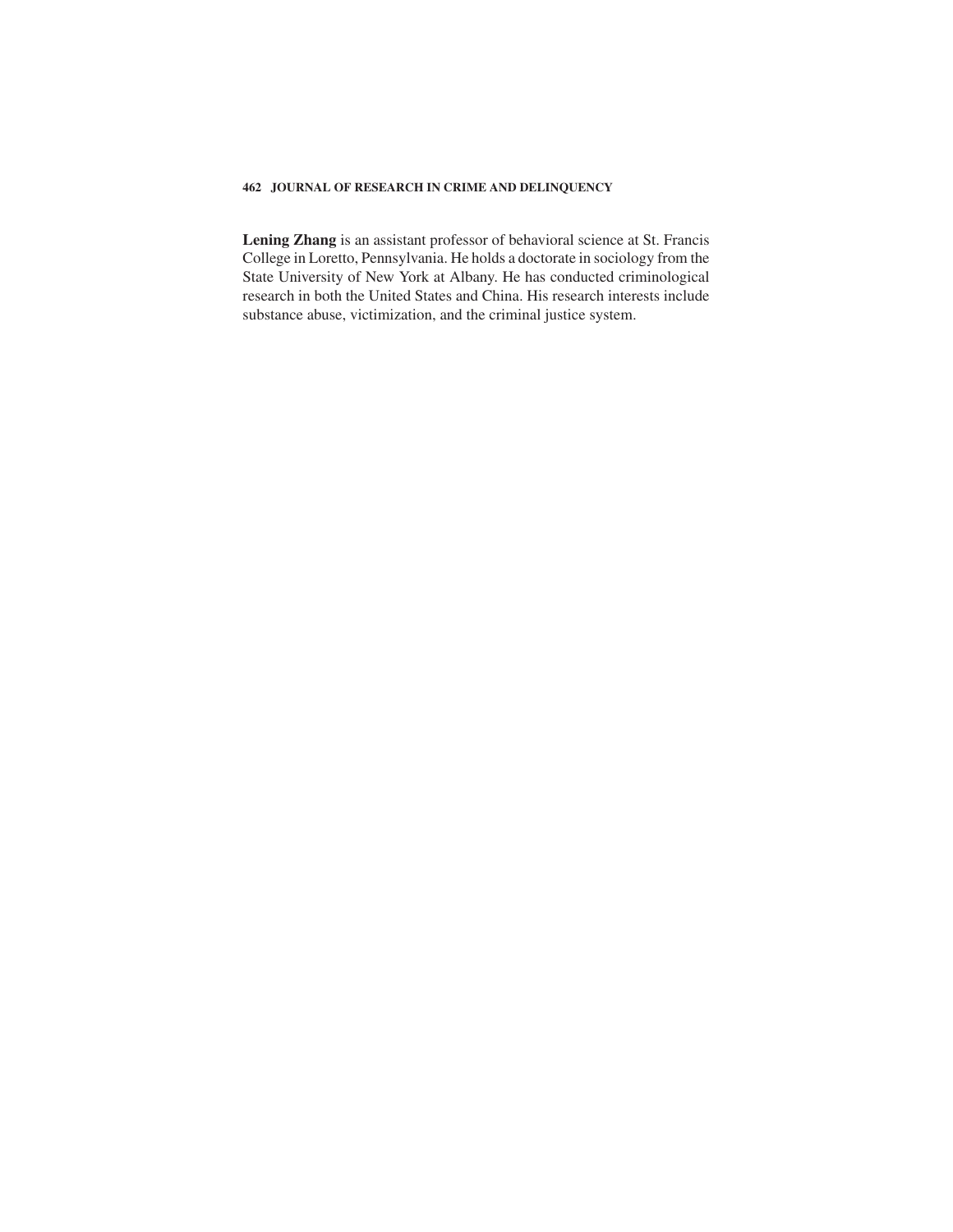# **462 JOURNAL OF RESEARCH IN CRIME AND DELINQUENCY**

**Lening Zhang** is an assistant professor of behavioral science at St. Francis College in Loretto, Pennsylvania. He holds a doctorate in sociology from the State University of New York at Albany. He has conducted criminological research in both the United States and China. His research interests include substance abuse, victimization, and the criminal justice system.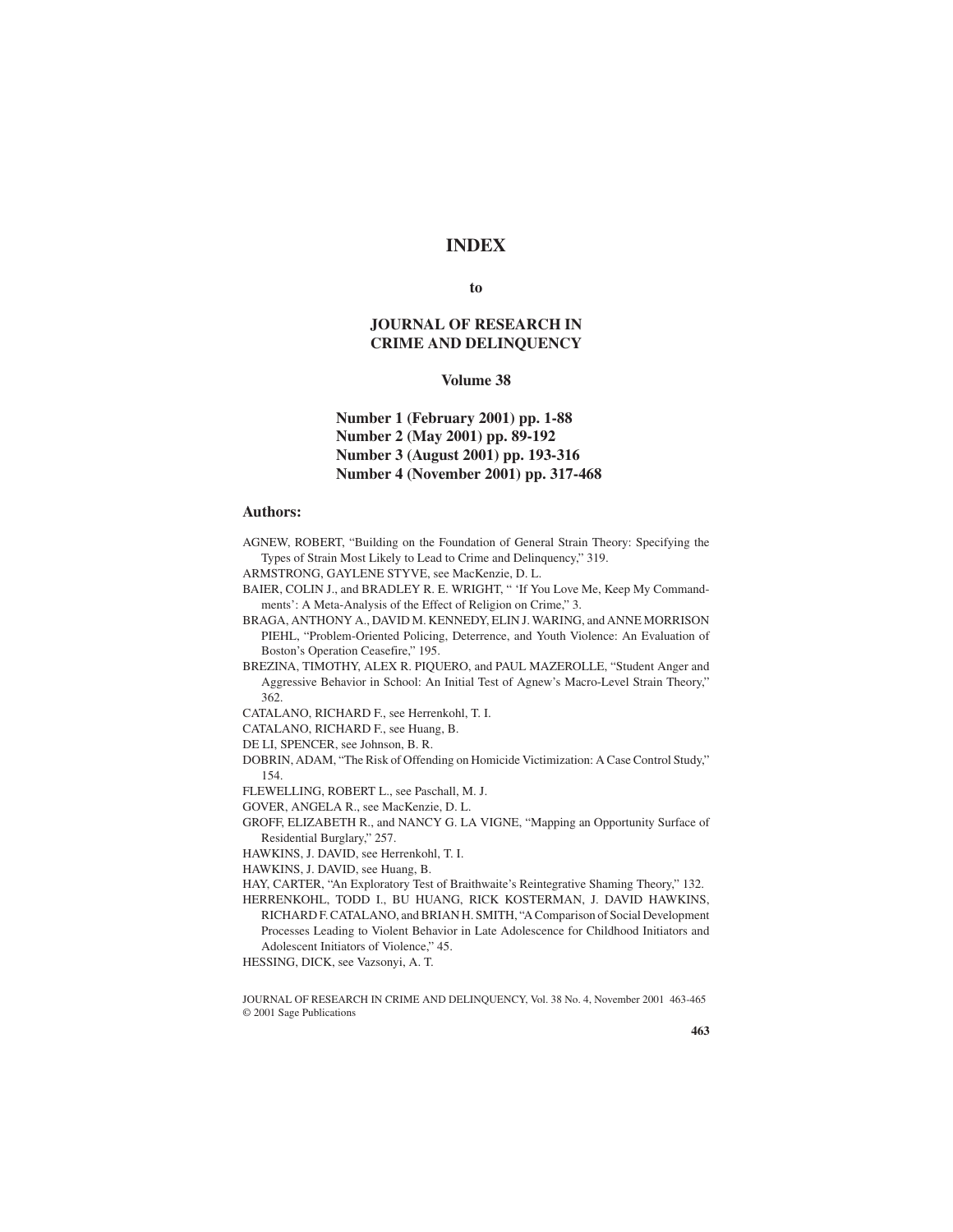## **INDEX**

**to**

# **JOURNAL OF RESEARCH IN CRIME AND DELINQUENCY**

## **Volume 38**

# **Number 1 (February 2001) pp. 1-88 Number 2 (May 2001) pp. 89-192 Number 3 (August 2001) pp. 193-316 Number 4 (November 2001) pp. 317-468**

## **Authors:**

AGNEW, ROBERT, "Building on the Foundation of General Strain Theory: Specifying the Types of Strain Most Likely to Lead to Crime and Delinquency," 319.

ARMSTRONG, GAYLENE STYVE, see MacKenzie, D. L.

BAIER, COLIN J., and BRADLEY R. E. WRIGHT, " 'If You Love Me, Keep My Commandments': A Meta-Analysis of the Effect of Religion on Crime," 3.

BRAGA, ANTHONY A., DAVID M. KENNEDY, ELIN J. WARING, and ANNE MORRISON PIEHL, "Problem-Oriented Policing, Deterrence, and Youth Violence: An Evaluation of Boston's Operation Ceasefire," 195.

BREZINA, TIMOTHY, ALEX R. PIQUERO, and PAUL MAZEROLLE, "Student Anger and Aggressive Behavior in School: An Initial Test of Agnew's Macro-Level Strain Theory," 362.

CATALANO, RICHARD F., see Herrenkohl, T. I.

CATALANO, RICHARD F., see Huang, B.

DE LI, SPENCER, see Johnson, B. R.

DOBRIN, ADAM, "The Risk of Offending on Homicide Victimization: A Case Control Study," 154.

FLEWELLING, ROBERT L., see Paschall, M. J.

GOVER, ANGELA R., see MacKenzie, D. L.

GROFF, ELIZABETH R., and NANCY G. LA VIGNE, "Mapping an Opportunity Surface of Residential Burglary," 257.

HAWKINS, J. DAVID, see Herrenkohl, T. I.

HAWKINS, J. DAVID, see Huang, B.

HAY, CARTER, "An Exploratory Test of Braithwaite's Reintegrative Shaming Theory," 132.

HERRENKOHL, TODD I., BU HUANG, RICK KOSTERMAN, J. DAVID HAWKINS, RICHARD F. CATALANO, and BRIAN H. SMITH, "A Comparison of Social Development Processes Leading to Violent Behavior in Late Adolescence for Childhood Initiators and Adolescent Initiators of Violence," 45.

HESSING, DICK, see Vazsonyi, A. T.

JOURNAL OF RESEARCH IN CRIME AND DELINQUENCY, Vol. 38 No. 4, November 2001 463-465 © 2001 Sage Publications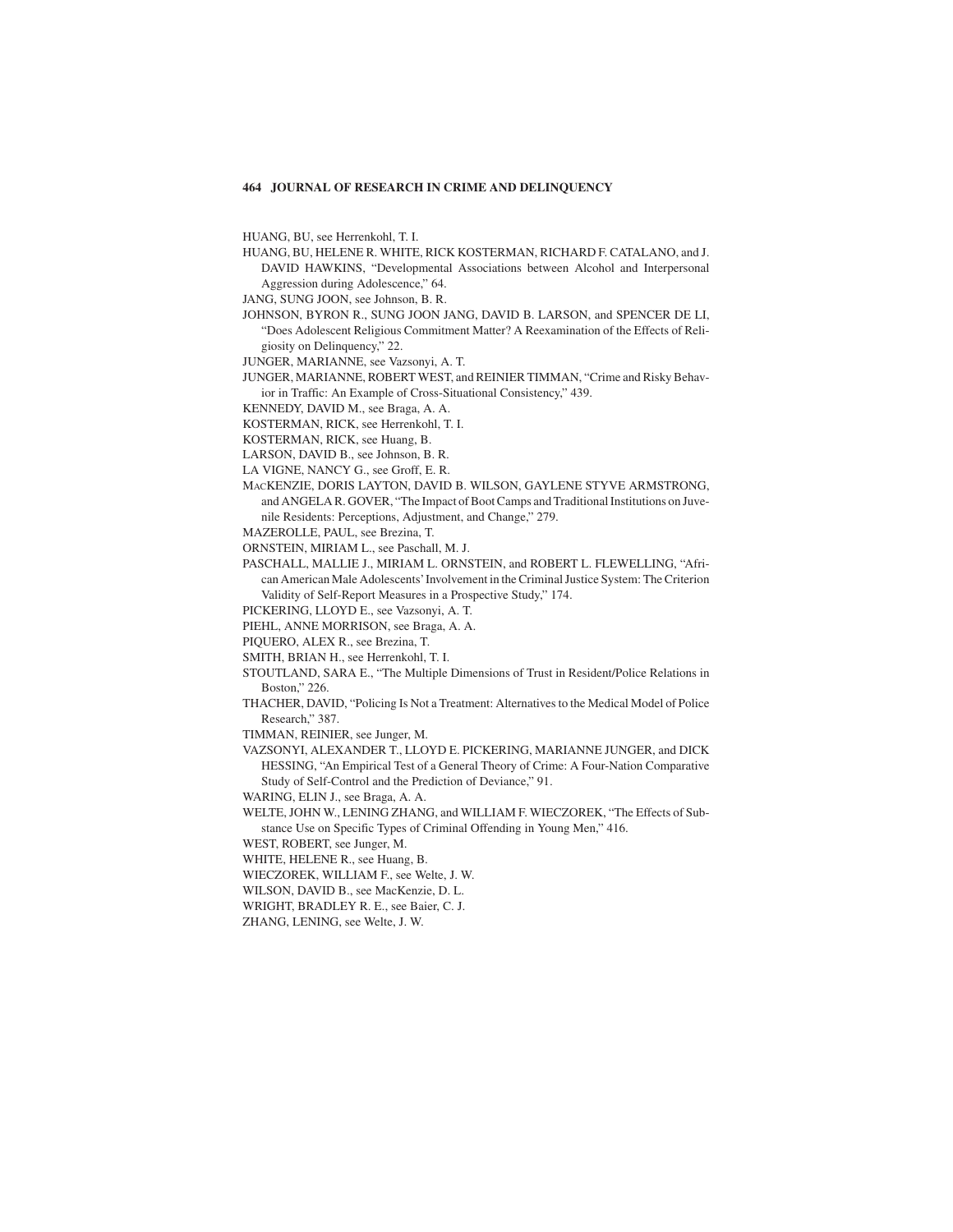#### **464 JOURNAL OF RESEARCH IN CRIME AND DELINQUENCY**

HUANG, BU, see Herrenkohl, T. I.

- HUANG, BU, HELENE R. WHITE, RICK KOSTERMAN, RICHARD F. CATALANO, and J. DAVID HAWKINS, "Developmental Associations between Alcohol and Interpersonal Aggression during Adolescence," 64.
- JANG, SUNG JOON, see Johnson, B. R.
- JOHNSON, BYRON R., SUNG JOON JANG, DAVID B. LARSON, and SPENCER DE LI, "Does Adolescent Religious Commitment Matter? A Reexamination of the Effects of Religiosity on Delinquency," 22.

JUNGER, MARIANNE, see Vazsonyi, A. T.

- JUNGER, MARIANNE, ROBERT WEST, and REINIER TIMMAN, "Crime and Risky Behavior in Traffic: An Example of Cross-Situational Consistency," 439.
- KENNEDY, DAVID M., see Braga, A. A.
- KOSTERMAN, RICK, see Herrenkohl, T. I.
- KOSTERMAN, RICK, see Huang, B.
- LARSON, DAVID B., see Johnson, B. R.
- LA VIGNE, NANCY G., see Groff, E. R.
- MACKENZIE, DORIS LAYTON, DAVID B. WILSON, GAYLENE STYVE ARMSTRONG, and ANGELA R. GOVER, "The Impact of Boot Camps and Traditional Institutions on Juvenile Residents: Perceptions, Adjustment, and Change," 279.
- MAZEROLLE, PAUL, see Brezina, T.
- ORNSTEIN, MIRIAM L., see Paschall, M. J.
- PASCHALL, MALLIE J., MIRIAM L. ORNSTEIN, and ROBERT L. FLEWELLING, "African American Male Adolescents'Involvement in the Criminal Justice System: The Criterion Validity of Self-Report Measures in a Prospective Study," 174.
- PICKERING, LLOYD E., see Vazsonyi, A. T.
- PIEHL, ANNE MORRISON, see Braga, A. A.
- PIQUERO, ALEX R., see Brezina, T.
- SMITH, BRIAN H., see Herrenkohl, T. I.
- STOUTLAND, SARA E., "The Multiple Dimensions of Trust in Resident/Police Relations in Boston," 226.
- THACHER, DAVID, "Policing Is Not a Treatment: Alternatives to the Medical Model of Police Research," 387.
- TIMMAN, REINIER, see Junger, M.

VAZSONYI, ALEXANDER T., LLOYD E. PICKERING, MARIANNE JUNGER, and DICK HESSING, "An Empirical Test of a General Theory of Crime: A Four-Nation Comparative Study of Self-Control and the Prediction of Deviance," 91.

WARING, ELIN J., see Braga, A. A.

- WELTE, JOHN W., LENING ZHANG, and WILLIAM F. WIECZOREK, "The Effects of Substance Use on Specific Types of Criminal Offending in Young Men," 416.
- WEST, ROBERT, see Junger, M.
- WHITE, HELENE R., see Huang, B.
- WIECZOREK, WILLIAM F., see Welte, J. W.
- WILSON, DAVID B., see MacKenzie, D. L.
- WRIGHT, BRADLEY R. E., see Baier, C. J.
- ZHANG, LENING, see Welte, J. W.